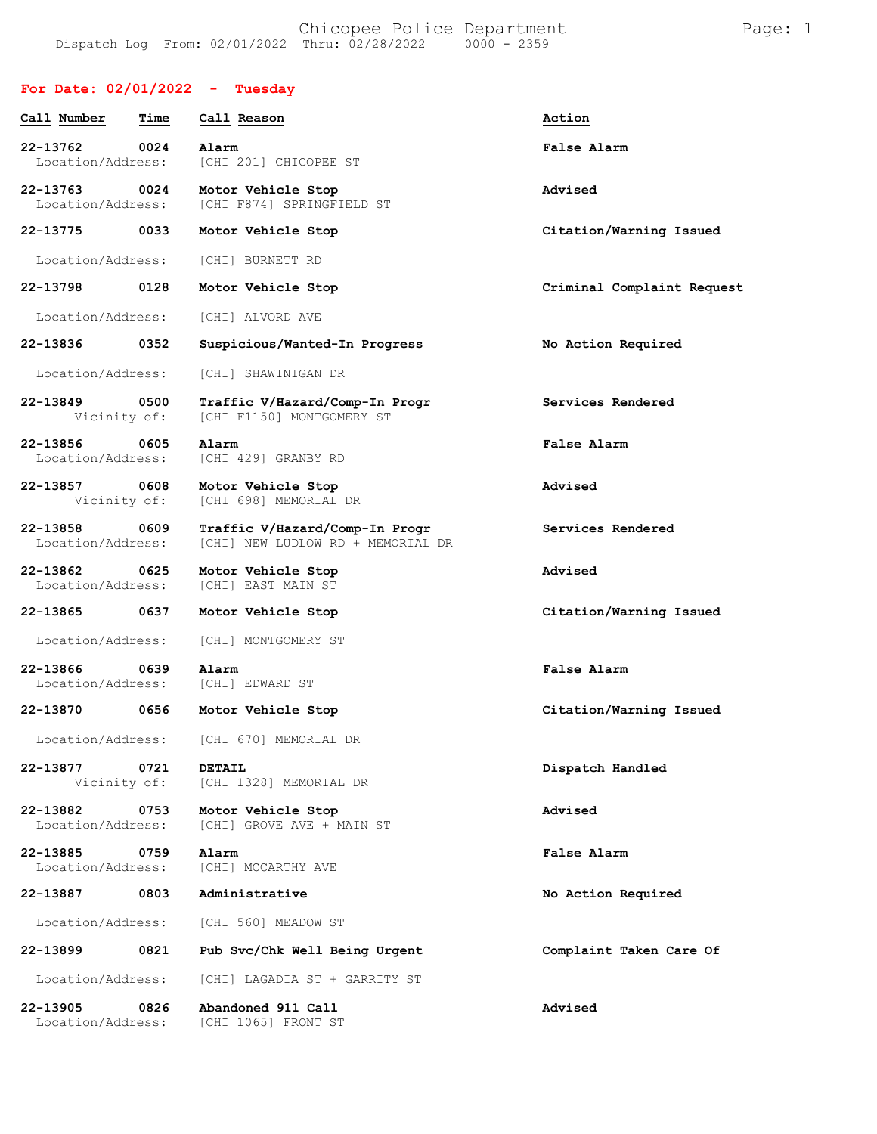## **For Date: 02/01/2022 - Tuesday**

| Call Number                   | Time | Call Reason                                                         | Action                     |
|-------------------------------|------|---------------------------------------------------------------------|----------------------------|
| 22-13762<br>Location/Address: | 0024 | Alarm<br>[CHI 201] CHICOPEE ST                                      | False Alarm                |
| 22-13763<br>Location/Address: | 0024 | Motor Vehicle Stop<br>ICHI F8741 SPRINGFIELD ST                     | Advised                    |
| 22-13775                      | 0033 | Motor Vehicle Stop                                                  | Citation/Warning Issued    |
| Location/Address:             |      | [CHI] BURNETT RD                                                    |                            |
| 22-13798                      | 0128 | Motor Vehicle Stop                                                  | Criminal Complaint Request |
| Location/Address:             |      | [CHI] ALVORD AVE                                                    |                            |
| 22-13836                      | 0352 | Suspicious/Wanted-In Progress                                       | No Action Required         |
| Location/Address:             |      | [CHI] SHAWINIGAN DR                                                 |                            |
| 22-13849<br>Vicinity of:      | 0500 | Traffic V/Hazard/Comp-In Progr<br>[CHI F1150] MONTGOMERY ST         | Services Rendered          |
| 22-13856<br>Location/Address: | 0605 | Alarm<br>[CHI 429] GRANBY RD                                        | False Alarm                |
| 22-13857<br>Vicinity of:      | 0608 | Motor Vehicle Stop<br>[CHI 698] MEMORIAL DR                         | Advised                    |
| 22-13858<br>Location/Address: | 0609 | Traffic V/Hazard/Comp-In Progr<br>[CHI] NEW LUDLOW RD + MEMORIAL DR | Services Rendered          |
| 22-13862<br>Location/Address: | 0625 | Motor Vehicle Stop<br>[CHI] EAST MAIN ST                            | Advised                    |
| 22-13865                      | 0637 | Motor Vehicle Stop                                                  | Citation/Warning Issued    |
| Location/Address:             |      | [CHI] MONTGOMERY ST                                                 |                            |
| 22-13866<br>Location/Address: | 0639 | Alarm<br>[CHI] EDWARD ST                                            | False Alarm                |
| 22-13870                      | 0656 | Motor Vehicle Stop                                                  | Citation/Warning Issued    |
| Location/Address:             |      | [CHI 670] MEMORIAL DR                                               |                            |
| 22-13877<br>Vicinity of:      | 0721 | <b>DETAIL</b><br>[CHI 1328] MEMORIAL DR                             | Dispatch Handled           |
| 22-13882<br>Location/Address: | 0753 | Motor Vehicle Stop<br>[CHI] GROVE AVE + MAIN ST                     | Advised                    |
| 22-13885<br>Location/Address: | 0759 | Alarm<br>[CHI] MCCARTHY AVE                                         | False Alarm                |
| 22-13887                      | 0803 | Administrative                                                      | No Action Required         |
| Location/Address:             |      | [CHI 560] MEADOW ST                                                 |                            |
| 22-13899                      | 0821 | Pub Svc/Chk Well Being Urgent                                       | Complaint Taken Care Of    |
| Location/Address:             |      | [CHI] LAGADIA ST + GARRITY ST                                       |                            |
| 22-13905<br>Location/Address: | 0826 | Abandoned 911 Call<br>[CHI 1065] FRONT ST                           | Advised                    |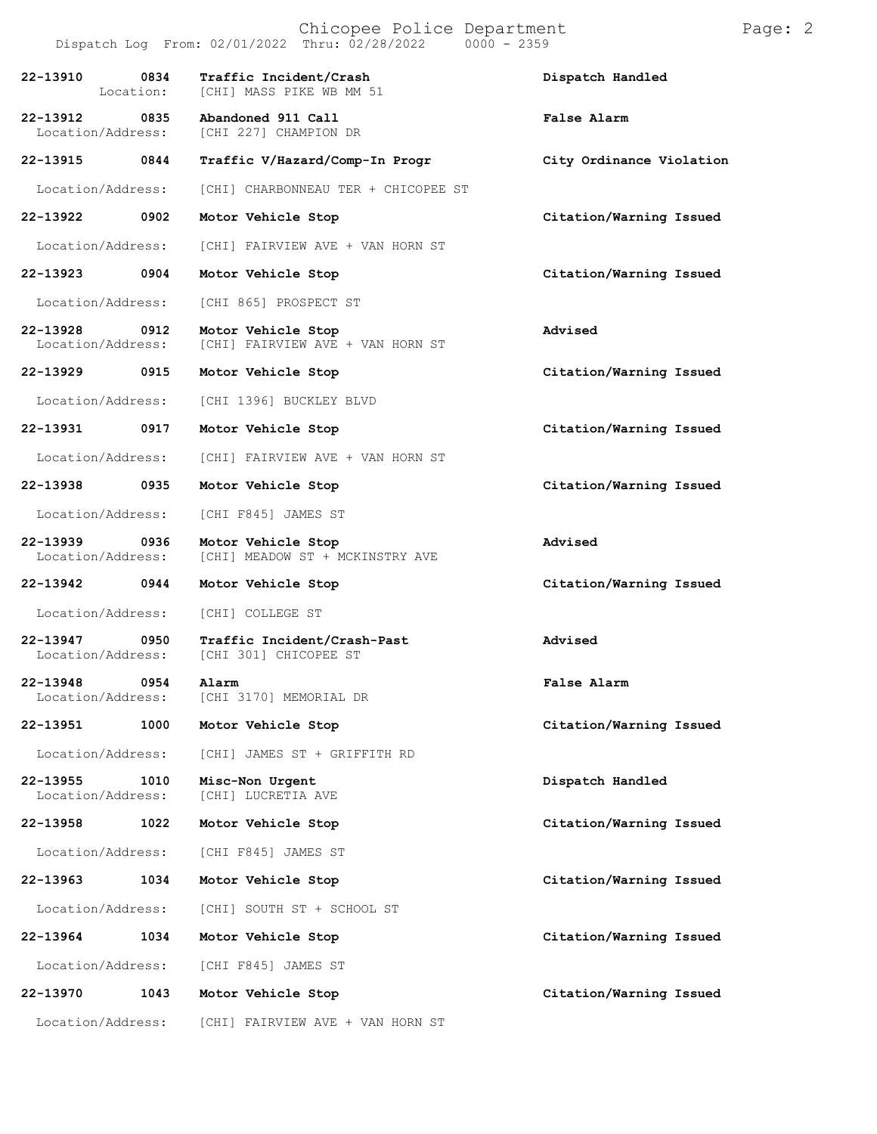| Chicopee Police Department<br>Dispatch Log From: 02/01/2022 Thru: 02/28/2022<br>$0000 - 2359$ |                   |                                                        |                          | Page: 2 |
|-----------------------------------------------------------------------------------------------|-------------------|--------------------------------------------------------|--------------------------|---------|
| 22-13910                                                                                      | 0834<br>Location: | Traffic Incident/Crash<br>[CHI] MASS PIKE WB MM 51     | Dispatch Handled         |         |
| 22-13912<br>Location/Address:                                                                 | 0835              | Abandoned 911 Call<br>[CHI 227] CHAMPION DR            | False Alarm              |         |
| 22-13915                                                                                      | 0844              | Traffic V/Hazard/Comp-In Progr                         | City Ordinance Violation |         |
| Location/Address:                                                                             |                   | [CHI] CHARBONNEAU TER + CHICOPEE ST                    |                          |         |
| 22-13922                                                                                      | 0902              | Motor Vehicle Stop                                     | Citation/Warning Issued  |         |
| Location/Address:                                                                             |                   | [CHI] FAIRVIEW AVE + VAN HORN ST                       |                          |         |
| 22-13923                                                                                      | 0904              | Motor Vehicle Stop                                     | Citation/Warning Issued  |         |
| Location/Address:                                                                             |                   | [CHI 865] PROSPECT ST                                  |                          |         |
| 22-13928<br>Location/Address:                                                                 | 0912              | Motor Vehicle Stop<br>[CHI] FAIRVIEW AVE + VAN HORN ST | Advised                  |         |
| 22-13929                                                                                      | 0915              | Motor Vehicle Stop                                     | Citation/Warning Issued  |         |
| Location/Address:                                                                             |                   | [CHI 1396] BUCKLEY BLVD                                |                          |         |
| 22-13931                                                                                      | 0917              | Motor Vehicle Stop                                     | Citation/Warning Issued  |         |
| Location/Address:                                                                             |                   | [CHI] FAIRVIEW AVE + VAN HORN ST                       |                          |         |
| 22-13938                                                                                      | 0935              | Motor Vehicle Stop                                     | Citation/Warning Issued  |         |
| Location/Address:                                                                             |                   | [CHI F845] JAMES ST                                    |                          |         |
| 22-13939<br>Location/Address:                                                                 | 0936              | Motor Vehicle Stop<br>[CHI] MEADOW ST + MCKINSTRY AVE  | Advised                  |         |
| 22-13942                                                                                      | 0944              | Motor Vehicle Stop                                     | Citation/Warning Issued  |         |
| Location/Address:                                                                             |                   | [CHI] COLLEGE ST                                       |                          |         |
| 22-13947<br>Location/Address:                                                                 | 0950              | Traffic Incident/Crash-Past<br>[CHI 301] CHICOPEE ST   | Advised                  |         |
| 22-13948<br>Location/Address:                                                                 | 0954              | Alarm<br>[CHI 3170] MEMORIAL DR                        | False Alarm              |         |
| 22-13951                                                                                      | 1000              | Motor Vehicle Stop                                     | Citation/Warning Issued  |         |
| Location/Address:                                                                             |                   | [CHI] JAMES ST + GRIFFITH RD                           |                          |         |
| 22-13955<br>Location/Address:                                                                 | 1010              | Misc-Non Urgent<br>[CHI] LUCRETIA AVE                  | Dispatch Handled         |         |
| 22-13958                                                                                      | 1022              | Motor Vehicle Stop                                     | Citation/Warning Issued  |         |
| Location/Address:                                                                             |                   | [CHI F845] JAMES ST                                    |                          |         |
| 22-13963                                                                                      | 1034              | Motor Vehicle Stop                                     | Citation/Warning Issued  |         |
| Location/Address:                                                                             |                   | [CHI] SOUTH ST + SCHOOL ST                             |                          |         |
| 22-13964                                                                                      | 1034              | Motor Vehicle Stop                                     | Citation/Warning Issued  |         |
| Location/Address:                                                                             |                   | [CHI F845] JAMES ST                                    |                          |         |
| 22-13970                                                                                      | 1043              | Motor Vehicle Stop                                     | Citation/Warning Issued  |         |
| Location/Address:                                                                             |                   | [CHI] FAIRVIEW AVE + VAN HORN ST                       |                          |         |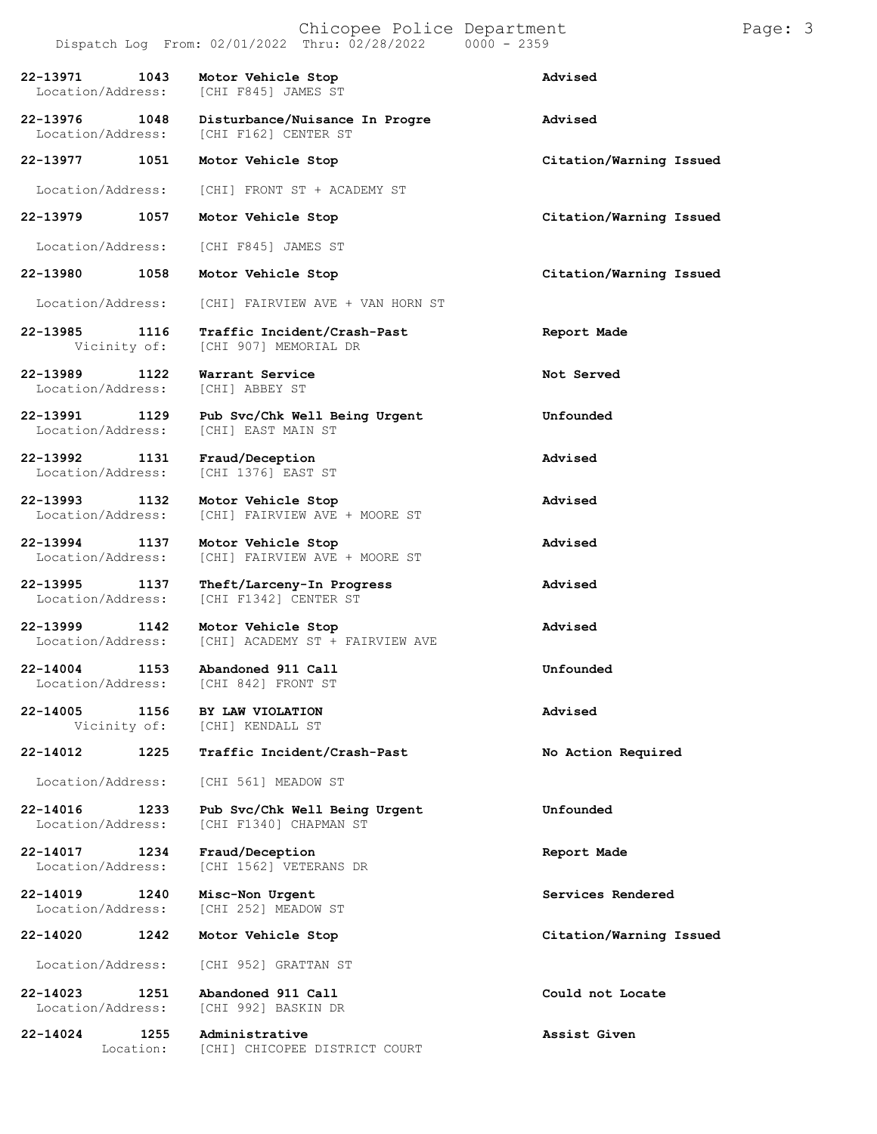# Chicopee Police Department Page: 3

Dispatch Log From:  $02/01/2022$  Thru:  $02/28/2022$ **22-13971 1043 Motor Vehicle Stop Advised** [CHI F845] JAMES ST **22-13976 1048 Disturbance/Nuisance In Progre Advised** [CHI F162] CENTER ST **22-13977 1051 Motor Vehicle Stop Citation/Warning Issued** Location/Address: [CHI] FRONT ST + ACADEMY ST **22-13979 1057 Motor Vehicle Stop Citation/Warning Issued** Location/Address: [CHI F845] JAMES ST **22-13980 1058 Motor Vehicle Stop Citation/Warning Issued** Location/Address: [CHI] FAIRVIEW AVE + VAN HORN ST **22-13985 1116 Traffic Incident/Crash-Past Report Made** [CHI 907] MEMORIAL DR **22-13989 1122 Warrant Service 13989 Not Served Not Served I** Location/Address: **22-13991 1129 Pub Svc/Chk Well Being Urgent Unfounded** [CHI] EAST MAIN ST **22-13992 1131 Fraud/Deception Advised** [CHI 1376] EAST ST **22-13993 1132 Motor Vehicle Stop Advised** Location/Address: [CHI] FAIRVIEW AVE + MOORE ST **22-13994 1137 Motor Vehicle Stop Advised** [CHI] FAIRVIEW AVE + MOORE ST **22-13995 1137 Theft/Larceny-In Progress Advised** Location/Address: [CHI F1342] CENTER ST **22-13999 1142 Motor Vehicle Stop Advised** [CHI] ACADEMY ST + FAIRVIEW AVE **22-14004 1153 Abandoned 911 Call Unfounded** [CHI 842] FRONT ST **22-14005 1156 BY LAW VIOLATION Advised** [CHI] KENDALL ST **22-14012 1225 Traffic Incident/Crash-Past No Action Required** Location/Address: [CHI 561] MEADOW ST **22-14016 1233 Pub Svc/Chk Well Being Urgent Unfounded** [CHI F1340] CHAPMAN ST **22-14017 1234 Fraud/Deception Report Made** [CHI 1562] VETERANS DR **22-14019 1240 Misc-Non Urgent Services Rendered** [CHI 252] MEADOW ST **22-14020 1242 Motor Vehicle Stop Citation/Warning Issued**

Location/Address: [CHI 952] GRATTAN ST

**22-14023 1251 Abandoned 911 Call Could not Locate** [CHI 992] BASKIN DR

**22-14024 1255 Administrative Assist Given** Location: [CHI] CHICOPEE DISTRICT COURT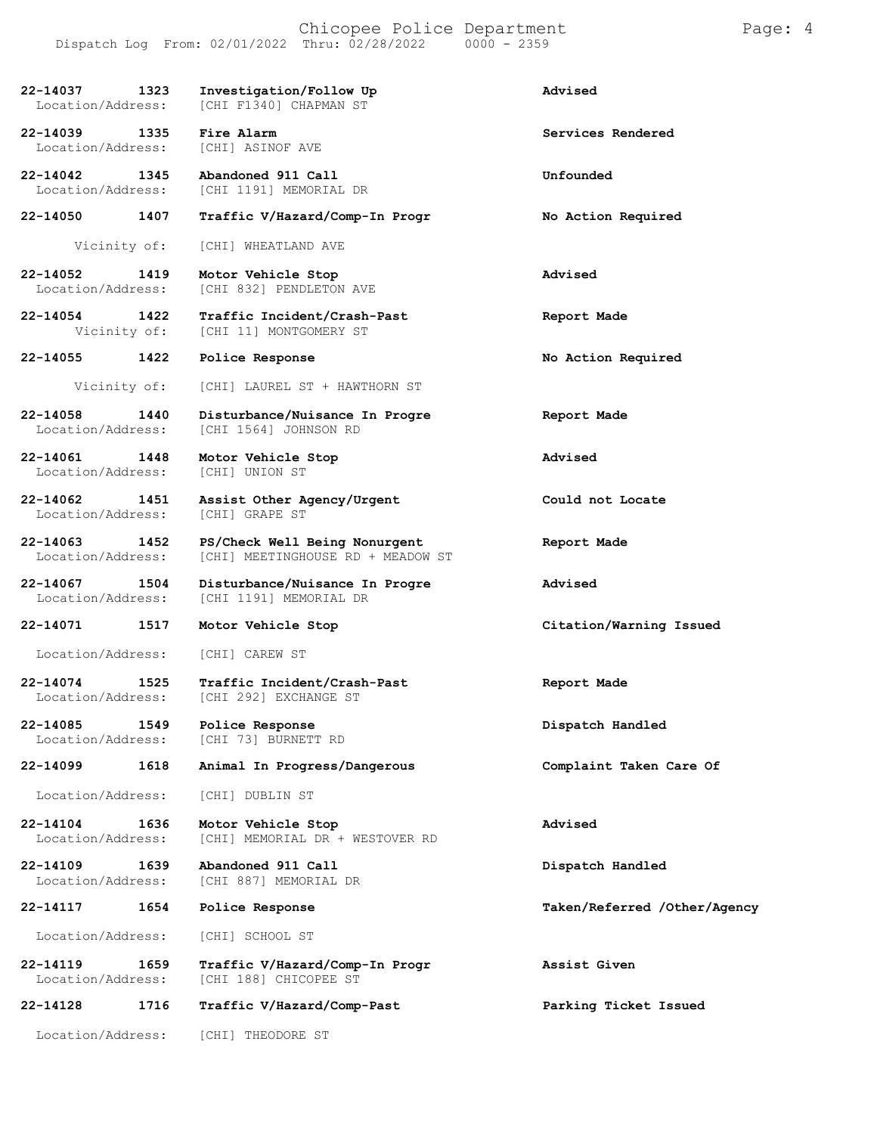| 22-14037<br>1323<br>Location/Address:     | Investigation/Follow Up<br>[CHI F1340] CHAPMAN ST                  | Advised                      |
|-------------------------------------------|--------------------------------------------------------------------|------------------------------|
| 22-14039<br>1335<br>Location/Address:     | Fire Alarm<br>[CHI] ASINOF AVE                                     | Services Rendered            |
| 22-14042<br>1345<br>Location/Address:     | Abandoned 911 Call<br>[CHI 1191] MEMORIAL DR                       | Unfounded                    |
| 22-14050<br>1407                          | Traffic V/Hazard/Comp-In Progr                                     | No Action Required           |
| Vicinity of:                              | [CHI] WHEATLAND AVE                                                |                              |
| 22-14052<br>1419<br>Location/Address:     | Motor Vehicle Stop<br>[CHI 832] PENDLETON AVE                      | Advised                      |
| 22-14054<br>1422<br>Vicinity of:          | Traffic Incident/Crash-Past<br>[CHI 11] MONTGOMERY ST              | Report Made                  |
| 22-14055<br>1422                          | Police Response                                                    | No Action Required           |
| Vicinity of:                              | [CHI] LAUREL ST + HAWTHORN ST                                      |                              |
| 22-14058<br>1440<br>Location/Address:     | Disturbance/Nuisance In Progre<br>[CHI 1564] JOHNSON RD            | Report Made                  |
| 22-14061<br>1448<br>Location/Address:     | Motor Vehicle Stop<br>[CHI] UNION ST                               | Advised                      |
| 22-14062 1451<br>Location/Address:        | Assist Other Agency/Urgent<br>[CHI] GRAPE ST                       | Could not Locate             |
| 22-14063<br>1452<br>Location/Address:     | PS/Check Well Being Nonurgent<br>[CHI] MEETINGHOUSE RD + MEADOW ST | Report Made                  |
| 22-14067<br>1504<br>Location/Address:     | Disturbance/Nuisance In Progre<br>[CHI 1191] MEMORIAL DR           | Advised                      |
| 22-14071<br>1517                          | Motor Vehicle Stop                                                 | Citation/Warning Issued      |
| Location/Address:                         | [CHI] CAREW ST                                                     |                              |
| 22-14074<br>1525<br>Location/Address:     | Traffic Incident/Crash-Past<br>[CHI 292] EXCHANGE ST               | Report Made                  |
| 22-14085<br>1549<br>Location/Address:     | Police Response<br>[CHI 73] BURNETT RD                             | Dispatch Handled             |
| $22 - 14099$<br>1618                      | Animal In Progress/Dangerous                                       | Complaint Taken Care Of      |
| Location/Address:                         | [CHI] DUBLIN ST                                                    |                              |
| 1636<br>22-14104<br>Location/Address:     | Motor Vehicle Stop<br>[CHI] MEMORIAL DR + WESTOVER RD              | Advised                      |
| 22-14109<br>1639<br>Location/Address:     | Abandoned 911 Call<br>[CHI 887] MEMORIAL DR                        | Dispatch Handled             |
| 22-14117<br>1654                          | Police Response                                                    | Taken/Referred /Other/Agency |
| Location/Address:                         | [CHI] SCHOOL ST                                                    |                              |
| $22 - 14119$<br>1659<br>Location/Address: | Traffic V/Hazard/Comp-In Progr<br>[CHI 188] CHICOPEE ST            | Assist Given                 |
| 22-14128<br>1716                          | Traffic V/Hazard/Comp-Past                                         | Parking Ticket Issued        |
| Location/Address:                         | [CHI] THEODORE ST                                                  |                              |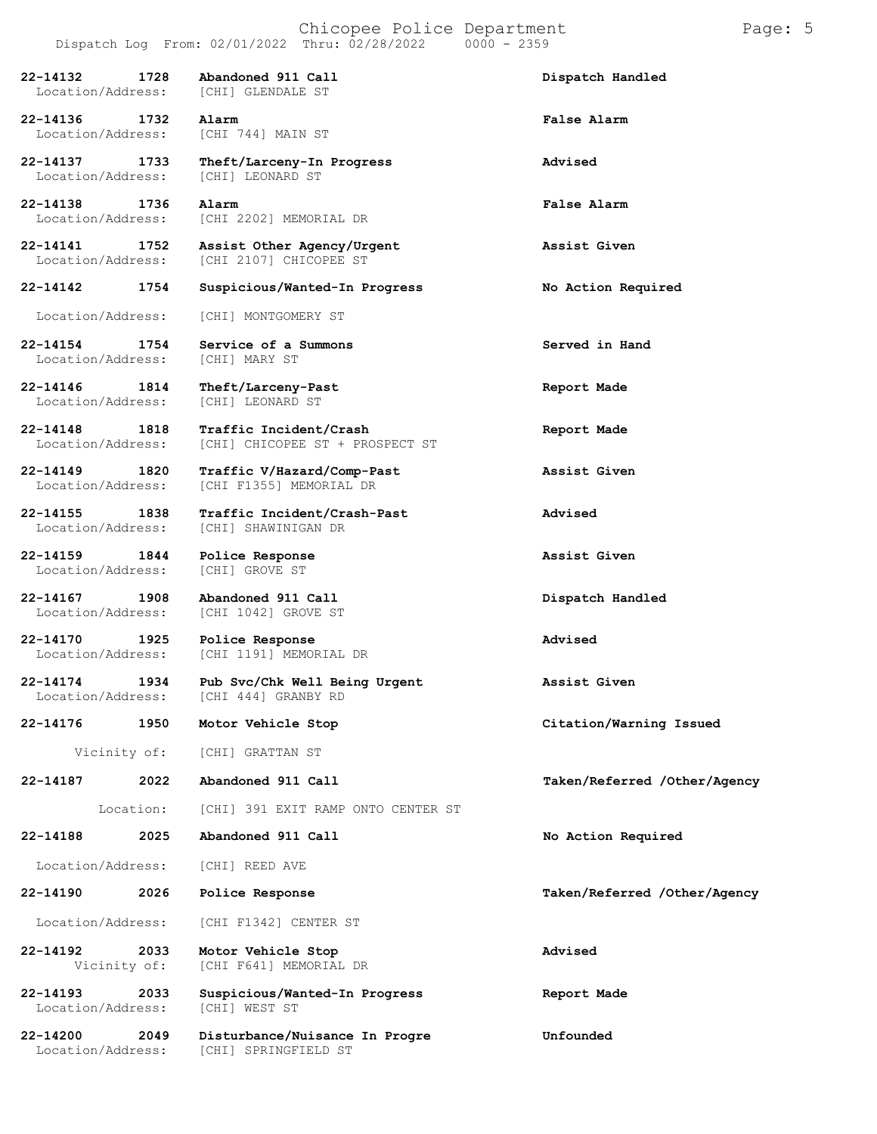**22-14132 1728 Abandoned 911 Call Dispatch Handled** Location/Address: **22-14136 1732 Alarm False Alarm** Location/Address: **22-14137 1733 Theft/Larceny-In Progress Advised** Location/Address: [CHI] LEONARD ST **22-14138 1736 Alarm False Alarm** [CHI 2202] MEMORIAL DR **22-14141 1752 Assist Other Agency/Urgent Assist Given** [CHI 2107] CHICOPEE ST **22-14142 1754 Suspicious/Wanted-In Progress No Action Required** Location/Address: [CHI] MONTGOMERY ST **22-14154 1754 Service of a Summons Served in Hand** Location/Address: **22-14146 1814 Theft/Larceny-Past Report Made** Location/Address: **22-14148 1818 Traffic Incident/Crash Report Made** [CHI] CHICOPEE ST + PROSPECT ST **22-14149 1820 Traffic V/Hazard/Comp-Past Assist Given** [CHI F1355] MEMORIAL DR **22-14155 1838 Traffic Incident/Crash-Past Advised** [CHI] SHAWINIGAN DR **22-14159 1844 Police Response Assist Given** Location/Address: **22-14167 1908 Abandoned 911 Call Dispatch Handled** [CHI 1042] GROVE ST **22-14170 1925 Police Response Advised** [CHI 1191] MEMORIAL DR **22-14174 1934 Pub Svc/Chk Well Being Urgent Assist Given** [CHI 444] GRANBY RD **22-14176 1950 Motor Vehicle Stop Citation/Warning Issued** Vicinity of: [CHI] GRATTAN ST **22-14187 2022** Location: **Abandoned 911 Call** [CHI] 391 EXIT RAMP ONTO CENTER ST **Taken/Referred /Other/Agency 22-14188 2025 Abandoned 911 Call No Action Required** Location/Address: [CHI] REED AVE **22-14190 2026 Police Response Taken/Referred /Other/Agency** Location/Address: [CHI F1342] CENTER ST **22-14192 2033 Motor Vehicle Stop Advised** [CHI F641] MEMORIAL DR **22-14193 2033 Suspicious/Wanted-In Progress Report Made** Location/Address: **22-14200 2049 Disturbance/Nuisance In Progre Unfounded** [CHI] SPRINGFIELD ST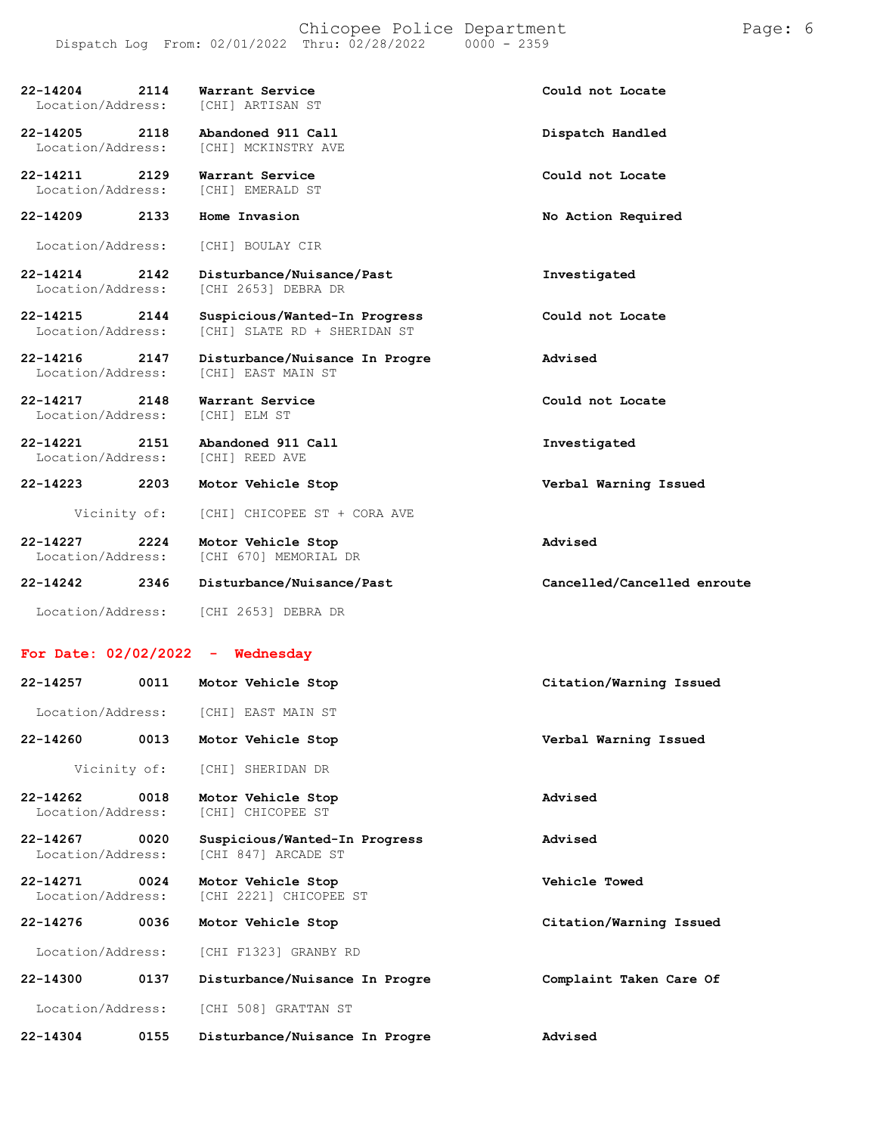| 2114<br>22-14204<br>Location/Address: | Warrant Service<br>[CHI] ARTISAN ST                           | Could not Locate            |
|---------------------------------------|---------------------------------------------------------------|-----------------------------|
| 22-14205<br>2118<br>Location/Address: | Abandoned 911 Call<br>[CHI] MCKINSTRY AVE                     | Dispatch Handled            |
| 22-14211<br>2129<br>Location/Address: | Warrant Service<br>[CHI] EMERALD ST                           | Could not Locate            |
| 22-14209<br>2133                      | Home Invasion                                                 | No Action Required          |
| Location/Address:                     | [CHI] BOULAY CIR                                              |                             |
| 22-14214<br>2142<br>Location/Address: | Disturbance/Nuisance/Past<br>[CHI 2653] DEBRA DR              | Investigated                |
| 22-14215<br>2144<br>Location/Address: | Suspicious/Wanted-In Progress<br>[CHI] SLATE RD + SHERIDAN ST | Could not Locate            |
| 22-14216<br>2147<br>Location/Address: | Disturbance/Nuisance In Progre<br>[CHI] EAST MAIN ST          | Advised                     |
| 22-14217<br>2148<br>Location/Address: | Warrant Service<br>[CHI] ELM ST                               | Could not Locate            |
| 22-14221<br>2151<br>Location/Address: | Abandoned 911 Call<br>[CHI] REED AVE                          | Investigated                |
| 22-14223<br>2203                      | Motor Vehicle Stop                                            | Verbal Warning Issued       |
| Vicinity of:                          | [CHI] CHICOPEE ST + CORA AVE                                  |                             |
| 22-14227<br>2224<br>Location/Address: | Motor Vehicle Stop<br>[CHI 670] MEMORIAL DR                   | Advised                     |
| 22-14242<br>2346                      | Disturbance/Nuisance/Past                                     | Cancelled/Cancelled enroute |
| Location/Address:                     | [CHI 2653] DEBRA DR                                           |                             |
| For Date: $02/02/2022 -$ Wednesday    |                                                               |                             |
| 22-14257<br>0011                      | Motor Vehicle Stop                                            | Citation/Warning Issued     |
| Location/Address:                     | [CHI] EAST MAIN ST                                            |                             |
| 22-14260<br>0013                      | Motor Vehicle Stop                                            | Verbal Warning Issued       |
| Vicinity of:                          | [CHI] SHERIDAN DR                                             |                             |
| 22-14262<br>0018<br>Location/Address: | Motor Vehicle Stop<br>[CHI] CHICOPEE ST                       | Advised                     |
| 22-14267<br>0020<br>Location/Address: | Suspicious/Wanted-In Progress<br>[CHI 847] ARCADE ST          | Advised                     |
| 22-14271<br>0024<br>Location/Address: | Motor Vehicle Stop<br>[CHI 2221] CHICOPEE ST                  | Vehicle Towed               |
| 22-14276<br>0036                      | Motor Vehicle Stop                                            | Citation/Warning Issued     |
| Location/Address:                     | [CHI F1323] GRANBY RD                                         |                             |
| 22-14300<br>0137                      | Disturbance/Nuisance In Progre                                | Complaint Taken Care Of     |

Location/Address: [CHI 508] GRATTAN ST

**22-14304 0155 Disturbance/Nuisance In Progre Advised**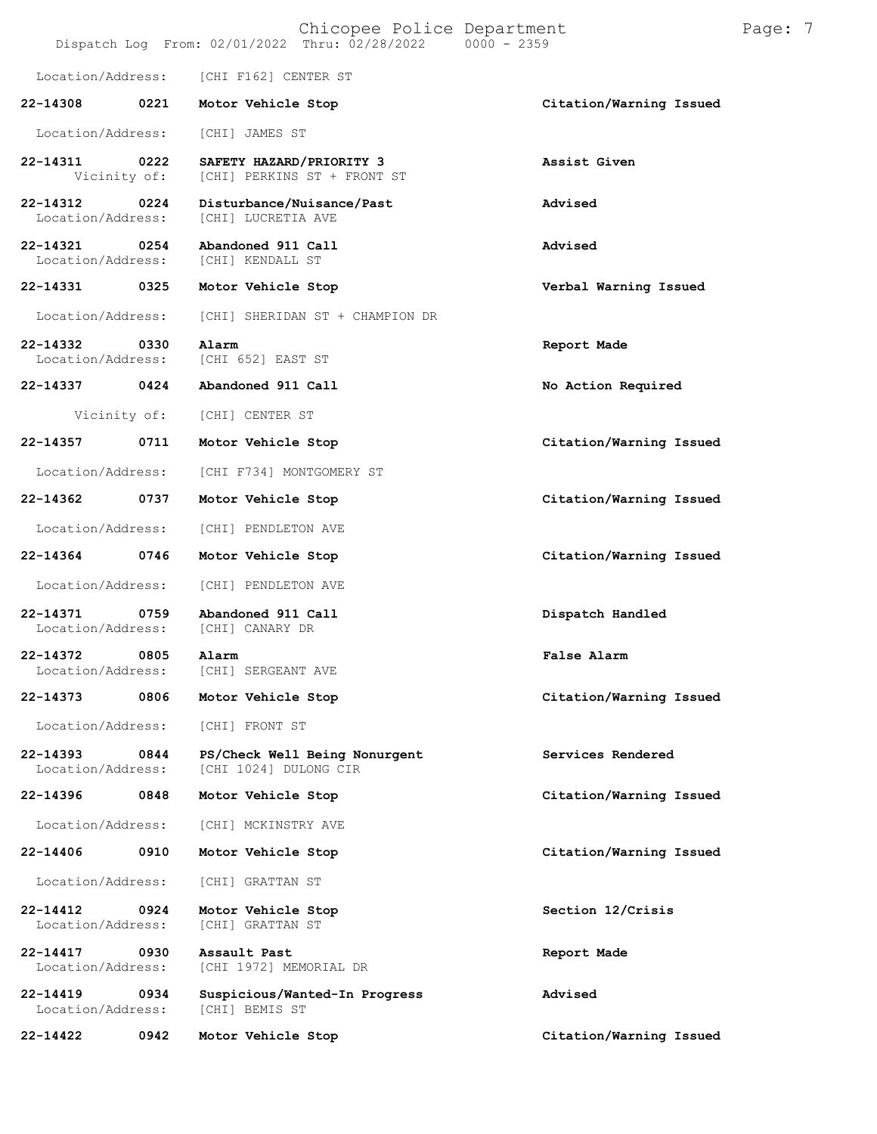|                               |      |                                        | Chicopee Police Department<br>Dispatch Log From: 02/01/2022 Thru: 02/28/2022 | $0000 - 2359$ |                         | Page: 7 |  |
|-------------------------------|------|----------------------------------------|------------------------------------------------------------------------------|---------------|-------------------------|---------|--|
| Location/Address:             |      | [CHI F162] CENTER ST                   |                                                                              |               |                         |         |  |
| 22-14308                      | 0221 | Motor Vehicle Stop                     |                                                                              |               | Citation/Warning Issued |         |  |
| Location/Address:             |      | [CHI] JAMES ST                         |                                                                              |               |                         |         |  |
| 22-14311<br>Vicinity of:      | 0222 | SAFETY HAZARD/PRIORITY 3               | [CHI] PERKINS ST + FRONT ST                                                  |               | Assist Given            |         |  |
| 22-14312<br>Location/Address: | 0224 | [CHI] LUCRETIA AVE                     | Disturbance/Nuisance/Past                                                    |               | Advised                 |         |  |
| 22-14321<br>Location/Address: | 0254 | Abandoned 911 Call<br>[CHI] KENDALL ST |                                                                              |               | Advised                 |         |  |
| 22-14331                      | 0325 | Motor Vehicle Stop                     |                                                                              |               | Verbal Warning Issued   |         |  |
| Location/Address:             |      |                                        | [CHI] SHERIDAN ST + CHAMPION DR                                              |               |                         |         |  |
| 22-14332<br>Location/Address: | 0330 | Alarm<br>[CHI 652] EAST ST             |                                                                              |               | Report Made             |         |  |
| 22-14337                      | 0424 | Abandoned 911 Call                     |                                                                              |               | No Action Required      |         |  |
| Vicinity of:                  |      | [CHI] CENTER ST                        |                                                                              |               |                         |         |  |
| 22-14357                      | 0711 | Motor Vehicle Stop                     |                                                                              |               | Citation/Warning Issued |         |  |
| Location/Address:             |      | [CHI F734] MONTGOMERY ST               |                                                                              |               |                         |         |  |
| 22-14362                      | 0737 | Motor Vehicle Stop                     |                                                                              |               | Citation/Warning Issued |         |  |
| Location/Address:             |      | [CHI] PENDLETON AVE                    |                                                                              |               |                         |         |  |
| 22-14364                      | 0746 | Motor Vehicle Stop                     |                                                                              |               | Citation/Warning Issued |         |  |
| Location/Address:             |      | [CHI] PENDLETON AVE                    |                                                                              |               |                         |         |  |
| 22-14371<br>Location/Address: | 0759 | Abandoned 911 Call<br>[CHI] CANARY DR  |                                                                              |               | Dispatch Handled        |         |  |
| 22-14372<br>Location/Address: | 0805 | Alarm<br>[CHI] SERGEANT AVE            |                                                                              |               | <b>False Alarm</b>      |         |  |
| 22-14373                      | 0806 | Motor Vehicle Stop                     |                                                                              |               | Citation/Warning Issued |         |  |
| Location/Address:             |      | [CHI] FRONT ST                         |                                                                              |               |                         |         |  |
| 22-14393<br>Location/Address: | 0844 | [CHI 1024] DULONG CIR                  | PS/Check Well Being Nonurgent                                                |               | Services Rendered       |         |  |
| 22-14396                      | 0848 | Motor Vehicle Stop                     |                                                                              |               | Citation/Warning Issued |         |  |
| Location/Address:             |      | [CHI] MCKINSTRY AVE                    |                                                                              |               |                         |         |  |
| 22-14406                      | 0910 | Motor Vehicle Stop                     |                                                                              |               | Citation/Warning Issued |         |  |
| Location/Address:             |      | [CHI] GRATTAN ST                       |                                                                              |               |                         |         |  |
| 22-14412<br>Location/Address: | 0924 | Motor Vehicle Stop<br>[CHI] GRATTAN ST |                                                                              |               | Section 12/Crisis       |         |  |
| 22-14417<br>Location/Address: | 0930 | Assault Past<br>[CHI 1972] MEMORIAL DR |                                                                              |               | Report Made             |         |  |
| 22-14419<br>Location/Address: | 0934 | [CHI] BEMIS ST                         | Suspicious/Wanted-In Progress                                                |               | Advised                 |         |  |
| 22-14422                      | 0942 | Motor Vehicle Stop                     |                                                                              |               | Citation/Warning Issued |         |  |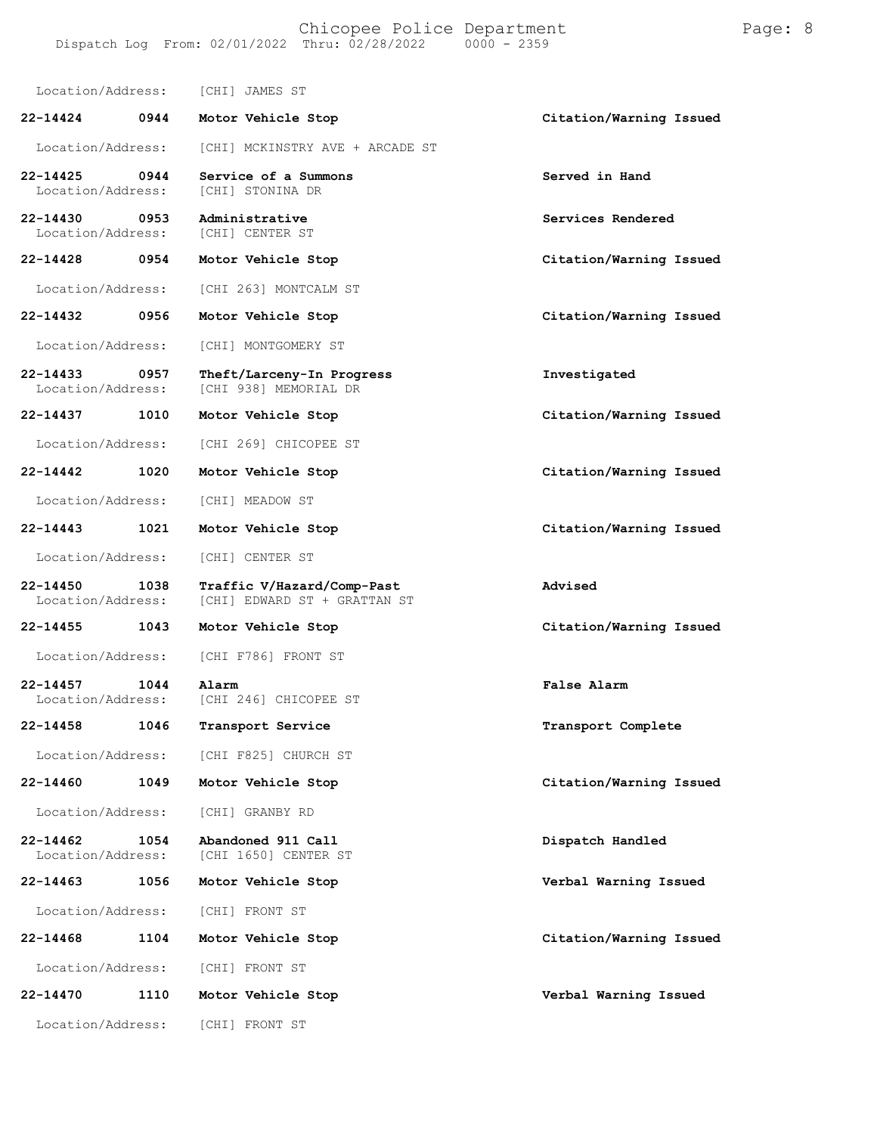Location/Address: [CHI] JAMES ST **22-14424 0944 Motor Vehicle Stop Citation/Warning Issued** Location/Address: [CHI] MCKINSTRY AVE + ARCADE ST **22-14425 0944 Service of a Summons Served in Hand** Location/Address: **22-14430 0953 Administrative Services Rendered** [CHI] CENTER ST **22-14428 0954 Motor Vehicle Stop Citation/Warning Issued** Location/Address: [CHI 263] MONTCALM ST **22-14432 0956 Motor Vehicle Stop Citation/Warning Issued** Location/Address: [CHI] MONTGOMERY ST **22-14433 0957 Theft/Larceny-In Progress Investigated** [CHI 938] MEMORIAL DR **22-14437 1010 Motor Vehicle Stop Citation/Warning Issued** Location/Address: [CHI 269] CHICOPEE ST **22-14442 1020 Motor Vehicle Stop Citation/Warning Issued** Location/Address: [CHI] MEADOW ST **22-14443 1021 Motor Vehicle Stop Citation/Warning Issued** Location/Address: [CHI] CENTER ST **22-14450 1038 Traffic V/Hazard/Comp-Past Advised** [CHI] EDWARD ST + GRATTAN ST **22-14455 1043 Motor Vehicle Stop Citation/Warning Issued** Location/Address: [CHI F786] FRONT ST **22-14457 1044 Alarm False Alarm** Location/Address: [CHI 246] CHICOPEE ST **22-14458 1046 Transport Service Transport Complete** Location/Address: [CHI F825] CHURCH ST **22-14460 1049 Motor Vehicle Stop Citation/Warning Issued** Location/Address: [CHI] GRANBY RD **22-14462 1054 Abandoned 911 Call Dispatch Handled** [CHI 1650] CENTER ST **22-14463 1056 Motor Vehicle Stop Verbal Warning Issued** Location/Address: [CHI] FRONT ST **22-14468 1104 Motor Vehicle Stop Citation/Warning Issued** Location/Address: [CHI] FRONT ST **22-14470 1110 Motor Vehicle Stop Verbal Warning Issued** Location/Address: [CHI] FRONT ST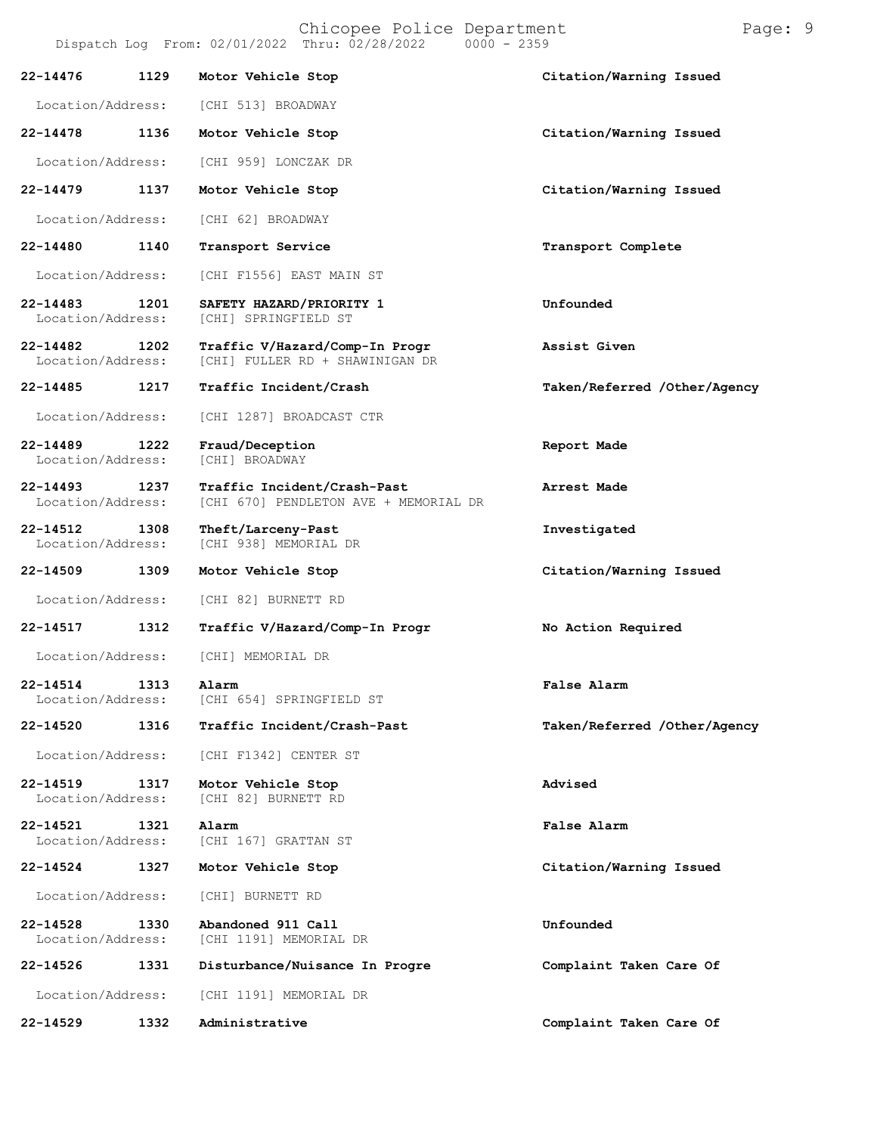| Location/Address: | [CHI 513] BROADWAY |  |
|-------------------|--------------------|--|
|                   |                    |  |

**22-14478 1136 Motor Vehicle Stop Citation/Warning Issued**

Location/Address: [CHI 959] LONCZAK DR

**22-14479 1137 Motor Vehicle Stop Citation/Warning Issued**

Location/Address: [CHI 62] BROADWAY

**22-14480 1140 Transport Service Transport Complete**

Location/Address: [CHI F1556] EAST MAIN ST

**22-14483 1201 SAFETY HAZARD/PRIORITY 1 Unfounded** Location/Address:

**22-14482 1202 Traffic V/Hazard/Comp-In Progr Assist Given** [CHI] FULLER RD + SHAWINIGAN DR

**22-14485 1217 Traffic Incident/Crash Taken/Referred /Other/Agency**

Location/Address: [CHI 1287] BROADCAST CTR

**22-14489 1222 Fraud/Deception Report Made** Location/Address: [CHI] BROADWAY

**22-14493 1237 Traffic Incident/Crash-Past Arrest Made** [CHI 670] PENDLETON AVE + MEMORIAL DR

**22-14512 1308 Theft/Larceny-Past Investigated** [CHI 938] MEMORIAL DR

**22-14509 1309 Motor Vehicle Stop Citation/Warning Issued**

Location/Address: [CHI 82] BURNETT RD

**22-14517 1312 Traffic V/Hazard/Comp-In Progr No Action Required**

Location/Address: [CHI] MEMORIAL DR

**22-14514 1313 Alarm False Alarm** Location/Address: [CHI 654] SPRINGFIELD ST

**22-14520 1316 Traffic Incident/Crash-Past Taken/Referred /Other/Agency**

Location/Address: [CHI F1342] CENTER ST

[CHI 82] BURNETT RD

**22-14519 1317 Motor Vehicle Stop Advised**

**22-14521 1321 Alarm False Alarm** Location/Address: [CHI 167] GRATTAN ST

**22-14524 1327 Motor Vehicle Stop Citation/Warning Issued**

Location/Address: [CHI] BURNETT RD

**22-14528 1330 Abandoned 911 Call Unfounded** [CHI 1191] MEMORIAL DR

**22-14526 1331 Disturbance/Nuisance In Progre Complaint Taken Care Of** Location/Address: [CHI 1191] MEMORIAL DR

**22-14529 1332 Administrative Complaint Taken Care Of**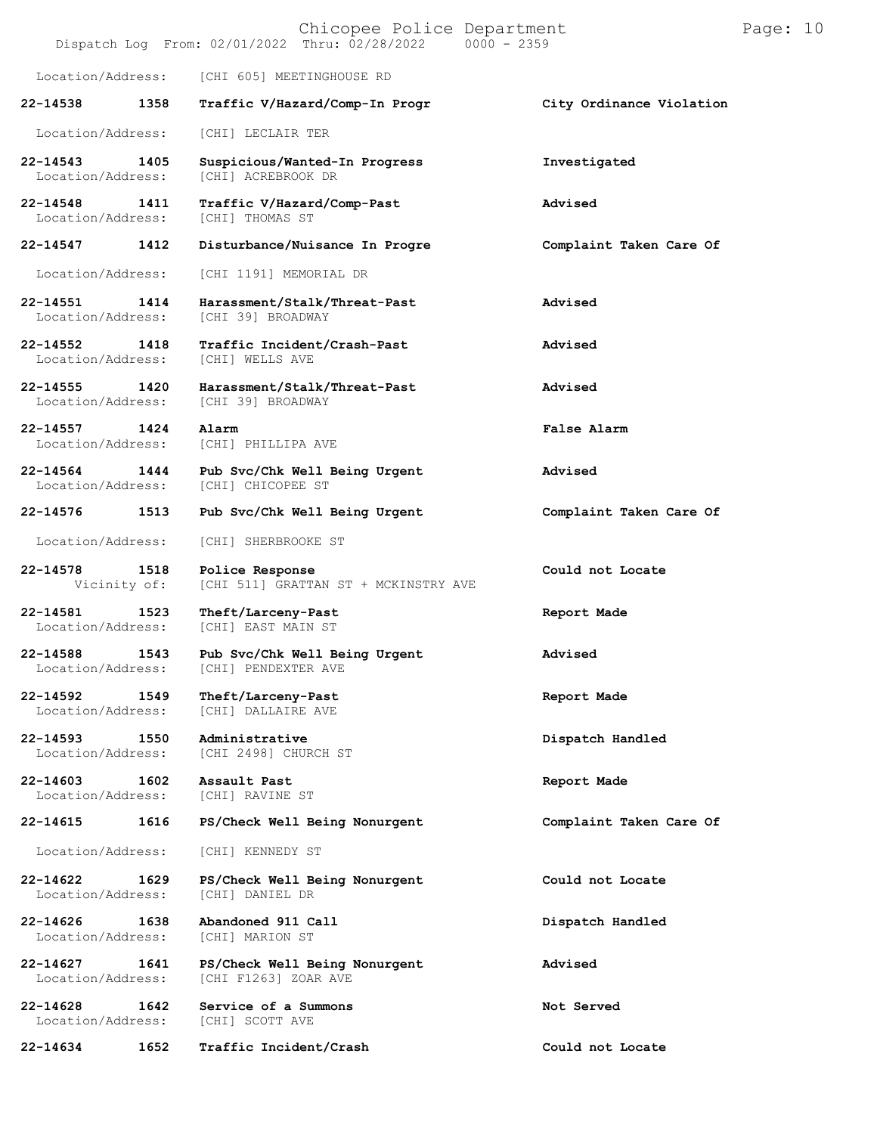| Chicopee Police Department<br>Dispatch Log From: 02/01/2022 Thru: 02/28/2022 0000 - 2359 |      |                                                         |                          | Page: 10 |  |
|------------------------------------------------------------------------------------------|------|---------------------------------------------------------|--------------------------|----------|--|
| Location/Address:                                                                        |      | [CHI 605] MEETINGHOUSE RD                               |                          |          |  |
| 22-14538                                                                                 | 1358 | Traffic V/Hazard/Comp-In Progr                          | City Ordinance Violation |          |  |
| Location/Address:                                                                        |      | [CHI] LECLAIR TER                                       |                          |          |  |
| 22-14543<br>Location/Address:                                                            | 1405 | Suspicious/Wanted-In Progress<br>[CHI] ACREBROOK DR     | Investigated             |          |  |
| $22 - 14548$<br>Location/Address:                                                        | 1411 | Traffic V/Hazard/Comp-Past<br>[CHI] THOMAS ST           | Advised                  |          |  |
| 22-14547                                                                                 | 1412 | Disturbance/Nuisance In Progre                          | Complaint Taken Care Of  |          |  |
| Location/Address:                                                                        |      | [CHI 1191] MEMORIAL DR                                  |                          |          |  |
| 22-14551<br>Location/Address:                                                            | 1414 | Harassment/Stalk/Threat-Past<br>[CHI 39] BROADWAY       | Advised                  |          |  |
| 22-14552<br>Location/Address:                                                            | 1418 | Traffic Incident/Crash-Past<br>[CHI] WELLS AVE          | Advised                  |          |  |
| $22 - 14555$<br>Location/Address:                                                        | 1420 | Harassment/Stalk/Threat-Past<br>[CHI 39] BROADWAY       | Advised                  |          |  |
| 22-14557<br>Location/Address:                                                            | 1424 | Alarm<br>[CHI] PHILLIPA AVE                             | False Alarm              |          |  |
| 22-14564<br>Location/Address:                                                            | 1444 | Pub Svc/Chk Well Being Urgent<br>[CHI] CHICOPEE ST      | Advised                  |          |  |
| 22-14576                                                                                 | 1513 | Pub Svc/Chk Well Being Urgent                           | Complaint Taken Care Of  |          |  |
| Location/Address:                                                                        |      | [CHI] SHERBROOKE ST                                     |                          |          |  |
| 22-14578<br>Vicinity of:                                                                 | 1518 | Police Response<br>[CHI 511] GRATTAN ST + MCKINSTRY AVE | Could not Locate         |          |  |
| 22-14581<br>Location/Address:                                                            | 1523 | Theft/Larceny-Past<br>[CHI] EAST MAIN ST                | Report Made              |          |  |
| 22-14588<br>Location/Address:                                                            | 1543 | Pub Svc/Chk Well Being Urgent<br>[CHI] PENDEXTER AVE    | Advised                  |          |  |
| 22-14592<br>Location/Address:                                                            | 1549 | Theft/Larceny-Past<br>[CHI] DALLAIRE AVE                | Report Made              |          |  |
| 22-14593<br>Location/Address:                                                            | 1550 | Administrative<br>[CHI 2498] CHURCH ST                  | Dispatch Handled         |          |  |
| $22 - 14603$<br>Location/Address:                                                        | 1602 | Assault Past<br>[CHI] RAVINE ST                         | Report Made              |          |  |
| 22-14615                                                                                 | 1616 | PS/Check Well Being Nonurgent                           | Complaint Taken Care Of  |          |  |
| Location/Address:                                                                        |      | [CHI] KENNEDY ST                                        |                          |          |  |
| 22-14622<br>Location/Address:                                                            | 1629 | PS/Check Well Being Nonurgent<br>[CHI] DANIEL DR        | Could not Locate         |          |  |
| 22-14626<br>Location/Address:                                                            | 1638 | Abandoned 911 Call<br>[CHI] MARION ST                   | Dispatch Handled         |          |  |
| 22-14627<br>Location/Address:                                                            | 1641 | PS/Check Well Being Nonurgent<br>[CHI F1263] ZOAR AVE   | Advised                  |          |  |
| $22 - 14628$<br>Location/Address:                                                        | 1642 | Service of a Summons<br>[CHI] SCOTT AVE                 | Not Served               |          |  |
| 22-14634                                                                                 | 1652 | Traffic Incident/Crash                                  | Could not Locate         |          |  |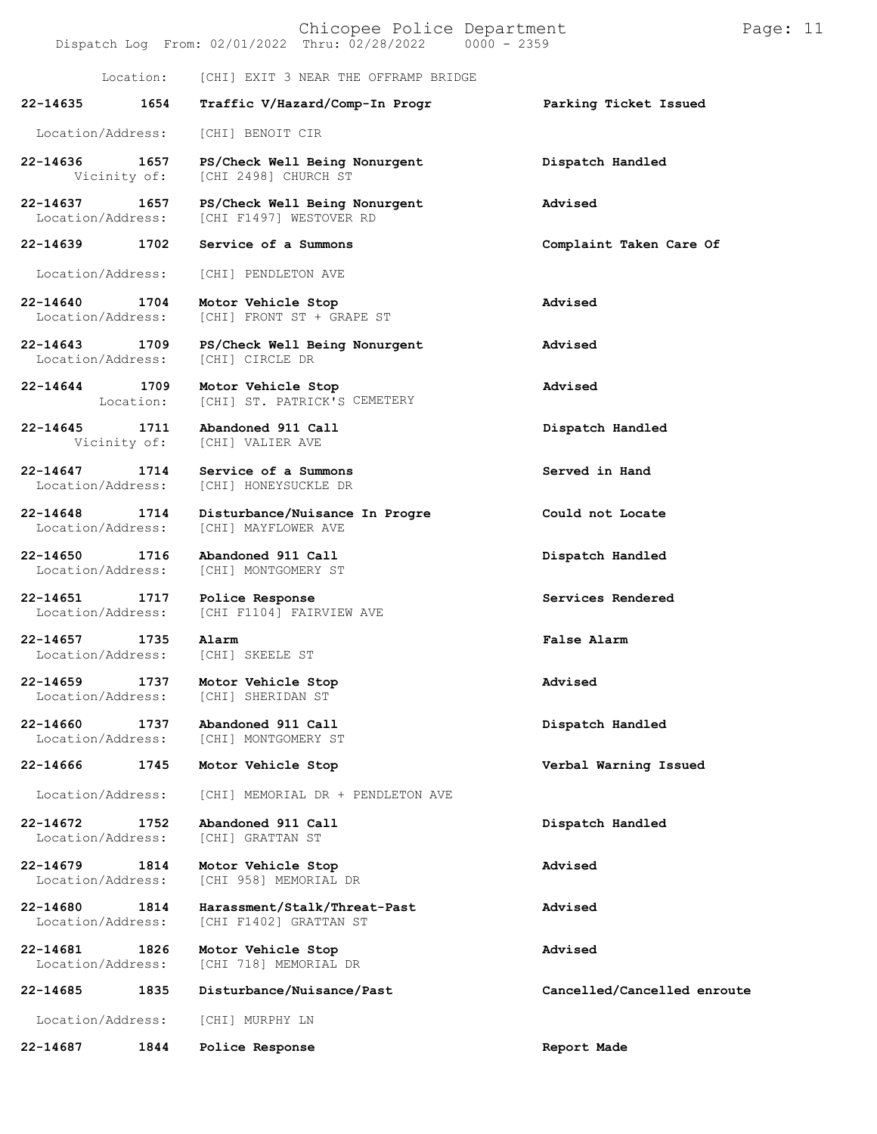| Chicopee Police Department<br>Dispatch Log From: 02/01/2022 Thru: 02/28/2022 0000 - 2359 |                   |                                                          |                             | Page: 11 |  |
|------------------------------------------------------------------------------------------|-------------------|----------------------------------------------------------|-----------------------------|----------|--|
|                                                                                          | Location:         | [CHI] EXIT 3 NEAR THE OFFRAMP BRIDGE                     |                             |          |  |
| 22-14635                                                                                 | 1654              | Traffic V/Hazard/Comp-In Progr                           | Parking Ticket Issued       |          |  |
| Location/Address:                                                                        |                   | [CHI] BENOIT CIR                                         |                             |          |  |
| 22-14636<br>Vicinity of:                                                                 | 1657              | PS/Check Well Being Nonurgent<br>[CHI 2498] CHURCH ST    | Dispatch Handled            |          |  |
| 22-14637<br>Location/Address:                                                            | 1657              | PS/Check Well Being Nonurgent<br>[CHI F1497] WESTOVER RD | Advised                     |          |  |
| 22-14639                                                                                 | 1702              | Service of a Summons                                     | Complaint Taken Care Of     |          |  |
| Location/Address:                                                                        |                   | [CHI] PENDLETON AVE                                      |                             |          |  |
| 22-14640<br>Location/Address:                                                            | 1704              | Motor Vehicle Stop<br>[CHI] FRONT ST + GRAPE ST          | Advised                     |          |  |
| 22-14643<br>Location/Address:                                                            | 1709              | PS/Check Well Being Nonurgent<br>[CHI] CIRCLE DR         | Advised                     |          |  |
| $22 - 14644$                                                                             | 1709<br>Location: | Motor Vehicle Stop<br>[CHI] ST. PATRICK'S CEMETERY       | Advised                     |          |  |
| 22-14645<br>Vicinity of:                                                                 | 1711              | Abandoned 911 Call<br>[CHI] VALIER AVE                   | Dispatch Handled            |          |  |
| $22 - 14647$<br>Location/Address:                                                        | 1714              | Service of a Summons<br>[CHI] HONEYSUCKLE DR             | Served in Hand              |          |  |
| 22-14648<br>Location/Address:                                                            | 1714              | Disturbance/Nuisance In Progre<br>[CHI] MAYFLOWER AVE    | Could not Locate            |          |  |
| 22-14650<br>Location/Address:                                                            | 1716              | Abandoned 911 Call<br>[CHI] MONTGOMERY ST                | Dispatch Handled            |          |  |
| 22-14651<br>Location/Address:                                                            | 1717              | Police Response<br>[CHI F1104] FAIRVIEW AVE              | Services Rendered           |          |  |
| 22-14657<br>Location/Address:                                                            | 1735              | Alarm<br>[CHI] SKEELE ST                                 | False Alarm                 |          |  |
| 22-14659<br>Location/Address:                                                            | 1737              | Motor Vehicle Stop<br>[CHI] SHERIDAN ST                  | Advised                     |          |  |
| 22-14660<br>Location/Address:                                                            | 1737              | Abandoned 911 Call<br>[CHI] MONTGOMERY ST                | Dispatch Handled            |          |  |
| 22-14666                                                                                 | 1745              | Motor Vehicle Stop                                       | Verbal Warning Issued       |          |  |
| Location/Address:                                                                        |                   | [CHI] MEMORIAL DR + PENDLETON AVE                        |                             |          |  |
| $22 - 14672$<br>Location/Address:                                                        | 1752              | Abandoned 911 Call<br>[CHI] GRATTAN ST                   | Dispatch Handled            |          |  |
| 22-14679<br>Location/Address:                                                            | 1814              | Motor Vehicle Stop<br>[CHI 958] MEMORIAL DR              | Advised                     |          |  |
| 22-14680<br>Location/Address:                                                            | 1814              | Harassment/Stalk/Threat-Past<br>[CHI F1402] GRATTAN ST   | Advised                     |          |  |
| 22-14681<br>Location/Address:                                                            | 1826              | Motor Vehicle Stop<br>[CHI 718] MEMORIAL DR              | Advised                     |          |  |
| 22-14685                                                                                 | 1835              | Disturbance/Nuisance/Past                                | Cancelled/Cancelled enroute |          |  |
| Location/Address:                                                                        |                   | [CHI] MURPHY LN                                          |                             |          |  |
| 22-14687                                                                                 | 1844              | Police Response                                          | Report Made                 |          |  |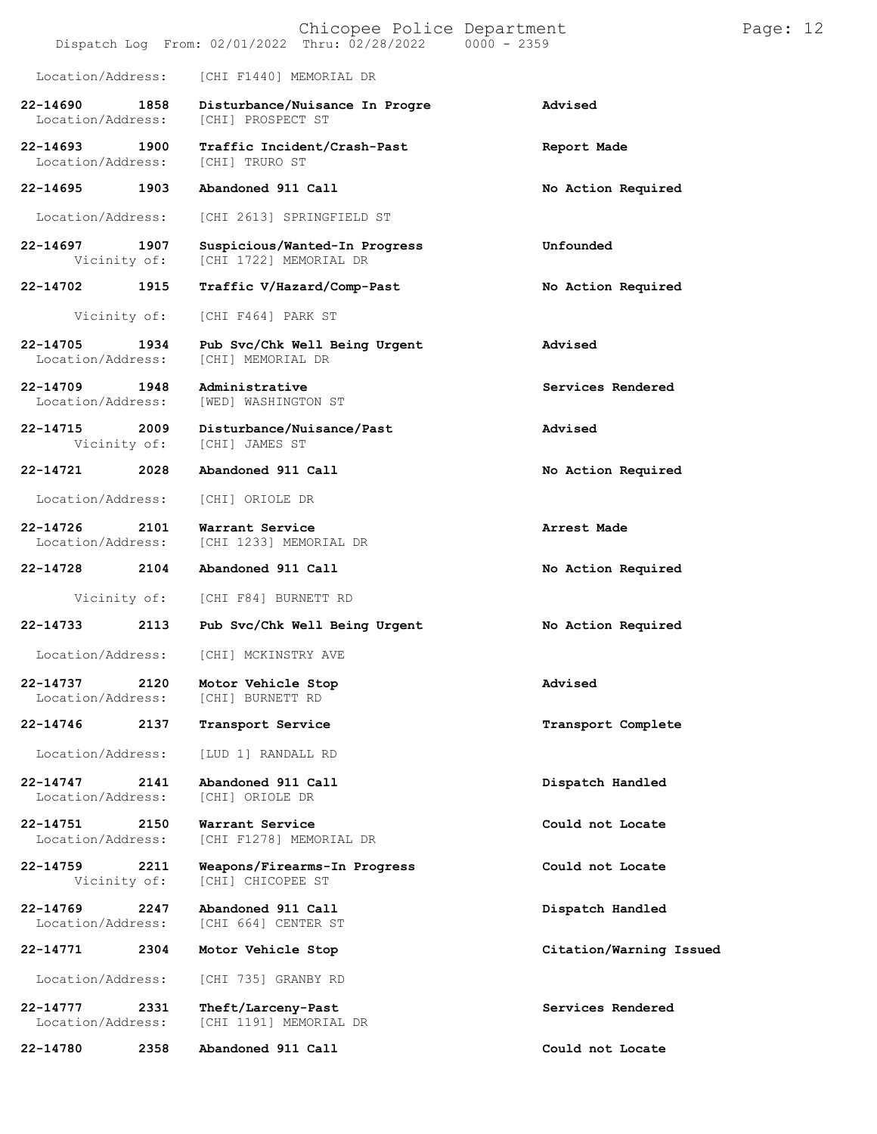| Chicopee Police Department<br>Dispatch Log From: 02/01/2022 Thru: 02/28/2022 0000 - 2359 |      |                                                         |                         | Page: $12$ |  |
|------------------------------------------------------------------------------------------|------|---------------------------------------------------------|-------------------------|------------|--|
| Location/Address:                                                                        |      | [CHI F1440] MEMORIAL DR                                 |                         |            |  |
| 22-14690<br>Location/Address:                                                            | 1858 | Disturbance/Nuisance In Progre<br>[CHI] PROSPECT ST     | Advised                 |            |  |
| 22-14693<br>Location/Address:                                                            | 1900 | Traffic Incident/Crash-Past<br>[CHI] TRURO ST           | Report Made             |            |  |
| 22-14695                                                                                 | 1903 | Abandoned 911 Call                                      | No Action Required      |            |  |
| Location/Address:                                                                        |      | [CHI 2613] SPRINGFIELD ST                               |                         |            |  |
| 22-14697<br>Vicinity of:                                                                 | 1907 | Suspicious/Wanted-In Progress<br>[CHI 1722] MEMORIAL DR | Unfounded               |            |  |
| 22-14702                                                                                 | 1915 | Traffic V/Hazard/Comp-Past                              | No Action Required      |            |  |
| Vicinity of:                                                                             |      | [CHI F464] PARK ST                                      |                         |            |  |
| 22-14705<br>Location/Address:                                                            | 1934 | Pub Svc/Chk Well Being Urgent<br>[CHI] MEMORIAL DR      | Advised                 |            |  |
| 22-14709<br>Location/Address:                                                            | 1948 | Administrative<br>[WED] WASHINGTON ST                   | Services Rendered       |            |  |
| 22-14715<br>Vicinity of:                                                                 | 2009 | Disturbance/Nuisance/Past<br>[CHI] JAMES ST             | Advised                 |            |  |
| 22-14721                                                                                 | 2028 | Abandoned 911 Call                                      | No Action Required      |            |  |
| Location/Address:                                                                        |      | [CHI] ORIOLE DR                                         |                         |            |  |
| 22-14726<br>Location/Address:                                                            | 2101 | Warrant Service<br>[CHI 1233] MEMORIAL DR               | Arrest Made             |            |  |
| 22-14728                                                                                 | 2104 | Abandoned 911 Call                                      | No Action Required      |            |  |
| Vicinity of:                                                                             |      | [CHI F84] BURNETT RD                                    |                         |            |  |
| 22-14733                                                                                 | 2113 | Pub Svc/Chk Well Being Urgent                           | No Action Required      |            |  |
| Location/Address:                                                                        |      | [CHI] MCKINSTRY AVE                                     |                         |            |  |
| 22-14737<br>Location/Address:                                                            | 2120 | Motor Vehicle Stop<br>[CHI] BURNETT RD                  | Advised                 |            |  |
| 22-14746                                                                                 | 2137 | Transport Service                                       | Transport Complete      |            |  |
| Location/Address:                                                                        |      | [LUD 1] RANDALL RD                                      |                         |            |  |
| $22 - 14747$<br>Location/Address:                                                        | 2141 | Abandoned 911 Call<br>[CHI] ORIOLE DR                   | Dispatch Handled        |            |  |
| 22-14751<br>Location/Address:                                                            | 2150 | Warrant Service<br>[CHI F1278] MEMORIAL DR              | Could not Locate        |            |  |
| 22-14759<br>Vicinity of:                                                                 | 2211 | Weapons/Firearms-In Progress<br>[CHI] CHICOPEE ST       | Could not Locate        |            |  |
| $22 - 14769$<br>Location/Address:                                                        | 2247 | Abandoned 911 Call<br>[CHI 664] CENTER ST               | Dispatch Handled        |            |  |
| 22-14771                                                                                 | 2304 | Motor Vehicle Stop                                      | Citation/Warning Issued |            |  |
| Location/Address:                                                                        |      | [CHI 735] GRANBY RD                                     |                         |            |  |
| 22-14777<br>Location/Address:                                                            | 2331 | Theft/Larceny-Past<br>[CHI 1191] MEMORIAL DR            | Services Rendered       |            |  |
| 22-14780                                                                                 | 2358 | Abandoned 911 Call                                      | Could not Locate        |            |  |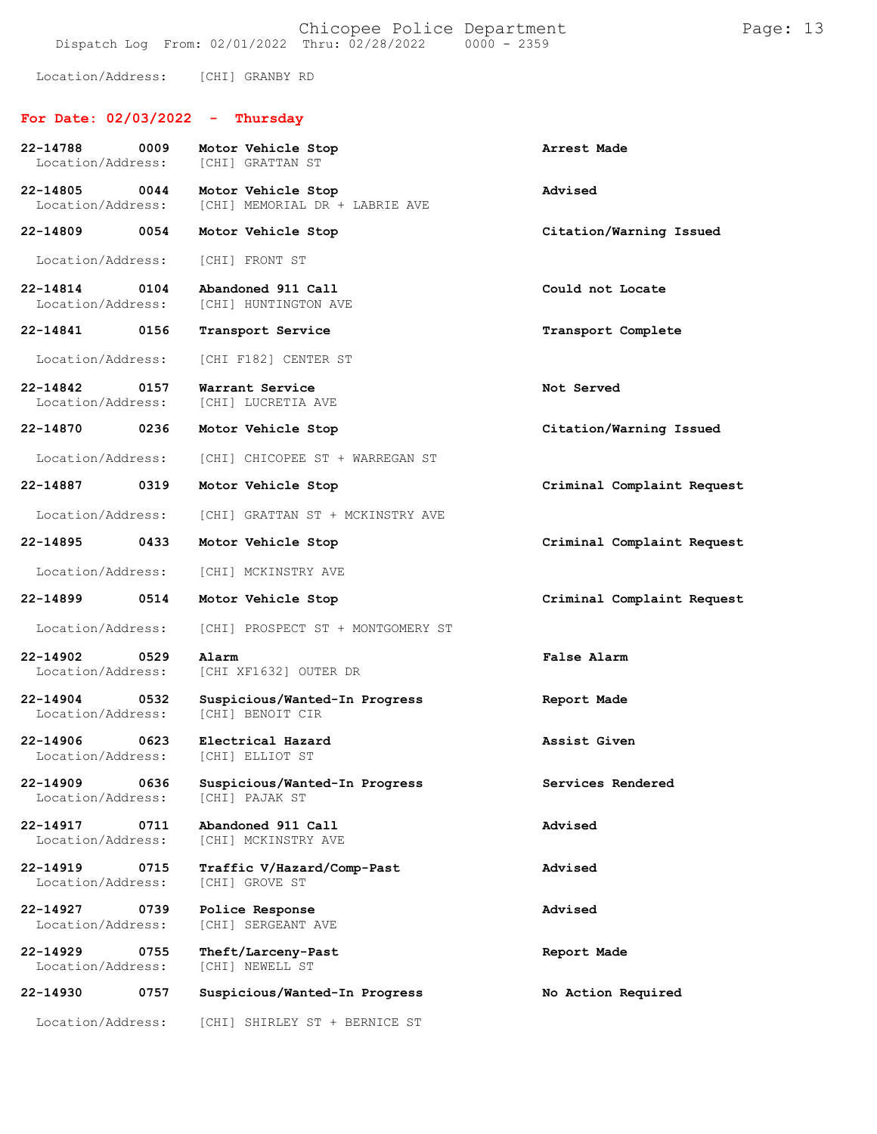Location/Address: [CHI] GRANBY RD

## **For Date: 02/03/2022 - Thursday**

| 22-14788<br>0009<br>Location/Address:              | Motor Vehicle Stop<br><b>[CHI] GRATTAN ST</b>                 | Arrest Made                |
|----------------------------------------------------|---------------------------------------------------------------|----------------------------|
| 22-14805<br>0044<br>Location/Address:              | Motor Vehicle Stop<br>[CHI] MEMORIAL DR + LABRIE AVE          | Advised                    |
| 22-14809 0054                                      | Motor Vehicle Stop                                            | Citation/Warning Issued    |
| Location/Address:                                  | [CHI] FRONT ST                                                |                            |
| 22-14814<br>0104<br>Location/Address:              | Abandoned 911 Call<br>[CHI] HUNTINGTON AVE                    | Could not Locate           |
| 22-14841 0156                                      | Transport Service                                             | Transport Complete         |
| Location/Address:                                  | [CHI F182] CENTER ST                                          |                            |
| 22-14842 0157<br>Location/Address:                 | Warrant Service<br>[CHI] LUCRETIA AVE                         | Not Served                 |
| 22-14870<br>0236                                   | Motor Vehicle Stop                                            | Citation/Warning Issued    |
| Location/Address:                                  | [CHI] CHICOPEE ST + WARREGAN ST                               |                            |
| 22-14887<br>0319                                   | Motor Vehicle Stop                                            | Criminal Complaint Request |
| Location/Address:                                  | [CHI] GRATTAN ST + MCKINSTRY AVE                              |                            |
| 22-14895 0433                                      | Motor Vehicle Stop                                            | Criminal Complaint Request |
| Location/Address:                                  | [CHI] MCKINSTRY AVE                                           |                            |
| 22-14899<br>0514                                   | Motor Vehicle Stop                                            | Criminal Complaint Request |
| Location/Address:                                  | [CHI] PROSPECT ST + MONTGOMERY ST                             |                            |
| 22-14902 0529<br>Location/Address:                 | Alarm<br>[CHI XF1632] OUTER DR                                | False Alarm                |
| 22-14904 0532<br>Location/Address:                 | Suspicious/Wanted-In Progress<br>[CHI] BENOIT CIR             | Report Made                |
| 22-14906 0623<br>Location/Address: [CHI] ELLIOT ST | Electrical Hazard                                             | Assist Given               |
| Location/Address:                                  | 22-14909 0636 Suspicious/Wanted-In Progress<br>[CHI] PAJAK ST | Services Rendered          |
| 22-14917<br>0711<br>Location/Address:              | Abandoned 911 Call<br>[CHI] MCKINSTRY AVE                     | Advised                    |
| 22-14919<br>0715<br>Location/Address:              | Traffic V/Hazard/Comp-Past<br>[CHI] GROVE ST                  | Advised                    |
| $22 - 14927$<br>0739<br>Location/Address:          | Police Response<br>[CHI] SERGEANT AVE                         | Advised                    |
| $22 - 14929$<br>0755<br>Location/Address:          | Theft/Larceny-Past<br>[CHI] NEWELL ST                         | Report Made                |
| 22-14930<br>0757                                   | Suspicious/Wanted-In Progress                                 | No Action Required         |
| Location/Address:                                  | [CHI] SHIRLEY ST + BERNICE ST                                 |                            |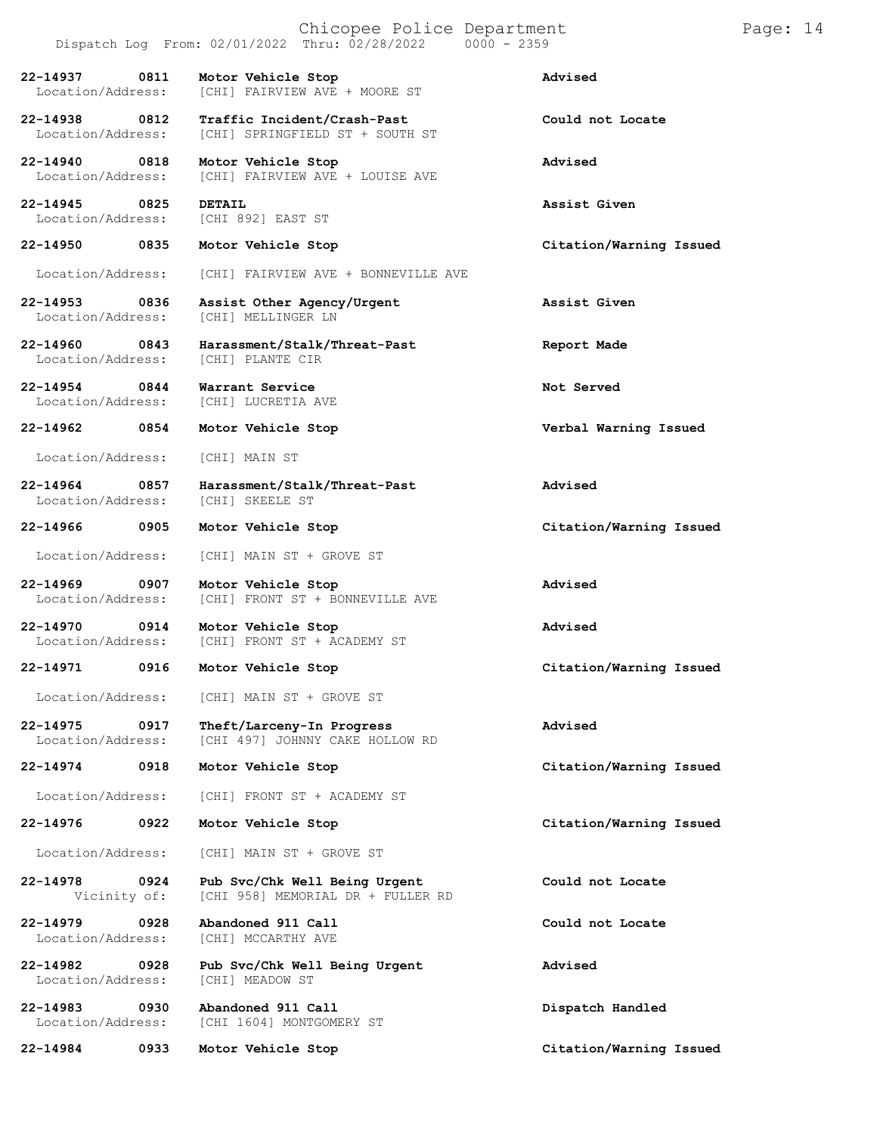| Chicopee Police Department<br>Dispatch Log From: 02/01/2022 Thru: 02/28/2022<br>$0000 - 2359$ |      |                                                                    |                         |  | Page: 14 |
|-----------------------------------------------------------------------------------------------|------|--------------------------------------------------------------------|-------------------------|--|----------|
| 22-14937<br>Location/Address:                                                                 | 0811 | Motor Vehicle Stop<br>[CHI] FAIRVIEW AVE + MOORE ST                | Advised                 |  |          |
| 22-14938<br>Location/Address:                                                                 | 0812 | Traffic Incident/Crash-Past<br>[CHI] SPRINGFIELD ST + SOUTH ST     | Could not Locate        |  |          |
| $22 - 14940$<br>Location/Address:                                                             | 0818 | Motor Vehicle Stop<br>[CHI] FAIRVIEW AVE + LOUISE AVE              | Advised                 |  |          |
| 22-14945<br>Location/Address:                                                                 | 0825 | <b>DETAIL</b><br>[CHI 892] EAST ST                                 | Assist Given            |  |          |
| 22-14950                                                                                      | 0835 | Motor Vehicle Stop                                                 | Citation/Warning Issued |  |          |
| Location/Address:                                                                             |      | [CHI] FAIRVIEW AVE + BONNEVILLE AVE                                |                         |  |          |
| 22-14953<br>Location/Address:                                                                 | 0836 | Assist Other Agency/Urgent<br>[CHI] MELLINGER LN                   | Assist Given            |  |          |
| 22-14960<br>Location/Address:                                                                 | 0843 | Harassment/Stalk/Threat-Past<br>[CHI] PLANTE CIR                   | Report Made             |  |          |
| 22-14954<br>Location/Address:                                                                 | 0844 | Warrant Service<br>[CHI] LUCRETIA AVE                              | Not Served              |  |          |
| 22-14962                                                                                      | 0854 | Motor Vehicle Stop                                                 | Verbal Warning Issued   |  |          |
| Location/Address:                                                                             |      | [CHI] MAIN ST                                                      |                         |  |          |
| $22 - 14964$<br>Location/Address:                                                             | 0857 | Harassment/Stalk/Threat-Past<br>[CHI] SKEELE ST                    | Advised                 |  |          |
| 22-14966                                                                                      | 0905 | Motor Vehicle Stop                                                 | Citation/Warning Issued |  |          |
| Location/Address:                                                                             |      | [CHI] MAIN ST + GROVE ST                                           |                         |  |          |
| $22 - 14969$<br>Location/Address:                                                             | 0907 | Motor Vehicle Stop<br>[CHI] FRONT ST + BONNEVILLE AVE              | Advised                 |  |          |
| 22-14970<br>Location/Address:                                                                 | 0914 | Motor Vehicle Stop<br>[CHI] FRONT ST + ACADEMY ST                  | Advised                 |  |          |
| 22-14971                                                                                      | 0916 | Motor Vehicle Stop                                                 | Citation/Warning Issued |  |          |
| Location/Address:                                                                             |      | [CHI] MAIN ST + GROVE ST                                           |                         |  |          |
| 22-14975<br>Location/Address:                                                                 | 0917 | Theft/Larceny-In Progress<br>[CHI 497] JOHNNY CAKE HOLLOW RD       | <b>Advised</b>          |  |          |
| $22 - 14974$                                                                                  | 0918 | Motor Vehicle Stop                                                 | Citation/Warning Issued |  |          |
| Location/Address:                                                                             |      | [CHI] FRONT ST + ACADEMY ST                                        |                         |  |          |
| 22-14976                                                                                      | 0922 | Motor Vehicle Stop                                                 | Citation/Warning Issued |  |          |
| Location/Address:                                                                             |      | [CHI] MAIN ST + GROVE ST                                           |                         |  |          |
| 22-14978<br>Vicinity of:                                                                      | 0924 | Pub Svc/Chk Well Being Urgent<br>[CHI 958] MEMORIAL DR + FULLER RD | Could not Locate        |  |          |
| 22-14979<br>Location/Address:                                                                 | 0928 | Abandoned 911 Call<br>[CHI] MCCARTHY AVE                           | Could not Locate        |  |          |
| 22-14982<br>Location/Address:                                                                 | 0928 | Pub Svc/Chk Well Being Urgent<br>[CHI] MEADOW ST                   | Advised                 |  |          |
| 22-14983<br>Location/Address:                                                                 | 0930 | Abandoned 911 Call<br>[CHI 1604] MONTGOMERY ST                     | Dispatch Handled        |  |          |
| 22-14984                                                                                      | 0933 | Motor Vehicle Stop                                                 | Citation/Warning Issued |  |          |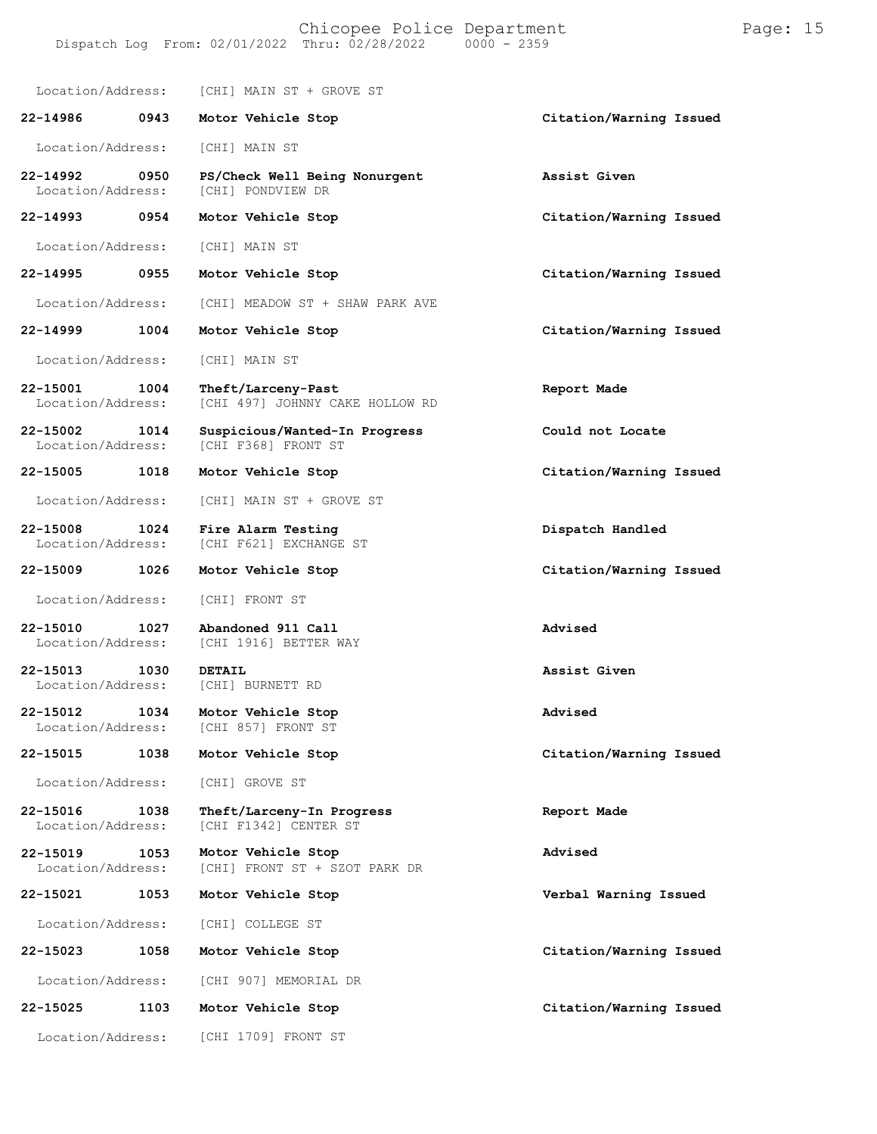# Chicopee Police Department Page: 15

Dispatch Log From: 02/01/2022 Thru: 02/28/2022

Location/Address: [CHI] MAIN ST + GROVE ST **22-14986 0943 Motor Vehicle Stop Citation/Warning Issued** Location/Address: [CHI] MAIN ST **22-14992 0950 PS/Check Well Being Nonurgent Assist Given** [CHI] PONDVIEW DR **22-14993 0954 Motor Vehicle Stop Citation/Warning Issued** Location/Address: [CHI] MAIN ST **22-14995 0955 Motor Vehicle Stop Citation/Warning Issued** Location/Address: [CHI] MEADOW ST + SHAW PARK AVE **22-14999 1004 Motor Vehicle Stop Citation/Warning Issued** Location/Address: [CHI] MAIN ST **22-15001 1004 Theft/Larceny-Past Report Made** [CHI 497] JOHNNY CAKE HOLLOW RD **22-15002 1014 Suspicious/Wanted-In Progress Could not Locate** [CHI F368] FRONT ST **22-15005 1018 Motor Vehicle Stop Citation/Warning Issued** Location/Address: [CHI] MAIN ST + GROVE ST **22-15008 1024 Fire Alarm Testing Dispatch Handled** [CHI F621] EXCHANGE ST **22-15009 1026 Motor Vehicle Stop Citation/Warning Issued** Location/Address: [CHI] FRONT ST **22-15010 1027 Abandoned 911 Call Advised** [CHI 1916] BETTER WAY **22-15013 1030 DETAIL Assist Given** Location/Address: [CHI] BURNETT RD **22-15012 1034 Motor Vehicle Stop Advised** [CHI 857] FRONT ST **22-15015 1038 Motor Vehicle Stop Citation/Warning Issued** Location/Address: [CHI] GROVE ST **22-15016 1038 Theft/Larceny-In Progress Report Made** [CHI F1342] CENTER ST **22-15019 1053** Location/Address: **22-15021 1053** Location/Address: **22-15023 1058** Location/Address: **22-15025 1103** Location/Address: **Motor Vehicle Stop Advised** [CHI] FRONT ST + SZOT PARK DR **Motor Vehicle Stop Verbal Warning Issued** [CHI] COLLEGE ST **Motor Vehicle Stop Citation/Warning Issued** [CHI 907] MEMORIAL DR **Motor Vehicle Stop Citation/Warning Issued** [CHI 1709] FRONT ST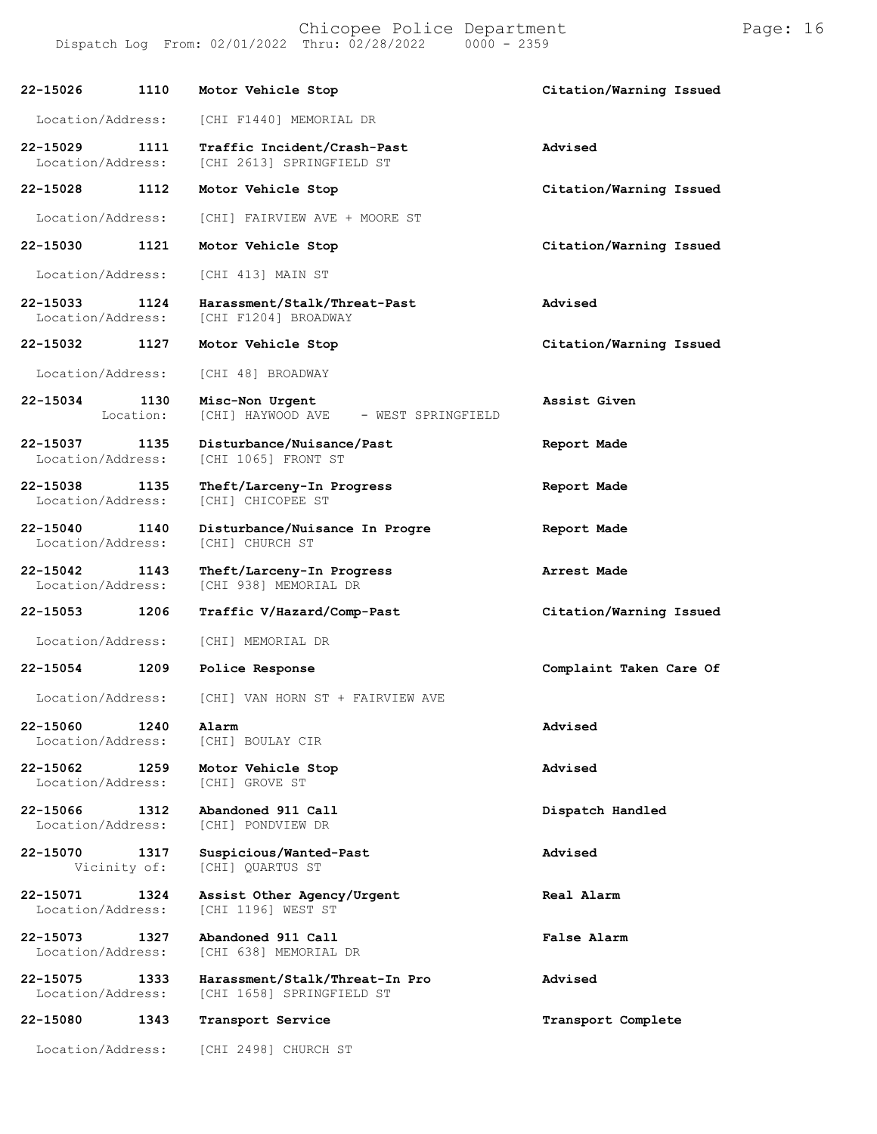| 22-15026                                  | 1110 | Motor Vehicle Stop                                          | Citation/Warning Issued |
|-------------------------------------------|------|-------------------------------------------------------------|-------------------------|
| Location/Address:                         |      | [CHI F1440] MEMORIAL DR                                     |                         |
| 22-15029<br>1111<br>Location/Address:     |      | Traffic Incident/Crash-Past<br>[CHI 2613] SPRINGFIELD ST    | Advised                 |
| 22-15028<br>1112                          |      | Motor Vehicle Stop                                          | Citation/Warning Issued |
| Location/Address:                         |      | [CHI] FAIRVIEW AVE + MOORE ST                               |                         |
| 22-15030                                  | 1121 | Motor Vehicle Stop                                          | Citation/Warning Issued |
| Location/Address:                         |      | [CHI 413] MAIN ST                                           |                         |
| 22-15033<br>Location/Address:             | 1124 | Harassment/Stalk/Threat-Past<br>[CHI F1204] BROADWAY        | Advised                 |
| 22-15032                                  | 1127 | Motor Vehicle Stop                                          | Citation/Warning Issued |
| Location/Address:                         |      | [CHI 48] BROADWAY                                           |                         |
| 22-15034 1130<br>Location:                |      | Misc-Non Urgent<br>[CHI] HAYWOOD AVE - WEST SPRINGFIELD     | Assist Given            |
| 22-15037<br>Location/Address:             | 1135 | Disturbance/Nuisance/Past<br>[CHI 1065] FRONT ST            | Report Made             |
| 22-15038 1135<br>Location/Address:        |      | Theft/Larceny-In Progress<br>[CHI] CHICOPEE ST              | Report Made             |
| $22 - 15040$<br>1140<br>Location/Address: |      | Disturbance/Nuisance In Progre<br>[CHI] CHURCH ST           | Report Made             |
| 22-15042<br>1143<br>Location/Address:     |      | Theft/Larceny-In Progress<br>[CHI 938] MEMORIAL DR          | Arrest Made             |
| 22-15053                                  | 1206 | Traffic V/Hazard/Comp-Past                                  | Citation/Warning Issued |
| Location/Address:                         |      | [CHI] MEMORIAL DR                                           |                         |
| 22-15054                                  | 1209 | Police Response                                             | Complaint Taken Care Of |
| Location/Address:                         |      | [CHI] VAN HORN ST + FAIRVIEW AVE                            |                         |
| 22-15060<br>Location/Address:             | 1240 | Alarm<br>[CHI] BOULAY CIR                                   | Advised                 |
| 22-15062<br>Location/Address:             | 1259 | Motor Vehicle Stop<br>[CHI] GROVE ST                        | Advised                 |
| 22-15066<br>Location/Address:             | 1312 | Abandoned 911 Call<br>[CHI] PONDVIEW DR                     | Dispatch Handled        |
| 22-15070<br>Vicinity of:                  | 1317 | Suspicious/Wanted-Past<br>[CHI] QUARTUS ST                  | Advised                 |
| 22-15071<br>Location/Address:             | 1324 | Assist Other Agency/Urgent<br>[CHI 1196] WEST ST            | Real Alarm              |
| 22-15073<br>Location/Address:             | 1327 | Abandoned 911 Call<br>[CHI 638] MEMORIAL DR                 | <b>False Alarm</b>      |
| 22-15075<br>Location/Address:             | 1333 | Harassment/Stalk/Threat-In Pro<br>[CHI 1658] SPRINGFIELD ST | Advised                 |
| 22-15080                                  | 1343 | Transport Service                                           | Transport Complete      |
| Location/Address:                         |      | [CHI 2498] CHURCH ST                                        |                         |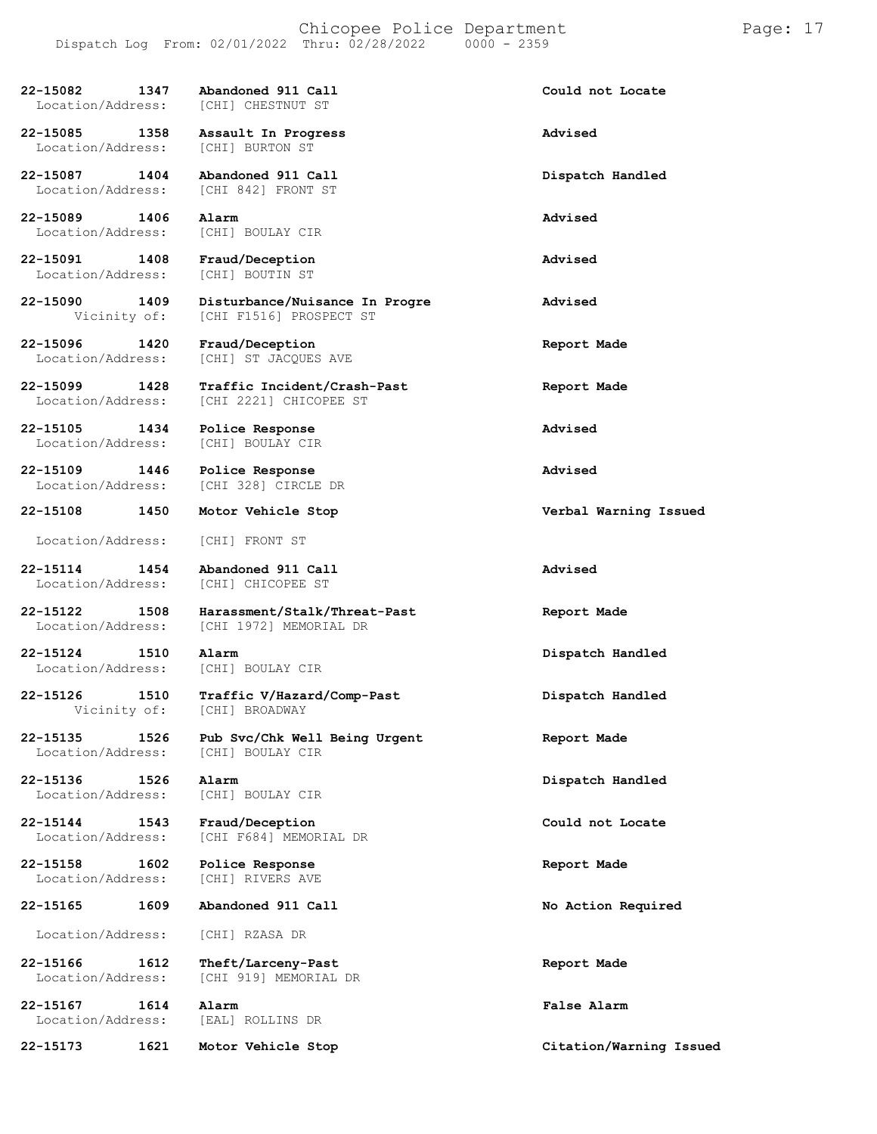**22-15082 1347 Abandoned 911 Call Could not Locate** Location/Address: **22-15085 1358 Assault In Progress Advised** Location/Address: **22-15087 1404 Abandoned 911 Call Dispatch Handled** Location/Address: [CHI 842] FRONT ST **22-15089 1406 Alarm Advised** Location/Address: **22-15091 1408 Fraud/Deception Advised** Location/Address: **22-15090 1409 Disturbance/Nuisance In Progre Advised** [CHI F1516] PROSPECT ST **22-15096 1420 Fraud/Deception Report Made** [CHI] ST JACQUES AVE **22-15099 1428 Traffic Incident/Crash-Past Report Made** Location/Address: [CHI 2221] CHICOPEE ST **22-15105 1434 Police Response Advised** [CHI] BOULAY CIR **22-15109 1446 Police Response Advised** [CHI 328] CIRCLE DR **22-15108 1450 Motor Vehicle Stop Verbal Warning Issued** Location/Address: [CHI] FRONT ST **22-15114 1454 Abandoned 911 Call Advised** [CHI] CHICOPEE ST **22-15122 1508 Harassment/Stalk/Threat-Past Report Made** [CHI 1972] MEMORIAL DR **22-15124 1510 Alarm Dispatch Handled** Location/Address: [CHI] BOULAY CIR **22-15126 1510 Traffic V/Hazard/Comp-Past Dispatch Handled** [CHI] BROADWAY **22-15135 1526 Pub Svc/Chk Well Being Urgent Report Made** Location/Address: **22-15136 1526 Alarm Dispatch Handled** Location/Address: [CHI] BOULAY CIR **22-15144 1543 Fraud/Deception Could not Locate** [CHI F684] MEMORIAL DR **22-15158 1602 Police Response Report Made** [CHI] RIVERS AVE **22-15165 1609 Abandoned 911 Call No Action Required** Location/Address: [CHI] RZASA DR **22-15166 1612 Theft/Larceny-Past Report Made** [CHI 919] MEMORIAL DR **22-15167 1614 Alarm False Alarm**

Location/Address:

**22-15173 1621 Motor Vehicle Stop Citation/Warning Issued**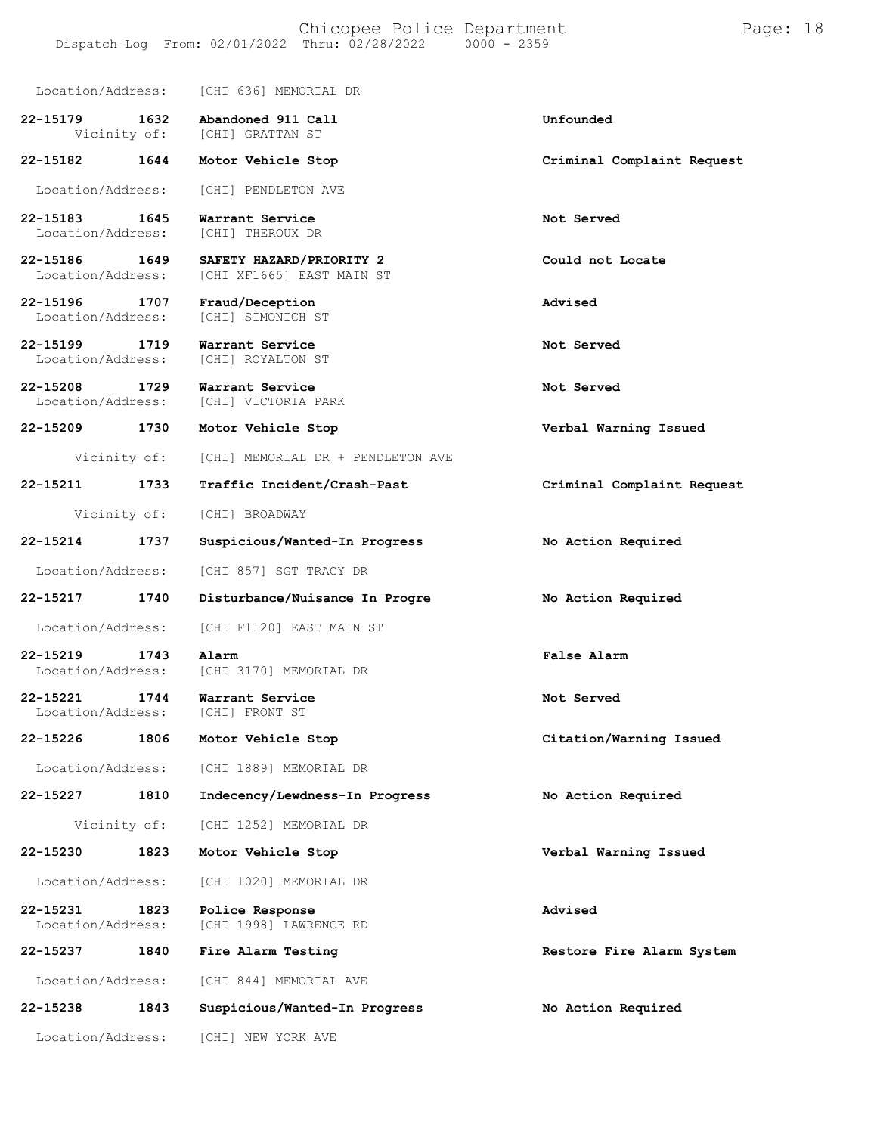|                                    |              | Location/Address: [CHI 636] MEMORIAL DR               |                            |
|------------------------------------|--------------|-------------------------------------------------------|----------------------------|
| 22-15179 1632                      |              | Abandoned 911 Call<br>Vicinity of: [CHI] GRATTAN ST   | Unfounded                  |
| 22-15182                           | 1644         | Motor Vehicle Stop                                    | Criminal Complaint Request |
| Location/Address:                  |              | [CHI] PENDLETON AVE                                   |                            |
| 22-15183<br>Location/Address:      | 1645         | Warrant Service<br>[CHI] THEROUX DR                   | Not Served                 |
| 22-15186 1649<br>Location/Address: |              | SAFETY HAZARD/PRIORITY 2<br>[CHI XF1665] EAST MAIN ST | Could not Locate           |
| 22-15196 1707<br>Location/Address: |              | Fraud/Deception<br>[CHI] SIMONICH ST                  | Advised                    |
| 22-15199<br>Location/Address:      | 1719         | Warrant Service<br>[CHI] ROYALTON ST                  | Not Served                 |
| 22-15208<br>Location/Address:      | 1729         | Warrant Service<br>[CHI] VICTORIA PARK                | Not Served                 |
| 22-15209 1730                      |              | Motor Vehicle Stop                                    | Verbal Warning Issued      |
|                                    |              | Vicinity of: [CHI] MEMORIAL DR + PENDLETON AVE        |                            |
| 22-15211                           | 1733         | Traffic Incident/Crash-Past                           | Criminal Complaint Request |
|                                    | Vicinity of: | [CHI] BROADWAY                                        |                            |
| 22-15214                           | 1737         | Suspicious/Wanted-In Progress                         | No Action Required         |
| Location/Address:                  |              | [CHI 857] SGT TRACY DR                                |                            |
| 22-15217 1740                      |              | Disturbance/Nuisance In Progre                        | No Action Required         |
| Location/Address:                  |              | [CHI F1120] EAST MAIN ST                              |                            |
| 22-15219<br>Location/Address:      | 1743         | Alarm<br>[CHI 3170] MEMORIAL DR                       | False Alarm                |
| 22-15221<br>Location/Address:      | 1744         | Warrant Service<br>[CHI] FRONT ST                     | Not Served                 |
| 22-15226                           | 1806         | Motor Vehicle Stop                                    | Citation/Warning Issued    |
| Location/Address:                  |              | [CHI 1889] MEMORIAL DR                                |                            |
| 22-15227                           | 1810         | Indecency/Lewdness-In Progress                        | No Action Required         |
| Vicinity of:                       |              | [CHI 1252] MEMORIAL DR                                |                            |
| 22-15230                           | 1823         | Motor Vehicle Stop                                    | Verbal Warning Issued      |
| Location/Address:                  |              | [CHI 1020] MEMORIAL DR                                |                            |
| 22-15231<br>Location/Address:      | 1823         | Police Response<br>[CHI 1998] LAWRENCE RD             | Advised                    |
| 22-15237                           | 1840         | Fire Alarm Testing                                    | Restore Fire Alarm System  |
| Location/Address:                  |              | [CHI 844] MEMORIAL AVE                                |                            |
| 22-15238                           | 1843         | Suspicious/Wanted-In Progress                         | No Action Required         |
| Location/Address:                  |              | [CHI] NEW YORK AVE                                    |                            |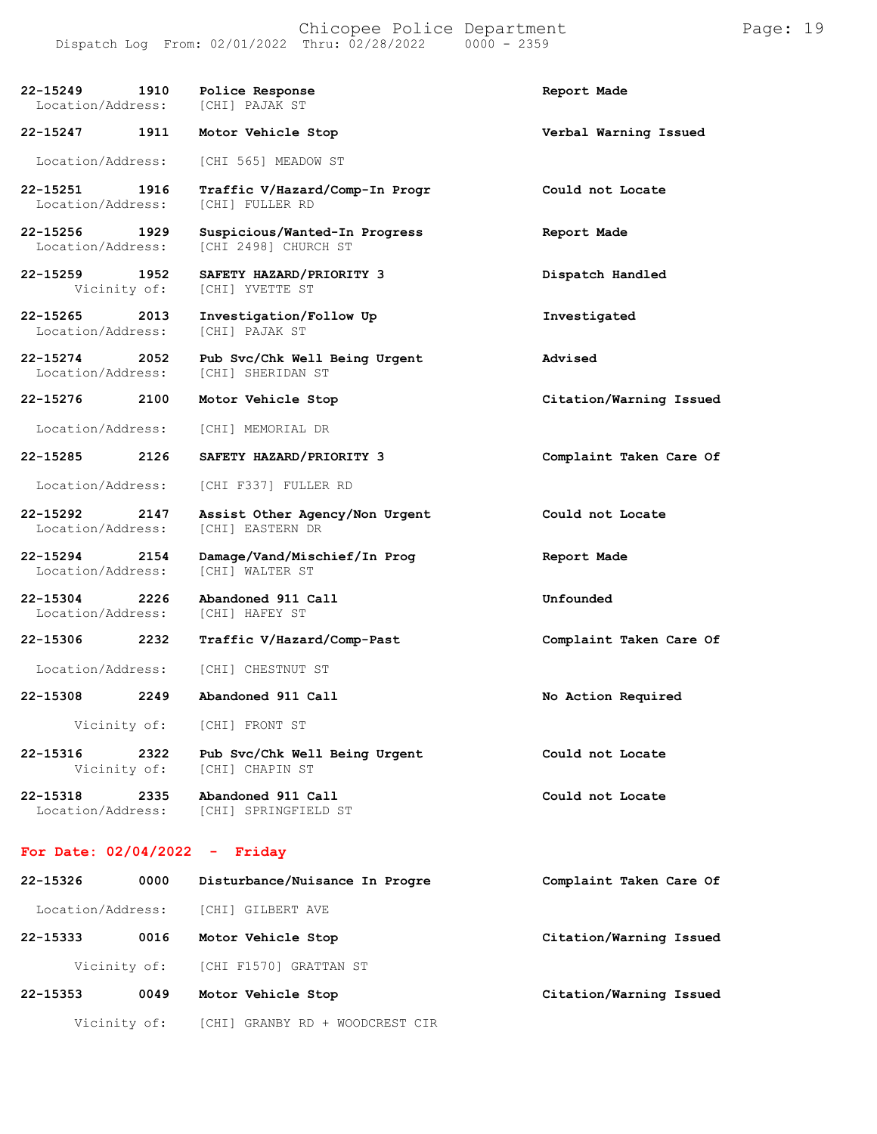**22-15249 1910 Police Response Report Made** Location/Address: **22-15247 1911 Motor Vehicle Stop Verbal Warning Issued** Location/Address: [CHI 565] MEADOW ST **22-15251 1916 Traffic V/Hazard/Comp-In Progr Could not Locate** [CHI] FULLER RD **22-15256 1929 Suspicious/Wanted-In Progress Report Made** Location/Address: [CHI 2498] CHURCH ST **22-15259 1952 SAFETY HAZARD/PRIORITY 3 Dispatch Handled** [CHI] YVETTE ST **22-15265 2013 Investigation/Follow Up Investigated** Location/Address: **22-15274 2052 Pub Svc/Chk Well Being Urgent Advised** Location/Address: **22-15276 2100 Motor Vehicle Stop Citation/Warning Issued** Location/Address: [CHI] MEMORIAL DR **22-15285 2126 SAFETY HAZARD/PRIORITY 3 Complaint Taken Care Of** Location/Address: [CHI F337] FULLER RD **22-15292 2147 Assist Other Agency/Non Urgent Could not Locate** Location/Address: **22-15294 2154 Damage/Vand/Mischief/In Prog Report Made** Location/Address: **22-15304 2226 Abandoned 911 Call Unfounded** Location/Address: **22-15306 2232 Traffic V/Hazard/Comp-Past Complaint Taken Care Of** Location/Address: [CHI] CHESTNUT ST **22-15308 2249 Abandoned 911 Call No Action Required** Vicinity of: [CHI] FRONT ST **22-15316 2322 Pub Svc/Chk Well Being Urgent Could not Locate** [CHI] CHAPIN ST **22-15318 2335 Abandoned 911 Call Could not Locate** Location/Address: [CHI] SPRINGFIELD ST

### **For Date: 02/04/2022 - Friday**

| 22-15326          | 0000         | Disturbance/Nuisance In Progre  | Complaint Taken Care Of |
|-------------------|--------------|---------------------------------|-------------------------|
| Location/Address: |              | [CHI] GILBERT AVE               |                         |
| 22-15333          | 0016         | Motor Vehicle Stop              | Citation/Warning Issued |
|                   | Vicinity of: | [CHI F1570] GRATTAN ST          |                         |
| $22 - 15353$      | 0049         | Motor Vehicle Stop              | Citation/Warning Issued |
|                   | Vicinity of: | [CHI] GRANBY RD + WOODCREST CIR |                         |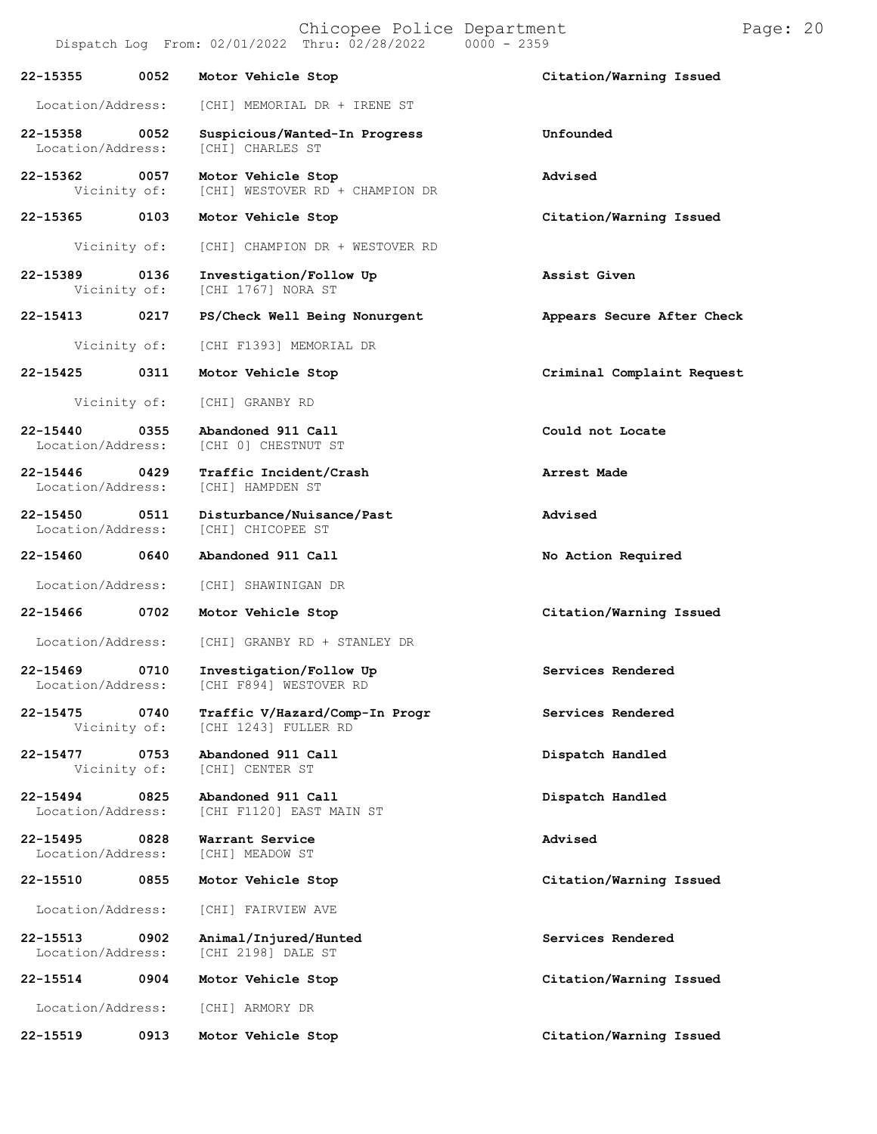|                                    |      | Chicopee Police Department<br>Dispatch Log From: 02/01/2022 Thru: 02/28/2022 | $0000 - 2359$              | Page: 20 |
|------------------------------------|------|------------------------------------------------------------------------------|----------------------------|----------|
| 22-15355                           | 0052 | Motor Vehicle Stop                                                           | Citation/Warning Issued    |          |
| Location/Address:                  |      | [CHI] MEMORIAL DR + IRENE ST                                                 |                            |          |
| 22-15358<br>Location/Address:      | 0052 | Suspicious/Wanted-In Progress<br>[CHI] CHARLES ST                            | Unfounded                  |          |
| 22-15362<br>Vicinity of:           | 0057 | Motor Vehicle Stop<br>[CHI] WESTOVER RD + CHAMPION DR                        | Advised                    |          |
| 22-15365                           | 0103 | Motor Vehicle Stop                                                           | Citation/Warning Issued    |          |
| Vicinity of:                       |      | [CHI] CHAMPION DR + WESTOVER RD                                              |                            |          |
| 22-15389<br>Vicinity of:           | 0136 | Investigation/Follow Up<br>[CHI 1767] NORA ST                                | Assist Given               |          |
| 22-15413                           | 0217 | PS/Check Well Being Nonurgent                                                | Appears Secure After Check |          |
| Vicinity of:                       |      | [CHI F1393] MEMORIAL DR                                                      |                            |          |
| 22-15425                           | 0311 | Motor Vehicle Stop                                                           | Criminal Complaint Request |          |
| Vicinity of:                       |      | [CHI] GRANBY RD                                                              |                            |          |
| $22 - 15440$<br>Location/Address:  | 0355 | Abandoned 911 Call<br>[CHI 0] CHESTNUT ST                                    | Could not Locate           |          |
| 22-15446 0429<br>Location/Address: |      | Traffic Incident/Crash<br>[CHI] HAMPDEN ST                                   | Arrest Made                |          |
| 22-15450<br>Location/Address:      | 0511 | Disturbance/Nuisance/Past<br>[CHI] CHICOPEE ST                               | Advised                    |          |
| 22-15460                           | 0640 | Abandoned 911 Call                                                           | No Action Required         |          |
| Location/Address:                  |      | [CHI] SHAWINIGAN DR                                                          |                            |          |
| 22-15466                           | 0702 | Motor Vehicle Stop                                                           | Citation/Warning Issued    |          |
| Location/Address:                  |      | [CHI] GRANBY RD + STANLEY DR                                                 |                            |          |
| $22 - 15469$<br>Location/Address:  | 0710 | Investigation/Follow Up<br>[CHI F894] WESTOVER RD                            | Services Rendered          |          |
| 22-15475<br>Vicinity of:           | 0740 | Traffic V/Hazard/Comp-In Progr<br>[CHI 1243] FULLER RD                       | Services Rendered          |          |
| 22-15477<br>Vicinity of:           | 0753 | Abandoned 911 Call<br>[CHI] CENTER ST                                        | Dispatch Handled           |          |
| 22-15494<br>Location/Address:      | 0825 | Abandoned 911 Call<br>[CHI F1120] EAST MAIN ST                               | Dispatch Handled           |          |
| 22-15495<br>Location/Address:      | 0828 | Warrant Service<br>[CHI] MEADOW ST                                           | Advised                    |          |
| 22-15510                           | 0855 | Motor Vehicle Stop                                                           | Citation/Warning Issued    |          |
| Location/Address:                  |      | [CHI] FAIRVIEW AVE                                                           |                            |          |
| 22-15513<br>Location/Address:      | 0902 | Animal/Injured/Hunted<br>[CHI 2198] DALE ST                                  | Services Rendered          |          |
| 22-15514                           | 0904 | Motor Vehicle Stop                                                           | Citation/Warning Issued    |          |
| Location/Address:                  |      | [CHI] ARMORY DR                                                              |                            |          |
| 22-15519                           | 0913 | Motor Vehicle Stop                                                           | Citation/Warning Issued    |          |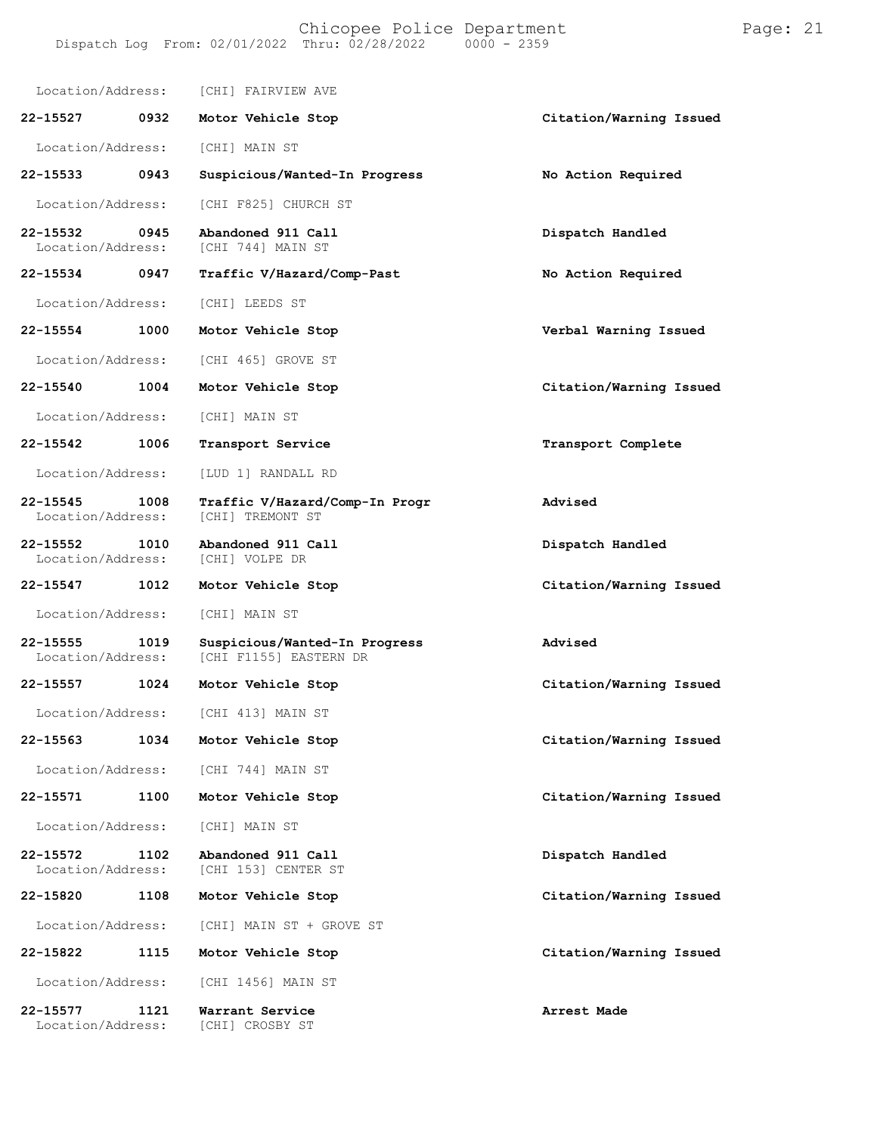| Location/Address:                 |      | [CHI] FAIRVIEW AVE                                      |                         |
|-----------------------------------|------|---------------------------------------------------------|-------------------------|
| 22-15527                          | 0932 | Motor Vehicle Stop                                      | Citation/Warning Issued |
| Location/Address:                 |      | [CHI] MAIN ST                                           |                         |
| 22-15533                          | 0943 | Suspicious/Wanted-In Progress                           | No Action Required      |
| Location/Address:                 |      | [CHI F825] CHURCH ST                                    |                         |
| 22-15532<br>Location/Address:     | 0945 | Abandoned 911 Call<br>[CHI 744] MAIN ST                 | Dispatch Handled        |
| 22-15534                          | 0947 | Traffic V/Hazard/Comp-Past                              | No Action Required      |
| Location/Address:                 |      | [CHI] LEEDS ST                                          |                         |
| 22-15554                          | 1000 | Motor Vehicle Stop                                      | Verbal Warning Issued   |
| Location/Address:                 |      | [CHI 465] GROVE ST                                      |                         |
| 22-15540                          | 1004 | Motor Vehicle Stop                                      | Citation/Warning Issued |
| Location/Address:                 |      | [CHI] MAIN ST                                           |                         |
| 22-15542                          | 1006 | Transport Service                                       | Transport Complete      |
| Location/Address:                 |      | [LUD 1] RANDALL RD                                      |                         |
| $22 - 15545$<br>Location/Address: | 1008 | Traffic V/Hazard/Comp-In Progr<br>[CHI] TREMONT ST      | Advised                 |
| 22-15552<br>Location/Address:     | 1010 | Abandoned 911 Call<br>[CHI] VOLPE DR                    | Dispatch Handled        |
| 22-15547                          | 1012 | Motor Vehicle Stop                                      | Citation/Warning Issued |
| Location/Address:                 |      | [CHI] MAIN ST                                           |                         |
| 22-15555<br>Location/Address:     | 1019 | Suspicious/Wanted-In Progress<br>[CHI F1155] EASTERN DR | Advised                 |
| 22-15557                          | 1024 | Motor Vehicle Stop                                      | Citation/Warning Issued |
| Location/Address:                 |      | [CHI 413] MAIN ST                                       |                         |
| 22-15563                          | 1034 | Motor Vehicle Stop                                      | Citation/Warning Issued |
| Location/Address:                 |      | [CHI 744] MAIN ST                                       |                         |
| 22-15571                          | 1100 | Motor Vehicle Stop                                      | Citation/Warning Issued |
| Location/Address:                 |      | [CHI] MAIN ST                                           |                         |
| $22 - 15572$<br>Location/Address: | 1102 | Abandoned 911 Call<br>[CHI 153] CENTER ST               | Dispatch Handled        |
| 22-15820                          | 1108 | Motor Vehicle Stop                                      | Citation/Warning Issued |
| Location/Address:                 |      | [CHI] MAIN ST + GROVE ST                                |                         |
| 22-15822                          | 1115 | Motor Vehicle Stop                                      | Citation/Warning Issued |
| Location/Address:                 |      | [CHI 1456] MAIN ST                                      |                         |
| 22-15577<br>Location/Address:     | 1121 | Warrant Service<br>[CHI] CROSBY ST                      | Arrest Made             |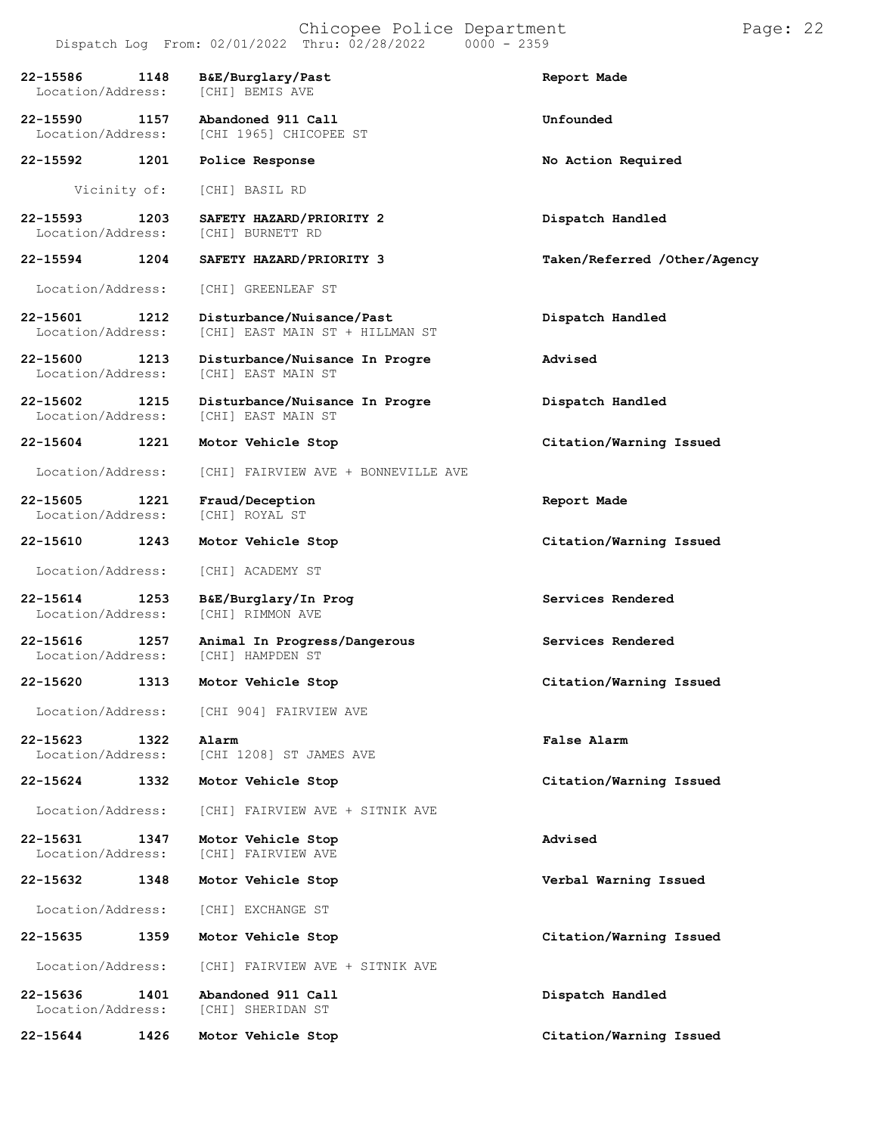| 22-15586<br>Location/Address:     | 1148 | B&E/Burglary/Past<br>[CHI] BEMIS AVE                         | Report Made                  |
|-----------------------------------|------|--------------------------------------------------------------|------------------------------|
| 22-15590<br>Location/Address:     | 1157 | Abandoned 911 Call<br>[CHI 1965] CHICOPEE ST                 | Unfounded                    |
| 22-15592                          | 1201 | Police Response                                              | No Action Required           |
| Vicinity of:                      |      | [CHI] BASIL RD                                               |                              |
| 22-15593<br>Location/Address:     | 1203 | SAFETY HAZARD/PRIORITY 2<br>[CHI] BURNETT RD                 | Dispatch Handled             |
| 22-15594                          | 1204 | SAFETY HAZARD/PRIORITY 3                                     | Taken/Referred /Other/Agency |
| Location/Address:                 |      | [CHI] GREENLEAF ST                                           |                              |
| 22-15601<br>Location/Address:     | 1212 | Disturbance/Nuisance/Past<br>[CHI] EAST MAIN ST + HILLMAN ST | Dispatch Handled             |
| 22-15600<br>Location/Address:     | 1213 | Disturbance/Nuisance In Progre<br>[CHI] EAST MAIN ST         | Advised                      |
| 22-15602<br>Location/Address:     | 1215 | Disturbance/Nuisance In Progre<br>[CHI] EAST MAIN ST         | Dispatch Handled             |
| 22-15604                          | 1221 | Motor Vehicle Stop                                           | Citation/Warning Issued      |
| Location/Address:                 |      | [CHI] FAIRVIEW AVE + BONNEVILLE AVE                          |                              |
| 22-15605<br>Location/Address:     | 1221 | Fraud/Deception<br>[CHI] ROYAL ST                            | Report Made                  |
| 22-15610                          | 1243 | Motor Vehicle Stop                                           | Citation/Warning Issued      |
| Location/Address:                 |      | [CHI] ACADEMY ST                                             |                              |
| 22-15614<br>Location/Address:     | 1253 | B&E/Burglary/In Prog<br>[CHI] RIMMON AVE                     | Services Rendered            |
| 22-15616<br>Location/Address:     | 1257 | Animal In Progress/Dangerous<br>[CHI] HAMPDEN ST             | Services Rendered            |
| 22-15620                          | 1313 | Motor Vehicle Stop                                           | Citation/Warning Issued      |
| Location/Address:                 |      | [CHI 904] FAIRVIEW AVE                                       |                              |
| $22 - 15623$<br>Location/Address: | 1322 | Alarm<br>[CHI 1208] ST JAMES AVE                             | False Alarm                  |
| $22 - 15624$                      | 1332 | Motor Vehicle Stop                                           | Citation/Warning Issued      |
| Location/Address:                 |      | [CHI] FAIRVIEW AVE + SITNIK AVE                              |                              |
| 22-15631<br>Location/Address:     | 1347 | Motor Vehicle Stop<br>[CHI] FAIRVIEW AVE                     | Advised                      |
| 22-15632                          | 1348 | Motor Vehicle Stop                                           | Verbal Warning Issued        |
| Location/Address:                 |      | [CHI] EXCHANGE ST                                            |                              |
| 22-15635                          | 1359 | Motor Vehicle Stop                                           | Citation/Warning Issued      |
| Location/Address:                 |      | [CHI] FAIRVIEW AVE + SITNIK AVE                              |                              |
| 22-15636<br>Location/Address:     | 1401 | Abandoned 911 Call<br>[CHI] SHERIDAN ST                      | Dispatch Handled             |
| 22-15644                          | 1426 | Motor Vehicle Stop                                           | Citation/Warning Issued      |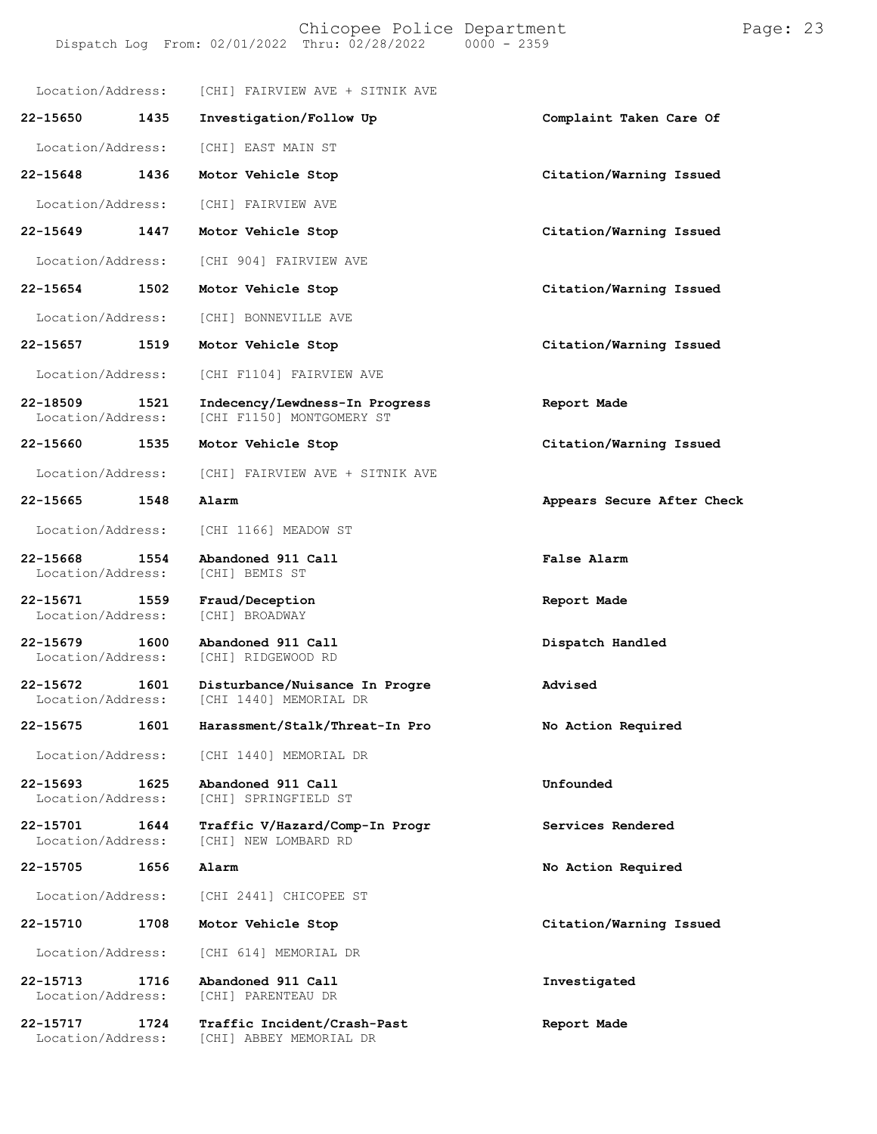Location/Address: [CHI] FAIRVIEW AVE + SITNIK AVE **22-15650 1435 Investigation/Follow Up Complaint Taken Care Of** Location/Address: [CHI] EAST MAIN ST **22-15648 1436 Motor Vehicle Stop Citation/Warning Issued** Location/Address: [CHI] FAIRVIEW AVE **22-15649 1447 Motor Vehicle Stop Citation/Warning Issued** Location/Address: [CHI 904] FAIRVIEW AVE **22-15654 1502 Motor Vehicle Stop Citation/Warning Issued** Location/Address: [CHI] BONNEVILLE AVE **22-15657 1519 Motor Vehicle Stop Citation/Warning Issued** Location/Address: [CHI F1104] FAIRVIEW AVE **22-18509 1521 Indecency/Lewdness-In Progress Report Made** [CHI F1150] MONTGOMERY ST **22-15660 1535 Motor Vehicle Stop Citation/Warning Issued** Location/Address: [CHI] FAIRVIEW AVE + SITNIK AVE **22-15665 1548 Alarm Appears Secure After Check** Location/Address: [CHI 1166] MEADOW ST **22-15668 1554 Abandoned 911 Call False Alarm** Location/Address: **22-15671 1559 Fraud/Deception Report Made** Location/Address: **22-15679 1600 Abandoned 911 Call Dispatch Handled** [CHI] RIDGEWOOD RD **22-15672 1601 Disturbance/Nuisance In Progre Advised** [CHI 1440] MEMORIAL DR **22-15675 1601 Harassment/Stalk/Threat-In Pro No Action Required** Location/Address: [CHI 1440] MEMORIAL DR **22-15693 1625 Abandoned 911 Call Unfounded** [CHI] SPRINGFIELD ST **22-15701 1644 Traffic V/Hazard/Comp-In Progr Services Rendered** [CHI] NEW LOMBARD RD **22-15705 1656 Alarm No Action Required** Location/Address: [CHI 2441] CHICOPEE ST **22-15710 1708 Motor Vehicle Stop Citation/Warning Issued** Location/Address: [CHI 614] MEMORIAL DR **22-15713 1716 Abandoned 911 Call Investigated** [CHI] PARENTEAU DR **22-15717 1724 Traffic Incident/Crash-Past Report Made** Location/Address: [CHI] ABBEY MEMORIAL DR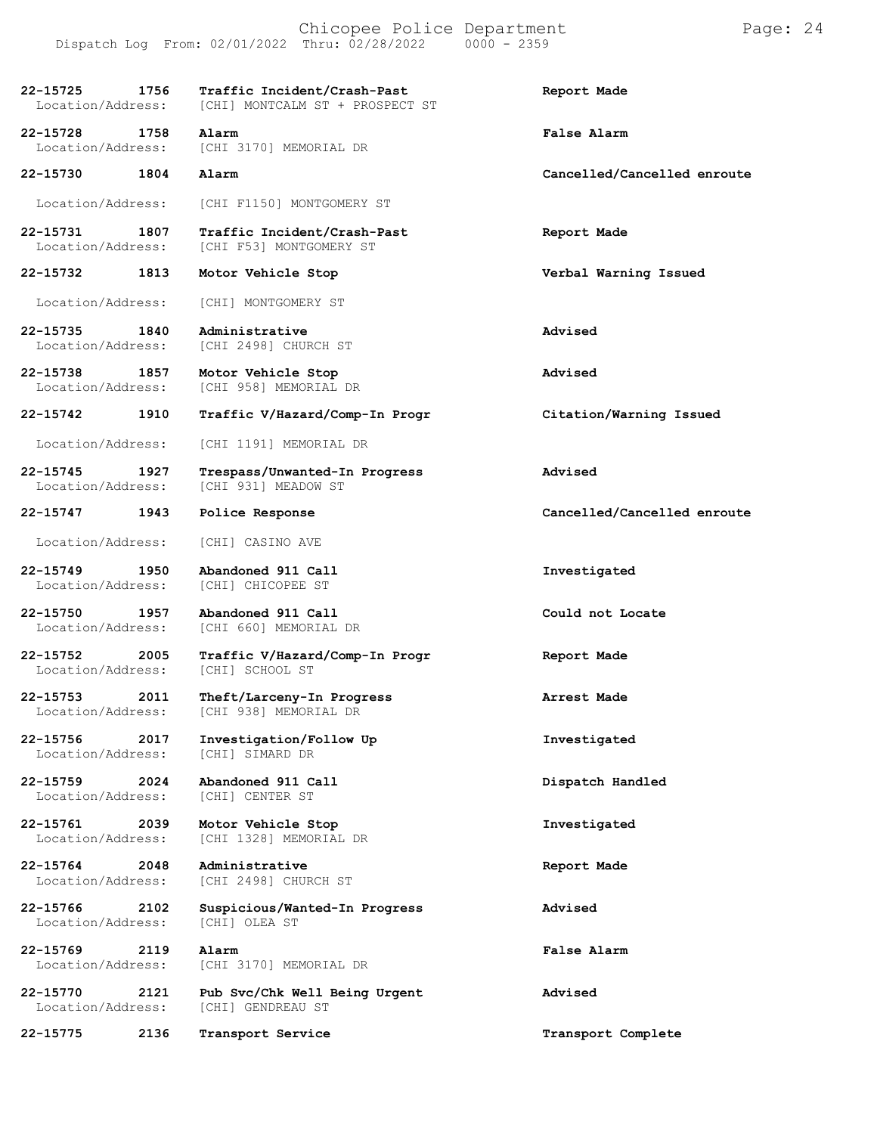**22-15725 1756 Traffic Incident/Crash-Past Report Made** [CHI] MONTCALM ST + PROSPECT ST **22-15728 1758 Alarm False Alarm** [CHI 3170] MEMORIAL DR **22-15730 1804 Alarm Cancelled/Cancelled enroute** Location/Address: [CHI F1150] MONTGOMERY ST **22-15731 1807 Traffic Incident/Crash-Past Report Made** [CHI F53] MONTGOMERY ST **22-15732 1813 Motor Vehicle Stop Verbal Warning Issued** Location/Address: [CHI] MONTGOMERY ST **22-15735 1840 Administrative Advised** [CHI 2498] CHURCH ST **22-15738 1857 Motor Vehicle Stop Advised** [CHI 958] MEMORIAL DR **22-15742 1910 Traffic V/Hazard/Comp-In Progr Citation/Warning Issued** Location/Address: [CHI 1191] MEMORIAL DR **22-15745 1927 Trespass/Unwanted-In Progress Advised** [CHI 931] MEADOW ST **22-15747 1943 Police Response Cancelled/Cancelled enroute** Location/Address: [CHI] CASINO AVE **22-15749 1950 Abandoned 911 Call Investigated** Location/Address: **22-15750 1957 Abandoned 911 Call Could not Locate** [CHI 660] MEMORIAL DR **22-15752 2005 Traffic V/Hazard/Comp-In Progr Report Made** Location/Address: **22-15753 2011 Theft/Larceny-In Progress Arrest Made** Location/Address: [CHI 938] MEMORIAL DR **22-15756 2017 Investigation/Follow Up Investigated** Location/Address: **22-15759 2024 Abandoned 911 Call Dispatch Handled** Location/Address: **22-15761 2039 Motor Vehicle Stop Investigated** [CHI 1328] MEMORIAL DR **22-15764 2048 Administrative Report Made** [CHI 2498] CHURCH ST **22-15766 2102 Suspicious/Wanted-In Progress Advised** Location/Address: **22-15769 2119 Alarm False Alarm** [CHI 3170] MEMORIAL DR **22-15770 2121 Pub Svc/Chk Well Being Urgent Advised** Location/Address: [CHI] GENDREAU ST **22-15775 2136 Transport Service Transport Complete**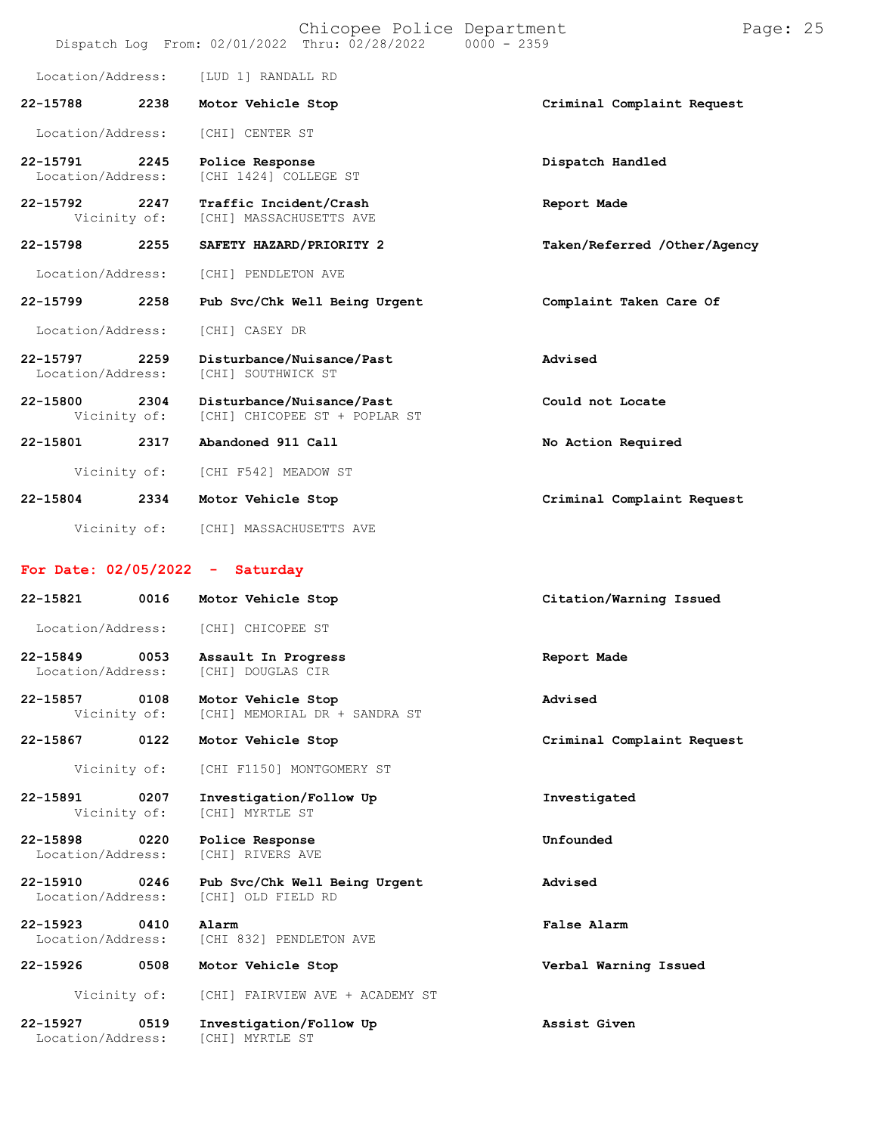|                                   |      | Dispatch Log From: 02/01/2022 Thru: 02/28/2022             | Chicopee Police Department | $0000 - 2359$ |                              | Page: 25 |  |
|-----------------------------------|------|------------------------------------------------------------|----------------------------|---------------|------------------------------|----------|--|
| Location/Address:                 |      | [LUD 1] RANDALL RD                                         |                            |               |                              |          |  |
| 22-15788                          | 2238 | Motor Vehicle Stop                                         |                            |               | Criminal Complaint Request   |          |  |
| Location/Address:                 |      | [CHI] CENTER ST                                            |                            |               |                              |          |  |
| 22-15791<br>Location/Address:     | 2245 | Police Response<br>[CHI 1424] COLLEGE ST                   |                            |               | Dispatch Handled             |          |  |
| 22-15792<br>Vicinity of:          | 2247 | Traffic Incident/Crash<br>[CHI] MASSACHUSETTS AVE          |                            |               | Report Made                  |          |  |
| 22-15798                          | 2255 | SAFETY HAZARD/PRIORITY 2                                   |                            |               | Taken/Referred /Other/Agency |          |  |
| Location/Address:                 |      | [CHI] PENDLETON AVE                                        |                            |               |                              |          |  |
| 22-15799                          | 2258 | Pub Svc/Chk Well Being Urgent                              |                            |               | Complaint Taken Care Of      |          |  |
| Location/Address:                 |      | [CHI] CASEY DR                                             |                            |               |                              |          |  |
| 22-15797<br>Location/Address:     | 2259 | Disturbance/Nuisance/Past<br>[CHI] SOUTHWICK ST            |                            |               | Advised                      |          |  |
| 22-15800<br>Vicinity of:          | 2304 | Disturbance/Nuisance/Past<br>[CHI] CHICOPEE ST + POPLAR ST |                            |               | Could not Locate             |          |  |
| 22-15801                          | 2317 | Abandoned 911 Call                                         |                            |               | No Action Required           |          |  |
| Vicinity of:                      |      | [CHI F542] MEADOW ST                                       |                            |               |                              |          |  |
| 22-15804                          | 2334 | Motor Vehicle Stop                                         |                            |               | Criminal Complaint Request   |          |  |
| Vicinity of:                      |      | [CHI] MASSACHUSETTS AVE                                    |                            |               |                              |          |  |
| For Date: $02/05/2022 -$ Saturday |      |                                                            |                            |               |                              |          |  |
| 22-15821                          | 0016 | Motor Vehicle Stop                                         |                            |               | Citation/Warning Issued      |          |  |
| Location/Address:                 |      | [CHI] CHICOPEE ST                                          |                            |               |                              |          |  |
| 22-15849<br>Location/Address:     | 0053 | Assault In Progress<br>[CHI] DOUGLAS CIR                   |                            |               | Report Made                  |          |  |
| 22-15857<br>Vicinity of:          | 0108 | Motor Vehicle Stop<br>[CHI] MEMORIAL DR + SANDRA ST        |                            |               | Advised                      |          |  |
| 22-15867                          | 0122 | Motor Vehicle Stop                                         |                            |               | Criminal Complaint Request   |          |  |
| Vicinity of:                      |      | [CHI F1150] MONTGOMERY ST                                  |                            |               |                              |          |  |
| 22-15891<br>Vicinity of:          | 0207 | Investigation/Follow Up<br>[CHI] MYRTLE ST                 |                            |               | Investigated                 |          |  |
| 22-15898<br>Location/Address:     | 0220 | Police Response<br>[CHI] RIVERS AVE                        |                            |               | Unfounded                    |          |  |
| 22-15910<br>Location/Address:     | 0246 | Pub Svc/Chk Well Being Urgent<br>[CHI] OLD FIELD RD        |                            |               | Advised                      |          |  |
| 22-15923<br>Location/Address:     | 0410 | Alarm<br>[CHI 832] PENDLETON AVE                           |                            |               | False Alarm                  |          |  |
| 22-15926                          | 0508 | Motor Vehicle Stop                                         |                            |               | Verbal Warning Issued        |          |  |
| Vicinity of:                      |      | [CHI] FAIRVIEW AVE + ACADEMY ST                            |                            |               |                              |          |  |
| 22-15927<br>Location/Address:     | 0519 | Investigation/Follow Up<br>[CHI] MYRTLE ST                 |                            |               | Assist Given                 |          |  |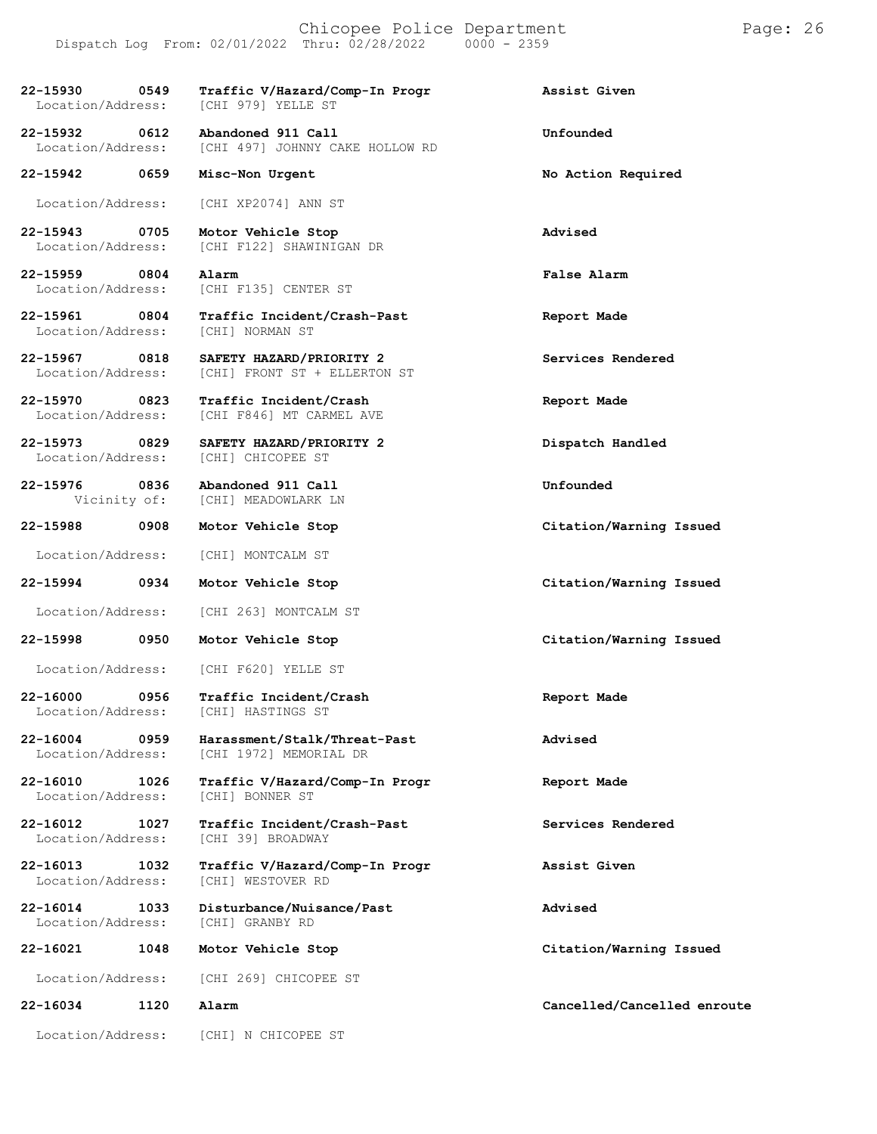| 22-15930 0549<br>Location/Address:    | Traffic V/Hazard/Comp-In Progr<br>[CHI 979] YELLE ST                    | Assist Given                |
|---------------------------------------|-------------------------------------------------------------------------|-----------------------------|
| 22-15932 0612                         | Abandoned 911 Call<br>Location/Address: [CHI 497] JOHNNY CAKE HOLLOW RD | Unfounded                   |
| 22-15942 0659                         | Misc-Non Urgent                                                         | No Action Required          |
| Location/Address:                     | [CHI XP2074] ANN ST                                                     |                             |
| 22-15943 0705<br>Location/Address:    | Motor Vehicle Stop<br>[CHI F122] SHAWINIGAN DR                          | Advised                     |
| 22-15959 0804<br>Location/Address:    | Alarm<br>[CHI F135] CENTER ST                                           | False Alarm                 |
| 22-15961 0804                         | Traffic Incident/Crash-Past<br>Location/Address: [CHI] NORMAN ST        | Report Made                 |
| 22-15967 0818<br>Location/Address:    | SAFETY HAZARD/PRIORITY 2<br>[CHI] FRONT ST + ELLERTON ST                | Services Rendered           |
| 22-15970 0823<br>Location/Address:    | Traffic Incident/Crash<br>[CHI F846] MT CARMEL AVE                      | Report Made                 |
| 22-15973 0829<br>Location/Address:    | SAFETY HAZARD/PRIORITY 2<br>[CHI] CHICOPEE ST                           | Dispatch Handled            |
| 22-15976 0836                         | Abandoned 911 Call<br>Vicinity of: [CHI] MEADOWLARK LN                  | Unfounded                   |
| 22-15988 0908                         | Motor Vehicle Stop                                                      | Citation/Warning Issued     |
|                                       | Location/Address: [CHI] MONTCALM ST                                     |                             |
| 22-15994                              | 0934<br>Motor Vehicle Stop                                              | Citation/Warning Issued     |
| Location/Address:                     | [CHI 263] MONTCALM ST                                                   |                             |
| 22-15998                              | 0950<br>Motor Vehicle Stop                                              | Citation/Warning Issued     |
|                                       | Location/Address: [CHI F620] YELLE ST                                   |                             |
| 0956<br>22-16000                      | Traffic Incident/Crash<br>Location/Address: [CHI] HASTINGS ST           | Report Made                 |
| 22-16004<br>0959<br>Location/Address: | Harassment/Stalk/Threat-Past<br>[CHI 1972] MEMORIAL DR                  | Advised                     |
| 22-16010<br>1026<br>Location/Address: | Traffic V/Hazard/Comp-In Progr<br>[CHI] BONNER ST                       | Report Made                 |
| 22-16012<br>1027<br>Location/Address: | Traffic Incident/Crash-Past<br>[CHI 39] BROADWAY                        | Services Rendered           |
| 22-16013<br>1032<br>Location/Address: | Traffic V/Hazard/Comp-In Progr<br>[CHI] WESTOVER RD                     | Assist Given                |
| 22-16014<br>1033<br>Location/Address: | Disturbance/Nuisance/Past<br>[CHI] GRANBY RD                            | Advised                     |
| 22-16021<br>1048                      | Motor Vehicle Stop                                                      | Citation/Warning Issued     |
| Location/Address:                     | [CHI 269] CHICOPEE ST                                                   |                             |
| 22-16034<br>1120                      | Alarm                                                                   | Cancelled/Cancelled enroute |
| Location/Address:                     | [CHI] N CHICOPEE ST                                                     |                             |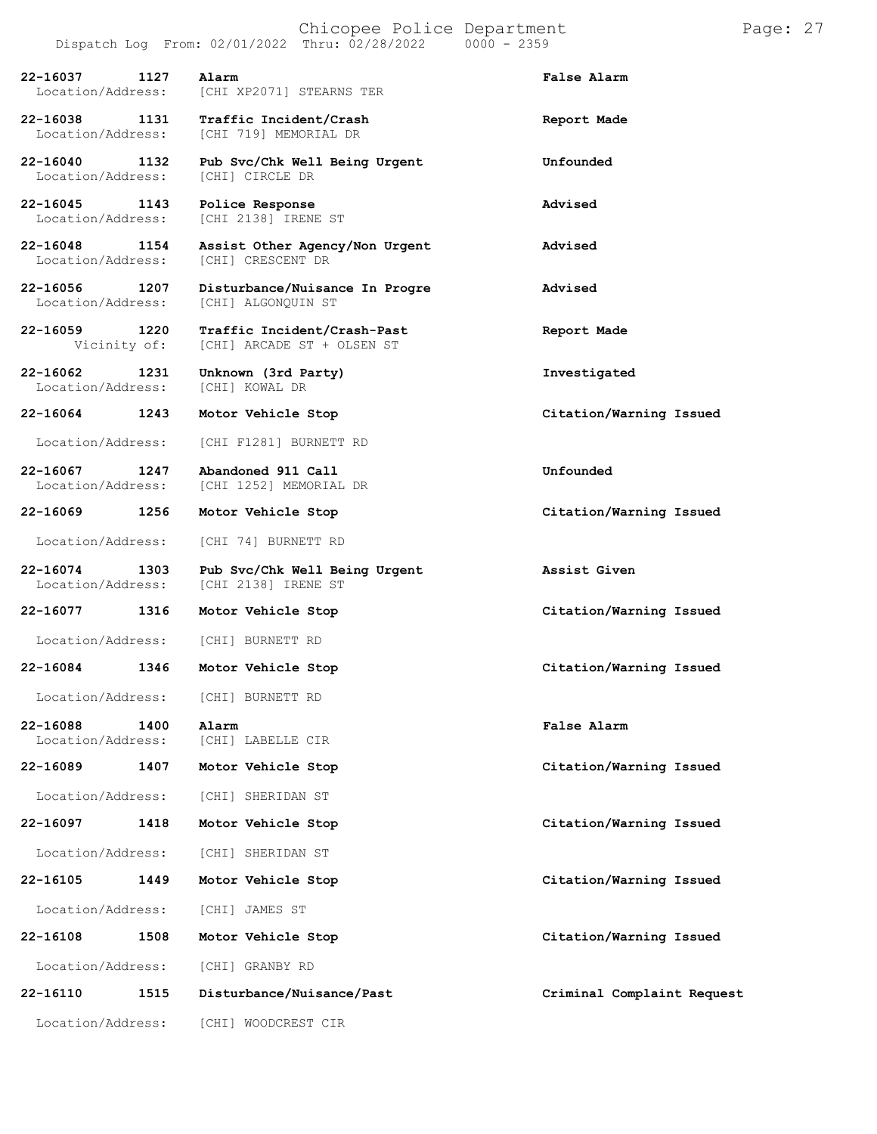|                                       | Dispatch Log From: 02/01/2022 Thru: 02/28/2022            | $0000 - 2359$              |
|---------------------------------------|-----------------------------------------------------------|----------------------------|
| 1127<br>22-16037<br>Location/Address: | Alarm<br>[CHI XP2071] STEARNS TER                         | False Alarm                |
| 22-16038 1131<br>Location/Address:    | Traffic Incident/Crash<br><b>[CHI 719] MEMORIAL DR</b>    | Report Made                |
| 22-16040<br>1132<br>Location/Address: | Pub Svc/Chk Well Being Urgent<br>[CHI] CIRCLE DR          | Unfounded                  |
| 22-16045<br>1143<br>Location/Address: | Police Response<br>[CHI 2138] IRENE ST                    | Advised                    |
| 22-16048<br>1154<br>Location/Address: | Assist Other Agency/Non Urgent<br>[CHI] CRESCENT DR       | Advised                    |
| 22-16056<br>1207<br>Location/Address: | Disturbance/Nuisance In Progre<br>[CHI] ALGONQUIN ST      | Advised                    |
| 22-16059<br>1220<br>Vicinity of:      | Traffic Incident/Crash-Past<br>[CHI] ARCADE ST + OLSEN ST | Report Made                |
| 22-16062<br>1231<br>Location/Address: | Unknown (3rd Party)<br>[CHI] KOWAL DR                     | Investigated               |
| 22-16064<br>1243                      | Motor Vehicle Stop                                        | Citation/Warning Issued    |
| Location/Address:                     | [CHI F1281] BURNETT RD                                    |                            |
| 22-16067<br>1247<br>Location/Address: | Abandoned 911 Call<br>[CHI 1252] MEMORIAL DR              | Unfounded                  |
| 22-16069 1256                         | Motor Vehicle Stop                                        | Citation/Warning Issued    |
| Location/Address:                     | [CHI 74] BURNETT RD                                       |                            |
| 22-16074<br>1303<br>Location/Address: | Pub Svc/Chk Well Being Urgent<br>[CHI 2138] IRENE ST      | Assist Given               |
| 22-16077<br>1316                      | Motor Vehicle Stop                                        | Citation/Warning Issued    |
| Location/Address:                     | [CHI] BURNETT RD                                          |                            |
| 22-16084<br>1346                      | Motor Vehicle Stop                                        | Citation/Warning Issued    |
| Location/Address:                     | [CHI] BURNETT RD                                          |                            |
| 22-16088<br>1400<br>Location/Address: | Alarm<br>[CHI] LABELLE CIR                                | False Alarm                |
| 22-16089<br>1407                      | Motor Vehicle Stop                                        | Citation/Warning Issued    |
| Location/Address:                     | [CHI] SHERIDAN ST                                         |                            |
| 22-16097<br>1418                      | Motor Vehicle Stop                                        | Citation/Warning Issued    |
| Location/Address:                     | [CHI] SHERIDAN ST                                         |                            |
| 22-16105<br>1449                      | Motor Vehicle Stop                                        | Citation/Warning Issued    |
| Location/Address:                     | [CHI] JAMES ST                                            |                            |
| 22-16108<br>1508                      | Motor Vehicle Stop                                        | Citation/Warning Issued    |
| Location/Address:                     | [CHI] GRANBY RD                                           |                            |
| 22-16110<br>1515                      | Disturbance/Nuisance/Past                                 | Criminal Complaint Request |
| Location/Address:                     | [CHI] WOODCREST CIR                                       |                            |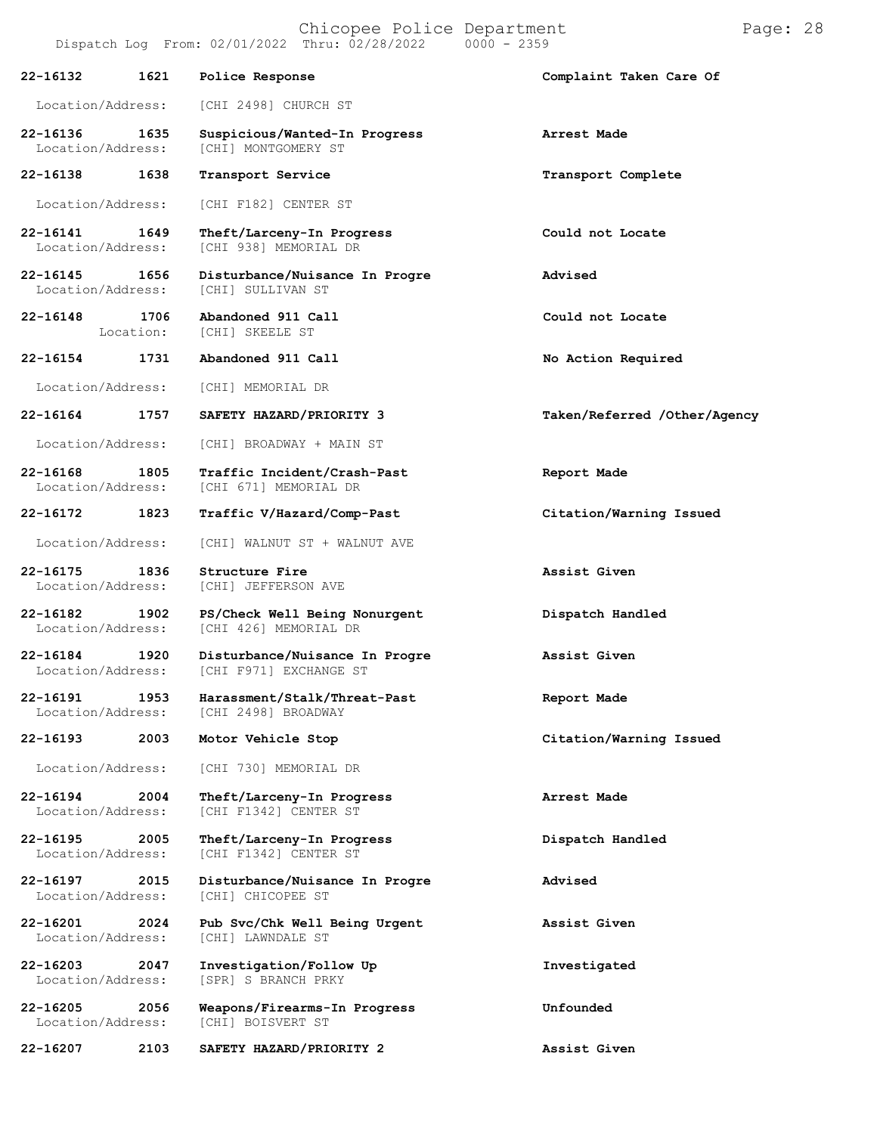| 22-16132                      | 1621              | Police Response                                          | Complaint Taken Care Of      |
|-------------------------------|-------------------|----------------------------------------------------------|------------------------------|
| Location/Address:             |                   | [CHI 2498] CHURCH ST                                     |                              |
| 22-16136<br>Location/Address: | 1635              | Suspicious/Wanted-In Progress<br>[CHI] MONTGOMERY ST     | Arrest Made                  |
| 22-16138                      | 1638              | Transport Service                                        | Transport Complete           |
| Location/Address:             |                   | [CHI F182] CENTER ST                                     |                              |
| 22-16141<br>Location/Address: | 1649              | Theft/Larceny-In Progress<br>[CHI 938] MEMORIAL DR       | Could not Locate             |
| 22-16145<br>Location/Address: | 1656              | Disturbance/Nuisance In Progre<br>[CHI] SULLIVAN ST      | Advised                      |
| 22-16148                      | 1706<br>Location: | Abandoned 911 Call<br>[CHI] SKEELE ST                    | Could not Locate             |
| 22-16154                      | 1731              | Abandoned 911 Call                                       | No Action Required           |
| Location/Address:             |                   | [CHI] MEMORIAL DR                                        |                              |
| 22-16164                      | 1757              | SAFETY HAZARD/PRIORITY 3                                 | Taken/Referred /Other/Agency |
| Location/Address:             |                   | [CHI] BROADWAY + MAIN ST                                 |                              |
| 22-16168<br>Location/Address: | 1805              | Traffic Incident/Crash-Past<br>[CHI 671] MEMORIAL DR     | Report Made                  |
| 22-16172                      | 1823              | Traffic V/Hazard/Comp-Past                               | Citation/Warning Issued      |
| Location/Address:             |                   | [CHI] WALNUT ST + WALNUT AVE                             |                              |
| 22-16175<br>Location/Address: | 1836              | Structure Fire<br>[CHI] JEFFERSON AVE                    | Assist Given                 |
| 22-16182<br>Location/Address: | 1902              | PS/Check Well Being Nonurgent<br>[CHI 426] MEMORIAL DR   | Dispatch Handled             |
| 22-16184<br>Location/Address: | 1920              | Disturbance/Nuisance In Progre<br>[CHI F971] EXCHANGE ST | Assist Given                 |
| 22-16191<br>Location/Address: | 1953              | Harassment/Stalk/Threat-Past<br>[CHI 2498] BROADWAY      | Report Made                  |
| 22-16193                      | 2003              | Motor Vehicle Stop                                       | Citation/Warning Issued      |
| Location/Address:             |                   | [CHI 730] MEMORIAL DR                                    |                              |
| 22-16194<br>Location/Address: | 2004              | Theft/Larceny-In Progress<br>[CHI F1342] CENTER ST       | Arrest Made                  |

**22-16195 2005 Theft/Larceny-In Progress Dispatch Handled** Location/Address: [CHI F1342] CENTER ST

**22-16197 2015 Disturbance/Nuisance In Progre Advised** Location/Address:

**22-16201 2024 Pub Svc/Chk Well Being Urgent Assist Given** Location/Address: [CHI] LAWNDALE ST

**22-16203 2047 Investigation/Follow Up Investigated**

**22-16205 2056 Weapons/Firearms-In Progress Unfounded** Location/Address:

[SPR] S BRANCH PRKY

**22-16207 2103 SAFETY HAZARD/PRIORITY 2 Assist Given**

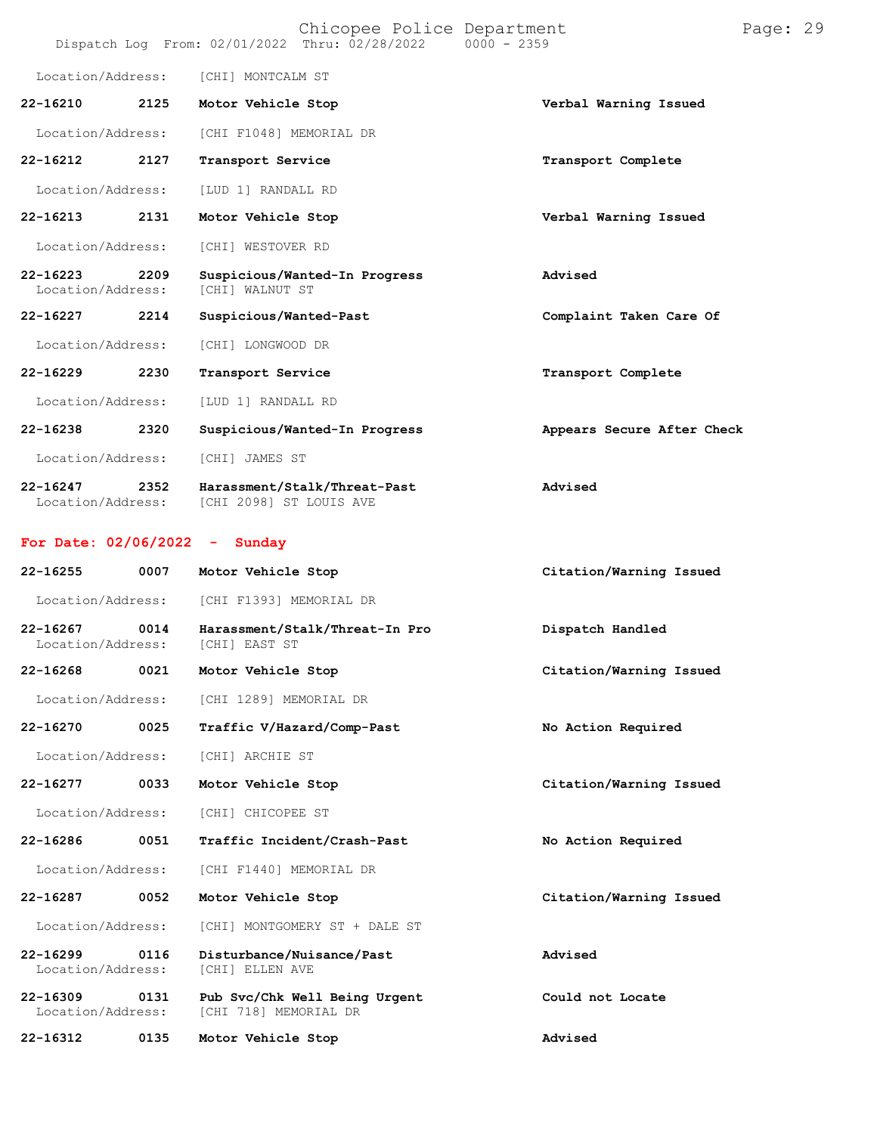|                                   |      | Chicopee Police Department<br>Dispatch Log From: 02/01/2022 Thru: 02/28/2022 | $0000 - 2359$              | Page: 29 |  |
|-----------------------------------|------|------------------------------------------------------------------------------|----------------------------|----------|--|
| Location/Address:                 |      | [CHI] MONTCALM ST                                                            |                            |          |  |
| 22-16210                          | 2125 | Motor Vehicle Stop                                                           | Verbal Warning Issued      |          |  |
| Location/Address:                 |      | [CHI F1048] MEMORIAL DR                                                      |                            |          |  |
| 22-16212                          | 2127 | Transport Service                                                            | Transport Complete         |          |  |
| Location/Address:                 |      | [LUD 1] RANDALL RD                                                           |                            |          |  |
| 22-16213                          | 2131 | Motor Vehicle Stop                                                           | Verbal Warning Issued      |          |  |
| Location/Address:                 |      | [CHI] WESTOVER RD                                                            |                            |          |  |
| 22-16223<br>Location/Address:     | 2209 | Suspicious/Wanted-In Progress<br>[CHI] WALNUT ST                             | Advised                    |          |  |
| 22-16227                          | 2214 | Suspicious/Wanted-Past                                                       | Complaint Taken Care Of    |          |  |
| Location/Address:                 |      | [CHI] LONGWOOD DR                                                            |                            |          |  |
| 22-16229                          | 2230 | Transport Service                                                            | Transport Complete         |          |  |
| Location/Address:                 |      | [LUD 1] RANDALL RD                                                           |                            |          |  |
| $22 - 16238$                      | 2320 | Suspicious/Wanted-In Progress                                                | Appears Secure After Check |          |  |
| Location/Address:                 |      | [CHI] JAMES ST                                                               |                            |          |  |
| 22-16247<br>Location/Address:     | 2352 | Harassment/Stalk/Threat-Past<br>[CHI 2098] ST LOUIS AVE                      | Advised                    |          |  |
| For Date: $02/06/2022 -$          |      | Sunday                                                                       |                            |          |  |
| 22-16255                          | 0007 | Motor Vehicle Stop                                                           | Citation/Warning Issued    |          |  |
| Location/Address:                 |      | [CHI F1393] MEMORIAL DR                                                      |                            |          |  |
| $22 - 16267$<br>Location/Address: | 0014 | Harassment/Stalk/Threat-In Pro<br>[CHI] EAST ST                              | Dispatch Handled           |          |  |
| $22 - 16268$                      | 0021 | Motor Vehicle Stop                                                           | Citation/Warning Issued    |          |  |
| Location/Address:                 |      | [CHI 1289] MEMORIAL DR                                                       |                            |          |  |
| 22-16270                          | 0025 | Traffic V/Hazard/Comp-Past                                                   | No Action Required         |          |  |
| Location/Address:                 |      | [CHI] ARCHIE ST                                                              |                            |          |  |
| 22-16277                          | 0033 | Motor Vehicle Stop                                                           | Citation/Warning Issued    |          |  |
| Location/Address:                 |      | [CHI] CHICOPEE ST                                                            |                            |          |  |
| 22-16286                          | 0051 | Traffic Incident/Crash-Past                                                  | No Action Required         |          |  |
| Location/Address:                 |      | [CHI F1440] MEMORIAL DR                                                      |                            |          |  |
| 22-16287                          | 0052 | Motor Vehicle Stop                                                           | Citation/Warning Issued    |          |  |
| Location/Address:                 |      | [CHI] MONTGOMERY ST + DALE ST                                                |                            |          |  |
| 22-16299<br>Location/Address:     | 0116 | Disturbance/Nuisance/Past<br>[CHI] ELLEN AVE                                 | Advised                    |          |  |
| $22 - 16309$<br>Location/Address: | 0131 | Pub Svc/Chk Well Being Urgent<br>[CHI 718] MEMORIAL DR                       | Could not Locate           |          |  |
| 22-16312                          | 0135 | Motor Vehicle Stop                                                           | Advised                    |          |  |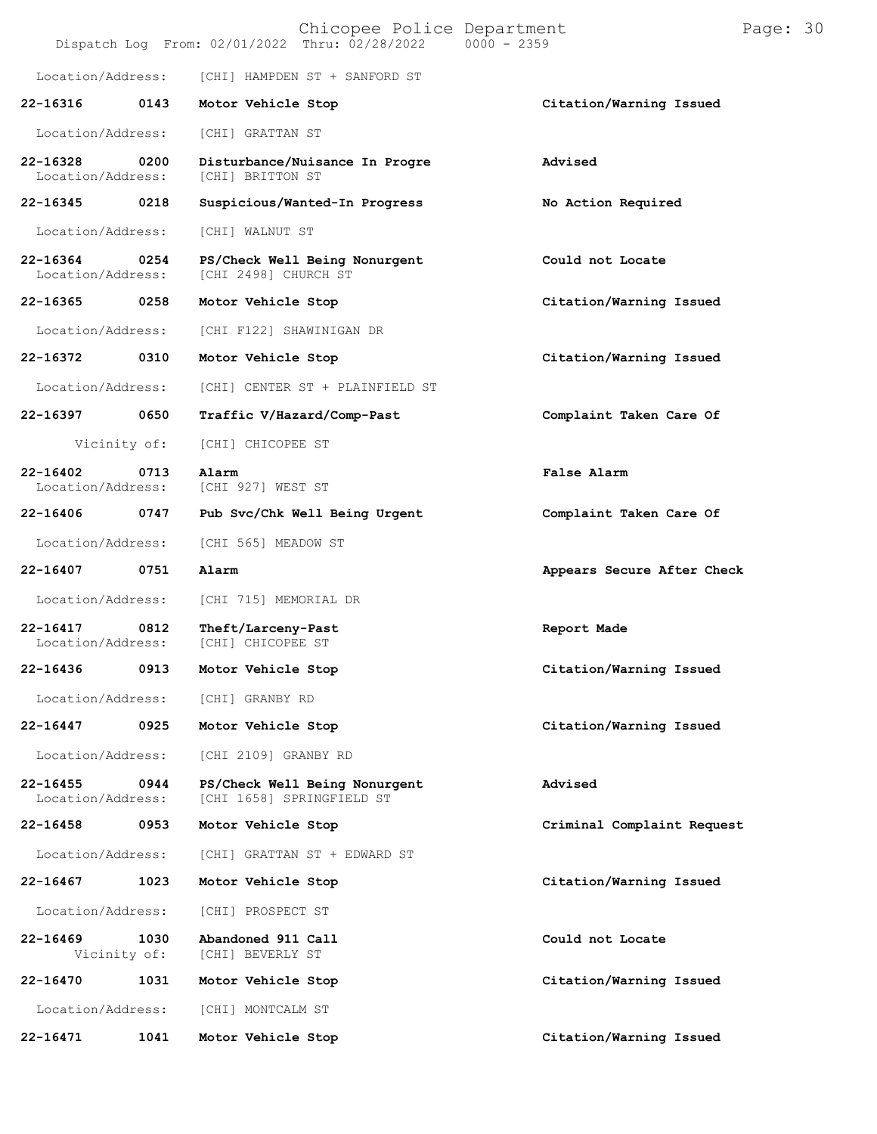|                                   |      | Chicopee Police Department<br>Dispatch Log From: 02/01/2022 Thru: 02/28/2022 | $0000 - 2359$ |                            | Page: 30 |  |
|-----------------------------------|------|------------------------------------------------------------------------------|---------------|----------------------------|----------|--|
| Location/Address:                 |      | [CHI] HAMPDEN ST + SANFORD ST                                                |               |                            |          |  |
| 22-16316                          | 0143 | Motor Vehicle Stop                                                           |               | Citation/Warning Issued    |          |  |
| Location/Address:                 |      | [CHI] GRATTAN ST                                                             |               |                            |          |  |
| 22-16328<br>Location/Address:     | 0200 | Disturbance/Nuisance In Progre<br>[CHI] BRITTON ST                           |               | Advised                    |          |  |
| 22-16345                          | 0218 | Suspicious/Wanted-In Progress                                                |               | No Action Required         |          |  |
| Location/Address:                 |      | [CHI] WALNUT ST                                                              |               |                            |          |  |
| 22-16364<br>Location/Address:     | 0254 | PS/Check Well Being Nonurgent<br>[CHI 2498] CHURCH ST                        |               | Could not Locate           |          |  |
| 22-16365                          | 0258 | Motor Vehicle Stop                                                           |               | Citation/Warning Issued    |          |  |
| Location/Address:                 |      | [CHI F122] SHAWINIGAN DR                                                     |               |                            |          |  |
| 22-16372                          | 0310 | Motor Vehicle Stop                                                           |               | Citation/Warning Issued    |          |  |
| Location/Address:                 |      | [CHI] CENTER ST + PLAINFIELD ST                                              |               |                            |          |  |
| 22-16397                          | 0650 | Traffic V/Hazard/Comp-Past                                                   |               | Complaint Taken Care Of    |          |  |
| Vicinity of:                      |      | [CHI] CHICOPEE ST                                                            |               |                            |          |  |
| $22 - 16402$<br>Location/Address: | 0713 | Alarm<br>[CHI 927] WEST ST                                                   |               | False Alarm                |          |  |
| 22-16406                          | 0747 | Pub Svc/Chk Well Being Urgent                                                |               | Complaint Taken Care Of    |          |  |
| Location/Address:                 |      | [CHI 565] MEADOW ST                                                          |               |                            |          |  |
| 22-16407                          | 0751 | Alarm                                                                        |               | Appears Secure After Check |          |  |
| Location/Address:                 |      | [CHI 715] MEMORIAL DR                                                        |               |                            |          |  |
| 22-16417<br>Location/Address:     | 0812 | Theft/Larceny-Past<br>[CHI] CHICOPEE ST                                      |               | Report Made                |          |  |
| 22-16436                          | 0913 | Motor Vehicle Stop                                                           |               | Citation/Warning Issued    |          |  |
| Location/Address:                 |      | [CHI] GRANBY RD                                                              |               |                            |          |  |
| 22-16447                          | 0925 | Motor Vehicle Stop                                                           |               | Citation/Warning Issued    |          |  |
| Location/Address:                 |      | [CHI 2109] GRANBY RD                                                         |               |                            |          |  |
| $22 - 16455$<br>Location/Address: | 0944 | PS/Check Well Being Nonurgent<br>[CHI 1658] SPRINGFIELD ST                   |               | Advised                    |          |  |
| 22-16458                          | 0953 | Motor Vehicle Stop                                                           |               | Criminal Complaint Request |          |  |
| Location/Address:                 |      | [CHI] GRATTAN ST + EDWARD ST                                                 |               |                            |          |  |
| $22 - 16467$                      | 1023 | Motor Vehicle Stop                                                           |               | Citation/Warning Issued    |          |  |
| Location/Address:                 |      | [CHI] PROSPECT ST                                                            |               |                            |          |  |
| $22 - 16469$<br>Vicinity of:      | 1030 | Abandoned 911 Call<br>[CHI] BEVERLY ST                                       |               | Could not Locate           |          |  |
| 22-16470                          | 1031 | Motor Vehicle Stop                                                           |               | Citation/Warning Issued    |          |  |
| Location/Address:                 |      | [CHI] MONTCALM ST                                                            |               |                            |          |  |
| 22-16471                          | 1041 | Motor Vehicle Stop                                                           |               | Citation/Warning Issued    |          |  |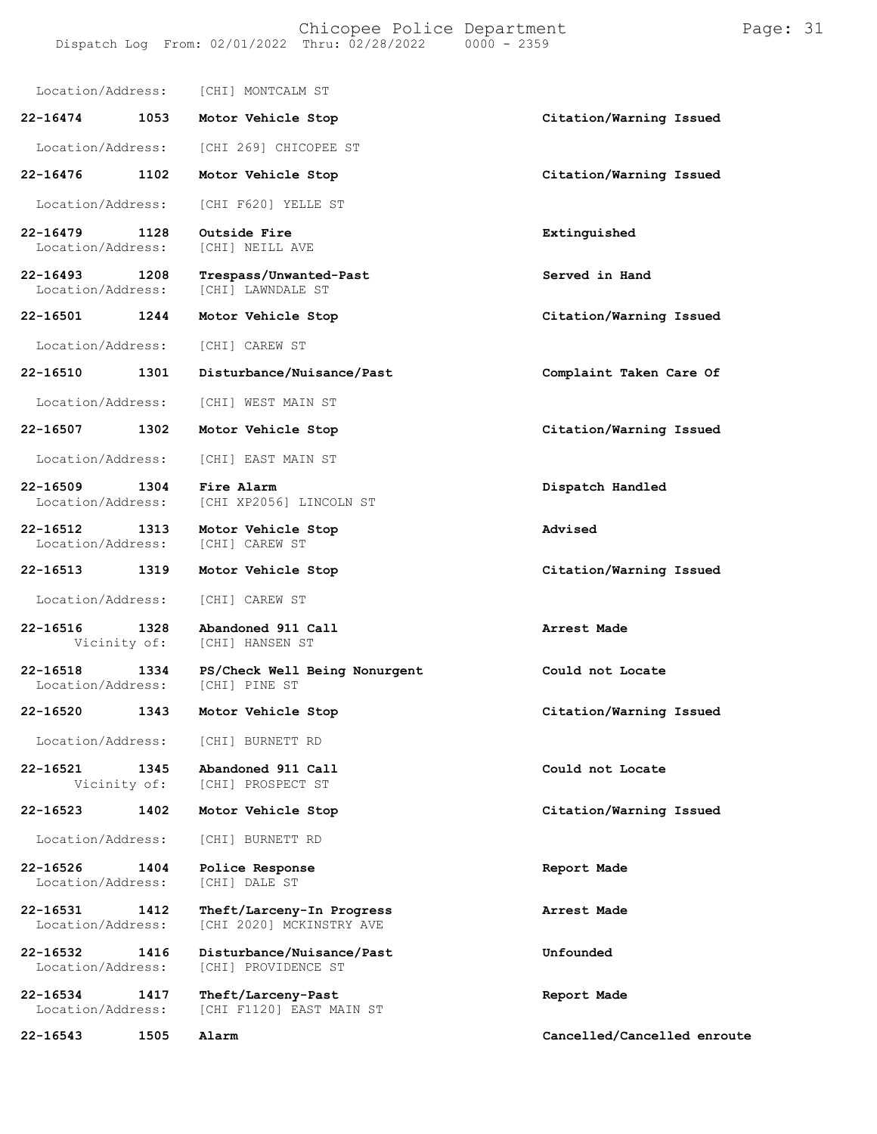Location/Address: [CHI] MONTCALM ST **22-16474 1053 Motor Vehicle Stop Citation/Warning Issued** Location/Address: [CHI 269] CHICOPEE ST **22-16476 1102 Motor Vehicle Stop Citation/Warning Issued** Location/Address: [CHI F620] YELLE ST **22-16479 1128 Outside Fire Extinguished** [CHI] NEILL AVE **22-16493 1208 Trespass/Unwanted-Past Served in Hand** Location/Address: [CHI] LAWNDALE ST **22-16501 1244 Motor Vehicle Stop Citation/Warning Issued** Location/Address: [CHI] CAREW ST **22-16510 1301 Disturbance/Nuisance/Past Complaint Taken Care Of** Location/Address: [CHI] WEST MAIN ST **22-16507 1302 Motor Vehicle Stop Citation/Warning Issued** Location/Address: [CHI] EAST MAIN ST **22-16509 1304 Fire Alarm Dispatch Handled** [CHI XP2056] LINCOLN ST **22-16512 1313 Motor Vehicle Stop Advised** Location/Address: **22-16513 1319 Motor Vehicle Stop Citation/Warning Issued** Location/Address: [CHI] CAREW ST **22-16516 1328 Abandoned 911 Call Arrest Made** [CHI] HANSEN ST **22-16518 1334 PS/Check Well Being Nonurgent Could not Locate** Location/Address: **22-16520 1343 Motor Vehicle Stop Citation/Warning Issued** Location/Address: [CHI] BURNETT RD **22-16521 1345 Abandoned 911 Call Could not Locate** [CHI] PROSPECT ST **22-16523 1402 Motor Vehicle Stop Citation/Warning Issued** Location/Address: [CHI] BURNETT RD **22-16526 1404 Police Response Report Made** Location/Address: **22-16531 1412 Theft/Larceny-In Progress Arrest Made** [CHI 2020] MCKINSTRY AVE **22-16532 1416 Disturbance/Nuisance/Past Unfounded** [CHI] PROVIDENCE ST **22-16534 1417 Theft/Larceny-Past Report Made** [CHI F1120] EAST MAIN ST **22-16543 1505 Alarm Cancelled/Cancelled enroute**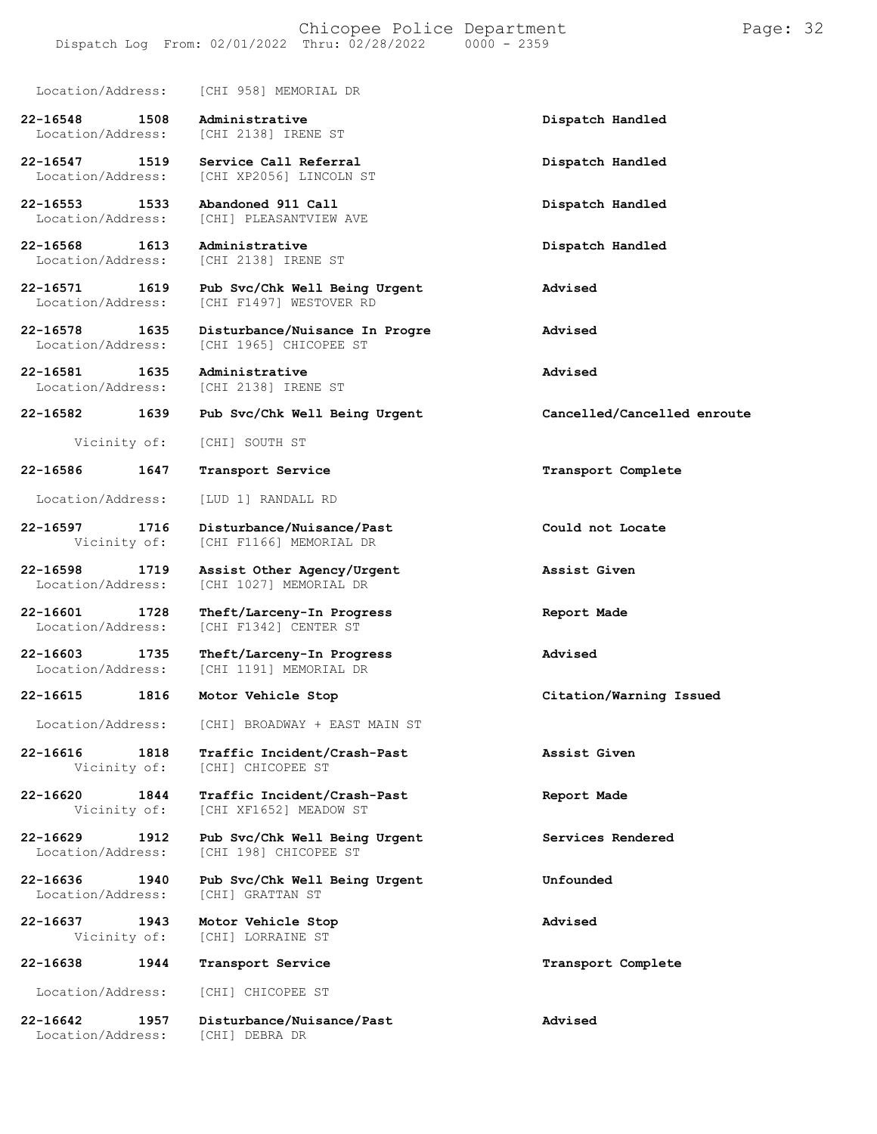### Chicopee Police Department Page: 32 Dispatch Log From:  $02/01/2022$  Thru:  $02/28/2022$

Location/Address: [CHI 958] MEMORIAL DR

**22-16548 1508 Administrative Dispatch Handled** Location/Address:

**22-16547 1519 Service Call Referral Dispatch Handled** Location/Address: [CHI XP2056] LINCOLN ST

**22-16553 1533 Abandoned 911 Call Dispatch Handled** [CHI] PLEASANTVIEW AVE

**22-16568 1613 Administrative Dispatch Handled** [CHI 2138] IRENE ST

**22-16571 1619 Pub Svc/Chk Well Being Urgent Advised** Location/Address: [CHI F1497] WESTOVER RD

**22-16578 1635 Disturbance/Nuisance In Progre Advised** [CHI 1965] CHICOPEE ST

[CHI F1166] MEMORIAL DR

Location/Address: [CHI F1342] CENTER ST

[CHI 1191] MEMORIAL DR

[CHI] CHICOPEE ST

[CHI XF1652] MEADOW ST

[CHI 198] CHICOPEE ST

Location/Address: [CHI] GRATTAN ST

[CHI] LORRAINE ST

**22-16581 1635 Administrative Advised** [CHI 2138] IRENE ST

## **22-16582 1639 Pub Svc/Chk Well Being Urgent Cancelled/Cancelled enroute**

Vicinity of: [CHI] SOUTH ST

**22-16586 1647 Transport Service Transport Complete**

Location/Address: [LUD 1] RANDALL RD

**22-16597 1716 Disturbance/Nuisance/Past Could not Locate**

**22-16598 1719 Assist Other Agency/Urgent Assist Given** Location/Address: [CHI 1027] MEMORIAL DR

**22-16601 1728 Theft/Larceny-In Progress Report Made**

**22-16603 1735 Theft/Larceny-In Progress Advised**

Location/Address: [CHI] BROADWAY + EAST MAIN ST

**22-16616 1818 Traffic Incident/Crash-Past Assist Given**

**22-16620 1844 Traffic Incident/Crash-Past Report Made**

**22-16629 1912 Pub Svc/Chk Well Being Urgent Services Rendered**

**22-16636 1940 Pub Svc/Chk Well Being Urgent Unfounded**

**22-16637 1943 Motor Vehicle Stop Advised**

**22-16638 1944 Transport Service Transport Complete**

Location/Address: [CHI] CHICOPEE ST

**22-16642 1957 Disturbance/Nuisance/Past Advised** Location/Address:

**22-16615 1816 Motor Vehicle Stop Citation/Warning Issued**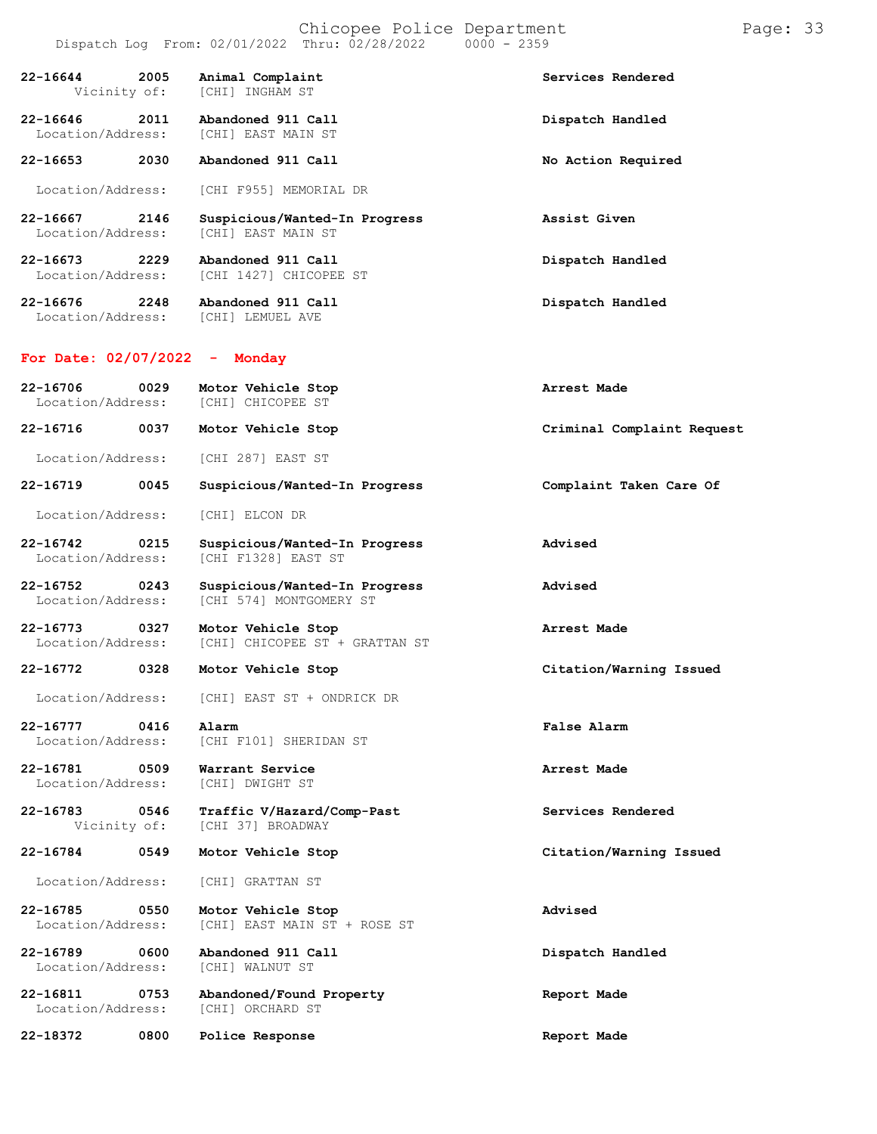|                                           | Dispatch Log From: 02/01/2022 Thru: 02/28/2022<br>$0000 - 2359$ |                            |
|-------------------------------------------|-----------------------------------------------------------------|----------------------------|
| 2005<br>22-16644<br>Vicinity of:          | Animal Complaint<br>[CHI] INGHAM ST                             | Services Rendered          |
| $22 - 16646$<br>2011<br>Location/Address: | Abandoned 911 Call<br>[CHI] EAST MAIN ST                        | Dispatch Handled           |
| 22-16653<br>2030                          | Abandoned 911 Call                                              | No Action Required         |
| Location/Address:                         | [CHI F955] MEMORIAL DR                                          |                            |
| 22-16667<br>2146<br>Location/Address:     | Suspicious/Wanted-In Progress<br>[CHI] EAST MAIN ST             | Assist Given               |
| 22-16673<br>2229<br>Location/Address:     | Abandoned 911 Call<br>[CHI 1427] CHICOPEE ST                    | Dispatch Handled           |
| 22-16676 2248<br>Location/Address:        | Abandoned 911 Call<br>[CHI] LEMUEL AVE                          | Dispatch Handled           |
| For Date: $02/07/2022 -$                  | Monday                                                          |                            |
| 22-16706<br>0029<br>Location/Address:     | Motor Vehicle Stop<br>[CHI] CHICOPEE ST                         | Arrest Made                |
| 22-16716<br>0037                          | Motor Vehicle Stop                                              | Criminal Complaint Request |
| Location/Address:                         | [CHI 287] EAST ST                                               |                            |
| 22-16719<br>0045                          | Suspicious/Wanted-In Progress                                   | Complaint Taken Care Of    |
| Location/Address:                         | [CHI] ELCON DR                                                  |                            |
| 22-16742<br>0215<br>Location/Address:     | Suspicious/Wanted-In Progress<br>[CHI F1328] EAST ST            | Advised                    |
| $22 - 16752$<br>0243<br>Location/Address: | Suspicious/Wanted-In Progress<br>[CHI 574] MONTGOMERY ST        | Advised                    |
| 22-16773 0327<br>Location/Address:        | Motor Vehicle Stop<br>[CHI] CHICOPEE ST + GRATTAN ST            | Arrest Made                |
| 22-16772<br>0328                          | Motor Vehicle Stop                                              | Citation/Warning Issued    |
| Location/Address:                         | [CHI] EAST ST + ONDRICK DR                                      |                            |
| 22-16777<br>0416<br>Location/Address:     | Alarm<br>[CHI F101] SHERIDAN ST                                 | False Alarm                |
| 22-16781<br>0509<br>Location/Address:     | Warrant Service<br>[CHI] DWIGHT ST                              | Arrest Made                |
| 22-16783<br>0546<br>Vicinity of:          | Traffic V/Hazard/Comp-Past<br>[CHI 37] BROADWAY                 | Services Rendered          |
| 22-16784<br>0549                          | Motor Vehicle Stop                                              | Citation/Warning Issued    |
| Location/Address:                         | [CHI] GRATTAN ST                                                |                            |
| 22-16785<br>0550<br>Location/Address:     | Motor Vehicle Stop<br>[CHI] EAST MAIN ST + ROSE ST              | Advised                    |
| 22-16789<br>0600<br>Location/Address:     | Abandoned 911 Call<br>[CHI] WALNUT ST                           | Dispatch Handled           |
| 22-16811<br>0753<br>Location/Address:     | Abandoned/Found Property<br>[CHI] ORCHARD ST                    | Report Made                |

**22-18372 0800 Police Response Report Made**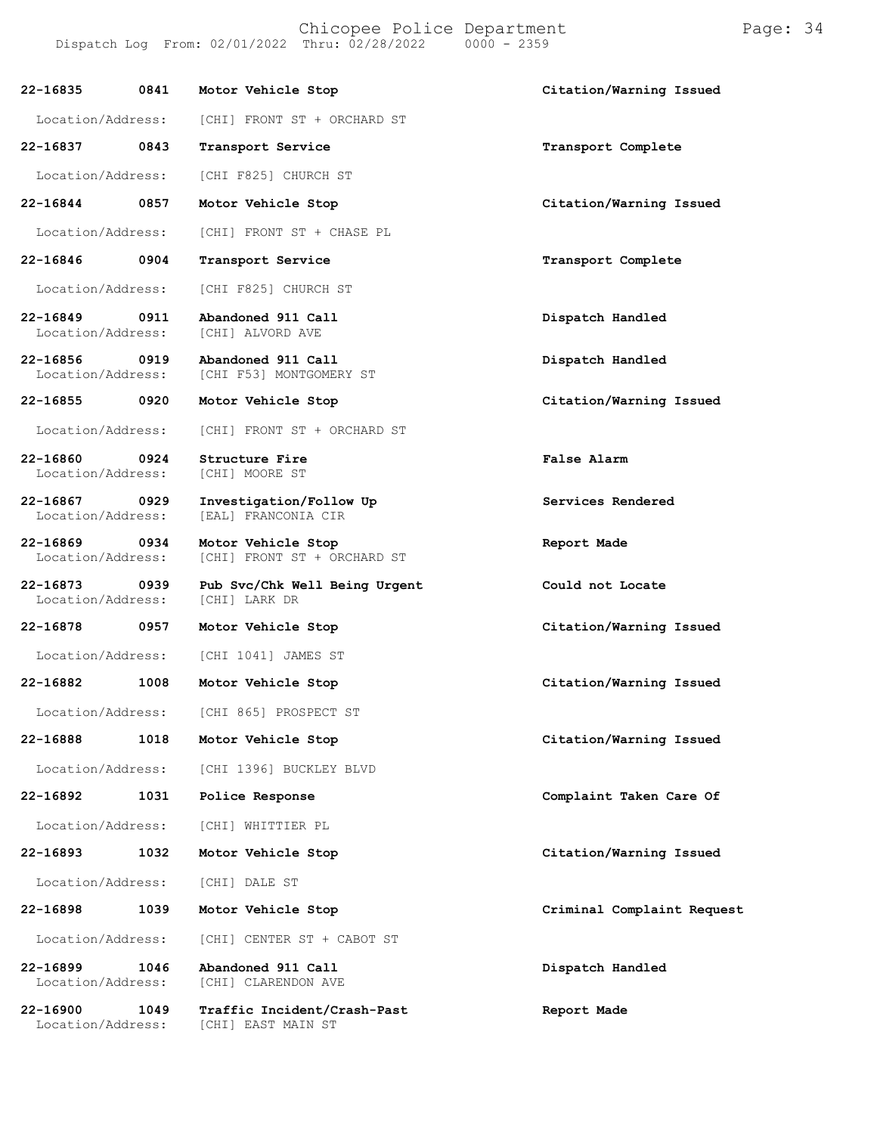Chicopee Police Department Page: 34

**22-16835 0841 Motor Vehicle Stop Citation/Warning Issued** Location/Address: [CHI] FRONT ST + ORCHARD ST **22-16837 0843 Transport Service Transport Complete** Location/Address: [CHI F825] CHURCH ST **22-16844 0857 Motor Vehicle Stop Citation/Warning Issued** Location/Address: [CHI] FRONT ST + CHASE PL **22-16846 0904 Transport Service Transport Complete** Location/Address: [CHI F825] CHURCH ST **22-16849 0911 Abandoned 911 Call Dispatch Handled** Location/Address: **22-16856 0919 Abandoned 911 Call Dispatch Handled** [CHI F53] MONTGOMERY ST **22-16855 0920 Motor Vehicle Stop Citation/Warning Issued** Location/Address: [CHI] FRONT ST + ORCHARD ST **22-16860 0924 Structure Fire False Alarm** Location/Address: **22-16867 0929 Investigation/Follow Up Services Rendered** [EAL] FRANCONIA CIR **22-16869 0934 Motor Vehicle Stop Report Made** [CHI] FRONT ST + ORCHARD ST **22-16873 0939 Pub Svc/Chk Well Being Urgent Could not Locate** Location/Address: **22-16878 0957 Motor Vehicle Stop Citation/Warning Issued** Location/Address: [CHI 1041] JAMES ST **22-16882 1008 Motor Vehicle Stop Citation/Warning Issued** Location/Address: [CHI 865] PROSPECT ST **22-16888 1018 Motor Vehicle Stop Citation/Warning Issued** Location/Address: [CHI 1396] BUCKLEY BLVD **22-16892 1031 Police Response Complaint Taken Care Of** Location/Address: [CHI] WHITTIER PL **22-16893 1032 Motor Vehicle Stop Citation/Warning Issued** Location/Address: [CHI] DALE ST **22-16898 1039 Motor Vehicle Stop Criminal Complaint Request** Location/Address: [CHI] CENTER ST + CABOT ST **22-16899 1046 Abandoned 911 Call Dispatch Handled** [CHI] CLARENDON AVE **22-16900 1049 Traffic Incident/Crash-Past Report Made** [CHI] EAST MAIN ST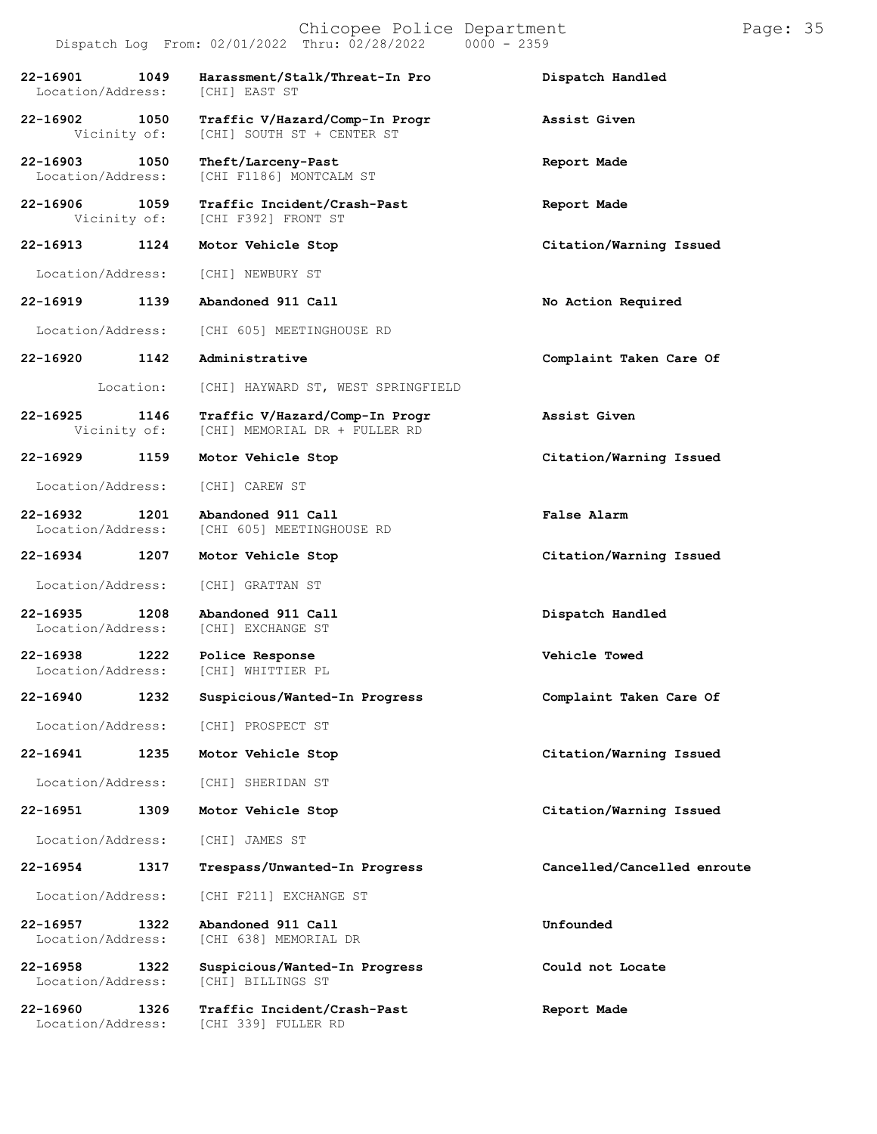# Chicopee Police Department Page: 35 Dispatch Log From:  $02/01/2022$  Thru:  $02/28/2022$ **22-16901 1049 Harassment/Stalk/Threat-In Pro Dispatch Handled** Location/Address: **22-16902 1050 Traffic V/Hazard/Comp-In Progr Assist Given** [CHI] SOUTH ST + CENTER ST **22-16903 1050 Theft/Larceny-Past Report Made** [CHI F1186] MONTCALM ST **22-16906 1059 Traffic Incident/Crash-Past Report Made** [CHI F392] FRONT ST **22-16913 1124 Motor Vehicle Stop Citation/Warning Issued** Location/Address: [CHI] NEWBURY ST **22-16919 1139 Abandoned 911 Call No Action Required** Location/Address: [CHI 605] MEETINGHOUSE RD **22-16920 1142 Administrative Complaint Taken Care Of** Location: [CHI] HAYWARD ST, WEST SPRINGFIELD **22-16925 1146 Traffic V/Hazard/Comp-In Progr Assist Given** [CHI] MEMORIAL DR + FULLER RD **22-16929 1159 Motor Vehicle Stop Citation/Warning Issued** Location/Address: [CHI] CAREW ST **22-16932 1201 Abandoned 911 Call False Alarm** [CHI 605] MEETINGHOUSE RD **22-16934 1207 Motor Vehicle Stop Citation/Warning Issued** Location/Address: [CHI] GRATTAN ST **22-16935 1208 Abandoned 911 Call Dispatch Handled** Location/Address: [CHI] EXCHANGE ST **22-16938 1222 Police Response Vehicle Towed** [CHI] WHITTIER PL **22-16940 1232 Suspicious/Wanted-In Progress Complaint Taken Care Of** Location/Address: [CHI] PROSPECT ST **22-16941 1235 Motor Vehicle Stop Citation/Warning Issued** Location/Address: [CHI] SHERIDAN ST **22-16951 1309 Motor Vehicle Stop Citation/Warning Issued** Location/Address: [CHI] JAMES ST **22-16954 1317 Trespass/Unwanted-In Progress Cancelled/Cancelled enroute** Location/Address: [CHI F211] EXCHANGE ST **22-16957 1322 Abandoned 911 Call Unfounded** [CHI 638] MEMORIAL DR **22-16958 1322 Suspicious/Wanted-In Progress Could not Locate** Location/Address: **22-16960 1326 Traffic Incident/Crash-Past Report Made**

Location/Address: [CHI 339] FULLER RD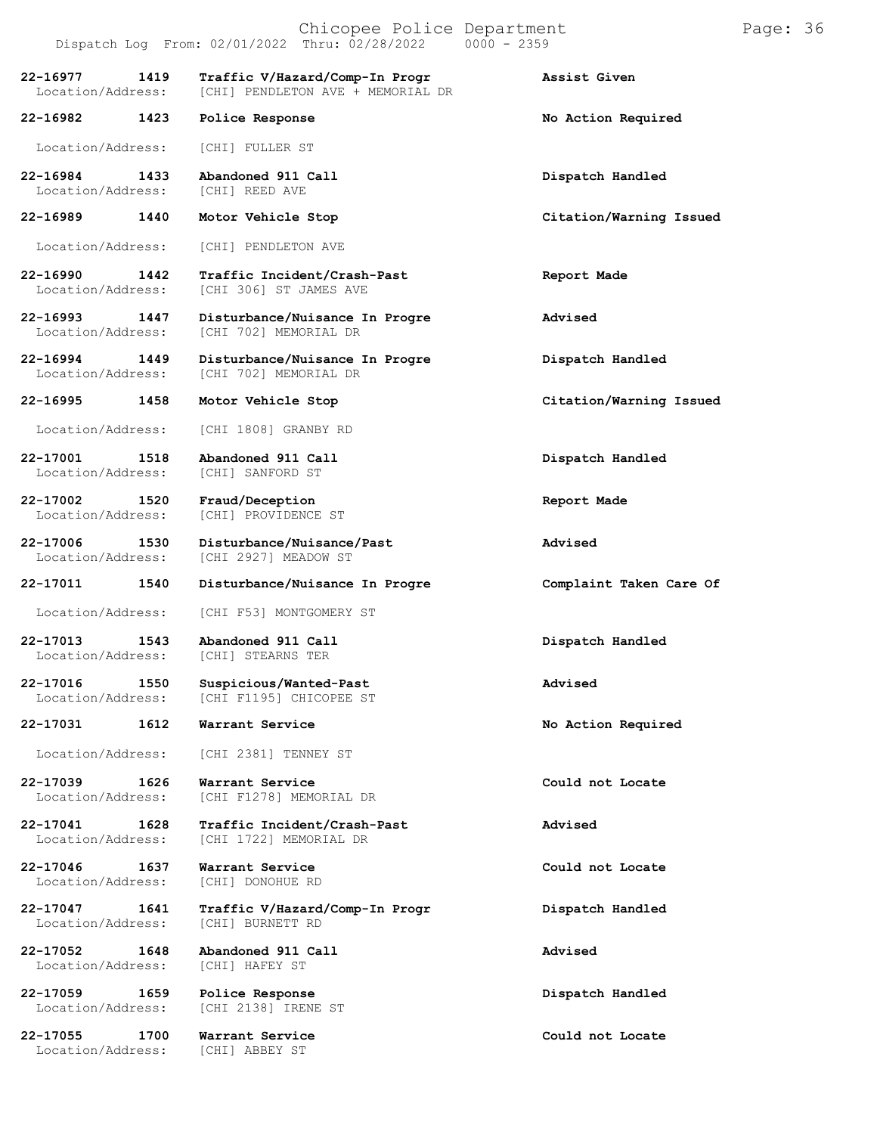|                                       | Dispatch Log From: $02/01/2022$ Thru: $02/28/2022$ 0000 - 2359                    |                         |
|---------------------------------------|-----------------------------------------------------------------------------------|-------------------------|
| 22-16977<br>1419<br>Location/Address: | Traffic V/Hazard/Comp-In Progr<br>[CHI] PENDLETON AVE + MEMORIAL DR               | Assist Given            |
| 22-16982 1423                         | Police Response                                                                   | No Action Required      |
| Location/Address:                     | [CHI] FULLER ST                                                                   |                         |
| 22-16984<br>1433<br>Location/Address: | Abandoned 911 Call<br>[CHI] REED AVE                                              | Dispatch Handled        |
| 22-16989 1440                         | Motor Vehicle Stop                                                                | Citation/Warning Issued |
| Location/Address:                     | [CHI] PENDLETON AVE                                                               |                         |
| 22-16990<br>1442<br>Location/Address: | Traffic Incident/Crash-Past<br>[CHI 306] ST JAMES AVE                             | Report Made             |
| 22-16993<br>1447<br>Location/Address: | Disturbance/Nuisance In Progre<br>[CHI 702] MEMORIAL DR                           | Advised                 |
| 22-16994<br>1449<br>Location/Address: | Disturbance/Nuisance In Progre<br>ICHI 7021 MEMORIAL DR                           | Dispatch Handled        |
| 22-16995<br>1458                      | Motor Vehicle Stop                                                                | Citation/Warning Issued |
| Location/Address:                     | [CHI 1808] GRANBY RD                                                              |                         |
| 22-17001 1518<br>Location/Address:    | Abandoned 911 Call<br>[CHI] SANFORD ST                                            | Dispatch Handled        |
| 22-17002<br>1520<br>Location/Address: | Fraud/Deception<br>[CHI] PROVIDENCE ST                                            | Report Made             |
| 22-17006<br>1530<br>Location/Address: | Disturbance/Nuisance/Past<br>[CHI 2927] MEADOW ST                                 | Advised                 |
| 22-17011 1540                         | Disturbance/Nuisance In Progre                                                    | Complaint Taken Care Of |
| Location/Address:                     | [CHI F53] MONTGOMERY ST                                                           |                         |
| 22-17013<br>1543<br>Location/Address: | Abandoned 911 Call<br>[CHI] STEARNS TER                                           | Dispatch Handled        |
|                                       | 22-17016 1550 Suspicious/Wanted-Past<br>Location/Address: [CHI F1195] CHICOPEE ST | Advised                 |
| 22-17031<br>1612                      | Warrant Service                                                                   | No Action Required      |
| Location/Address:                     | [CHI 2381] TENNEY ST                                                              |                         |
| 22-17039<br>1626<br>Location/Address: | Warrant Service<br>[CHI F1278] MEMORIAL DR                                        | Could not Locate        |
| 22-17041 1628<br>Location/Address:    | Traffic Incident/Crash-Past<br>[CHI 1722] MEMORIAL DR                             | Advised                 |
| 22-17046 1637<br>Location/Address:    | Warrant Service<br>[CHI] DONOHUE RD                                               | Could not Locate        |
| 22-17047<br>1641<br>Location/Address: | Traffic V/Hazard/Comp-In Progr<br>[CHI] BURNETT RD                                | Dispatch Handled        |
| 22-17052<br>1648<br>Location/Address: | Abandoned 911 Call<br>[CHI] HAFEY ST                                              | Advised                 |
| 22-17059<br>1659<br>Location/Address: | Police Response<br>[CHI 2138] IRENE ST                                            | Dispatch Handled        |
| 22-17055<br>1700<br>Location/Address: | Warrant Service<br>[CHI] ABBEY ST                                                 | Could not Locate        |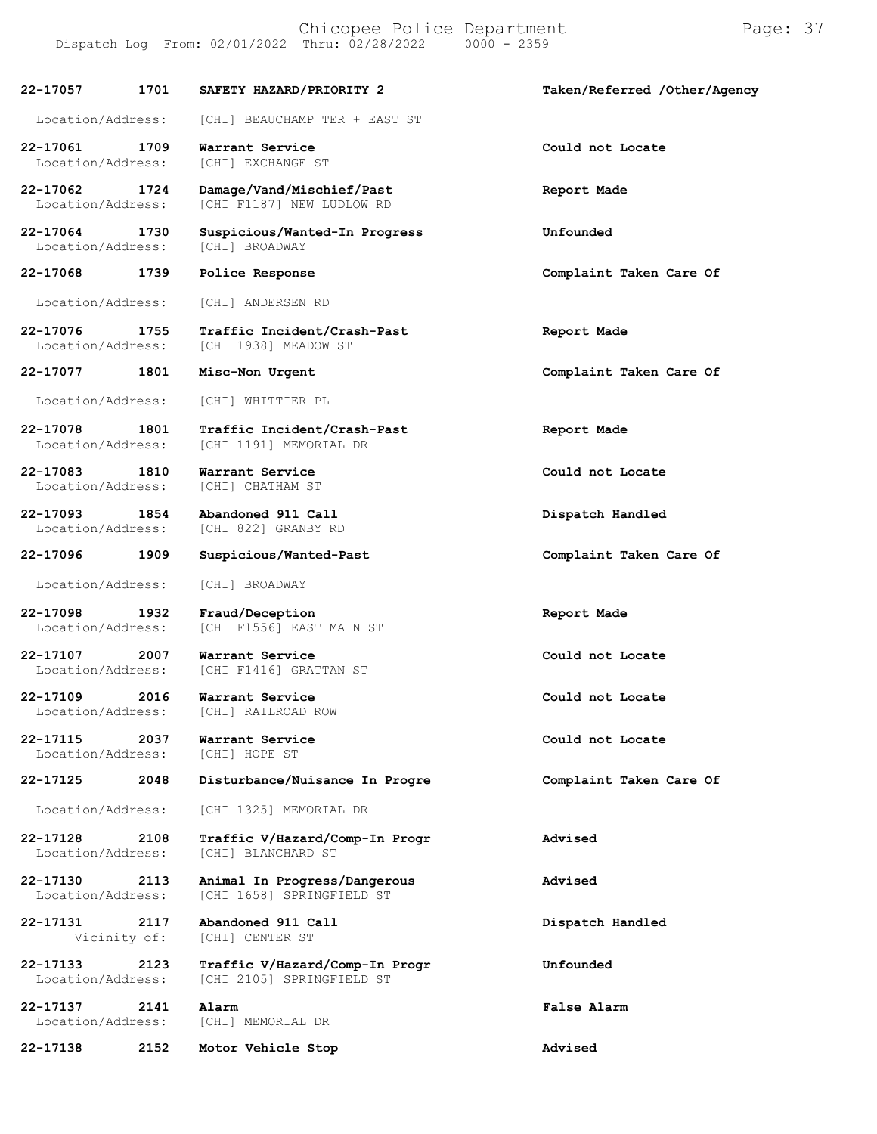Dispatch Log From:  $02/01/2022$  Thru:  $02/28/2022$ **22-17057 1701 SAFETY HAZARD/PRIORITY 2 Taken/Referred /Other/Agency** Location/Address: [CHI] BEAUCHAMP TER + EAST ST **22-17061 1709 Warrant Service Could not Locate** Location/Address: **22-17062 1724 Damage/Vand/Mischief/Past Report Made** [CHI F1187] NEW LUDLOW RD **22-17064 1730 Suspicious/Wanted-In Progress Unfounded** Location/Address: **22-17068 1739 Police Response Complaint Taken Care Of** Location/Address: [CHI] ANDERSEN RD **22-17076 1755 Traffic Incident/Crash-Past Report Made** [CHI 1938] MEADOW ST **22-17077 1801 Misc-Non Urgent Complaint Taken Care Of** Location/Address: [CHI] WHITTIER PL **22-17078 1801 Traffic Incident/Crash-Past Report Made** [CHI 1191] MEMORIAL DR **22-17083 1810 Warrant Service Could not Locate** Location/Address: [CHI] CHATHAM ST **22-17093 1854 Abandoned 911 Call Dispatch Handled** Location/Address: **22-17096 1909 Suspicious/Wanted-Past Complaint Taken Care Of** Location/Address: [CHI] BROADWAY **22-17098 1932 Fraud/Deception Report Made** [CHI F1556] EAST MAIN ST **22-17107 2007 Warrant Service Could not Locate** [CHI F1416] GRATTAN ST **22-17109 2016 Warrant Service Could not Locate** Location/Address: [CHI] RAILROAD ROW **22-17115 2037 Warrant Service Could not Locate** Location/Address: **22-17125 2048 Disturbance/Nuisance In Progre Complaint Taken Care Of** Location/Address: [CHI 1325] MEMORIAL DR **22-17128 2108 Traffic V/Hazard/Comp-In Progr Advised** [CHI] BLANCHARD ST **22-17130 2113 Animal In Progress/Dangerous Advised** [CHI 1658] SPRINGFIELD ST **22-17131 2117 Abandoned 911 Call Dispatch Handled** [CHI] CENTER ST **22-17133 2123 Traffic V/Hazard/Comp-In Progr Unfounded** [CHI 2105] SPRINGFIELD ST **22-17137 2141 Alarm False Alarm** Location/Address: [CHI] MEMORIAL DR

**22-17138 2152 Motor Vehicle Stop Advised**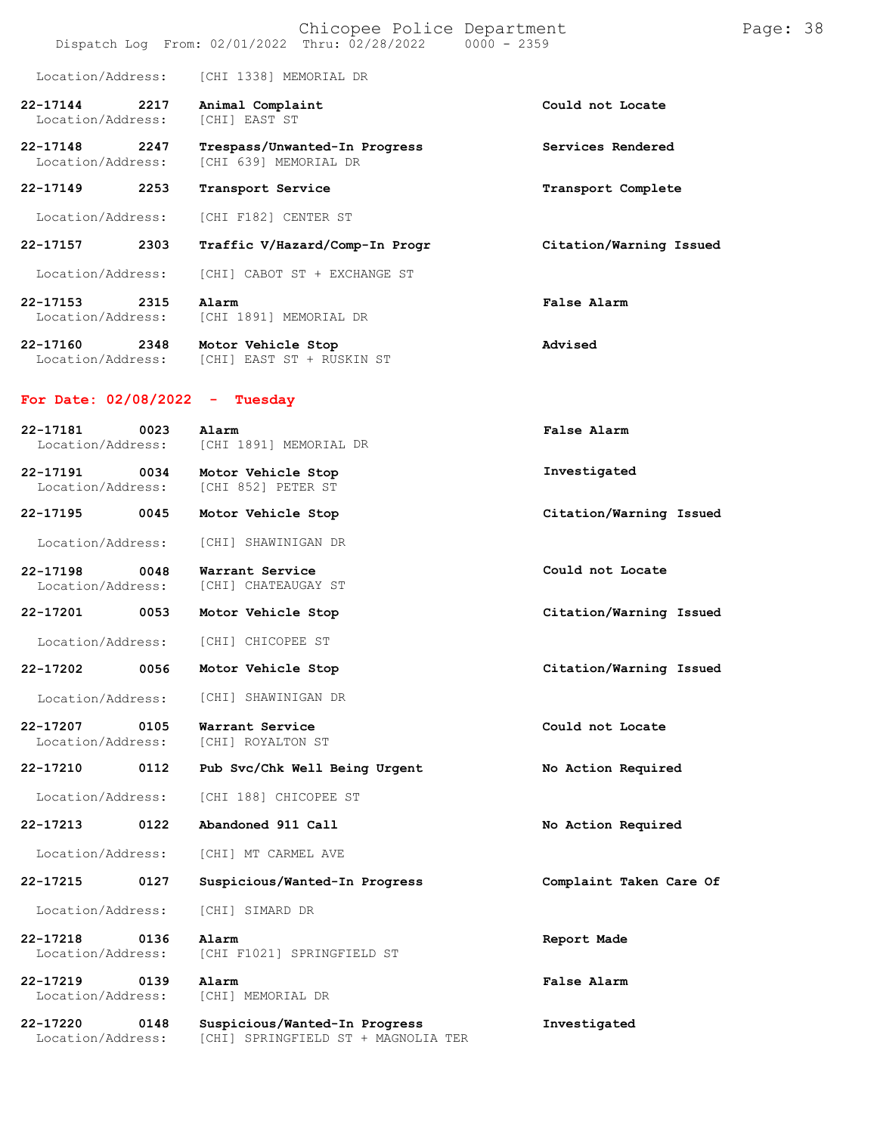|                                   |      |                                                 | Chicopee Police Department<br>Dispatch Log From: 02/01/2022 Thru: 02/28/2022 | $0000 - 2359$ |                         | Page: 38 |  |
|-----------------------------------|------|-------------------------------------------------|------------------------------------------------------------------------------|---------------|-------------------------|----------|--|
| Location/Address:                 |      | [CHI 1338] MEMORIAL DR                          |                                                                              |               |                         |          |  |
| $22 - 17144$<br>Location/Address: | 2217 | Animal Complaint<br><b>[CHI] EAST ST</b>        |                                                                              |               | Could not Locate        |          |  |
| 22-17148<br>Location/Address:     | 2247 | [CHI 639] MEMORIAL DR                           | Trespass/Unwanted-In Progress                                                |               | Services Rendered       |          |  |
| 22-17149                          | 2253 | Transport Service                               |                                                                              |               | Transport Complete      |          |  |
| Location/Address:                 |      | [CHI F182] CENTER ST                            |                                                                              |               |                         |          |  |
| 22-17157                          | 2303 |                                                 | Traffic V/Hazard/Comp-In Progr                                               |               | Citation/Warning Issued |          |  |
| Location/Address:                 |      |                                                 | [CHI] CABOT ST + EXCHANGE ST                                                 |               |                         |          |  |
| 22-17153<br>Location/Address:     | 2315 | Alarm<br>[CHI 1891] MEMORIAL DR                 |                                                                              |               | False Alarm             |          |  |
| 22-17160<br>Location/Address:     | 2348 | Motor Vehicle Stop<br>[CHI] EAST ST + RUSKIN ST |                                                                              |               | Advised                 |          |  |
| For Date: 02/08/2022              |      | Tuesday<br>-                                    |                                                                              |               |                         |          |  |
| 22-17181<br>Location/Address:     | 0023 | Alarm<br>[CHI 1891] MEMORIAL DR                 |                                                                              |               | False Alarm             |          |  |
| 22-17191<br>Location/Address:     | 0034 | Motor Vehicle Stop<br>[CHI 852] PETER ST        |                                                                              |               | Investigated            |          |  |
| 22-17195                          | 0045 | Motor Vehicle Stop                              |                                                                              |               | Citation/Warning Issued |          |  |
| Location/Address:                 |      | [CHI] SHAWINIGAN DR                             |                                                                              |               |                         |          |  |
| 22-17198<br>Location/Address:     | 0048 | Warrant Service<br>[CHI] CHATEAUGAY ST          |                                                                              |               | Could not Locate        |          |  |
| 22-17201                          | 0053 | Motor Vehicle Stop                              |                                                                              |               | Citation/Warning Issued |          |  |
| Location/Address:                 |      | [CHI] CHICOPEE ST                               |                                                                              |               |                         |          |  |
| 22-17202                          | 0056 | Motor Vehicle Stop                              |                                                                              |               | Citation/Warning Issued |          |  |
| Location/Address:                 |      | [CHI] SHAWINIGAN DR                             |                                                                              |               |                         |          |  |
| 22-17207<br>Location/Address:     | 0105 | Warrant Service<br>[CHI] ROYALTON ST            |                                                                              |               | Could not Locate        |          |  |
| 22-17210                          | 0112 |                                                 | Pub Svc/Chk Well Being Urgent                                                |               | No Action Required      |          |  |
| Location/Address:                 |      | [CHI 188] CHICOPEE ST                           |                                                                              |               |                         |          |  |
| 22-17213                          | 0122 | Abandoned 911 Call                              |                                                                              |               | No Action Required      |          |  |
| Location/Address:                 |      | [CHI] MT CARMEL AVE                             |                                                                              |               |                         |          |  |
| 22-17215                          | 0127 |                                                 | Suspicious/Wanted-In Progress                                                |               | Complaint Taken Care Of |          |  |
| Location/Address:                 |      | [CHI] SIMARD DR                                 |                                                                              |               |                         |          |  |
| 22-17218<br>Location/Address:     | 0136 | Alarm                                           | [CHI F1021] SPRINGFIELD ST                                                   |               | Report Made             |          |  |
| 22-17219<br>Location/Address:     | 0139 | Alarm<br>[CHI] MEMORIAL DR                      |                                                                              |               | False Alarm             |          |  |
| 22-17220<br>Location/Address:     | 0148 |                                                 | Suspicious/Wanted-In Progress<br>[CHI] SPRINGFIELD ST + MAGNOLIA TER         |               | Investigated            |          |  |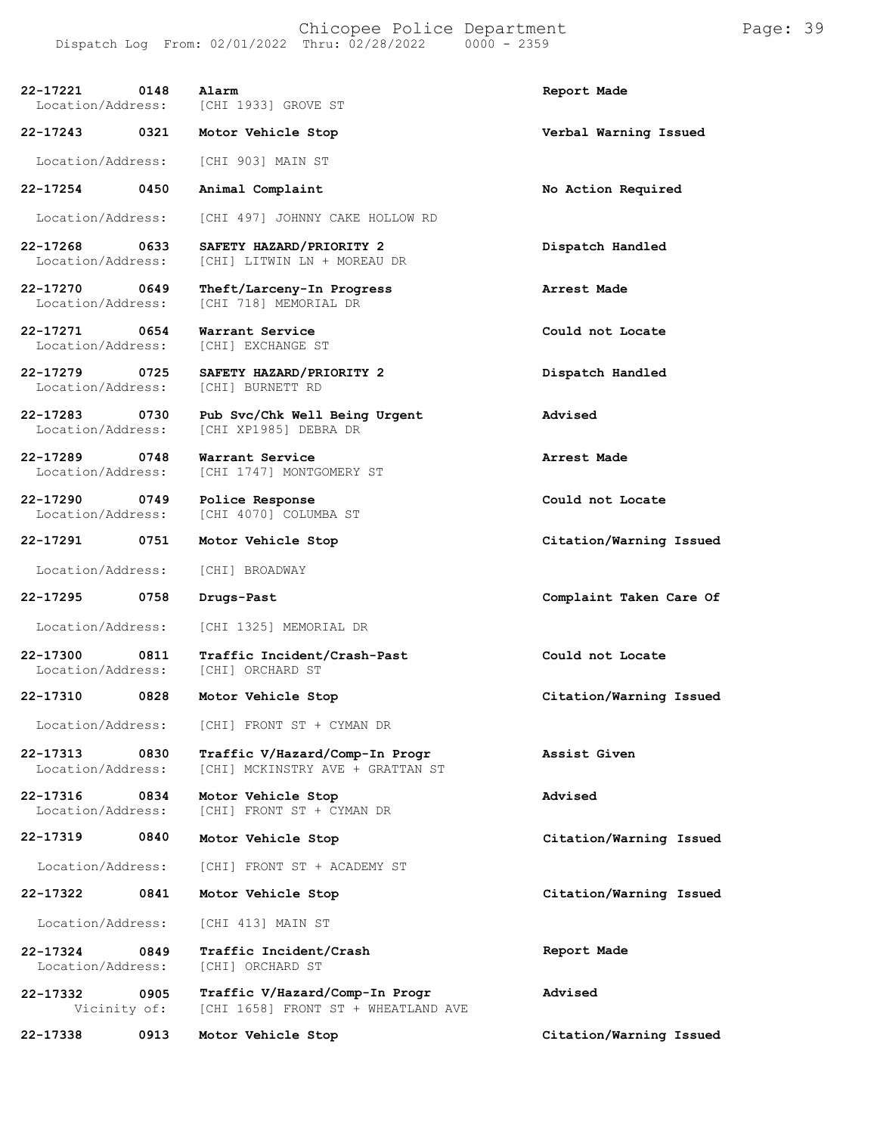Chicopee Police Department Page: 39 Dispatch Log From: 02/01/2022 Thru: 02/28/2022 0000 - 2359

| 22-17221<br>Location/Address:         | 0148 | Alarm<br>[CHI 1933] GROVE ST                                          | Report Made             |
|---------------------------------------|------|-----------------------------------------------------------------------|-------------------------|
| 22-17243 0321                         |      | Motor Vehicle Stop                                                    | Verbal Warning Issued   |
| Location/Address:                     |      | [CHI 903] MAIN ST                                                     |                         |
| 22-17254                              | 0450 | Animal Complaint                                                      | No Action Required      |
| Location/Address:                     |      | [CHI 497] JOHNNY CAKE HOLLOW RD                                       |                         |
| 22-17268<br>Location/Address:         | 0633 | SAFETY HAZARD/PRIORITY 2<br>[CHI] LITWIN LN + MOREAU DR               | Dispatch Handled        |
| 22-17270<br>Location/Address:         | 0649 | Theft/Larceny-In Progress<br>[CHI 718] MEMORIAL DR                    | Arrest Made             |
| 22-17271<br>0654<br>Location/Address: |      | Warrant Service<br>[CHI] EXCHANGE ST                                  | Could not Locate        |
| 22-17279<br>Location/Address:         | 0725 | SAFETY HAZARD/PRIORITY 2<br>[CHI] BURNETT RD                          | Dispatch Handled        |
| 22-17283<br>0730<br>Location/Address: |      | Pub Svc/Chk Well Being Urgent<br>[CHI XP1985] DEBRA DR                | Advised                 |
| 22-17289<br>0748<br>Location/Address: |      | Warrant Service<br>[CHI 1747] MONTGOMERY ST                           | Arrest Made             |
| 22-17290 0749<br>Location/Address:    |      | Police Response<br>[CHI 4070] COLUMBA ST                              | Could not Locate        |
| 22-17291                              | 0751 | Motor Vehicle Stop                                                    | Citation/Warning Issued |
| Location/Address:                     |      | [CHI] BROADWAY                                                        |                         |
| 22-17295                              | 0758 | Drugs-Past                                                            | Complaint Taken Care Of |
| Location/Address:                     |      | [CHI 1325] MEMORIAL DR                                                |                         |
| 22-17300<br>Location/Address:         | 0811 | Traffic Incident/Crash-Past<br>[CHI] ORCHARD ST                       | Could not Locate        |
| 22-17310                              | 0828 | Motor Vehicle Stop                                                    | Citation/Warning Issued |
| Location/Address:                     |      | [CHI] FRONT ST + CYMAN DR                                             |                         |
| 22-17313<br>Location/Address:         | 0830 | Traffic V/Hazard/Comp-In Progr<br>[CHI] MCKINSTRY AVE + GRATTAN ST    | Assist Given            |
| 22-17316<br>Location/Address:         | 0834 | Motor Vehicle Stop<br>[CHI] FRONT ST + CYMAN DR                       | Advised                 |
| 22-17319                              | 0840 | Motor Vehicle Stop                                                    | Citation/Warning Issued |
| Location/Address:                     |      | [CHI] FRONT ST + ACADEMY ST                                           |                         |
| 22-17322                              | 0841 | Motor Vehicle Stop                                                    | Citation/Warning Issued |
| Location/Address:                     |      | [CHI 413] MAIN ST                                                     |                         |
| 22-17324<br>Location/Address:         | 0849 | Traffic Incident/Crash<br>[CHI] ORCHARD ST                            | Report Made             |
| 22-17332<br>Vicinity of:              | 0905 | Traffic V/Hazard/Comp-In Progr<br>[CHI 1658] FRONT ST + WHEATLAND AVE | Advised                 |
| 22-17338                              | 0913 | Motor Vehicle Stop                                                    | Citation/Warning Issued |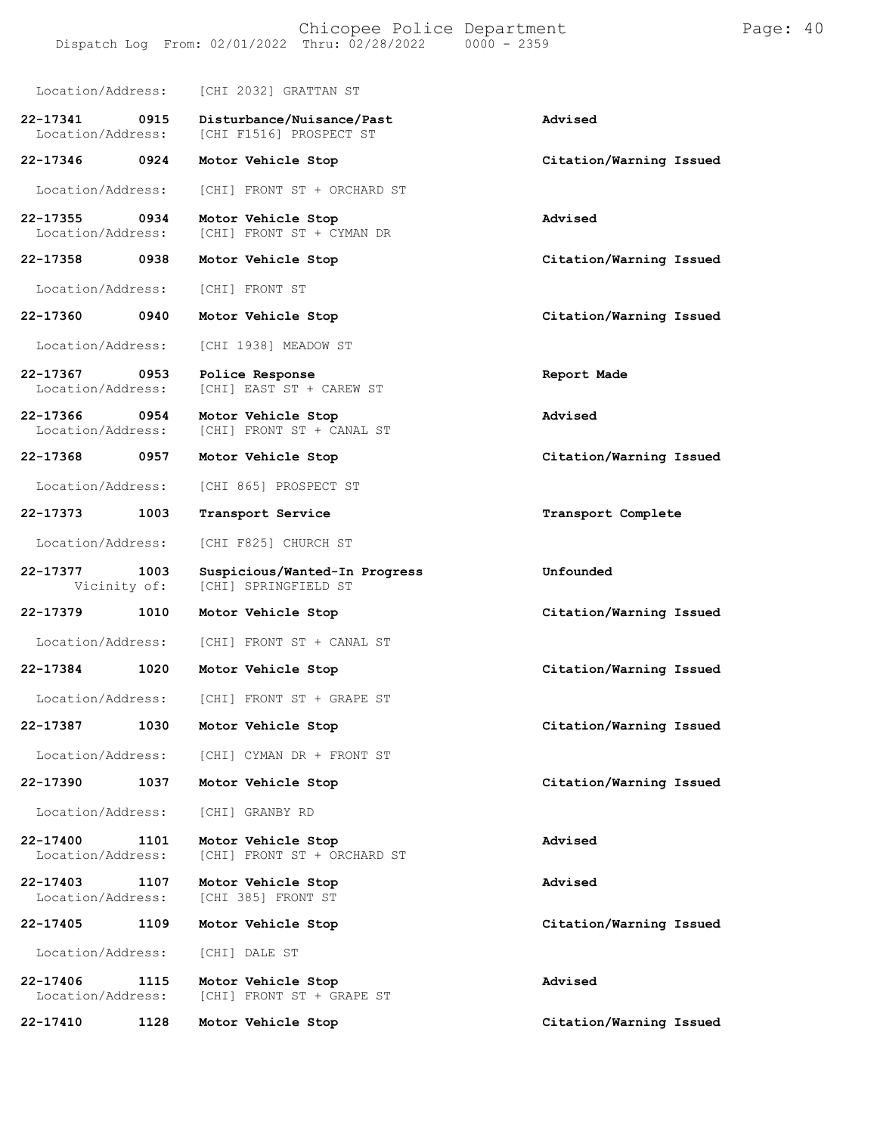| Location/Address:             |      | [CHI 2032] GRATTAN ST                                 |                         |
|-------------------------------|------|-------------------------------------------------------|-------------------------|
| 22-17341<br>Location/Address: | 0915 | Disturbance/Nuisance/Past<br>[CHI F1516] PROSPECT ST  | Advised                 |
| 22-17346                      | 0924 | Motor Vehicle Stop                                    | Citation/Warning Issued |
| Location/Address:             |      | [CHI] FRONT ST + ORCHARD ST                           |                         |
| 22-17355<br>Location/Address: | 0934 | Motor Vehicle Stop<br>[CHI] FRONT ST + CYMAN DR       | Advised                 |
| 22-17358                      | 0938 | Motor Vehicle Stop                                    | Citation/Warning Issued |
| Location/Address:             |      | [CHI] FRONT ST                                        |                         |
| 22-17360                      | 0940 | Motor Vehicle Stop                                    | Citation/Warning Issued |
| Location/Address:             |      | [CHI 1938] MEADOW ST                                  |                         |
| 22-17367<br>Location/Address: | 0953 | Police Response<br>[CHI] EAST ST + CAREW ST           | Report Made             |
| 22-17366<br>Location/Address: | 0954 | Motor Vehicle Stop<br>[CHI] FRONT ST + CANAL ST       | Advised                 |
| 22-17368                      | 0957 | Motor Vehicle Stop                                    | Citation/Warning Issued |
| Location/Address:             |      | [CHI 865] PROSPECT ST                                 |                         |
| 22-17373                      | 1003 | Transport Service                                     | Transport Complete      |
| Location/Address:             |      | [CHI F825] CHURCH ST                                  |                         |
|                               |      |                                                       |                         |
| 22-17377<br>Vicinity of:      | 1003 | Suspicious/Wanted-In Progress<br>[CHI] SPRINGFIELD ST | Unfounded               |
| 22-17379                      | 1010 | Motor Vehicle Stop                                    | Citation/Warning Issued |
| Location/Address:             |      | [CHI] FRONT ST + CANAL ST                             |                         |
| 22-17384                      | 1020 | Motor Vehicle Stop                                    | Citation/Warning Issued |
| Location/Address:             |      | [CHI] FRONT ST + GRAPE ST                             |                         |
| 22-17387                      | 1030 | Motor Vehicle Stop                                    | Citation/Warning Issued |
| Location/Address:             |      | [CHI] CYMAN DR + FRONT ST                             |                         |
| 22-17390                      | 1037 | Motor Vehicle Stop                                    | Citation/Warning Issued |
| Location/Address:             |      | [CHI] GRANBY RD                                       |                         |
| 22-17400<br>Location/Address: | 1101 | Motor Vehicle Stop<br>[CHI] FRONT ST + ORCHARD ST     | Advised                 |
| 22-17403<br>Location/Address: | 1107 | Motor Vehicle Stop<br>[CHI 385] FRONT ST              | Advised                 |
| 22-17405                      | 1109 | Motor Vehicle Stop                                    | Citation/Warning Issued |
| Location/Address:             |      | [CHI] DALE ST                                         |                         |

**22-17410 1128 Motor Vehicle Stop Citation/Warning Issued**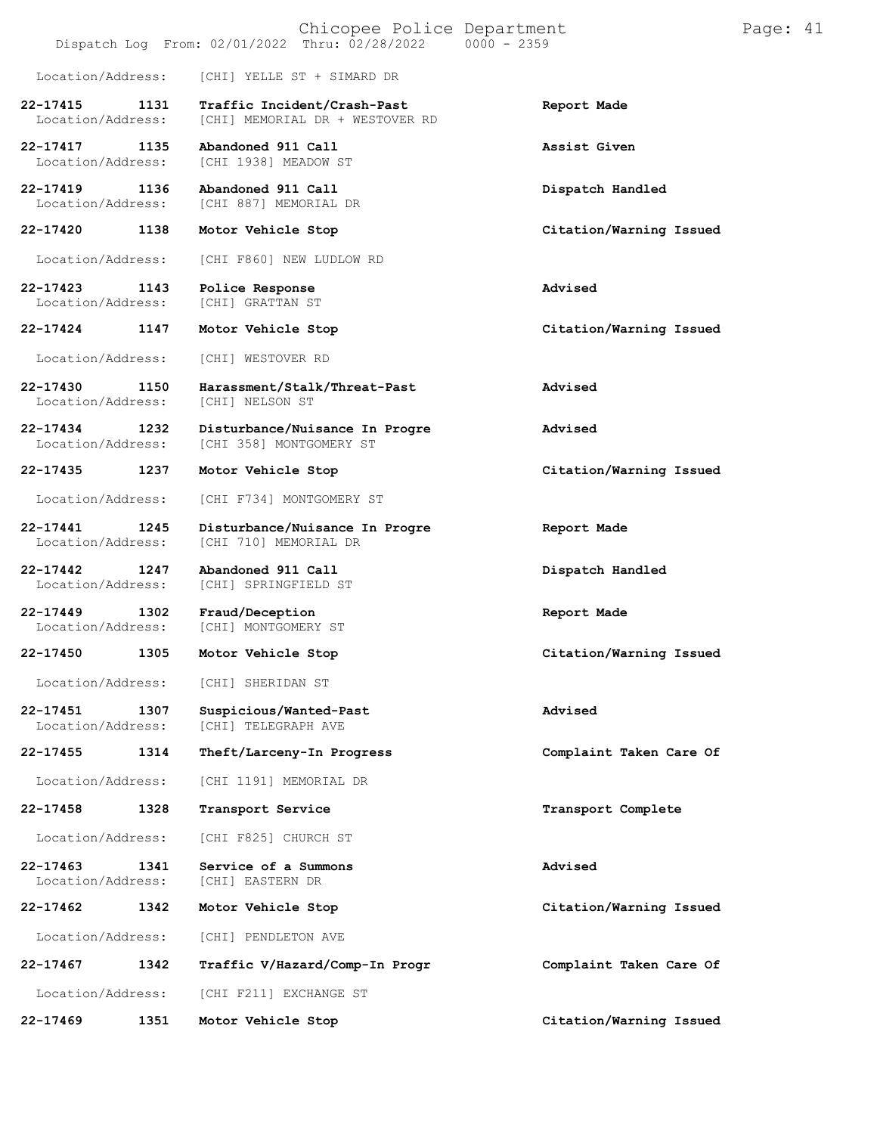|                                   |      |                                               | Chicopee Police Department<br>Dispatch Log From: 02/01/2022 Thru: 02/28/2022 | $0000 - 2359$ |                         | Page: 41 |  |
|-----------------------------------|------|-----------------------------------------------|------------------------------------------------------------------------------|---------------|-------------------------|----------|--|
| Location/Address:                 |      | [CHI] YELLE ST + SIMARD DR                    |                                                                              |               |                         |          |  |
| 22-17415<br>Location/Address:     | 1131 | Traffic Incident/Crash-Past                   | [CHI] MEMORIAL DR + WESTOVER RD                                              |               | Report Made             |          |  |
| 22-17417<br>Location/Address:     | 1135 | Abandoned 911 Call<br>[CHI 1938] MEADOW ST    |                                                                              |               | Assist Given            |          |  |
| 22-17419<br>Location/Address:     | 1136 | Abandoned 911 Call<br>[CHI 887] MEMORIAL DR   |                                                                              |               | Dispatch Handled        |          |  |
| 22-17420                          | 1138 | Motor Vehicle Stop                            |                                                                              |               | Citation/Warning Issued |          |  |
| Location/Address:                 |      | [CHI F860] NEW LUDLOW RD                      |                                                                              |               |                         |          |  |
| 22-17423<br>Location/Address:     | 1143 | Police Response<br>[CHI] GRATTAN ST           |                                                                              |               | Advised                 |          |  |
| 22-17424                          | 1147 | Motor Vehicle Stop                            |                                                                              |               | Citation/Warning Issued |          |  |
| Location/Address:                 |      | [CHI] WESTOVER RD                             |                                                                              |               |                         |          |  |
| 22-17430<br>Location/Address:     | 1150 | [CHI] NELSON ST                               | Harassment/Stalk/Threat-Past                                                 |               | Advised                 |          |  |
| 22-17434<br>Location/Address:     | 1232 | [CHI 358] MONTGOMERY ST                       | Disturbance/Nuisance In Progre                                               |               | Advised                 |          |  |
| 22-17435                          | 1237 | Motor Vehicle Stop                            |                                                                              |               | Citation/Warning Issued |          |  |
| Location/Address:                 |      | [CHI F734] MONTGOMERY ST                      |                                                                              |               |                         |          |  |
| 22-17441<br>Location/Address:     | 1245 | [CHI 710] MEMORIAL DR                         | Disturbance/Nuisance In Progre                                               |               | Report Made             |          |  |
| 22-17442<br>Location/Address:     | 1247 | Abandoned 911 Call<br>[CHI] SPRINGFIELD ST    |                                                                              |               | Dispatch Handled        |          |  |
| $22 - 17449$<br>Location/Address: | 1302 | Fraud/Deception<br>[CHI] MONTGOMERY ST        |                                                                              |               | Report Made             |          |  |
| 22-17450                          | 1305 | Motor Vehicle Stop                            |                                                                              |               | Citation/Warning Issued |          |  |
| Location/Address:                 |      | [CHI] SHERIDAN ST                             |                                                                              |               |                         |          |  |
| 22-17451<br>Location/Address:     | 1307 | Suspicious/Wanted-Past<br>[CHI] TELEGRAPH AVE |                                                                              |               | Advised                 |          |  |
| 22-17455                          | 1314 | Theft/Larceny-In Progress                     |                                                                              |               | Complaint Taken Care Of |          |  |
| Location/Address:                 |      | [CHI 1191] MEMORIAL DR                        |                                                                              |               |                         |          |  |
| 22-17458                          | 1328 | Transport Service                             |                                                                              |               | Transport Complete      |          |  |
| Location/Address:                 |      | [CHI F825] CHURCH ST                          |                                                                              |               |                         |          |  |
| $22 - 17463$<br>Location/Address: | 1341 | Service of a Summons<br>[CHI] EASTERN DR      |                                                                              |               | Advised                 |          |  |
| 22-17462                          | 1342 | Motor Vehicle Stop                            |                                                                              |               | Citation/Warning Issued |          |  |
| Location/Address:                 |      | [CHI] PENDLETON AVE                           |                                                                              |               |                         |          |  |
| 22-17467                          | 1342 |                                               | Traffic V/Hazard/Comp-In Progr                                               |               | Complaint Taken Care Of |          |  |
| Location/Address:                 |      | [CHI F211] EXCHANGE ST                        |                                                                              |               |                         |          |  |
| 22-17469                          | 1351 | Motor Vehicle Stop                            |                                                                              |               | Citation/Warning Issued |          |  |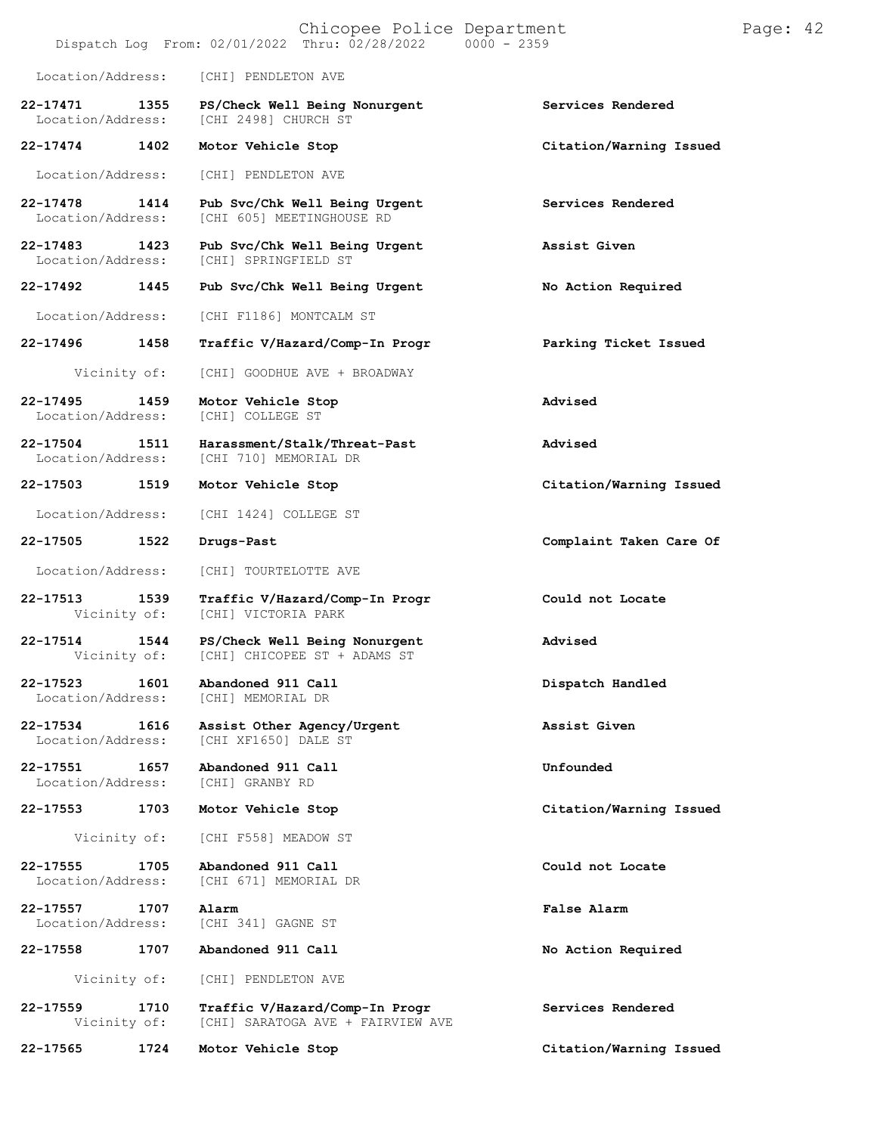|                               |      | Chicopee Police Department<br>Dispatch Log From: 02/01/2022 Thru: 02/28/2022 0000 - 2359 |                         | Page: 42 |  |
|-------------------------------|------|------------------------------------------------------------------------------------------|-------------------------|----------|--|
| Location/Address:             |      | [CHI] PENDLETON AVE                                                                      |                         |          |  |
| 22-17471<br>Location/Address: | 1355 | PS/Check Well Being Nonurgent<br>[CHI 2498] CHURCH ST                                    | Services Rendered       |          |  |
| 22-17474                      | 1402 | Motor Vehicle Stop                                                                       | Citation/Warning Issued |          |  |
| Location/Address:             |      | [CHI] PENDLETON AVE                                                                      |                         |          |  |
| 22-17478<br>Location/Address: | 1414 | Pub Svc/Chk Well Being Urgent<br>[CHI 605] MEETINGHOUSE RD                               | Services Rendered       |          |  |
| 22-17483<br>Location/Address: | 1423 | Pub Svc/Chk Well Being Urgent<br>[CHI] SPRINGFIELD ST                                    | Assist Given            |          |  |
| 22-17492                      | 1445 | Pub Svc/Chk Well Being Urgent                                                            | No Action Required      |          |  |
| Location/Address:             |      | [CHI F1186] MONTCALM ST                                                                  |                         |          |  |
| 22-17496                      | 1458 | Traffic V/Hazard/Comp-In Progr                                                           | Parking Ticket Issued   |          |  |
| Vicinity of:                  |      | [CHI] GOODHUE AVE + BROADWAY                                                             |                         |          |  |
| 22-17495<br>Location/Address: | 1459 | Motor Vehicle Stop<br>[CHI] COLLEGE ST                                                   | Advised                 |          |  |
| 22-17504<br>Location/Address: | 1511 | Harassment/Stalk/Threat-Past<br>[CHI 710] MEMORIAL DR                                    | Advised                 |          |  |
| 22-17503                      | 1519 | Motor Vehicle Stop                                                                       | Citation/Warning Issued |          |  |
| Location/Address:             |      | [CHI 1424] COLLEGE ST                                                                    |                         |          |  |
| 22-17505                      | 1522 | Drugs-Past                                                                               | Complaint Taken Care Of |          |  |
| Location/Address:             |      | [CHI] TOURTELOTTE AVE                                                                    |                         |          |  |
| 22-17513<br>Vicinity of:      | 1539 | Traffic V/Hazard/Comp-In Progr<br>[CHI] VICTORIA PARK                                    | Could not Locate        |          |  |
| 22-17514<br>Vicinity of:      | 1544 | PS/Check Well Being Nonurgent<br>[CHI] CHICOPEE ST + ADAMS ST                            | Advised                 |          |  |
| 22-17523<br>Location/Address: | 1601 | Abandoned 911 Call<br>[CHI] MEMORIAL DR                                                  | Dispatch Handled        |          |  |
| 22-17534<br>Location/Address: | 1616 | Assist Other Agency/Urgent<br>[CHI XF1650] DALE ST                                       | Assist Given            |          |  |
| 22-17551<br>Location/Address: | 1657 | Abandoned 911 Call<br>[CHI] GRANBY RD                                                    | Unfounded               |          |  |
| 22-17553                      | 1703 | Motor Vehicle Stop                                                                       | Citation/Warning Issued |          |  |
| Vicinity of:                  |      | [CHI F558] MEADOW ST                                                                     |                         |          |  |
| 22-17555<br>Location/Address: | 1705 | Abandoned 911 Call<br>[CHI 671] MEMORIAL DR                                              | Could not Locate        |          |  |
| 22-17557<br>Location/Address: | 1707 | Alarm<br>[CHI 341] GAGNE ST                                                              | False Alarm             |          |  |
| 22-17558                      | 1707 | Abandoned 911 Call                                                                       | No Action Required      |          |  |
| Vicinity of:                  |      | [CHI] PENDLETON AVE                                                                      |                         |          |  |
| 22-17559<br>Vicinity of:      | 1710 | Traffic V/Hazard/Comp-In Progr<br>[CHI] SARATOGA AVE + FAIRVIEW AVE                      | Services Rendered       |          |  |
| 22-17565                      | 1724 | Motor Vehicle Stop                                                                       | Citation/Warning Issued |          |  |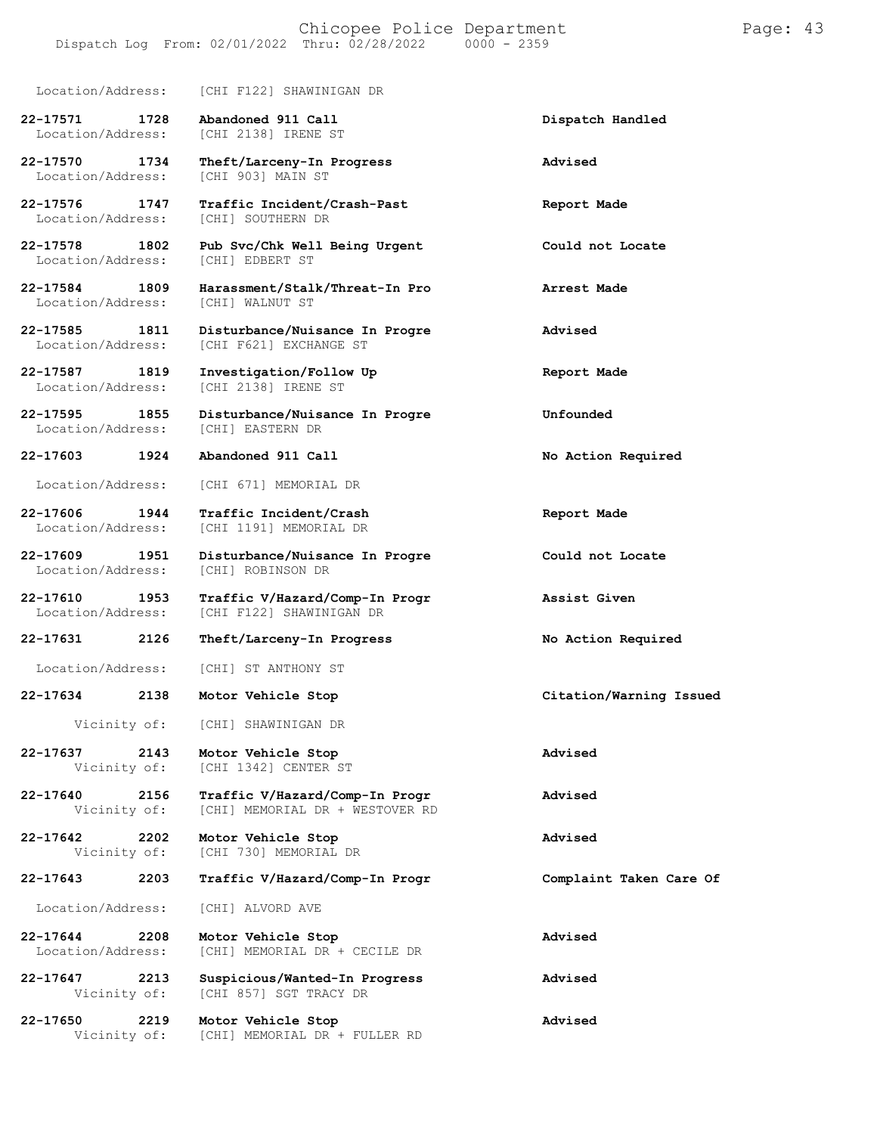Location/Address: [CHI F122] SHAWINIGAN DR

Location/Address:

Location/Address:

**22-17587 1819 Investigation/Follow Up Report Made**

Location/Address:

**22-17610 1953 Traffic V/Hazard/Comp-In Progr Assist Given** [CHI F122] SHAWINIGAN DR

**22-17631 2126 Theft/Larceny-In Progress No Action Required**

Location/Address: [CHI] ST ANTHONY ST

**22-17634 2138 Motor Vehicle Stop Citation/Warning Issued**

Vicinity of: [CHI] SHAWINIGAN DR

**22-17637 2143 Motor Vehicle Stop Advised**

**22-17640 2156 Traffic V/Hazard/Comp-In Progr Advised** [CHI] MEMORIAL DR + WESTOVER RD

**22-17642 2202 Motor Vehicle Stop Advised** [CHI 730] MEMORIAL DR

**22-17643 2203 Traffic V/Hazard/Comp-In Progr Complaint Taken Care Of**

Location/Address: [CHI] ALVORD AVE

**22-17644 2208 Motor Vehicle Stop Advised** [CHI] MEMORIAL DR + CECILE DR

**22-17647 2213 Suspicious/Wanted-In Progress Advised** [CHI 857] SGT TRACY DR

**22-17650 2219 Motor Vehicle Stop Advised** Vicinity of: [CHI] MEMORIAL DR + FULLER RD

**22-17571 1728 Abandoned 911 Call Dispatch Handled** [CHI 2138] IRENE ST

**22-17570 1734 Theft/Larceny-In Progress Advised**

**22-17576 1747 Traffic Incident/Crash-Past Report Made** [CHI] SOUTHERN DR

**22-17578 1802 Pub Svc/Chk Well Being Urgent Could not Locate**

**22-17584 1809 Harassment/Stalk/Threat-In Pro Arrest Made** Location/Address: [CHI] WALNUT ST

**22-17585 1811 Disturbance/Nuisance In Progre Advised** [CHI F621] EXCHANGE ST

Location/Address: [CHI 2138] IRENE ST

**22-17595 1855 Disturbance/Nuisance In Progre Unfounded** Location/Address:

**22-17603 1924 Abandoned 911 Call No Action Required**

Location/Address: [CHI 671] MEMORIAL DR

**22-17606 1944 Traffic Incident/Crash Report Made** [CHI 1191] MEMORIAL DR

**22-17609 1951 Disturbance/Nuisance In Progre Could not Locate**

[CHI 1342] CENTER ST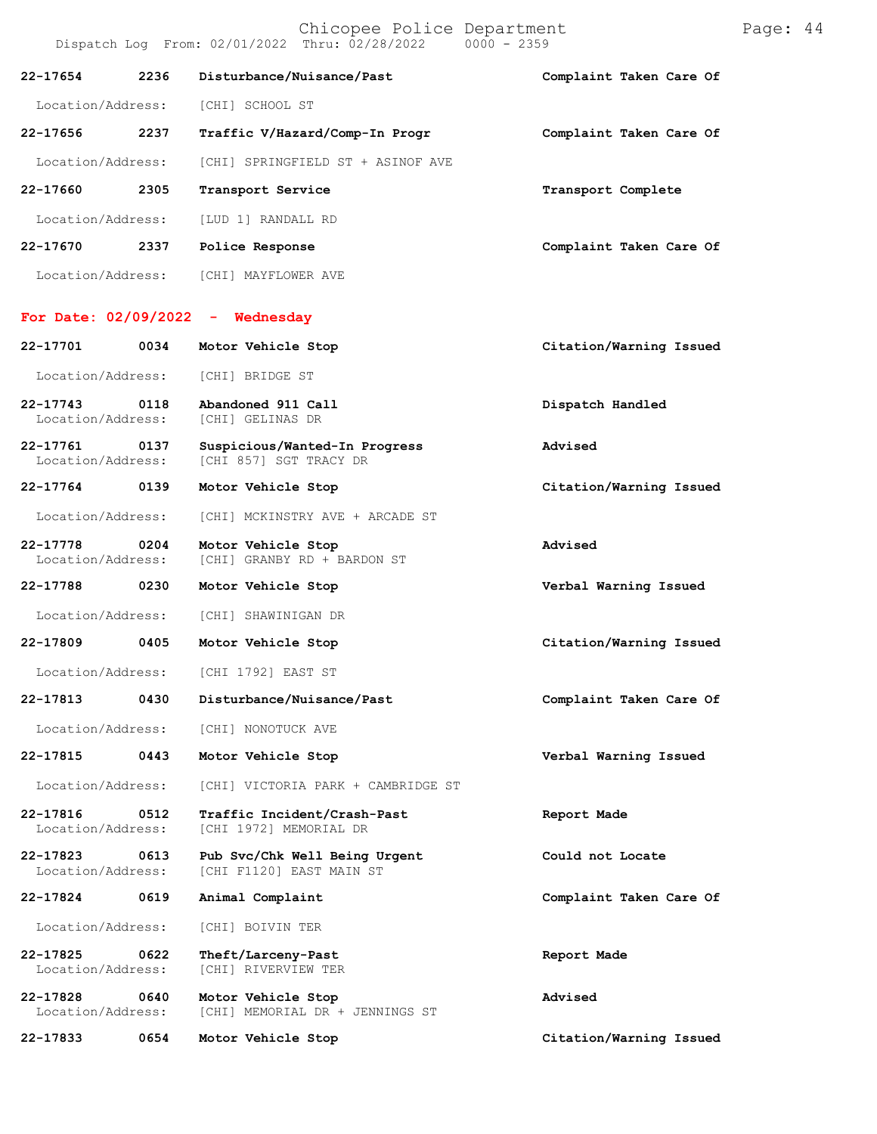|                                   |      | Dispatch Log From: 02/01/2022 Thru: 02/28/2022<br>$0000 - 2359$ |                         |
|-----------------------------------|------|-----------------------------------------------------------------|-------------------------|
| 22-17654                          | 2236 | Disturbance/Nuisance/Past                                       | Complaint Taken Care Of |
| Location/Address:                 |      | [CHI] SCHOOL ST                                                 |                         |
| 22-17656                          | 2237 | Traffic V/Hazard/Comp-In Progr                                  | Complaint Taken Care Of |
| Location/Address:                 |      | [CHI] SPRINGFIELD ST + ASINOF AVE                               |                         |
| 22-17660                          | 2305 | Transport Service                                               | Transport Complete      |
| Location/Address:                 |      | [LUD 1] RANDALL RD                                              |                         |
| 22-17670                          | 2337 | Police Response                                                 | Complaint Taken Care Of |
| Location/Address:                 |      | [CHI] MAYFLOWER AVE                                             |                         |
|                                   |      | For Date: $02/09/2022 -$ Wednesday                              |                         |
|                                   |      |                                                                 |                         |
| 22-17701                          | 0034 | Motor Vehicle Stop                                              | Citation/Warning Issued |
| Location/Address:                 |      | [CHI] BRIDGE ST                                                 |                         |
| $22 - 17743$<br>Location/Address: | 0118 | Abandoned 911 Call<br>[CHI] GELINAS DR                          | Dispatch Handled        |
| 22-17761<br>Location/Address:     | 0137 | Suspicious/Wanted-In Progress<br>[CHI 857] SGT TRACY DR         | Advised                 |
| 22-17764 0139                     |      | Motor Vehicle Stop                                              | Citation/Warning Issued |
| Location/Address:                 |      | [CHI] MCKINSTRY AVE + ARCADE ST                                 |                         |
| 22-17778<br>Location/Address:     | 0204 | Motor Vehicle Stop<br>[CHI] GRANBY RD + BARDON ST               | Advised                 |
| 22-17788                          | 0230 | Motor Vehicle Stop                                              | Verbal Warning Issued   |

**22-17809 0405 Motor Vehicle Stop Citation/Warning Issued**

Location/Address: [CHI 1792] EAST ST

**22-17813 0430 Disturbance/Nuisance/Past Complaint Taken Care Of**

Location/Address: [CHI] NONOTUCK AVE

**22-17815 0443 Motor Vehicle Stop Verbal Warning Issued**

Location/Address: [CHI] VICTORIA PARK + CAMBRIDGE ST

**22-17816 0512 Traffic Incident/Crash-Past Report Made** Location/Address: [CHI 1972] MEMORIAL DR

**22-17823 0613 Pub Svc/Chk Well Being Urgent Could not Locate** [CHI F1120] EAST MAIN ST

**22-17824 0619 Animal Complaint Complaint Taken Care Of**

Location/Address: [CHI] BOIVIN TER

**22-17825 0622 Theft/Larceny-Past Report Made** Location/Address: [CHI] RIVERVIEW TER

**22-17828 0640 Motor Vehicle Stop Advised** [CHI] MEMORIAL DR + JENNINGS ST

**22-17833 0654 Motor Vehicle Stop Citation/Warning Issued**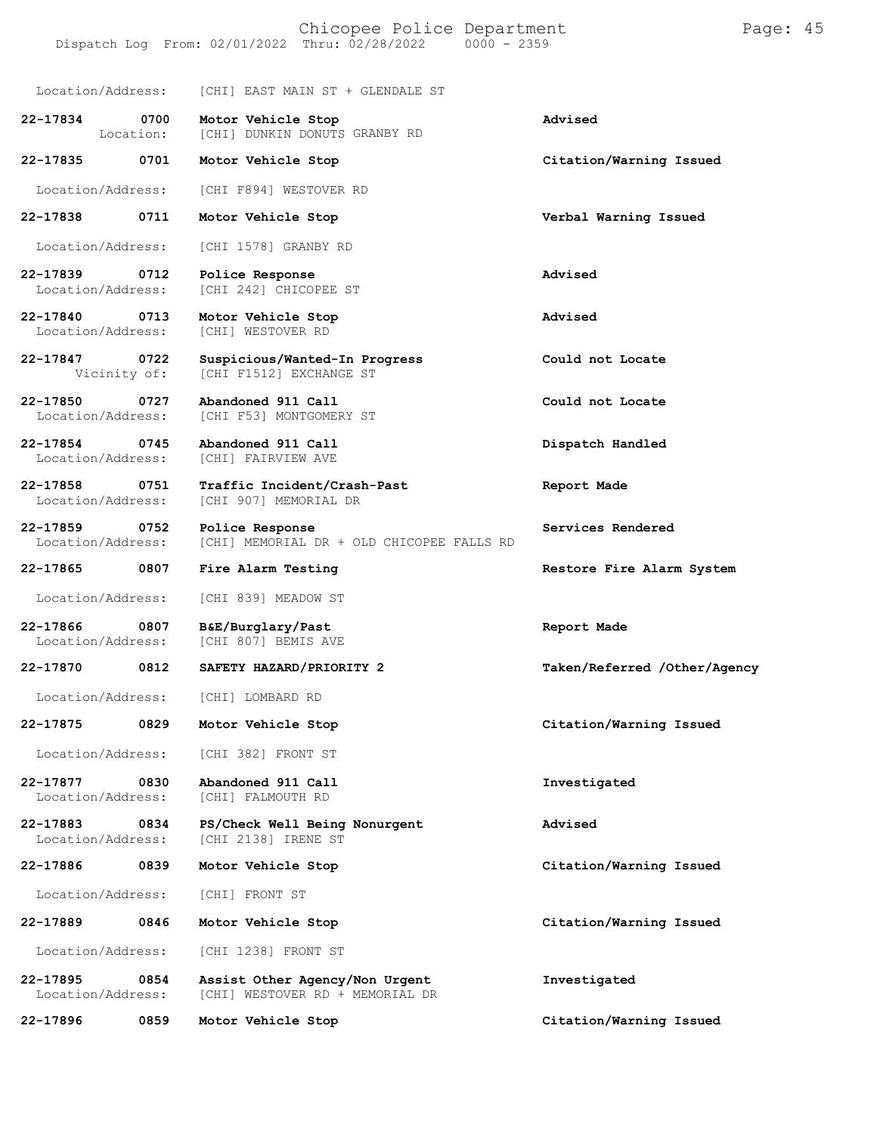Location/Address: [CHI] EAST MAIN ST + GLENDALE ST

| 22-17834<br>0700<br>Location:         | Motor Vehicle Stop<br>[CHI] DUNKIN DONUTS GRANBY RD               | Advised                      |
|---------------------------------------|-------------------------------------------------------------------|------------------------------|
| 22-17835<br>0701                      | Motor Vehicle Stop                                                | Citation/Warning Issued      |
| Location/Address:                     | [CHI F894] WESTOVER RD                                            |                              |
| 22-17838<br>0711                      | Motor Vehicle Stop                                                | Verbal Warning Issued        |
| Location/Address:                     | [CHI 1578] GRANBY RD                                              |                              |
| 22-17839<br>0712<br>Location/Address: | Police Response<br>[CHI 242] CHICOPEE ST                          | Advised                      |
| 22-17840<br>0713<br>Location/Address: | Motor Vehicle Stop<br>[CHI] WESTOVER RD                           | Advised                      |
| 22-17847<br>0722<br>Vicinity of:      | Suspicious/Wanted-In Progress<br>[CHI F1512] EXCHANGE ST          | Could not Locate             |
| 22-17850<br>0727<br>Location/Address: | Abandoned 911 Call<br>[CHI F53] MONTGOMERY ST                     | Could not Locate             |
| 22-17854<br>0745<br>Location/Address: | Abandoned 911 Call<br>[CHI] FAIRVIEW AVE                          | Dispatch Handled             |
| 22-17858<br>0751<br>Location/Address: | Traffic Incident/Crash-Past<br>[CHI 907] MEMORIAL DR              | Report Made                  |
| 22-17859<br>0752<br>Location/Address: | Police Response<br>[CHI] MEMORIAL DR + OLD CHICOPEE FALLS RD      | Services Rendered            |
| 22-17865<br>0807                      | Fire Alarm Testing                                                | Restore Fire Alarm System    |
| Location/Address:                     | [CHI 839] MEADOW ST                                               |                              |
| 22-17866<br>0807<br>Location/Address: | B&E/Burglary/Past<br>[CHI 807] BEMIS AVE                          | Report Made                  |
| 22-17870<br>0812                      | SAFETY HAZARD/PRIORITY 2                                          | Taken/Referred /Other/Agency |
| Location/Address:                     | [CHI] LOMBARD RD                                                  |                              |
| 22-17875<br>0829                      | Motor Vehicle Stop                                                | Citation/Warning Issued      |
| Location/Address:                     | [CHI 382] FRONT ST                                                |                              |
| 22-17877<br>0830<br>Location/Address: | Abandoned 911 Call<br>[CHI] FALMOUTH RD                           | Investigated                 |
| 22-17883<br>0834<br>Location/Address: | PS/Check Well Being Nonurgent<br>[CHI 2138] IRENE ST              | Advised                      |
| 22-17886<br>0839                      | Motor Vehicle Stop                                                | Citation/Warning Issued      |
| Location/Address:                     | [CHI] FRONT ST                                                    |                              |
| 22-17889<br>0846                      | Motor Vehicle Stop                                                | Citation/Warning Issued      |
| Location/Address:                     | [CHI 1238] FRONT ST                                               |                              |
| 22-17895<br>0854<br>Location/Address: | Assist Other Agency/Non Urgent<br>[CHI] WESTOVER RD + MEMORIAL DR | Investigated                 |

**22-17896 0859 Motor Vehicle Stop Citation/Warning Issued**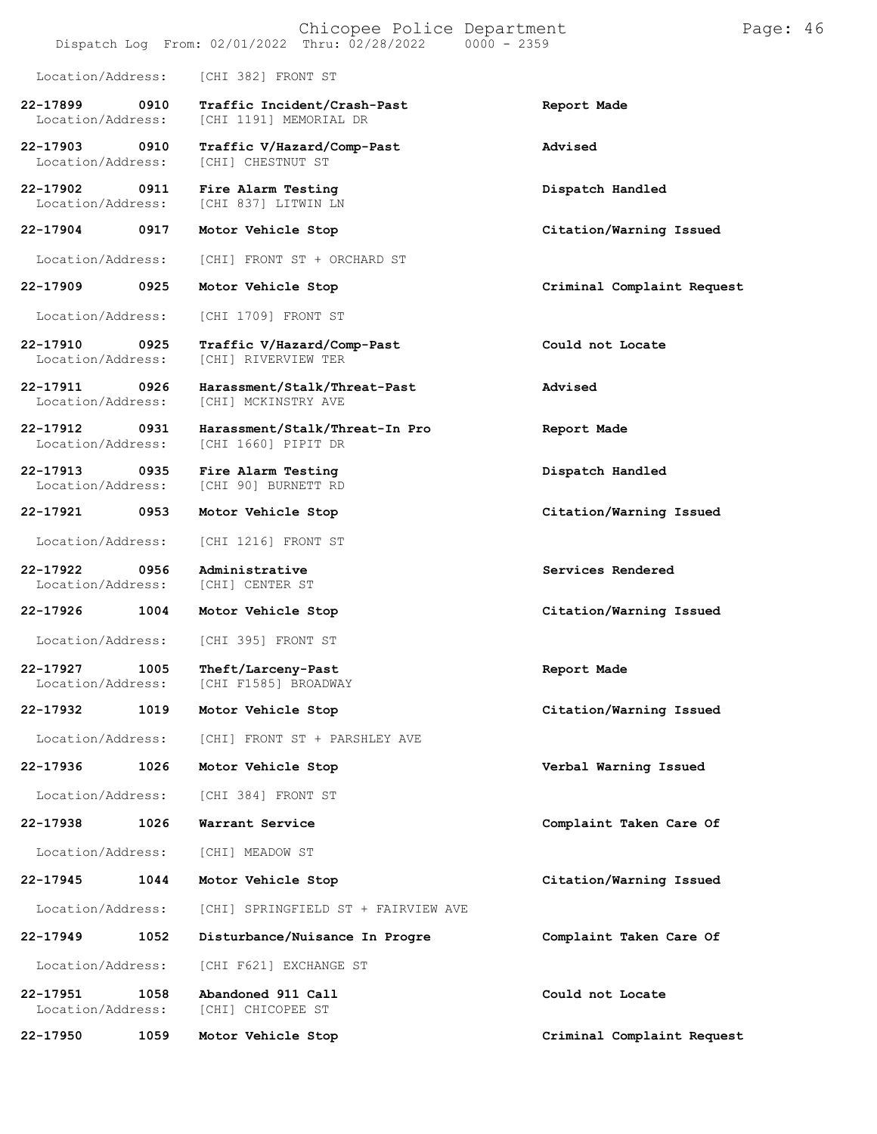|                               |      | Chicopee Police Department<br>Dispatch Log From: 02/01/2022 Thru: 02/28/2022<br>$0000 - 2359$ |                            | Page: 46 |  |
|-------------------------------|------|-----------------------------------------------------------------------------------------------|----------------------------|----------|--|
| Location/Address:             |      | [CHI 382] FRONT ST                                                                            |                            |          |  |
| 22-17899<br>Location/Address: | 0910 | Traffic Incident/Crash-Past<br>[CHI 1191] MEMORIAL DR                                         | Report Made                |          |  |
| 22-17903<br>Location/Address: | 0910 | Traffic V/Hazard/Comp-Past<br>[CHI] CHESTNUT ST                                               | Advised                    |          |  |
| 22-17902<br>Location/Address: | 0911 | Fire Alarm Testing<br>[CHI 837] LITWIN LN                                                     | Dispatch Handled           |          |  |
| 22-17904                      | 0917 | Motor Vehicle Stop                                                                            | Citation/Warning Issued    |          |  |
| Location/Address:             |      | [CHI] FRONT ST + ORCHARD ST                                                                   |                            |          |  |
| 22-17909                      | 0925 | Motor Vehicle Stop                                                                            | Criminal Complaint Request |          |  |
| Location/Address:             |      | [CHI 1709] FRONT ST                                                                           |                            |          |  |
| 22-17910<br>Location/Address: | 0925 | Traffic V/Hazard/Comp-Past<br>[CHI] RIVERVIEW TER                                             | Could not Locate           |          |  |
| 22-17911<br>Location/Address: | 0926 | Harassment/Stalk/Threat-Past<br><b>[CHI] MCKINSTRY AVE</b>                                    | Advised                    |          |  |
| 22-17912<br>Location/Address: | 0931 | Harassment/Stalk/Threat-In Pro<br>[CHI 1660] PIPIT DR                                         | Report Made                |          |  |
| 22-17913<br>Location/Address: | 0935 | Fire Alarm Testing<br>[CHI 90] BURNETT RD                                                     | Dispatch Handled           |          |  |
| 22-17921                      | 0953 | Motor Vehicle Stop                                                                            | Citation/Warning Issued    |          |  |
| Location/Address:             |      | [CHI 1216] FRONT ST                                                                           |                            |          |  |
| 22-17922<br>Location/Address: | 0956 | Administrative<br>[CHI] CENTER ST                                                             | Services Rendered          |          |  |
| 22-17926                      | 1004 | Motor Vehicle Stop                                                                            | Citation/Warning Issued    |          |  |
| Location/Address:             |      | [CHI 395] FRONT ST                                                                            |                            |          |  |
| 22-17927<br>Location/Address: | 1005 | Theft/Larceny-Past<br>[CHI F1585] BROADWAY                                                    | Report Made                |          |  |
| 22-17932                      | 1019 | Motor Vehicle Stop                                                                            | Citation/Warning Issued    |          |  |
| Location/Address:             |      | [CHI] FRONT ST + PARSHLEY AVE                                                                 |                            |          |  |
| 22-17936                      | 1026 | Motor Vehicle Stop                                                                            | Verbal Warning Issued      |          |  |
| Location/Address:             |      | [CHI 384] FRONT ST                                                                            |                            |          |  |
| 22-17938                      | 1026 | Warrant Service                                                                               | Complaint Taken Care Of    |          |  |
| Location/Address:             |      | [CHI] MEADOW ST                                                                               |                            |          |  |
| 22-17945                      | 1044 | Motor Vehicle Stop                                                                            | Citation/Warning Issued    |          |  |
| Location/Address:             |      | [CHI] SPRINGFIELD ST + FAIRVIEW AVE                                                           |                            |          |  |
| 22-17949                      | 1052 | Disturbance/Nuisance In Progre                                                                | Complaint Taken Care Of    |          |  |
| Location/Address:             |      | [CHI F621] EXCHANGE ST                                                                        |                            |          |  |
| 22-17951<br>Location/Address: | 1058 | Abandoned 911 Call<br>[CHI] CHICOPEE ST                                                       | Could not Locate           |          |  |
| 22-17950                      | 1059 | Motor Vehicle Stop                                                                            | Criminal Complaint Request |          |  |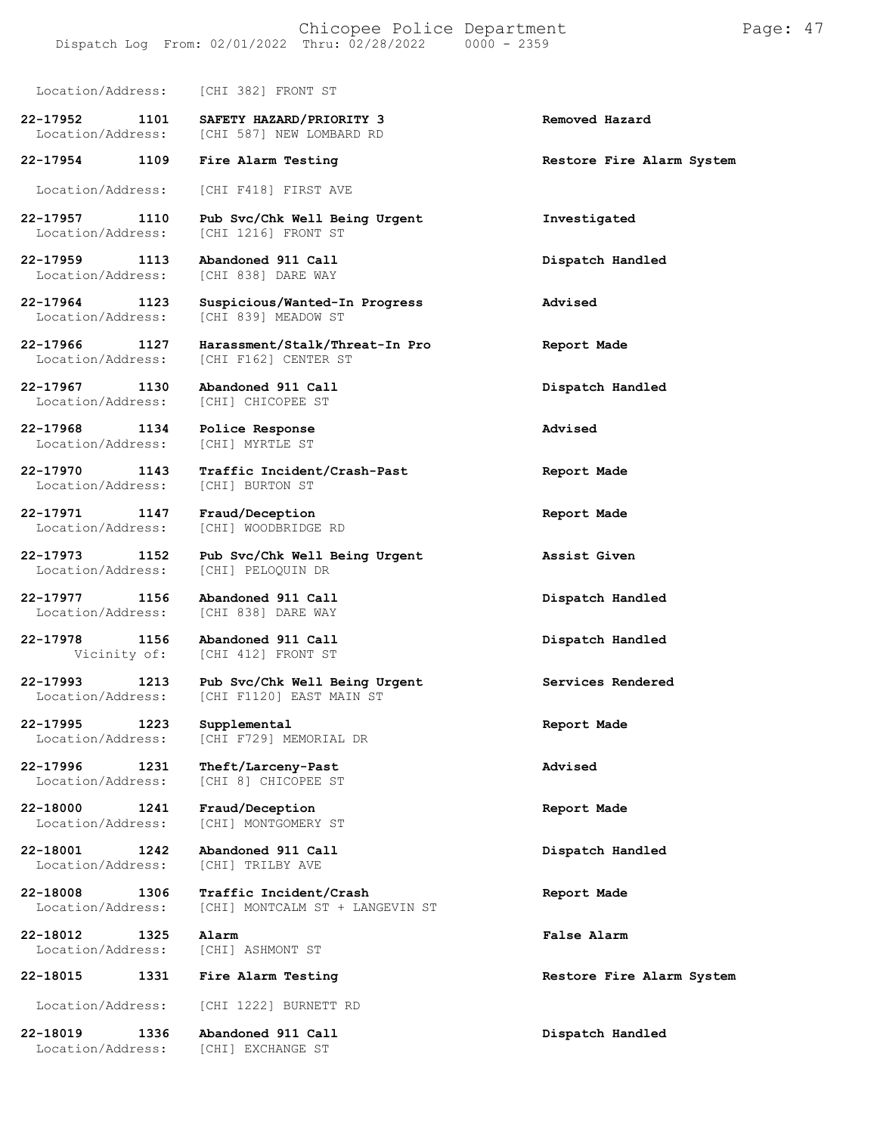Location/Address: [CHI 382] FRONT ST

**22-17952 1101 SAFETY HAZARD/PRIORITY 3 Removed Hazard** [CHI 587] NEW LOMBARD RD

**22-17954 1109 Fire Alarm Testing Restore Fire Alarm System**

Location/Address: [CHI F418] FIRST AVE

**22-17957 1110 Pub Svc/Chk Well Being Urgent Investigated** [CHI 1216] FRONT ST

**22-17959 1113 Abandoned 911 Call Dispatch Handled** Location/Address: [CHI 838] DARE WAY

**22-17967 1130 Abandoned 911 Call Dispatch Handled** Location/Address:

**22-17968 1134 Police Response Advised** Location/Address:

Location/Address:

**22-17971 1147 Fraud/Deception Report Made** Location/Address:

Location/Address:

**22-17977 1156 Abandoned 911 Call Dispatch Handled** Location/Address: [CHI 838] DARE WAY

**22-17978 1156 Abandoned 911 Call Dispatch Handled**

**22-18001 1242 Abandoned 911 Call Dispatch Handled**

**22-18012 1325 Alarm False Alarm**

**22-18015 1331 Fire Alarm Testing Restore Fire Alarm System**

**22-17964 1123 Suspicious/Wanted-In Progress Advised** [CHI 839] MEADOW ST

**22-17966 1127 Harassment/Stalk/Threat-In Pro Report Made** [CHI F162] CENTER ST

**22-17970 1143 Traffic Incident/Crash-Past Report Made**

**22-17973 1152 Pub Svc/Chk Well Being Urgent Assist Given**

[CHI 412] FRONT ST

**22-17993 1213 Pub Svc/Chk Well Being Urgent Services Rendered** Location/Address: [CHI F1120] EAST MAIN ST

**22-17995 1223 Supplemental Report Made** [CHI F729] MEMORIAL DR

**22-17996 1231 Theft/Larceny-Past Advised** [CHI 8] CHICOPEE ST

**22-18000 1241 Fraud/Deception Report Made** [CHI] MONTGOMERY ST

[CHI] TRILBY AVE

**22-18008 1306 Traffic Incident/Crash Report Made** [CHI] MONTCALM ST + LANGEVIN ST

Location/Address: [CHI] ASHMONT ST

Location/Address: [CHI 1222] BURNETT RD

**22-18019 1336 Abandoned 911 Call Dispatch Handled** Location/Address: [CHI] EXCHANGE ST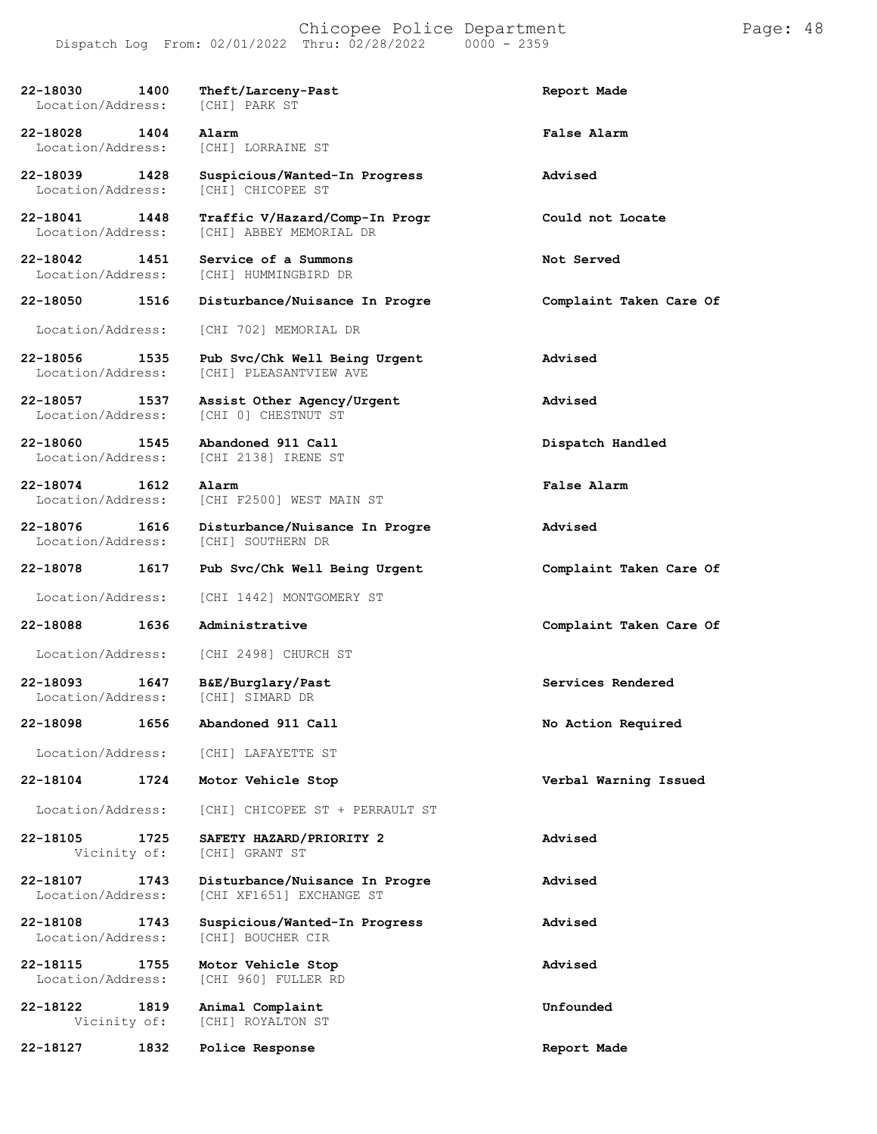| 22-18030<br>1400<br>Location/Address:     | Theft/Larceny-Past<br>[CHI] PARK ST                        | Report Made             |
|-------------------------------------------|------------------------------------------------------------|-------------------------|
| 22-18028 1404<br>Location/Address:        | Alarm<br>[CHI] LORRAINE ST                                 | False Alarm             |
| 22-18039 1428<br>Location/Address:        | Suspicious/Wanted-In Progress<br>[CHI] CHICOPEE ST         | Advised                 |
| 22-18041 1448<br>Location/Address:        | Traffic V/Hazard/Comp-In Progr<br>[CHI] ABBEY MEMORIAL DR  | Could not Locate        |
| 22-18042<br>1451<br>Location/Address:     | Service of a Summons<br>[CHI] HUMMINGBIRD DR               | Not Served              |
| 22-18050 1516                             | Disturbance/Nuisance In Progre                             | Complaint Taken Care Of |
| Location/Address:                         | [CHI 702] MEMORIAL DR                                      |                         |
| 22-18056<br>1535<br>Location/Address:     | Pub Svc/Chk Well Being Urgent<br>[CHI] PLEASANTVIEW AVE    | Advised                 |
| 22-18057 1537<br>Location/Address:        | Assist Other Agency/Urgent<br>[CHI 0] CHESTNUT ST          | Advised                 |
| $22 - 18060$<br>1545<br>Location/Address: | Abandoned 911 Call<br>[CHI 2138] IRENE ST                  | Dispatch Handled        |
| 22-18074 1612<br>Location/Address:        | Alarm<br>[CHI F2500] WEST MAIN ST                          | False Alarm             |
| 22-18076<br>1616<br>Location/Address:     | Disturbance/Nuisance In Progre<br>[CHI] SOUTHERN DR        | Advised                 |
| 22-18078<br>1617                          | Pub Svc/Chk Well Being Urgent                              | Complaint Taken Care Of |
| Location/Address:                         | [CHI 1442] MONTGOMERY ST                                   |                         |
| 22-18088<br>1636                          | Administrative                                             | Complaint Taken Care Of |
| Location/Address:                         | [CHI 2498] CHURCH ST                                       |                         |
| 22-18093<br>1647<br>Location/Address:     | B&E/Burglary/Past<br>[CHI] SIMARD DR                       | Services Rendered       |
| 22-18098<br>1656                          | Abandoned 911 Call                                         | No Action Required      |
| Location/Address:                         | [CHI] LAFAYETTE ST                                         |                         |
| 1724<br>22-18104                          | Motor Vehicle Stop                                         | Verbal Warning Issued   |
| Location/Address:                         | [CHI] CHICOPEE ST + PERRAULT ST                            |                         |
| 22-18105<br>1725<br>Vicinity of:          | SAFETY HAZARD/PRIORITY 2<br>[CHI] GRANT ST                 | Advised                 |
| 22-18107<br>1743<br>Location/Address:     | Disturbance/Nuisance In Progre<br>[CHI XF1651] EXCHANGE ST | Advised                 |
| 22-18108<br>1743<br>Location/Address:     | Suspicious/Wanted-In Progress<br>[CHI] BOUCHER CIR         | Advised                 |
| 22-18115<br>1755<br>Location/Address:     | Motor Vehicle Stop<br>[CHI 960] FULLER RD                  | Advised                 |
| 22-18122<br>1819<br>Vicinity of:          | Animal Complaint<br>[CHI] ROYALTON ST                      | Unfounded               |
| 22-18127<br>1832                          | Police Response                                            | Report Made             |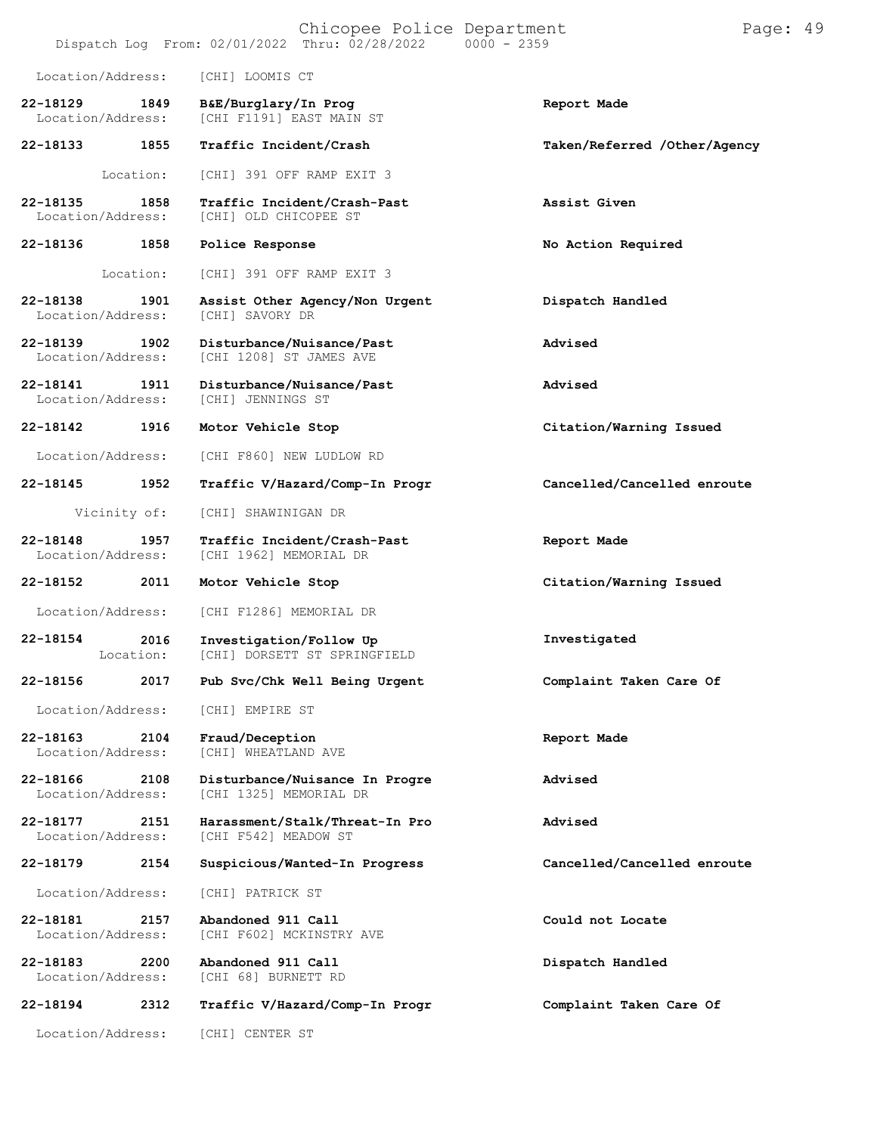|                               |                   | Chicopee Police Department<br>Dispatch Log From: 02/01/2022 Thru: 02/28/2022 | $0000 - 2359$                | Page: 49 |
|-------------------------------|-------------------|------------------------------------------------------------------------------|------------------------------|----------|
| Location/Address:             |                   | [CHI] LOOMIS CT                                                              |                              |          |
| 22-18129<br>Location/Address: | 1849              | B&E/Burglary/In Prog<br>[CHI F1191] EAST MAIN ST                             | Report Made                  |          |
| 22-18133                      | 1855              | Traffic Incident/Crash                                                       | Taken/Referred /Other/Agency |          |
|                               | Location:         | [CHI] 391 OFF RAMP EXIT 3                                                    |                              |          |
| 22-18135<br>Location/Address: | 1858              | Traffic Incident/Crash-Past<br>[CHI] OLD CHICOPEE ST                         | Assist Given                 |          |
| 22-18136                      | 1858              | Police Response                                                              | No Action Required           |          |
|                               | Location:         | [CHI] 391 OFF RAMP EXIT 3                                                    |                              |          |
| 22-18138<br>Location/Address: | 1901              | Assist Other Agency/Non Urgent<br>[CHI] SAVORY DR                            | Dispatch Handled             |          |
| 22-18139<br>Location/Address: | 1902              | Disturbance/Nuisance/Past<br>[CHI 1208] ST JAMES AVE                         | Advised                      |          |
| 22-18141<br>Location/Address: | 1911              | Disturbance/Nuisance/Past<br>[CHI] JENNINGS ST                               | Advised                      |          |
| 22-18142                      | 1916              | Motor Vehicle Stop                                                           | Citation/Warning Issued      |          |
| Location/Address:             |                   | [CHI F860] NEW LUDLOW RD                                                     |                              |          |
| 22-18145                      | 1952              | Traffic V/Hazard/Comp-In Progr                                               | Cancelled/Cancelled enroute  |          |
|                               | Vicinity of:      | [CHI] SHAWINIGAN DR                                                          |                              |          |
| 22-18148<br>Location/Address: | 1957              | Traffic Incident/Crash-Past<br>[CHI 1962] MEMORIAL DR                        | Report Made                  |          |
| 22-18152                      | 2011              | Motor Vehicle Stop                                                           | Citation/Warning Issued      |          |
| Location/Address:             |                   | [CHI F1286] MEMORIAL DR                                                      |                              |          |
| 22-18154                      | 2016<br>Location: | Investigation/Follow Up<br>[CHI] DORSETT ST SPRINGFIELD                      | Investigated                 |          |
| 22-18156                      | 2017              | Pub Svc/Chk Well Being Urgent                                                | Complaint Taken Care Of      |          |
| Location/Address:             |                   | [CHI] EMPIRE ST                                                              |                              |          |
| 22-18163<br>Location/Address: | 2104              | Fraud/Deception<br>[CHI] WHEATLAND AVE                                       | Report Made                  |          |
| 22-18166<br>Location/Address: | 2108              | Disturbance/Nuisance In Progre<br>[CHI 1325] MEMORIAL DR                     | Advised                      |          |
| 22-18177<br>Location/Address: | 2151              | Harassment/Stalk/Threat-In Pro<br>[CHI F542] MEADOW ST                       | Advised                      |          |
| 22-18179                      | 2154              | Suspicious/Wanted-In Progress                                                | Cancelled/Cancelled enroute  |          |
| Location/Address:             |                   | [CHI] PATRICK ST                                                             |                              |          |
| 22-18181<br>Location/Address: | 2157              | Abandoned 911 Call<br>[CHI F602] MCKINSTRY AVE                               | Could not Locate             |          |
| 22-18183<br>Location/Address: | 2200              | Abandoned 911 Call<br>[CHI 68] BURNETT RD                                    | Dispatch Handled             |          |
| 22-18194                      | 2312              | Traffic V/Hazard/Comp-In Progr                                               | Complaint Taken Care Of      |          |
| Location/Address:             |                   | [CHI] CENTER ST                                                              |                              |          |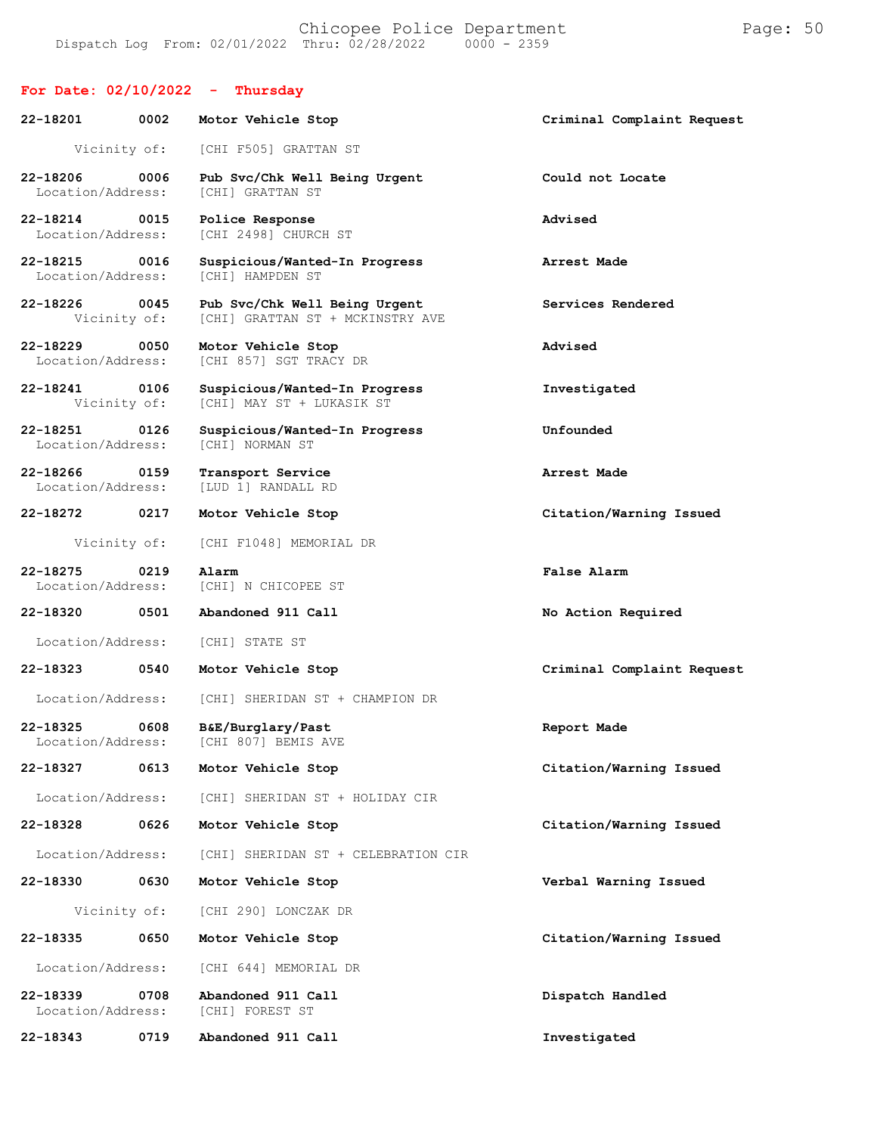### **For Date: 02/10/2022 - Thursday**

| 22-18201<br>0002<br>Motor Vehicle Stop |              |                                                                   | Criminal Complaint Request |
|----------------------------------------|--------------|-------------------------------------------------------------------|----------------------------|
|                                        | Vicinity of: | [CHI F505] GRATTAN ST                                             |                            |
| 22-18206<br>Location/Address:          | 0006         | Pub Svc/Chk Well Being Urgent<br>[CHI] GRATTAN ST                 | Could not Locate           |
| 22-18214<br>Location/Address:          | 0015         | Police Response<br>[CHI 2498] CHURCH ST                           | Advised                    |
| 22-18215<br>Location/Address:          | 0016         | Suspicious/Wanted-In Progress<br>[CHI] HAMPDEN ST                 | Arrest Made                |
| 22-18226<br>Vicinity of:               | 0045         | Pub Svc/Chk Well Being Urgent<br>[CHI] GRATTAN ST + MCKINSTRY AVE | Services Rendered          |
| 22-18229<br>Location/Address:          | 0050         | Motor Vehicle Stop<br>[CHI 857] SGT TRACY DR                      | Advised                    |
| 22-18241<br>Vicinity of:               | 0106         | Suspicious/Wanted-In Progress<br>[CHI] MAY ST + LUKASIK ST        | Investigated               |
| 22-18251<br>Location/Address:          | 0126         | Suspicious/Wanted-In Progress<br>[CHI] NORMAN ST                  | Unfounded                  |
| 22-18266<br>Location/Address:          | 0159         | Transport Service<br>[LUD 1] RANDALL RD                           | Arrest Made                |
| 22-18272                               | 0217         | Motor Vehicle Stop                                                | Citation/Warning Issued    |
| Vicinity of:                           |              | [CHI F1048] MEMORIAL DR                                           |                            |
| 22-18275<br>Location/Address:          | 0219         | Alarm<br>[CHI] N CHICOPEE ST                                      | False Alarm                |
| 22-18320                               | 0501         | Abandoned 911 Call                                                | No Action Required         |
| Location/Address:                      |              | [CHI] STATE ST                                                    |                            |
| 22-18323                               | 0540         | Motor Vehicle Stop                                                | Criminal Complaint Request |
| Location/Address:                      |              | [CHI] SHERIDAN ST + CHAMPION DR                                   |                            |
| 22-18325<br>Location/Address:          | 0608         | B&E/Burglary/Past<br>[CHI 807] BEMIS AVE                          | Report Made                |
| 22-18327                               | 0613         | Motor Vehicle Stop                                                | Citation/Warning Issued    |
| Location/Address:                      |              | [CHI] SHERIDAN ST + HOLIDAY CIR                                   |                            |
| 22-18328                               | 0626         | Motor Vehicle Stop                                                | Citation/Warning Issued    |
| Location/Address:                      |              | [CHI] SHERIDAN ST + CELEBRATION CIR                               |                            |
| 22-18330                               | 0630         | Motor Vehicle Stop                                                | Verbal Warning Issued      |
| Vicinity of:                           |              | [CHI 290] LONCZAK DR                                              |                            |
| 22-18335                               | 0650         | Motor Vehicle Stop                                                | Citation/Warning Issued    |
| Location/Address:                      |              | [CHI 644] MEMORIAL DR                                             |                            |
| 22-18339<br>Location/Address:          | 0708         | Abandoned 911 Call<br>[CHI] FOREST ST                             | Dispatch Handled           |
| 22-18343                               | 0719         | Abandoned 911 Call                                                | Investigated               |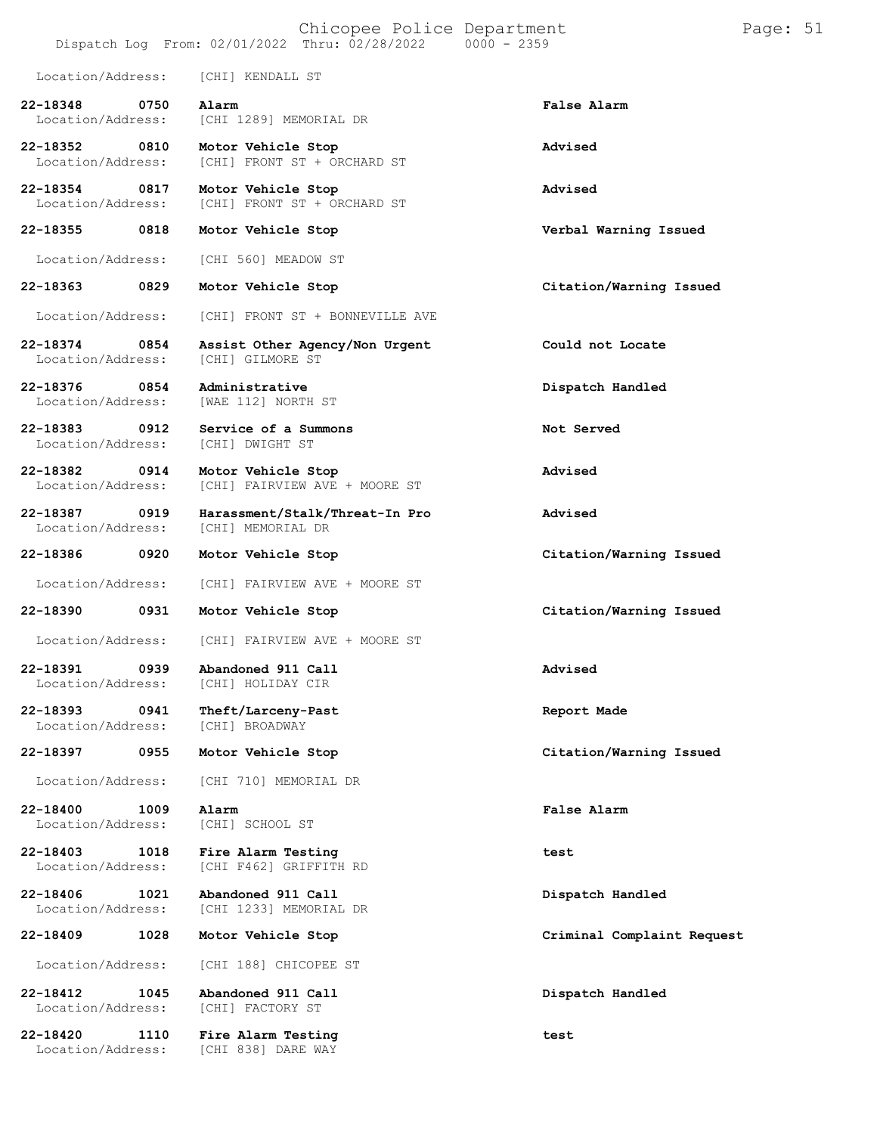# Chicopee Police Department Page: 51 Dispatch Log From:  $02/01/2022$  Thru:  $02/28/2022$ Location/Address: [CHI] KENDALL ST **22-18348 0750 Alarm False Alarm** Location/Address: [CHI 1289] MEMORIAL DR **22-18352 0810 Motor Vehicle Stop Advised** [CHI] FRONT ST + ORCHARD ST **22-18354 0817 Motor Vehicle Stop Advised** [CHI] FRONT ST + ORCHARD ST **22-18355 0818 Motor Vehicle Stop Verbal Warning Issued** Location/Address: [CHI 560] MEADOW ST **22-18363 0829 Motor Vehicle Stop Citation/Warning Issued** Location/Address: [CHI] FRONT ST + BONNEVILLE AVE **22-18374 0854 Assist Other Agency/Non Urgent Could not Locate** Location/Address: **22-18376 0854 Administrative Dispatch Handled** [WAE 112] NORTH ST **22-18383 0912 Service of a Summons Not Served** Location/Address: **22-18382 0914 Motor Vehicle Stop Advised** [CHI] FAIRVIEW AVE + MOORE ST **22-18387 0919 Harassment/Stalk/Threat-In Pro Advised** [CHI] MEMORIAL DR **22-18386 0920 Motor Vehicle Stop Citation/Warning Issued** Location/Address: [CHI] FAIRVIEW AVE + MOORE ST **22-18390 0931 Motor Vehicle Stop Citation/Warning Issued** Location/Address: [CHI] FAIRVIEW AVE + MOORE ST **22-18391 0939 Abandoned 911 Call Advised** [CHI] HOLIDAY CIR **22-18393 0941 Theft/Larceny-Past Report Made** Location/Address: **22-18397 0955 Motor Vehicle Stop Citation/Warning Issued** Location/Address: [CHI 710] MEMORIAL DR **22-18400 1009 Alarm False Alarm** Location/Address: [CHI] SCHOOL ST **22-18403 1018 Fire Alarm Testing test** [CHI F462] GRIFFITH RD **22-18406 1021 Abandoned 911 Call Dispatch Handled** [CHI 1233] MEMORIAL DR **22-18409 1028 Motor Vehicle Stop Criminal Complaint Request** Location/Address: [CHI 188] CHICOPEE ST **22-18412 1045 Abandoned 911 Call Dispatch Handled** Location/Address: **22-18420 1110 Fire Alarm Testing test** [CHI 838] DARE WAY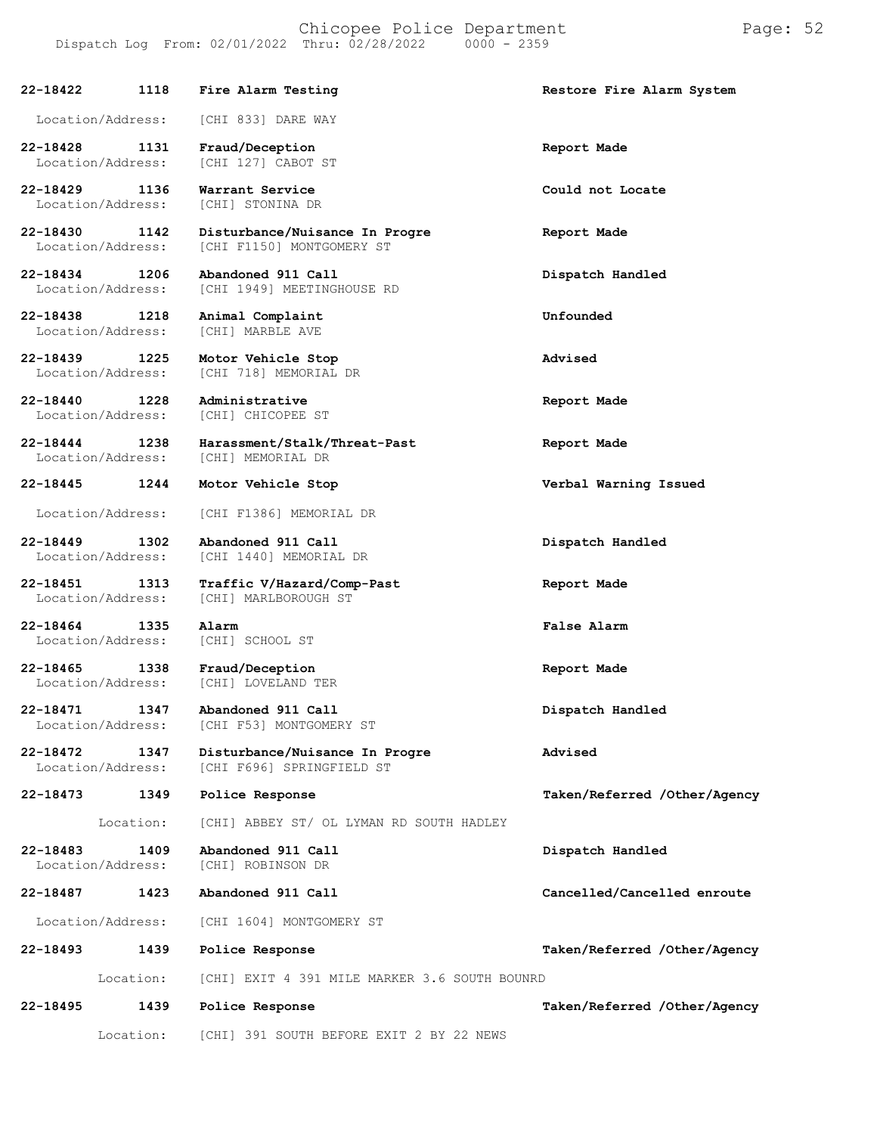**22-18422 1118 Fire Alarm Testing Restore Fire Alarm System** Location/Address: [CHI 833] DARE WAY **22-18428 1131 Fraud/Deception Report Made** [CHI 127] CABOT ST **22-18429 1136 Warrant Service Could not Locate** Location/Address: **22-18430 1142 Disturbance/Nuisance In Progre Report Made** [CHI F1150] MONTGOMERY ST **22-18434 1206 Abandoned 911 Call Dispatch Handled** [CHI 1949] MEETINGHOUSE RD **22-18438 1218 Animal Complaint Unfounded** Location/Address: **22-18439 1225 Motor Vehicle Stop Advised** [CHI 718] MEMORIAL DR **22-18440 1228 Administrative Report Made** [CHI] CHICOPEE ST **22-18444 1238 Harassment/Stalk/Threat-Past Report Made** Location/Address: **22-18445 1244 Motor Vehicle Stop Verbal Warning Issued** Location/Address: [CHI F1386] MEMORIAL DR **22-18449 1302 Abandoned 911 Call Dispatch Handled** [CHI 1440] MEMORIAL DR **22-18451 1313 Traffic V/Hazard/Comp-Past Report Made** [CHI] MARLBOROUGH ST **22-18464 1335 Alarm False Alarm** Location/Address: **22-18465 1338 Fraud/Deception Report Made** Location/Address: [CHI] LOVELAND TER **22-18471 1347 Abandoned 911 Call Dispatch Handled** [CHI F53] MONTGOMERY ST **22-18472 1347 Disturbance/Nuisance In Progre Advised** [CHI F696] SPRINGFIELD ST **22-18473 1349 Police Response Taken/Referred /Other/Agency 22-18483** Location: **1409** [CHI] ABBEY ST/ OL LYMAN RD SOUTH HADLEY **Abandoned 911 Call Dispatch Handled** [CHI] ROBINSON DR **22-18487 1423 Abandoned 911 Call Cancelled/Cancelled enroute** Location/Address: [CHI 1604] MONTGOMERY ST **22-18493 1439 Police Response Taken/Referred /Other/Agency** Location: [CHI] EXIT 4 391 MILE MARKER 3.6 SOUTH BOUNRD **22-18495 1439 Police Response Taken/Referred /Other/Agency** Location: [CHI] 391 SOUTH BEFORE EXIT 2 BY 22 NEWS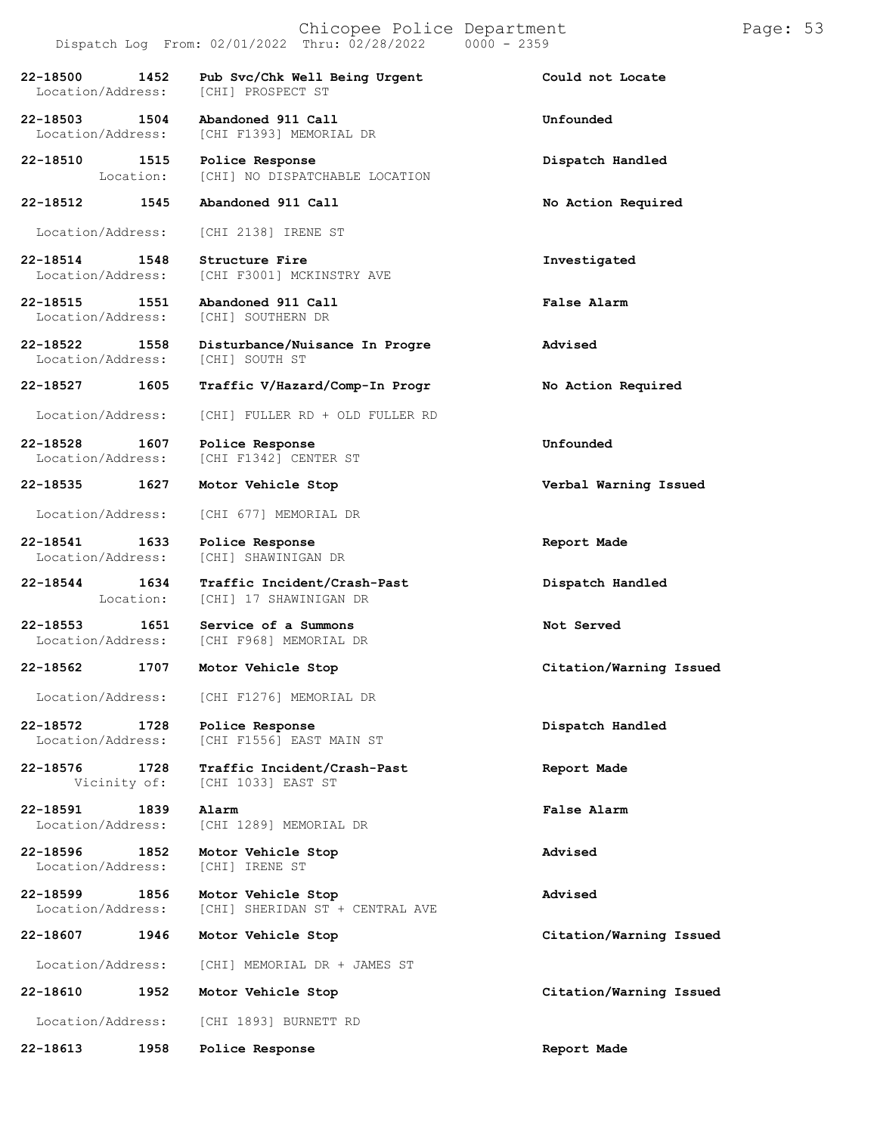## Chicopee Police Department Page: 53

### Dispatch Log From: 02/01/2022 Thru: 02/28/2022 0000 - 2359

**22-18500 1452 Pub Svc/Chk Well Being Urgent Could not Locate** Location/Address: **22-18503 1504 Abandoned 911 Call Unfounded** [CHI F1393] MEMORIAL DR **22-18510 1515 Police Response Dispatch Handled 22-18512 1545** Location: [CHI] NO DISPATCHABLE LOCATION **Abandoned 911 Call No Action Required** Location/Address: [CHI 2138] IRENE ST **22-18514 1548 Structure Fire Investigated** Location/Address: [CHI F3001] MCKINSTRY AVE **22-18515 1551 Abandoned 911 Call False Alarm** Location/Address: **22-18522 1558 Disturbance/Nuisance In Progre Advised** Location/Address: **22-18527 1605 Traffic V/Hazard/Comp-In Progr No Action Required** Location/Address: [CHI] FULLER RD + OLD FULLER RD **22-18528 1607 Police Response Unfounded** [CHI F1342] CENTER ST **22-18535 1627 Motor Vehicle Stop Verbal Warning Issued** Location/Address: [CHI 677] MEMORIAL DR **22-18541 1633 Police Response Report Made** Location/Address: [CHI] SHAWINIGAN DR **22-18544 1634 Traffic Incident/Crash-Past Dispatch Handled 22-18553 1651**<br>
Location/Address: Location: [CHI] 17 SHAWINIGAN DR **1651 Service of a Summons Not Served** [CHI F968] MEMORIAL DR **22-18562 1707 Motor Vehicle Stop Citation/Warning Issued** Location/Address: [CHI F1276] MEMORIAL DR **22-18572 1728 Police Response Dispatch Handled** [CHI F1556] EAST MAIN ST **22-18576 1728 Traffic Incident/Crash-Past Report Made** Vicinity of: [CHI 1033] EAST ST **22-18591 1839 Alarm False Alarm** Location/Address: [CHI 1289] MEMORIAL DR **22-18596 1852 Motor Vehicle Stop Advised** Location/Address: **22-18599 1856 Motor Vehicle Stop Advised** [CHI] SHERIDAN ST + CENTRAL AVE **22-18607 1946 Motor Vehicle Stop Citation/Warning Issued** Location/Address: [CHI] MEMORIAL DR + JAMES ST **22-18610 1952 Motor Vehicle Stop Citation/Warning Issued**

Location/Address: [CHI 1893] BURNETT RD

**22-18613 1958 Police Response Report Made**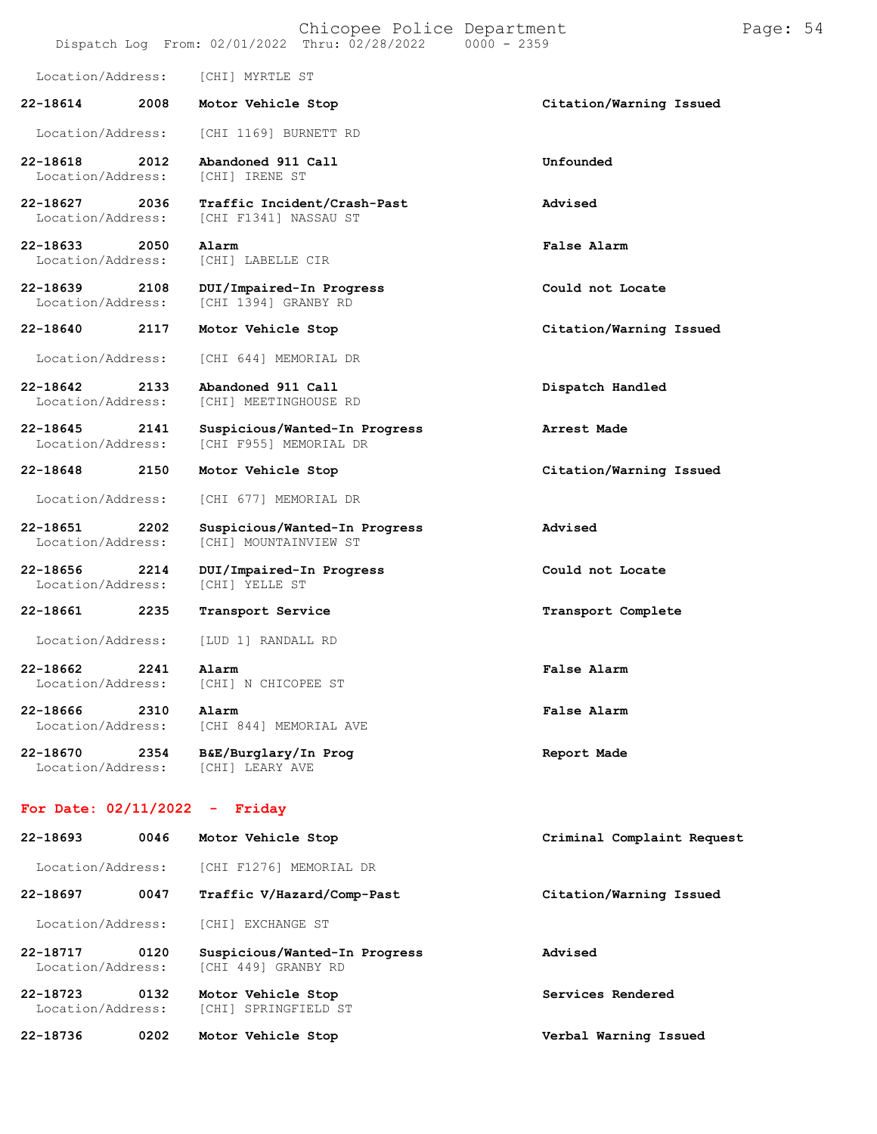|  |                                                |  | Chicopee Police Department |
|--|------------------------------------------------|--|----------------------------|
|  | Dispatch Log From: 02/01/2022 Thru: 02/28/2022 |  | $0000 - 2359$              |

Location/Address: [CHI] MYRTLE ST **22-18614 2008 Motor Vehicle Stop Citation/Warning Issued**

Location/Address: [CHI 1169] BURNETT RD

**22-18618 2012 Abandoned 911 Call Unfounded** Location/Address:

**22-18627 2036 Traffic Incident/Crash-Past Advised** Location/Address: [CHI F1341] NASSAU ST

**22-18633 2050 Alarm False Alarm** Location/Address:

**22-18639 2108 DUI/Impaired-In Progress Could not Locate** [CHI 1394] GRANBY RD

Location/Address: [CHI 644] MEMORIAL DR

**22-18642 2133 Abandoned 911 Call Dispatch Handled** Location/Address: [CHI] MEETINGHOUSE RD

**22-18645 2141 Suspicious/Wanted-In Progress Arrest Made** [CHI F955] MEMORIAL DR

Location/Address: [CHI 677] MEMORIAL DR

**22-18651 2202 Suspicious/Wanted-In Progress Advised** [CHI] MOUNTAINVIEW ST

**22-18656 2214 DUI/Impaired-In Progress Could not Locate** Location/Address:

**22-18661 2235 Transport Service Transport Complete**

Location/Address: [LUD 1] RANDALL RD

**22-18662 2241 Alarm False Alarm** Location/Address:

**22-18666 2310 Alarm False Alarm** [CHI 844] MEMORIAL AVE

**22-18670 2354 B&E/Burglary/In Prog Report Made** Location/Address:

#### **For Date: 02/11/2022 - Friday**

| 22-18693                      | 0046 | Motor Vehicle Stop                                   | Criminal Complaint Request |
|-------------------------------|------|------------------------------------------------------|----------------------------|
| Location/Address:             |      | ICHI F12761 MEMORIAL DR                              |                            |
| 22-18697                      | 0047 | Traffic V/Hazard/Comp-Past                           | Citation/Warning Issued    |
| Location/Address:             |      | <b>[CHI] EXCHANGE ST</b>                             |                            |
| 22-18717<br>Location/Address: | 0120 | Suspicious/Wanted-In Progress<br>[CHI 449] GRANBY RD | Advised                    |
| 22-18723<br>Location/Address: | 0132 | Motor Vehicle Stop<br>[CHI] SPRINGFIELD ST           | Services Rendered          |
| 22-18736                      | 0202 | Motor Vehicle Stop                                   | Verbal Warning Issued      |

**22-18640 2117 Motor Vehicle Stop Citation/Warning Issued**

**22-18648 2150 Motor Vehicle Stop Citation/Warning Issued**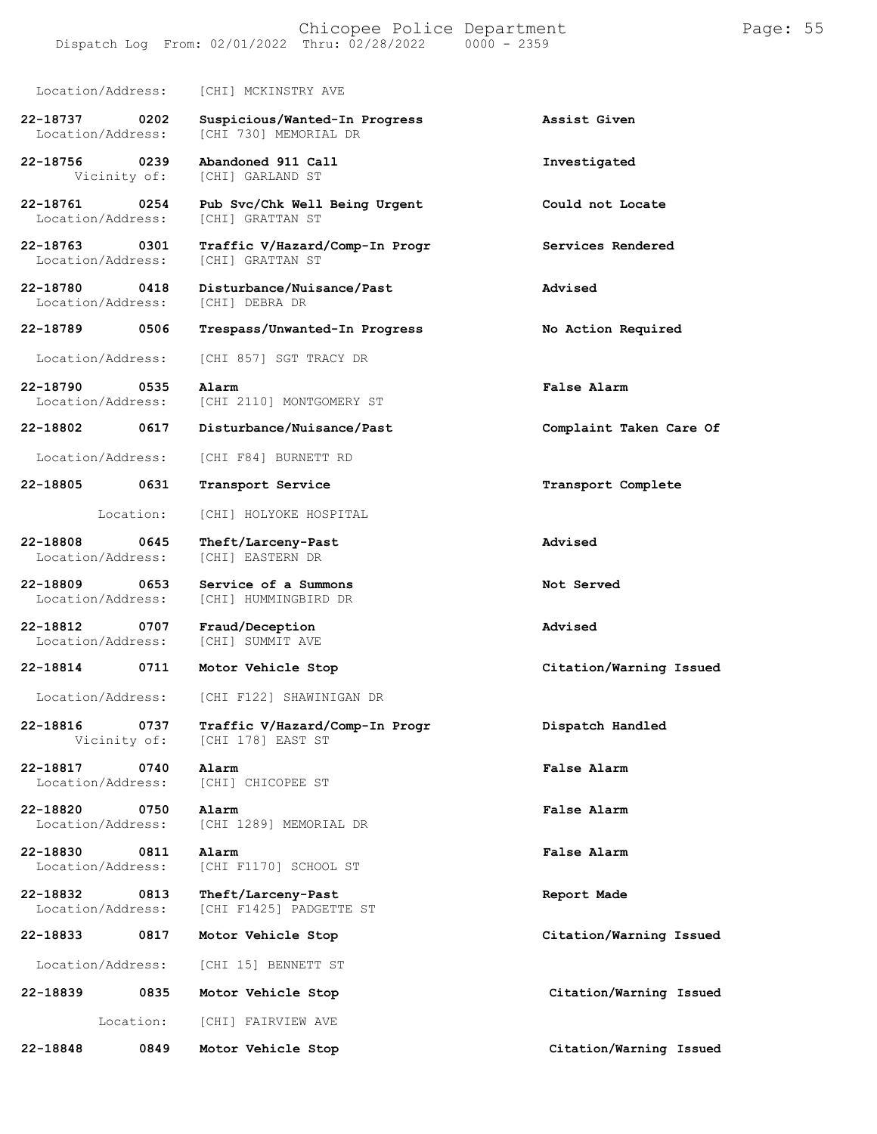#### Chicopee Police Department Page: 55 Dispatch Log From:  $02/01/2022$  Thru:  $02/28/2022$

Location/Address: [CHI] MCKINSTRY AVE **22-18737 0202 Suspicious/Wanted-In Progress Assist Given** [CHI 730] MEMORIAL DR **22-18756 0239 Abandoned 911 Call Investigated**

[CHI] GARLAND ST

**22-18761 0254 Pub Svc/Chk Well Being Urgent Could not Locate** Location/Address:

**22-18763 0301 Traffic V/Hazard/Comp-In Progr Services Rendered** Location/Address:

**22-18780 0418 Disturbance/Nuisance/Past Advised** Location/Address:

Location/Address: [CHI 857] SGT TRACY DR

[CHI 2110] MONTGOMERY ST

Location/Address: [CHI F84] BURNETT RD

**22-18805 0631 Transport Service Transport Complete**

Location: [CHI] HOLYOKE HOSPITAL

**22-18808 0645 Theft/Larceny-Past Advised** Location/Address:

**22-18809 0653 Service of a Summons Not Served** Location/Address: [CHI] HUMMINGBIRD DR

**22-18812 0707 Fraud/Deception Advised** Location/Address:

**22-18814 0711 Motor Vehicle Stop Citation/Warning Issued**

Location/Address: [CHI F122] SHAWINIGAN DR

**22-18816 0737 Traffic V/Hazard/Comp-In Progr Dispatch Handled** [CHI 178] EAST ST

**22-18817 0740 Alarm False Alarm** Location/Address: [CHI] CHICOPEE ST

**22-18820 0750 Alarm False Alarm** Location/Address: [CHI 1289] MEMORIAL DR

**22-18830 0811 Alarm False Alarm** [CHI F1170] SCHOOL ST

**22-18832 0813 Theft/Larceny-Past Report Made** [CHI F1425] PADGETTE ST

Location/Address: [CHI 15] BENNETT ST

**22-18839 0835 Motor Vehicle Stop Citation/Warning Issued**

Location: [CHI] FAIRVIEW AVE

**0849**

**22-18848**

**22-18789 0506 Trespass/Unwanted-In Progress No Action Required 22-18790 0535 Alarm False Alarm 22-18802 0617 Disturbance/Nuisance/Past Complaint Taken Care Of**

**22-18833 0817 Motor Vehicle Stop Citation/Warning Issued**

**Motor Vehicle Stop Citation/Warning Issued**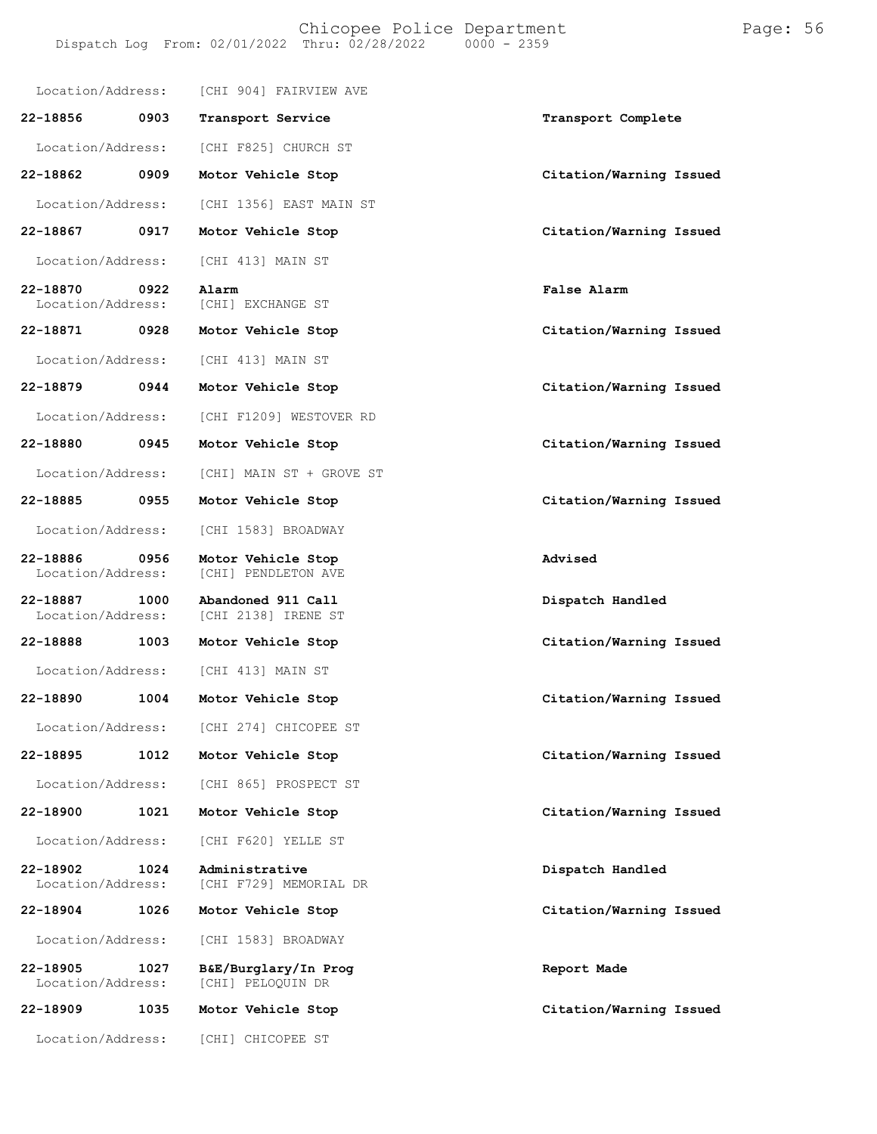| Location/Address:             |      | [CHI 904] FAIRVIEW AVE                    |                         |
|-------------------------------|------|-------------------------------------------|-------------------------|
| 22-18856                      | 0903 | Transport Service                         | Transport Complete      |
| Location/Address:             |      | [CHI F825] CHURCH ST                      |                         |
| 22-18862                      | 0909 | Motor Vehicle Stop                        | Citation/Warning Issued |
| Location/Address:             |      | [CHI 1356] EAST MAIN ST                   |                         |
| 22-18867                      | 0917 | Motor Vehicle Stop                        | Citation/Warning Issued |
| Location/Address:             |      | [CHI 413] MAIN ST                         |                         |
| 22-18870<br>Location/Address: | 0922 | Alarm<br>[CHI] EXCHANGE ST                | <b>False Alarm</b>      |
| 22-18871                      | 0928 | Motor Vehicle Stop                        | Citation/Warning Issued |
| Location/Address:             |      | [CHI 413] MAIN ST                         |                         |
| 22-18879                      | 0944 | Motor Vehicle Stop                        | Citation/Warning Issued |
| Location/Address:             |      | [CHI F1209] WESTOVER RD                   |                         |
| 22-18880                      | 0945 | Motor Vehicle Stop                        | Citation/Warning Issued |
| Location/Address:             |      | [CHI] MAIN ST + GROVE ST                  |                         |
| 22-18885                      | 0955 | Motor Vehicle Stop                        | Citation/Warning Issued |
| Location/Address:             |      | [CHI 1583] BROADWAY                       |                         |
| 22-18886<br>Location/Address: | 0956 | Motor Vehicle Stop<br>[CHI] PENDLETON AVE | Advised                 |
| 22-18887<br>Location/Address: | 1000 | Abandoned 911 Call<br>[CHI 2138] IRENE ST | Dispatch Handled        |
| 22-18888                      | 1003 | Motor Vehicle Stop                        | Citation/Warning Issued |
| Location/Address:             |      | [CHI 413] MAIN ST                         |                         |
| 22-18890                      | 1004 | Motor Vehicle Stop                        | Citation/Warning Issued |
| Location/Address:             |      | [CHI 274] CHICOPEE ST                     |                         |
| 22-18895                      | 1012 | Motor Vehicle Stop                        | Citation/Warning Issued |
| Location/Address:             |      | [CHI 865] PROSPECT ST                     |                         |
| 22-18900                      | 1021 | Motor Vehicle Stop                        | Citation/Warning Issued |
| Location/Address:             |      | [CHI F620] YELLE ST                       |                         |
| 22-18902<br>Location/Address: | 1024 | Administrative<br>[CHI F729] MEMORIAL DR  | Dispatch Handled        |
| 22-18904                      | 1026 | Motor Vehicle Stop                        | Citation/Warning Issued |
| Location/Address:             |      | [CHI 1583] BROADWAY                       |                         |
| 22-18905<br>Location/Address: | 1027 | B&E/Burglary/In Prog<br>[CHI] PELOQUIN DR | Report Made             |
| 22-18909                      | 1035 | Motor Vehicle Stop                        | Citation/Warning Issued |
| Location/Address:             |      | [CHI] CHICOPEE ST                         |                         |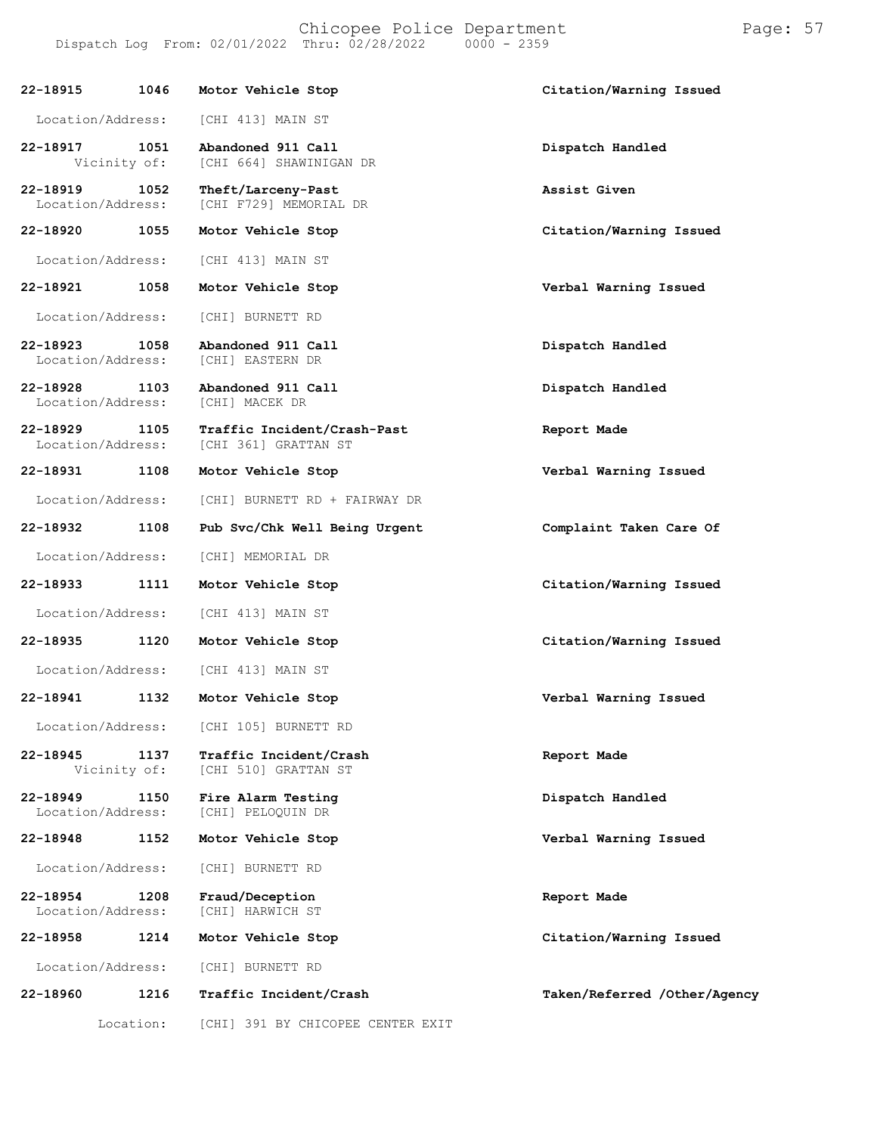Chicopee Police Department Page: 57 Dispatch Log From:  $02/01/2022$  Thru:  $02/28/2022$ **22-18915 1046 Motor Vehicle Stop Citation/Warning Issued** Location/Address: [CHI 413] MAIN ST **22-18917 1051 Abandoned 911 Call Dispatch Handled** [CHI 664] SHAWINIGAN DR **22-18919 1052 Theft/Larceny-Past Assist Given** [CHI F729] MEMORIAL DR **22-18920 1055 Motor Vehicle Stop Citation/Warning Issued** Location/Address: [CHI 413] MAIN ST **22-18921 1058 Motor Vehicle Stop Verbal Warning Issued** Location/Address: [CHI] BURNETT RD **22-18923 1058 Abandoned 911 Call Dispatch Handled** Location/Address: **22-18928 1103 Abandoned 911 Call Dispatch Handled** Location/Address: **22-18929 1105 Traffic Incident/Crash-Past Report Made** [CHI 361] GRATTAN ST **22-18931 1108 Motor Vehicle Stop Verbal Warning Issued** Location/Address: [CHI] BURNETT RD + FAIRWAY DR **22-18932 1108 Pub Svc/Chk Well Being Urgent Complaint Taken Care Of** Location/Address: [CHI] MEMORIAL DR **22-18933 1111 Motor Vehicle Stop Citation/Warning Issued** Location/Address: [CHI 413] MAIN ST **22-18935 1120 Motor Vehicle Stop Citation/Warning Issued**

**22-18941 1132 Motor Vehicle Stop Verbal Warning Issued** Location/Address: [CHI 105] BURNETT RD **22-18945 1137 Traffic Incident/Crash Report Made** [CHI 510] GRATTAN ST **22-18949 1150 Fire Alarm Testing Dispatch Handled** [CHI] PELOQUIN DR **22-18948 1152 Motor Vehicle Stop Verbal Warning Issued** Location/Address: [CHI] BURNETT RD **22-18954 1208 Fraud/Deception Report Made** Location/Address: **22-18958 1214 Motor Vehicle Stop Citation/Warning Issued** Location/Address: [CHI] BURNETT RD **22-18960 1216 Traffic Incident/Crash Taken/Referred /Other/Agency**

Location: [CHI] 391 BY CHICOPEE CENTER EXIT

Location/Address: [CHI 413] MAIN ST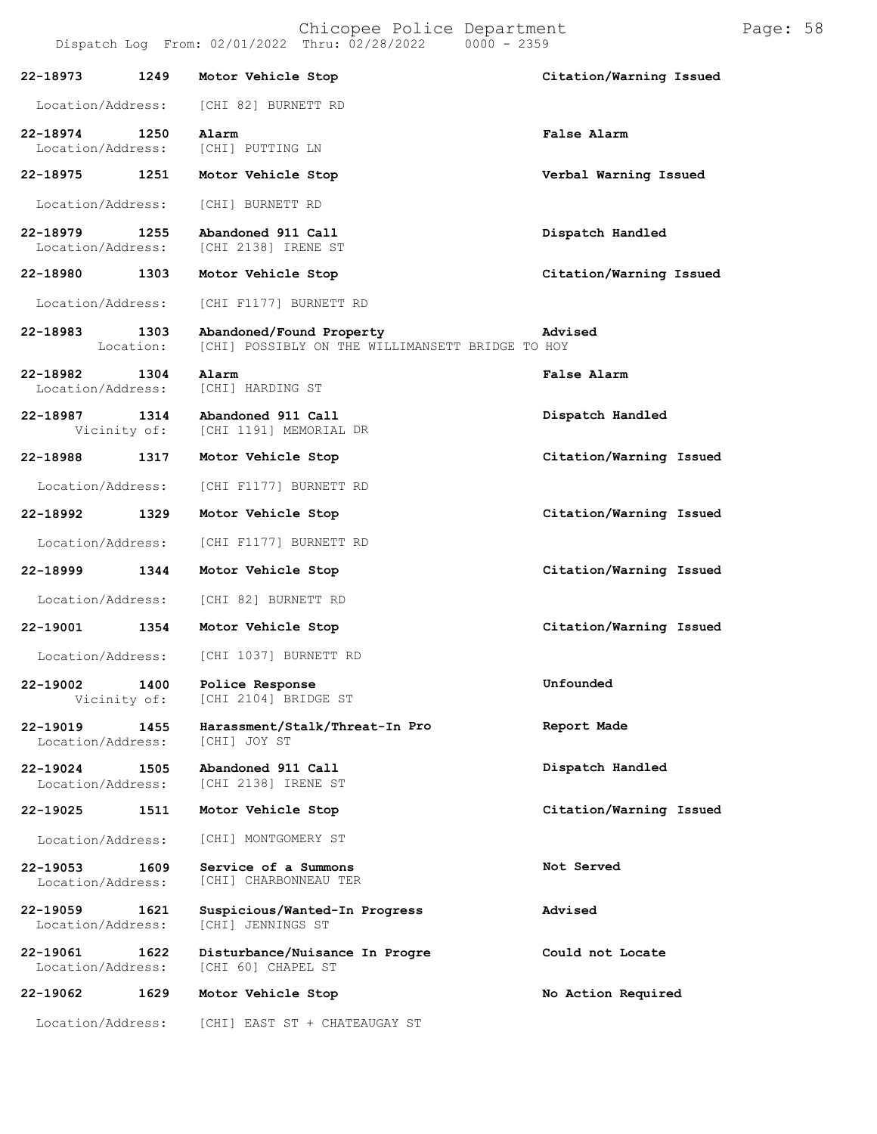|                                       |                   | Dispatch Log From: 02/01/2022 Thru: 02/28/2022<br>$0000 - 2359$              |                         |
|---------------------------------------|-------------------|------------------------------------------------------------------------------|-------------------------|
| 22-18973                              | 1249              | Motor Vehicle Stop                                                           | Citation/Warning Issued |
| Location/Address:                     |                   | [CHI 82] BURNETT RD                                                          |                         |
| 22-18974 1250<br>Location/Address:    |                   | Alarm<br>[CHI] PUTTING LN                                                    | False Alarm             |
| 22-18975                              | 1251              | Motor Vehicle Stop                                                           | Verbal Warning Issued   |
| Location/Address:                     |                   | [CHI] BURNETT RD                                                             |                         |
| 22-18979<br>1255<br>Location/Address: |                   | Abandoned 911 Call<br>[CHI 2138] IRENE ST                                    | Dispatch Handled        |
| 22-18980 1303                         |                   | Motor Vehicle Stop                                                           | Citation/Warning Issued |
| Location/Address:                     |                   | [CHI F1177] BURNETT RD                                                       |                         |
| 22-18983                              | 1303<br>Location: | Abandoned/Found Property<br>[CHI] POSSIBLY ON THE WILLIMANSETT BRIDGE TO HOY | Advised                 |
| 22-18982<br>1304<br>Location/Address: |                   | Alarm<br>[CHI] HARDING ST                                                    | False Alarm             |
| 22-18987 1314<br>Vicinity of:         |                   | Abandoned 911 Call<br>[CHI 1191] MEMORIAL DR                                 | Dispatch Handled        |
| 22-18988                              | 1317              | Motor Vehicle Stop                                                           | Citation/Warning Issued |
| Location/Address:                     |                   | [CHI F1177] BURNETT RD                                                       |                         |
| 22-18992 1329                         |                   | Motor Vehicle Stop                                                           | Citation/Warning Issued |
| Location/Address:                     |                   | [CHI F1177] BURNETT RD                                                       |                         |
| 22-18999                              | 1344              | Motor Vehicle Stop                                                           | Citation/Warning Issued |
| Location/Address:                     |                   | [CHI 82] BURNETT RD                                                          |                         |
| 22-19001                              | 1354              | Motor Vehicle Stop                                                           | Citation/Warning Issued |
|                                       |                   | Location/Address: [CHI 1037] BURNETT RD                                      |                         |
| 22-19002<br>Vicinity of:              |                   | 1400 Police Response<br>[CHI 2104] BRIDGE ST                                 | Unfounded               |
| 22-19019<br>Location/Address:         | 1455              | Harassment/Stalk/Threat-In Pro<br>[CHI] JOY ST                               | Report Made             |
| 22-19024<br>Location/Address:         | 1505              | Abandoned 911 Call<br>[CHI 2138] IRENE ST                                    | Dispatch Handled        |
| 22-19025                              | 1511              | Motor Vehicle Stop                                                           | Citation/Warning Issued |
| Location/Address:                     |                   | [CHI] MONTGOMERY ST                                                          |                         |
| 22-19053<br>Location/Address:         | 1609              | Service of a Summons<br>[CHI] CHARBONNEAU TER                                | Not Served              |
| 22-19059<br>Location/Address:         | 1621              | Suspicious/Wanted-In Progress<br>[CHI] JENNINGS ST                           | Advised                 |
| 22-19061<br>Location/Address:         | 1622              | Disturbance/Nuisance In Progre<br>[CHI 60] CHAPEL ST                         | Could not Locate        |
| 22-19062                              | 1629              | Motor Vehicle Stop                                                           | No Action Required      |

Location/Address: [CHI] EAST ST + CHATEAUGAY ST

Chicopee Police Department Page: 58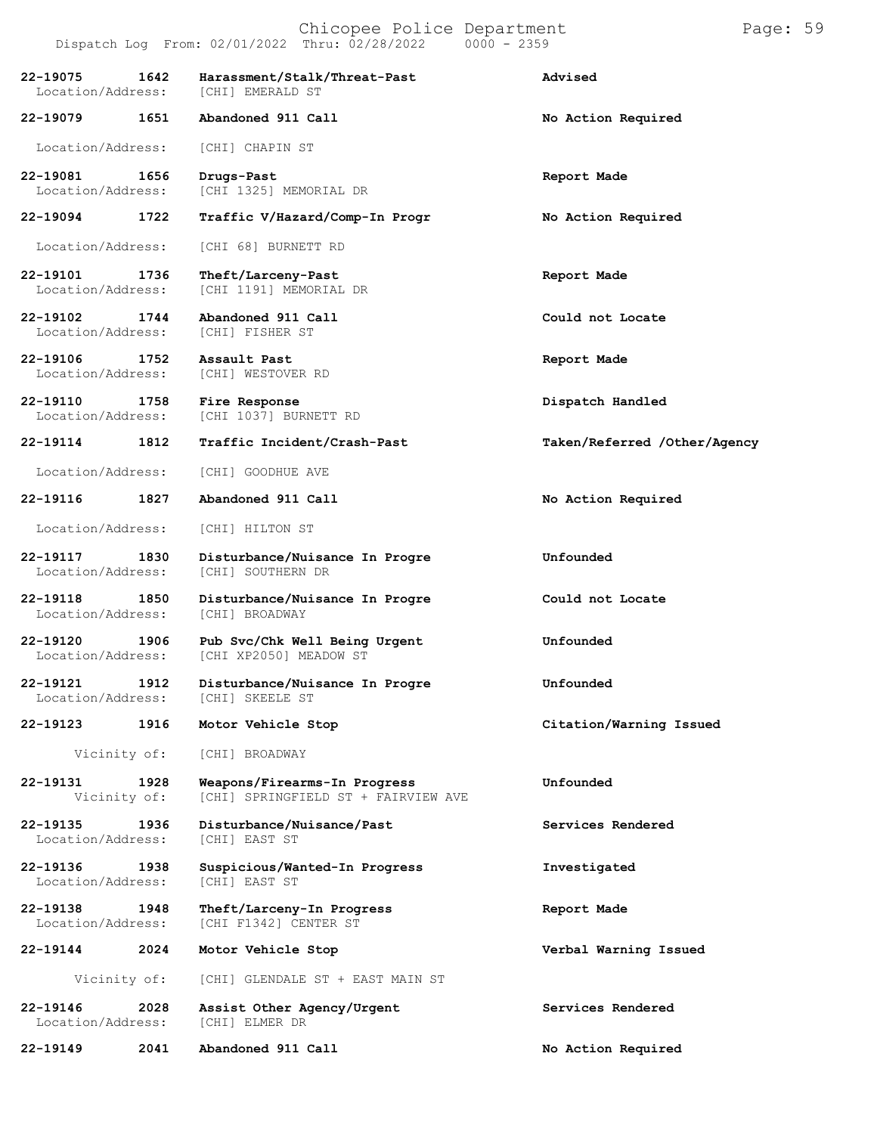# Chicopee Police Department Page: 59

|                                       | Dispatch Log From: 02/01/2022 Thru: 02/28/2022<br>$0000 - 2359$     |                              |
|---------------------------------------|---------------------------------------------------------------------|------------------------------|
| 22-19075<br>1642<br>Location/Address: | Harassment/Stalk/Threat-Past<br>[CHI] EMERALD ST                    | Advised                      |
| 22-19079<br>1651                      | Abandoned 911 Call                                                  | No Action Required           |
| Location/Address:                     | [CHI] CHAPIN ST                                                     |                              |
| 22-19081<br>1656<br>Location/Address: | Drugs-Past<br>[CHI 1325] MEMORIAL DR                                | Report Made                  |
| 22-19094<br>1722                      | Traffic V/Hazard/Comp-In Progr                                      | No Action Required           |
| Location/Address:                     | [CHI 68] BURNETT RD                                                 |                              |
| 22-19101<br>1736<br>Location/Address: | Theft/Larceny-Past<br>[CHI 1191] MEMORIAL DR                        | Report Made                  |
| 22-19102<br>1744<br>Location/Address: | Abandoned 911 Call<br>[CHI] FISHER ST                               | Could not Locate             |
| 22-19106<br>1752<br>Location/Address: | Assault Past<br>[CHI] WESTOVER RD                                   | Report Made                  |
| 22-19110<br>1758<br>Location/Address: | Fire Response<br>[CHI 1037] BURNETT RD                              | Dispatch Handled             |
| 22-19114<br>1812                      | Traffic Incident/Crash-Past                                         | Taken/Referred /Other/Agency |
| Location/Address:                     | [CHI] GOODHUE AVE                                                   |                              |
| 22-19116<br>1827                      | Abandoned 911 Call                                                  | No Action Required           |
| Location/Address:                     | [CHI] HILTON ST                                                     |                              |
| 22-19117<br>1830<br>Location/Address: | Disturbance/Nuisance In Progre<br>[CHI] SOUTHERN DR                 | Unfounded                    |
| 22-19118<br>1850<br>Location/Address: | Disturbance/Nuisance In Progre<br>[CHI] BROADWAY                    | Could not Locate             |
| 22-19120<br>1906<br>Location/Address: | Pub Svc/Chk Well Being Urgent<br>[CHI XP2050] MEADOW ST             | Unfounded                    |
| 22-19121<br>1912<br>Location/Address: | Disturbance/Nuisance In Progre<br>[CHI] SKEELE ST                   | Unfounded                    |
| 22-19123<br>1916                      | Motor Vehicle Stop                                                  | Citation/Warning Issued      |
| Vicinity of:                          | [CHI] BROADWAY                                                      |                              |
| 22-19131<br>1928<br>Vicinity of:      | Weapons/Firearms-In Progress<br>[CHI] SPRINGFIELD ST + FAIRVIEW AVE | Unfounded                    |
| 22-19135<br>1936<br>Location/Address: | Disturbance/Nuisance/Past<br>[CHI] EAST ST                          | Services Rendered            |
| 22-19136<br>1938<br>Location/Address: | Suspicious/Wanted-In Progress<br>[CHI] EAST ST                      | Investigated                 |
| 22-19138<br>1948<br>Location/Address: | Theft/Larceny-In Progress<br>[CHI F1342] CENTER ST                  | Report Made                  |
| 22-19144<br>2024                      | Motor Vehicle Stop                                                  | Verbal Warning Issued        |
| Vicinity of:                          | [CHI] GLENDALE ST + EAST MAIN ST                                    |                              |
| 22-19146<br>2028<br>Location/Address: | Assist Other Agency/Urgent<br>[CHI] ELMER DR                        | Services Rendered            |

**22-19149 2041 Abandoned 911 Call No Action Required**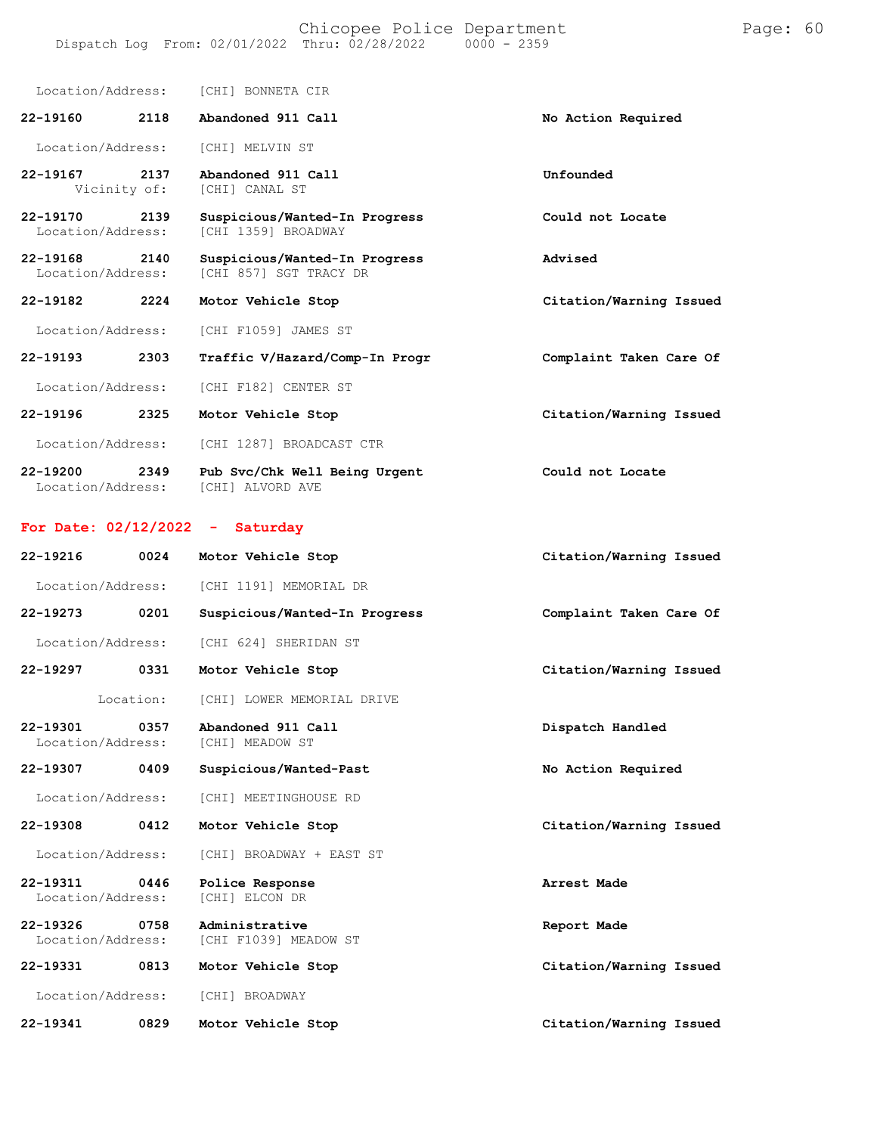Location/Address: [CHI] BONNETA CIR

| $22 - 19160$                      | 2118                 | Abandoned 911 Call                                      | No Action Required      |
|-----------------------------------|----------------------|---------------------------------------------------------|-------------------------|
| Location/Address:                 |                      | [CHI] MELVIN ST                                         |                         |
| 22-19167                          | 2137<br>Vicinity of: | Abandoned 911 Call<br>[CHI] CANAL ST                    | Unfounded               |
| $22 - 19170$<br>Location/Address: | 2139                 | Suspicious/Wanted-In Progress<br>[CHI 1359] BROADWAY    | Could not Locate        |
| $22 - 19168$<br>Location/Address: | 2140                 | Suspicious/Wanted-In Progress<br>[CHI 857] SGT TRACY DR | Advised                 |
| 22-19182                          | 2224                 | Motor Vehicle Stop                                      | Citation/Warning Issued |
| Location/Address:                 |                      | [CHI F1059] JAMES ST                                    |                         |
| 22-19193                          | 2303                 | Traffic V/Hazard/Comp-In Progr                          | Complaint Taken Care Of |
| Location/Address:                 |                      | [CHI F182] CENTER ST                                    |                         |
| 22-19196                          | 2325                 | Motor Vehicle Stop                                      | Citation/Warning Issued |
| Location/Address:                 |                      | [CHI 1287] BROADCAST CTR                                |                         |
| 22-19200<br>Location/Address:     | 2349                 | Pub Svc/Chk Well Being Urgent<br>[CHI] ALVORD AVE       | Could not Locate        |
|                                   |                      | For Date: $02/12/2022 -$ Saturday                       |                         |
| 22-19216                          | 0024                 | Motor Vehicle Stop                                      | Citation/Warning Issued |
| Location/Address:                 |                      | [CHI 1191] MEMORIAL DR                                  |                         |
| 22-19273                          | 0201                 | Suspicious/Wanted-In Progress                           | Complaint Taken Care Of |
|                                   |                      |                                                         |                         |

Location/Address: [CHI 624] SHERIDAN ST

**22-19297 0331 Motor Vehicle Stop Citation/Warning Issued**

Location: [CHI] LOWER MEMORIAL DRIVE

**22-19301 0357 Abandoned 911 Call Dispatch Handled** Location/Address:

Location/Address: [CHI] MEETINGHOUSE RD

Location/Address: [CHI] BROADWAY + EAST ST

**22-19311 0446 Police Response Arrest Made** Location/Address:

**22-19326 0758 Administrative Report Made** Location/Address: [CHI F1039] MEADOW ST

**22-19331 0813 Motor Vehicle Stop Citation/Warning Issued** Location/Address: [CHI] BROADWAY

**22-19341 0829 Motor Vehicle Stop Citation/Warning Issued**

**22-19307 0409 Suspicious/Wanted-Past No Action Required**

**22-19308 0412 Motor Vehicle Stop Citation/Warning Issued**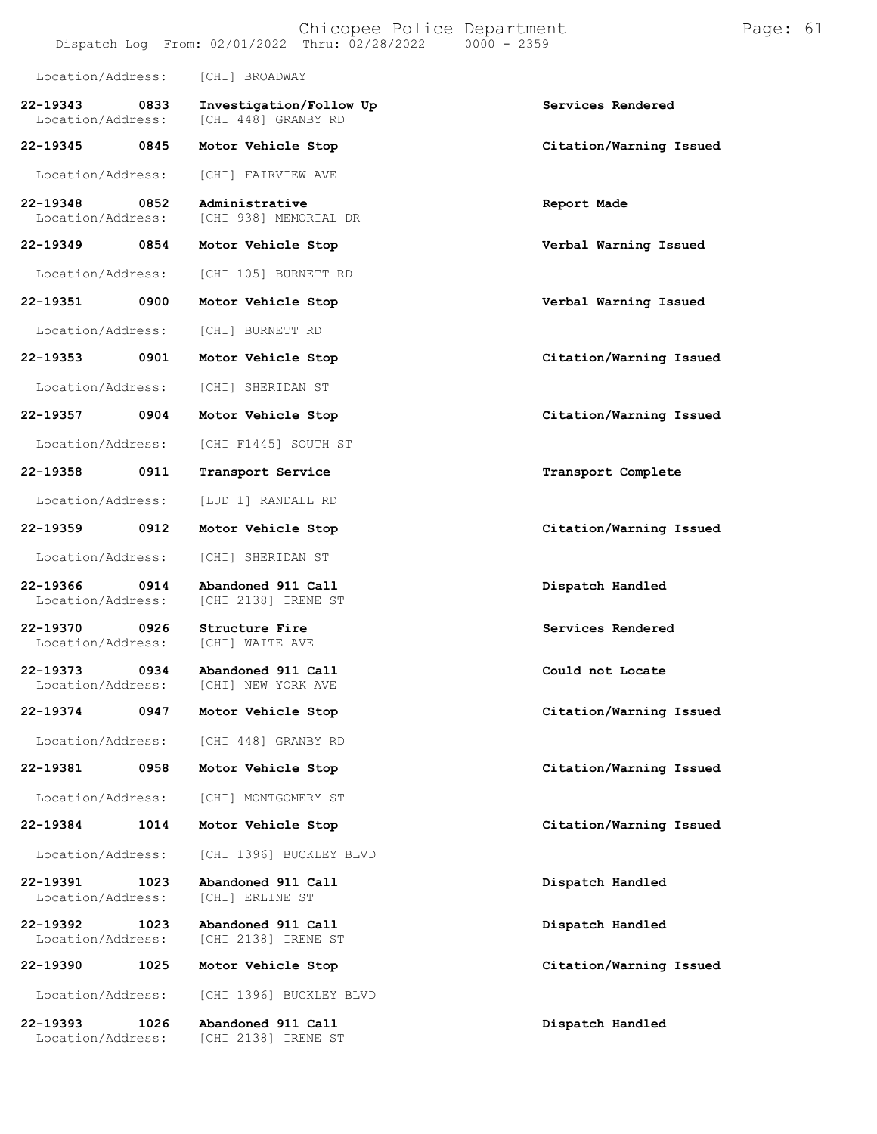|                                   |      |                                                | Chicopee Police Department<br>Dispatch Log From: 02/01/2022 Thru: 02/28/2022 | $0000 - 2359$ |                         | Page: 61 |  |
|-----------------------------------|------|------------------------------------------------|------------------------------------------------------------------------------|---------------|-------------------------|----------|--|
| Location/Address:                 |      | [CHI] BROADWAY                                 |                                                                              |               |                         |          |  |
| 22-19343<br>Location/Address:     | 0833 | Investigation/Follow Up<br>[CHI 448] GRANBY RD |                                                                              |               | Services Rendered       |          |  |
| 22-19345                          | 0845 | Motor Vehicle Stop                             |                                                                              |               | Citation/Warning Issued |          |  |
| Location/Address:                 |      | [CHI] FAIRVIEW AVE                             |                                                                              |               |                         |          |  |
| 22-19348<br>Location/Address:     | 0852 | Administrative<br>[CHI 938] MEMORIAL DR        |                                                                              |               | Report Made             |          |  |
| 22-19349                          | 0854 | Motor Vehicle Stop                             |                                                                              |               | Verbal Warning Issued   |          |  |
| Location/Address:                 |      | [CHI 105] BURNETT RD                           |                                                                              |               |                         |          |  |
| 22-19351                          | 0900 | Motor Vehicle Stop                             |                                                                              |               | Verbal Warning Issued   |          |  |
| Location/Address:                 |      | [CHI] BURNETT RD                               |                                                                              |               |                         |          |  |
| $22 - 19353$                      | 0901 | Motor Vehicle Stop                             |                                                                              |               | Citation/Warning Issued |          |  |
| Location/Address:                 |      | [CHI] SHERIDAN ST                              |                                                                              |               |                         |          |  |
| 22-19357                          | 0904 | Motor Vehicle Stop                             |                                                                              |               | Citation/Warning Issued |          |  |
| Location/Address:                 |      | [CHI F1445] SOUTH ST                           |                                                                              |               |                         |          |  |
| 22-19358                          | 0911 | Transport Service                              |                                                                              |               | Transport Complete      |          |  |
| Location/Address:                 |      | [LUD 1] RANDALL RD                             |                                                                              |               |                         |          |  |
| 22-19359                          | 0912 | Motor Vehicle Stop                             |                                                                              |               | Citation/Warning Issued |          |  |
| Location/Address:                 |      | [CHI] SHERIDAN ST                              |                                                                              |               |                         |          |  |
| 22-19366<br>Location/Address:     | 0914 | Abandoned 911 Call<br>[CHI 2138] IRENE ST      |                                                                              |               | Dispatch Handled        |          |  |
| $22 - 19370$<br>Location/Address: | 0926 | Structure Fire<br>[CHI] WAITE AVE              |                                                                              |               | Services Rendered       |          |  |
| 22-19373<br>Location/Address:     | 0934 | Abandoned 911 Call<br>[CHI] NEW YORK AVE       |                                                                              |               | Could not Locate        |          |  |
| 22-19374                          | 0947 | Motor Vehicle Stop                             |                                                                              |               | Citation/Warning Issued |          |  |
| Location/Address:                 |      | [CHI 448] GRANBY RD                            |                                                                              |               |                         |          |  |
| 22-19381                          | 0958 | Motor Vehicle Stop                             |                                                                              |               | Citation/Warning Issued |          |  |
| Location/Address:                 |      | [CHI] MONTGOMERY ST                            |                                                                              |               |                         |          |  |
| 22-19384                          | 1014 | Motor Vehicle Stop                             |                                                                              |               | Citation/Warning Issued |          |  |
| Location/Address:                 |      | [CHI 1396] BUCKLEY BLVD                        |                                                                              |               |                         |          |  |
| 22-19391<br>Location/Address:     | 1023 | Abandoned 911 Call<br>[CHI] ERLINE ST          |                                                                              |               | Dispatch Handled        |          |  |
| 22-19392<br>Location/Address:     | 1023 | Abandoned 911 Call<br>[CHI 2138] IRENE ST      |                                                                              |               | Dispatch Handled        |          |  |
| 22-19390                          | 1025 | Motor Vehicle Stop                             |                                                                              |               | Citation/Warning Issued |          |  |
| Location/Address:                 |      | [CHI 1396] BUCKLEY BLVD                        |                                                                              |               |                         |          |  |
| 22-19393                          | 1026 | Abandoned 911 Call                             |                                                                              |               | Dispatch Handled        |          |  |

Location/Address: [CHI 2138] IRENE ST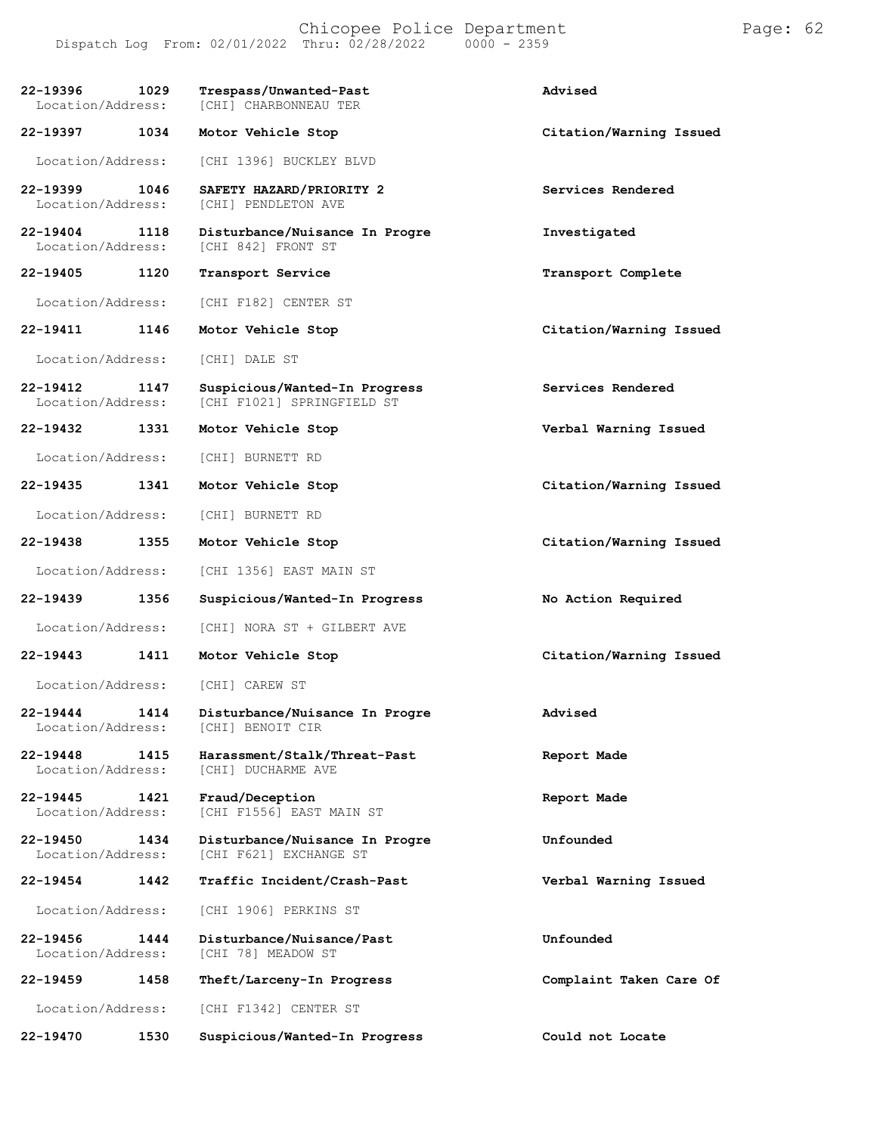Chicopee Police Department Page: 62 Dispatch Log From: 02/01/2022 Thru: 02/28/2022 0000 - 2359

| 22-19396<br>Location/Address:     | 1029 | Trespass/Unwanted-Past<br>[CHI] CHARBONNEAU TER             | Advised                 |
|-----------------------------------|------|-------------------------------------------------------------|-------------------------|
| 22-19397                          | 1034 | Motor Vehicle Stop                                          | Citation/Warning Issued |
| Location/Address:                 |      | [CHI 1396] BUCKLEY BLVD                                     |                         |
| 22-19399<br>Location/Address:     | 1046 | SAFETY HAZARD/PRIORITY 2<br>[CHI] PENDLETON AVE             | Services Rendered       |
| $22 - 19404$<br>Location/Address: | 1118 | Disturbance/Nuisance In Progre<br>[CHI 842] FRONT ST        | Investigated            |
| 22-19405                          | 1120 | Transport Service                                           | Transport Complete      |
| Location/Address:                 |      | [CHI F182] CENTER ST                                        |                         |
| 22-19411                          | 1146 | Motor Vehicle Stop                                          | Citation/Warning Issued |
| Location/Address:                 |      | [CHI] DALE ST                                               |                         |
| 22-19412<br>Location/Address:     | 1147 | Suspicious/Wanted-In Progress<br>[CHI F1021] SPRINGFIELD ST | Services Rendered       |
| 22-19432                          | 1331 | Motor Vehicle Stop                                          | Verbal Warning Issued   |
| Location/Address:                 |      | [CHI] BURNETT RD                                            |                         |
| 22-19435                          | 1341 | Motor Vehicle Stop                                          | Citation/Warning Issued |
| Location/Address:                 |      | [CHI] BURNETT RD                                            |                         |
| 22-19438                          | 1355 | Motor Vehicle Stop                                          | Citation/Warning Issued |
| Location/Address:                 |      | [CHI 1356] EAST MAIN ST                                     |                         |
| 22-19439                          | 1356 | Suspicious/Wanted-In Progress                               | No Action Required      |
| Location/Address:                 |      | [CHI] NORA ST + GILBERT AVE                                 |                         |
| 22-19443                          | 1411 | Motor Vehicle Stop                                          | Citation/Warning Issued |
| Location/Address:                 |      | [CHI] CAREW ST                                              |                         |
| 22-19444<br>Location/Address:     | 1414 | Disturbance/Nuisance In Progre<br>[CHI] BENOIT CIR          | Advised                 |
| 22-19448<br>Location/Address:     | 1415 | Harassment/Stalk/Threat-Past<br>[CHI] DUCHARME AVE          | Report Made             |
| 22-19445<br>Location/Address:     | 1421 | Fraud/Deception<br>[CHI F1556] EAST MAIN ST                 | Report Made             |
| 22-19450<br>Location/Address:     | 1434 | Disturbance/Nuisance In Progre<br>[CHI F621] EXCHANGE ST    | Unfounded               |
| 22-19454                          | 1442 | Traffic Incident/Crash-Past                                 | Verbal Warning Issued   |
| Location/Address:                 |      | [CHI 1906] PERKINS ST                                       |                         |
| 22-19456<br>Location/Address:     | 1444 | Disturbance/Nuisance/Past<br>[CHI 78] MEADOW ST             | Unfounded               |
| 22-19459                          | 1458 | Theft/Larceny-In Progress                                   | Complaint Taken Care Of |
| Location/Address:                 |      | [CHI F1342] CENTER ST                                       |                         |
| 22-19470                          | 1530 | Suspicious/Wanted-In Progress                               | Could not Locate        |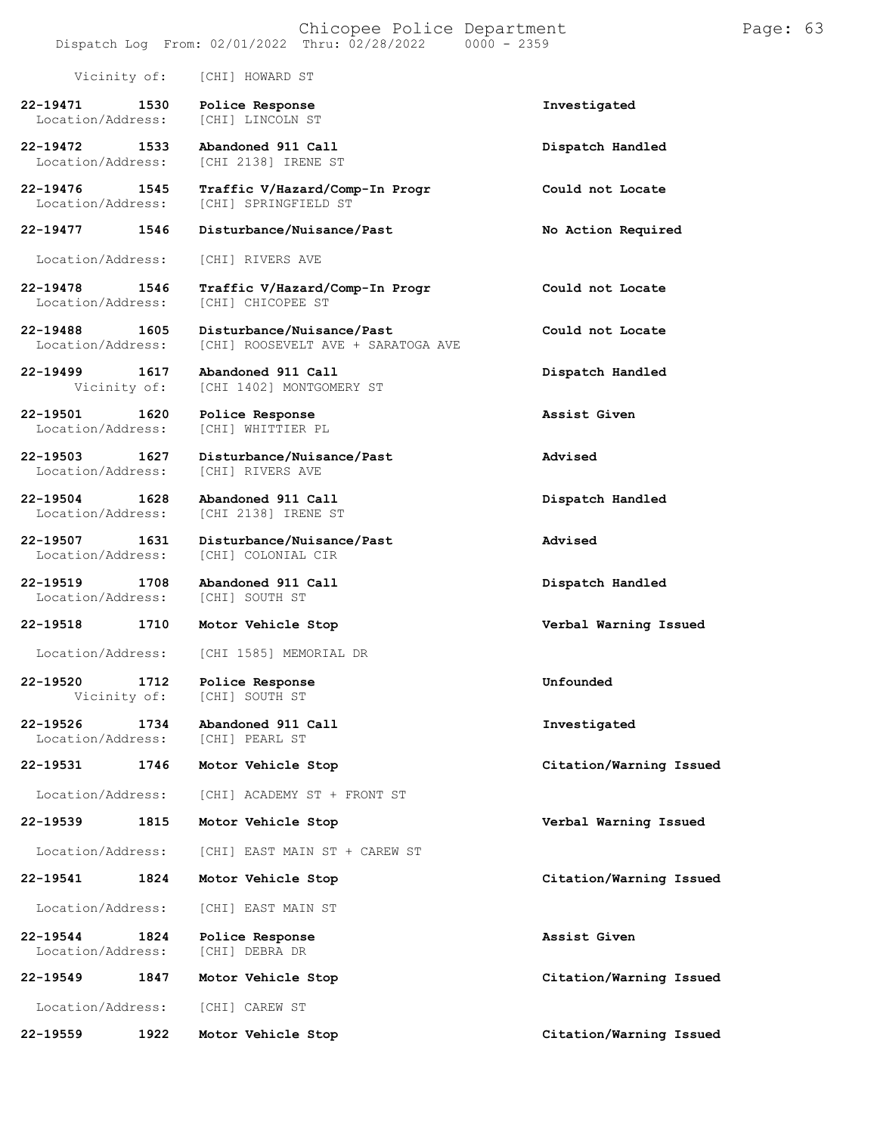| Vicinity of:                          | [CHI] HOWARD ST                                                 |                         |
|---------------------------------------|-----------------------------------------------------------------|-------------------------|
| 22-19471<br>1530<br>Location/Address: | Police Response<br>[CHI] LINCOLN ST                             | Investigated            |
| 22-19472<br>1533<br>Location/Address: | Abandoned 911 Call<br>[CHI 2138] IRENE ST                       | Dispatch Handled        |
| 22-19476<br>1545<br>Location/Address: | Traffic V/Hazard/Comp-In Progr<br>[CHI] SPRINGFIELD ST          | Could not Locate        |
| $22 - 19477$<br>1546                  | Disturbance/Nuisance/Past                                       | No Action Required      |
| Location/Address:                     | [CHI] RIVERS AVE                                                |                         |
| 22-19478<br>1546<br>Location/Address: | Traffic V/Hazard/Comp-In Progr<br>[CHI] CHICOPEE ST             | Could not Locate        |
| 22-19488<br>1605<br>Location/Address: | Disturbance/Nuisance/Past<br>[CHI] ROOSEVELT AVE + SARATOGA AVE | Could not Locate        |
| 22-19499<br>1617<br>Vicinity of:      | Abandoned 911 Call<br>[CHI 1402] MONTGOMERY ST                  | Dispatch Handled        |
| 22-19501<br>1620<br>Location/Address: | Police Response<br>[CHI] WHITTIER PL                            | Assist Given            |
| 22-19503<br>1627<br>Location/Address: | Disturbance/Nuisance/Past<br>[CHI] RIVERS AVE                   | Advised                 |
| 22-19504<br>1628<br>Location/Address: | Abandoned 911 Call<br>[CHI 2138] IRENE ST                       | Dispatch Handled        |
| 22-19507<br>1631<br>Location/Address: | Disturbance/Nuisance/Past<br>[CHI] COLONIAL CIR                 | Advised                 |
| 22-19519<br>1708<br>Location/Address: | Abandoned 911 Call<br>[CHI] SOUTH ST                            | Dispatch Handled        |
| 22-19518<br>1710                      | Motor Vehicle Stop                                              | Verbal Warning Issued   |
| Location/Address:                     | [CHI 1585] MEMORIAL DR                                          |                         |
| 22-19520<br>1712<br>Vicinity of:      | Police Response<br>[CHI] SOUTH ST                               | Unfounded               |
| 22-19526<br>1734<br>Location/Address: | Abandoned 911 Call<br>[CHI] PEARL ST                            | Investigated            |
| 22-19531<br>1746                      | Motor Vehicle Stop                                              | Citation/Warning Issued |
| Location/Address:                     | [CHI] ACADEMY ST + FRONT ST                                     |                         |
| 22-19539<br>1815                      | Motor Vehicle Stop                                              | Verbal Warning Issued   |
| Location/Address:                     | [CHI] EAST MAIN ST + CAREW ST                                   |                         |
| 22-19541<br>1824                      | Motor Vehicle Stop                                              | Citation/Warning Issued |
| Location/Address:                     | [CHI] EAST MAIN ST                                              |                         |
| 22-19544<br>1824<br>Location/Address: | Police Response<br>[CHI] DEBRA DR                               | Assist Given            |
| 22-19549<br>1847                      | Motor Vehicle Stop                                              | Citation/Warning Issued |
| Location/Address:                     | [CHI] CAREW ST                                                  |                         |
| 22-19559<br>1922                      | Motor Vehicle Stop                                              | Citation/Warning Issued |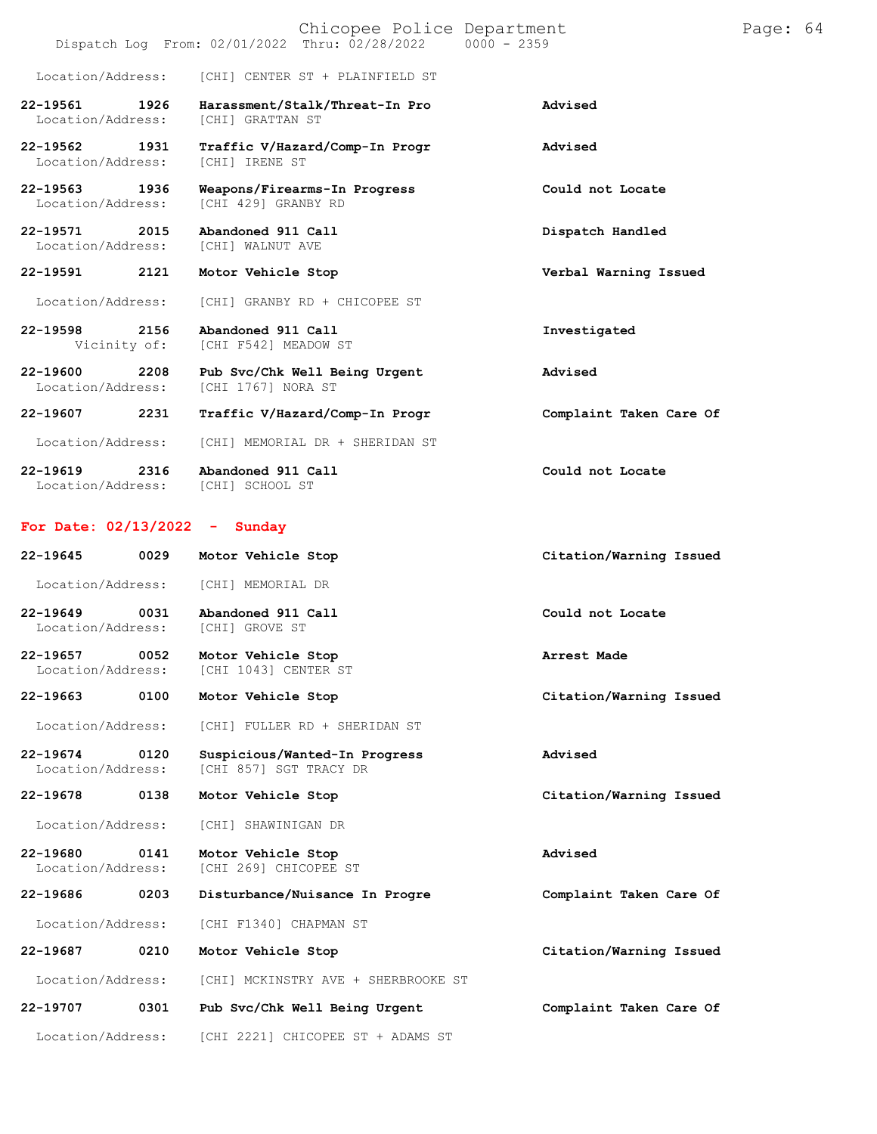|                                    | Chicopee Police Department<br>Dispatch Log From: 02/01/2022 Thru: 02/28/2022 0000 - 2359 |                         |
|------------------------------------|------------------------------------------------------------------------------------------|-------------------------|
|                                    | Location/Address: [CHI] CENTER ST + PLAINFIELD ST                                        |                         |
| 22-19561 1926<br>Location/Address: | Harassment/Stalk/Threat-In Pro<br><b>[CHI] GRATTAN ST</b>                                | Advised                 |
| 22-19562 1931<br>Location/Address: | Traffic V/Hazard/Comp-In Progr<br><b>[CHI] IRENE ST</b>                                  | Advised                 |
| 22-19563 1936<br>Location/Address: | Weapons/Firearms-In Progress<br>[CHI 429] GRANBY RD                                      | Could not Locate        |
| 22-19571 2015<br>Location/Address: | Abandoned 911 Call<br>[CHI] WALNUT AVE                                                   | Dispatch Handled        |
| 22-19591<br>2121                   | Motor Vehicle Stop                                                                       | Verbal Warning Issued   |
| Location/Address:                  | [CHI] GRANBY RD + CHICOPEE ST                                                            |                         |
| 22-19598 2156                      | Abandoned 911 Call<br>Vicinity of: [CHI F542] MEADOW ST                                  | Investigated            |
| 22-19600 2208<br>Location/Address: | Pub Svc/Chk Well Being Urgent<br>[CHI 1767] NORA ST                                      | Advised                 |
| 22-19607<br>2231                   | Traffic V/Hazard/Comp-In Progr                                                           | Complaint Taken Care Of |
| Location/Address:                  | [CHI] MEMORIAL DR + SHERIDAN ST                                                          |                         |
| 22-19619 2316<br>Location/Address: | Abandoned 911 Call<br>[CHI] SCHOOL ST                                                    | Could not Locate        |

Page: 64

### **For Date: 02/13/2022 - Sunday**

| $22 - 19645$                       | 0029 | Motor Vehicle Stop                                      | Citation/Warning Issued |
|------------------------------------|------|---------------------------------------------------------|-------------------------|
| Location/Address:                  |      | [CHI] MEMORIAL DR                                       |                         |
| $22 - 19649$<br>Location/Address:  | 0031 | Abandoned 911 Call<br>[CHI] GROVE ST                    | Could not Locate        |
| 22-19657<br>Location/Address:      | 0052 | Motor Vehicle Stop<br>[CHI 1043] CENTER ST              | Arrest Made             |
| $22 - 19663$                       | 0100 | Motor Vehicle Stop                                      | Citation/Warning Issued |
| Location/Address:                  |      | [CHI] FULLER RD + SHERIDAN ST                           |                         |
| 22-19674 0120<br>Location/Address: |      | Suspicious/Wanted-In Progress<br>[CHI 857] SGT TRACY DR | Advised                 |
| 22-19678 0138                      |      | Motor Vehicle Stop                                      | Citation/Warning Issued |
| Location/Address:                  |      | [CHI] SHAWINIGAN DR                                     |                         |
| 22-19680<br>Location/Address:      | 0141 | Motor Vehicle Stop<br>[CHI 269] CHICOPEE ST             | Advised                 |
| 22-19686                           | 0203 | Disturbance/Nuisance In Progre                          | Complaint Taken Care Of |
| Location/Address:                  |      | [CHI F1340] CHAPMAN ST                                  |                         |
| 22-19687                           | 0210 | Motor Vehicle Stop                                      | Citation/Warning Issued |
| Location/Address:                  |      | [CHI] MCKINSTRY AVE + SHERBROOKE ST                     |                         |
| 22-19707                           | 0301 | Pub Svc/Chk Well Being Urgent                           | Complaint Taken Care Of |
| Location/Address:                  |      | [CHI 2221] CHICOPEE ST + ADAMS ST                       |                         |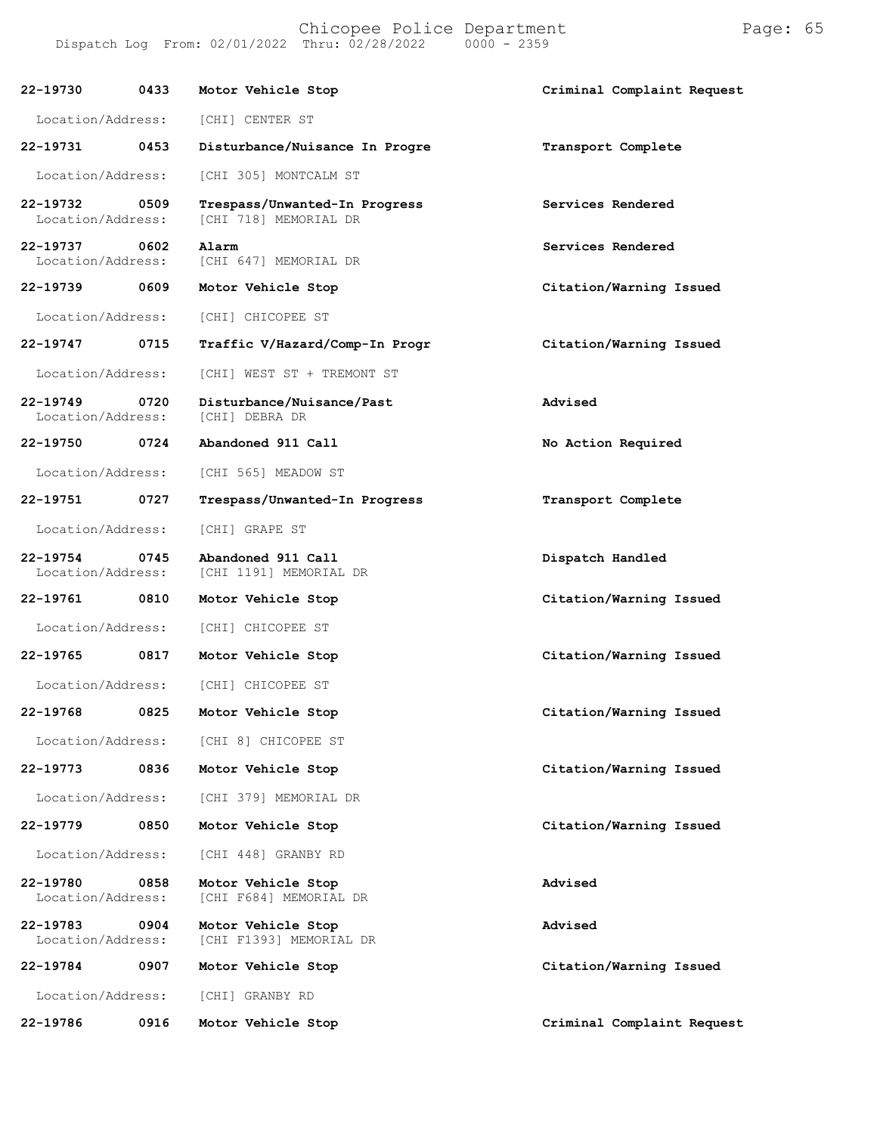Chicopee Police Department Page: 65 Dispatch Log From:  $02/01/2022$  Thru:  $02/28/2022$ 

**22-19730 0433 Motor Vehicle Stop Criminal Complaint Request** Location/Address: [CHI] CENTER ST **22-19731 0453 Disturbance/Nuisance In Progre Transport Complete** Location/Address: [CHI 305] MONTCALM ST **22-19732 0509 Trespass/Unwanted-In Progress Services Rendered** [CHI 718] MEMORIAL DR **22-19737 0602 Alarm Services Rendered** [CHI 647] MEMORIAL DR **22-19739 0609 Motor Vehicle Stop Citation/Warning Issued** Location/Address: [CHI] CHICOPEE ST **22-19747 0715 Traffic V/Hazard/Comp-In Progr Citation/Warning Issued** Location/Address: [CHI] WEST ST + TREMONT ST **22-19749 0720 Disturbance/Nuisance/Past Advised** Location/Address: **22-19750 0724 Abandoned 911 Call No Action Required** Location/Address: [CHI 565] MEADOW ST **22-19751 0727 Trespass/Unwanted-In Progress Transport Complete** Location/Address: [CHI] GRAPE ST **22-19754 0745 Abandoned 911 Call Dispatch Handled** [CHI 1191] MEMORIAL DR **22-19761 0810 Motor Vehicle Stop Citation/Warning Issued** Location/Address: [CHI] CHICOPEE ST **22-19765 0817 Motor Vehicle Stop Citation/Warning Issued** Location/Address: [CHI] CHICOPEE ST **22-19768 0825 Motor Vehicle Stop Citation/Warning Issued** Location/Address: [CHI 8] CHICOPEE ST **22-19773 0836 Motor Vehicle Stop Citation/Warning Issued** Location/Address: [CHI 379] MEMORIAL DR **22-19779 0850 Motor Vehicle Stop Citation/Warning Issued** Location/Address: [CHI 448] GRANBY RD **22-19780 0858 Motor Vehicle Stop Advised** [CHI F684] MEMORIAL DR **22-19783 0904 Motor Vehicle Stop Advised** [CHI F1393] MEMORIAL DR **22-19784 0907 Motor Vehicle Stop Citation/Warning Issued** Location/Address: [CHI] GRANBY RD

**22-19786 0916 Motor Vehicle Stop Criminal Complaint Request**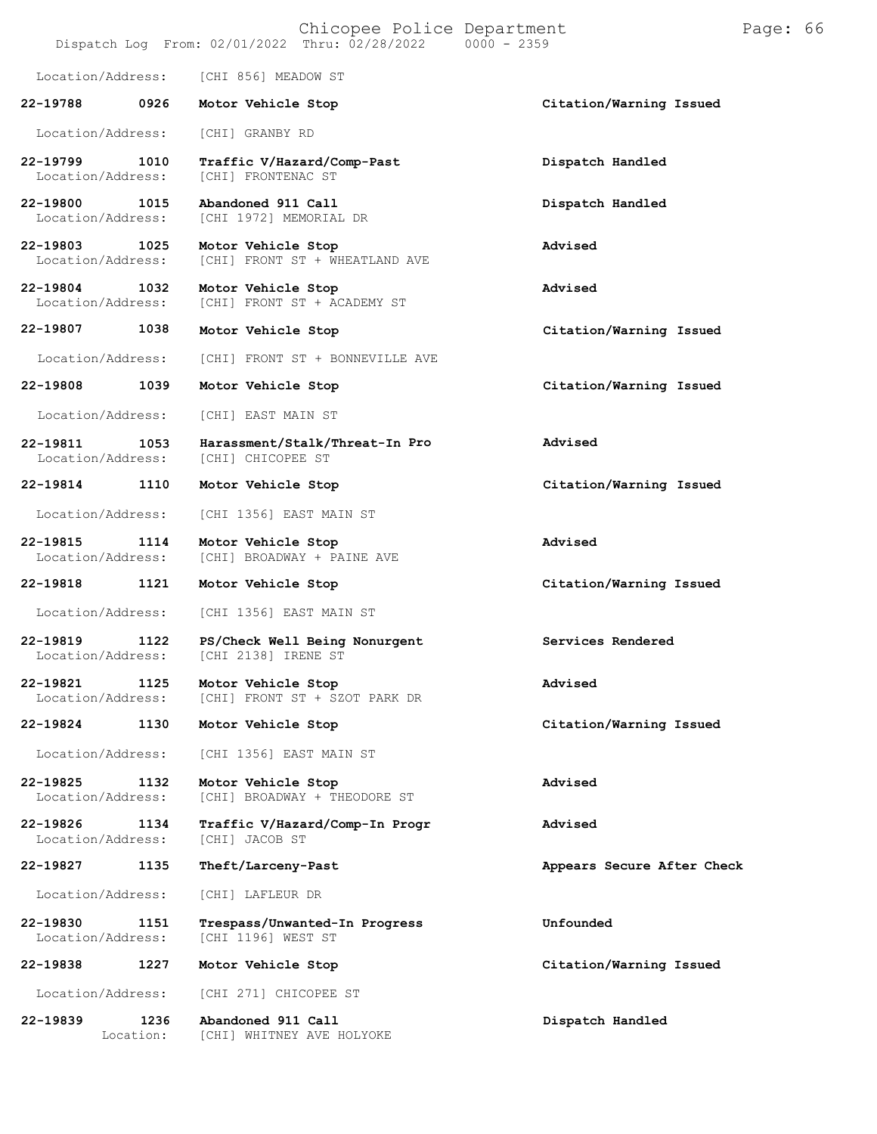|                               |                           | Chicopee Police Department<br>Dispatch Log From: 02/01/2022 Thru: 02/28/2022 | $0000 - 2359$              | Page: 66 |
|-------------------------------|---------------------------|------------------------------------------------------------------------------|----------------------------|----------|
|                               | Location/Address:         | [CHI 856] MEADOW ST                                                          |                            |          |
| 22-19788                      | 0926                      | Motor Vehicle Stop                                                           | Citation/Warning Issued    |          |
|                               | Location/Address:         | [CHI] GRANBY RD                                                              |                            |          |
| 22-19799                      | 1010<br>Location/Address: | Traffic V/Hazard/Comp-Past<br>[CHI] FRONTENAC ST                             | Dispatch Handled           |          |
| 22-19800                      | 1015<br>Location/Address: | Abandoned 911 Call<br>[CHI 1972] MEMORIAL DR                                 | Dispatch Handled           |          |
| 22-19803<br>Location/Address: | 1025                      | Motor Vehicle Stop<br>[CHI] FRONT ST + WHEATLAND AVE                         | Advised                    |          |
| 22-19804<br>Location/Address: | 1032                      | Motor Vehicle Stop<br>[CHI] FRONT ST + ACADEMY ST                            | Advised                    |          |
| 22-19807                      | 1038                      | Motor Vehicle Stop                                                           | Citation/Warning Issued    |          |
|                               | Location/Address:         | [CHI] FRONT ST + BONNEVILLE AVE                                              |                            |          |
| 22-19808                      | 1039                      | Motor Vehicle Stop                                                           | Citation/Warning Issued    |          |
| Location/Address:             |                           | [CHI] EAST MAIN ST                                                           |                            |          |
| 22-19811                      | 1053<br>Location/Address: | Harassment/Stalk/Threat-In Pro<br>[CHI] CHICOPEE ST                          | Advised                    |          |
| 22-19814                      | 1110                      | Motor Vehicle Stop                                                           | Citation/Warning Issued    |          |
| Location/Address:             |                           | [CHI 1356] EAST MAIN ST                                                      |                            |          |
| 22-19815<br>Location/Address: | 1114                      | Motor Vehicle Stop<br>[CHI] BROADWAY + PAINE AVE                             | Advised                    |          |
| 22-19818                      | 1121                      | Motor Vehicle Stop                                                           | Citation/Warning Issued    |          |
| Location/Address:             |                           | [CHI 1356] EAST MAIN ST                                                      |                            |          |
| 22-19819<br>Location/Address: | 1122                      | PS/Check Well Being Nonurgent<br>[CHI 2138] IRENE ST                         | Services Rendered          |          |
| 22-19821                      | 1125<br>Location/Address: | Motor Vehicle Stop<br>[CHI] FRONT ST + SZOT PARK DR                          | Advised                    |          |
| 22-19824                      | 1130                      | Motor Vehicle Stop                                                           | Citation/Warning Issued    |          |
| Location/Address:             |                           | [CHI 1356] EAST MAIN ST                                                      |                            |          |
| 22-19825<br>Location/Address: | 1132                      | Motor Vehicle Stop<br>[CHI] BROADWAY + THEODORE ST                           | Advised                    |          |
| 22-19826<br>Location/Address: | 1134                      | Traffic V/Hazard/Comp-In Progr<br>[CHI] JACOB ST                             | Advised                    |          |
| 22-19827                      | 1135                      | Theft/Larceny-Past                                                           | Appears Secure After Check |          |
| Location/Address:             |                           | [CHI] LAFLEUR DR                                                             |                            |          |
| 22-19830<br>Location/Address: | 1151                      | Trespass/Unwanted-In Progress<br>[CHI 1196] WEST ST                          | Unfounded                  |          |
| 22-19838                      | 1227                      | Motor Vehicle Stop                                                           | Citation/Warning Issued    |          |
| Location/Address:             |                           | [CHI 271] CHICOPEE ST                                                        |                            |          |
| 22-19839                      | 1236                      | Abandoned 911 Call                                                           | Dispatch Handled           |          |

Location: [CHI] WHITNEY AVE HOLYOKE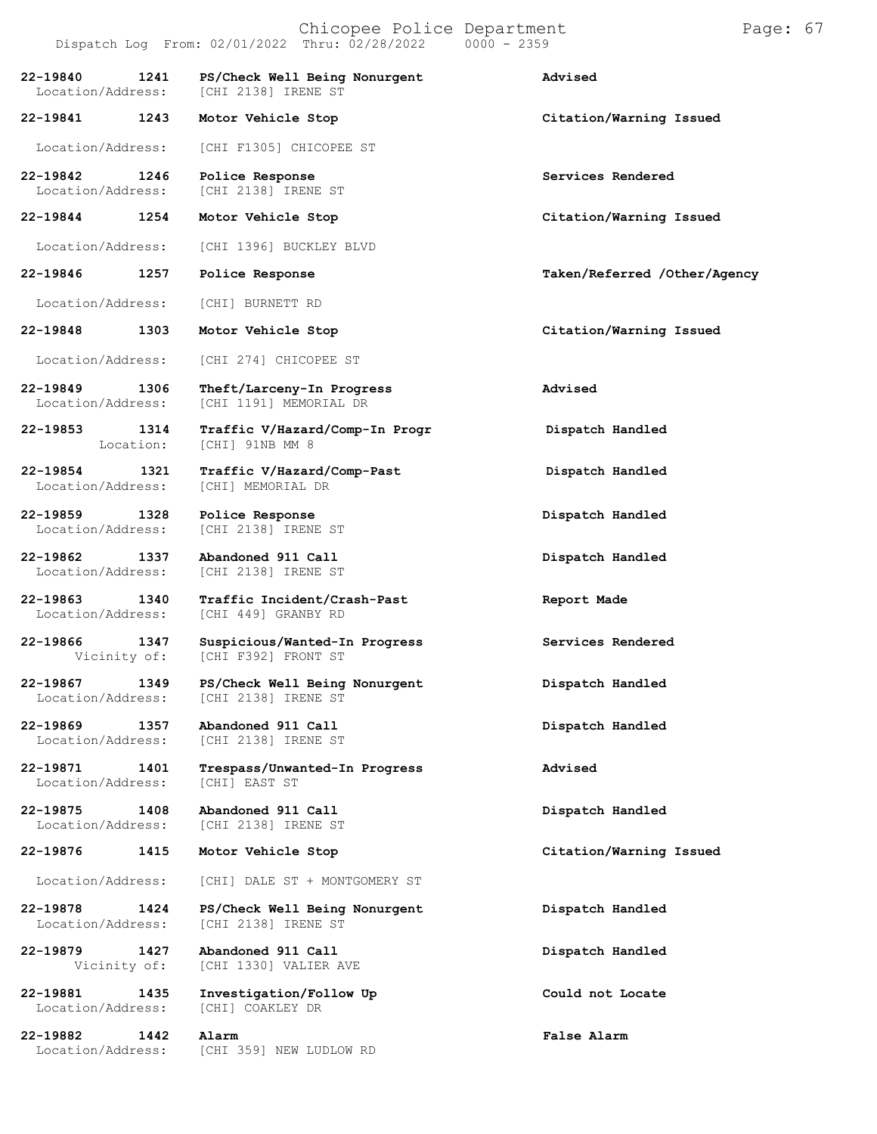|                               |                   | $L$ $\perp$ $\cup$ $\ldots$ $\vee$ $\perp$ $\perp$ $\sim$ $\sim$ $\perp$ $\perp$ $\perp$ $\perp$ $\perp$ $\perp$ $\perp$ $\perp$ $\perp$ $\perp$ $\perp$ $\perp$ $\perp$ $\perp$ $\perp$ $\perp$ $\perp$ $\perp$ $\perp$ $\perp$ $\perp$ $\perp$ $\perp$ $\perp$ $\perp$ $\perp$ $\perp$ $\perp$ $\perp$ |                              |
|-------------------------------|-------------------|----------------------------------------------------------------------------------------------------------------------------------------------------------------------------------------------------------------------------------------------------------------------------------------------------------|------------------------------|
| 22-19840<br>Location/Address: | 1241              | PS/Check Well Being Nonurgent<br>[CHI 2138] IRENE ST                                                                                                                                                                                                                                                     | Advised                      |
| 22-19841                      | 1243              | Motor Vehicle Stop                                                                                                                                                                                                                                                                                       | Citation/Warning Issued      |
| Location/Address:             |                   | [CHI F1305] CHICOPEE ST                                                                                                                                                                                                                                                                                  |                              |
| 22-19842<br>Location/Address: | 1246              | Police Response<br>[CHI 2138] IRENE ST                                                                                                                                                                                                                                                                   | Services Rendered            |
| 22-19844                      | 1254              | Motor Vehicle Stop                                                                                                                                                                                                                                                                                       | Citation/Warning Issued      |
| Location/Address:             |                   | [CHI 1396] BUCKLEY BLVD                                                                                                                                                                                                                                                                                  |                              |
| 22-19846                      | 1257              | Police Response                                                                                                                                                                                                                                                                                          | Taken/Referred /Other/Agency |
| Location/Address:             |                   | [CHI] BURNETT RD                                                                                                                                                                                                                                                                                         |                              |
| 22-19848                      | 1303              | Motor Vehicle Stop                                                                                                                                                                                                                                                                                       | Citation/Warning Issued      |
| Location/Address:             |                   | [CHI 274] CHICOPEE ST                                                                                                                                                                                                                                                                                    |                              |
| 22-19849<br>Location/Address: | 1306              | Theft/Larceny-In Progress<br>[CHI 1191] MEMORIAL DR                                                                                                                                                                                                                                                      | Advised                      |
| 22-19853                      | 1314<br>Location: | Traffic V/Hazard/Comp-In Progr<br>[CHI] 91NB MM 8                                                                                                                                                                                                                                                        | Dispatch Handled             |
| 22-19854<br>Location/Address: | 1321              | Traffic V/Hazard/Comp-Past<br>[CHI] MEMORIAL DR                                                                                                                                                                                                                                                          | Dispatch Handled             |
| 22-19859<br>Location/Address: | 1328              | Police Response<br>[CHI 2138] IRENE ST                                                                                                                                                                                                                                                                   | Dispatch Handled             |
| 22-19862<br>Location/Address: | 1337              | Abandoned 911 Call<br>[CHI 2138] IRENE ST                                                                                                                                                                                                                                                                | Dispatch Handled             |
| 22-19863<br>Location/Address: | 1340              | Traffic Incident/Crash-Past<br>[CHI 449] GRANBY RD                                                                                                                                                                                                                                                       | Report Made                  |
| 22-19866<br>Vicinity of:      | 1347              | Suspicious/Wanted-In Progress<br>[CHI F392] FRONT ST                                                                                                                                                                                                                                                     | Services Rendered            |
| 22-19867<br>Location/Address: | 1349              | PS/Check Well Being Nonurgent<br>[CHI 2138] IRENE ST                                                                                                                                                                                                                                                     | Dispatch Handled             |
| 22-19869<br>Location/Address: | 1357              | Abandoned 911 Call<br>[CHI 2138] IRENE ST                                                                                                                                                                                                                                                                | Dispatch Handled             |
| 22-19871<br>Location/Address: | 1401              | Trespass/Unwanted-In Progress<br>[CHI] EAST ST                                                                                                                                                                                                                                                           | Advised                      |
| 22-19875<br>Location/Address: | 1408              | Abandoned 911 Call<br>[CHI 2138] IRENE ST                                                                                                                                                                                                                                                                | Dispatch Handled             |
| 22-19876                      | 1415              | Motor Vehicle Stop                                                                                                                                                                                                                                                                                       | Citation/Warning Issued      |
| Location/Address:             |                   | [CHI] DALE ST + MONTGOMERY ST                                                                                                                                                                                                                                                                            |                              |
| 22-19878<br>Location/Address: | 1424              | PS/Check Well Being Nonurgent<br>[CHI 2138] IRENE ST                                                                                                                                                                                                                                                     | Dispatch Handled             |
| 22-19879<br>Vicinity of:      | 1427              | Abandoned 911 Call<br>[CHI 1330] VALIER AVE                                                                                                                                                                                                                                                              | Dispatch Handled             |
| 22-19881<br>Location/Address: | 1435              | Investigation/Follow Up<br>[CHI] COAKLEY DR                                                                                                                                                                                                                                                              | Could not Locate             |
| 22-19882<br>Location/Address: | 1442              | Alarm<br>[CHI 359] NEW LUDLOW RD                                                                                                                                                                                                                                                                         | False Alarm                  |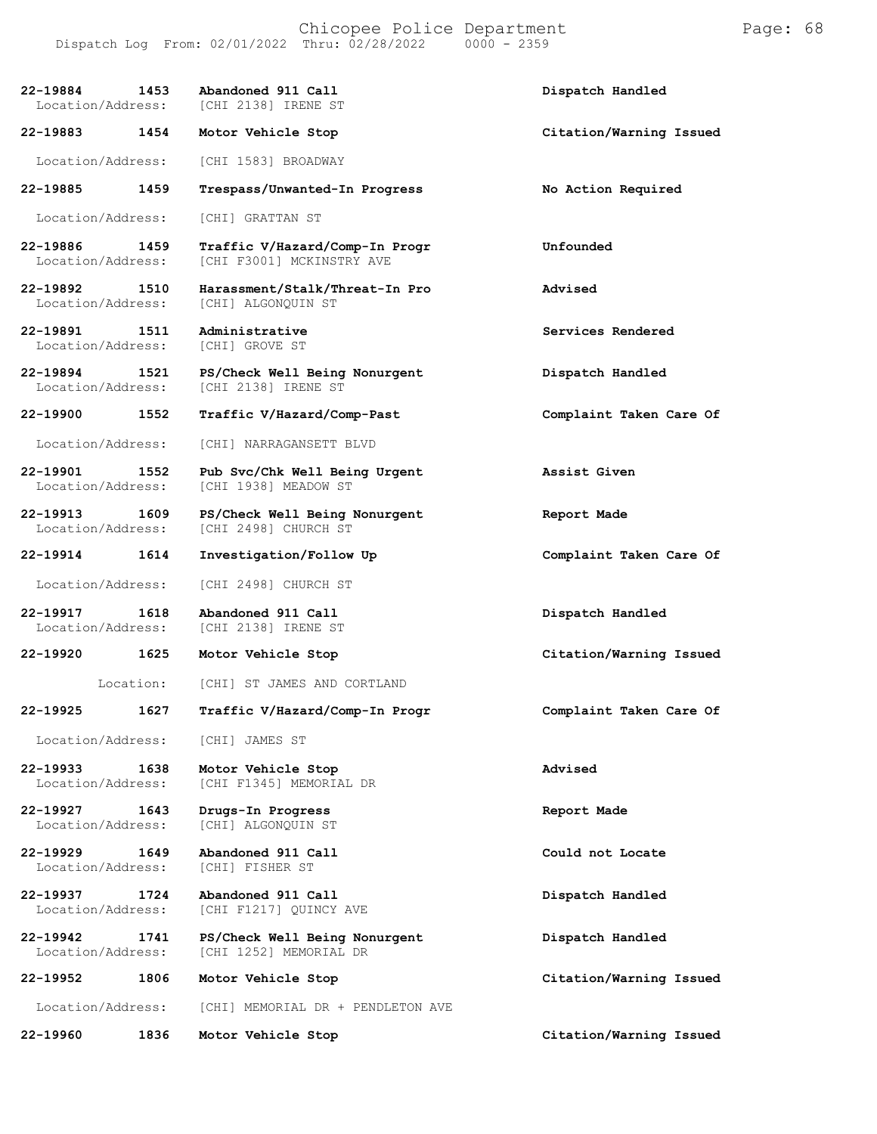**22-19884 1453 Abandoned 911 Call Dispatch Handled** [CHI 2138] IRENE ST **22-19883 1454 Motor Vehicle Stop Citation/Warning Issued** Location/Address: [CHI 1583] BROADWAY **22-19885 1459 Trespass/Unwanted-In Progress No Action Required** Location/Address: [CHI] GRATTAN ST **22-19886 1459 Traffic V/Hazard/Comp-In Progr Unfounded** [CHI F3001] MCKINSTRY AVE **22-19892 1510 Harassment/Stalk/Threat-In Pro Advised** [CHI] ALGONQUIN ST **22-19891 1511 Administrative Services Rendered** Location/Address: **22-19894 1521 PS/Check Well Being Nonurgent Dispatch Handled** Location/Address: [CHI 2138] IRENE ST **22-19900 1552 Traffic V/Hazard/Comp-Past Complaint Taken Care Of** Location/Address: [CHI] NARRAGANSETT BLVD **22-19901 1552 Pub Svc/Chk Well Being Urgent Assist Given** [CHI 1938] MEADOW ST **22-19913 1609 PS/Check Well Being Nonurgent Report Made** [CHI 2498] CHURCH ST **22-19914 1614 Investigation/Follow Up Complaint Taken Care Of** Location/Address: [CHI 2498] CHURCH ST **22-19917 1618 Abandoned 911 Call Dispatch Handled** [CHI 2138] IRENE ST **22-19920 1625 Motor Vehicle Stop Citation/Warning Issued** Location: [CHI] ST JAMES AND CORTLAND **22-19925 1627 Traffic V/Hazard/Comp-In Progr Complaint Taken Care Of** Location/Address: [CHI] JAMES ST **22-19933 1638 Motor Vehicle Stop Advised** [CHI F1345] MEMORIAL DR **22-19927 1643 Drugs-In Progress Report Made** [CHI] ALGONQUIN ST **22-19929 1649 Abandoned 911 Call Could not Locate** Location/Address: **22-19937 1724 Abandoned 911 Call Dispatch Handled** [CHI F1217] QUINCY AVE **22-19942 1741 PS/Check Well Being Nonurgent Dispatch Handled** [CHI 1252] MEMORIAL DR **22-19952 1806 Motor Vehicle Stop Citation/Warning Issued** Location/Address: [CHI] MEMORIAL DR + PENDLETON AVE

**22-19960 1836 Motor Vehicle Stop Citation/Warning Issued**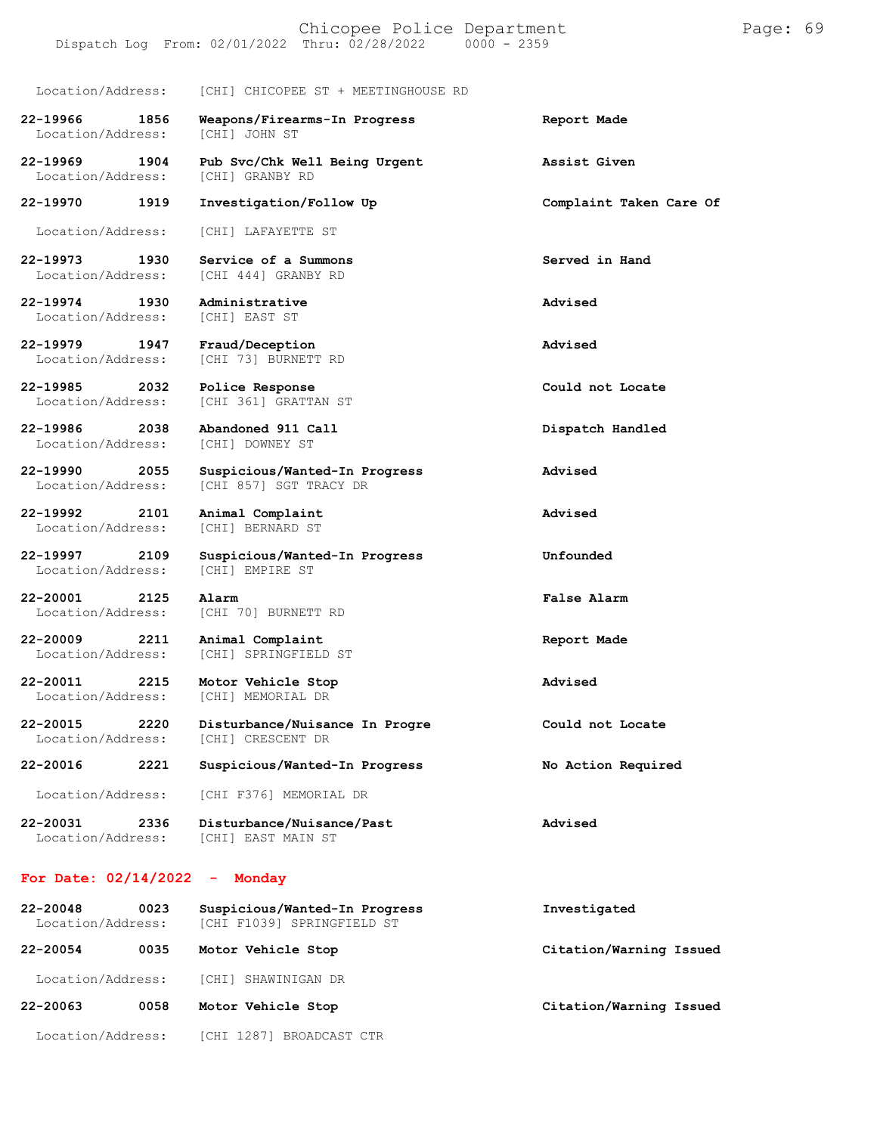Location/Address: [CHI] CHICOPEE ST + MEETINGHOUSE RD

[CHI 73] BURNETT RD

[CHI] BERNARD ST

**22-19966 1856 Weapons/Firearms-In Progress Report Made**

Location/Address:

Location/Address:

**22-19970 1919 Investigation/Follow Up Complaint Taken Care Of**

Location/Address: [CHI] LAFAYETTE ST

**22-19973 1930 Service of a Summons Served in Hand** Location/Address: [CHI 444] GRANBY RD

**22-19974 1930 Administrative Advised** Location/Address:

**22-19979 1947 Fraud/Deception Advised**

**22-19985 2032 Police Response Could not Locate** Location/Address: [CHI 361] GRATTAN ST

**22-19986 2038 Abandoned 911 Call Dispatch Handled** Location/Address:

**22-19990 2055 Suspicious/Wanted-In Progress Advised** Location/Address: [CHI 857] SGT TRACY DR

**22-19992 2101 Animal Complaint Advised**

**22-19997 2109 Suspicious/Wanted-In Progress Unfounded** Location/Address:

**22-20001 2125 Alarm False Alarm** Location/Address: [CHI 70] BURNETT RD

**22-20009 2211 Animal Complaint Report Made** Location/Address: [CHI] SPRINGFIELD ST

**22-20011 2215 Motor Vehicle Stop Advised** Location/Address: [CHI] MEMORIAL DR

**22-20015 2220 Disturbance/Nuisance In Progre Could not Locate** Location/Address:

Location/Address: [CHI F376] MEMORIAL DR

**22-20031 2336 Disturbance/Nuisance/Past Advised** Location/Address: [CHI] EAST MAIN ST

#### **For Date: 02/14/2022 - Monday**

| $22 - 20048$<br>0023<br>Location/Address: |      | Suspicious/Wanted-In Progress<br>[CHI F1039] SPRINGFIELD ST | Investigated            |
|-------------------------------------------|------|-------------------------------------------------------------|-------------------------|
| 22-20054                                  | 0035 | Motor Vehicle Stop                                          | Citation/Warning Issued |
| Location/Address:                         |      | [CHI] SHAWINIGAN DR                                         |                         |
| 22-20063                                  | 0058 | Motor Vehicle Stop                                          | Citation/Warning Issued |
| Location/Address:                         |      | [CHI 1287] BROADCAST CTR                                    |                         |

**22-19969 1904 Pub Svc/Chk Well Being Urgent Assist Given**

**22-20016 2221 Suspicious/Wanted-In Progress No Action Required**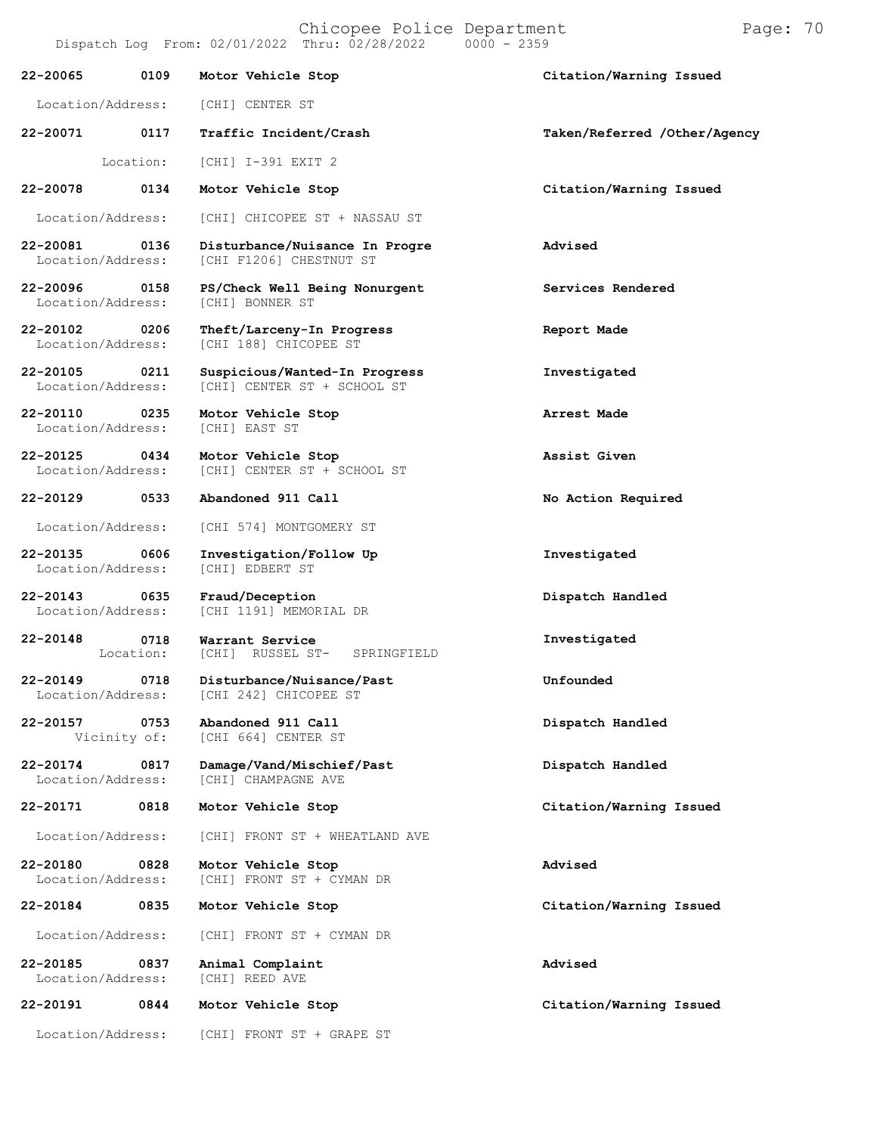Chicopee Police Department Page: 70 Dispatch Log From:  $02/01/2022$  Thru:  $02/28/2022$ **22-20065 0109 Motor Vehicle Stop Citation/Warning Issued** Location/Address: [CHI] CENTER ST **22-20071 0117 Traffic Incident/Crash Taken/Referred /Other/Agency** Location: [CHI] I-391 EXIT 2 **22-20078 0134 Motor Vehicle Stop Citation/Warning Issued** Location/Address: [CHI] CHICOPEE ST + NASSAU ST **22-20081 0136 Disturbance/Nuisance In Progre Advised** [CHI F1206] CHESTNUT ST **22-20096 0158 PS/Check Well Being Nonurgent Services Rendered** Location/Address: **22-20102 0206 Theft/Larceny-In Progress Report Made** [CHI 188] CHICOPEE ST **22-20105 0211 Suspicious/Wanted-In Progress Investigated** Location/Address: [CHI] CENTER ST + SCHOOL ST **22-20110 0235 Motor Vehicle Stop Arrest Made** Location/Address: **22-20125 0434 Motor Vehicle Stop Assist Given** Location/Address: [CHI] CENTER ST + SCHOOL ST **22-20129 0533 Abandoned 911 Call No Action Required** Location/Address: [CHI 574] MONTGOMERY ST **22-20135 0606 Investigation/Follow Up Investigated** Location/Address: **22-20143 0635 Fraud/Deception Dispatch Handled** [CHI 1191] MEMORIAL DR **22-20148 0718** Location: **Warrant Service** [CHI] RUSSEL ST- SPRINGFIELD **Investigated 22-20149 0718 Disturbance/Nuisance/Past Unfounded** [CHI 242] CHICOPEE ST **22-20157 0753 Abandoned 911 Call Dispatch Handled** [CHI 664] CENTER ST

**22-20174 0817 Damage/Vand/Mischief/Past Dispatch Handled**

**22-20171 0818 Motor Vehicle Stop Citation/Warning Issued**

Location/Address: [CHI] FRONT ST + WHEATLAND AVE

**22-20180 0828 Motor Vehicle Stop Advised** [CHI] FRONT ST + CYMAN DR

**22-20184 0835 Motor Vehicle Stop Citation/Warning Issued**

Location/Address: [CHI] FRONT ST + CYMAN DR

**22-20185 0837 Animal Complaint Advised** Location/Address:

[CHI] CHAMPAGNE AVE

**22-20191 0844 Motor Vehicle Stop Citation/Warning Issued**

Location/Address: [CHI] FRONT ST + GRAPE ST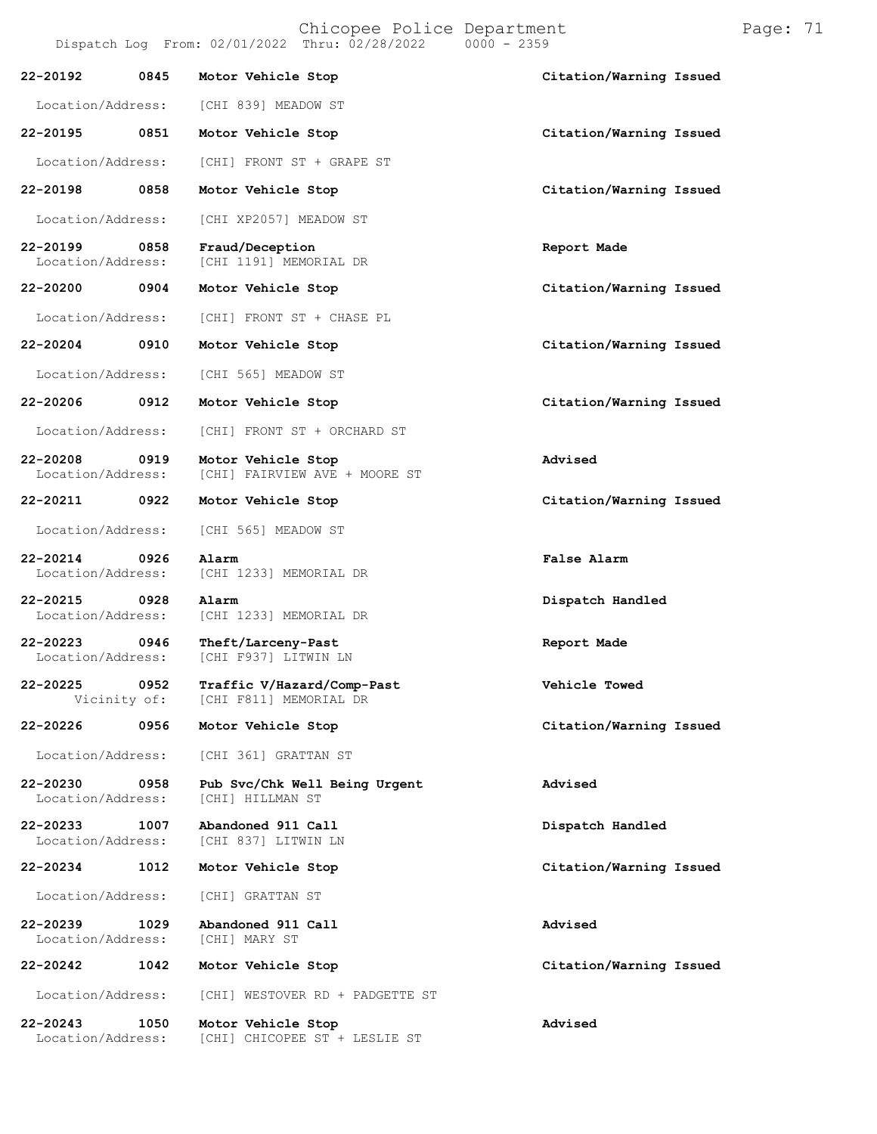Chicopee Police Department Page: 71

Dispatch Log From: 02/01/2022 Thru: 02/28/2022 **22-20192 0845 Motor Vehicle Stop Citation/Warning Issued** Location/Address: [CHI 839] MEADOW ST **22-20195 0851 Motor Vehicle Stop Citation/Warning Issued**

Location/Address: [CHI] FRONT ST + GRAPE ST

**22-20198 0858 Motor Vehicle Stop Citation/Warning Issued**

Location/Address: [CHI XP2057] MEADOW ST

**22-20199 0858 Fraud/Deception Report Made** [CHI 1191] MEMORIAL DR

**22-20200 0904 Motor Vehicle Stop Citation/Warning Issued**

Location/Address: [CHI] FRONT ST + CHASE PL

[CHI] FAIRVIEW AVE + MOORE ST

Location/Address: [CHI 565] MEADOW ST

Location/Address: [CHI] FRONT ST + ORCHARD ST

**22-20208 0919 Motor Vehicle Stop Advised**

Location/Address: [CHI 565] MEADOW ST

**22-20214 0926 Alarm False Alarm**

**22-20215 0928 Alarm Dispatch Handled**

[CHI 1233] MEMORIAL DR

**22-20223 0946 Theft/Larceny-Past Report Made** Location/Address: [CHI F937] LITWIN LN

**22-20225 0952 Traffic V/Hazard/Comp-Past Vehicle Towed** [CHI F811] MEMORIAL DR

[CHI 1233] MEMORIAL DR

Location/Address: [CHI 361] GRATTAN ST

**22-20230 0958 Pub Svc/Chk Well Being Urgent Advised** Location/Address:

**22-20233 1007 Abandoned 911 Call Dispatch Handled** [CHI 837] LITWIN LN

Location/Address: [CHI] GRATTAN ST

**22-20239 1029 Abandoned 911 Call Advised** Location/Address:

**22-20242 1042 Motor Vehicle Stop Citation/Warning Issued**

Location/Address: [CHI] WESTOVER RD + PADGETTE ST

**22-20243 1050 Motor Vehicle Stop Advised** Location/Address: [CHI] CHICOPEE ST + LESLIE ST

**22-20204 0910 Motor Vehicle Stop Citation/Warning Issued**

**22-20206 0912 Motor Vehicle Stop Citation/Warning Issued**

**22-20211 0922 Motor Vehicle Stop Citation/Warning Issued**

**22-20226 0956 Motor Vehicle Stop Citation/Warning Issued**

**22-20234 1012 Motor Vehicle Stop Citation/Warning Issued**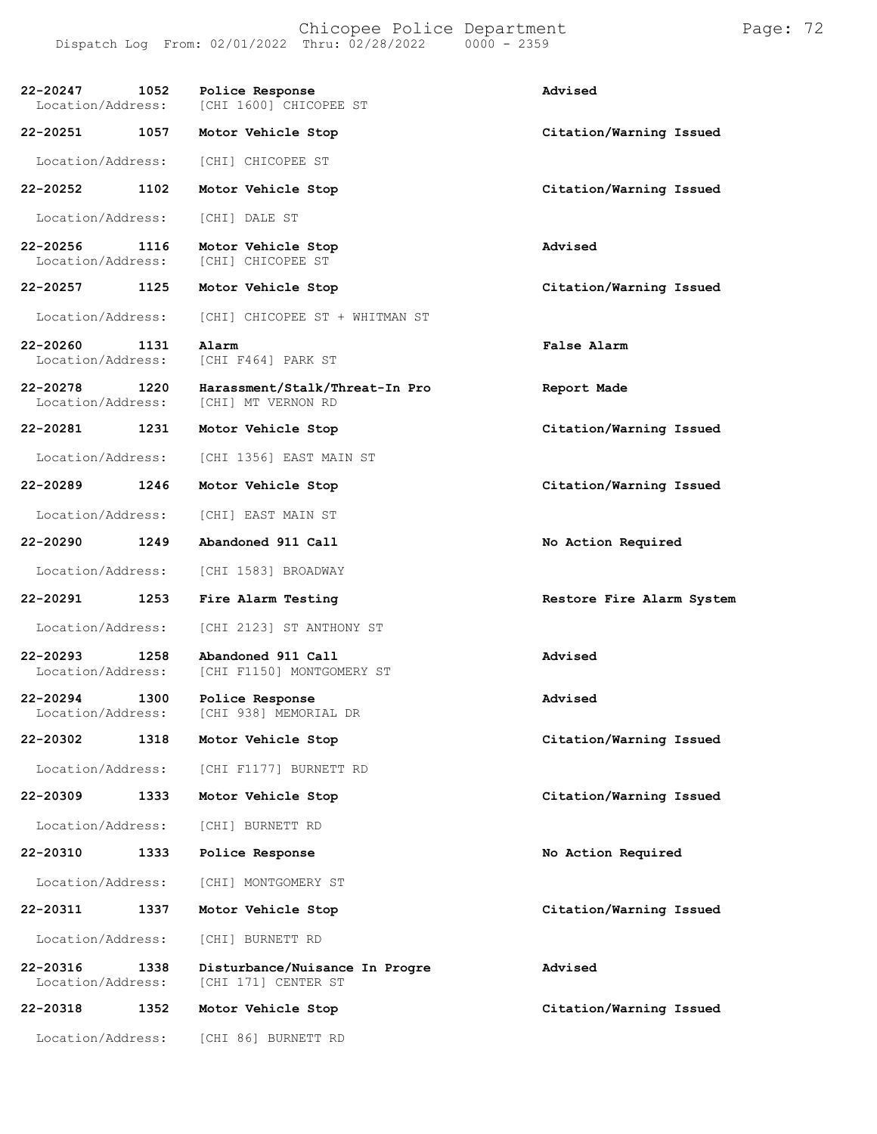| 22-20247<br>1052<br>Location/Address: | Police Response<br>[CHI 1600] CHICOPEE ST             | Advised                   |
|---------------------------------------|-------------------------------------------------------|---------------------------|
| 22-20251 1057                         | Motor Vehicle Stop                                    | Citation/Warning Issued   |
| Location/Address:                     | [CHI] CHICOPEE ST                                     |                           |
| 22-20252<br>1102                      | Motor Vehicle Stop                                    | Citation/Warning Issued   |
| Location/Address:                     | [CHI] DALE ST                                         |                           |
| 22-20256<br>1116<br>Location/Address: | Motor Vehicle Stop<br>[CHI] CHICOPEE ST               | Advised                   |
| 22-20257 1125                         | Motor Vehicle Stop                                    | Citation/Warning Issued   |
| Location/Address:                     | [CHI] CHICOPEE ST + WHITMAN ST                        |                           |
| 22-20260<br>1131<br>Location/Address: | Alarm<br>[CHI F464] PARK ST                           | False Alarm               |
| 22-20278<br>1220<br>Location/Address: | Harassment/Stalk/Threat-In Pro<br>[CHI] MT VERNON RD  | Report Made               |
| 22-20281<br>1231                      | Motor Vehicle Stop                                    | Citation/Warning Issued   |
| Location/Address:                     | [CHI 1356] EAST MAIN ST                               |                           |
| 22-20289 1246                         | Motor Vehicle Stop                                    | Citation/Warning Issued   |
| Location/Address:                     | [CHI] EAST MAIN ST                                    |                           |
| 22-20290<br>1249                      | Abandoned 911 Call                                    | No Action Required        |
| Location/Address:                     | [CHI 1583] BROADWAY                                   |                           |
| 22-20291<br>1253                      | Fire Alarm Testing                                    | Restore Fire Alarm System |
| Location/Address:                     | [CHI 2123] ST ANTHONY ST                              |                           |
| 22-20293<br>1258<br>Location/Address: | Abandoned 911 Call<br>[CHI F1150] MONTGOMERY ST       | Advised                   |
| 22-20294<br>1300<br>Location/Address: | Police Response<br>[CHI 938] MEMORIAL DR              | Advised                   |
| 22-20302<br>1318                      | Motor Vehicle Stop                                    | Citation/Warning Issued   |
| Location/Address:                     | [CHI F1177] BURNETT RD                                |                           |
| 22-20309<br>1333                      | Motor Vehicle Stop                                    | Citation/Warning Issued   |
| Location/Address:                     | [CHI] BURNETT RD                                      |                           |
| 22-20310<br>1333                      | Police Response                                       | No Action Required        |
| Location/Address:                     | [CHI] MONTGOMERY ST                                   |                           |
| 22-20311<br>1337                      | Motor Vehicle Stop                                    | Citation/Warning Issued   |
| Location/Address:                     | [CHI] BURNETT RD                                      |                           |
| 22-20316<br>1338<br>Location/Address: | Disturbance/Nuisance In Progre<br>[CHI 171] CENTER ST | Advised                   |
| 22-20318<br>1352                      | Motor Vehicle Stop                                    | Citation/Warning Issued   |

Location/Address: [CHI 86] BURNETT RD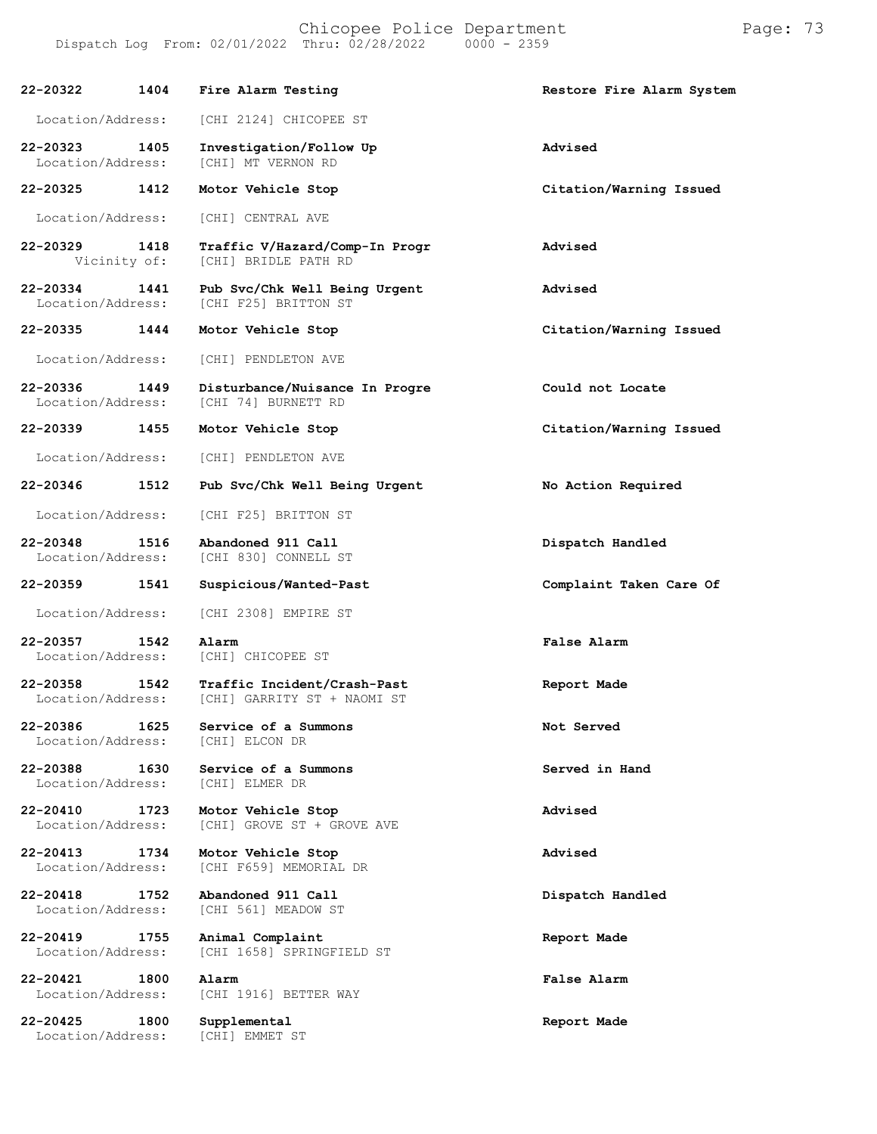| 22-20322                      | 1404                 | Fire Alarm Testing                                         | Restore Fire Alarm System |
|-------------------------------|----------------------|------------------------------------------------------------|---------------------------|
| Location/Address:             |                      | [CHI 2124] CHICOPEE ST                                     |                           |
| 22-20323<br>Location/Address: | 1405                 | Investigation/Follow Up<br>[CHI] MT VERNON RD              | Advised                   |
| 22-20325                      | 1412                 | Motor Vehicle Stop                                         | Citation/Warning Issued   |
| Location/Address:             |                      | [CHI] CENTRAL AVE                                          |                           |
| 22-20329                      | 1418<br>Vicinity of: | Traffic V/Hazard/Comp-In Progr<br>[CHI] BRIDLE PATH RD     | Advised                   |
| 22-20334<br>Location/Address: | 1441                 | Pub Svc/Chk Well Being Urgent<br>[CHI F25] BRITTON ST      | Advised                   |
| 22-20335 1444                 |                      | Motor Vehicle Stop                                         | Citation/Warning Issued   |
| Location/Address:             |                      | [CHI] PENDLETON AVE                                        |                           |
| 22-20336<br>Location/Address: | 1449                 | Disturbance/Nuisance In Progre<br>[CHI 74] BURNETT RD      | Could not Locate          |
| 22-20339                      | 1455                 | Motor Vehicle Stop                                         | Citation/Warning Issued   |
| Location/Address:             |                      | [CHI] PENDLETON AVE                                        |                           |
| 22-20346                      | 1512                 | Pub Svc/Chk Well Being Urgent                              | No Action Required        |
| Location/Address:             |                      | [CHI F25] BRITTON ST                                       |                           |
| 22-20348<br>Location/Address: | 1516                 | Abandoned 911 Call<br>[CHI 830] CONNELL ST                 | Dispatch Handled          |
| 22-20359                      | 1541                 | Suspicious/Wanted-Past                                     | Complaint Taken Care Of   |
| Location/Address:             |                      | [CHI 2308] EMPIRE ST                                       |                           |
| 22-20357<br>Location/Address: | 1542                 | Alarm<br>[CHI] CHICOPEE ST                                 | False Alarm               |
| 22-20358<br>Location/Address: | 1542                 | Traffic Incident/Crash-Past<br>[CHI] GARRITY ST + NAOMI ST | Report Made               |
| 22-20386<br>Location/Address: | 1625                 | Service of a Summons<br>[CHI] ELCON DR                     | Not Served                |
| 22-20388<br>Location/Address: | 1630                 | Service of a Summons<br>[CHI] ELMER DR                     | Served in Hand            |
| 22-20410<br>Location/Address: | 1723                 | Motor Vehicle Stop<br>[CHI] GROVE ST + GROVE AVE           | Advised                   |
| 22-20413<br>Location/Address: | 1734                 | Motor Vehicle Stop<br>[CHI F659] MEMORIAL DR               | Advised                   |
| 22-20418<br>Location/Address: | 1752                 | Abandoned 911 Call<br>[CHI 561] MEADOW ST                  | Dispatch Handled          |
| 22-20419<br>Location/Address: | 1755                 | Animal Complaint<br>[CHI 1658] SPRINGFIELD ST              | Report Made               |
| 22-20421<br>Location/Address: | 1800                 | Alarm<br>[CHI 1916] BETTER WAY                             | False Alarm               |
| 22-20425                      | 1800                 | Supplemental                                               | Report Made               |

Location/Address: [CHI] EMMET ST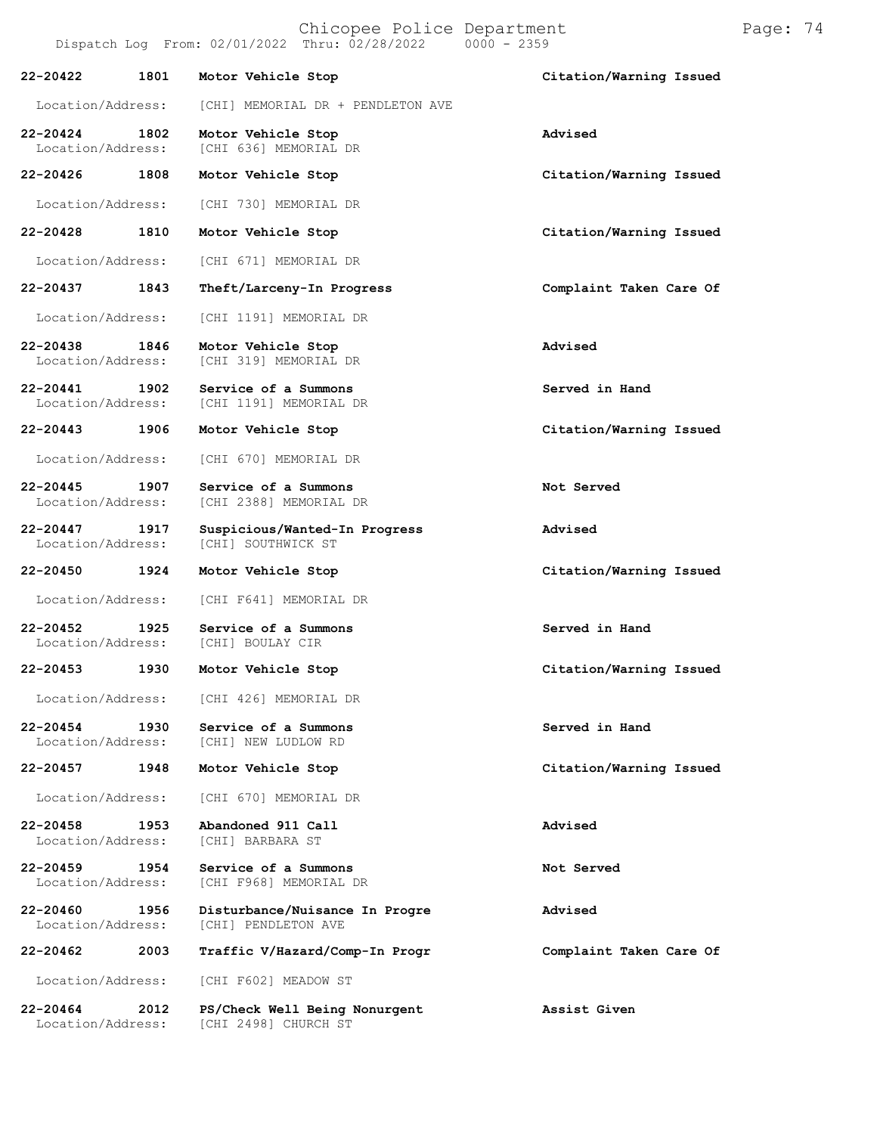Chicopee Police Department Page: 74 Dispatch Log From:  $02/01/2022$  Thru:  $02/28/2022$ **22-20422 1801 Motor Vehicle Stop Citation/Warning Issued** Location/Address: [CHI] MEMORIAL DR + PENDLETON AVE **22-20424 1802 Motor Vehicle Stop Advised** [CHI 636] MEMORIAL DR **22-20426 1808 Motor Vehicle Stop Citation/Warning Issued** Location/Address: [CHI 730] MEMORIAL DR **22-20428 1810 Motor Vehicle Stop Citation/Warning Issued** Location/Address: [CHI 671] MEMORIAL DR **22-20437 1843 Theft/Larceny-In Progress Complaint Taken Care Of** Location/Address: [CHI 1191] MEMORIAL DR **22-20438 1846 Motor Vehicle Stop Advised** [CHI 319] MEMORIAL DR **22-20441 1902 Service of a Summons Served in Hand** [CHI 1191] MEMORIAL DR **22-20443 1906 Motor Vehicle Stop Citation/Warning Issued** Location/Address: [CHI 670] MEMORIAL DR **22-20445 1907 Service of a Summons Not Served** [CHI 2388] MEMORIAL DR **22-20447 1917 Suspicious/Wanted-In Progress Advised** [CHI] SOUTHWICK ST **22-20450 1924 Motor Vehicle Stop Citation/Warning Issued** Location/Address: [CHI F641] MEMORIAL DR **22-20452 1925 Service of a Summons Served in Hand** Location/Address: **22-20453 1930 Motor Vehicle Stop Citation/Warning Issued** Location/Address: [CHI 426] MEMORIAL DR **22-20454 1930 Service of a Summons Served in Hand** [CHI] NEW LUDLOW RD **22-20457 1948 Motor Vehicle Stop Citation/Warning Issued** Location/Address: [CHI 670] MEMORIAL DR **22-20458 1953 Abandoned 911 Call Advised** Location/Address: **22-20459 1954 Service of a Summons Not Served** [CHI F968] MEMORIAL DR **22-20460 1956 Disturbance/Nuisance In Progre Advised** [CHI] PENDLETON AVE **22-20462 2003 Traffic V/Hazard/Comp-In Progr Complaint Taken Care Of** Location/Address: [CHI F602] MEADOW ST **22-20464 2012 PS/Check Well Being Nonurgent Assist Given**

[CHI 2498] CHURCH ST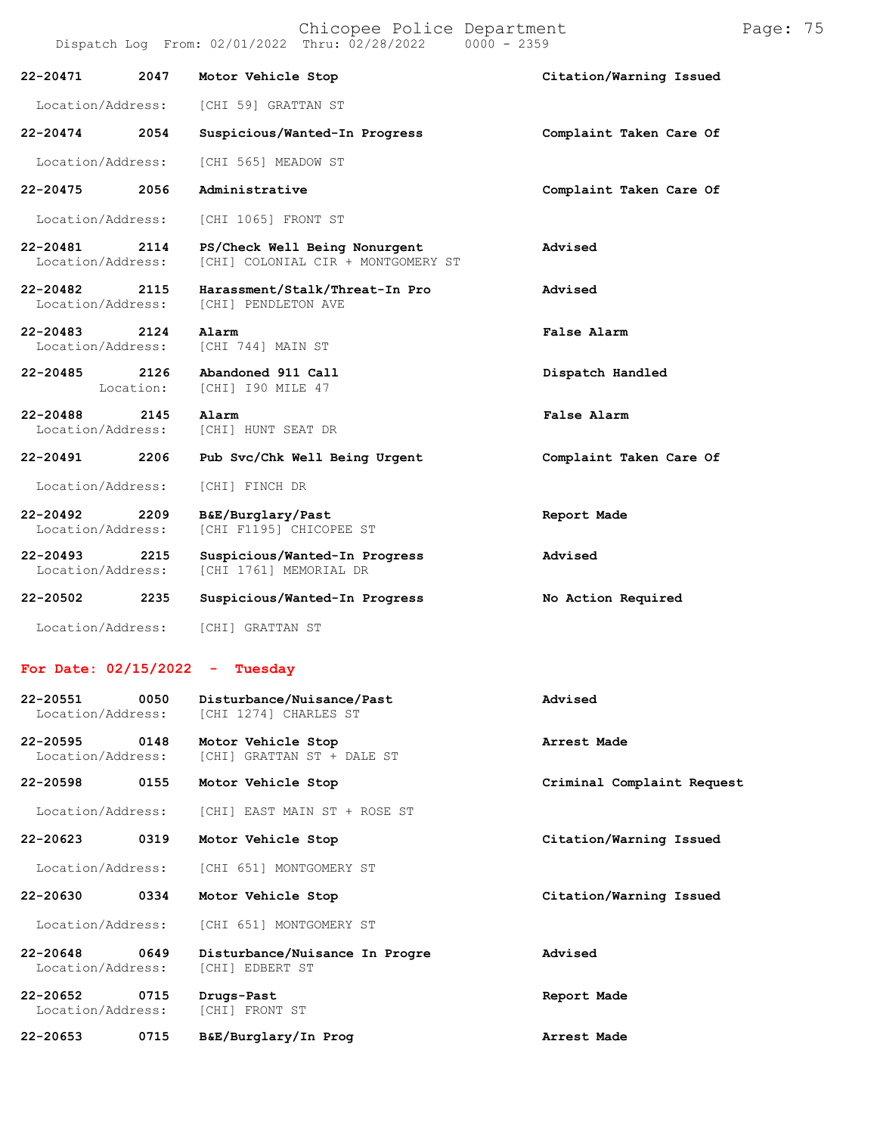|                                    |      | Chicopee Police Department<br>Dispatch Log From: 02/01/2022 Thru: 02/28/2022 0000 - 2359 |                         |
|------------------------------------|------|------------------------------------------------------------------------------------------|-------------------------|
|                                    |      | 22-20471 2047 Motor Vehicle Stop                                                         | Citation/Warning Issued |
|                                    |      | Location/Address: [CHI 59] GRATTAN ST                                                    |                         |
| 22-20474 2054                      |      | Suspicious/Wanted-In Progress                                                            | Complaint Taken Care Of |
| Location/Address:                  |      | [CHI 565] MEADOW ST                                                                      |                         |
| 22-20475 2056                      |      | Administrative                                                                           | Complaint Taken Care Of |
|                                    |      | Location/Address: [CHI 1065] FRONT ST                                                    |                         |
| 22-20481 2114<br>Location/Address: |      | PS/Check Well Being Nonurgent<br>[CHI] COLONIAL CIR + MONTGOMERY ST                      | Advised                 |
| 22-20482 2115<br>Location/Address: |      | Harassment/Stalk/Threat-In Pro<br>[CHI] PENDLETON AVE                                    | Advised                 |
| 22-20483 2124 Alarm                |      | Location/Address: [CHI 744] MAIN ST                                                      | False Alarm             |
|                                    |      | 22-20485 2126 Abandoned 911 Call<br>Location: [CHI] I90 MILE 47                          | Dispatch Handled        |
| 22-20488 2145                      |      | Alarm<br>Location/Address: [CHI] HUNT SEAT DR                                            | False Alarm             |
|                                    |      | 22-20491 2206 Pub Svc/Chk Well Being Urgent                                              | Complaint Taken Care Of |
| Location/Address:                  |      | [CHI] FINCH DR                                                                           |                         |
| $22 - 20492$<br>Location/Address:  | 2209 | B&E/Burglary/Past<br>[CHI F1195] CHICOPEE ST                                             | Report Made             |

**22-20493 2215 Suspicious/Wanted-In Progress Advised** Location/Address: [CHI 1761] MEMORIAL DR **22-20502 2235 Suspicious/Wanted-In Progress No Action Required**

Location/Address: [CHI] GRATTAN ST

## **For Date: 02/15/2022 - Tuesday**

| 22-20551<br>0050<br>Location/Address:     | Disturbance/Nuisance/Past<br>[CHI 1274] CHARLES ST       | Advised                    |
|-------------------------------------------|----------------------------------------------------------|----------------------------|
| 22-20595<br>0148<br>Location/Address:     | Motor Vehicle Stop<br>[CHI] GRATTAN ST + DALE ST         | Arrest Made                |
| 22-20598<br>0155                          | Motor Vehicle Stop                                       | Criminal Complaint Request |
| Location/Address:                         | [CHI] EAST MAIN ST + ROSE ST                             |                            |
| 0319<br>$22 - 20623$                      | Motor Vehicle Stop                                       | Citation/Warning Issued    |
| Location/Address:                         | [CHI 651] MONTGOMERY ST                                  |                            |
| 0334<br>22-20630                          | Motor Vehicle Stop                                       | Citation/Warning Issued    |
| Location/Address:                         | [CHI 651] MONTGOMERY ST                                  |                            |
| $22 - 20648$<br>0649<br>Location/Address: | Disturbance/Nuisance In Progre<br><b>[CHI] EDBERT ST</b> | Advised                    |
| $22 - 20652$<br>0715<br>Location/Address: | Drugs-Past<br>[CHI] FRONT ST                             | Report Made                |
| $22 - 20653$<br>0715                      | B&E/Burglary/In Prog                                     | Arrest Made                |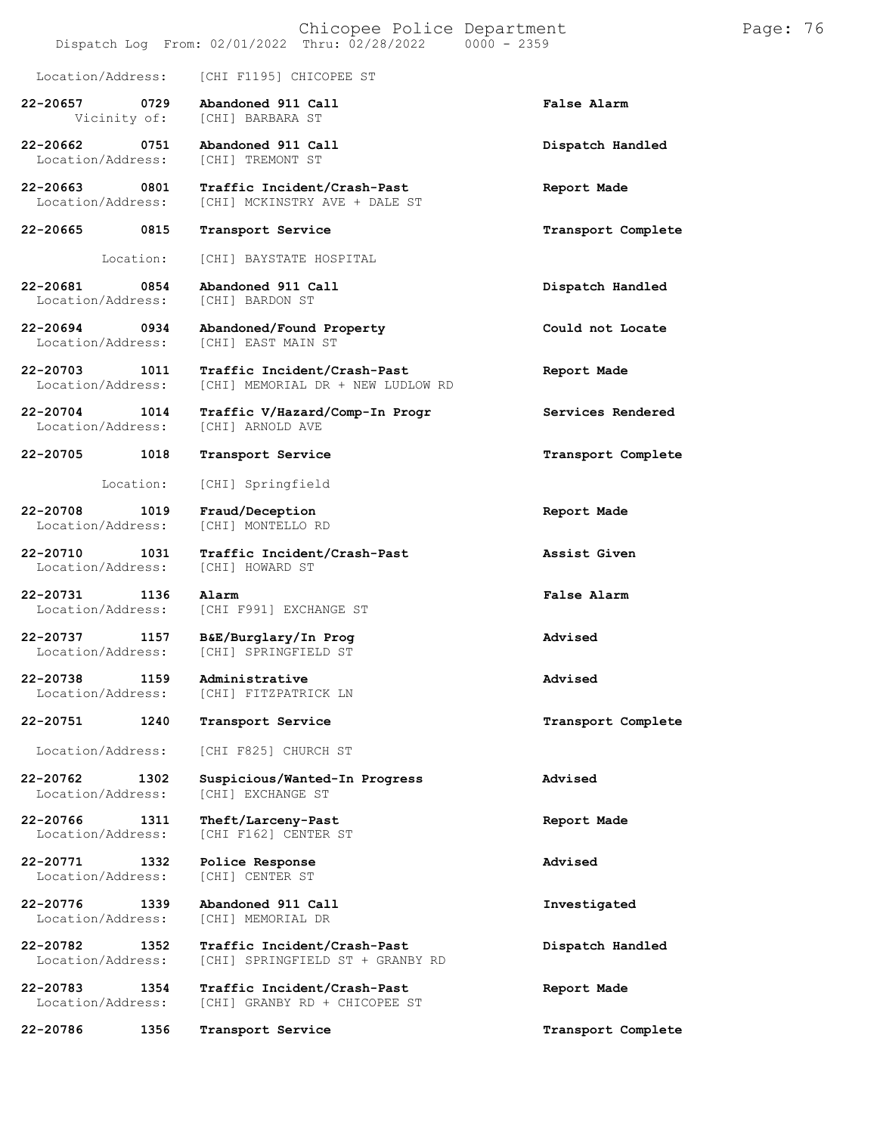|                                       | Chicopee Police Department<br>Dispatch Log From: 02/01/2022 Thru: 02/28/2022 0000 - 2359 |                    | Page: 76 |
|---------------------------------------|------------------------------------------------------------------------------------------|--------------------|----------|
| Location/Address:                     | [CHI F1195] CHICOPEE ST                                                                  |                    |          |
| 22-20657<br>0729<br>Vicinity of:      | Abandoned 911 Call<br>[CHI] BARBARA ST                                                   | <b>False Alarm</b> |          |
| 22-20662<br>0751<br>Location/Address: | Abandoned 911 Call<br>[CHI] TREMONT ST                                                   | Dispatch Handled   |          |
| 22-20663<br>0801<br>Location/Address: | Traffic Incident/Crash-Past<br>[CHI] MCKINSTRY AVE + DALE ST                             | Report Made        |          |
| 0815<br>22-20665                      | Transport Service                                                                        | Transport Complete |          |
| Location:                             | [CHI] BAYSTATE HOSPITAL                                                                  |                    |          |
| 22-20681<br>0854<br>Location/Address: | Abandoned 911 Call<br>[CHI] BARDON ST                                                    | Dispatch Handled   |          |
| 22-20694<br>0934<br>Location/Address: | Abandoned/Found Property<br>[CHI] EAST MAIN ST                                           | Could not Locate   |          |
| 22-20703<br>1011<br>Location/Address: | Traffic Incident/Crash-Past<br>[CHI] MEMORIAL DR + NEW LUDLOW RD                         | Report Made        |          |
| 22-20704<br>1014<br>Location/Address: | Traffic V/Hazard/Comp-In Progr<br>[CHI] ARNOLD AVE                                       | Services Rendered  |          |
| 1018<br>22-20705                      | Transport Service                                                                        | Transport Complete |          |
| Location:                             | [CHI] Springfield                                                                        |                    |          |
| 22-20708<br>1019<br>Location/Address: | Fraud/Deception<br>[CHI] MONTELLO RD                                                     | Report Made        |          |
| 22-20710<br>1031<br>Location/Address: | Traffic Incident/Crash-Past<br>[CHI] HOWARD ST                                           | Assist Given       |          |
| 22-20731<br>1136<br>Location/Address: | Alarm<br>[CHI F991] EXCHANGE ST                                                          | False Alarm        |          |
| 22-20737<br>1157<br>Location/Address: | B&E/Burglary/In Prog<br>[CHI] SPRINGFIELD ST                                             | Advised            |          |
| 22-20738<br>1159<br>Location/Address: | Administrative<br>[CHI] FITZPATRICK LN                                                   | Advised            |          |
| 22-20751<br>1240                      | Transport Service                                                                        | Transport Complete |          |
| Location/Address:                     | [CHI F825] CHURCH ST                                                                     |                    |          |
| 22-20762<br>1302<br>Location/Address: | Suspicious/Wanted-In Progress<br>[CHI] EXCHANGE ST                                       | Advised            |          |
| 22-20766<br>1311<br>Location/Address: | Theft/Larceny-Past<br>[CHI F162] CENTER ST                                               | Report Made        |          |
| 22-20771<br>1332<br>Location/Address: | Police Response<br>[CHI] CENTER ST                                                       | Advised            |          |
| 22-20776<br>1339<br>Location/Address: | Abandoned 911 Call<br>[CHI] MEMORIAL DR                                                  | Investigated       |          |
| 22-20782<br>1352<br>Location/Address: | Traffic Incident/Crash-Past<br>[CHI] SPRINGFIELD ST + GRANBY RD                          | Dispatch Handled   |          |
| 22-20783<br>1354<br>Location/Address: | Traffic Incident/Crash-Past<br>[CHI] GRANBY RD + CHICOPEE ST                             | Report Made        |          |
| 22-20786<br>1356                      | Transport Service                                                                        | Transport Complete |          |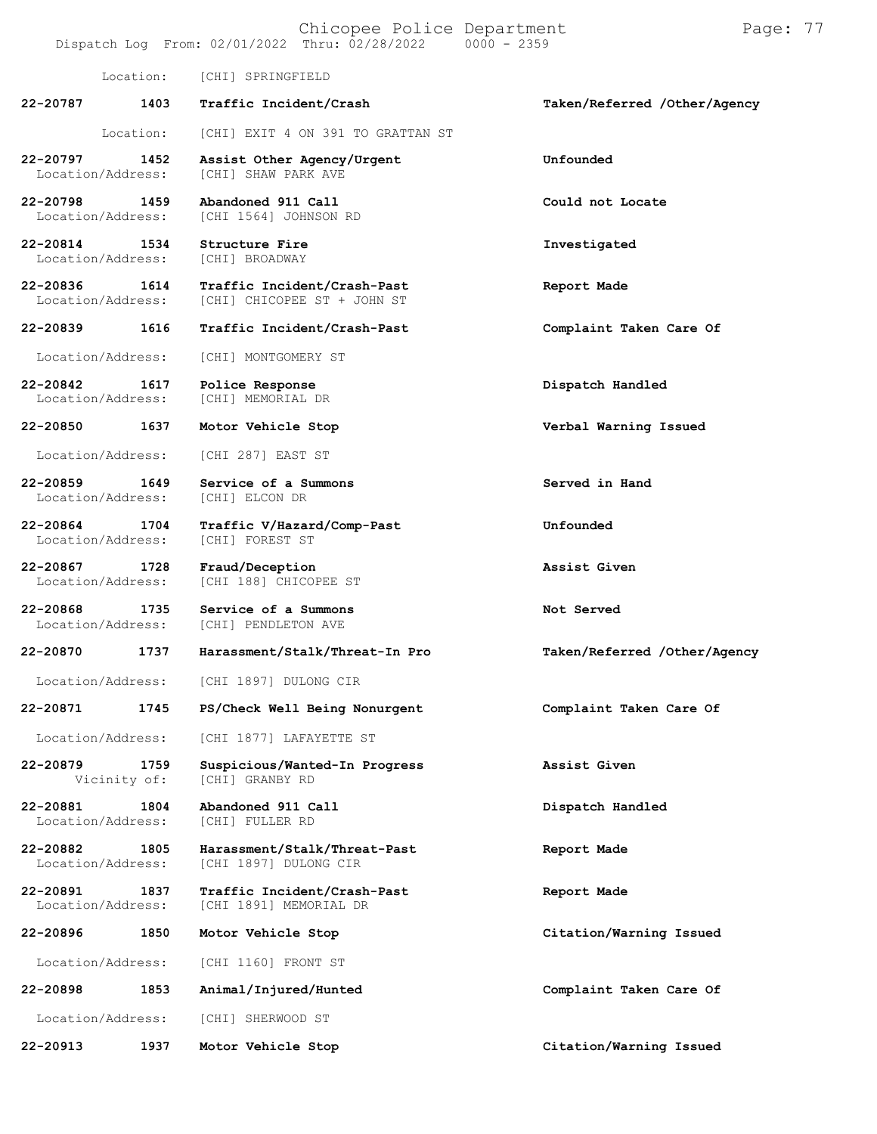Location: [CHI] SPRINGFIELD **22-20787 1403 Traffic Incident/Crash Taken/Referred /Other/Agency** Location: [CHI] EXIT 4 ON 391 TO GRATTAN ST **22-20797 1452 Assist Other Agency/Urgent Unfounded** [CHI] SHAW PARK AVE **22-20798 1459 Abandoned 911 Call Could not Locate** [CHI 1564] JOHNSON RD **22-20814 1534 Structure Fire Investigated** Location/Address: **22-20836 1614 Traffic Incident/Crash-Past Report Made** [CHI] CHICOPEE ST + JOHN ST **22-20839 1616 Traffic Incident/Crash-Past Complaint Taken Care Of** Location/Address: [CHI] MONTGOMERY ST **22-20842 1617 Police Response Dispatch Handled** [CHI] MEMORIAL DR **22-20850 1637 Motor Vehicle Stop Verbal Warning Issued** Location/Address: [CHI 287] EAST ST **22-20859 1649 Service of a Summons Served in Hand** Location/Address: **22-20864 1704 Traffic V/Hazard/Comp-Past Unfounded** Location/Address: **22-20867 1728 Fraud/Deception Assist Given** [CHI 188] CHICOPEE ST **22-20868 1735 Service of a Summons Not Served** [CHI] PENDLETON AVE **22-20870 1737 Harassment/Stalk/Threat-In Pro Taken/Referred /Other/Agency** Location/Address: [CHI 1897] DULONG CIR **22-20871 1745 PS/Check Well Being Nonurgent Complaint Taken Care Of** Location/Address: [CHI 1877] LAFAYETTE ST **22-20879 1759 Suspicious/Wanted-In Progress Assist Given** [CHI] GRANBY RD **22-20881 1804 Abandoned 911 Call Dispatch Handled** Location/Address: **22-20882 1805 Harassment/Stalk/Threat-Past Report Made** [CHI 1897] DULONG CIR **22-20891 1837 Traffic Incident/Crash-Past Report Made** [CHI 1891] MEMORIAL DR **22-20896 1850 Motor Vehicle Stop Citation/Warning Issued** Location/Address: [CHI 1160] FRONT ST **22-20898 1853 Animal/Injured/Hunted Complaint Taken Care Of** Location/Address: [CHI] SHERWOOD ST **22-20913 1937 Motor Vehicle Stop Citation/Warning Issued**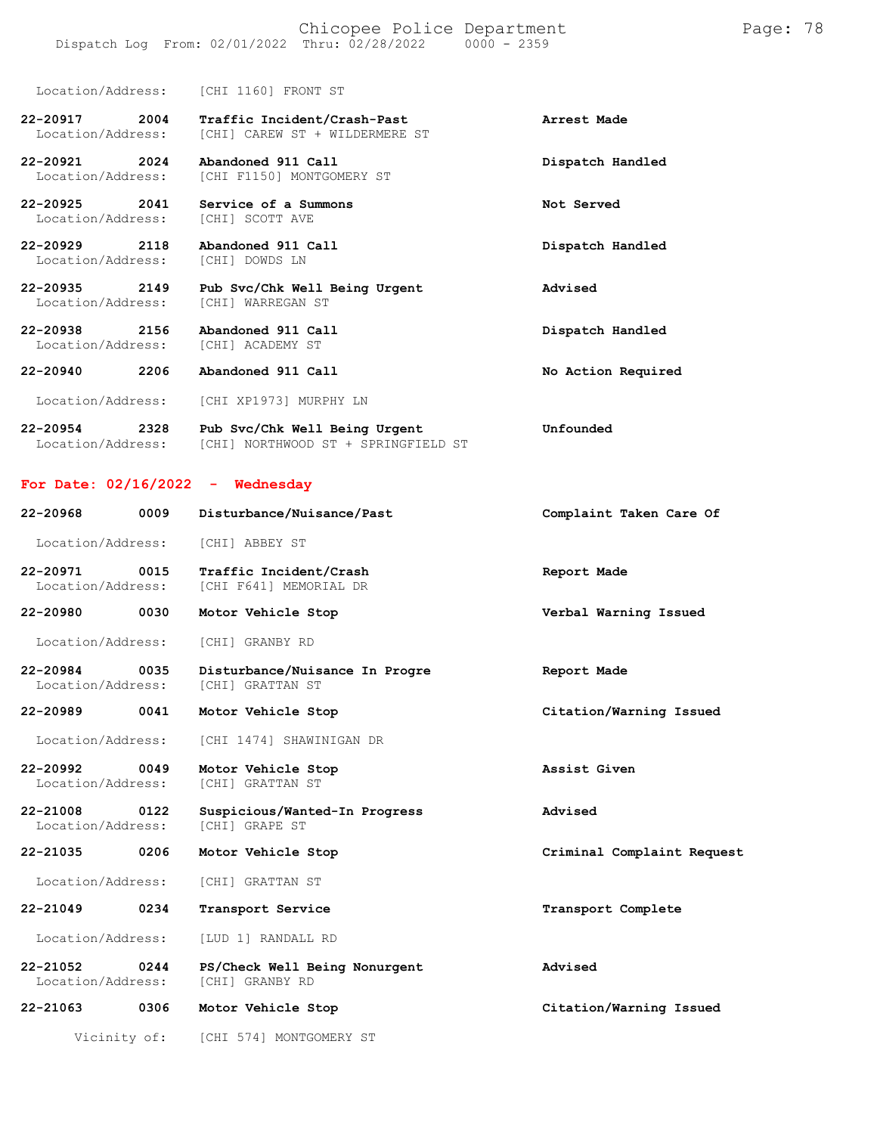Location/Address: [CHI 1160] FRONT ST

**22-20917 2004 Traffic Incident/Crash-Past Arrest Made** Location/Address: [CHI] CAREW ST + WILDERMERE ST

**22-20921 2024 Abandoned 911 Call Dispatch Handled** Location/Address: [CHI F1150] MONTGOMERY ST

**22-20925 2041 Service of a Summons Not Served** Location/Address: [CHI] SCOTT AVE

**22-20929 2118 Abandoned 911 Call Dispatch Handled** Location/Address: [CHI] DOWDS LN

**22-20935 2149 Pub Svc/Chk Well Being Urgent Advised** Location/Address: [CHI] WARREGAN ST

**22-20938 2156 Abandoned 911 Call Dispatch Handled** Location/Address:

**22-20940 2206 Abandoned 911 Call No Action Required**

Location/Address: [CHI XP1973] MURPHY LN

**22-20954 2328 Pub Svc/Chk Well Being Urgent Unfounded** Location/Address: [CHI] NORTHWOOD ST + SPRINGFIELD ST

## **For Date: 02/16/2022 - Wednesday**

| 22-20968                           | 0009         | Disturbance/Nuisance/Past                          | Complaint Taken Care Of    |
|------------------------------------|--------------|----------------------------------------------------|----------------------------|
| Location/Address:                  |              | [CHI] ABBEY ST                                     |                            |
| 22-20971 0015<br>Location/Address: |              | Traffic Incident/Crash<br>[CHI F641] MEMORIAL DR   | Report Made                |
| 22-20980 0030                      |              | Motor Vehicle Stop                                 | Verbal Warning Issued      |
| Location/Address:                  |              | [CHI] GRANBY RD                                    |                            |
| 22-20984 0035<br>Location/Address: |              | Disturbance/Nuisance In Progre<br>[CHI] GRATTAN ST | Report Made                |
| 22-20989 0041                      |              | Motor Vehicle Stop                                 | Citation/Warning Issued    |
| Location/Address:                  |              | [CHI 1474] SHAWINIGAN DR                           |                            |
| 22-20992 0049<br>Location/Address: |              | Motor Vehicle Stop<br>[CHI] GRATTAN ST             | Assist Given               |
| 22-21008 0122<br>Location/Address: |              | Suspicious/Wanted-In Progress<br>[CHI] GRAPE ST    | Advised                    |
| 22-21035                           | 0206         | Motor Vehicle Stop                                 | Criminal Complaint Request |
| Location/Address:                  |              | [CHI] GRATTAN ST                                   |                            |
| 22-21049                           | 0234         | Transport Service                                  | Transport Complete         |
| Location/Address:                  |              | [LUD 1] RANDALL RD                                 |                            |
| 22-21052<br>Location/Address:      | 0244         | PS/Check Well Being Nonurgent<br>[CHI] GRANBY RD   | Advised                    |
| $22 - 21063$                       | 0306         | Motor Vehicle Stop                                 | Citation/Warning Issued    |
|                                    | Vicinity of: | [CHI 574] MONTGOMERY ST                            |                            |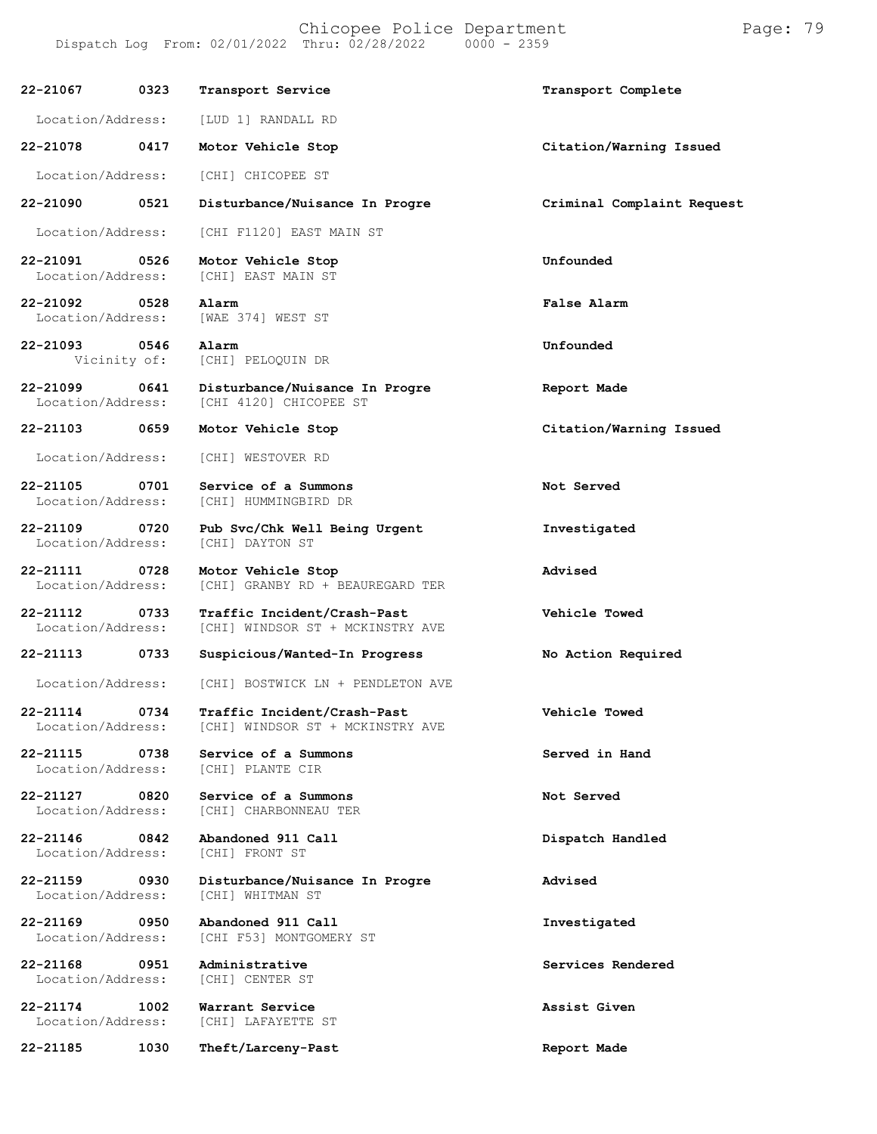**22-21067 0323 Transport Service Transport Complete** Location/Address: [LUD 1] RANDALL RD **22-21078 0417 Motor Vehicle Stop Citation/Warning Issued** Location/Address: [CHI] CHICOPEE ST **22-21090 0521 Disturbance/Nuisance In Progre Criminal Complaint Request** Location/Address: [CHI F1120] EAST MAIN ST **22-21091 0526 Motor Vehicle Stop Unfounded** Location/Address: [CHI] EAST MAIN ST **22-21092 0528 Alarm False Alarm** Location/Address: [WAE 374] WEST ST **22-21093 0546 Alarm Unfounded** [CHI] PELOQUIN DR **22-21099 0641 Disturbance/Nuisance In Progre Report Made** Location/Address: [CHI 4120] CHICOPEE ST **22-21103 0659 Motor Vehicle Stop Citation/Warning Issued** Location/Address: [CHI] WESTOVER RD **22-21105 0701 Service of a Summons Not Served** [CHI] HUMMINGBIRD DR **22-21109 0720 Pub Svc/Chk Well Being Urgent Investigated** Location/Address: **22-21111 0728 Motor Vehicle Stop Advised** [CHI] GRANBY RD + BEAUREGARD TER **22-21112 0733 Traffic Incident/Crash-Past Vehicle Towed** [CHI] WINDSOR ST + MCKINSTRY AVE **22-21113 0733 Suspicious/Wanted-In Progress No Action Required** Location/Address: [CHI] BOSTWICK LN + PENDLETON AVE **22-21114 0734 Traffic Incident/Crash-Past Vehicle Towed** [CHI] WINDSOR ST + MCKINSTRY AVE **22-21115 0738 Service of a Summons Served in Hand** Location/Address: **22-21127 0820 Service of a Summons Not Served** Location/Address: [CHI] CHARBONNEAU TER **22-21146 0842 Abandoned 911 Call Dispatch Handled** Location/Address: **22-21159 0930 Disturbance/Nuisance In Progre Advised** Location/Address: **22-21169 0950 Abandoned 911 Call Investigated** [CHI F53] MONTGOMERY ST **22-21168 0951 Administrative Services Rendered** Location/Address: **22-21174 1002 Warrant Service Assist Given** [CHI] LAFAYETTE ST **22-21185 1030 Theft/Larceny-Past Report Made**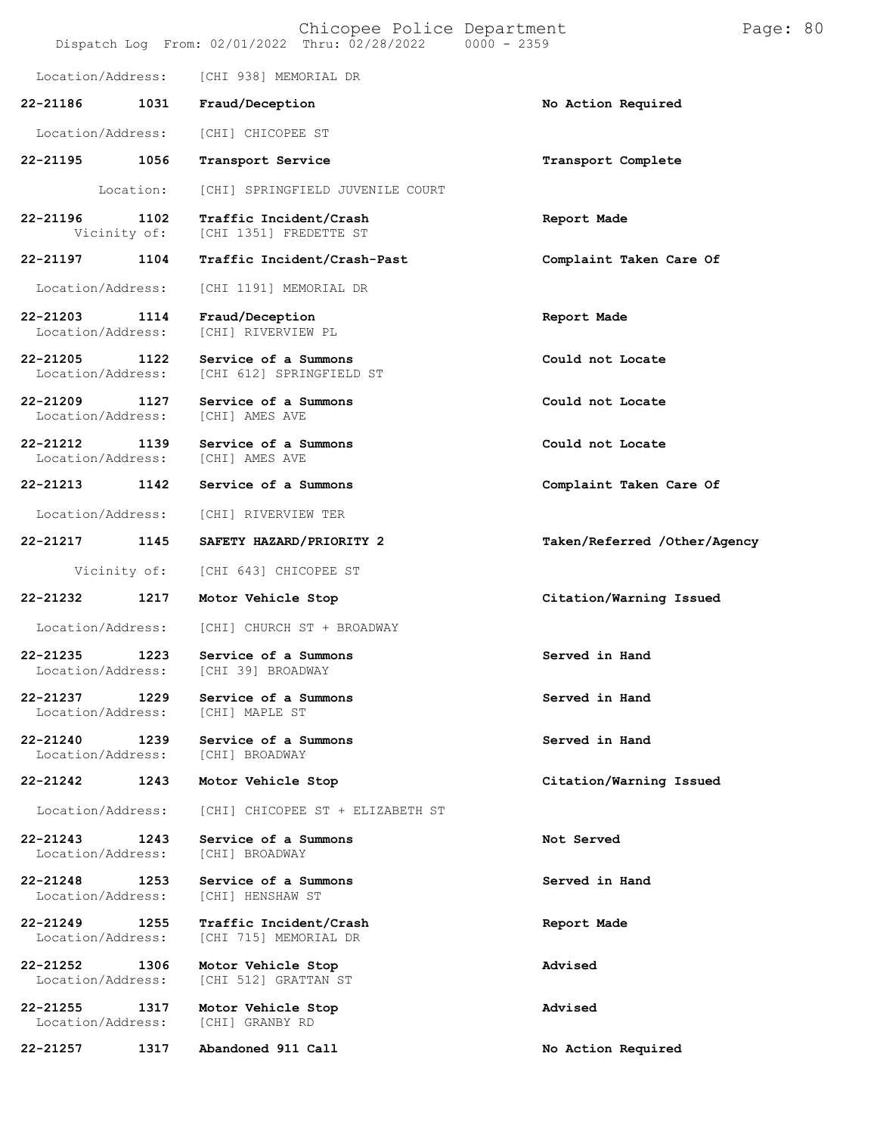|                                   |                      | Chicopee Police Department<br>Dispatch Log From: 02/01/2022 Thru: 02/28/2022 0000 - 2359 |                              | Page: 80 |  |
|-----------------------------------|----------------------|------------------------------------------------------------------------------------------|------------------------------|----------|--|
| Location/Address:                 |                      | [CHI 938] MEMORIAL DR                                                                    |                              |          |  |
| 22-21186                          | 1031                 | Fraud/Deception                                                                          | No Action Required           |          |  |
| Location/Address:                 |                      | [CHI] CHICOPEE ST                                                                        |                              |          |  |
| 22-21195                          | 1056                 | Transport Service                                                                        | Transport Complete           |          |  |
|                                   | Location:            | [CHI] SPRINGFIELD JUVENILE COURT                                                         |                              |          |  |
| 22-21196                          | 1102<br>Vicinity of: | Traffic Incident/Crash<br>[CHI 1351] FREDETTE ST                                         | Report Made                  |          |  |
| 22-21197                          | 1104                 | Traffic Incident/Crash-Past                                                              | Complaint Taken Care Of      |          |  |
| Location/Address:                 |                      | [CHI 1191] MEMORIAL DR                                                                   |                              |          |  |
| $22 - 21203$<br>Location/Address: | 1114                 | Fraud/Deception<br>[CHI] RIVERVIEW PL                                                    | Report Made                  |          |  |
| 22-21205<br>Location/Address:     | 1122                 | Service of a Summons<br>[CHI 612] SPRINGFIELD ST                                         | Could not Locate             |          |  |
| 22-21209<br>Location/Address:     | 1127                 | Service of a Summons<br>[CHI] AMES AVE                                                   | Could not Locate             |          |  |
| 22-21212<br>Location/Address:     | 1139                 | Service of a Summons<br>[CHI] AMES AVE                                                   | Could not Locate             |          |  |
| 22-21213                          | 1142                 | Service of a Summons                                                                     | Complaint Taken Care Of      |          |  |
| Location/Address:                 |                      | [CHI] RIVERVIEW TER                                                                      |                              |          |  |
| 22-21217                          | 1145                 | SAFETY HAZARD/PRIORITY 2                                                                 | Taken/Referred /Other/Agency |          |  |
| Vicinity of:                      |                      | [CHI 643] CHICOPEE ST                                                                    |                              |          |  |
| 22-21232                          | 1217                 | Motor Vehicle Stop                                                                       | Citation/Warning Issued      |          |  |
| Location/Address:                 |                      | [CHI] CHURCH ST + BROADWAY                                                               |                              |          |  |
| 22-21235<br>Location/Address:     | 1223                 | Service of a Summons<br>[CHI 39] BROADWAY                                                | Served in Hand               |          |  |
| 22-21237<br>Location/Address:     | 1229                 | Service of a Summons<br>[CHI] MAPLE ST                                                   | Served in Hand               |          |  |
| 22-21240<br>Location/Address:     | 1239                 | Service of a Summons<br>[CHI] BROADWAY                                                   | Served in Hand               |          |  |
| 22-21242                          | 1243                 | Motor Vehicle Stop                                                                       | Citation/Warning Issued      |          |  |
| Location/Address:                 |                      | [CHI] CHICOPEE ST + ELIZABETH ST                                                         |                              |          |  |
| 22-21243<br>Location/Address:     | 1243                 | Service of a Summons<br>[CHI] BROADWAY                                                   | Not Served                   |          |  |
| 22-21248<br>Location/Address:     | 1253                 | Service of a Summons<br>[CHI] HENSHAW ST                                                 | Served in Hand               |          |  |
| 22-21249<br>Location/Address:     | 1255                 | Traffic Incident/Crash<br>[CHI 715] MEMORIAL DR                                          | Report Made                  |          |  |
| 22-21252<br>Location/Address:     | 1306                 | Motor Vehicle Stop<br>[CHI 512] GRATTAN ST                                               | Advised                      |          |  |
| 22-21255<br>Location/Address:     | 1317                 | Motor Vehicle Stop<br>[CHI] GRANBY RD                                                    | Advised                      |          |  |
| 22-21257                          | 1317                 | Abandoned 911 Call                                                                       | No Action Required           |          |  |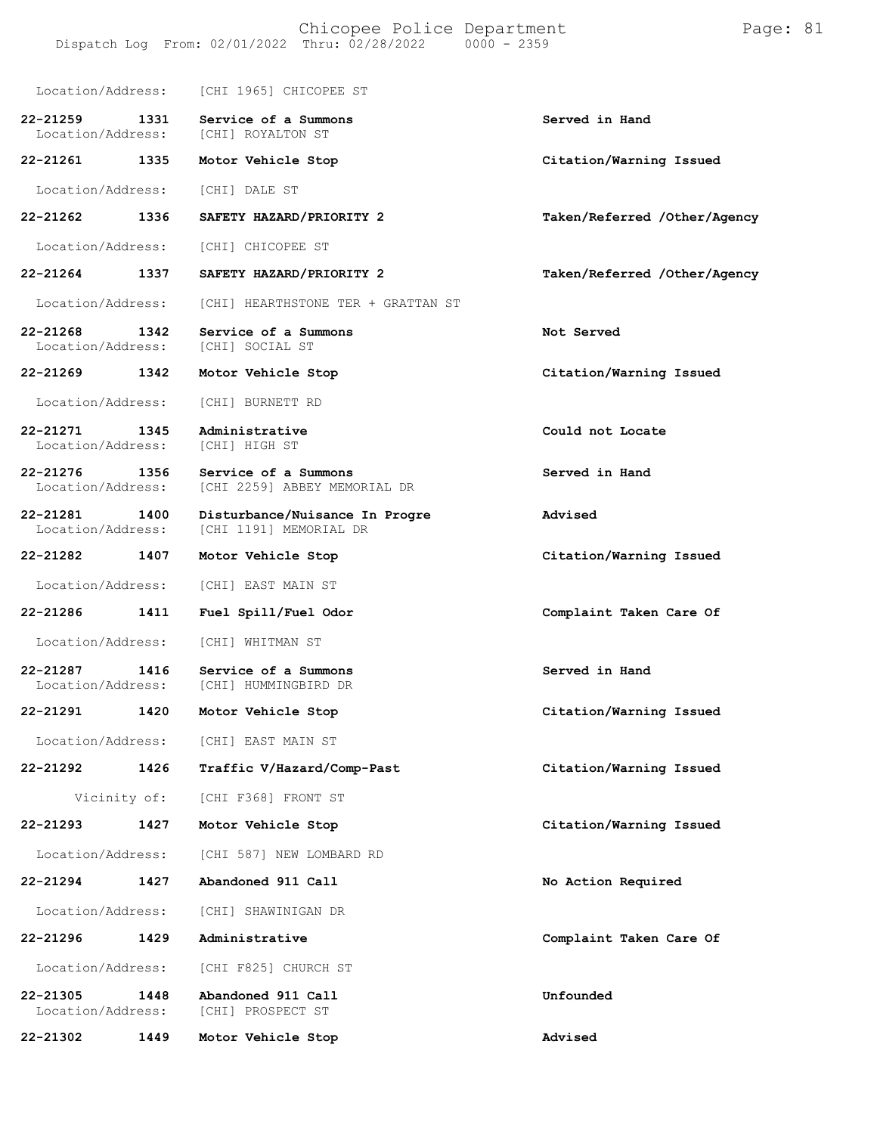Location/Address: [CHI 1965] CHICOPEE ST **22-21259 1331 Service of a Summons Served in Hand** Location/Address: **22-21261 1335 Motor Vehicle Stop Citation/Warning Issued** Location/Address: [CHI] DALE ST **22-21262 1336 SAFETY HAZARD/PRIORITY 2 Taken/Referred /Other/Agency** Location/Address: [CHI] CHICOPEE ST **22-21264 1337 SAFETY HAZARD/PRIORITY 2 Taken/Referred /Other/Agency** Location/Address: [CHI] HEARTHSTONE TER + GRATTAN ST **22-21268 1342 Service of a Summons Not Served** Location/Address: **22-21269 1342 Motor Vehicle Stop Citation/Warning Issued** Location/Address: [CHI] BURNETT RD **22-21271 1345 Administrative Could not Locate** Location/Address: **22-21276 1356 Service of a Summons Served in Hand** [CHI 2259] ABBEY MEMORIAL DR **22-21281 1400 Disturbance/Nuisance In Progre Advised** [CHI 1191] MEMORIAL DR **22-21282 1407 Motor Vehicle Stop Citation/Warning Issued** Location/Address: [CHI] EAST MAIN ST **22-21286 1411 Fuel Spill/Fuel Odor Complaint Taken Care Of** Location/Address: [CHI] WHITMAN ST **22-21287 1416 Service of a Summons Served in Hand** [CHI] HUMMINGBIRD DR **22-21291 1420 Motor Vehicle Stop Citation/Warning Issued** Location/Address: [CHI] EAST MAIN ST **22-21292 1426 Traffic V/Hazard/Comp-Past Citation/Warning Issued** Vicinity of: [CHI F368] FRONT ST **22-21293 1427 Motor Vehicle Stop Citation/Warning Issued** Location/Address: [CHI 587] NEW LOMBARD RD **22-21294 1427 Abandoned 911 Call No Action Required** Location/Address: [CHI] SHAWINIGAN DR **22-21296 1429 Administrative Complaint Taken Care Of** Location/Address: [CHI F825] CHURCH ST **22-21305 1448 Abandoned 911 Call Unfounded** Location/Address: **22-21302 1449 Motor Vehicle Stop Advised**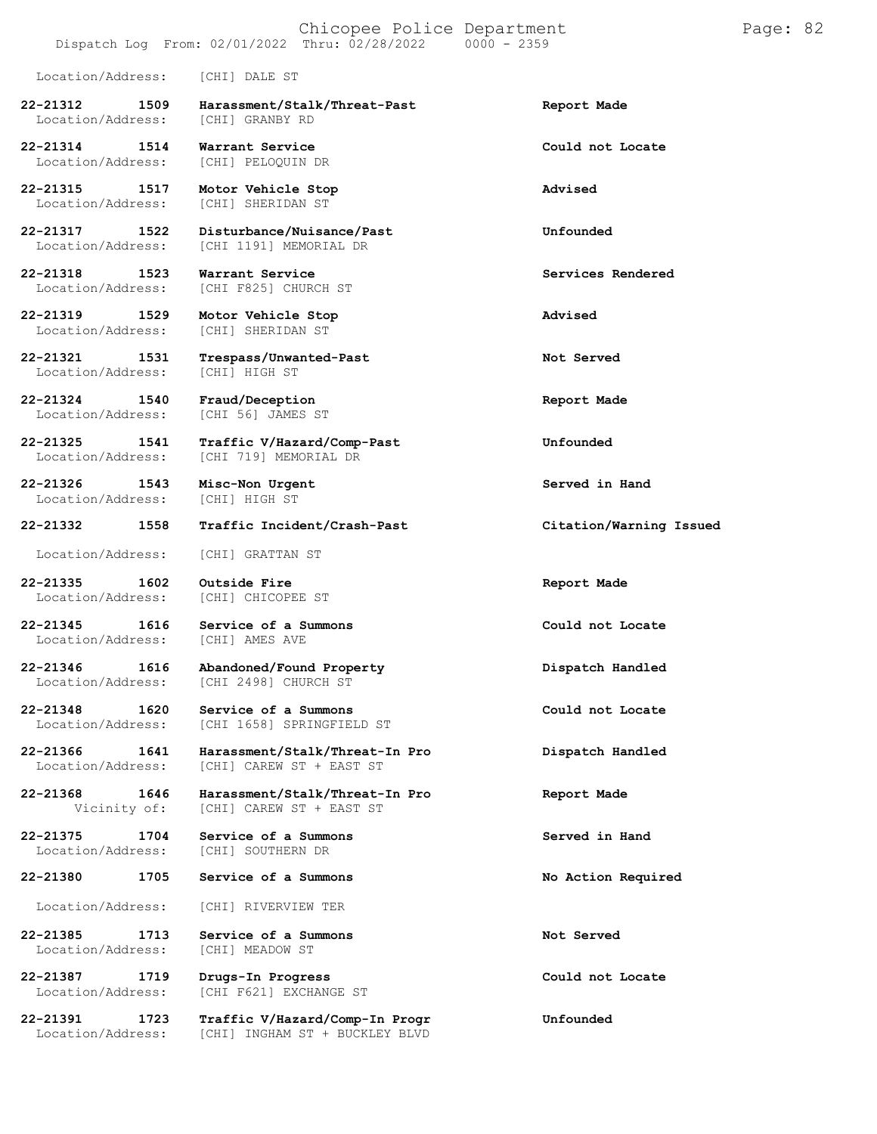### Chicopee Police Department Page: 82 Dispatch Log From: 02/01/2022 Thru: 02/28/2022

Location/Address: [CHI] DALE ST

**22-21312 1509 Harassment/Stalk/Threat-Past Report Made** Location/Address:

**22-21314 1514 Warrant Service Could not Locate**

**22-21315 1517 Motor Vehicle Stop Advised**

**22-21318 1523 Warrant Service Services Rendered**

**22-21324 1540 Fraud/Deception Report Made**

**22-21326 1543 Misc-Non Urgent Served in Hand** Location/Address:

**22-21335 1602 Outside Fire Report Made** Location/Address:

Location/Address:

Location/Address:

Location/Address: [CHI] RIVERVIEW TER

**22-21385 1713 Service of a Summons Not Served** Location/Address:

[CHI] PELOQUIN DR

[CHI] SHERIDAN ST

**22-21317 1522 Disturbance/Nuisance/Past Unfounded** Location/Address: [CHI 1191] MEMORIAL DR

Location/Address: [CHI F825] CHURCH ST

**22-21319 1529 Motor Vehicle Stop Advised** [CHI] SHERIDAN ST

**22-21321 1531 Trespass/Unwanted-Past Not Served** Location/Address: [CHI] HIGH ST

[CHI 56] JAMES ST

**22-21325 1541 Traffic V/Hazard/Comp-Past Unfounded** Location/Address: [CHI 719] MEMORIAL DR

**22-21332 1558 Traffic Incident/Crash-Past Citation/Warning Issued**

Location/Address: [CHI] GRATTAN ST

**22-21345 1616 Service of a Summons Could not Locate**

**22-21346 1616 Abandoned/Found Property Dispatch Handled** [CHI 2498] CHURCH ST

**22-21348 1620 Service of a Summons Could not Locate** Location/Address: [CHI 1658] SPRINGFIELD ST

**22-21366 1641 Harassment/Stalk/Threat-In Pro Dispatch Handled** Location/Address: [CHI] CAREW ST + EAST ST

**22-21368 1646 Harassment/Stalk/Threat-In Pro Report Made** [CHI] CAREW ST + EAST ST

**22-21375 1704 Service of a Summons Served in Hand**

**22-21380 1705 Service of a Summons No Action Required**

**22-21387 1719 Drugs-In Progress Could not Locate** [CHI F621] EXCHANGE ST

**22-21391 1723 Traffic V/Hazard/Comp-In Progr Unfounded** Location/Address: [CHI] INGHAM ST + BUCKLEY BLVD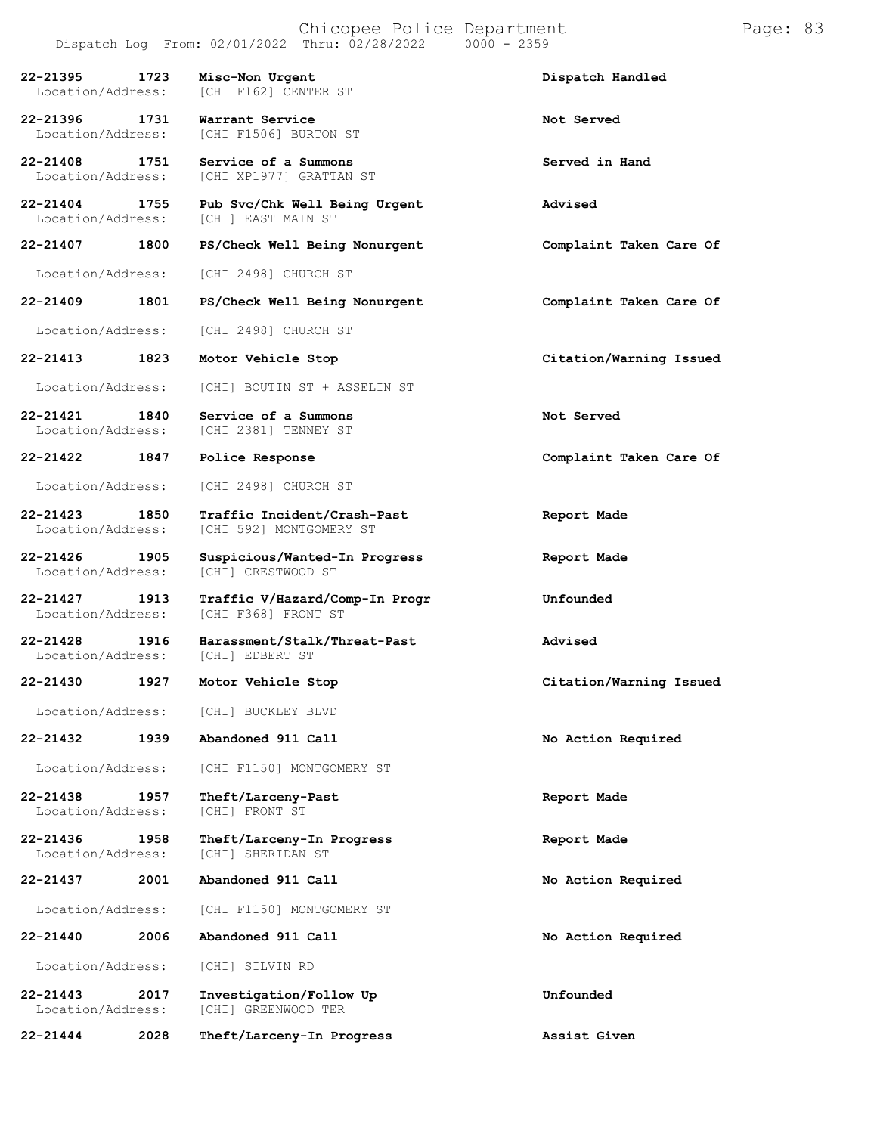# Chicopee Police Department Page: 83

Dispatch Log From:  $02/01/2022$  Thru:  $02/28/2022$ **22-21395 1723 Misc-Non Urgent Dispatch Handled** [CHI F162] CENTER ST **22-21396 1731 Warrant Service Not Served** [CHI F1506] BURTON ST **22-21408 1751 Service of a Summons Served in Hand** Location/Address: [CHI XP1977] GRATTAN ST **22-21404 1755 Pub Svc/Chk Well Being Urgent Advised** [CHI] EAST MAIN ST **22-21407 1800 PS/Check Well Being Nonurgent Complaint Taken Care Of** Location/Address: [CHI 2498] CHURCH ST **22-21409 1801 PS/Check Well Being Nonurgent Complaint Taken Care Of** Location/Address: [CHI 2498] CHURCH ST **22-21413 1823 Motor Vehicle Stop Citation/Warning Issued** Location/Address: [CHI] BOUTIN ST + ASSELIN ST **22-21421 1840 Service of a Summons Not Served** [CHI 2381] TENNEY ST **22-21422 1847 Police Response Complaint Taken Care Of** Location/Address: [CHI 2498] CHURCH ST **22-21423 1850 Traffic Incident/Crash-Past Report Made** [CHI 592] MONTGOMERY ST **22-21426 1905 Suspicious/Wanted-In Progress Report Made** [CHI] CRESTWOOD ST **22-21427 1913 Traffic V/Hazard/Comp-In Progr Unfounded** Location/Address: [CHI F368] FRONT ST **22-21428 1916 Harassment/Stalk/Threat-Past Advised** Location/Address: **22-21430 1927 Motor Vehicle Stop Citation/Warning Issued** Location/Address: [CHI] BUCKLEY BLVD **22-21432 1939 Abandoned 911 Call No Action Required** Location/Address: [CHI F1150] MONTGOMERY ST **22-21438 1957 Theft/Larceny-Past Report Made** Location/Address: **22-21436 1958 Theft/Larceny-In Progress Report Made** [CHI] SHERIDAN ST **22-21437 2001 Abandoned 911 Call No Action Required** Location/Address: [CHI F1150] MONTGOMERY ST **22-21440 2006 Abandoned 911 Call No Action Required** Location/Address: [CHI] SILVIN RD **22-21443 2017 Investigation/Follow Up Unfounded**

[CHI] GREENWOOD TER

**22-21444 2028 Theft/Larceny-In Progress Assist Given**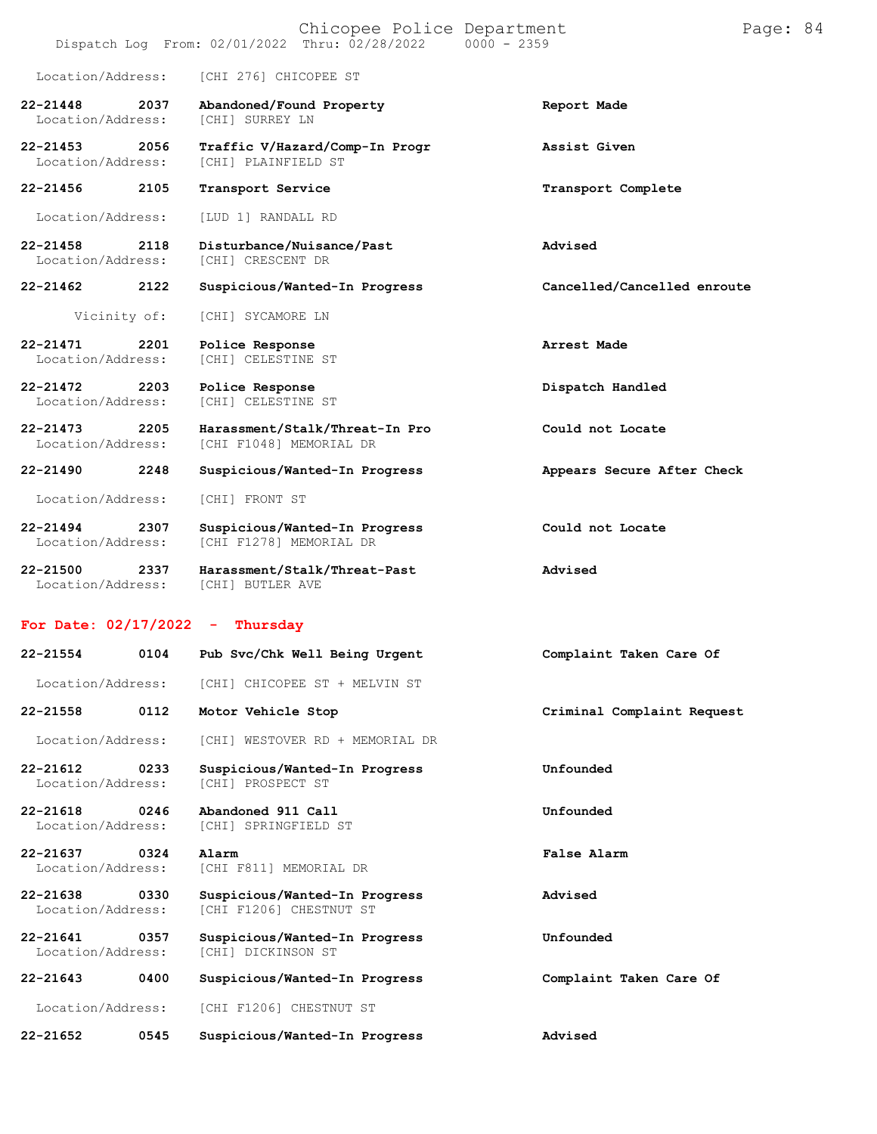|                                   |      | Chicopee Police Department<br>$0000 - 2359$<br>Dispatch Log From: 02/01/2022 Thru: 02/28/2022 |                             | Page: 84 |  |
|-----------------------------------|------|-----------------------------------------------------------------------------------------------|-----------------------------|----------|--|
| Location/Address:                 |      | [CHI 276] CHICOPEE ST                                                                         |                             |          |  |
| $22 - 21448$<br>Location/Address: | 2037 | Abandoned/Found Property<br>[CHI] SURREY LN                                                   | Report Made                 |          |  |
| 22-21453<br>Location/Address:     | 2056 | Traffic V/Hazard/Comp-In Progr<br>[CHI] PLAINFIELD ST                                         | Assist Given                |          |  |
| 22-21456                          | 2105 | Transport Service                                                                             | Transport Complete          |          |  |
| Location/Address:                 |      | [LUD 1] RANDALL RD                                                                            |                             |          |  |
| 22-21458<br>Location/Address:     | 2118 | Disturbance/Nuisance/Past<br>[CHI] CRESCENT DR                                                | Advised                     |          |  |
| 22-21462                          | 2122 | Suspicious/Wanted-In Progress                                                                 | Cancelled/Cancelled enroute |          |  |
| Vicinity of:                      |      | [CHI] SYCAMORE LN                                                                             |                             |          |  |
| 22-21471<br>Location/Address:     | 2201 | Police Response<br>[CHI] CELESTINE ST                                                         | Arrest Made                 |          |  |
| 22-21472<br>Location/Address:     | 2203 | Police Response<br>[CHI] CELESTINE ST                                                         | Dispatch Handled            |          |  |
| $22 - 21473$<br>Location/Address: | 2205 | Harassment/Stalk/Threat-In Pro<br>[CHI F1048] MEMORIAL DR                                     | Could not Locate            |          |  |
| 22-21490                          | 2248 | Suspicious/Wanted-In Progress                                                                 | Appears Secure After Check  |          |  |
| Location/Address:                 |      | [CHI] FRONT ST                                                                                |                             |          |  |
| $22 - 21494$<br>Location/Address: | 2307 | Suspicious/Wanted-In Progress<br>[CHI F1278] MEMORIAL DR                                      | Could not Locate            |          |  |
| 22-21500<br>Location/Address:     | 2337 | Harassment/Stalk/Threat-Past<br>[CHI] BUTLER AVE                                              | Advised                     |          |  |
| For Date: $02/17/2022 -$          |      | Thursday                                                                                      |                             |          |  |
| 22-21554                          | 0104 | Pub Svc/Chk Well Being Urgent                                                                 | Complaint Taken Care Of     |          |  |
| Location/Address:                 |      | [CHI] CHICOPEE ST + MELVIN ST                                                                 |                             |          |  |
| 22-21558                          | 0112 | Motor Vehicle Stop                                                                            | Criminal Complaint Request  |          |  |
| Location/Address:                 |      | [CHI] WESTOVER RD + MEMORIAL DR                                                               |                             |          |  |
| 22-21612<br>Location/Address:     | 0233 | Suspicious/Wanted-In Progress<br>[CHI] PROSPECT ST                                            | Unfounded                   |          |  |
| $22 - 21618$<br>Location/Address: | 0246 | Abandoned 911 Call<br>[CHI] SPRINGFIELD ST                                                    | Unfounded                   |          |  |
| 22-21637<br>Location/Address:     | 0324 | Alarm<br>[CHI F811] MEMORIAL DR                                                               | False Alarm                 |          |  |
| 22-21638<br>Location/Address:     | 0330 | Suspicious/Wanted-In Progress<br>[CHI F1206] CHESTNUT ST                                      | Advised                     |          |  |
| 22-21641<br>Location/Address:     | 0357 | Suspicious/Wanted-In Progress<br>[CHI] DICKINSON ST                                           | Unfounded                   |          |  |
| 22-21643                          | 0400 | Suspicious/Wanted-In Progress                                                                 | Complaint Taken Care Of     |          |  |
| Location/Address:                 |      | [CHI F1206] CHESTNUT ST                                                                       |                             |          |  |
| 22-21652                          | 0545 | Suspicious/Wanted-In Progress                                                                 | Advised                     |          |  |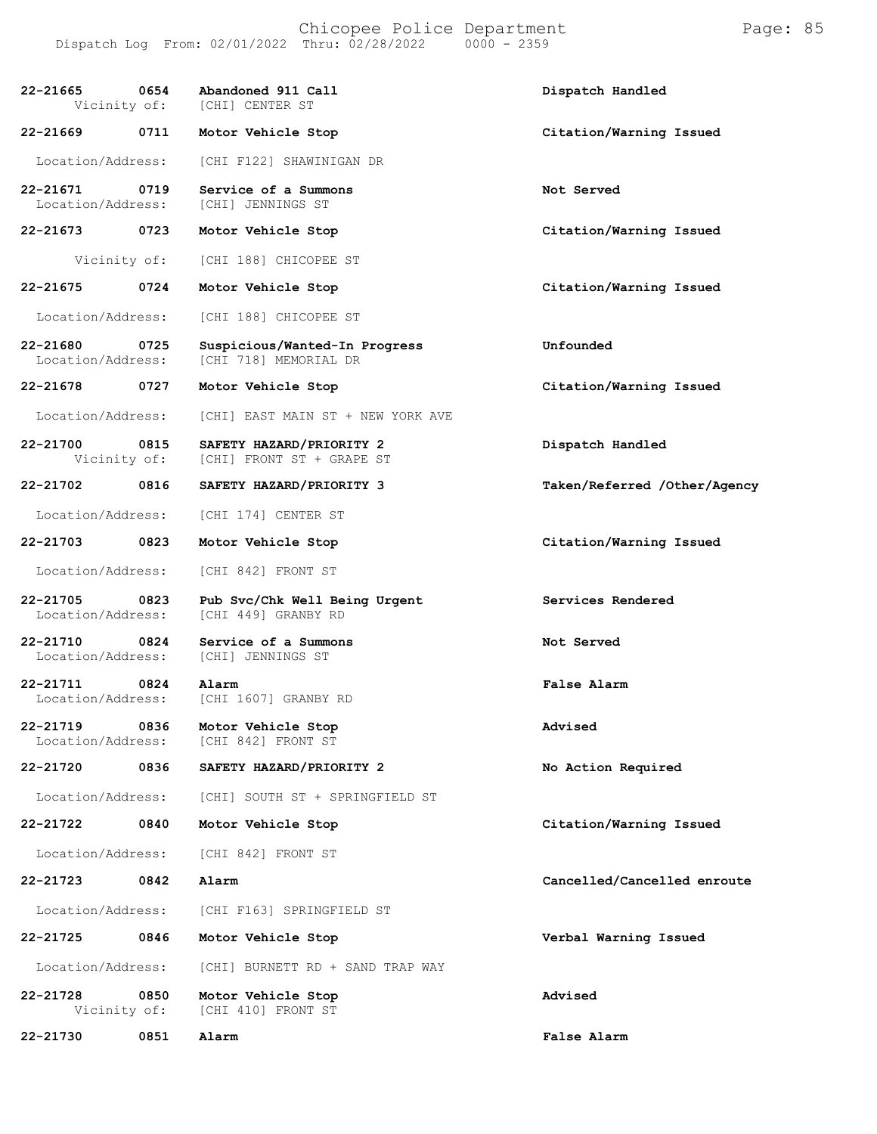Chicopee Police Department Page: 85 Dispatch Log From: 02/01/2022 Thru: 02/28/2022

**22-21665 0654 Abandoned 911 Call Dispatch Handled** [CHI] CENTER ST **22-21669 0711 Motor Vehicle Stop Citation/Warning Issued** Location/Address: [CHI F122] SHAWINIGAN DR **22-21671 0719 Service of a Summons Not Served** [CHI] JENNINGS ST **22-21673 0723 Motor Vehicle Stop Citation/Warning Issued** Vicinity of: [CHI 188] CHICOPEE ST **22-21675 0724 Motor Vehicle Stop Citation/Warning Issued** Location/Address: [CHI 188] CHICOPEE ST **22-21680 0725 Suspicious/Wanted-In Progress Unfounded** [CHI 718] MEMORIAL DR **22-21678 0727 Motor Vehicle Stop Citation/Warning Issued** Location/Address: [CHI] EAST MAIN ST + NEW YORK AVE **22-21700 0815 SAFETY HAZARD/PRIORITY 2 Dispatch Handled** [CHI] FRONT ST + GRAPE ST **22-21702 0816 SAFETY HAZARD/PRIORITY 3 Taken/Referred /Other/Agency** Location/Address: [CHI 174] CENTER ST **22-21703 0823 Motor Vehicle Stop Citation/Warning Issued** Location/Address: [CHI 842] FRONT ST **22-21705 0823 Pub Svc/Chk Well Being Urgent Services Rendered** [CHI 449] GRANBY RD **22-21710 0824 Service of a Summons Not Served Iocation/Address:** [CHI] JENNINGS ST [CHI] JENNINGS ST **22-21711 0824 Alarm False Alarm** [CHI 1607] GRANBY RD **22-21719 0836 Motor Vehicle Stop Advised** [CHI 842] FRONT ST **22-21720 0836 SAFETY HAZARD/PRIORITY 2 No Action Required** Location/Address: [CHI] SOUTH ST + SPRINGFIELD ST **22-21722 0840 Motor Vehicle Stop Citation/Warning Issued** Location/Address: [CHI 842] FRONT ST **22-21723 0842 Alarm Cancelled/Cancelled enroute** Location/Address: [CHI F163] SPRINGFIELD ST **22-21725 0846 Motor Vehicle Stop Verbal Warning Issued** Location/Address: [CHI] BURNETT RD + SAND TRAP WAY **22-21728 0850 Motor Vehicle Stop Advised** [CHI 410] FRONT ST **22-21730 0851 Alarm False Alarm**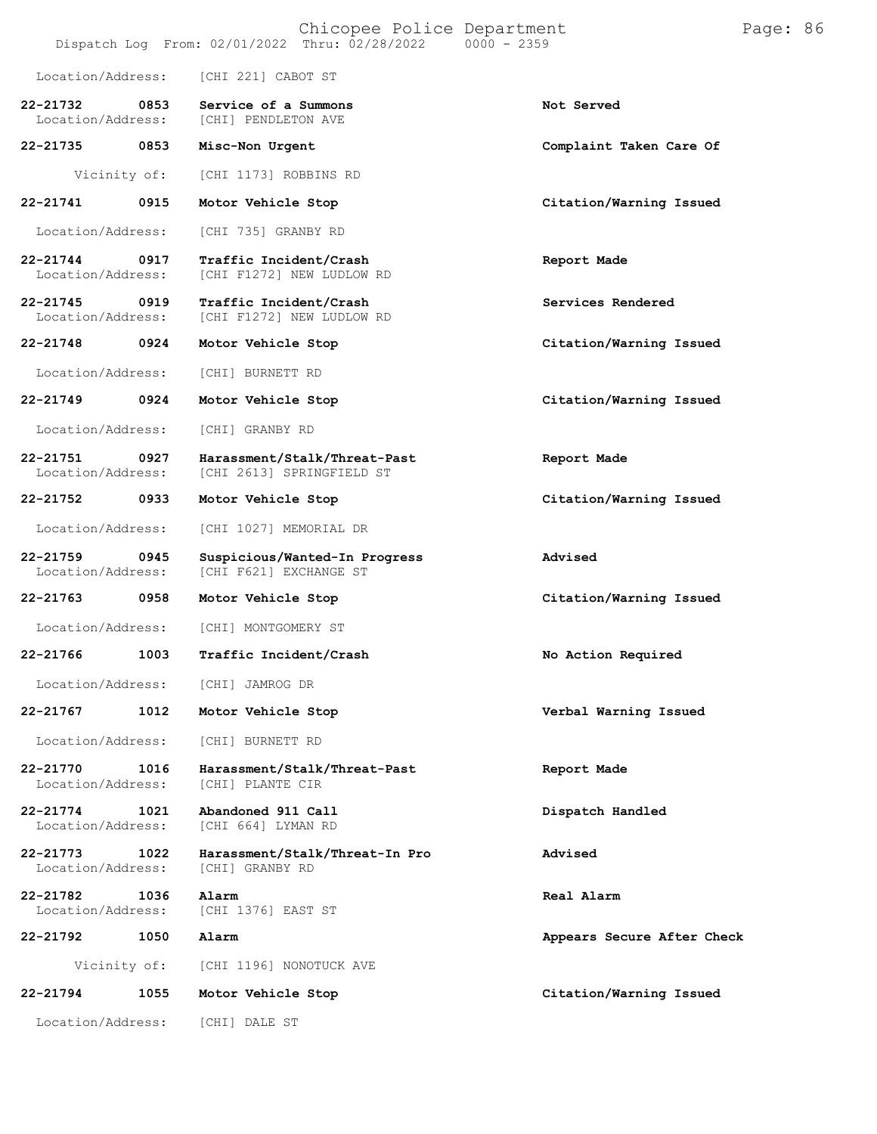|                               |      | Dispatch Log From: 02/01/2022 Thru: 02/28/2022            | Chicopee Police Department<br>$0000 - 2359$ | Page: 86 |  |
|-------------------------------|------|-----------------------------------------------------------|---------------------------------------------|----------|--|
| Location/Address:             |      | [CHI 221] CABOT ST                                        |                                             |          |  |
| 22-21732<br>Location/Address: | 0853 | Service of a Summons<br>[CHI] PENDLETON AVE               | Not Served                                  |          |  |
| 22-21735                      | 0853 | Misc-Non Urgent                                           | Complaint Taken Care Of                     |          |  |
| Vicinity of:                  |      | [CHI 1173] ROBBINS RD                                     |                                             |          |  |
| 22-21741                      | 0915 | Motor Vehicle Stop                                        | Citation/Warning Issued                     |          |  |
| Location/Address:             |      | [CHI 735] GRANBY RD                                       |                                             |          |  |
| 22-21744<br>Location/Address: | 0917 | Traffic Incident/Crash<br>[CHI F1272] NEW LUDLOW RD       | Report Made                                 |          |  |
| 22-21745<br>Location/Address: | 0919 | Traffic Incident/Crash<br>[CHI F1272] NEW LUDLOW RD       | Services Rendered                           |          |  |
| 22-21748                      | 0924 | Motor Vehicle Stop                                        | Citation/Warning Issued                     |          |  |
| Location/Address:             |      | [CHI] BURNETT RD                                          |                                             |          |  |
| 22-21749                      | 0924 | Motor Vehicle Stop                                        | Citation/Warning Issued                     |          |  |
| Location/Address:             |      | [CHI] GRANBY RD                                           |                                             |          |  |
| 22-21751<br>Location/Address: | 0927 | Harassment/Stalk/Threat-Past<br>[CHI 2613] SPRINGFIELD ST | Report Made                                 |          |  |
| 22-21752                      | 0933 | Motor Vehicle Stop                                        | Citation/Warning Issued                     |          |  |
| Location/Address:             |      | [CHI 1027] MEMORIAL DR                                    |                                             |          |  |
| 22-21759<br>Location/Address: | 0945 | Suspicious/Wanted-In Progress<br>[CHI F621] EXCHANGE ST   | Advised                                     |          |  |
| 22-21763                      | 0958 | Motor Vehicle Stop                                        | Citation/Warning Issued                     |          |  |
| Location/Address:             |      | [CHI] MONTGOMERY ST                                       |                                             |          |  |
| 22-21766                      | 1003 | Traffic Incident/Crash                                    | No Action Required                          |          |  |
| Location/Address:             |      | [CHI] JAMROG DR                                           |                                             |          |  |
| 22-21767                      | 1012 | Motor Vehicle Stop                                        | Verbal Warning Issued                       |          |  |
| Location/Address:             |      | [CHI] BURNETT RD                                          |                                             |          |  |
| 22-21770<br>Location/Address: | 1016 | Harassment/Stalk/Threat-Past<br>[CHI] PLANTE CIR          | Report Made                                 |          |  |
| 22-21774<br>Location/Address: | 1021 | Abandoned 911 Call<br>[CHI 664] LYMAN RD                  | Dispatch Handled                            |          |  |
| 22-21773<br>Location/Address: | 1022 | Harassment/Stalk/Threat-In Pro<br>[CHI] GRANBY RD         | Advised                                     |          |  |
| 22-21782<br>Location/Address: | 1036 | Alarm<br>[CHI 1376] EAST ST                               | Real Alarm                                  |          |  |
| 22-21792                      | 1050 | Alarm                                                     | Appears Secure After Check                  |          |  |
| Vicinity of:                  |      | [CHI 1196] NONOTUCK AVE                                   |                                             |          |  |
| 22-21794                      | 1055 | Motor Vehicle Stop                                        | Citation/Warning Issued                     |          |  |
| Location/Address:             |      | [CHI] DALE ST                                             |                                             |          |  |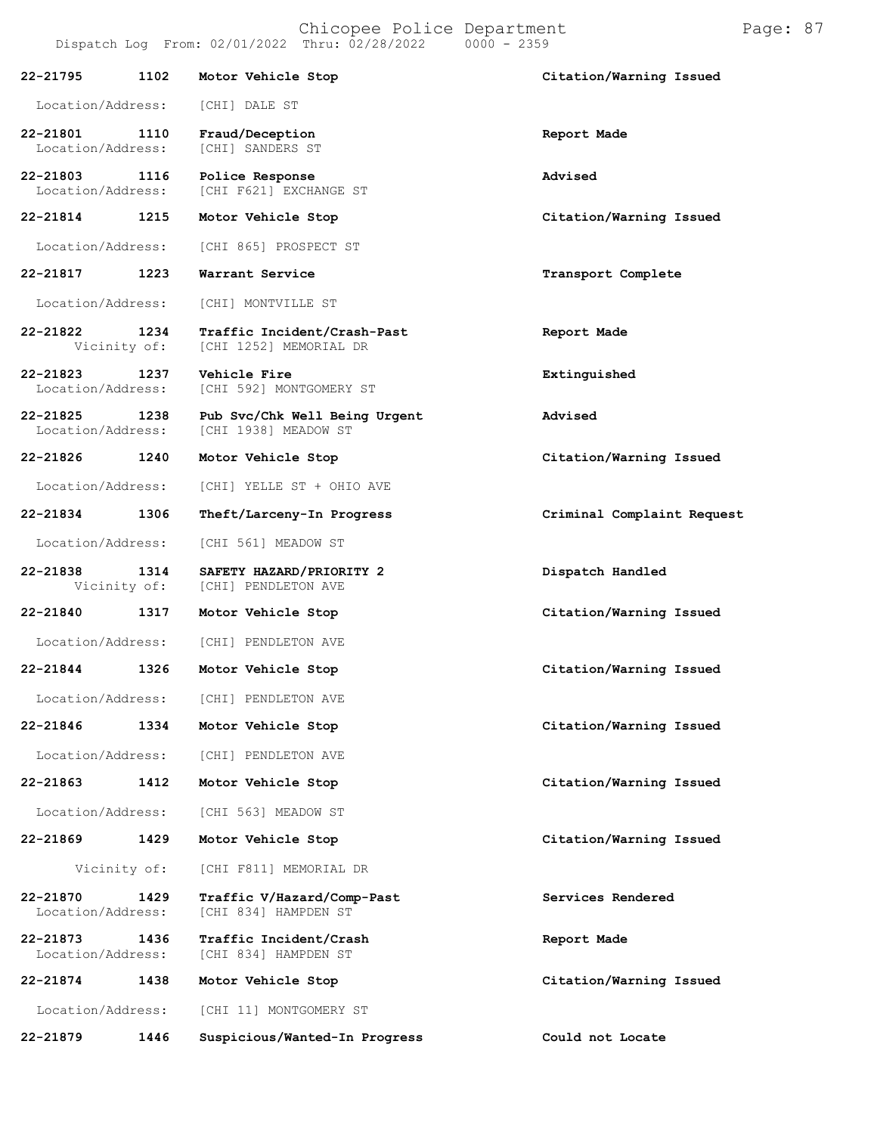| Location/Address: | [CHI] DALE ST |  |
|-------------------|---------------|--|
|                   |               |  |

**22-21801 1110 Fraud/Deception Report Made** [CHI] SANDERS ST

**22-21803 1116 Police Response Advised** [CHI F621] EXCHANGE ST

**22-21814 1215 Motor Vehicle Stop Citation/Warning Issued**

Location/Address: [CHI 865] PROSPECT ST

**22-21817 1223 Warrant Service Transport Complete**

Location/Address: [CHI] MONTVILLE ST

**22-21822 1234 Traffic Incident/Crash-Past Report Made** [CHI 1252] MEMORIAL DR

**22-21823 1237 Vehicle Fire Extinguished** [CHI 592] MONTGOMERY ST

**22-21825 1238 Pub Svc/Chk Well Being Urgent Advised** [CHI 1938] MEADOW ST

**22-21826 1240 Motor Vehicle Stop Citation/Warning Issued**

Location/Address: [CHI] YELLE ST + OHIO AVE

**22-21834 1306 Theft/Larceny-In Progress Criminal Complaint Request**

Location/Address: [CHI 561] MEADOW ST

**22-21838 1314 SAFETY HAZARD/PRIORITY 2 Dispatch Handled** [CHI] PENDLETON AVE

**22-21840 1317 Motor Vehicle Stop Citation/Warning Issued**

Location/Address: [CHI] PENDLETON AVE

Location/Address: [CHI] PENDLETON AVE

Location/Address: [CHI] PENDLETON AVE

**22-21863 1412 Motor Vehicle Stop Citation/Warning Issued**

Location/Address: [CHI 563] MEADOW ST

**22-21869 1429 Motor Vehicle Stop Citation/Warning Issued**

Vicinity of: [CHI F811] MEMORIAL DR

**22-21870 1429 Traffic V/Hazard/Comp-Past Services Rendered** [CHI 834] HAMPDEN ST

**22-21873 1436 Traffic Incident/Crash Report Made** [CHI 834] HAMPDEN ST

**22-21874 1438 Motor Vehicle Stop Citation/Warning Issued**

Location/Address: [CHI 11] MONTGOMERY ST

**22-21879 1446 Suspicious/Wanted-In Progress Could not Locate**

**22-21844 1326 Motor Vehicle Stop Citation/Warning Issued**

**22-21846 1334 Motor Vehicle Stop Citation/Warning Issued**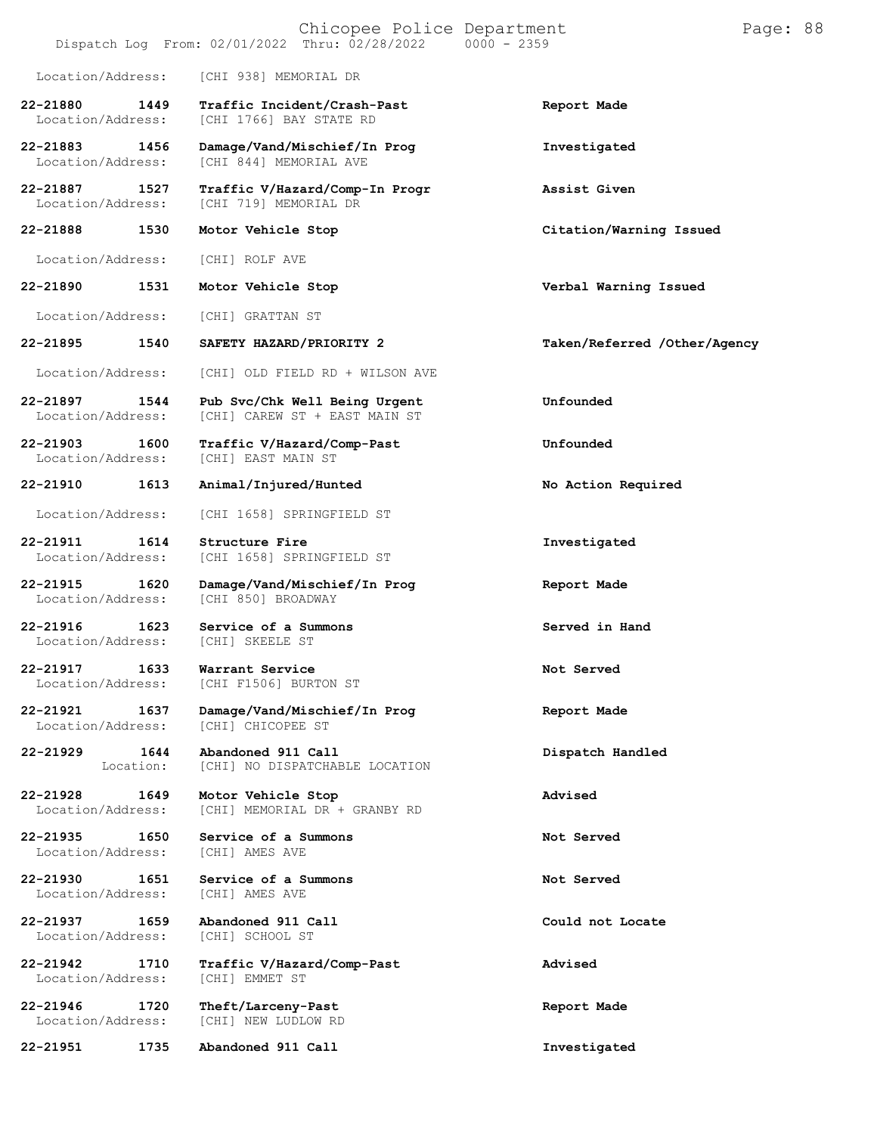|                                   |      | Chicopee Police Department<br>$0000 - 2359$<br>Dispatch Log From: 02/01/2022 Thru: 02/28/2022 | Page: 88                     |
|-----------------------------------|------|-----------------------------------------------------------------------------------------------|------------------------------|
| Location/Address:                 |      | [CHI 938] MEMORIAL DR                                                                         |                              |
| 22-21880<br>Location/Address:     | 1449 | Traffic Incident/Crash-Past<br>[CHI 1766] BAY STATE RD                                        | Report Made                  |
| 22-21883<br>Location/Address:     | 1456 | Damage/Vand/Mischief/In Prog<br>[CHI 844] MEMORIAL AVE                                        | Investigated                 |
| 22-21887<br>Location/Address:     | 1527 | Traffic V/Hazard/Comp-In Progr<br>[CHI 719] MEMORIAL DR                                       | Assist Given                 |
| 22-21888                          | 1530 | Motor Vehicle Stop                                                                            | Citation/Warning Issued      |
| Location/Address:                 |      | [CHI] ROLF AVE                                                                                |                              |
| 22-21890                          | 1531 | Motor Vehicle Stop                                                                            | Verbal Warning Issued        |
| Location/Address:                 |      | [CHI] GRATTAN ST                                                                              |                              |
| 22-21895                          | 1540 | SAFETY HAZARD/PRIORITY 2                                                                      | Taken/Referred /Other/Agency |
| Location/Address:                 |      | [CHI] OLD FIELD RD + WILSON AVE                                                               |                              |
| 22-21897<br>Location/Address:     | 1544 | Pub Svc/Chk Well Being Urgent<br>[CHI] CAREW ST + EAST MAIN ST                                | Unfounded                    |
| $22 - 21903$<br>Location/Address: | 1600 | Traffic V/Hazard/Comp-Past<br>[CHI] EAST MAIN ST                                              | Unfounded                    |
| 22-21910                          | 1613 | Animal/Injured/Hunted                                                                         | No Action Required           |
| Location/Address:                 |      | [CHI 1658] SPRINGFIELD ST                                                                     |                              |
| 22-21911<br>Location/Address:     | 1614 | Structure Fire<br>[CHI 1658] SPRINGFIELD ST                                                   | Investigated                 |
| 22-21915<br>Location/Address:     | 1620 | Damage/Vand/Mischief/In Prog<br>[CHI 850] BROADWAY                                            | Report Made                  |
| $22 - 21916$<br>Location/Address: | 1623 | Service of a Summons<br>[CHI] SKEELE ST                                                       | Served in Hand               |
| 22-21917<br>Location/Address:     | 1633 | Warrant Service<br>[CHI F1506] BURTON ST                                                      | Not Served                   |
| 22-21921<br>Location/Address:     | 1637 | Damage/Vand/Mischief/In Prog<br>[CHI] CHICOPEE ST                                             | Report Made                  |
| 22-21929<br>Location:             | 1644 | Abandoned 911 Call<br>[CHI] NO DISPATCHABLE LOCATION                                          | Dispatch Handled             |
| 22-21928<br>Location/Address:     | 1649 | Motor Vehicle Stop<br>[CHI] MEMORIAL DR + GRANBY RD                                           | Advised                      |
| 22-21935<br>Location/Address:     | 1650 | Service of a Summons<br>[CHI] AMES AVE                                                        | Not Served                   |
| 22-21930<br>Location/Address:     | 1651 | Service of a Summons<br>[CHI] AMES AVE                                                        | Not Served                   |
| 22-21937<br>Location/Address:     | 1659 | Abandoned 911 Call<br>[CHI] SCHOOL ST                                                         | Could not Locate             |
| 22-21942<br>Location/Address:     | 1710 | Traffic V/Hazard/Comp-Past<br>[CHI] EMMET ST                                                  | Advised                      |
| 22-21946<br>Location/Address:     | 1720 | Theft/Larceny-Past<br>[CHI] NEW LUDLOW RD                                                     | Report Made                  |
| 22-21951                          | 1735 | Abandoned 911 Call                                                                            | Investigated                 |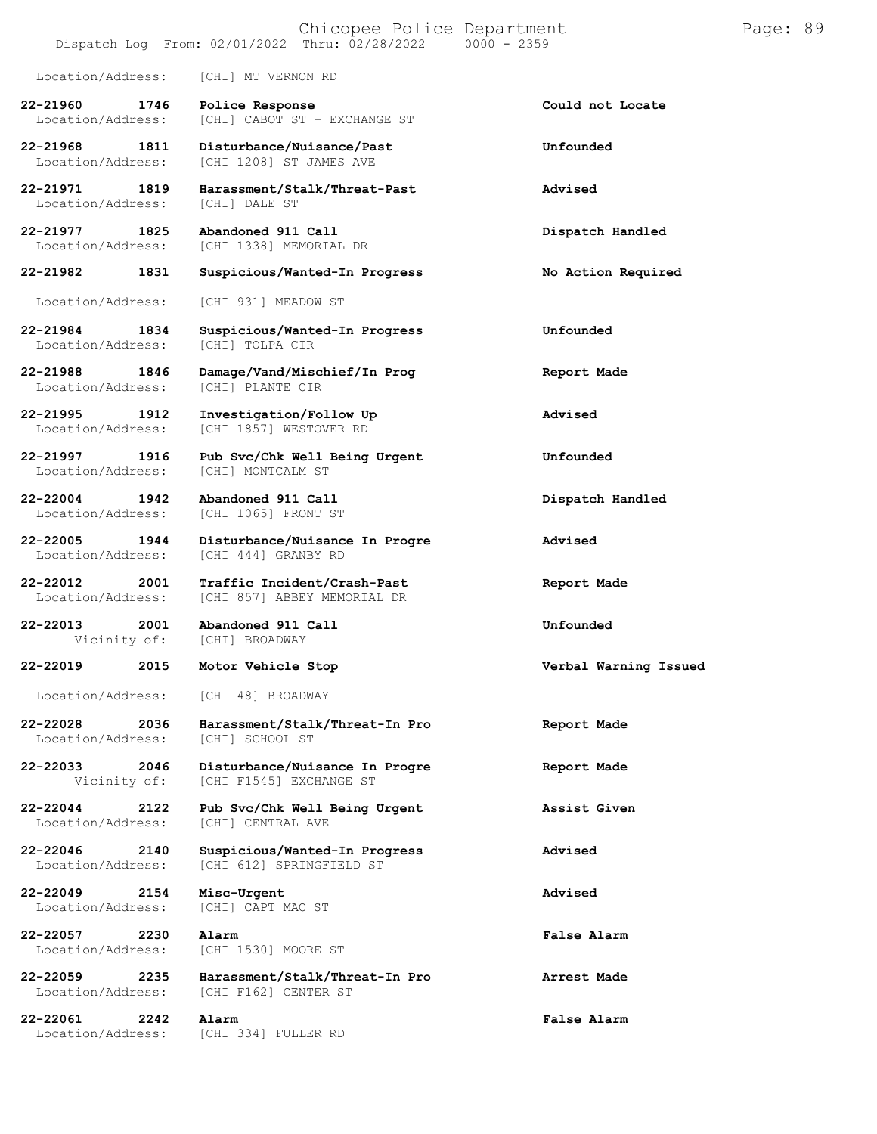# Chicopee Police Department Page: 89

### Dispatch Log From: 02/01/2022 Thru: 02/28/2022

[CHI] CABOT ST + EXCHANGE ST

Location/Address: [CHI] MT VERNON RD

**22-21960 1746 Police Response Could not Locate**

Location/Address:

Location/Address:

Location/Address:

**22-21997 1916 Pub Svc/Chk Well Being Urgent Unfounded** [CHI] MONTCALM ST

**22-22004 1942 Abandoned 911 Call Dispatch Handled** Location/Address:

**22-22013 2001 Abandoned 911 Call Unfounded**

Location/Address:

Location/Address:

**22-22057 2230 Alarm False Alarm**

**22-21968 1811 Disturbance/Nuisance/Past Unfounded** Location/Address: [CHI 1208] ST JAMES AVE

**22-21971 1819 Harassment/Stalk/Threat-Past Advised**

**22-21977 1825 Abandoned 911 Call Dispatch Handled** [CHI 1338] MEMORIAL DR

**22-21982 1831 Suspicious/Wanted-In Progress No Action Required**

Location/Address: [CHI 931] MEADOW ST

**22-21984 1834 Suspicious/Wanted-In Progress Unfounded**

**22-21988 1846 Damage/Vand/Mischief/In Prog Report Made**

**22-21995 1912 Investigation/Follow Up Advised** [CHI 1857] WESTOVER RD

**22-22005 1944 Disturbance/Nuisance In Progre Advised** Location/Address: [CHI 444] GRANBY RD

**22-22012 2001 Traffic Incident/Crash-Past Report Made** Location/Address: [CHI 857] ABBEY MEMORIAL DR

[CHI] BROADWAY

Location/Address: [CHI 48] BROADWAY

**22-22028 2036 Harassment/Stalk/Threat-In Pro Report Made**

**22-22033 2046 Disturbance/Nuisance In Progre Report Made** [CHI F1545] EXCHANGE ST

**22-22044 2122 Pub Svc/Chk Well Being Urgent Assist Given** [CHI] CENTRAL AVE

**22-22046 2140 Suspicious/Wanted-In Progress Advised** [CHI 612] SPRINGFIELD ST

**22-22049 2154 Misc-Urgent Advised**

**22-22059 2235 Harassment/Stalk/Threat-In Pro Arrest Made**

**22-22061 2242 Alarm False Alarm** Location/Address: [CHI 334] FULLER RD

[CHI 1530] MOORE ST

[CHI F162] CENTER ST

**22-22019 2015 Motor Vehicle Stop Verbal Warning Issued**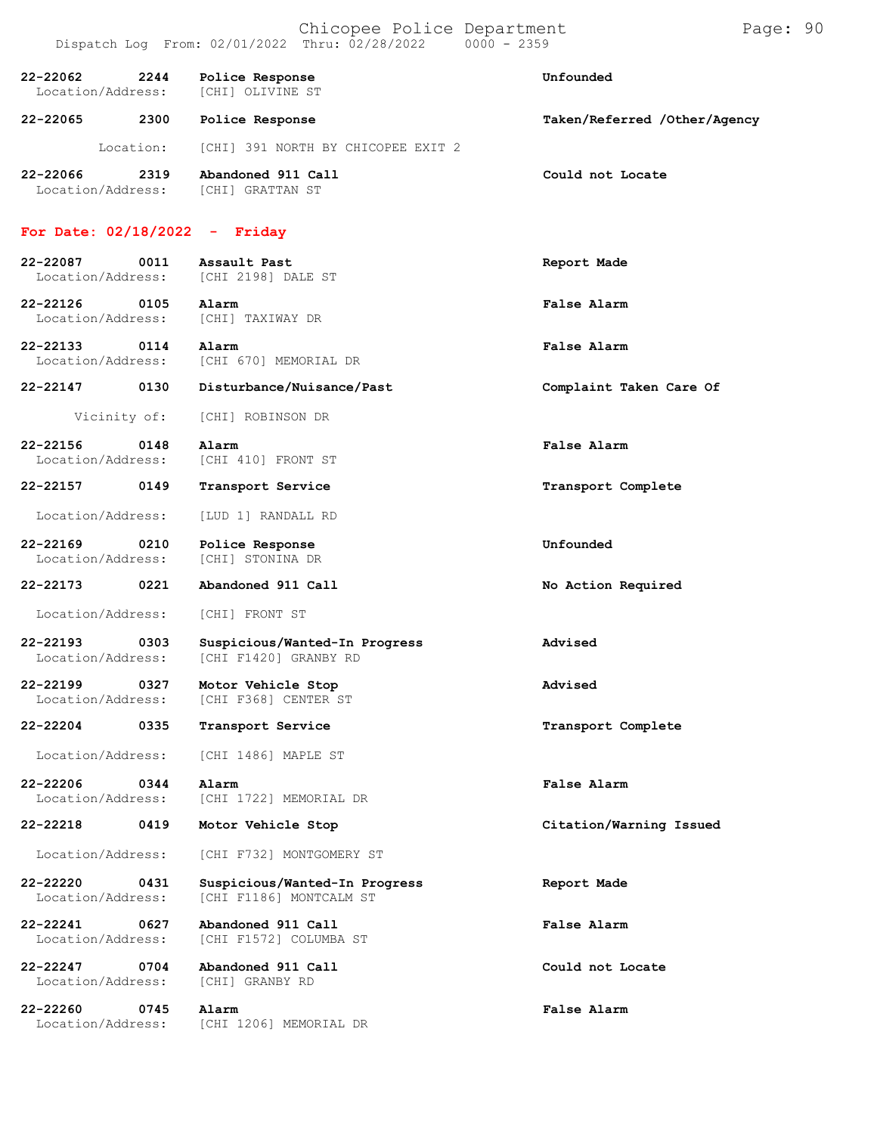| 22-22062 | 2244<br>Location/Address: | Police Response<br>[CHI] OLIVINE ST    | Unfounded                    |
|----------|---------------------------|----------------------------------------|------------------------------|
| 22-22065 | 2300                      | Police Response                        | Taken/Referred /Other/Agency |
|          | Location:                 | [CHI] 391 NORTH BY CHICOPEE EXIT 2     |                              |
| 22-22066 | 2319<br>Location/Address: | Abandoned 911 Call<br>[CHI] GRATTAN ST | Could not Locate             |
|          | For Date: $02/18/2022$    | - Friday                               |                              |

## **22-22087 0011 Assault Past Report Made** Location/Address: [CHI 2198] DALE ST **22-22126 0105 Alarm False Alarm** Location/Address: [CHI] TAXIWAY DR

**22-22133 0114 Alarm False Alarm** Location/Address: [CHI 670] MEMORIAL DR

**22-22147 0130 Disturbance/Nuisance/Past Complaint Taken Care Of**

- Vicinity of: [CHI] ROBINSON DR
- **22-22156 0148 Alarm False Alarm** Location/Address: [CHI 410] FRONT ST
- Location/Address: [LUD 1] RANDALL RD
- **22-22169 0210 Police Response Unfounded** Location/Address:
- **22-22173 0221 Abandoned 911 Call No Action Required**
	- Location/Address: [CHI] FRONT ST
- **22-22193 0303 Suspicious/Wanted-In Progress Advised** [CHI F1420] GRANBY RD
- **22-22199 0327 Motor Vehicle Stop Advised** [CHI F368] CENTER ST
- **22-22204 0335 Transport Service Transport Complete**
	- Location/Address: [CHI 1486] MAPLE ST
- **22-22206 0344 Alarm False Alarm** Location/Address: [CHI 1722] MEMORIAL DR
- **22-22218 0419 Motor Vehicle Stop Citation/Warning Issued**
	- Location/Address: [CHI F732] MONTGOMERY ST
- **22-22220 0431 Suspicious/Wanted-In Progress Report Made** [CHI F1186] MONTCALM ST
	- Location/Address: [CHI F1572] COLUMBA ST
- **22-22247 0704 Abandoned 911 Call Could not Locate** Location/Address:
- **22-22260 0745 Alarm False Alarm**
- **22-22241 0627 Abandoned 911 Call False Alarm**
	-
	-
	- [CHI 1206] MEMORIAL DR
- **22-22157 0149 Transport Service Transport Complete**
	-
	-
	-
	-
	-
	-

- 
- 
- 
-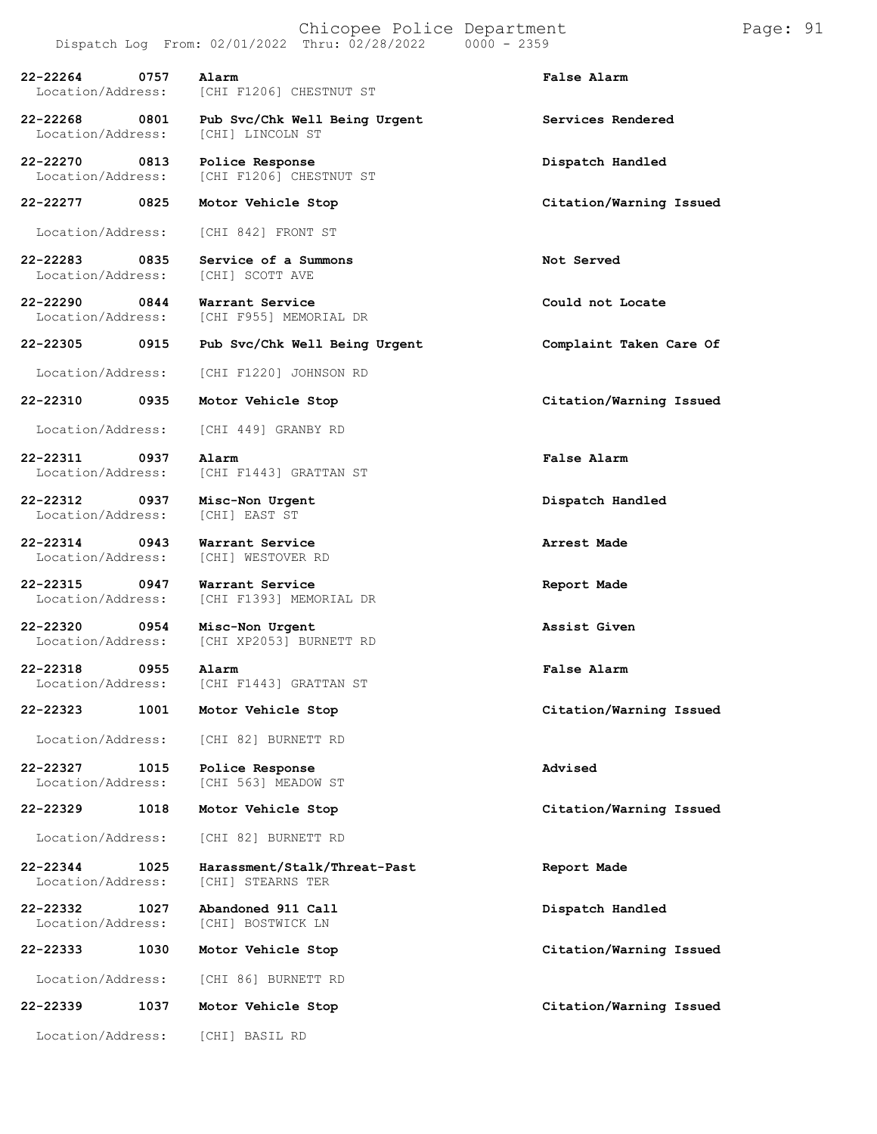Chicopee Police Department Page: 91 Dispatch Log From:  $02/01/2022$  Thru:  $02/28/2022$ **22-22264 0757 Alarm False Alarm** Location/Address: [CHI F1206] CHESTNUT ST **22-22268 0801 Pub Svc/Chk Well Being Urgent Services Rendered** Location/Address: **22-22270 0813 Police Response Dispatch Handled** [CHI F1206] CHESTNUT ST **22-22277 0825 Motor Vehicle Stop Citation/Warning Issued** Location/Address: [CHI 842] FRONT ST **22-22283 0835 Service of a Summons Not Served** Location/Address: **22-22290 0844 Warrant Service Could not Locate** [CHI F955] MEMORIAL DR **22-22305 0915 Pub Svc/Chk Well Being Urgent Complaint Taken Care Of** Location/Address: [CHI F1220] JOHNSON RD **22-22310 0935 Motor Vehicle Stop Citation/Warning Issued** Location/Address: [CHI 449] GRANBY RD **22-22311 0937 Alarm False Alarm** Location/Address: [CHI F1443] GRATTAN ST **22-22312 0937 Misc-Non Urgent Dispatch Handled** Location/Address: **22-22314 0943 Warrant Service Arrest Made** Location/Address: **22-22315 0947 Warrant Service Report Made** [CHI F1393] MEMORIAL DR **22-22320 0954 Misc-Non Urgent Assist Given** [CHI XP2053] BURNETT RD **22-22318 0955 Alarm False Alarm** [CHI F1443] GRATTAN ST **22-22323 1001 Motor Vehicle Stop Citation/Warning Issued** Location/Address: [CHI 82] BURNETT RD **22-22327 1015 Police Response Advised** [CHI 563] MEADOW ST **22-22329 1018 Motor Vehicle Stop Citation/Warning Issued** Location/Address: [CHI 82] BURNETT RD **22-22344 1025 Harassment/Stalk/Threat-Past Report Made** Location/Address: **22-22332 1027 Abandoned 911 Call Dispatch Handled** Location/Address: **22-22333 1030 Motor Vehicle Stop Citation/Warning Issued** Location/Address: [CHI 86] BURNETT RD **22-22339 1037 Motor Vehicle Stop Citation/Warning Issued**

Location/Address: [CHI] BASIL RD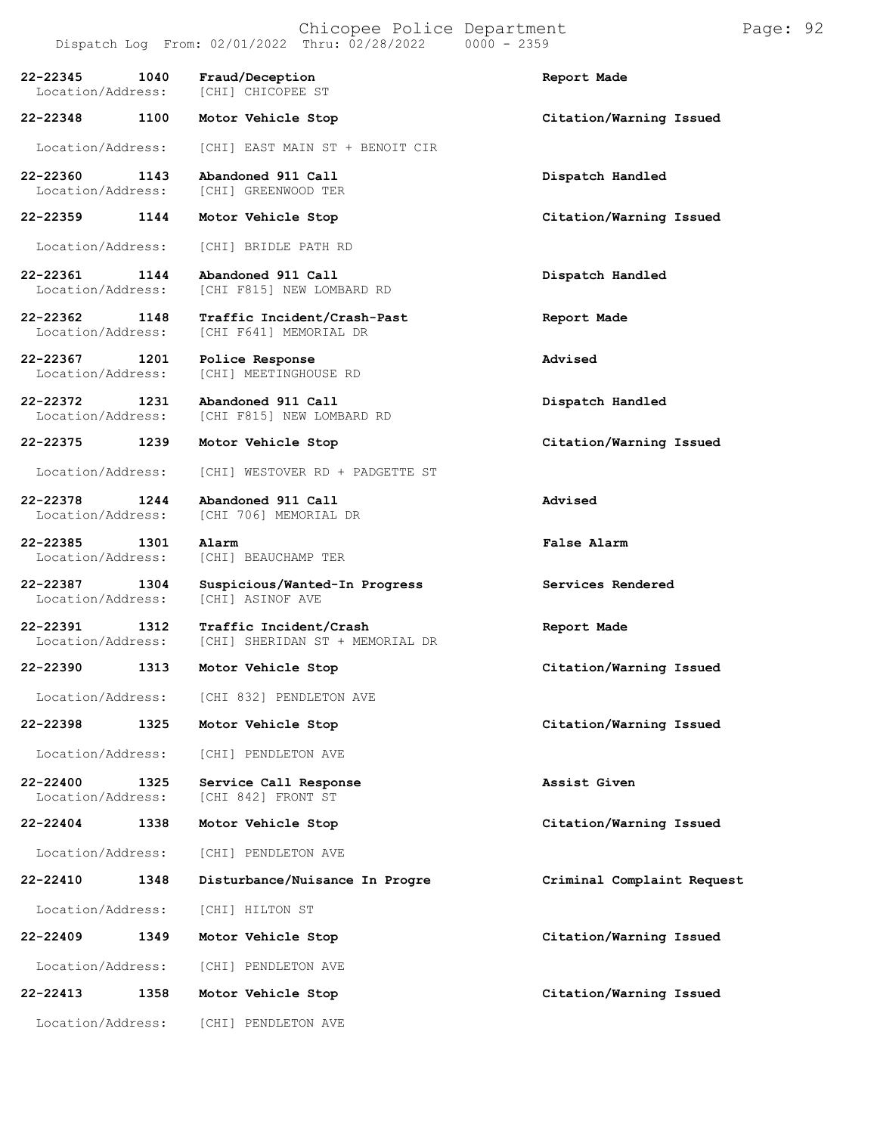**22-22360 1143 Abandoned 911 Call Dispatch Handled** Location/Address: [CHI] GREENWOOD TER

**22-22359 1144 Motor Vehicle Stop Citation/Warning Issued**

Location/Address: [CHI] BRIDLE PATH RD

**22-22361 1144 Abandoned 911 Call Dispatch Handled** [CHI F815] NEW LOMBARD RD

**22-22362 1148 Traffic Incident/Crash-Past Report Made** [CHI F641] MEMORIAL DR

**22-22367 1201 Police Response Advised** [CHI] MEETINGHOUSE RD

**22-22372 1231 Abandoned 911 Call Dispatch Handled** [CHI F815] NEW LOMBARD RD

**22-22375 1239 Motor Vehicle Stop Citation/Warning Issued**

Location/Address: [CHI] WESTOVER RD + PADGETTE ST

**22-22378 1244 Abandoned 911 Call Advised** [CHI 706] MEMORIAL DR

**22-22385 1301 Alarm False Alarm**

[CHI] BEAUCHAMP TER

**22-22387 1304 Suspicious/Wanted-In Progress Services Rendered** Location/Address:

**22-22391 1312 Traffic Incident/Crash Report Made** [CHI] SHERIDAN ST + MEMORIAL DR

**22-22390 1313 Motor Vehicle Stop Citation/Warning Issued**

Location/Address: [CHI 832] PENDLETON AVE

**22-22398 1325 Motor Vehicle Stop Citation/Warning Issued**

Location/Address: [CHI] PENDLETON AVE

**22-22400 1325 Service Call Response Assist Given** [CHI 842] FRONT ST

**22-22404 1338 Motor Vehicle Stop Citation/Warning Issued**

Location/Address: [CHI] PENDLETON AVE

**22-22410 1348 Disturbance/Nuisance In Progre Criminal Complaint Request**

Location/Address: [CHI] HILTON ST

**22-22409 1349 Motor Vehicle Stop Citation/Warning Issued**

Location/Address: [CHI] PENDLETON AVE

**22-22413 1358 Motor Vehicle Stop Citation/Warning Issued**

Location/Address: [CHI] PENDLETON AVE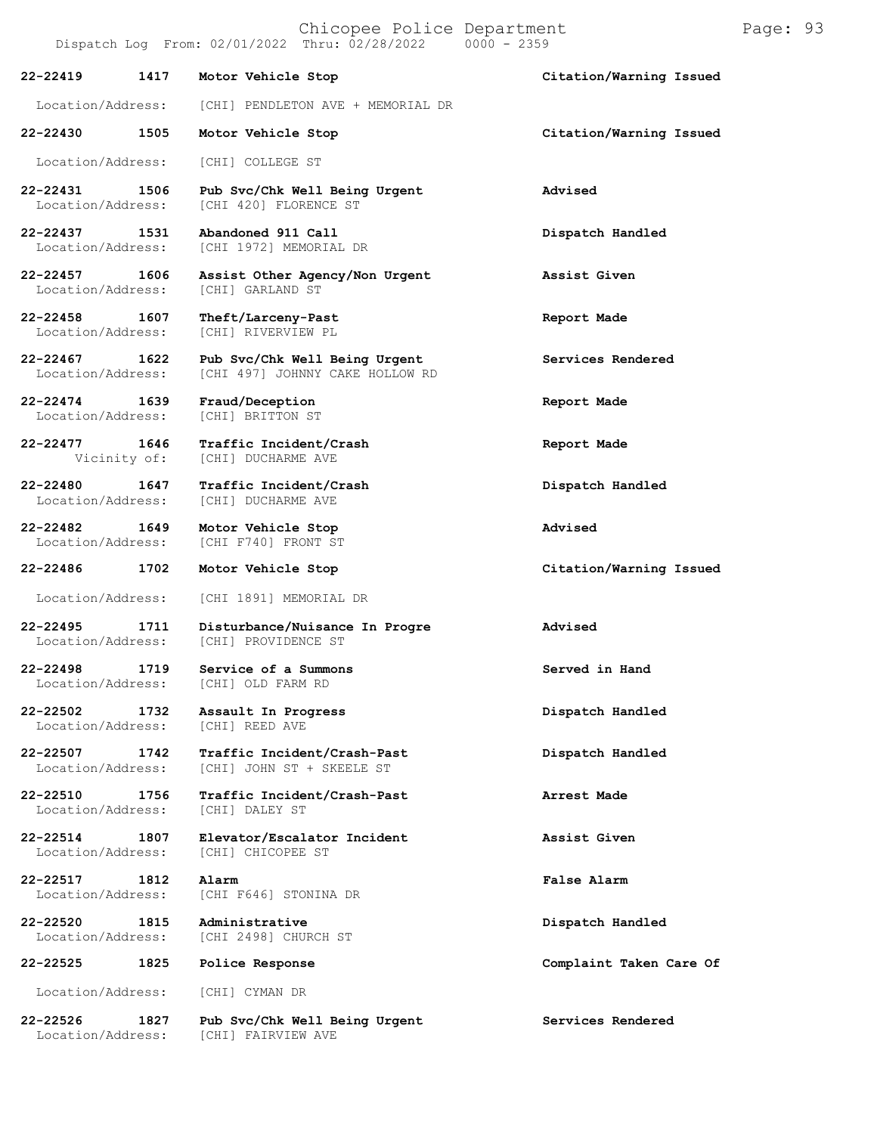Chicopee Police Department Page: 93

|                                       |      | Dispatch Log From: 02/01/2022 Thru: 02/28/2022<br>$0000 - 2359$  |                         |
|---------------------------------------|------|------------------------------------------------------------------|-------------------------|
| $22 - 22419$                          | 1417 | Motor Vehicle Stop                                               | Citation/Warning Issued |
| Location/Address:                     |      | [CHI] PENDLETON AVE + MEMORIAL DR                                |                         |
| 22-22430 1505                         |      | Motor Vehicle Stop                                               | Citation/Warning Issued |
| Location/Address:                     |      | [CHI] COLLEGE ST                                                 |                         |
| 22-22431 1506<br>Location/Address:    |      | Pub Svc/Chk Well Being Urgent<br>[CHI 420] FLORENCE ST           | Advised                 |
| 22-22437 1531<br>Location/Address:    |      | Abandoned 911 Call<br>[CHI 1972] MEMORIAL DR                     | Dispatch Handled        |
| 22-22457 1606<br>Location/Address:    |      | Assist Other Agency/Non Urgent<br>[CHI] GARLAND ST               | Assist Given            |
| 22-22458 1607<br>Location/Address:    |      | Theft/Larceny-Past<br>[CHI] RIVERVIEW PL                         | Report Made             |
| 22-22467 1622<br>Location/Address:    |      | Pub Svc/Chk Well Being Urgent<br>[CHI 497] JOHNNY CAKE HOLLOW RD | Services Rendered       |
| 22-22474 1639<br>Location/Address:    |      | Fraud/Deception<br>[CHI] BRITTON ST                              | Report Made             |
| 22-22477 1646<br>Vicinity of:         |      | Traffic Incident/Crash<br>[CHI] DUCHARME AVE                     | Report Made             |
| 22-22480<br>1647<br>Location/Address: |      | Traffic Incident/Crash<br>[CHI] DUCHARME AVE                     | Dispatch Handled        |
| 22-22482 1649<br>Location/Address:    |      | Motor Vehicle Stop<br>[CHI F740] FRONT ST                        | Advised                 |
| 22-22486                              | 1702 | Motor Vehicle Stop                                               | Citation/Warning Issued |
| Location/Address:                     |      | [CHI 1891] MEMORIAL DR                                           |                         |
| 22-22495 1711<br>Location/Address:    |      | Disturbance/Nuisance In Progre<br>[CHI] PROVIDENCE ST            | Advised                 |
| $22 - 22498$                          | 1719 | Service of a Summons<br>Location/Address: [CHI] OLD FARM RD      | Served in Hand          |
| 22-22502<br>Location/Address:         | 1732 | Assault In Progress<br>[CHI] REED AVE                            | Dispatch Handled        |
| 22-22507<br>Location/Address:         | 1742 | Traffic Incident/Crash-Past<br>[CHI] JOHN ST + SKEELE ST         | Dispatch Handled        |
| $22 - 22510$<br>Location/Address:     | 1756 | Traffic Incident/Crash-Past<br>[CHI] DALEY ST                    | Arrest Made             |
| 22-22514<br>Location/Address:         | 1807 | Elevator/Escalator Incident<br>[CHI] CHICOPEE ST                 | Assist Given            |
| 22-22517<br>Location/Address:         | 1812 | Alarm<br>[CHI F646] STONINA DR                                   | False Alarm             |
| 22-22520<br>Location/Address:         | 1815 | Administrative<br>[CHI 2498] CHURCH ST                           | Dispatch Handled        |
| 22-22525                              | 1825 | Police Response                                                  | Complaint Taken Care Of |
| Location/Address:                     |      | [CHI] CYMAN DR                                                   |                         |
| 22-22526<br>Location/Address:         | 1827 | Pub Svc/Chk Well Being Urgent<br>[CHI] FAIRVIEW AVE              | Services Rendered       |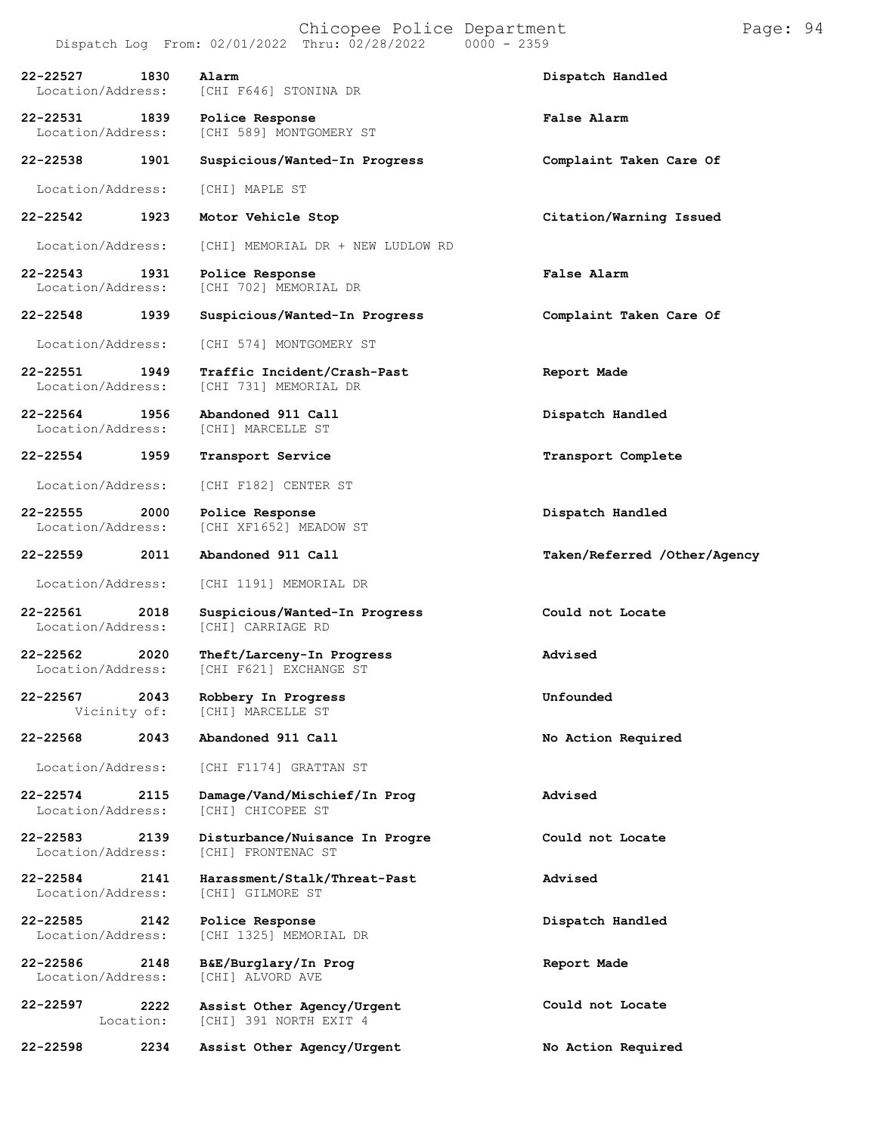|                                   |                   | Chicopee Police Department<br>Dispatch Log From: 02/01/2022 Thru: 02/28/2022<br>$0000 - 2359$ | Page: 94                     |
|-----------------------------------|-------------------|-----------------------------------------------------------------------------------------------|------------------------------|
| 22-22527<br>Location/Address:     | 1830              | Alarm<br>[CHI F646] STONINA DR                                                                | Dispatch Handled             |
| 22-22531<br>Location/Address:     | 1839              | Police Response<br>[CHI 589] MONTGOMERY ST                                                    | <b>False Alarm</b>           |
| 22-22538                          | 1901              | Suspicious/Wanted-In Progress                                                                 | Complaint Taken Care Of      |
| Location/Address:                 |                   | [CHI] MAPLE ST                                                                                |                              |
| 22-22542                          | 1923              | Motor Vehicle Stop                                                                            | Citation/Warning Issued      |
| Location/Address:                 |                   | [CHI] MEMORIAL DR + NEW LUDLOW RD                                                             |                              |
| $22 - 22543$<br>Location/Address: | 1931              | Police Response<br>[CHI 702] MEMORIAL DR                                                      | <b>False Alarm</b>           |
| 22-22548                          | 1939              | Suspicious/Wanted-In Progress                                                                 | Complaint Taken Care Of      |
| Location/Address:                 |                   | [CHI 574] MONTGOMERY ST                                                                       |                              |
| 22-22551<br>Location/Address:     | 1949              | Traffic Incident/Crash-Past<br>[CHI 731] MEMORIAL DR                                          | Report Made                  |
| $22 - 22564$<br>Location/Address: | 1956              | Abandoned 911 Call<br>[CHI] MARCELLE ST                                                       | Dispatch Handled             |
| 22-22554                          | 1959              | Transport Service                                                                             | Transport Complete           |
| Location/Address:                 |                   | [CHI F182] CENTER ST                                                                          |                              |
| $22 - 22555$<br>Location/Address: | 2000              | Police Response<br>[CHI XF1652] MEADOW ST                                                     | Dispatch Handled             |
| 22-22559                          | 2011              | Abandoned 911 Call                                                                            | Taken/Referred /Other/Agency |
| Location/Address:                 |                   | [CHI 1191] MEMORIAL DR                                                                        |                              |
| 22-22561<br>Location/Address:     | 2018              | Suspicious/Wanted-In Progress<br>[CHI] CARRIAGE RD                                            | Could not Locate             |
| 22-22562<br>Location/Address:     | 2020              | Theft/Larceny-In Progress<br>[CHI F621] EXCHANGE ST                                           | Advised                      |
| 22-22567<br>Vicinity of:          | 2043              | Robbery In Progress<br>[CHI] MARCELLE ST                                                      | Unfounded                    |
| $22 - 22568$                      | 2043              | Abandoned 911 Call                                                                            | No Action Required           |
| Location/Address:                 |                   | [CHI F1174] GRATTAN ST                                                                        |                              |
| $22 - 22574$<br>Location/Address: | 2115              | Damage/Vand/Mischief/In Prog<br>[CHI] CHICOPEE ST                                             | Advised                      |
| $22 - 22583$<br>Location/Address: | 2139              | Disturbance/Nuisance In Progre<br>[CHI] FRONTENAC ST                                          | Could not Locate             |
| 22-22584<br>Location/Address:     | 2141              | Harassment/Stalk/Threat-Past<br>[CHI] GILMORE ST                                              | Advised                      |
| 22-22585<br>Location/Address:     | 2142              | Police Response<br>[CHI 1325] MEMORIAL DR                                                     | Dispatch Handled             |
| 22-22586<br>Location/Address:     | 2148              | B&E/Burglary/In Prog<br>[CHI] ALVORD AVE                                                      | Report Made                  |
| 22-22597                          | 2222<br>Location: | Assist Other Agency/Urgent<br>[CHI] 391 NORTH EXIT 4                                          | Could not Locate             |
| 22-22598                          | 2234              | Assist Other Agency/Urgent                                                                    | No Action Required           |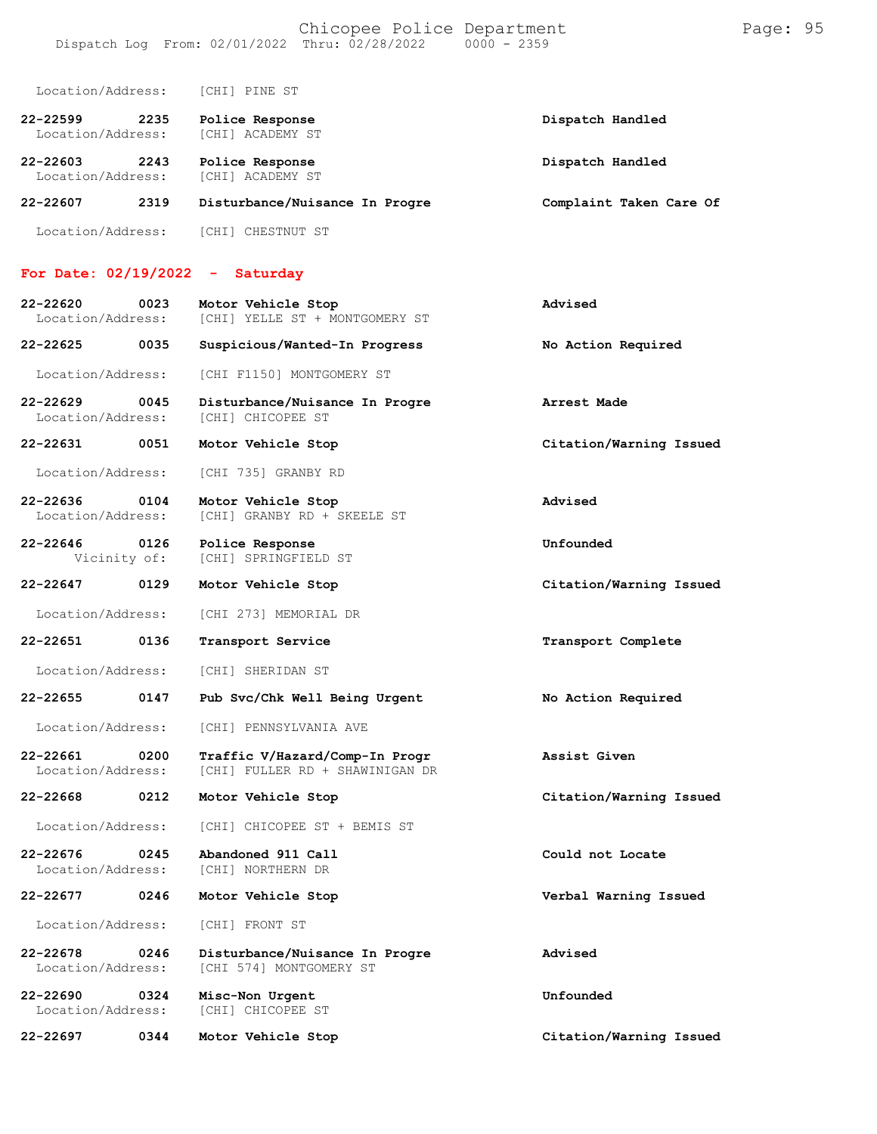| 22-22599<br>Location/Address: | 2235 | Police Response<br>[CHI] ACADEMY ST | Dispatch Handled        |
|-------------------------------|------|-------------------------------------|-------------------------|
| 22-22603<br>Location/Address: | 2243 | Police Response<br>[CHI] ACADEMY ST | Dispatch Handled        |
| 22-22607                      | 2319 | Disturbance/Nuisance In Progre      | Complaint Taken Care Of |
| Location/Address:             |      | [CHI] CHESTNUT ST                   |                         |

## **For Date: 02/19/2022 - Saturday**

| 22-22620<br>Location/Address:     | 0023 | Motor Vehicle Stop<br>[CHI] YELLE ST + MONTGOMERY ST              | Advised                 |
|-----------------------------------|------|-------------------------------------------------------------------|-------------------------|
| 22-22625                          | 0035 | Suspicious/Wanted-In Progress                                     | No Action Required      |
| Location/Address:                 |      | [CHI F1150] MONTGOMERY ST                                         |                         |
| 22-22629<br>Location/Address:     | 0045 | Disturbance/Nuisance In Progre<br>[CHI] CHICOPEE ST               | Arrest Made             |
| 22-22631                          | 0051 | Motor Vehicle Stop                                                | Citation/Warning Issued |
| Location/Address:                 |      | [CHI 735] GRANBY RD                                               |                         |
| $22 - 22636$<br>Location/Address: | 0104 | Motor Vehicle Stop<br>[CHI] GRANBY RD + SKEELE ST                 | Advised                 |
| 22-22646<br>Vicinity of:          | 0126 | Police Response<br>[CHI] SPRINGFIELD ST                           | Unfounded               |
| 22-22647                          | 0129 | Motor Vehicle Stop                                                | Citation/Warning Issued |
| Location/Address:                 |      | [CHI 273] MEMORIAL DR                                             |                         |
| 22-22651                          | 0136 | Transport Service                                                 | Transport Complete      |
| Location/Address:                 |      | [CHI] SHERIDAN ST                                                 |                         |
| 22-22655                          | 0147 | Pub Svc/Chk Well Being Urgent                                     | No Action Required      |
| Location/Address:                 |      | [CHI] PENNSYLVANIA AVE                                            |                         |
| 22-22661<br>Location/Address:     | 0200 | Traffic V/Hazard/Comp-In Progr<br>[CHI] FULLER RD + SHAWINIGAN DR | Assist Given            |
| 22-22668                          | 0212 | Motor Vehicle Stop                                                | Citation/Warning Issued |
| Location/Address:                 |      | [CHI] CHICOPEE ST + BEMIS ST                                      |                         |
| $22 - 22676$<br>Location/Address: | 0245 | Abandoned 911 Call<br>[CHI] NORTHERN DR                           | Could not Locate        |
| 22-22677                          | 0246 | Motor Vehicle Stop                                                | Verbal Warning Issued   |
| Location/Address:                 |      | [CHI] FRONT ST                                                    |                         |
| 22-22678<br>Location/Address:     | 0246 | Disturbance/Nuisance In Progre<br>[CHI 574] MONTGOMERY ST         | Advised                 |
| 22-22690<br>Location/Address:     | 0324 | Misc-Non Urgent<br>[CHI] CHICOPEE ST                              | Unfounded               |
| 22-22697                          | 0344 | Motor Vehicle Stop                                                | Citation/Warning Issued |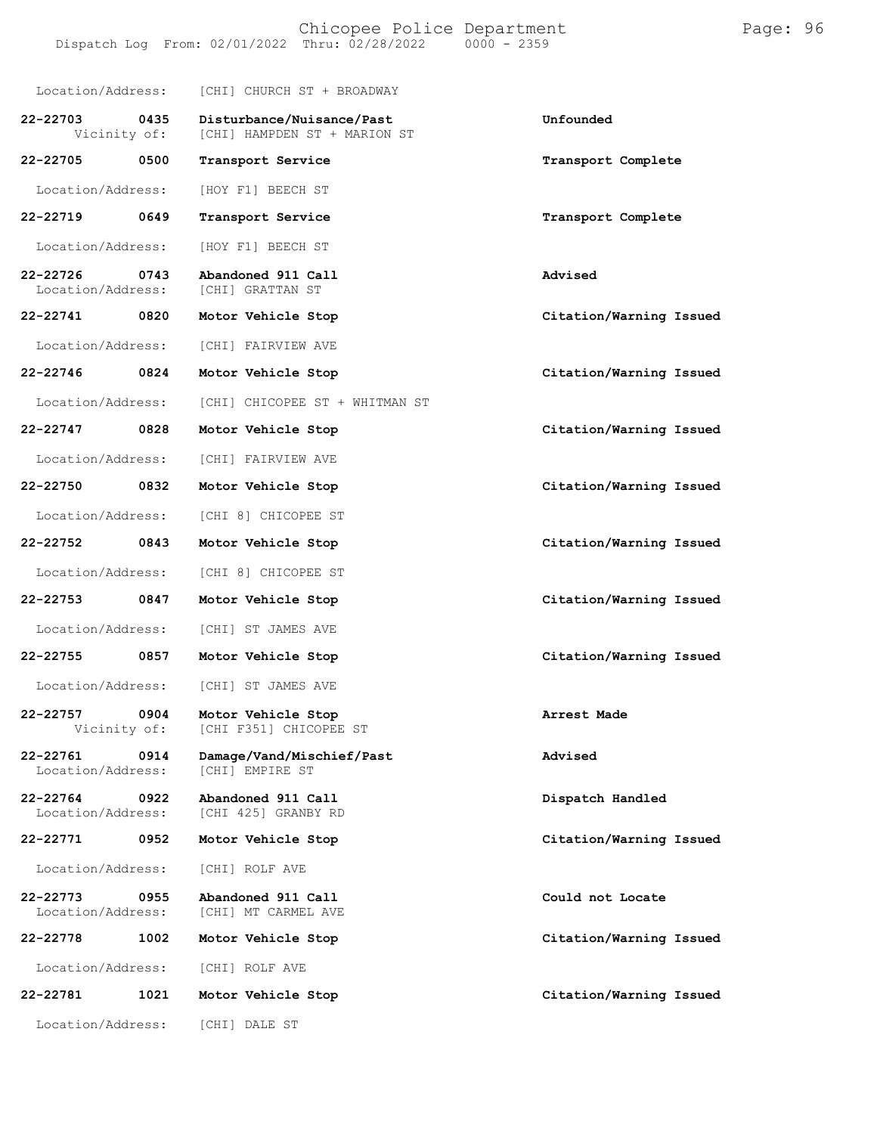| Location/Address:                     | [CHI] CHURCH ST + BROADWAY                                             |                         |
|---------------------------------------|------------------------------------------------------------------------|-------------------------|
| 22-22703<br>0435                      | Disturbance/Nuisance/Past<br>Vicinity of: [CHI] HAMPDEN ST + MARION ST | Unfounded               |
| 22-22705 0500                         | Transport Service                                                      | Transport Complete      |
| Location/Address:                     | [HOY F1] BEECH ST                                                      |                         |
| 22-22719<br>0649                      | Transport Service                                                      | Transport Complete      |
| Location/Address:                     | [HOY F1] BEECH ST                                                      |                         |
| 22-22726 0743<br>Location/Address:    | Abandoned 911 Call<br>[CHI] GRATTAN ST                                 | Advised                 |
| 22-22741 0820                         | Motor Vehicle Stop                                                     | Citation/Warning Issued |
| Location/Address:                     | [CHI] FAIRVIEW AVE                                                     |                         |
| 22-22746 0824                         | Motor Vehicle Stop                                                     | Citation/Warning Issued |
| Location/Address:                     | [CHI] CHICOPEE ST + WHITMAN ST                                         |                         |
| 22-22747<br>0828                      | Motor Vehicle Stop                                                     | Citation/Warning Issued |
| Location/Address:                     | [CHI] FAIRVIEW AVE                                                     |                         |
| 22-22750 0832                         | Motor Vehicle Stop                                                     | Citation/Warning Issued |
| Location/Address:                     | [CHI 8] CHICOPEE ST                                                    |                         |
| 22-22752<br>0843                      | Motor Vehicle Stop                                                     | Citation/Warning Issued |
| Location/Address:                     | [CHI 8] CHICOPEE ST                                                    |                         |
| 22-22753<br>0847                      | Motor Vehicle Stop                                                     | Citation/Warning Issued |
|                                       | Location/Address: [CHI] ST JAMES AVE                                   |                         |
| 22-22755    0857                      | Motor Vehicle Stop                                                     | Citation/Warning Issued |
| Location/Address:                     | [CHI] ST JAMES AVE                                                     |                         |
| 22-22757<br>0904<br>Vicinity of:      | Motor Vehicle Stop<br>[CHI F351] CHICOPEE ST                           | Arrest Made             |
| 22-22761<br>0914<br>Location/Address: | Damage/Vand/Mischief/Past<br>[CHI] EMPIRE ST                           | Advised                 |
| 22-22764<br>0922<br>Location/Address: | Abandoned 911 Call<br>[CHI 425] GRANBY RD                              | Dispatch Handled        |
| 22-22771<br>0952                      | Motor Vehicle Stop                                                     | Citation/Warning Issued |
| Location/Address:                     | [CHI] ROLF AVE                                                         |                         |
| 22-22773<br>0955<br>Location/Address: | Abandoned 911 Call<br>[CHI] MT CARMEL AVE                              | Could not Locate        |
| 22-22778<br>1002                      | Motor Vehicle Stop                                                     | Citation/Warning Issued |
| Location/Address:                     | [CHI] ROLF AVE                                                         |                         |
| 22-22781<br>1021                      | Motor Vehicle Stop                                                     | Citation/Warning Issued |
| Location/Address:                     | [CHI] DALE ST                                                          |                         |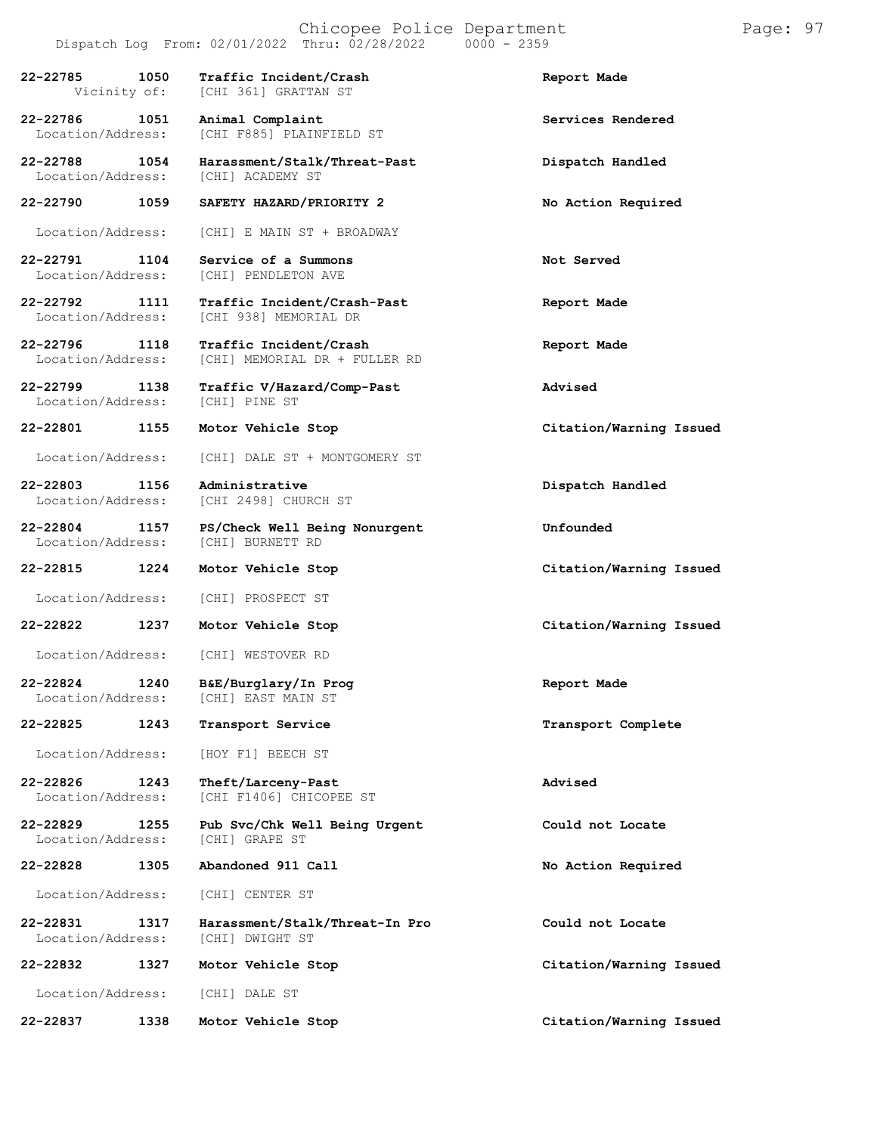Location/Address:

**22-22801 1155 Motor Vehicle Stop Citation/Warning Issued**

Location/Address:

**22-22815 1224 Motor Vehicle Stop Citation/Warning Issued**

**22-22825 1243 Transport Service Transport Complete**

Location/Address: [HOY F1] BEECH ST

Location/Address:

**22-22828 1305 Abandoned 911 Call No Action Required**

Location/Address: [CHI] CENTER ST

**22-22832 1327 Motor Vehicle Stop Citation/Warning Issued**

Location/Address: [CHI] DALE ST

**22-22837 1338 Motor Vehicle Stop Citation/Warning Issued**

[CHI F885] PLAINFIELD ST

**22-22788 1054 Harassment/Stalk/Threat-Past Dispatch Handled** Location/Address: [CHI] ACADEMY ST

**22-22790 1059 SAFETY HAZARD/PRIORITY 2 No Action Required**

Location/Address: [CHI] E MAIN ST + BROADWAY

**22-22791 1104 Service of a Summons Not Served** [CHI] PENDLETON AVE

**22-22792 1111 Traffic Incident/Crash-Past Report Made** [CHI 938] MEMORIAL DR

**22-22796 1118 Traffic Incident/Crash Report Made** [CHI] MEMORIAL DR + FULLER RD

**22-22799 1138 Traffic V/Hazard/Comp-Past Advised**

Location/Address: [CHI] DALE ST + MONTGOMERY ST

**22-22803 1156 Administrative Dispatch Handled** [CHI 2498] CHURCH ST

**22-22804 1157 PS/Check Well Being Nonurgent Unfounded**

Location/Address: [CHI] PROSPECT ST

Location/Address: [CHI] WESTOVER RD

**22-22824 1240 B&E/Burglary/In Prog Report Made** [CHI] EAST MAIN ST

**22-22826 1243 Theft/Larceny-Past Advised** [CHI F1406] CHICOPEE ST

**22-22829 1255 Pub Svc/Chk Well Being Urgent Could not Locate**

**22-22831 1317 Harassment/Stalk/Threat-In Pro Could not Locate** Location/Address: [CHI] DWIGHT ST

**22-22822 1237 Motor Vehicle Stop Citation/Warning Issued**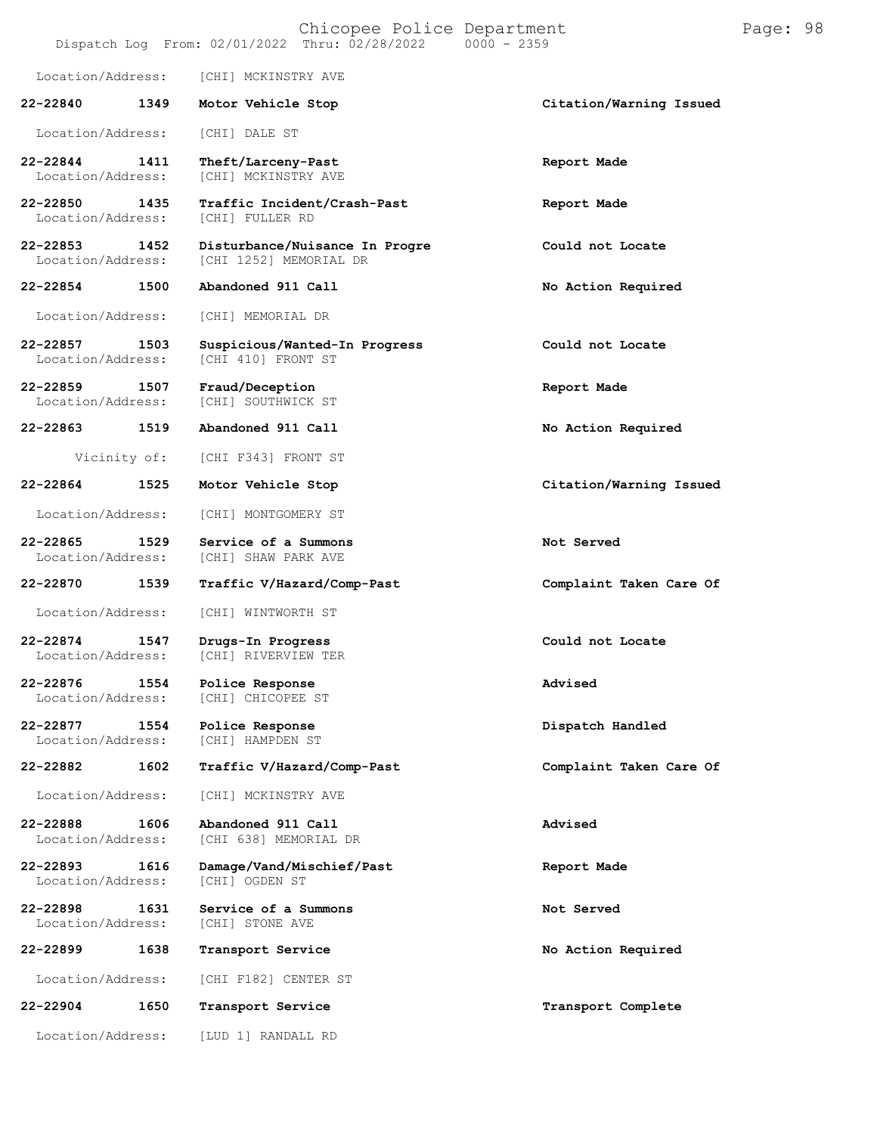| Chicopee Police Department<br>Dispatch Log From: 02/01/2022 Thru: 02/28/2022<br>$0000 - 2359$ |      |                                                          |                         | Page: 98 |  |
|-----------------------------------------------------------------------------------------------|------|----------------------------------------------------------|-------------------------|----------|--|
| Location/Address:                                                                             |      | [CHI] MCKINSTRY AVE                                      |                         |          |  |
| 22-22840                                                                                      | 1349 | Motor Vehicle Stop                                       | Citation/Warning Issued |          |  |
| Location/Address:                                                                             |      | [CHI] DALE ST                                            |                         |          |  |
| 22-22844<br>Location/Address:                                                                 | 1411 | Theft/Larceny-Past<br>[CHI] MCKINSTRY AVE                | Report Made             |          |  |
| 22-22850<br>Location/Address:                                                                 | 1435 | Traffic Incident/Crash-Past<br>[CHI] FULLER RD           | Report Made             |          |  |
| 22-22853<br>Location/Address:                                                                 | 1452 | Disturbance/Nuisance In Progre<br>[CHI 1252] MEMORIAL DR | Could not Locate        |          |  |
| 22-22854                                                                                      | 1500 | Abandoned 911 Call                                       | No Action Required      |          |  |
| Location/Address:                                                                             |      | [CHI] MEMORIAL DR                                        |                         |          |  |
| 22-22857<br>Location/Address:                                                                 | 1503 | Suspicious/Wanted-In Progress<br>[CHI 410] FRONT ST      | Could not Locate        |          |  |
| 22-22859<br>Location/Address:                                                                 | 1507 | Fraud/Deception<br>[CHI] SOUTHWICK ST                    | Report Made             |          |  |
| 22-22863                                                                                      | 1519 | Abandoned 911 Call                                       | No Action Required      |          |  |
| Vicinity of:                                                                                  |      | [CHI F343] FRONT ST                                      |                         |          |  |
| 22-22864                                                                                      | 1525 | Motor Vehicle Stop                                       | Citation/Warning Issued |          |  |
| Location/Address:                                                                             |      | [CHI] MONTGOMERY ST                                      |                         |          |  |
| 22-22865<br>Location/Address:                                                                 | 1529 | Service of a Summons<br>[CHI] SHAW PARK AVE              | Not Served              |          |  |
| 22-22870                                                                                      | 1539 | Traffic V/Hazard/Comp-Past                               | Complaint Taken Care Of |          |  |
| Location/Address:                                                                             |      | [CHI] WINTWORTH ST                                       |                         |          |  |
| 22-22874<br>Location/Address:                                                                 | 1547 | Drugs-In Progress<br>[CHI] RIVERVIEW TER                 | Could not Locate        |          |  |
| 22-22876<br>Location/Address:                                                                 | 1554 | Police Response<br>[CHI] CHICOPEE ST                     | Advised                 |          |  |
| 22-22877<br>Location/Address:                                                                 | 1554 | Police Response<br>[CHI] HAMPDEN ST                      | Dispatch Handled        |          |  |
| 22-22882                                                                                      | 1602 | Traffic V/Hazard/Comp-Past                               | Complaint Taken Care Of |          |  |
| Location/Address:                                                                             |      | [CHI] MCKINSTRY AVE                                      |                         |          |  |
| 22-22888<br>Location/Address:                                                                 | 1606 | Abandoned 911 Call<br>[CHI 638] MEMORIAL DR              | Advised                 |          |  |
| 22-22893<br>Location/Address:                                                                 | 1616 | Damage/Vand/Mischief/Past<br>[CHI] OGDEN ST              | Report Made             |          |  |
| 22-22898<br>Location/Address:                                                                 | 1631 | Service of a Summons<br>[CHI] STONE AVE                  | Not Served              |          |  |
| 22-22899                                                                                      | 1638 | Transport Service                                        | No Action Required      |          |  |
| Location/Address:                                                                             |      | [CHI F182] CENTER ST                                     |                         |          |  |
| 22-22904                                                                                      | 1650 | Transport Service                                        | Transport Complete      |          |  |
| Location/Address:                                                                             |      | [LUD 1] RANDALL RD                                       |                         |          |  |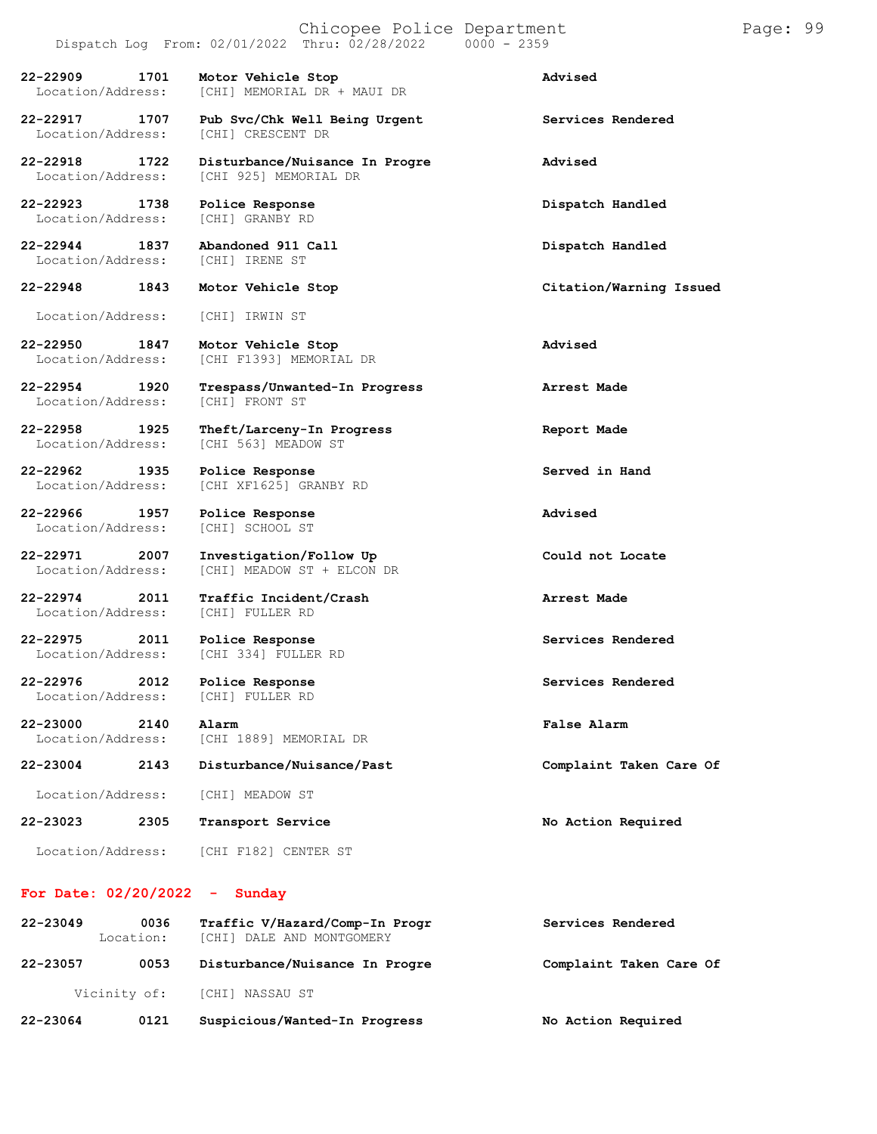## Chicopee Police Department Page: 99  $Dispatch Log From: 02/01/2022 Thru: 02/28/2022$ **22-22909 1701 Motor Vehicle Stop Advised** [CHI] MEMORIAL DR + MAUI DR **22-22917 1707 Pub Svc/Chk Well Being Urgent Services Rendered** Location/Address: **22-22918 1722 Disturbance/Nuisance In Progre Advised** Location/Address: [CHI 925] MEMORIAL DR **22-22923 1738 Police Response Dispatch Handled** [CHI] GRANBY RD **22-22944 1837 Abandoned 911 Call Dispatch Handled** Location/Address: **22-22948 1843 Motor Vehicle Stop Citation/Warning Issued** Location/Address: [CHI] IRWIN ST **22-22950 1847 Motor Vehicle Stop Advised** [CHI F1393] MEMORIAL DR **22-22954 1920 Trespass/Unwanted-In Progress Arrest Made** Location/Address: **22-22958 1925 Theft/Larceny-In Progress Report Made**

**22-22962 1935 Police Response Served in Hand** Location/Address: [CHI XF1625] GRANBY RD

**22-22966 1957 Police Response Advised** Location/Address:

**22-22971 2007 Investigation/Follow Up Could not Locate**

**22-22974 2011 Traffic Incident/Crash Arrest Made** Location/Address:

**22-22975 2011 Police Response Services Rendered**

**22-22976 2012 Police Response Services Rendered**

**22-23000 2140 Alarm False Alarm** [CHI 1889] MEMORIAL DR

**22-23004 2143 Disturbance/Nuisance/Past Complaint Taken Care Of**

[CHI 563] MEADOW ST

[CHI 334] FULLER RD

[CHI] FULLER RD

[CHI] MEADOW ST + ELCON DR

Location/Address: [CHI] MEADOW ST

**22-23023 2305 Transport Service No Action Required**

Location/Address: [CHI F182] CENTER ST

## **For Date: 02/20/2022 - Sunday**

| 22-23064     | 0121              | Suspicious/Wanted-In Progress                               | No Action Required      |
|--------------|-------------------|-------------------------------------------------------------|-------------------------|
|              | Vicinity of:      | [CHI] NASSAU ST                                             |                         |
| 22-23057     | 0053              | Disturbance/Nuisance In Progre                              | Complaint Taken Care Of |
| $22 - 23049$ | 0036<br>Location: | Traffic V/Hazard/Comp-In Progr<br>[CHI] DALE AND MONTGOMERY | Services Rendered       |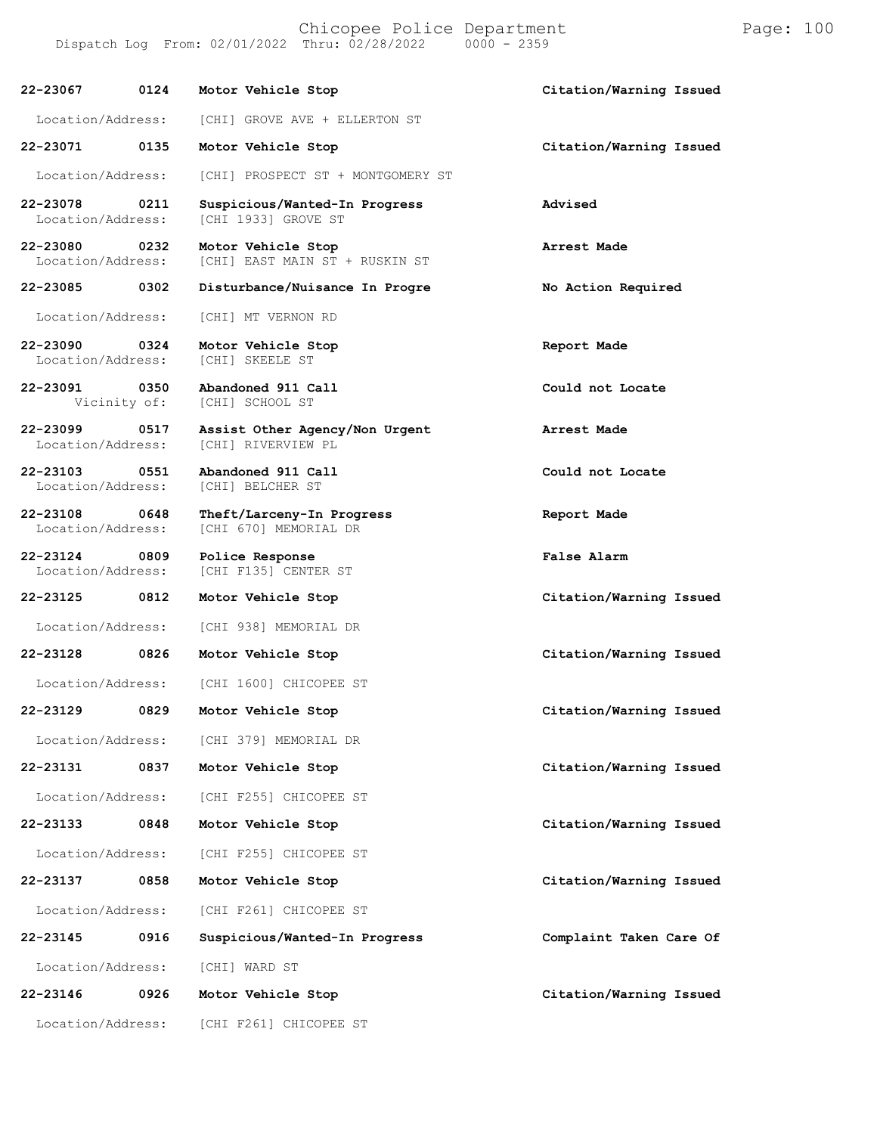Chicopee Police Department Page: 100 Dispatch Log From: 02/01/2022 Thru: 02/28/2022

**22-23067 0124 Motor Vehicle Stop Citation/Warning Issued**

Location/Address: [CHI] GROVE AVE + ELLERTON ST

**22-23071 0135 Motor Vehicle Stop Citation/Warning Issued**

Location/Address: [CHI] PROSPECT ST + MONTGOMERY ST

**22-23078 0211 Suspicious/Wanted-In Progress Advised** [CHI 1933] GROVE ST

**22-23080 0232 Motor Vehicle Stop Arrest Made** [CHI] EAST MAIN ST + RUSKIN ST

**22-23085 0302 Disturbance/Nuisance In Progre No Action Required**

Location/Address: [CHI] MT VERNON RD

**22-23090 0324 Motor Vehicle Stop Report Made** Location/Address:

**22-23091 0350 Abandoned 911 Call Could not Locate**

**22-23099 0517 Assist Other Agency/Non Urgent Arrest Made**

**22-23103 0551 Abandoned 911 Call Could not Locate**

**22-23124 0809 Police Response False Alarm**

**22-23125 0812 Motor Vehicle Stop Citation/Warning Issued**

**22-23128 0826 Motor Vehicle Stop Citation/Warning Issued**

Location/Address: [CHI] WARD ST

**22-23146 0926 Motor Vehicle Stop Citation/Warning Issued**

[CHI] RIVERVIEW PL

[CHI] SCHOOL ST

Location/Address: [CHI] BELCHER ST

**22-23108 0648 Theft/Larceny-In Progress Report Made** [CHI 670] MEMORIAL DR

[CHI F135] CENTER ST

Location/Address: [CHI 938] MEMORIAL DR

Location/Address: [CHI 1600] CHICOPEE ST

Location/Address: [CHI 379] MEMORIAL DR

Location/Address: [CHI F255] CHICOPEE ST

**22-23133 0848 Motor Vehicle Stop Citation/Warning Issued**

Location/Address: [CHI F255] CHICOPEE ST

Location/Address: [CHI F261] CHICOPEE ST

**22-23145 0916 Suspicious/Wanted-In Progress Complaint Taken Care Of**

Location/Address: [CHI F261] CHICOPEE ST

**22-23129 0829 Motor Vehicle Stop Citation/Warning Issued**

**22-23131 0837 Motor Vehicle Stop Citation/Warning Issued**

**22-23137 0858 Motor Vehicle Stop Citation/Warning Issued**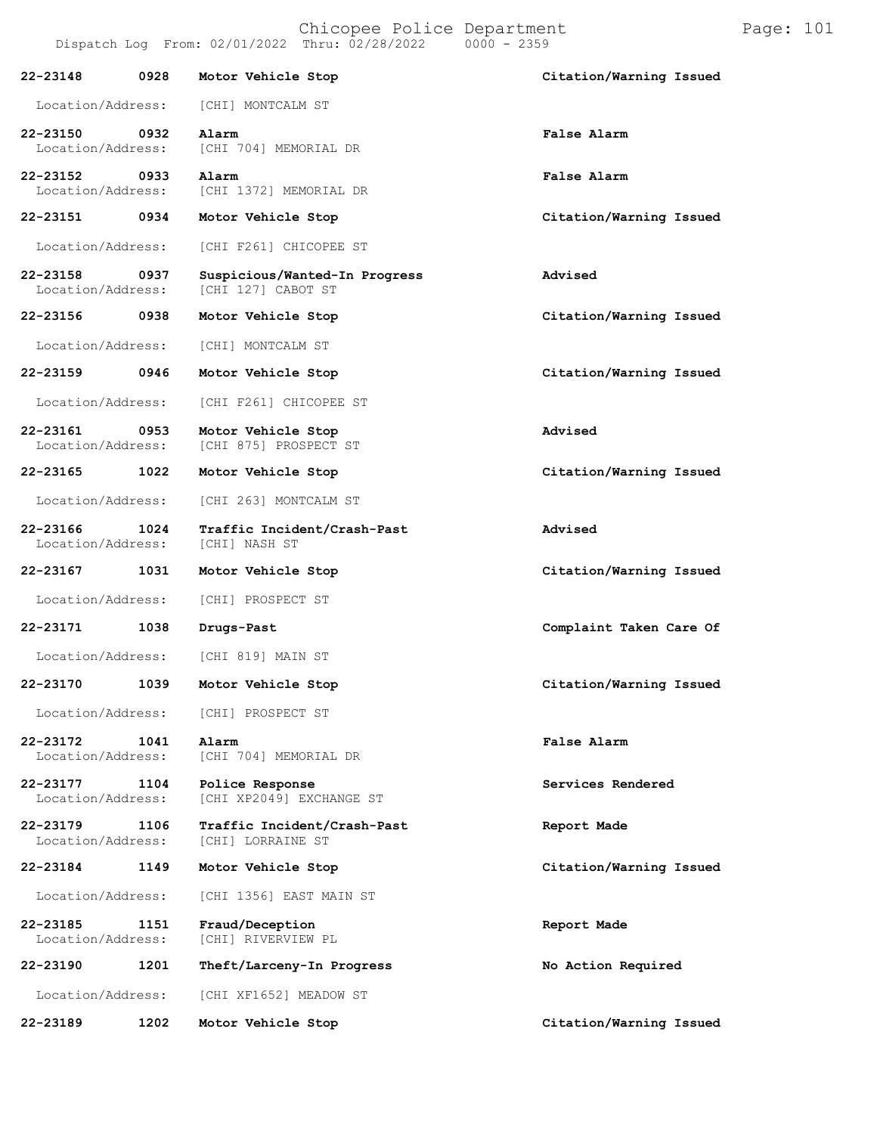|                               |      | Chicopee Police Department<br>Dispatch Log From: 02/01/2022 Thru: 02/28/2022 | $0000 - 2359$           |
|-------------------------------|------|------------------------------------------------------------------------------|-------------------------|
| 22-23148                      | 0928 | Motor Vehicle Stop                                                           | Citation/Warning Issued |
|                               |      | Location/Address: [CHI] MONTCALM ST                                          |                         |
| 22-23150                      | 0932 | Alarm<br>Location/Address: [CHI 704] MEMORIAL DR                             | False Alarm             |
| 22-23152 0933                 |      | Alarm<br>Location/Address: [CHI 1372] MEMORIAL DR                            | False Alarm             |
| 22-23151                      |      | 0934 Motor Vehicle Stop                                                      | Citation/Warning Issued |
| Location/Address:             |      | [CHI F261] CHICOPEE ST                                                       |                         |
| 22-23158<br>Location/Address: | 0937 | Suspicious/Wanted-In Progress<br>[CHI 127] CABOT ST                          | Advised                 |
|                               |      | 22-23156 0938 Motor Vehicle Stop                                             | Citation/Warning Issued |
| Location/Address:             |      | [CHI] MONTCALM ST                                                            |                         |
|                               |      | 22-23159 0946 Motor Vehicle Stop                                             | Citation/Warning Issued |
|                               |      | Location/Address: [CHI F261] CHICOPEE ST                                     |                         |
| 22-23161<br>Location/Address: | 0953 | Motor Vehicle Stop<br>[CHI 875] PROSPECT ST                                  | Advised                 |
| 22-23165                      |      | 1022 Motor Vehicle Stop                                                      | Citation/Warning Issued |
|                               |      | Location/Address: [CHI 263] MONTCALM ST                                      |                         |
| 22-23166<br>Location/Address: | 1024 | Traffic Incident/Crash-Past<br>[CHI] NASH ST                                 | Advised                 |
| 22-23167                      |      | 1031 Motor Vehicle Stop                                                      | Citation/Warning Issued |
|                               |      | Location/Address: [CHI] PROSPECT ST                                          |                         |
| 22-23171                      | 1038 | Drugs-Past                                                                   | Complaint Taken Care Of |
| Location/Address:             |      | [CHI 819] MAIN ST                                                            |                         |

**22-23170 1039 Motor Vehicle Stop Citation/Warning Issued**

**22-23172 1041 Alarm False Alarm** Location/Address: [CHI 704] MEMORIAL DR **22-23177 1104 Police Response Services Rendered** [CHI XP2049] EXCHANGE ST

**22-23179 1106 Traffic Incident/Crash-Past Report Made** Location/Address:

**22-23184 1149 Motor Vehicle Stop Citation/Warning Issued**

Location/Address: [CHI 1356] EAST MAIN ST

Location/Address: [CHI] PROSPECT ST

**22-23185 1151 Fraud/Deception Report Made** Location/Address: [CHI] RIVERVIEW PL

**22-23190 1201 Theft/Larceny-In Progress No Action Required** Location/Address: [CHI XF1652] MEADOW ST

**22-23189 1202 Motor Vehicle Stop Citation/Warning Issued**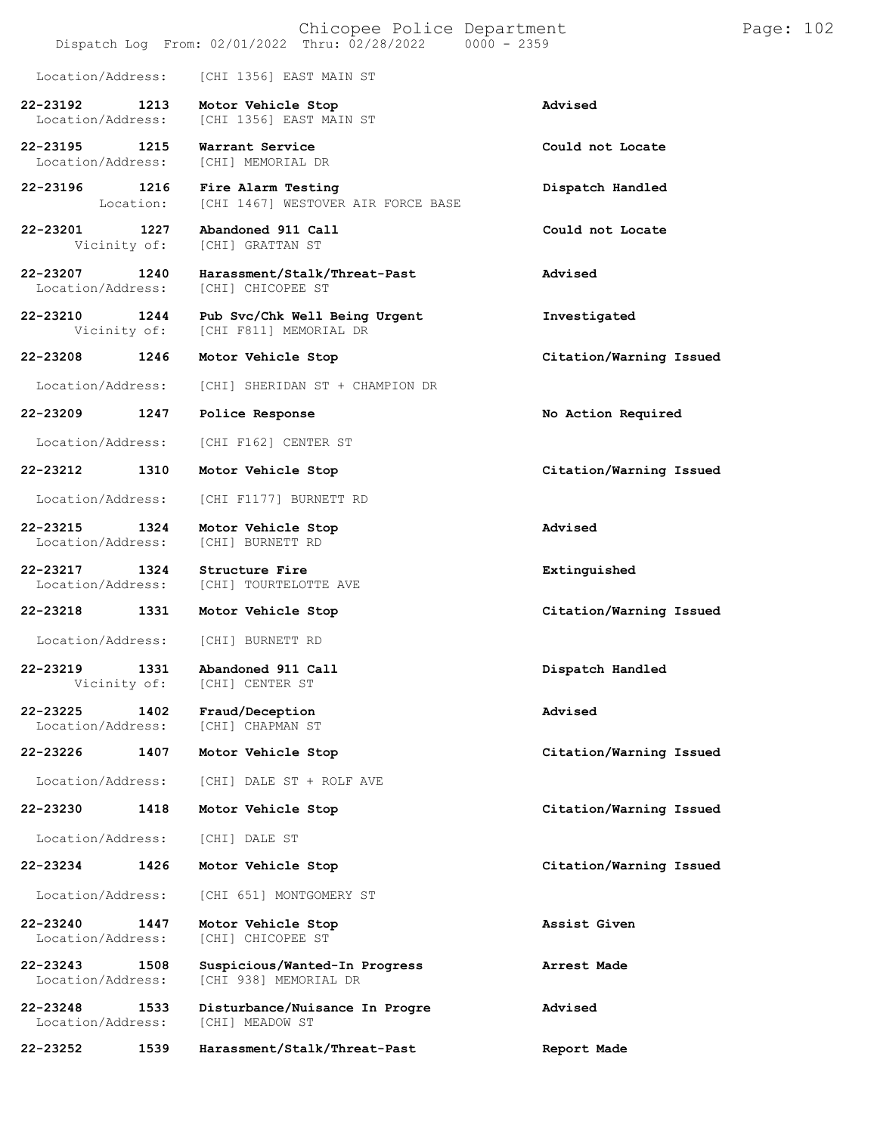|                                   |                   | Chicopee Police Department<br>Dispatch Log From: 02/01/2022 Thru: 02/28/2022<br>$0000 - 2359$ |                         | Page: 102 |  |
|-----------------------------------|-------------------|-----------------------------------------------------------------------------------------------|-------------------------|-----------|--|
| Location/Address:                 |                   | [CHI 1356] EAST MAIN ST                                                                       |                         |           |  |
| 22-23192<br>Location/Address:     | 1213              | Motor Vehicle Stop<br>[CHI 1356] EAST MAIN ST                                                 | Advised                 |           |  |
| 22-23195<br>Location/Address:     | 1215              | Warrant Service<br>[CHI] MEMORIAL DR                                                          | Could not Locate        |           |  |
| 22-23196                          | 1216<br>Location: | Fire Alarm Testing<br>[CHI 1467] WESTOVER AIR FORCE BASE                                      | Dispatch Handled        |           |  |
| 22-23201<br>Vicinity of:          | 1227              | Abandoned 911 Call<br>[CHI] GRATTAN ST                                                        | Could not Locate        |           |  |
| 22-23207<br>Location/Address:     | 1240              | Harassment/Stalk/Threat-Past<br>[CHI] CHICOPEE ST                                             | Advised                 |           |  |
| 22-23210<br>Vicinity of:          | 1244              | Pub Svc/Chk Well Being Urgent<br>[CHI F811] MEMORIAL DR                                       | Investigated            |           |  |
| 22-23208                          | 1246              | Motor Vehicle Stop                                                                            | Citation/Warning Issued |           |  |
| Location/Address:                 |                   | [CHI] SHERIDAN ST + CHAMPION DR                                                               |                         |           |  |
| 22-23209                          | 1247              | Police Response                                                                               | No Action Required      |           |  |
| Location/Address:                 |                   | [CHI F162] CENTER ST                                                                          |                         |           |  |
| 22-23212                          | 1310              | Motor Vehicle Stop                                                                            | Citation/Warning Issued |           |  |
| Location/Address:                 |                   | [CHI F1177] BURNETT RD                                                                        |                         |           |  |
| 22-23215<br>Location/Address:     | 1324              | Motor Vehicle Stop<br>[CHI] BURNETT RD                                                        | Advised                 |           |  |
| 22-23217<br>Location/Address:     | 1324              | Structure Fire<br>[CHI] TOURTELOTTE AVE                                                       | Extinguished            |           |  |
| 22-23218                          | 1331              | Motor Vehicle Stop                                                                            | Citation/Warning Issued |           |  |
| Location/Address:                 |                   | [CHI] BURNETT RD                                                                              |                         |           |  |
| 22-23219<br>Vicinity of:          | 1331              | Abandoned 911 Call<br>[CHI] CENTER ST                                                         | Dispatch Handled        |           |  |
| 22-23225<br>Location/Address:     | 1402              | Fraud/Deception<br>[CHI] CHAPMAN ST                                                           | Advised                 |           |  |
| 22-23226                          | 1407              | Motor Vehicle Stop                                                                            | Citation/Warning Issued |           |  |
| Location/Address:                 |                   | [CHI] DALE ST + ROLF AVE                                                                      |                         |           |  |
| 22-23230                          | 1418              | Motor Vehicle Stop                                                                            | Citation/Warning Issued |           |  |
| Location/Address:                 |                   | [CHI] DALE ST                                                                                 |                         |           |  |
| 22-23234                          | 1426              | Motor Vehicle Stop                                                                            | Citation/Warning Issued |           |  |
| Location/Address:                 |                   | [CHI 651] MONTGOMERY ST                                                                       |                         |           |  |
| 22-23240<br>Location/Address:     | 1447              | Motor Vehicle Stop<br>[CHI] CHICOPEE ST                                                       | Assist Given            |           |  |
| $22 - 23243$<br>Location/Address: | 1508              | Suspicious/Wanted-In Progress<br>[CHI 938] MEMORIAL DR                                        | Arrest Made             |           |  |
| $22 - 23248$<br>Location/Address: | 1533              | Disturbance/Nuisance In Progre<br>[CHI] MEADOW ST                                             | Advised                 |           |  |
| 22-23252                          | 1539              | Harassment/Stalk/Threat-Past                                                                  | Report Made             |           |  |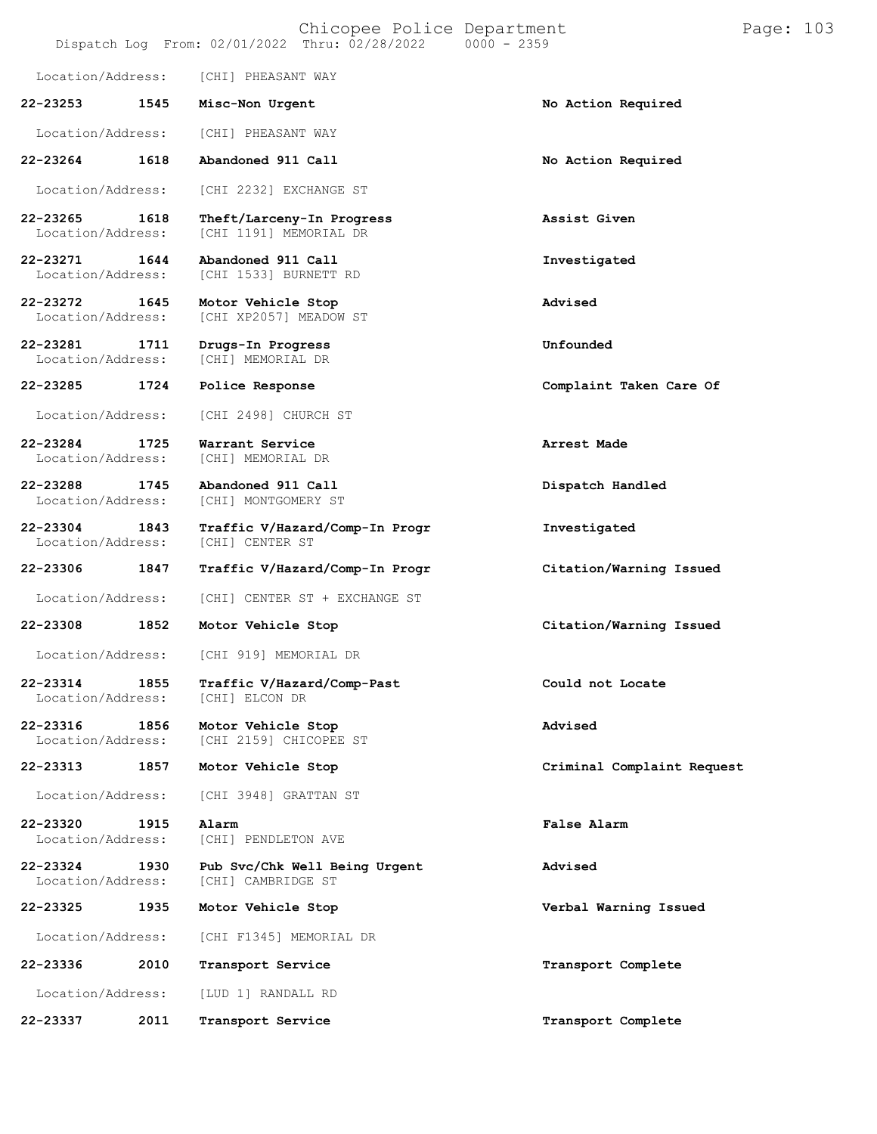## Chicopee Police Department Form Page: 103 Dispatch Log From: 02/01/2022 Thru: 02/28/2022 0000 - 2359

| Location/Address:             |      | [CHI] PHEASANT WAY                                  |                            |
|-------------------------------|------|-----------------------------------------------------|----------------------------|
| 22-23253                      | 1545 | Misc-Non Urgent                                     | No Action Required         |
| Location/Address:             |      | [CHI] PHEASANT WAY                                  |                            |
| 22-23264                      | 1618 | Abandoned 911 Call                                  | No Action Required         |
| Location/Address:             |      | [CHI 2232] EXCHANGE ST                              |                            |
| 22-23265<br>Location/Address: | 1618 | Theft/Larceny-In Progress<br>[CHI 1191] MEMORIAL DR | Assist Given               |
| 22-23271<br>Location/Address: | 1644 | Abandoned 911 Call<br>[CHI 1533] BURNETT RD         | Investigated               |
| 22-23272<br>Location/Address: | 1645 | Motor Vehicle Stop<br>[CHI XP2057] MEADOW ST        | Advised                    |
| 22-23281<br>Location/Address: | 1711 | Drugs-In Progress<br>[CHI] MEMORIAL DR              | Unfounded                  |
| 22-23285                      | 1724 | Police Response                                     | Complaint Taken Care Of    |
| Location/Address:             |      | [CHI 2498] CHURCH ST                                |                            |
| 22-23284<br>Location/Address: | 1725 | Warrant Service<br>[CHI] MEMORIAL DR                | Arrest Made                |
| 22-23288<br>Location/Address: | 1745 | Abandoned 911 Call<br>[CHI] MONTGOMERY ST           | Dispatch Handled           |
| 22-23304<br>Location/Address: | 1843 | Traffic V/Hazard/Comp-In Progr<br>[CHI] CENTER ST   | Investigated               |
| 22-23306                      | 1847 | Traffic V/Hazard/Comp-In Progr                      | Citation/Warning Issued    |
| Location/Address:             |      | [CHI] CENTER ST + EXCHANGE ST                       |                            |
| 22-23308                      | 1852 | Motor Vehicle Stop                                  | Citation/Warning Issued    |
| Location/Address:             |      | [CHI 919] MEMORIAL DR                               |                            |
| 22-23314<br>Location/Address: | 1855 | Traffic V/Hazard/Comp-Past<br>[CHI] ELCON DR        | Could not Locate           |
| 22-23316<br>Location/Address: | 1856 | Motor Vehicle Stop<br>[CHI 2159] CHICOPEE ST        | Advised                    |
| 22-23313                      | 1857 | Motor Vehicle Stop                                  | Criminal Complaint Request |
| Location/Address:             |      | [CHI 3948] GRATTAN ST                               |                            |
| 22-23320<br>Location/Address: | 1915 | Alarm<br>[CHI] PENDLETON AVE                        | False Alarm                |
| 22-23324<br>Location/Address: | 1930 | Pub Svc/Chk Well Being Urgent<br>[CHI] CAMBRIDGE ST | Advised                    |
| 22-23325                      | 1935 | Motor Vehicle Stop                                  | Verbal Warning Issued      |
| Location/Address:             |      | [CHI F1345] MEMORIAL DR                             |                            |
| 22-23336                      | 2010 | Transport Service                                   | Transport Complete         |
| Location/Address:             |      | [LUD 1] RANDALL RD                                  |                            |
| 22-23337                      | 2011 | Transport Service                                   | Transport Complete         |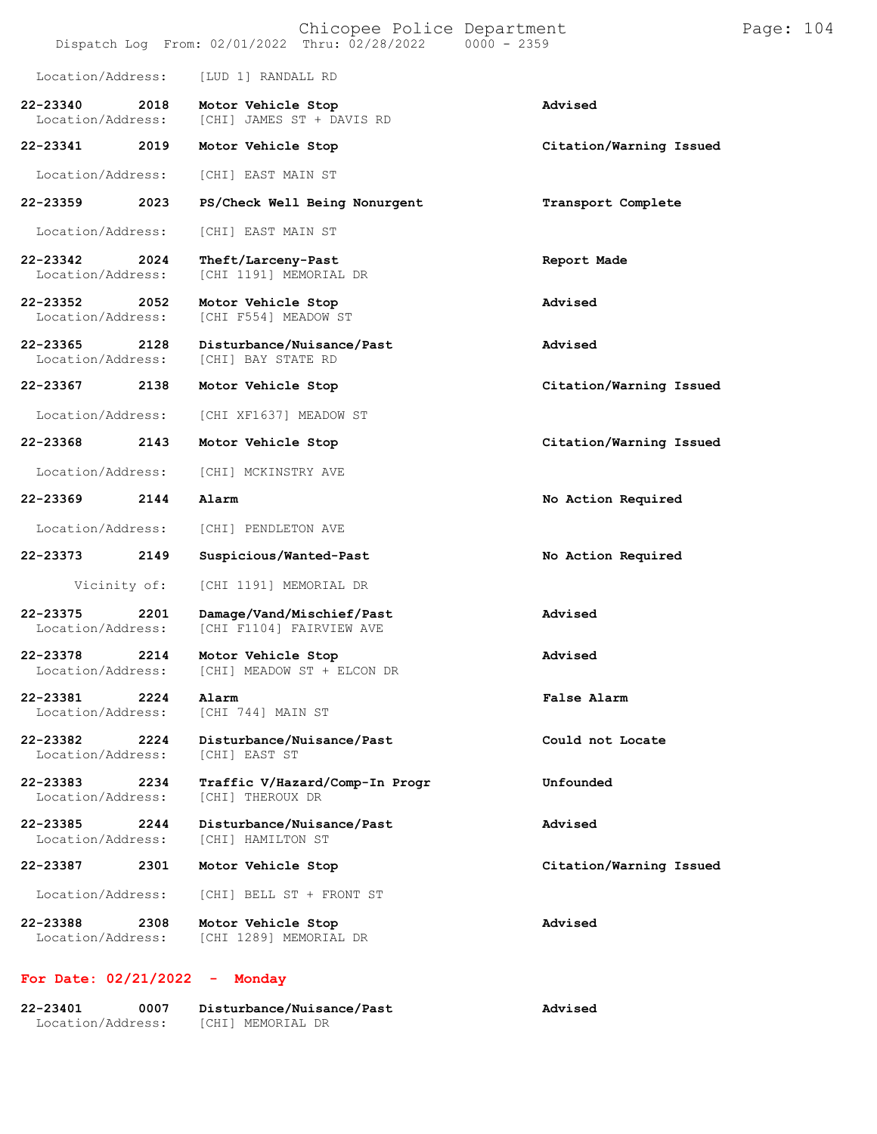| Chicopee Police Department<br>Dispatch Log From: 02/01/2022 Thru: 02/28/2022<br>$0000 - 2359$ |      |                                                       |                         | Page: 104 |  |
|-----------------------------------------------------------------------------------------------|------|-------------------------------------------------------|-------------------------|-----------|--|
| Location/Address:                                                                             |      | [LUD 1] RANDALL RD                                    |                         |           |  |
| 22-23340<br>Location/Address:                                                                 | 2018 | Motor Vehicle Stop<br>[CHI] JAMES ST + DAVIS RD       | Advised                 |           |  |
| 22-23341                                                                                      | 2019 | Motor Vehicle Stop                                    | Citation/Warning Issued |           |  |
| Location/Address:                                                                             |      | [CHI] EAST MAIN ST                                    |                         |           |  |
| 22-23359                                                                                      | 2023 | PS/Check Well Being Nonurgent                         | Transport Complete      |           |  |
| Location/Address:                                                                             |      | [CHI] EAST MAIN ST                                    |                         |           |  |
| 22-23342<br>Location/Address:                                                                 | 2024 | Theft/Larceny-Past<br>[CHI 1191] MEMORIAL DR          | Report Made             |           |  |
| 22-23352<br>Location/Address:                                                                 | 2052 | Motor Vehicle Stop<br>[CHI F554] MEADOW ST            | Advised                 |           |  |
| 22-23365<br>Location/Address:                                                                 | 2128 | Disturbance/Nuisance/Past<br>[CHI] BAY STATE RD       | Advised                 |           |  |
| 22-23367                                                                                      | 2138 | Motor Vehicle Stop                                    | Citation/Warning Issued |           |  |
| Location/Address:                                                                             |      | [CHI XF1637] MEADOW ST                                |                         |           |  |
| 22-23368                                                                                      | 2143 | Motor Vehicle Stop                                    | Citation/Warning Issued |           |  |
| Location/Address:                                                                             |      | [CHI] MCKINSTRY AVE                                   |                         |           |  |
| 22-23369                                                                                      | 2144 | Alarm                                                 | No Action Required      |           |  |
| Location/Address:                                                                             |      | [CHI] PENDLETON AVE                                   |                         |           |  |
| 22-23373                                                                                      | 2149 | Suspicious/Wanted-Past                                | No Action Required      |           |  |
| Vicinity of:                                                                                  |      | [CHI 1191] MEMORIAL DR                                |                         |           |  |
| 22-23375<br>Location/Address:                                                                 | 2201 | Damage/Vand/Mischief/Past<br>[CHI F1104] FAIRVIEW AVE | Advised                 |           |  |
| 22-23378<br>Location/Address:                                                                 | 2214 | Motor Vehicle Stop<br>[CHI] MEADOW ST + ELCON DR      | Advised                 |           |  |
| 22-23381<br>Location/Address:                                                                 | 2224 | Alarm<br>[CHI 744] MAIN ST                            | <b>False Alarm</b>      |           |  |
| 22-23382<br>Location/Address:                                                                 | 2224 | Disturbance/Nuisance/Past<br>[CHI] EAST ST            | Could not Locate        |           |  |
| 22-23383<br>Location/Address:                                                                 | 2234 | Traffic V/Hazard/Comp-In Progr<br>[CHI] THEROUX DR    | Unfounded               |           |  |
| 22-23385<br>Location/Address:                                                                 | 2244 | Disturbance/Nuisance/Past<br>[CHI] HAMILTON ST        | Advised                 |           |  |
| 22-23387                                                                                      | 2301 | Motor Vehicle Stop                                    | Citation/Warning Issued |           |  |
| Location/Address:                                                                             |      | [CHI] BELL ST + FRONT ST                              |                         |           |  |
| 22-23388<br>Location/Address:                                                                 | 2308 | Motor Vehicle Stop<br>[CHI 1289] MEMORIAL DR          | Advised                 |           |  |

## **For Date: 02/21/2022 - Monday**

| 22-23401          | 0007 | Disturbance/Nuisance/Past | Advised |
|-------------------|------|---------------------------|---------|
| Location/Address: |      | [CHI] MEMORIAL DR         |         |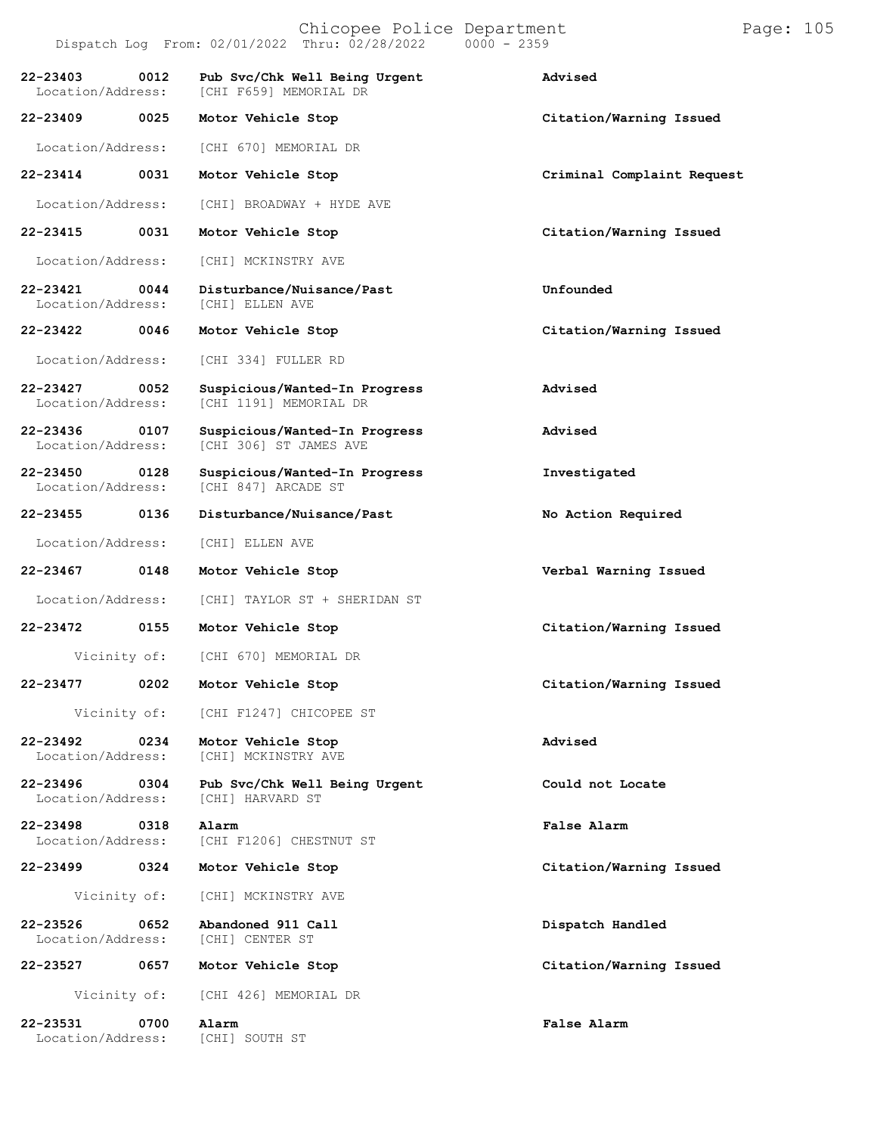|                                       | Chicopee Police Department<br>Dispatch Log From: 02/01/2022 Thru: 02/28/2022 0000 - 2359 | I                          |
|---------------------------------------|------------------------------------------------------------------------------------------|----------------------------|
| 0012<br>22-23403                      | Pub Svc/Chk Well Being Urgent<br>Location/Address: [CHI F659] MEMORIAL DR                | Advised                    |
| 22-23409<br>0025                      | Motor Vehicle Stop                                                                       | Citation/Warning Issued    |
| Location/Address:                     | [CHI 670] MEMORIAL DR                                                                    |                            |
| 22-23414<br>0031                      | Motor Vehicle Stop                                                                       | Criminal Complaint Request |
|                                       | Location/Address: [CHI] BROADWAY + HYDE AVE                                              |                            |
| 22-23415<br>0031                      | Motor Vehicle Stop                                                                       | Citation/Warning Issued    |
|                                       | Location/Address: [CHI] MCKINSTRY AVE                                                    |                            |
| 0044<br>22-23421<br>Location/Address: | Disturbance/Nuisance/Past<br>[CHI] ELLEN AVE                                             | Unfounded                  |

**22-23422 0046 Motor Vehicle Stop Citation/Warning Issued**

Location/Address: [CHI 334] FULLER RD

**22-23427 0052 Suspicious/Wanted-In Progress Advised** [CHI 1191] MEMORIAL DR

**22-23436 0107 Suspicious/Wanted-In Progress Advised**

**22-23450 0128 Suspicious/Wanted-In Progress Investigated** [CHI 847] ARCADE ST

**22-23455 0136 Disturbance/Nuisance/Past No Action Required**

[CHI 306] ST JAMES AVE

Location/Address: [CHI] ELLEN AVE

**22-23467 0148 Motor Vehicle Stop Verbal Warning Issued**

Location/Address: [CHI] TAYLOR ST + SHERIDAN ST

**22-23472 0155 Motor Vehicle Stop Citation/Warning Issued**

Vicinity of: [CHI 670] MEMORIAL DR

Vicinity of: [CHI F1247] CHICOPEE ST

**22-23492 0234 Motor Vehicle Stop Advised** [CHI] MCKINSTRY AVE

**22-23496 0304 Pub Svc/Chk Well Being Urgent Could not Locate** Location/Address:

**22-23498 0318 Alarm False Alarm** [CHI F1206] CHESTNUT ST

**22-23499 0324 Motor Vehicle Stop Citation/Warning Issued**

Vicinity of: [CHI] MCKINSTRY AVE

**22-23526 0652 Abandoned 911 Call Dispatch Handled** Location/Address:

**22-23527 0657 Motor Vehicle Stop Citation/Warning Issued**

Vicinity of: [CHI 426] MEMORIAL DR

**22-23531 0700 Alarm False Alarm** Location/Address:

**22-23477 0202 Motor Vehicle Stop Citation/Warning Issued**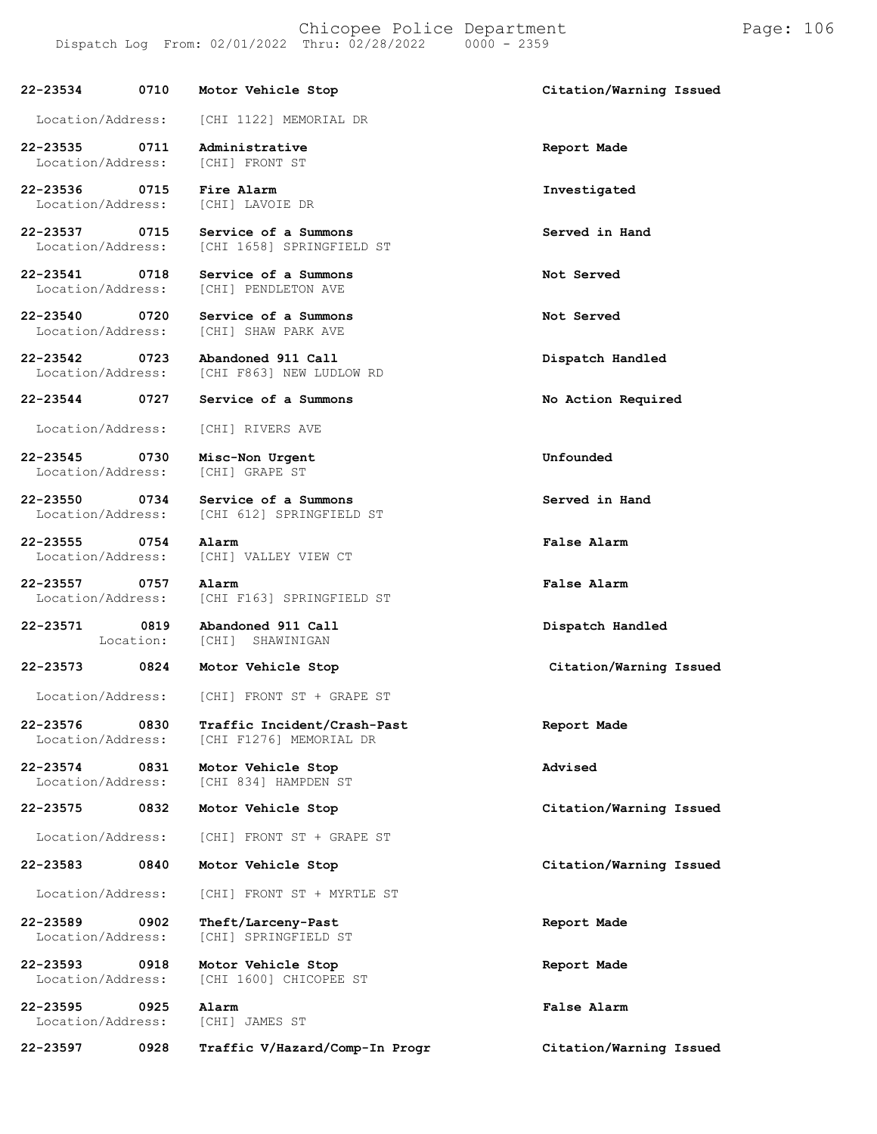Location/Address: [CHI] LAVOIE DR

[CHI 612] SPRINGFIELD ST

[CHI F163] SPRINGFIELD ST

[CHI F1276] MEMORIAL DR

[CHI 834] HAMPDEN ST

[CHI] SPRINGFIELD ST

[CHI] VALLEY VIEW CT

**Abandoned 911 Call** [CHI] SHAWINIGAN

**22-23534 0710 Motor Vehicle Stop Citation/Warning Issued**

Location/Address: [CHI 1122] MEMORIAL DR

**22-23535 0711 Administrative Report Made** Location/Address:

**22-23536 0715 Fire Alarm Investigated**

**22-23537 0715 Service of a Summons Served in Hand** [CHI 1658] SPRINGFIELD ST

**22-23541 0718 Service of a Summons Not Served** Location/Address:

**22-23540 0720 Service of a Summons Not Served** Location/Address:

**22-23542 0723 Abandoned 911 Call Dispatch Handled**

[CHI F863] NEW LUDLOW RD

Location/Address: [CHI] RIVERS AVE

**22-23545 0730 Misc-Non Urgent Unfounded** Location/Address:

**22-23550 0734 Service of a Summons Served in Hand**

**22-23555 0754 Alarm False Alarm**

**22-23557 0757 Alarm False Alarm**

**22-23571 0819** Location:

Location/Address: [CHI] FRONT ST + GRAPE ST

**22-23576 0830 Traffic Incident/Crash-Past Report Made**

**22-23574 0831 Motor Vehicle Stop Advised**

**22-23575 0832 Motor Vehicle Stop Citation/Warning Issued**

Location/Address: [CHI] FRONT ST + GRAPE ST

Location/Address: [CHI] FRONT ST + MYRTLE ST

**22-23589 0902 Theft/Larceny-Past Report Made**

**22-23593 0918 Motor Vehicle Stop Report Made** Location/Address: [CHI 1600] CHICOPEE ST

Location/Address: [CHI] JAMES ST

**22-23597 0928 Traffic V/Hazard/Comp-In Progr Citation/Warning Issued**

**22-23544 0727 Service of a Summons No Action Required**

**Dispatch Handled**

**22-23573 0824 Motor Vehicle Stop Citation/Warning Issued**

**22-23583 0840 Motor Vehicle Stop Citation/Warning Issued**

**22-23595 0925 Alarm False Alarm**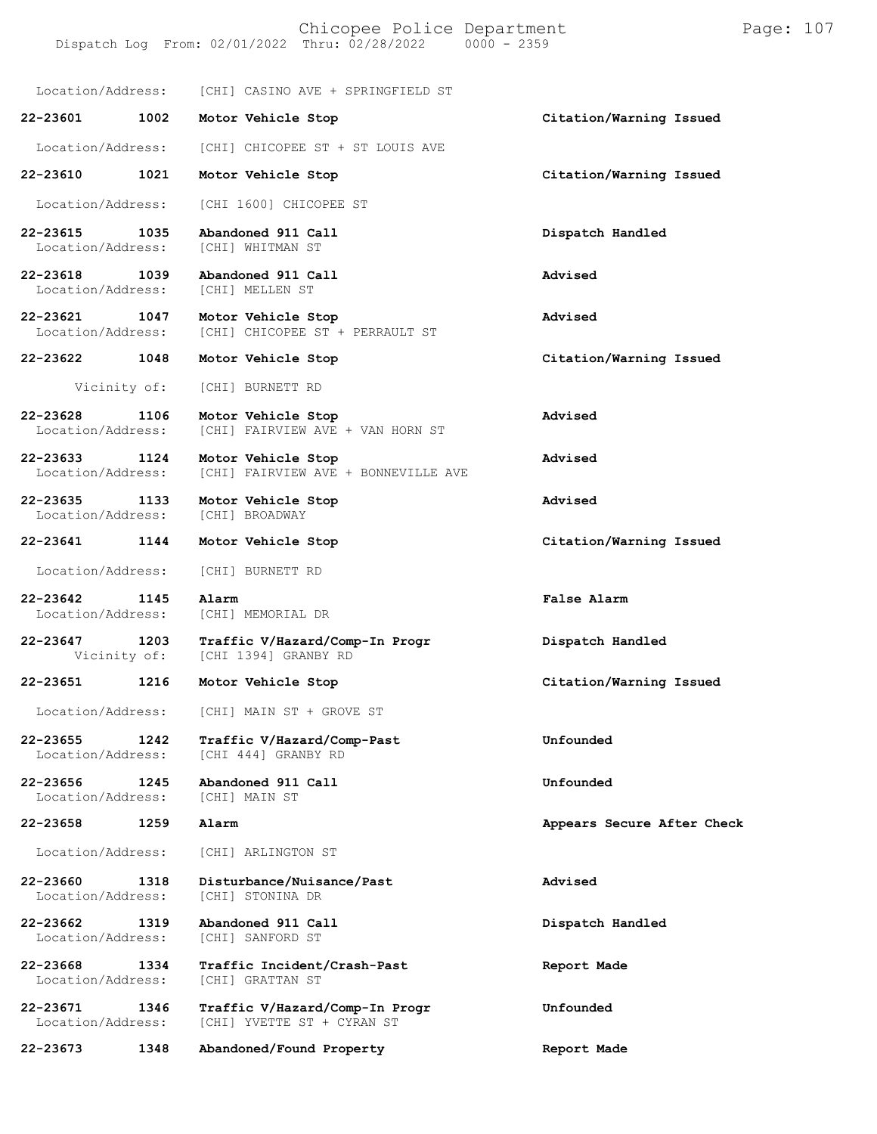Location/Address: [CHI] CASINO AVE + SPRINGFIELD ST

**22-23601 1002 Motor Vehicle Stop Citation/Warning Issued**

Location/Address: [CHI] CHICOPEE ST + ST LOUIS AVE

**22-23610 1021 Motor Vehicle Stop Citation/Warning Issued**

Location/Address: [CHI 1600] CHICOPEE ST

**22-23615 1035 Abandoned 911 Call Dispatch Handled** [CHI] WHITMAN ST

**22-23618 1039 Abandoned 911 Call Advised**

Location/Address:

**22-23621 1047 Motor Vehicle Stop Advised** [CHI] CHICOPEE ST + PERRAULT ST

**22-23622 1048 Motor Vehicle Stop Citation/Warning Issued**

Vicinity of: [CHI] BURNETT RD

**22-23628 1106 Motor Vehicle Stop Advised** [CHI] FAIRVIEW AVE + VAN HORN ST

**22-23633 1124 Motor Vehicle Stop Advised** [CHI] FAIRVIEW AVE + BONNEVILLE AVE

**22-23635 1133 Motor Vehicle Stop Advised** Location/Address:

**22-23641 1144 Motor Vehicle Stop Citation/Warning Issued**

Location/Address: [CHI] BURNETT RD

**22-23642 1145 Alarm False Alarm** [CHI] MEMORIAL DR

**22-23647 1203 Traffic V/Hazard/Comp-In Progr Dispatch Handled** [CHI 1394] GRANBY RD

**22-23651 1216 Motor Vehicle Stop Citation/Warning Issued**

Location/Address: [CHI] MAIN ST + GROVE ST

**22-23655 1242 Traffic V/Hazard/Comp-Past Unfounded** [CHI 444] GRANBY RD

**22-23656 1245 Abandoned 911 Call Unfounded** Location/Address:

Location/Address: [CHI] ARLINGTON ST

Location/Address: [CHI] GRATTAN ST

**22-23660 1318 Disturbance/Nuisance/Past Advised** Location/Address:

**22-23662 1319 Abandoned 911 Call Dispatch Handled** Location/Address:

**22-23668 1334 Traffic Incident/Crash-Past Report Made**

**22-23671 1346 Traffic V/Hazard/Comp-In Progr Unfounded** [CHI] YVETTE ST + CYRAN ST

**22-23673 1348 Abandoned/Found Property Report Made**

**22-23658 1259 Alarm Appears Secure After Check**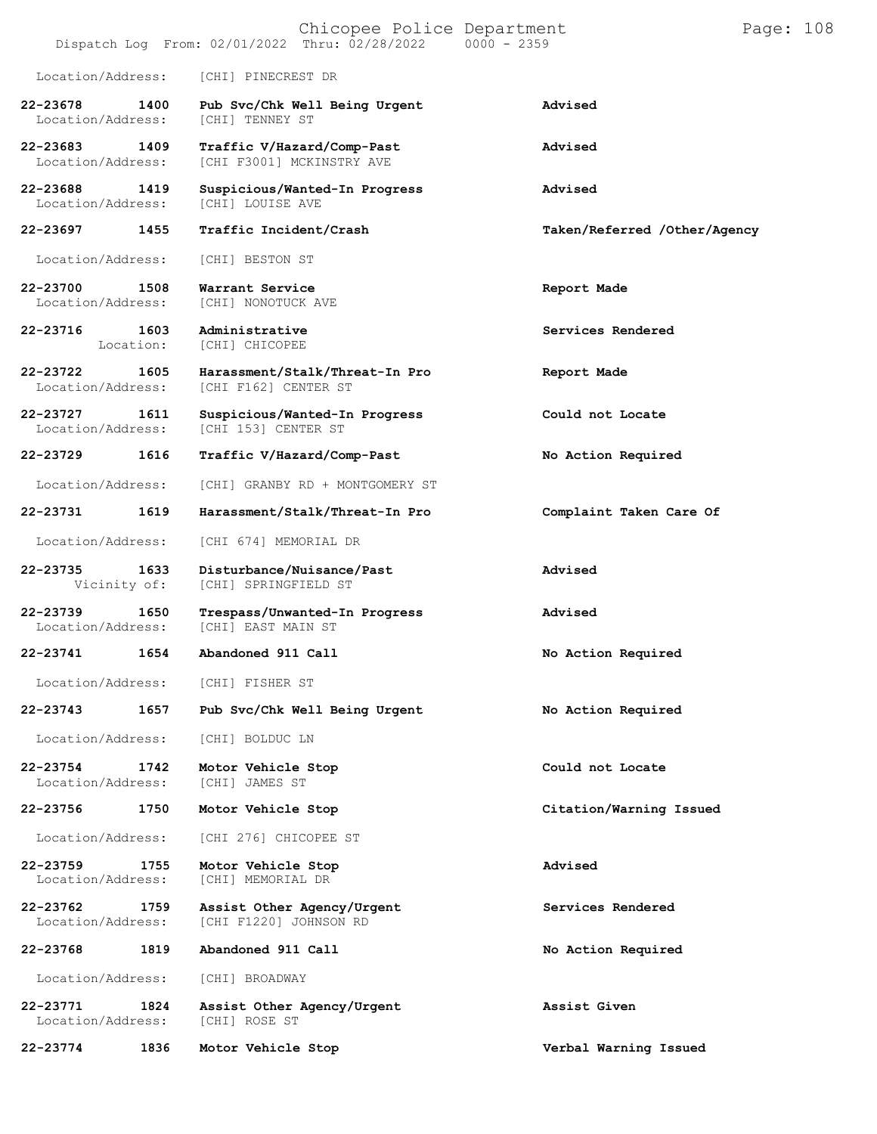| Chicopee Police Department<br>Dispatch Log From: 02/01/2022 Thru: 02/28/2022<br>$0000 - 2359$ |                   |                                                         |                              | Page: 108 |  |
|-----------------------------------------------------------------------------------------------|-------------------|---------------------------------------------------------|------------------------------|-----------|--|
| Location/Address:                                                                             |                   | [CHI] PINECREST DR                                      |                              |           |  |
| 22-23678<br>Location/Address:                                                                 | 1400              | Pub Svc/Chk Well Being Urgent<br>[CHI] TENNEY ST        | Advised                      |           |  |
| 22-23683<br>Location/Address:                                                                 | 1409              | Traffic V/Hazard/Comp-Past<br>[CHI F3001] MCKINSTRY AVE | Advised                      |           |  |
| 22-23688<br>Location/Address:                                                                 | 1419              | Suspicious/Wanted-In Progress<br>[CHI] LOUISE AVE       | Advised                      |           |  |
| 22-23697                                                                                      | 1455              | Traffic Incident/Crash                                  | Taken/Referred /Other/Agency |           |  |
| Location/Address:                                                                             |                   | [CHI] BESTON ST                                         |                              |           |  |
| 22-23700<br>Location/Address:                                                                 | 1508              | Warrant Service<br>[CHI] NONOTUCK AVE                   | Report Made                  |           |  |
| 22-23716                                                                                      | 1603<br>Location: | Administrative<br>[CHI] CHICOPEE                        | Services Rendered            |           |  |
| 22-23722<br>Location/Address:                                                                 | 1605              | Harassment/Stalk/Threat-In Pro<br>[CHI F162] CENTER ST  | Report Made                  |           |  |
| 22-23727<br>Location/Address:                                                                 | 1611              | Suspicious/Wanted-In Progress<br>[CHI 153] CENTER ST    | Could not Locate             |           |  |
| 22-23729                                                                                      | 1616              | Traffic V/Hazard/Comp-Past                              | No Action Required           |           |  |
| Location/Address:                                                                             |                   | [CHI] GRANBY RD + MONTGOMERY ST                         |                              |           |  |
| 22-23731                                                                                      | 1619              | Harassment/Stalk/Threat-In Pro                          | Complaint Taken Care Of      |           |  |
| Location/Address:                                                                             |                   | [CHI 674] MEMORIAL DR                                   |                              |           |  |
| 22-23735<br>Vicinity of:                                                                      | 1633              | Disturbance/Nuisance/Past<br>[CHI] SPRINGFIELD ST       | Advised                      |           |  |
| 22-23739<br>Location/Address:                                                                 | 1650              | Trespass/Unwanted-In Progress<br>[CHI] EAST MAIN ST     | Advised                      |           |  |
| 22-23741                                                                                      | 1654              | Abandoned 911 Call                                      | No Action Required           |           |  |
| Location/Address:                                                                             |                   | [CHI] FISHER ST                                         |                              |           |  |
| 22-23743                                                                                      | 1657              | Pub Svc/Chk Well Being Urgent                           | No Action Required           |           |  |
| Location/Address:                                                                             |                   | [CHI] BOLDUC LN                                         |                              |           |  |
| 22-23754<br>Location/Address:                                                                 | 1742              | Motor Vehicle Stop<br>[CHI] JAMES ST                    | Could not Locate             |           |  |
| 22-23756                                                                                      | 1750              | Motor Vehicle Stop                                      | Citation/Warning Issued      |           |  |
| Location/Address:                                                                             |                   | [CHI 276] CHICOPEE ST                                   |                              |           |  |
| 22-23759<br>Location/Address:                                                                 | 1755              | Motor Vehicle Stop<br>[CHI] MEMORIAL DR                 | Advised                      |           |  |
| 22-23762<br>Location/Address:                                                                 | 1759              | Assist Other Agency/Urgent<br>[CHI F1220] JOHNSON RD    | Services Rendered            |           |  |
| 22-23768                                                                                      | 1819              | Abandoned 911 Call                                      | No Action Required           |           |  |
| Location/Address:                                                                             |                   | [CHI] BROADWAY                                          |                              |           |  |
| 22-23771<br>Location/Address:                                                                 | 1824              | Assist Other Agency/Urgent<br>[CHI] ROSE ST             | Assist Given                 |           |  |
| 22-23774                                                                                      | 1836              | Motor Vehicle Stop                                      | Verbal Warning Issued        |           |  |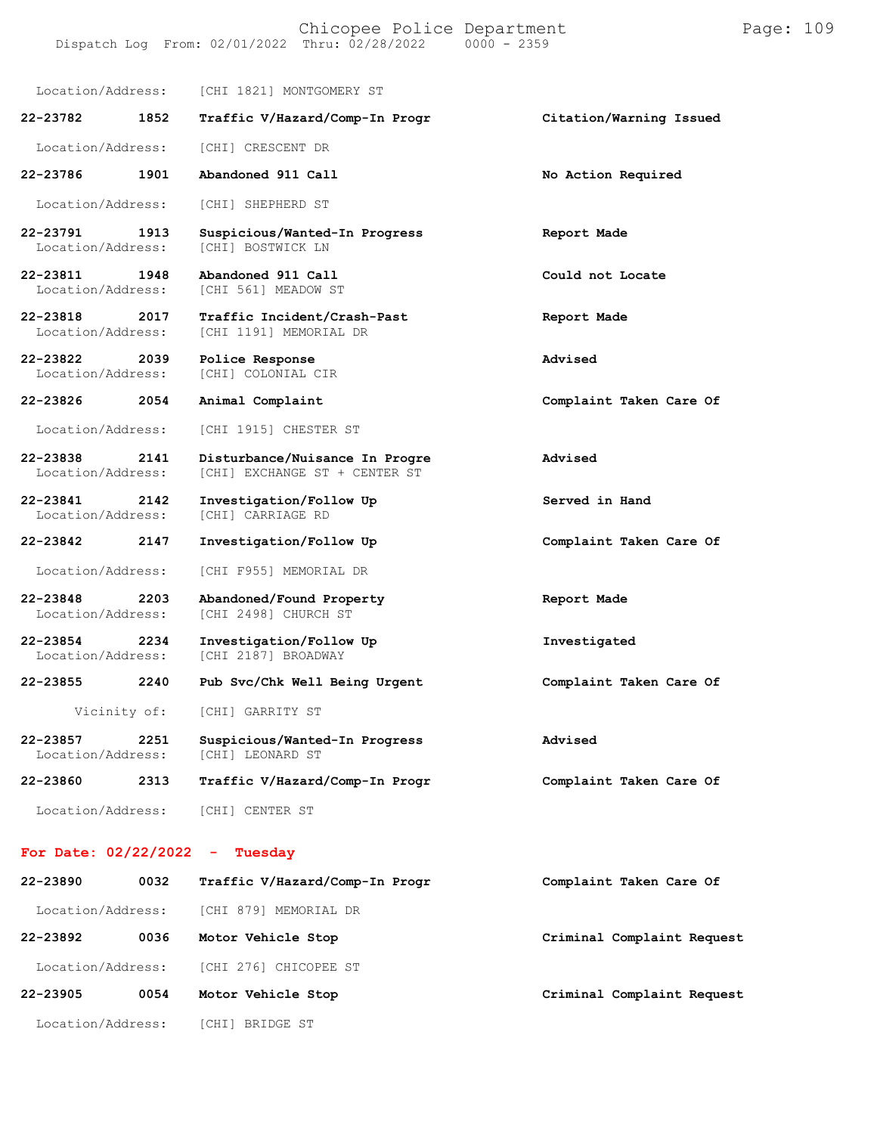#### Chicopee Police Department Page: 109 Dispatch Log From:  $02/01/2022$  Thru:  $02/28/2022$

Location/Address: [CHI 1821] MONTGOMERY ST **22-23782 1852 Traffic V/Hazard/Comp-In Progr Citation/Warning Issued** Location/Address: [CHI] CRESCENT DR **22-23786 1901 Abandoned 911 Call No Action Required** Location/Address: [CHI] SHEPHERD ST **22-23791 1913 Suspicious/Wanted-In Progress Report Made** Location/Address: **22-23811 1948 Abandoned 911 Call Could not Locate** [CHI 561] MEADOW ST **22-23818 2017 Traffic Incident/Crash-Past Report Made** [CHI 1191] MEMORIAL DR **22-23822 2039 Police Response Advised** [CHI] COLONIAL CIR **22-23826 2054 Animal Complaint Complaint Taken Care Of** Location/Address: [CHI 1915] CHESTER ST **22-23838 2141 Disturbance/Nuisance In Progre Advised** [CHI] EXCHANGE ST + CENTER ST **22-23841 2142 Investigation/Follow Up Served in Hand** Location/Address: **22-23842 2147 Investigation/Follow Up Complaint Taken Care Of** Location/Address: [CHI F955] MEMORIAL DR **22-23848 2203 Abandoned/Found Property Report Made** [CHI 2498] CHURCH ST **22-23854 2234 Investigation/Follow Up Investigated** [CHI 2187] BROADWAY **22-23855 2240 Pub Svc/Chk Well Being Urgent Complaint Taken Care Of** Vicinity of: [CHI] GARRITY ST **22-23857 2251 Suspicious/Wanted-In Progress Advised** [CHI] LEONARD ST **22-23860 2313 Traffic V/Hazard/Comp-In Progr Complaint Taken Care Of** Location/Address: [CHI] CENTER ST

#### **For Date: 02/22/2022 - Tuesday**

| 22-23890          | 0032 | Traffic V/Hazard/Comp-In Progr | Complaint Taken Care Of    |
|-------------------|------|--------------------------------|----------------------------|
| Location/Address: |      | [CHI 879] MEMORIAL DR          |                            |
| 22-23892          | 0036 | Motor Vehicle Stop             | Criminal Complaint Request |
| Location/Address: |      | [CHI 276] CHICOPEE ST          |                            |
| 22-23905          | 0054 | Motor Vehicle Stop             | Criminal Complaint Request |
| Location/Address: |      | [CHI] BRIDGE ST                |                            |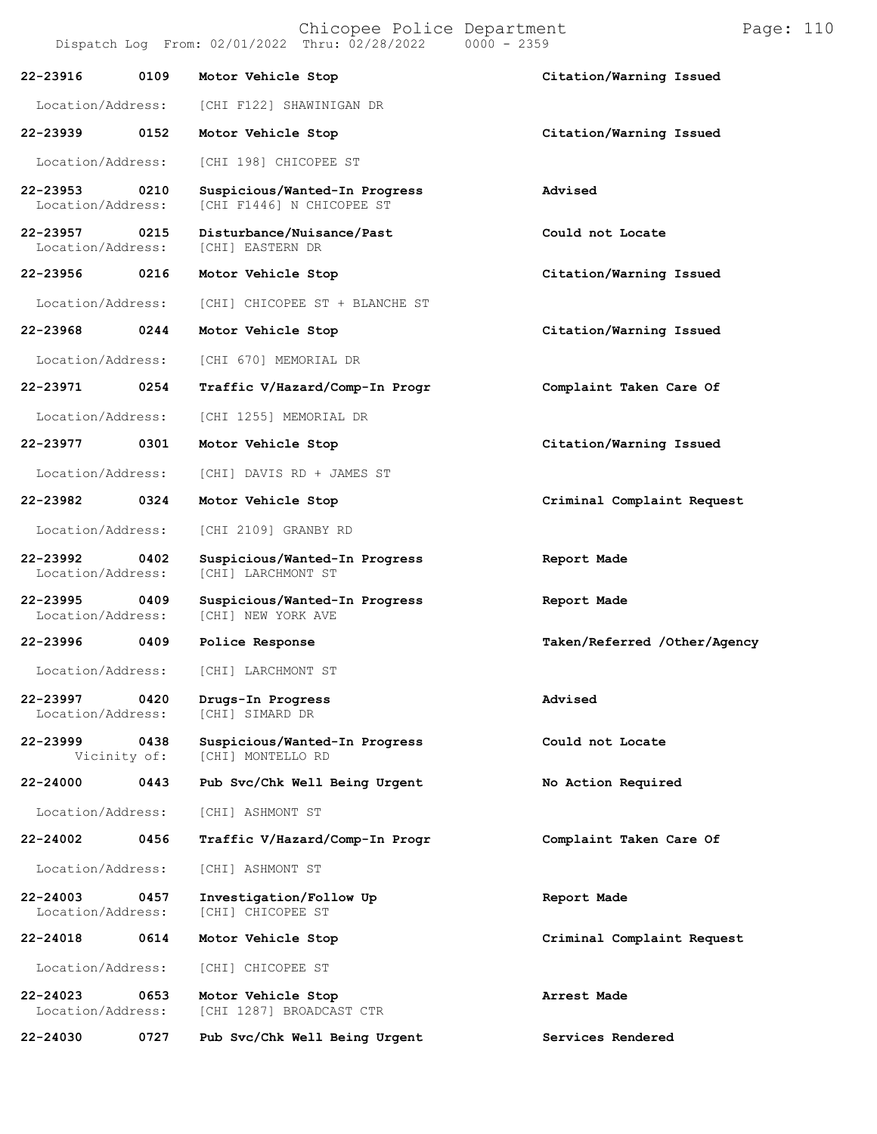Chicopee Police Department Page: 110 Dispatch Log From: 02/01/2022 Thru: 02/28/2022 **22-23916 0109 Motor Vehicle Stop Citation/Warning Issued** Location/Address: [CHI F122] SHAWINIGAN DR **22-23939 0152 Motor Vehicle Stop Citation/Warning Issued** Location/Address: [CHI 198] CHICOPEE ST **22-23953 0210 Suspicious/Wanted-In Progress Advised** [CHI F1446] N CHICOPEE ST **22-23957 0215 Disturbance/Nuisance/Past Could not Locate** Location/Address: **22-23956 0216 Motor Vehicle Stop Citation/Warning Issued** Location/Address: [CHI] CHICOPEE ST + BLANCHE ST **22-23968 0244 Motor Vehicle Stop Citation/Warning Issued** Location/Address: [CHI 670] MEMORIAL DR **22-23971 0254 Traffic V/Hazard/Comp-In Progr Complaint Taken Care Of** Location/Address: [CHI 1255] MEMORIAL DR **22-23977 0301 Motor Vehicle Stop Citation/Warning Issued** Location/Address: [CHI] DAVIS RD + JAMES ST **22-23982 0324 Motor Vehicle Stop Criminal Complaint Request** Location/Address: [CHI 2109] GRANBY RD **22-23992 0402 Suspicious/Wanted-In Progress Report Made** [CHI] LARCHMONT ST **22-23995 0409 Suspicious/Wanted-In Progress Report Made** [CHI] NEW YORK AVE **22-23996 0409 Police Response Taken/Referred /Other/Agency** Location/Address: [CHI] LARCHMONT ST **22-23997 0420 Drugs-In Progress Advised** Location/Address: **22-23999 0438 Suspicious/Wanted-In Progress Could not Locate** [CHI] MONTELLO RD **22-24000 0443 Pub Svc/Chk Well Being Urgent No Action Required** Location/Address: [CHI] ASHMONT ST **22-24002 0456 Traffic V/Hazard/Comp-In Progr Complaint Taken Care Of** Location/Address: [CHI] ASHMONT ST **22-24003 0457 Investigation/Follow Up Report Made** [CHI] CHICOPEE ST **22-24018 0614 Motor Vehicle Stop Criminal Complaint Request** Location/Address: [CHI] CHICOPEE ST **22-24023 0653 Motor Vehicle Stop Arrest Made** [CHI 1287] BROADCAST CTR

**22-24030 0727 Pub Svc/Chk Well Being Urgent Services Rendered**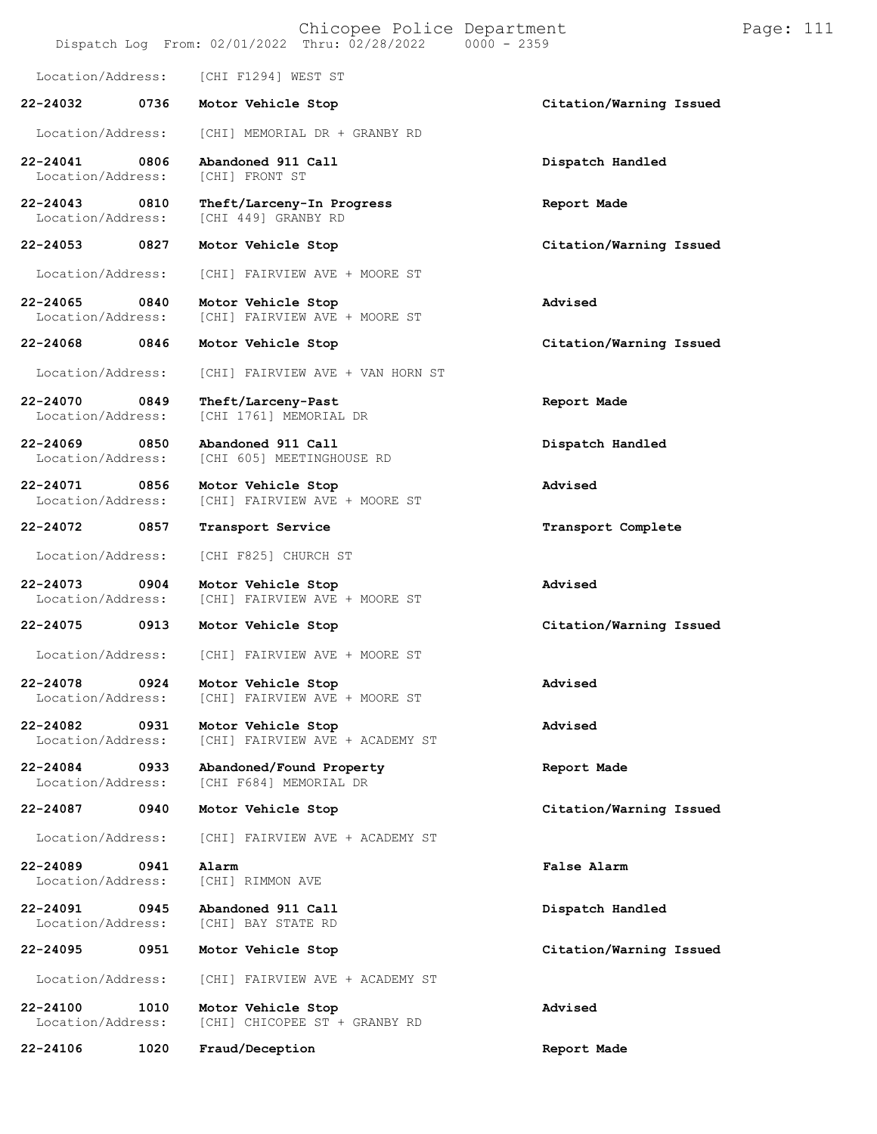# Chicopee Police Department Page: 111 Dispatch Log From:  $02/01/2022$  Thru:  $02/28/2022$ Location/Address: [CHI F1294] WEST ST **22-24032 0736 Motor Vehicle Stop Citation/Warning Issued** Location/Address: [CHI] MEMORIAL DR + GRANBY RD **22-24041 0806 Abandoned 911 Call Dispatch Handled** Location/Address: **22-24043 0810 Theft/Larceny-In Progress Report Made** [CHI 449] GRANBY RD **22-24053 0827 Motor Vehicle Stop Citation/Warning Issued** Location/Address: [CHI] FAIRVIEW AVE + MOORE ST **22-24065 0840 Motor Vehicle Stop Advised** [CHI] FAIRVIEW AVE + MOORE ST **22-24068 0846 Motor Vehicle Stop Citation/Warning Issued** Location/Address: [CHI] FAIRVIEW AVE + VAN HORN ST **22-24070 0849 Theft/Larceny-Past Report Made** [CHI 1761] MEMORIAL DR **22-24069 0850 Abandoned 911 Call Dispatch Handled** [CHI 605] MEETINGHOUSE RD **22-24071 0856 Motor Vehicle Stop Advised** [CHI] FAIRVIEW AVE + MOORE ST **22-24072 0857 Transport Service Transport Complete** Location/Address: [CHI F825] CHURCH ST **22-24073 0904 Motor Vehicle Stop Advised** [CHI] FAIRVIEW AVE + MOORE ST **22-24075 0913 Motor Vehicle Stop Citation/Warning Issued** Location/Address: [CHI] FAIRVIEW AVE + MOORE ST **22-24078 0924 Motor Vehicle Stop Advised** [CHI] FAIRVIEW AVE + MOORE ST **22-24082 0931 Motor Vehicle Stop Advised** [CHI] FAIRVIEW AVE + ACADEMY ST **22-24084 0933 Abandoned/Found Property Report Made** [CHI F684] MEMORIAL DR **22-24087 0940 Motor Vehicle Stop Citation/Warning Issued** Location/Address: [CHI] FAIRVIEW AVE + ACADEMY ST **22-24089 0941 Alarm False Alarm** Location/Address: [CHI] RIMMON AVE **22-24091 0945 Abandoned 911 Call Dispatch Handled** [CHI] BAY STATE RD **22-24095 0951 Motor Vehicle Stop Citation/Warning Issued** Location/Address: [CHI] FAIRVIEW AVE + ACADEMY ST **22-24100 1010 Motor Vehicle Stop Advised** [CHI] CHICOPEE ST + GRANBY RD

**22-24106 1020 Fraud/Deception Report Made**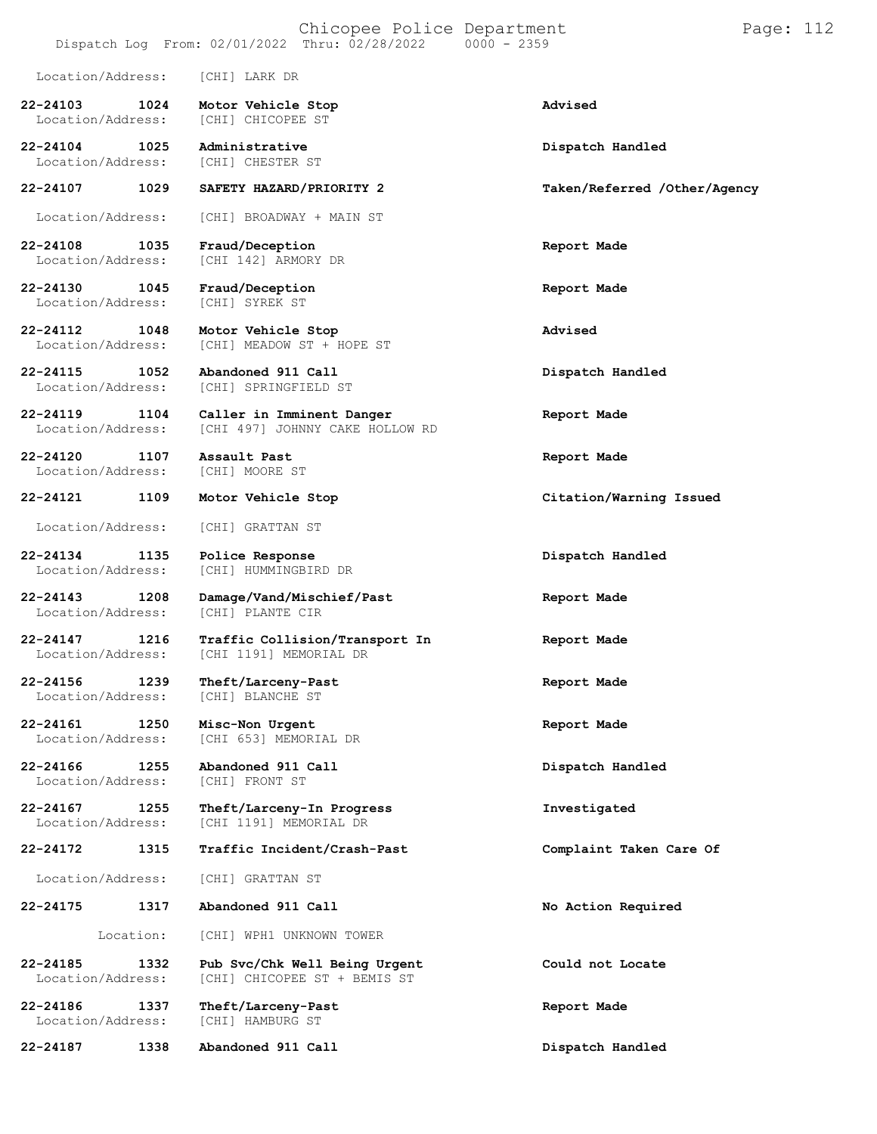|                                           | Dispatch Log From: 02/01/2022 Thru: 02/28/2022                | $0000 - 2359$                |
|-------------------------------------------|---------------------------------------------------------------|------------------------------|
| Location/Address:                         | [CHI] LARK DR                                                 |                              |
| 22-24103<br>1024<br>Location/Address:     | Motor Vehicle Stop<br>[CHI] CHICOPEE ST                       | Advised                      |
| 22-24104<br>1025<br>Location/Address:     | Administrative<br>[CHI] CHESTER ST                            | Dispatch Handled             |
| 1029<br>22-24107                          | SAFETY HAZARD/PRIORITY 2                                      | Taken/Referred /Other/Agency |
| Location/Address:                         | [CHI] BROADWAY + MAIN ST                                      |                              |
| 22-24108<br>1035<br>Location/Address:     | Fraud/Deception<br>[CHI 142] ARMORY DR                        | Report Made                  |
| 22-24130<br>1045<br>Location/Address:     | Fraud/Deception<br>[CHI] SYREK ST                             | Report Made                  |
| 22-24112<br>1048<br>Location/Address:     | Motor Vehicle Stop<br>[CHI] MEADOW ST + HOPE ST               | Advised                      |
| 22-24115<br>1052<br>Location/Address:     | Abandoned 911 Call<br>[CHI] SPRINGFIELD ST                    | Dispatch Handled             |
| 22-24119<br>1104<br>Location/Address:     | Caller in Imminent Danger<br>[CHI 497] JOHNNY CAKE HOLLOW RD  | Report Made                  |
| 22-24120<br>1107<br>Location/Address:     | Assault Past<br>[CHI] MOORE ST                                | Report Made                  |
| 22-24121<br>1109                          | Motor Vehicle Stop                                            | Citation/Warning Issued      |
| Location/Address:                         | [CHI] GRATTAN ST                                              |                              |
| 22-24134<br>1135<br>Location/Address:     | Police Response<br>[CHI] HUMMINGBIRD DR                       | Dispatch Handled             |
| 22-24143<br>1208<br>Location/Address:     | Damage/Vand/Mischief/Past<br>[CHI] PLANTE CIR                 | Report Made                  |
| $22 - 24147$<br>1216<br>Location/Address: | Traffic Collision/Transport In<br>[CHI 1191] MEMORIAL DR      | Report Made                  |
| 22-24156<br>1239<br>Location/Address:     | Theft/Larceny-Past<br>[CHI] BLANCHE ST                        | Report Made                  |
| 22-24161<br>1250<br>Location/Address:     | Misc-Non Urgent<br>[CHI 653] MEMORIAL DR                      | Report Made                  |
| 22-24166 1255<br>Location/Address:        | Abandoned 911 Call<br>[CHI] FRONT ST                          | Dispatch Handled             |
| 22-24167<br>1255<br>Location/Address:     | Theft/Larceny-In Progress<br>[CHI 1191] MEMORIAL DR           | Investigated                 |
| 22-24172<br>1315                          | Traffic Incident/Crash-Past                                   | Complaint Taken Care Of      |
| Location/Address:                         | [CHI] GRATTAN ST                                              |                              |
| 22-24175<br>1317                          | Abandoned 911 Call                                            | No Action Required           |
| Location:                                 | [CHI] WPH1 UNKNOWN TOWER                                      |                              |
| 22-24185<br>1332<br>Location/Address:     | Pub Svc/Chk Well Being Urgent<br>[CHI] CHICOPEE ST + BEMIS ST | Could not Locate             |
| 22-24186<br>1337<br>Location/Address:     | Theft/Larceny-Past<br>[CHI] HAMBURG ST                        | Report Made                  |
| 22-24187<br>1338                          | Abandoned 911 Call                                            | Dispatch Handled             |

Chicopee Police Department Form Page: 112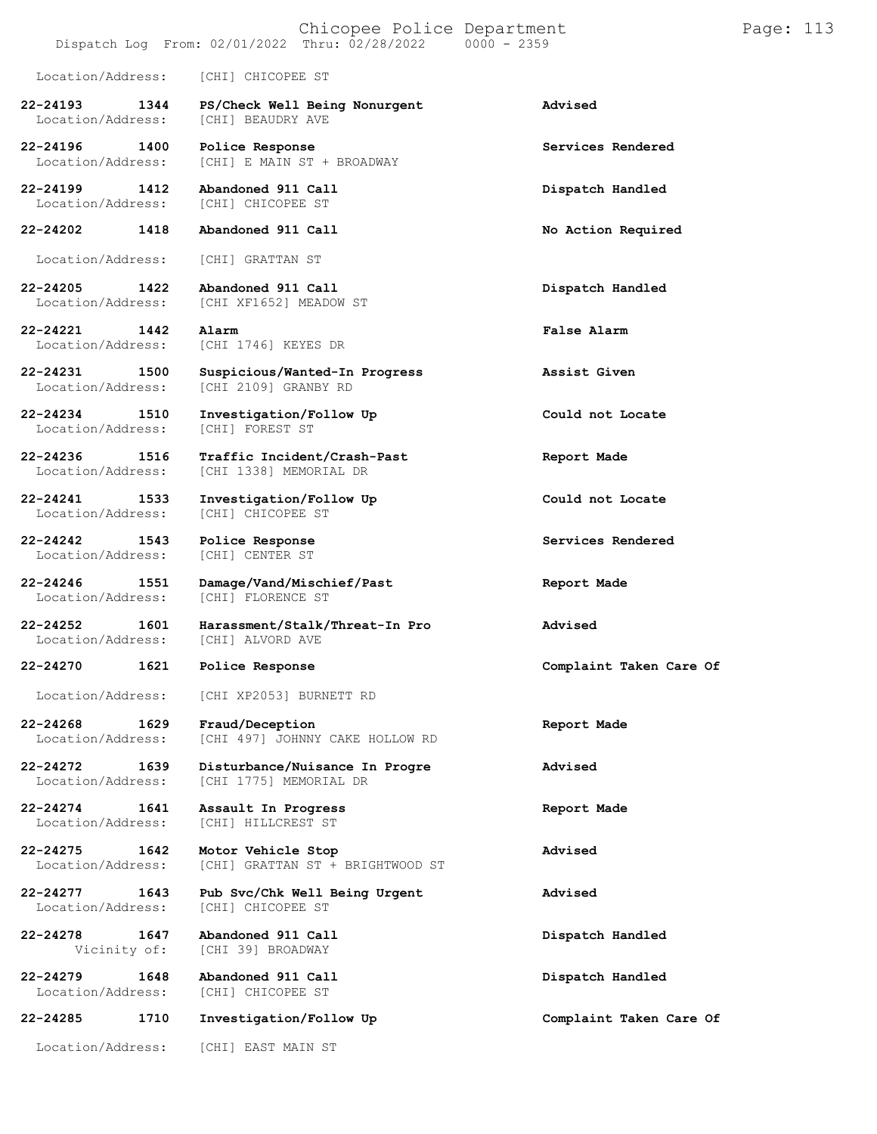# Chicopee Police Department Page: 113

# Dispatch Log From:  $02/01/2022$  Thru:  $02/28/2022$

Location/Address: [CHI] CHICOPEE ST

- **22-24193 1344 PS/Check Well Being Nonurgent Advised** Location/Address:
- 
- 
- -
- 
- 
- 
- 
- Location/Address:
- 
- Location/Address:
- **22-24242 1543 Police Response Services Rendered** Location/Address:
- 
- -
	-
- 
- 
- 
- 
- Location/Address:
- 
- 
- 
- **22-24285 1710 Investigation/Follow Up Complaint Taken Care Of**

Location/Address: [CHI] EAST MAIN ST

- **22-24196 1400 Police Response Services Rendered** [CHI] E MAIN ST + BROADWAY
- **22-24199 1412 Abandoned 911 Call Dispatch Handled** [CHI] CHICOPEE ST
- **22-24202 1418 Abandoned 911 Call No Action Required**
	- Location/Address: [CHI] GRATTAN ST
- **22-24205 1422 Abandoned 911 Call Dispatch Handled** [CHI XF1652] MEADOW ST
- **22-24221 1442 Alarm False Alarm** [CHI 1746] KEYES DR
- **22-24231 1500 Suspicious/Wanted-In Progress Assist Given** [CHI 2109] GRANBY RD
- **22-24234 1510 Investigation/Follow Up Could not Locate**
- **22-24236 1516 Traffic Incident/Crash-Past Report Made** Location/Address: [CHI 1338] MEMORIAL DR
- **22-24241 1533 Investigation/Follow Up Could not Locate**
	-
- **22-24246 1551 Damage/Vand/Mischief/Past Report Made** [CHI] FLORENCE ST
- **22-24252 1601 Harassment/Stalk/Threat-In Pro Advised** [CHI] ALVORD AVE
	-
	- Location/Address: [CHI XP2053] BURNETT RD
- **22-24268 1629 Fraud/Deception Report Made** [CHI 497] JOHNNY CAKE HOLLOW RD
- **22-24272 1639 Disturbance/Nuisance In Progre Advised** [CHI 1775] MEMORIAL DR
- **22-24274 1641 Assault In Progress Report Made** [CHI] HILLCREST ST
- **22-24275 1642 Motor Vehicle Stop Advised** [CHI] GRATTAN ST + BRIGHTWOOD ST
- **22-24277 1643 Pub Svc/Chk Well Being Urgent Advised**
- **22-24278 1647 Abandoned 911 Call Dispatch Handled** [CHI 39] BROADWAY
- **22-24279 1648 Abandoned 911 Call Dispatch Handled** [CHI] CHICOPEE ST
	-

- -
	-
	-
	-
	-
	-
	-
	-
	-
	-
	-
- **22-24270 1621 Police Response Complaint Taken Care Of**
	-
	-
	-
	-
	-
	-
	-
	-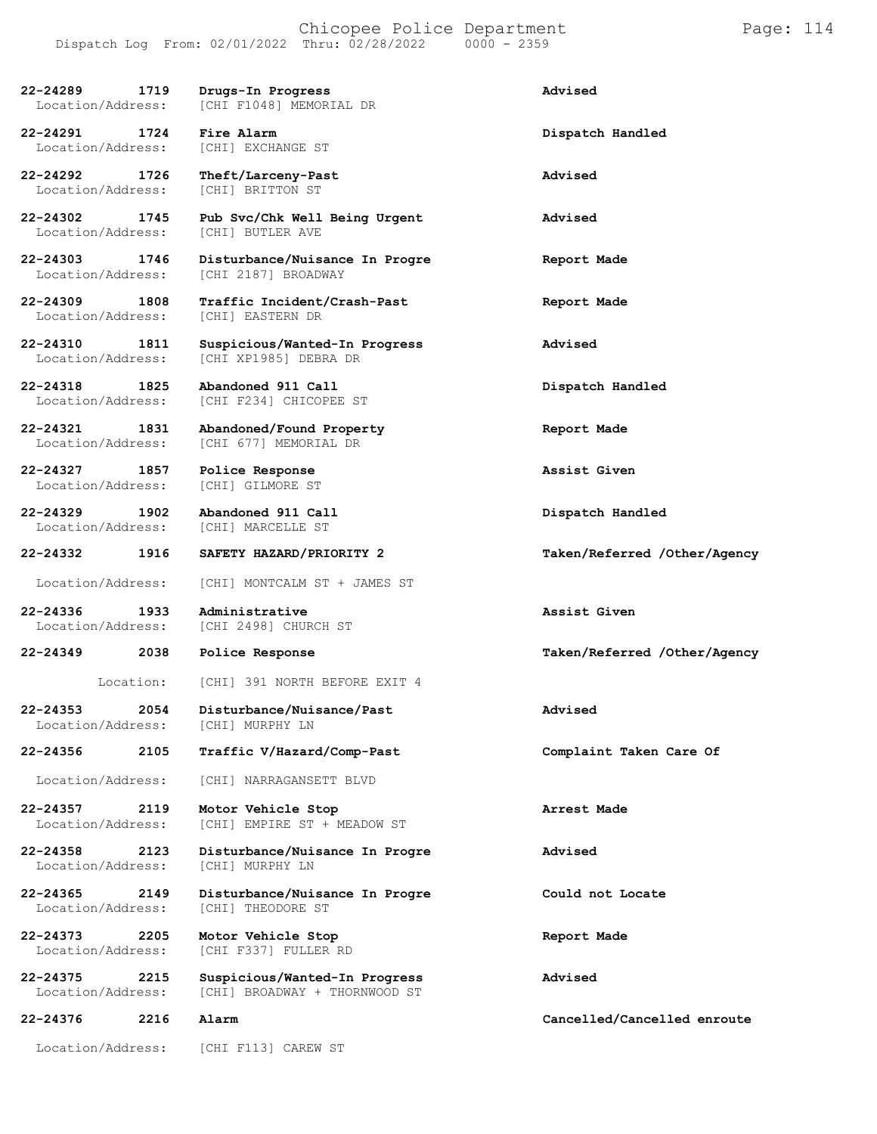| 22-24289<br>1719<br>Location/Address:     | Drugs-In Progress<br>[CHI F1048] MEMORIAL DR                   | Advised                      |
|-------------------------------------------|----------------------------------------------------------------|------------------------------|
| 22-24291<br>1724<br>Location/Address:     | Fire Alarm<br>[CHI] EXCHANGE ST                                | Dispatch Handled             |
| 22-24292<br>1726<br>Location/Address:     | Theft/Larceny-Past<br>[CHI] BRITTON ST                         | Advised                      |
| 22-24302<br>1745<br>Location/Address:     | Pub Svc/Chk Well Being Urgent<br>[CHI] BUTLER AVE              | Advised                      |
| $22 - 24303$<br>1746<br>Location/Address: | Disturbance/Nuisance In Progre<br>[CHI 2187] BROADWAY          | Report Made                  |
| 22-24309<br>1808<br>Location/Address:     | Traffic Incident/Crash-Past<br>[CHI] EASTERN DR                | Report Made                  |
| 22-24310<br>1811<br>Location/Address:     | Suspicious/Wanted-In Progress<br>[CHI XP1985] DEBRA DR         | Advised                      |
| $22 - 24318$<br>1825<br>Location/Address: | Abandoned 911 Call<br>[CHI F234] CHICOPEE ST                   | Dispatch Handled             |
| 22-24321<br>1831<br>Location/Address:     | Abandoned/Found Property<br>[CHI 677] MEMORIAL DR              | Report Made                  |
| 22-24327<br>1857<br>Location/Address:     | Police Response<br>[CHI] GILMORE ST                            | Assist Given                 |
| $22 - 24329$<br>1902<br>Location/Address: | Abandoned 911 Call<br>[CHI] MARCELLE ST                        | Dispatch Handled             |
| 22-24332<br>1916                          | SAFETY HAZARD/PRIORITY 2                                       | Taken/Referred /Other/Agency |
| Location/Address:                         | [CHI] MONTCALM ST + JAMES ST                                   |                              |
| 22-24336<br>1933<br>Location/Address:     | Administrative<br>[CHI 2498] CHURCH ST                         | Assist Given                 |
| 22-24349<br>2038                          | Police Response                                                | Taken/Referred /Other/Agency |
| Location:                                 | [CHI] 391 NORTH BEFORE EXIT 4                                  |                              |
| 22-24353<br>2054<br>Location/Address:     | Disturbance/Nuisance/Past<br>[CHI] MURPHY LN                   | Advised                      |
| 22-24356<br>2105                          | Traffic V/Hazard/Comp-Past                                     | Complaint Taken Care Of      |
| Location/Address:                         | [CHI] NARRAGANSETT BLVD                                        |                              |
|                                           |                                                                |                              |
| 22-24357<br>2119                          |                                                                |                              |
| Location/Address:                         | Motor Vehicle Stop<br>[CHI] EMPIRE ST + MEADOW ST              | Arrest Made                  |
| 22-24358<br>2123<br>Location/Address:     | Disturbance/Nuisance In Progre<br>[CHI] MURPHY LN              | Advised                      |
| 22-24365<br>2149<br>Location/Address:     | Disturbance/Nuisance In Progre<br>[CHI] THEODORE ST            | Could not Locate             |
| 22-24373<br>2205<br>Location/Address:     | Motor Vehicle Stop<br>[CHI F337] FULLER RD                     | Report Made                  |
| $22 - 24375$<br>2215<br>Location/Address: | Suspicious/Wanted-In Progress<br>[CHI] BROADWAY + THORNWOOD ST | Advised                      |
| 22-24376<br>2216                          | Alarm                                                          | Cancelled/Cancelled enroute  |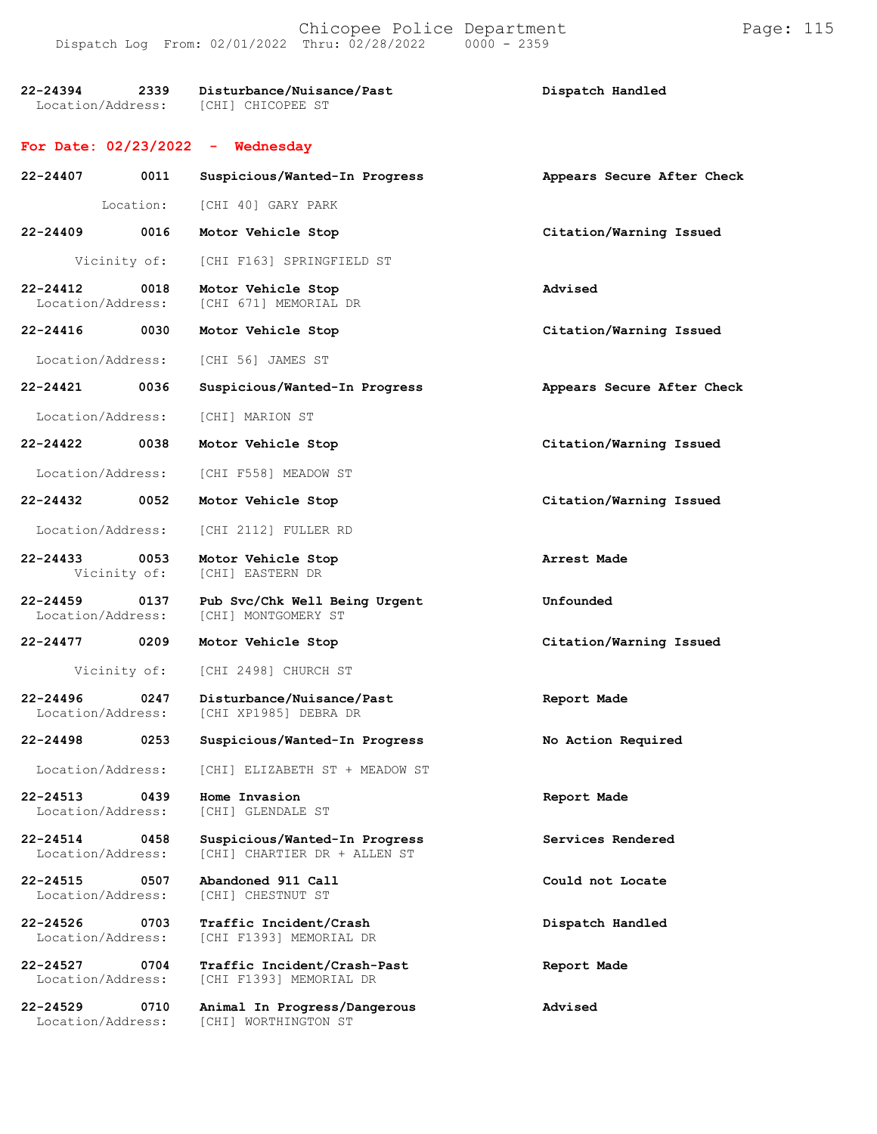**22-24394 2339 Disturbance/Nuisance/Past Dispatch Handled** Location/Address: [CHI] CHICOPEE ST

#### **For Date: 02/23/2022 - Wednesday**

Location/Address: [CHI] WORTHINGTON ST

| 22-24407                          | 0011<br>Suspicious/Wanted-In Progress |                                                               | Appears Secure After Check |
|-----------------------------------|---------------------------------------|---------------------------------------------------------------|----------------------------|
|                                   | Location:                             | [CHI 40] GARY PARK                                            |                            |
| $22 - 24409$                      | 0016                                  | Motor Vehicle Stop                                            | Citation/Warning Issued    |
|                                   | Vicinity of:                          | [CHI F163] SPRINGFIELD ST                                     |                            |
| $22 - 24412$<br>Location/Address: | 0018                                  | Motor Vehicle Stop<br>[CHI 671] MEMORIAL DR                   | Advised                    |
| 22-24416 0030                     |                                       | Motor Vehicle Stop                                            | Citation/Warning Issued    |
| Location/Address:                 |                                       | [CHI 56] JAMES ST                                             |                            |
| 22-24421                          | 0036                                  | Suspicious/Wanted-In Progress                                 | Appears Secure After Check |
| Location/Address:                 |                                       | [CHI] MARION ST                                               |                            |
| 22-24422                          | 0038                                  | Motor Vehicle Stop                                            | Citation/Warning Issued    |
| Location/Address:                 |                                       | [CHI F558] MEADOW ST                                          |                            |
| 22-24432 0052                     |                                       | Motor Vehicle Stop                                            | Citation/Warning Issued    |
| Location/Address:                 |                                       | [CHI 2112] FULLER RD                                          |                            |
| 22-24433                          | 0053<br>Vicinity of:                  | Motor Vehicle Stop<br>[CHI] EASTERN DR                        | Arrest Made                |
| $22 - 24459$<br>Location/Address: | 0137                                  | Pub Svc/Chk Well Being Urgent<br>[CHI] MONTGOMERY ST          | Unfounded                  |
| 22-24477                          | 0209                                  | Motor Vehicle Stop                                            | Citation/Warning Issued    |
|                                   | Vicinity of:                          | [CHI 2498] CHURCH ST                                          |                            |
| $22 - 24496$<br>Location/Address: | 0247                                  | Disturbance/Nuisance/Past<br>[CHI XP1985] DEBRA DR            | Report Made                |
| 22-24498 0253                     |                                       | Suspicious/Wanted-In Progress                                 | No Action Required         |
| Location/Address:                 |                                       | [CHI] ELIZABETH ST + MEADOW ST                                |                            |
| 22-24513<br>Location/Address:     | 0439                                  | Home Invasion<br>[CHI] GLENDALE ST                            | Report Made                |
| $22 - 24514$<br>Location/Address: | 0458                                  | Suspicious/Wanted-In Progress<br>[CHI] CHARTIER DR + ALLEN ST | Services Rendered          |
| $22 - 24515$<br>Location/Address: | 0507                                  | Abandoned 911 Call<br>[CHI] CHESTNUT ST                       | Could not Locate           |
| $22 - 24526$<br>Location/Address: | 0703                                  | Traffic Incident/Crash<br>[CHI F1393] MEMORIAL DR             | Dispatch Handled           |
| 22-24527<br>Location/Address:     | 0704                                  | Traffic Incident/Crash-Past<br>[CHI F1393] MEMORIAL DR        | Report Made                |
| 22-24529                          | 0710                                  | Animal In Progress/Dangerous                                  | Advised                    |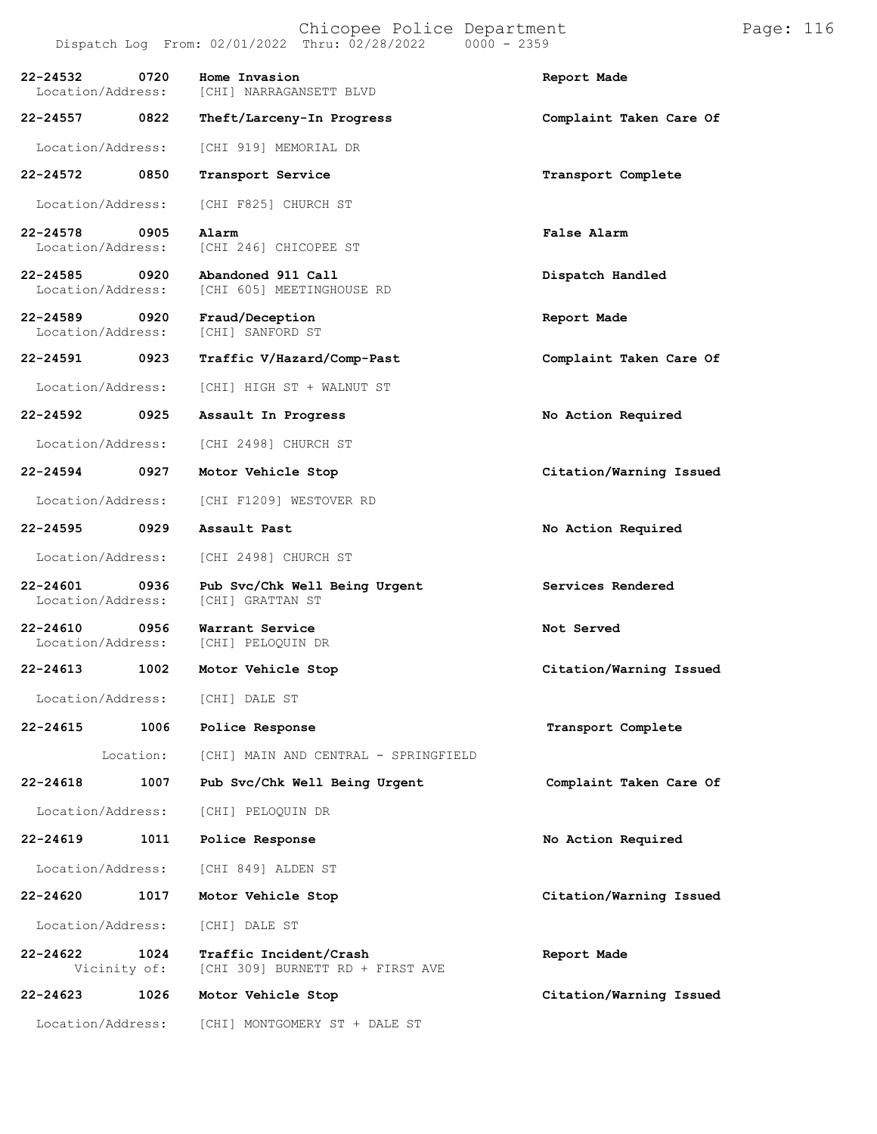|                                                        |           | Dispatch Log From: 02/01/2022 Thru: 02/28/2022<br>$0000 - 2359$ |                         |
|--------------------------------------------------------|-----------|-----------------------------------------------------------------|-------------------------|
| 22-24532<br>Location/Address:                          | 0720      | Home Invasion<br>[CHI] NARRAGANSETT BLVD                        | Report Made             |
| 22-24557                                               | 0822      | Theft/Larceny-In Progress                                       | Complaint Taken Care Of |
| Location/Address:                                      |           | [CHI 919] MEMORIAL DR                                           |                         |
| 22-24572                                               | 0850      | Transport Service                                               | Transport Complete      |
| Location/Address:                                      |           | [CHI F825] CHURCH ST                                            |                         |
| 22-24578<br>Location/Address:                          | 0905      | Alarm<br>[CHI 246] CHICOPEE ST                                  | False Alarm             |
| 22-24585<br>0920<br>Location/Address:                  |           | Abandoned 911 Call<br>[CHI 605] MEETINGHOUSE RD                 | Dispatch Handled        |
| $22 - 24589$<br>$\overline{0920}$<br>Location/Address: |           | Fraud/Deception<br>[CHI] SANFORD ST                             | Report Made             |
| 22-24591                                               | 0923      | Traffic V/Hazard/Comp-Past                                      | Complaint Taken Care Of |
| Location/Address:                                      |           | [CHI] HIGH ST + WALNUT ST                                       |                         |
| 22-24592                                               | 0925      | Assault In Progress                                             | No Action Required      |
| Location/Address:                                      |           | [CHI 2498] CHURCH ST                                            |                         |
| 22-24594                                               | 0927      | Motor Vehicle Stop                                              | Citation/Warning Issued |
| Location/Address:                                      |           | [CHI F1209] WESTOVER RD                                         |                         |
| 22-24595                                               | 0929      | Assault Past                                                    | No Action Required      |
| Location/Address:                                      |           | [CHI 2498] CHURCH ST                                            |                         |
| 22-24601<br>Location/Address:                          | 0936      | Pub Svc/Chk Well Being Urgent<br>[CHI] GRATTAN ST               | Services Rendered       |
| $22 - 24610$<br>Location/Address:                      | 0956      | Warrant Service<br>[CHI] PELOQUIN DR                            | Not Served              |
| 22-24613                                               | 1002      | Motor Vehicle Stop                                              | Citation/Warning Issued |
| Location/Address:                                      |           | [CHI] DALE ST                                                   |                         |
| 22-24615                                               | 1006      | Police Response                                                 | Transport Complete      |
|                                                        | Location: | [CHI] MAIN AND CENTRAL - SPRINGFIELD                            |                         |
| 22-24618                                               | 1007      | Pub Svc/Chk Well Being Urgent                                   | Complaint Taken Care Of |
| Location/Address:                                      |           | [CHI] PELOQUIN DR                                               |                         |
| 22-24619                                               | 1011      | Police Response                                                 | No Action Required      |
| Location/Address:                                      |           | [CHI 849] ALDEN ST                                              |                         |
| 22-24620                                               | 1017      | Motor Vehicle Stop                                              | Citation/Warning Issued |
| Location/Address:                                      |           | [CHI] DALE ST                                                   |                         |
| 22-24622<br>Vicinity of:                               | 1024      | Traffic Incident/Crash<br>[CHI 309] BURNETT RD + FIRST AVE      | Report Made             |
| 22-24623                                               | 1026      | Motor Vehicle Stop                                              | Citation/Warning Issued |
| Location/Address:                                      |           | [CHI] MONTGOMERY ST + DALE ST                                   |                         |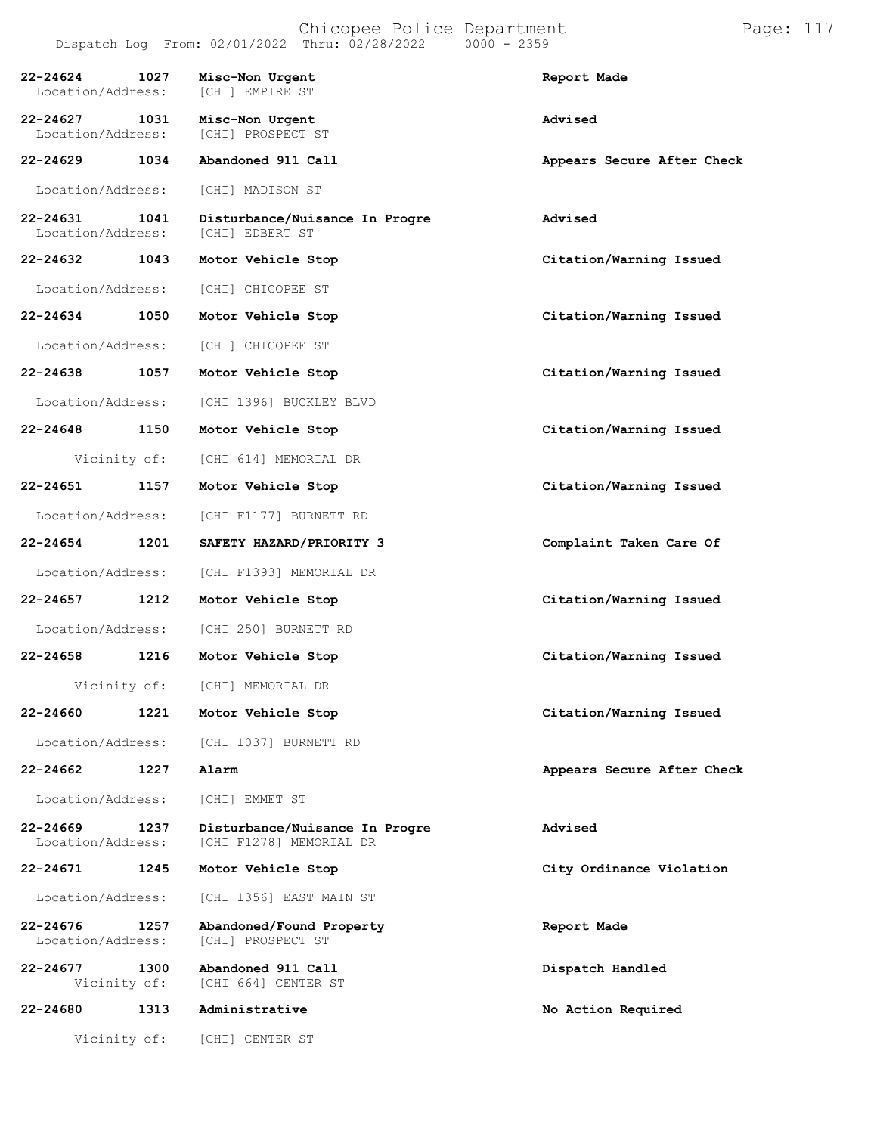| 22-24624<br>Location/Address: | 1027                 | Misc-Non Urgent<br>[CHI] EMPIRE ST                        | Report Made                |
|-------------------------------|----------------------|-----------------------------------------------------------|----------------------------|
| 22-24627<br>Location/Address: | 1031                 | Misc-Non Urgent<br>[CHI] PROSPECT ST                      | Advised                    |
| 22-24629                      | 1034                 | Abandoned 911 Call                                        | Appears Secure After Check |
| Location/Address:             |                      | [CHI] MADISON ST                                          |                            |
| 22-24631<br>Location/Address: | 1041                 | Disturbance/Nuisance In Progre<br>[CHI] EDBERT ST         | Advised                    |
| 22-24632 1043                 |                      | Motor Vehicle Stop                                        | Citation/Warning Issued    |
| Location/Address:             |                      | [CHI] CHICOPEE ST                                         |                            |
| 22-24634                      | 1050                 | Motor Vehicle Stop                                        | Citation/Warning Issued    |
| Location/Address:             |                      | [CHI] CHICOPEE ST                                         |                            |
| 22-24638                      | 1057                 | Motor Vehicle Stop                                        | Citation/Warning Issued    |
| Location/Address:             |                      | [CHI 1396] BUCKLEY BLVD                                   |                            |
| 22-24648                      | 1150                 | Motor Vehicle Stop                                        | Citation/Warning Issued    |
|                               | Vicinity of:         | [CHI 614] MEMORIAL DR                                     |                            |
| 22-24651                      | 1157                 | Motor Vehicle Stop                                        | Citation/Warning Issued    |
| Location/Address:             |                      | [CHI F1177] BURNETT RD                                    |                            |
| 22-24654                      | 1201                 | SAFETY HAZARD/PRIORITY 3                                  | Complaint Taken Care Of    |
| Location/Address:             |                      | [CHI F1393] MEMORIAL DR                                   |                            |
| 22-24657                      | 1212                 | Motor Vehicle Stop                                        | Citation/Warning Issued    |
| Location/Address:             |                      | [CHI 250] BURNETT RD                                      |                            |
| 22-24658                      | 1216                 | Motor Vehicle Stop                                        | Citation/Warning Issued    |
|                               |                      | Vicinity of: [CHI] MEMORIAL DR                            |                            |
| 22-24660                      | 1221                 | Motor Vehicle Stop                                        | Citation/Warning Issued    |
| Location/Address:             |                      | [CHI 1037] BURNETT RD                                     |                            |
| 22-24662                      | 1227                 | Alarm                                                     | Appears Secure After Check |
| Location/Address:             |                      | [CHI] EMMET ST                                            |                            |
| 22-24669<br>Location/Address: | 1237                 | Disturbance/Nuisance In Progre<br>[CHI F1278] MEMORIAL DR | Advised                    |
| 22-24671                      | 1245                 | Motor Vehicle Stop                                        | City Ordinance Violation   |
| Location/Address:             |                      | [CHI 1356] EAST MAIN ST                                   |                            |
| 22-24676<br>Location/Address: | 1257                 | Abandoned/Found Property<br>[CHI] PROSPECT ST             | Report Made                |
| 22-24677                      | 1300<br>Vicinity of: | Abandoned 911 Call<br>[CHI 664] CENTER ST                 | Dispatch Handled           |
| 22-24680                      | 1313                 | Administrative                                            | No Action Required         |
|                               |                      | Vicinity of: [CHI] CENTER ST                              |                            |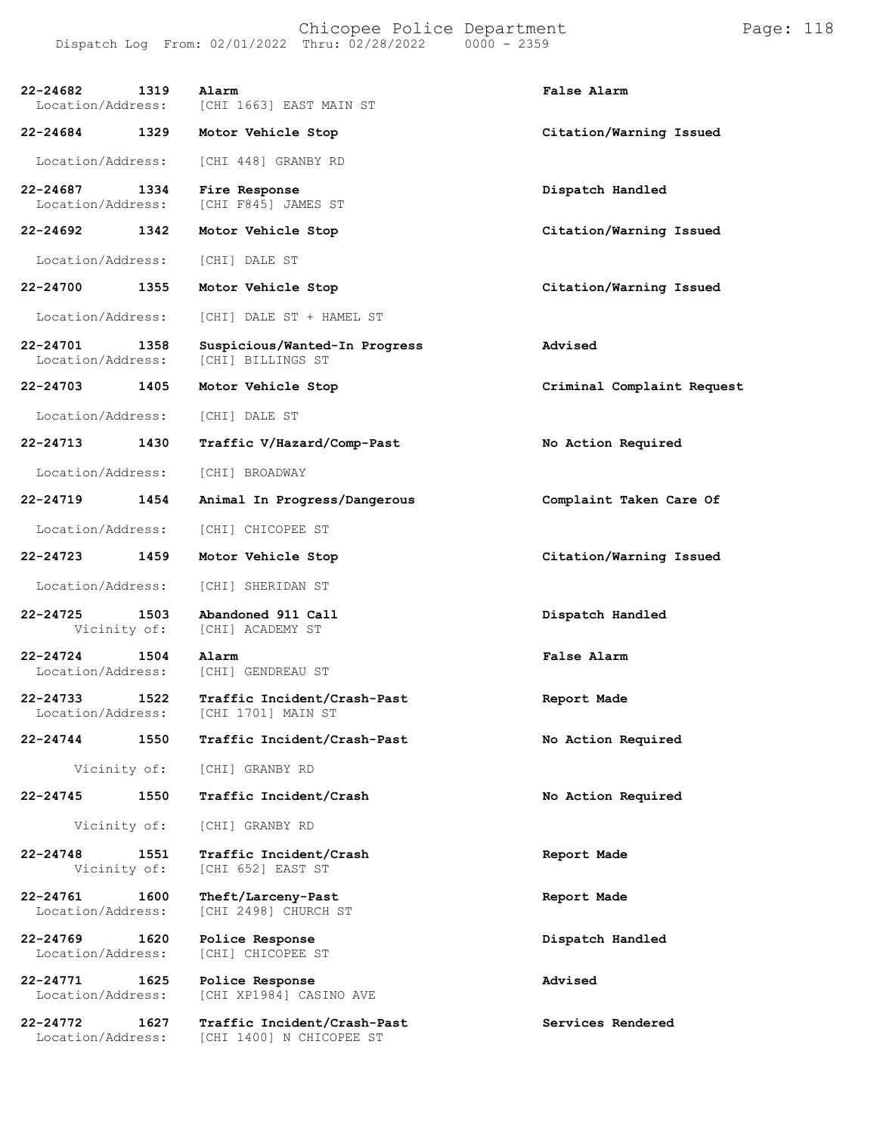**22-24682 1319 Alarm False Alarm** Location/Address: [CHI 1663] EAST MAIN ST **22-24684 1329 Motor Vehicle Stop Citation/Warning Issued** Location/Address: [CHI 448] GRANBY RD **22-24687 1334 Fire Response Dispatch Handled** [CHI F845] JAMES ST **22-24692 1342 Motor Vehicle Stop Citation/Warning Issued** Location/Address: [CHI] DALE ST **22-24700 1355 Motor Vehicle Stop Citation/Warning Issued** Location/Address: [CHI] DALE ST + HAMEL ST **22-24701 1358 Suspicious/Wanted-In Progress Advised** Location/Address: [CHI] BILLINGS ST **22-24703 1405 Motor Vehicle Stop Criminal Complaint Request** Location/Address: [CHI] DALE ST **22-24713 1430 Traffic V/Hazard/Comp-Past No Action Required** Location/Address: [CHI] BROADWAY **22-24719 1454 Animal In Progress/Dangerous Complaint Taken Care Of** Location/Address: [CHI] CHICOPEE ST **22-24723 1459 Motor Vehicle Stop Citation/Warning Issued** Location/Address: [CHI] SHERIDAN ST **22-24725 1503 Abandoned 911 Call Dispatch Handled** [CHI] ACADEMY ST **22-24724 1504 Alarm False Alarm** Location/Address: **22-24733 1522 Traffic Incident/Crash-Past Report Made** Location/Address: [CHI 1701] MAIN ST **22-24744 1550 Traffic Incident/Crash-Past No Action Required** Vicinity of: [CHI] GRANBY RD **22-24745 1550 Traffic Incident/Crash No Action Required** Vicinity of: [CHI] GRANBY RD **22-24748 1551 Traffic Incident/Crash Report Made** [CHI 652] EAST ST **22-24761 1600 Theft/Larceny-Past Report Made** [CHI 2498] CHURCH ST **22-24769 1620 Police Response Dispatch Handled** [CHI] CHICOPEE ST **22-24771 1625 Police Response Advised** [CHI XP1984] CASINO AVE **22-24772 1627 Traffic Incident/Crash-Past Services Rendered** [CHI 1400] N CHICOPEE ST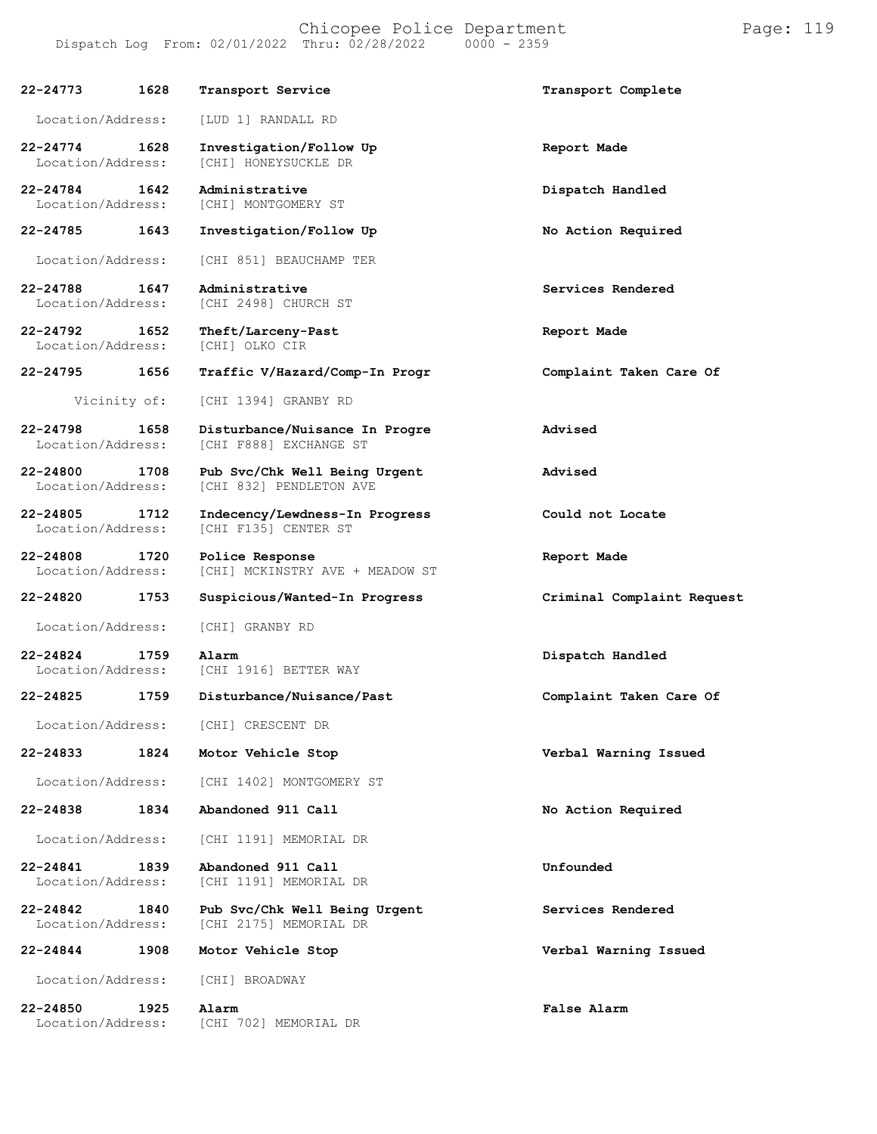| 22-24773                          | 1628         | Transport Service                                        | Transport Complete         |
|-----------------------------------|--------------|----------------------------------------------------------|----------------------------|
| Location/Address:                 |              | [LUD 1] RANDALL RD                                       |                            |
| $22 - 24774$<br>Location/Address: | 1628         | Investigation/Follow Up<br>[CHI] HONEYSUCKLE DR          | Report Made                |
| 22-24784<br>Location/Address:     | 1642         | Administrative<br>[CHI] MONTGOMERY ST                    | Dispatch Handled           |
| 22-24785                          | 1643         | Investigation/Follow Up                                  | No Action Required         |
| Location/Address:                 |              | [CHI 851] BEAUCHAMP TER                                  |                            |
| 22-24788<br>Location/Address:     | 1647         | Administrative<br>[CHI 2498] CHURCH ST                   | Services Rendered          |
| 22-24792<br>Location/Address:     | 1652         | Theft/Larceny-Past<br>[CHI] OLKO CIR                     | Report Made                |
| 22-24795                          | 1656         | Traffic V/Hazard/Comp-In Progr                           | Complaint Taken Care Of    |
|                                   | Vicinity of: | [CHI 1394] GRANBY RD                                     |                            |
| $22 - 24798$<br>Location/Address: | 1658         | Disturbance/Nuisance In Progre<br>[CHI F888] EXCHANGE ST | Advised                    |
| 22-24800<br>Location/Address:     | 1708         | Pub Svc/Chk Well Being Urgent<br>[CHI 832] PENDLETON AVE | Advised                    |
| 22-24805<br>Location/Address:     | 1712         | Indecency/Lewdness-In Progress<br>[CHI F135] CENTER ST   | Could not Locate           |
| 22-24808<br>Location/Address:     | 1720         | Police Response<br>[CHI] MCKINSTRY AVE + MEADOW ST       | Report Made                |
| 22-24820                          | 1753         | Suspicious/Wanted-In Progress                            | Criminal Complaint Request |
| Location/Address:                 |              | [CHI] GRANBY RD                                          |                            |
| $22 - 24824$<br>Location/Address: | 1759         | Alarm<br>[CHI 1916] BETTER WAY                           | Dispatch Handled           |
| 22-24825                          | 1759         | Disturbance/Nuisance/Past                                | Complaint Taken Care Of    |
| Location/Address:                 |              | [CHI] CRESCENT DR                                        |                            |
| 22-24833                          | 1824         | Motor Vehicle Stop                                       | Verbal Warning Issued      |
| Location/Address:                 |              | [CHI 1402] MONTGOMERY ST                                 |                            |
| 22-24838                          | 1834         | Abandoned 911 Call                                       | No Action Required         |
| Location/Address:                 |              | [CHI 1191] MEMORIAL DR                                   |                            |
| $22 - 24841$<br>Location/Address: | 1839         | Abandoned 911 Call<br>[CHI 1191] MEMORIAL DR             | Unfounded                  |
| $22 - 24842$<br>Location/Address: | 1840         | Pub Svc/Chk Well Being Urgent<br>[CHI 2175] MEMORIAL DR  | Services Rendered          |
| 22-24844                          | 1908         | Motor Vehicle Stop                                       | Verbal Warning Issued      |
| Location/Address:                 |              | [CHI] BROADWAY                                           |                            |
| 22-24850<br>Location/Address:     | 1925         | Alarm<br>[CHI 702] MEMORIAL DR                           | False Alarm                |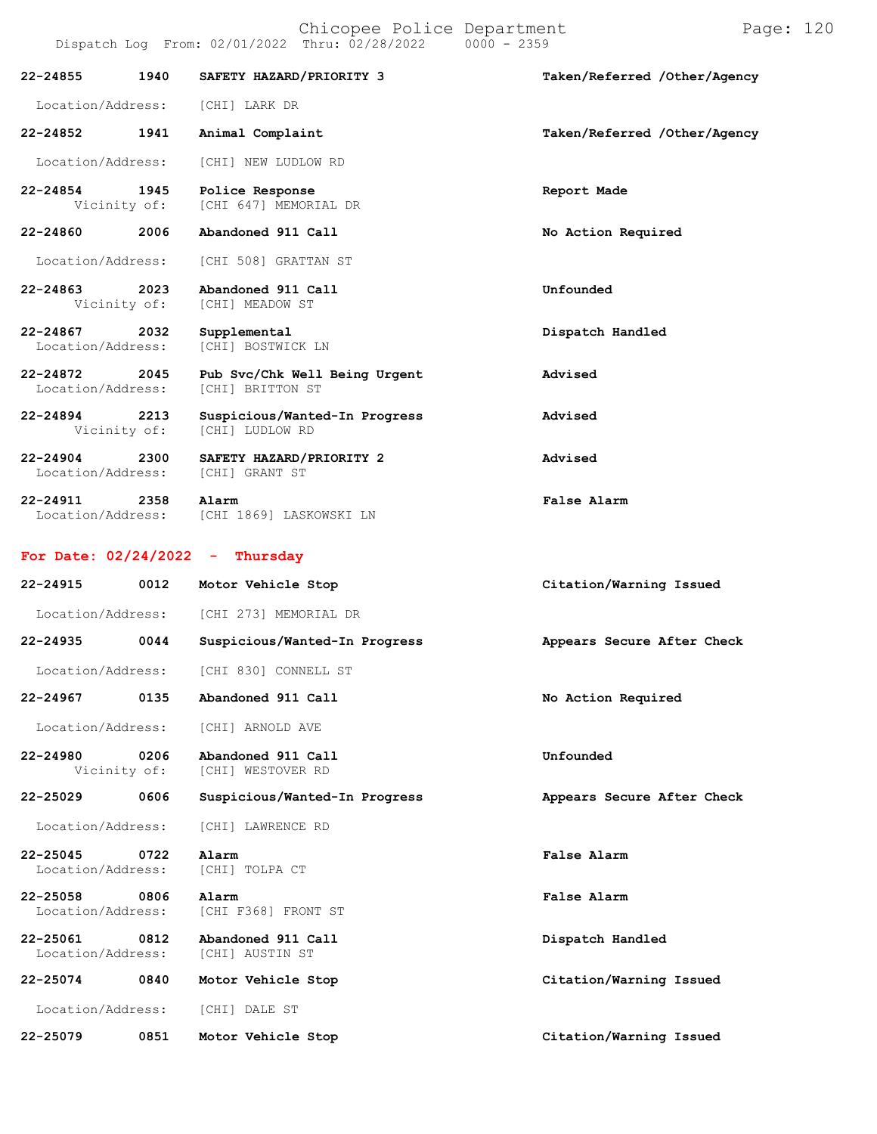| 22-24855                          | 1940 | SAFETY HAZARD/PRIORITY 3                           | Taken/Referred /Other/Agency |
|-----------------------------------|------|----------------------------------------------------|------------------------------|
| Location/Address:                 |      | [CHI] LARK DR                                      |                              |
| 22-24852                          | 1941 | Animal Complaint                                   | Taken/Referred /Other/Agency |
| Location/Address:                 |      | [CHI] NEW LUDLOW RD                                |                              |
| 22-24854<br>Vicinity of:          | 1945 | Police Response<br>[CHI 647] MEMORIAL DR           | Report Made                  |
| 22-24860                          | 2006 | Abandoned 911 Call                                 | No Action Required           |
| Location/Address:                 |      | [CHI 508] GRATTAN ST                               |                              |
| 22-24863<br>Vicinity of:          | 2023 | Abandoned 911 Call<br>[CHI] MEADOW ST              | Unfounded                    |
| 22-24867<br>Location/Address:     | 2032 | Supplemental<br>[CHI] BOSTWICK LN                  | Dispatch Handled             |
| 22-24872<br>Location/Address:     | 2045 | Pub Svc/Chk Well Being Urgent<br>[CHI] BRITTON ST  | Advised                      |
| 22-24894<br>Vicinity of:          | 2213 | Suspicious/Wanted-In Progress<br>[CHI] LUDLOW RD   | Advised                      |
| $22 - 24904$<br>Location/Address: | 2300 | SAFETY HAZARD/PRIORITY 2<br>[CHI] GRANT ST         | Advised                      |
| 22-24911                          | 2358 | Alarm<br>Location/Address: [CHI 1869] LASKOWSKI LN | False Alarm                  |
| For Date: $02/24/2022 - Thursday$ |      |                                                    |                              |
|                                   |      |                                                    |                              |
| 22-24915                          | 0012 | Motor Vehicle Stop                                 | Citation/Warning Issued      |
| Location/Address:                 |      | [CHI 273] MEMORIAL DR                              |                              |
| 22-24935                          | 0044 | Suspicious/Wanted-In Progress                      | Appears Secure After Check   |
| Location/Address:                 |      | [CHI 830] CONNELL ST                               |                              |
| 22-24967                          | 0135 | Abandoned 911 Call                                 | No Action Required           |
| Location/Address:                 |      | [CHI] ARNOLD AVE                                   |                              |
| 22-24980<br>Vicinity of:          | 0206 | Abandoned 911 Call<br>[CHI] WESTOVER RD            | Unfounded                    |
| 22-25029                          | 0606 | Suspicious/Wanted-In Progress                      | Appears Secure After Check   |
| Location/Address:                 |      | [CHI] LAWRENCE RD                                  |                              |
| 22-25045<br>Location/Address:     | 0722 | Alarm<br>[CHI] TOLPA CT                            | False Alarm                  |
| 22-25058<br>Location/Address:     | 0806 | Alarm<br>[CHI F368] FRONT ST                       | False Alarm                  |
| 22-25061<br>Location/Address:     | 0812 | Abandoned 911 Call<br>[CHI] AUSTIN ST              | Dispatch Handled             |
| 22-25074                          | 0840 | Motor Vehicle Stop                                 | Citation/Warning Issued      |
| Location/Address:                 |      | [CHI] DALE ST                                      |                              |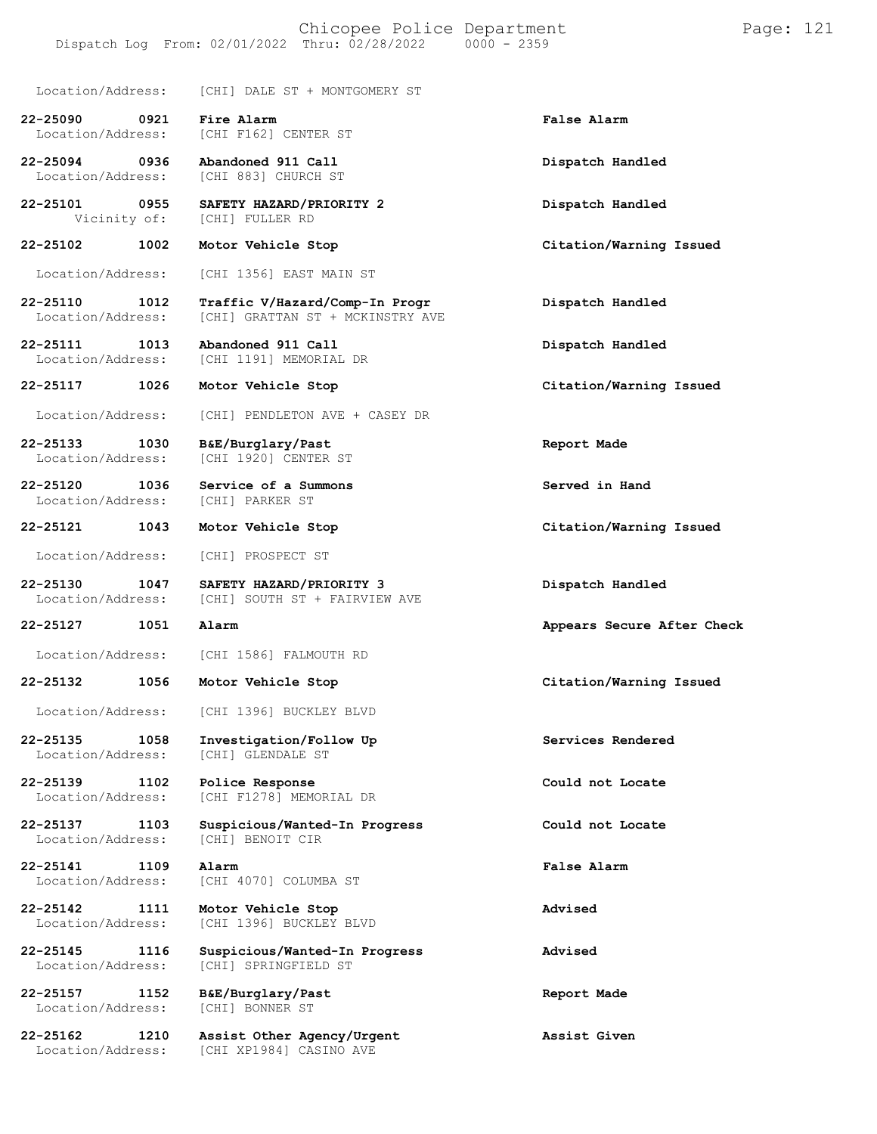#### Chicopee Police Department Page: 121 Dispatch Log From: 02/01/2022 Thru: 02/28/2022

Location/Address: [CHI] DALE ST + MONTGOMERY ST

**22-25090 0921 Fire Alarm False Alarm**

[CHI F162] CENTER ST **22-25094 0936 Abandoned 911 Call Dispatch Handled**

Location/Address: [CHI 883] CHURCH ST

**22-25101 0955 SAFETY HAZARD/PRIORITY 2 Dispatch Handled** [CHI] FULLER RD

**22-25102 1002 Motor Vehicle Stop Citation/Warning Issued**

Location/Address: [CHI 1356] EAST MAIN ST

**22-25110 1012 Traffic V/Hazard/Comp-In Progr Dispatch Handled** [CHI] GRATTAN ST + MCKINSTRY AVE

**22-25111 1013 Abandoned 911 Call Dispatch Handled** [CHI 1191] MEMORIAL DR

**22-25117 1026 Motor Vehicle Stop Citation/Warning Issued**

Location/Address: [CHI] PENDLETON AVE + CASEY DR

**22-25133 1030 B&E/Burglary/Past Report Made** [CHI 1920] CENTER ST

**22-25120 1036 Service of a Summons Served in Hand** Location/Address:

Location/Address: [CHI] PROSPECT ST

**22-25130 1047 SAFETY HAZARD/PRIORITY 3 Dispatch Handled** [CHI] SOUTH ST + FAIRVIEW AVE

Location/Address: [CHI 1586] FALMOUTH RD

**22-25132 1056 Motor Vehicle Stop Citation/Warning Issued**

Location/Address: [CHI 1396] BUCKLEY BLVD

Location/Address:

**22-25135 1058 Investigation/Follow Up Services Rendered** [CHI] GLENDALE ST

**22-25139 1102 Police Response Could not Locate** [CHI F1278] MEMORIAL DR

**22-25137 1103 Suspicious/Wanted-In Progress Could not Locate** Location/Address:

**22-25141 1109 Alarm False Alarm** [CHI 4070] COLUMBA ST

**22-25142 1111 Motor Vehicle Stop Advised** [CHI 1396] BUCKLEY BLVD

**22-25145 1116 Suspicious/Wanted-In Progress Advised** Location/Address: [CHI] SPRINGFIELD ST

**22-25157 1152 B&E/Burglary/Past Report Made**

**22-25162 1210 Assist Other Agency/Urgent Assist Given** [CHI XP1984] CASINO AVE

**22-25121 1043 Motor Vehicle Stop Citation/Warning Issued**

**22-25127 1051 Alarm Appears Secure After Check**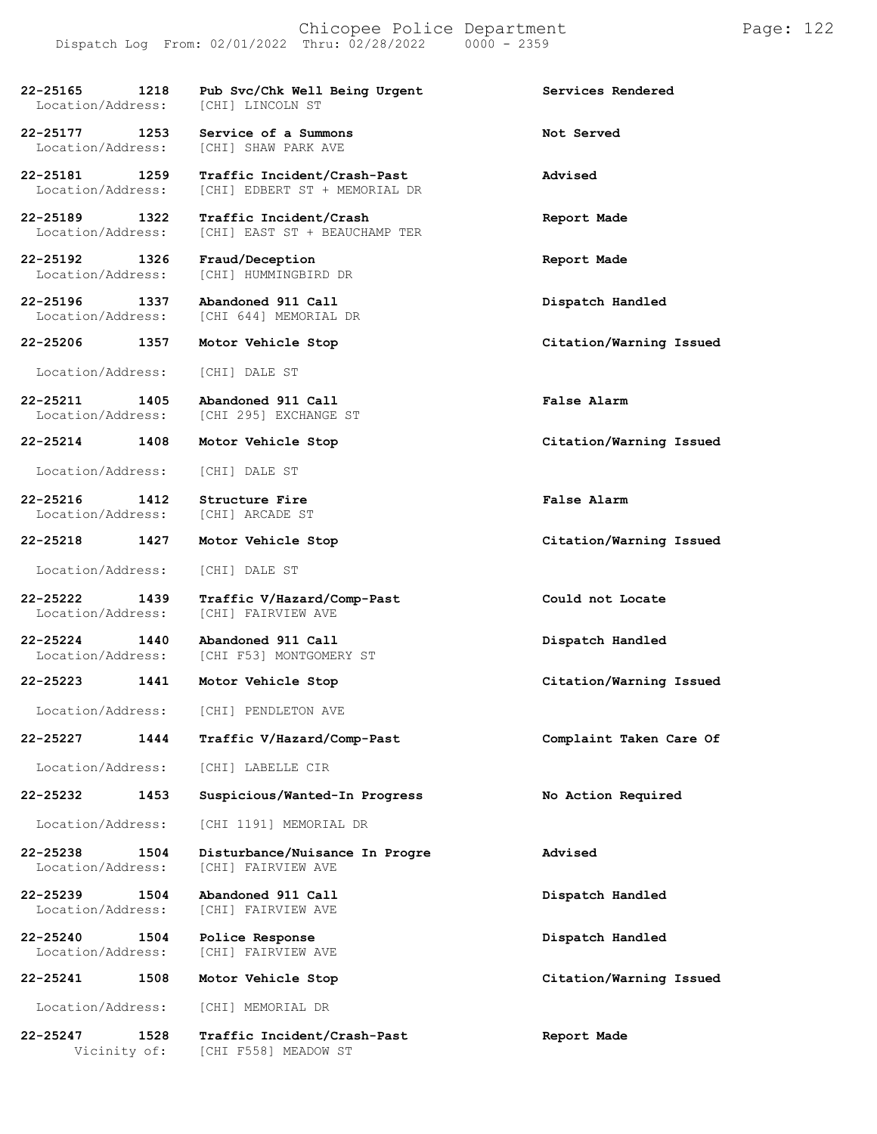#### Chicopee Police Department Form Page: 122 Dispatch Log From: 02/01/2022 Thru: 02/28/2022 0000 - 2359

| 22-25165<br>Location/Address:         | 1218 | Pub Svc/Chk Well Being Urgent<br><b>[CHI] LINCOLN ST</b>     | Services Rendered       |
|---------------------------------------|------|--------------------------------------------------------------|-------------------------|
| 22-25177<br>1253<br>Location/Address: |      | Service of a Summons<br><b>[CHI] SHAW PARK AVE</b>           | Not Served              |
| 22-25181<br>1259<br>Location/Address: |      | Traffic Incident/Crash-Past<br>[CHI] EDBERT ST + MEMORIAL DR | Advised                 |
| 22-25189<br>1322<br>Location/Address: |      | Traffic Incident/Crash<br>[CHI] EAST ST + BEAUCHAMP TER      | Report Made             |
| 22-25192<br>1326<br>Location/Address: |      | Fraud/Deception<br>[CHI] HUMMINGBIRD DR                      | Report Made             |
| 22-25196<br>1337<br>Location/Address: |      | Abandoned 911 Call<br>[CHI 644] MEMORIAL DR                  | Dispatch Handled        |
| $22 - 25206$                          | 1357 | Motor Vehicle Stop                                           | Citation/Warning Issued |
| Location/Address:                     |      | [CHI] DALE ST                                                |                         |
| 22-25211<br>Location/Address:         | 1405 | Abandoned 911 Call<br>[CHI 295] EXCHANGE ST                  | False Alarm             |
| 22-25214                              | 1408 | Motor Vehicle Stop                                           | Citation/Warning Issued |
| Location/Address:                     |      | [CHI] DALE ST                                                |                         |
| 1412<br>22-25216<br>Location/Address: |      | Structure Fire<br>[CHI] ARCADE ST                            | False Alarm             |
| 22-25218 1427                         |      | Motor Vehicle Stop                                           | Citation/Warning Issued |
| Location/Address:                     |      | [CHI] DALE ST                                                |                         |
| 22-25222<br>Location/Address:         | 1439 | Traffic V/Hazard/Comp-Past<br>[CHI] FAIRVIEW AVE             | Could not Locate        |
| 22-25224<br>Location/Address:         | 1440 | Abandoned 911 Call<br>[CHI F53] MONTGOMERY ST                | Dispatch Handled        |
| $22 - 25223$                          | 1441 | Motor Vehicle Stop                                           | Citation/Warning Issued |
| Location/Address:                     |      | [CHI] PENDLETON AVE                                          |                         |
| 22-25227                              | 1444 | Traffic V/Hazard/Comp-Past                                   | Complaint Taken Care Of |
| Location/Address:                     |      | [CHI] LABELLE CIR                                            |                         |
| $22 - 25232$                          | 1453 | Suspicious/Wanted-In Progress                                | No Action Required      |
| Location/Address:                     |      | [CHI 1191] MEMORIAL DR                                       |                         |
| $22 - 25238$<br>Location/Address:     | 1504 | Disturbance/Nuisance In Progre<br>[CHI] FAIRVIEW AVE         | Advised                 |
| 22-25239<br>Location/Address:         | 1504 | Abandoned 911 Call<br>[CHI] FAIRVIEW AVE                     | Dispatch Handled        |
| 22-25240<br>Location/Address:         | 1504 | Police Response<br>[CHI] FAIRVIEW AVE                        | Dispatch Handled        |
| 22-25241                              | 1508 | Motor Vehicle Stop                                           | Citation/Warning Issued |
| Location/Address:                     |      | [CHI] MEMORIAL DR                                            |                         |
| 22-25247                              | 1528 | Traffic Incident/Crash-Past                                  | Report Made             |

Vicinity of: [CHI F558] MEADOW ST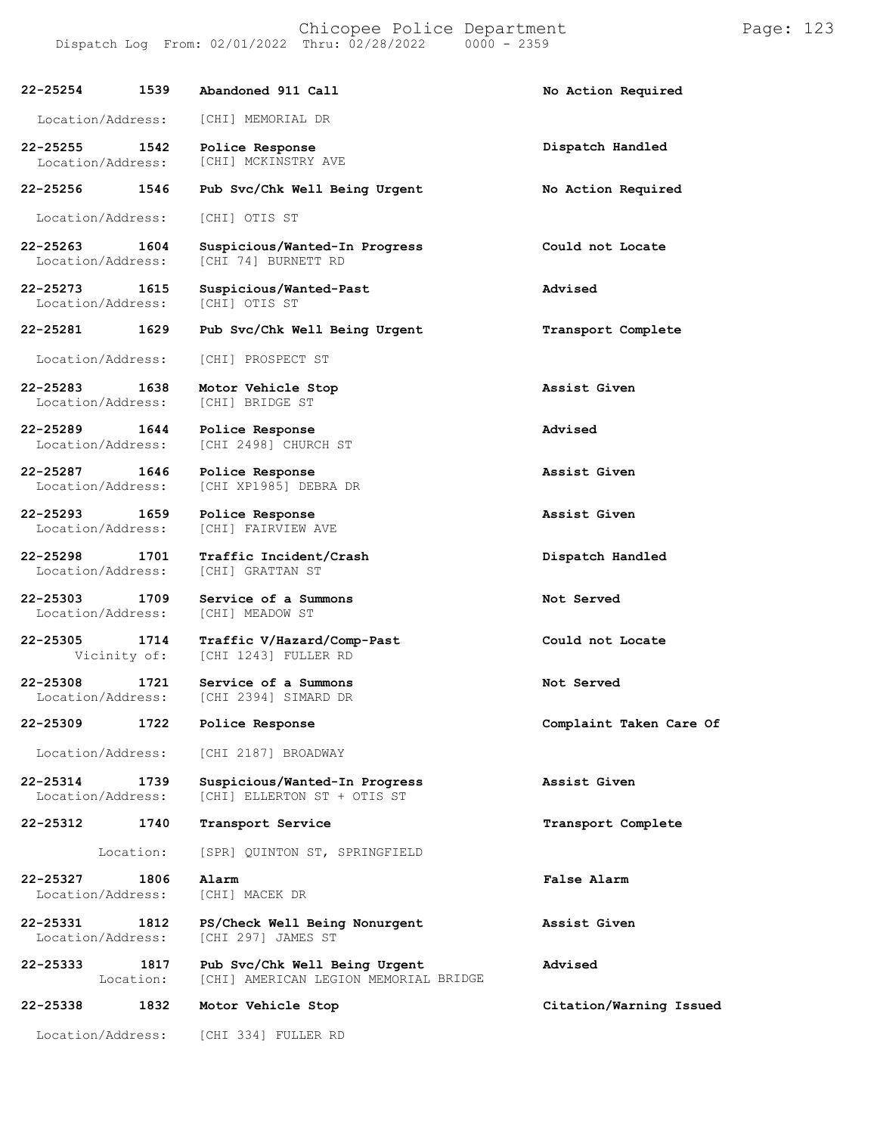| 22-25254                                  | 1539 | Abandoned 911 Call                                                     | No Action Required      |
|-------------------------------------------|------|------------------------------------------------------------------------|-------------------------|
| Location/Address:                         |      | [CHI] MEMORIAL DR                                                      |                         |
| 22-25255<br>1542<br>Location/Address:     |      | Police Response<br>[CHI] MCKINSTRY AVE                                 | Dispatch Handled        |
| 22-25256<br>1546                          |      | Pub Svc/Chk Well Being Urgent                                          | No Action Required      |
| Location/Address:                         |      | [CHI] OTIS ST                                                          |                         |
| 22-25263 1604<br>Location/Address:        |      | Suspicious/Wanted-In Progress<br>[CHI 74] BURNETT RD                   | Could not Locate        |
| 22-25273 1615<br>Location/Address:        |      | Suspicious/Wanted-Past<br>[CHI] OTIS ST                                | Advised                 |
| 22-25281                                  | 1629 | Pub Svc/Chk Well Being Urgent                                          | Transport Complete      |
| Location/Address:                         |      | [CHI] PROSPECT ST                                                      |                         |
| 22-25283<br>Location/Address:             | 1638 | Motor Vehicle Stop<br>[CHI] BRIDGE ST                                  | Assist Given            |
| 22-25289<br>1644<br>Location/Address:     |      | Police Response<br>[CHI 2498] CHURCH ST                                | Advised                 |
| 22-25287 1646<br>Location/Address:        |      | Police Response<br>[CHI XP1985] DEBRA DR                               | Assist Given            |
| 22-25293<br>1659<br>Location/Address:     |      | Police Response<br>[CHI] FAIRVIEW AVE                                  | Assist Given            |
| 22-25298 1701<br>Location/Address:        |      | Traffic Incident/Crash<br>[CHI] GRATTAN ST                             | Dispatch Handled        |
| $22 - 25303$<br>1709<br>Location/Address: |      | Service of a Summons<br>[CHI] MEADOW ST                                | Not Served              |
| 22-25305<br>1714<br>Vicinity of:          |      | Traffic V/Hazard/Comp-Past<br>[CHI 1243] FULLER RD                     | Could not Locate        |
| $22 - 25308$<br>1721<br>Location/Address: |      | Service of a Summons<br>[CHI 2394] SIMARD DR                           | Not Served              |
| 22-25309                                  | 1722 | Police Response                                                        | Complaint Taken Care Of |
| Location/Address:                         |      | [CHI 2187] BROADWAY                                                    |                         |
| 22-25314<br>Location/Address:             | 1739 | Suspicious/Wanted-In Progress<br>[CHI] ELLERTON ST + OTIS ST           | Assist Given            |
| 22-25312                                  | 1740 | Transport Service                                                      | Transport Complete      |
| Location:                                 |      | [SPR] QUINTON ST, SPRINGFIELD                                          |                         |
| 22-25327<br>Location/Address:             | 1806 | Alarm<br>[CHI] MACEK DR                                                | <b>False Alarm</b>      |
| 22-25331<br>Location/Address:             | 1812 | PS/Check Well Being Nonurgent<br>[CHI 297] JAMES ST                    | Assist Given            |
| 22-25333<br>Location:                     | 1817 | Pub Svc/Chk Well Being Urgent<br>[CHI] AMERICAN LEGION MEMORIAL BRIDGE | Advised                 |
| 22-25338                                  | 1832 | Motor Vehicle Stop                                                     | Citation/Warning Issued |
| Location/Address:                         |      | [CHI 334] FULLER RD                                                    |                         |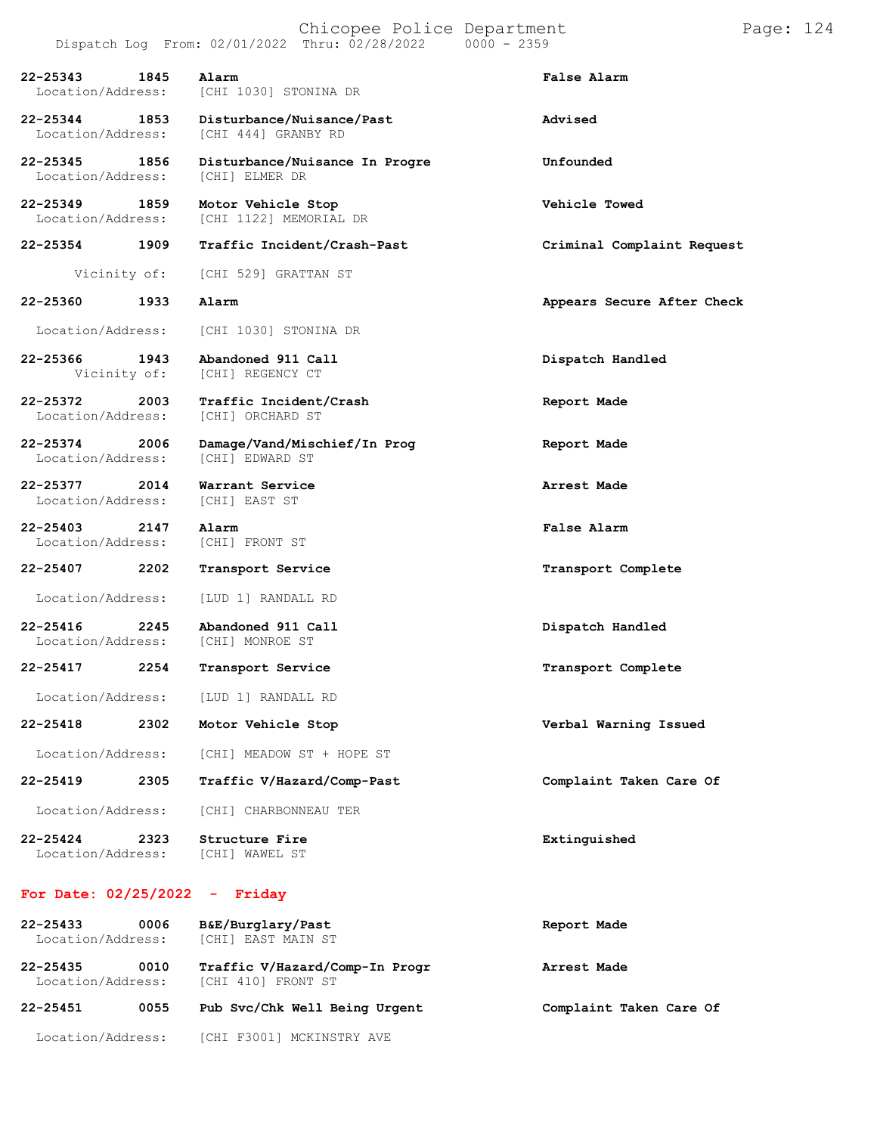|                                           |      |                                              | Chicopee Police Department<br>Dispatch Log From: 02/01/2022 Thru: 02/28/2022 0000 - 2359 |  |                            | Page: 124 |  |
|-------------------------------------------|------|----------------------------------------------|------------------------------------------------------------------------------------------|--|----------------------------|-----------|--|
| 22-25343<br>Location/Address:             | 1845 | Alarm<br>[CHI 1030] STONINA DR               |                                                                                          |  | False Alarm                |           |  |
| 22-25344 1853<br>Location/Address:        |      | [CHI 444] GRANBY RD                          | Disturbance/Nuisance/Past                                                                |  | Advised                    |           |  |
| 22-25345 1856<br>Location/Address:        |      | [CHI] ELMER DR                               | Disturbance/Nuisance In Progre                                                           |  | Unfounded                  |           |  |
| 22-25349 1859<br>Location/Address:        |      | Motor Vehicle Stop<br>[CHI 1122] MEMORIAL DR |                                                                                          |  | Vehicle Towed              |           |  |
| 22-25354 1909                             |      |                                              | Traffic Incident/Crash-Past                                                              |  | Criminal Complaint Request |           |  |
| Vicinity of:                              |      | [CHI 529] GRATTAN ST                         |                                                                                          |  |                            |           |  |
| 22-25360                                  | 1933 | Alarm                                        |                                                                                          |  | Appears Secure After Check |           |  |
| Location/Address:                         |      | [CHI 1030] STONINA DR                        |                                                                                          |  |                            |           |  |
| 22-25366<br>Vicinity of:                  | 1943 | Abandoned 911 Call<br>[CHI] REGENCY CT       |                                                                                          |  | Dispatch Handled           |           |  |
| 22-25372<br>Location/Address:             | 2003 | Traffic Incident/Crash<br>[CHI] ORCHARD ST   |                                                                                          |  | Report Made                |           |  |
| 22-25374 2006<br>Location/Address:        |      | [CHI] EDWARD ST                              | Damage/Vand/Mischief/In Prog                                                             |  | Report Made                |           |  |
| 22-25377 2014<br>Location/Address:        |      | Warrant Service<br>[CHI] EAST ST             |                                                                                          |  | Arrest Made                |           |  |
| $22 - 25403$<br>2147<br>Location/Address: |      | Alarm<br>[CHI] FRONT ST                      |                                                                                          |  | False Alarm                |           |  |
| 22-25407                                  | 2202 | Transport Service                            |                                                                                          |  | Transport Complete         |           |  |
| Location/Address:                         |      | [LUD 1] RANDALL RD                           |                                                                                          |  |                            |           |  |
| $22 - 25416$<br>Location/Address:         | 2245 | Abandoned 911 Call<br>[CHI] MONROE ST        |                                                                                          |  | Dispatch Handled           |           |  |
| 22-25417                                  | 2254 | Transport Service                            |                                                                                          |  | Transport Complete         |           |  |
| Location/Address:                         |      | [LUD 1] RANDALL RD                           |                                                                                          |  |                            |           |  |
| 22-25418                                  | 2302 | Motor Vehicle Stop                           |                                                                                          |  | Verbal Warning Issued      |           |  |
| Location/Address:                         |      | [CHI] MEADOW ST + HOPE ST                    |                                                                                          |  |                            |           |  |
| 22-25419                                  | 2305 |                                              | Traffic V/Hazard/Comp-Past                                                               |  | Complaint Taken Care Of    |           |  |
| Location/Address:                         |      | [CHI] CHARBONNEAU TER                        |                                                                                          |  |                            |           |  |
| $22 - 25424$<br>Location/Address:         | 2323 | Structure Fire<br>[CHI] WAWEL ST             |                                                                                          |  | Extinguished               |           |  |

## **For Date: 02/25/2022 - Friday**

| $22 - 25433$<br>0006<br>Location/Address: |      | B&E/Burglary/Past<br>[CHI] EAST MAIN ST              | Report Made             |  |  |
|-------------------------------------------|------|------------------------------------------------------|-------------------------|--|--|
| $22 - 25435$<br>Location/Address:         | 0010 | Traffic V/Hazard/Comp-In Progr<br>[CHI 410] FRONT ST | Arrest Made             |  |  |
| 22-25451                                  | 0055 | Pub Svc/Chk Well Being Urgent                        | Complaint Taken Care Of |  |  |
| Location/Address:                         |      | [CHI F3001] MCKINSTRY AVE                            |                         |  |  |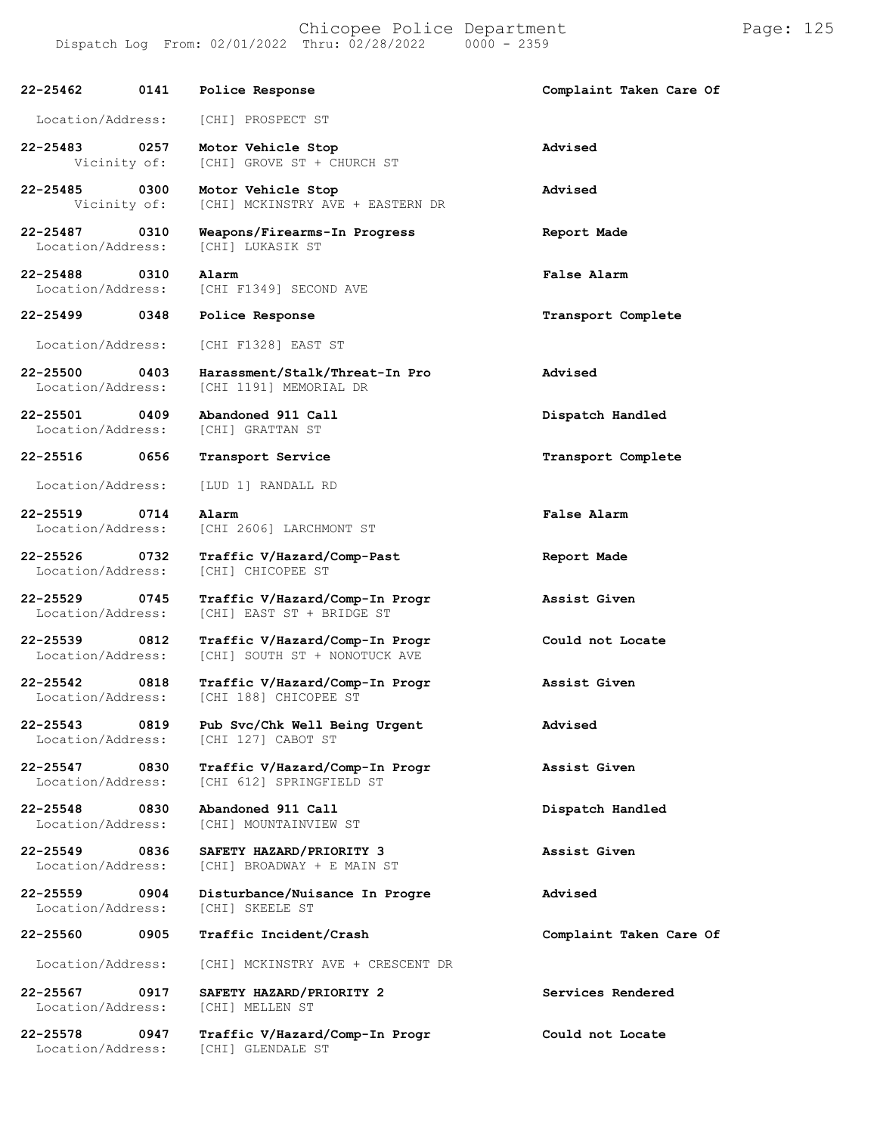Chicopee Police Department Form Page: 125 Dispatch Log From: 02/01/2022 Thru: 02/28/2022 0000 - 2359

| $22 - 25462$                       | 0141 | Police Response                                                 | Complaint Taken Care Of |
|------------------------------------|------|-----------------------------------------------------------------|-------------------------|
| Location/Address:                  |      | [CHI] PROSPECT ST                                               |                         |
| 22-25483<br>Vicinity of:           | 0257 | Motor Vehicle Stop<br>[CHI] GROVE ST + CHURCH ST                | Advised                 |
| 22-25485<br>Vicinity of:           | 0300 | Motor Vehicle Stop<br>[CHI] MCKINSTRY AVE + EASTERN DR          | Advised                 |
| 22-25487<br>Location/Address:      | 0310 | Weapons/Firearms-In Progress<br>[CHI] LUKASIK ST                | Report Made             |
| $22 - 25488$<br>Location/Address:  | 0310 | Alarm<br>[CHI F1349] SECOND AVE                                 | False Alarm             |
| $22 - 25499$                       | 0348 | Police Response                                                 | Transport Complete      |
| Location/Address:                  |      | [CHI F1328] EAST ST                                             |                         |
| 22-25500<br>Location/Address:      | 0403 | Harassment/Stalk/Threat-In Pro<br>[CHI 1191] MEMORIAL DR        | Advised                 |
| 22-25501<br>Location/Address:      | 0409 | Abandoned 911 Call<br>[CHI] GRATTAN ST                          | Dispatch Handled        |
| 22-25516                           | 0656 | Transport Service                                               | Transport Complete      |
| Location/Address:                  |      | [LUD 1] RANDALL RD                                              |                         |
| $22 - 25519$<br>Location/Address:  | 0714 | Alarm<br>[CHI 2606] LARCHMONT ST                                | False Alarm             |
| 22-25526 0732<br>Location/Address: |      | Traffic V/Hazard/Comp-Past<br>[CHI] CHICOPEE ST                 | Report Made             |
| 22-25529<br>Location/Address:      | 0745 | Traffic V/Hazard/Comp-In Progr<br>[CHI] EAST ST + BRIDGE ST     | Assist Given            |
| 22-25539<br>Location/Address:      | 0812 | Traffic V/Hazard/Comp-In Progr<br>[CHI] SOUTH ST + NONOTUCK AVE | Could not Locate        |
| $22 - 25542$<br>Location/Address:  | 0818 | Traffic V/Hazard/Comp-In Progr<br>[CHI 188] CHICOPEE ST         | Assist Given            |
| $22 - 25543$<br>Location/Address:  | 0819 | Pub Svc/Chk Well Being Urgent<br>[CHI 127] CABOT ST             | Advised                 |
| $22 - 25547$<br>Location/Address:  | 0830 | Traffic V/Hazard/Comp-In Progr<br>[CHI 612] SPRINGFIELD ST      | Assist Given            |
| $22 - 25548$<br>Location/Address:  | 0830 | Abandoned 911 Call<br>[CHI] MOUNTAINVIEW ST                     | Dispatch Handled        |
| $22 - 25549$<br>Location/Address:  | 0836 | SAFETY HAZARD/PRIORITY 3<br>[CHI] BROADWAY + E MAIN ST          | Assist Given            |
| 22-25559<br>Location/Address:      | 0904 | Disturbance/Nuisance In Progre<br>[CHI] SKEELE ST               | Advised                 |
| 22-25560                           | 0905 | Traffic Incident/Crash                                          | Complaint Taken Care Of |
| Location/Address:                  |      | [CHI] MCKINSTRY AVE + CRESCENT DR                               |                         |
| 22-25567<br>Location/Address:      | 0917 | SAFETY HAZARD/PRIORITY 2<br>[CHI] MELLEN ST                     | Services Rendered       |
| 22-25578<br>Location/Address:      | 0947 | Traffic V/Hazard/Comp-In Progr<br>[CHI] GLENDALE ST             | Could not Locate        |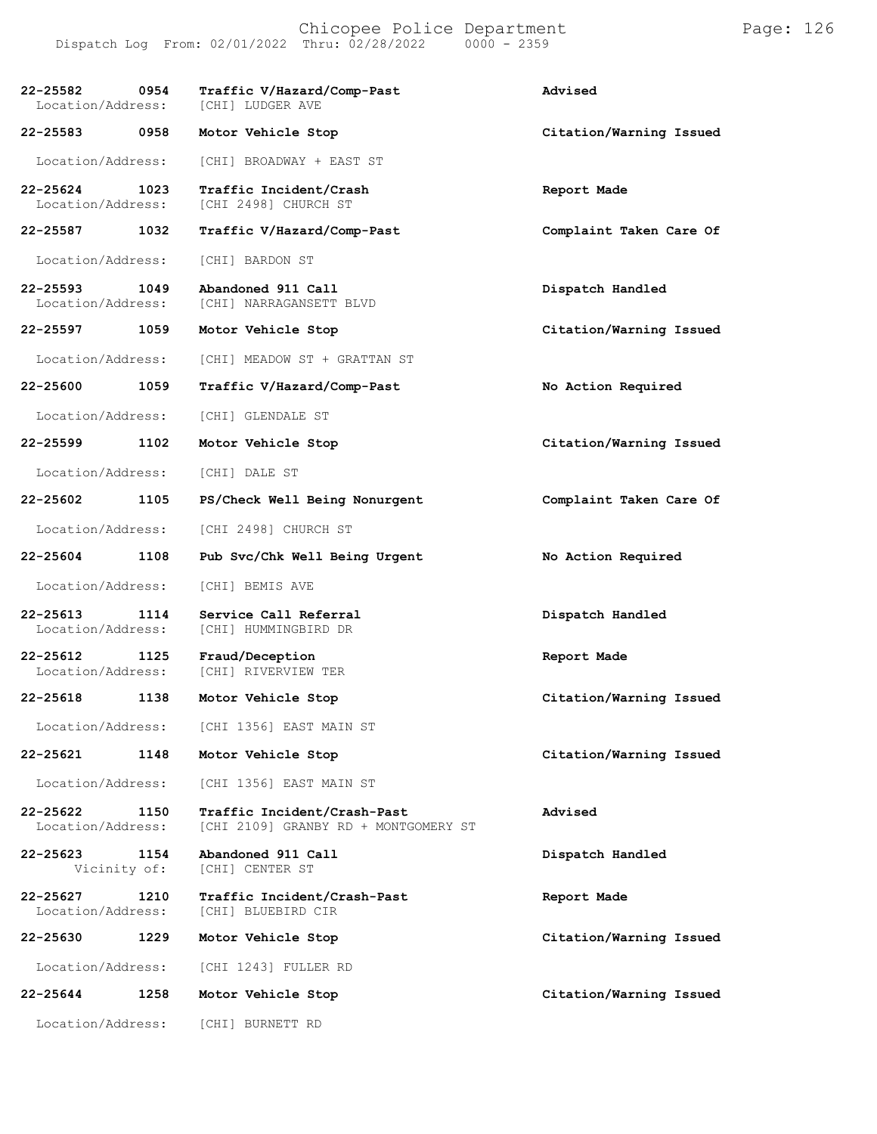| 22-25582<br>Location/Address:     | 0954 | Traffic V/Hazard/Comp-Past<br>[CHI] LUDGER AVE                      | Advised                 |
|-----------------------------------|------|---------------------------------------------------------------------|-------------------------|
| 22-25583                          | 0958 | Motor Vehicle Stop                                                  | Citation/Warning Issued |
| Location/Address:                 |      | [CHI] BROADWAY + EAST ST                                            |                         |
| $22 - 25624$<br>Location/Address: | 1023 | Traffic Incident/Crash<br>[CHI 2498] CHURCH ST                      | Report Made             |
| 22-25587                          | 1032 | Traffic V/Hazard/Comp-Past                                          | Complaint Taken Care Of |
| Location/Address:                 |      | [CHI] BARDON ST                                                     |                         |
| $22 - 25593$<br>Location/Address: | 1049 | Abandoned 911 Call<br>[CHI] NARRAGANSETT BLVD                       | Dispatch Handled        |
| 22-25597                          | 1059 | Motor Vehicle Stop                                                  | Citation/Warning Issued |
| Location/Address:                 |      | [CHI] MEADOW ST + GRATTAN ST                                        |                         |
| 22-25600                          | 1059 | Traffic V/Hazard/Comp-Past                                          | No Action Required      |
| Location/Address:                 |      | [CHI] GLENDALE ST                                                   |                         |
| 22-25599                          | 1102 | Motor Vehicle Stop                                                  | Citation/Warning Issued |
| Location/Address:                 |      | [CHI] DALE ST                                                       |                         |
| 22-25602                          | 1105 | PS/Check Well Being Nonurgent                                       | Complaint Taken Care Of |
| Location/Address:                 |      | [CHI 2498] CHURCH ST                                                |                         |
| 22-25604                          | 1108 | Pub Svc/Chk Well Being Urgent                                       | No Action Required      |
| Location/Address:                 |      | [CHI] BEMIS AVE                                                     |                         |
| $22 - 25613$<br>Location/Address: | 1114 | Service Call Referral<br>[CHI] HUMMINGBIRD DR                       | Dispatch Handled        |
| 22-25612<br>Location/Address:     | 1125 | Fraud/Deception<br>[CHI] RIVERVIEW TER                              | Report Made             |
| 22-25618                          | 1138 | Motor Vehicle Stop                                                  | Citation/Warning Issued |
| Location/Address:                 |      | [CHI 1356] EAST MAIN ST                                             |                         |
| 22-25621                          | 1148 | Motor Vehicle Stop                                                  | Citation/Warning Issued |
| Location/Address:                 |      | [CHI 1356] EAST MAIN ST                                             |                         |
| $22 - 25622$<br>Location/Address: | 1150 | Traffic Incident/Crash-Past<br>[CHI 2109] GRANBY RD + MONTGOMERY ST | Advised                 |
| 22-25623<br>Vicinity of:          | 1154 | Abandoned 911 Call<br>[CHI] CENTER ST                               | Dispatch Handled        |
| 22-25627<br>Location/Address:     | 1210 | Traffic Incident/Crash-Past<br>[CHI] BLUEBIRD CIR                   | Report Made             |
| 22-25630                          | 1229 | Motor Vehicle Stop                                                  | Citation/Warning Issued |
| Location/Address:                 |      | [CHI 1243] FULLER RD                                                |                         |
| 22-25644                          | 1258 | Motor Vehicle Stop                                                  | Citation/Warning Issued |
| Location/Address:                 |      | [CHI] BURNETT RD                                                    |                         |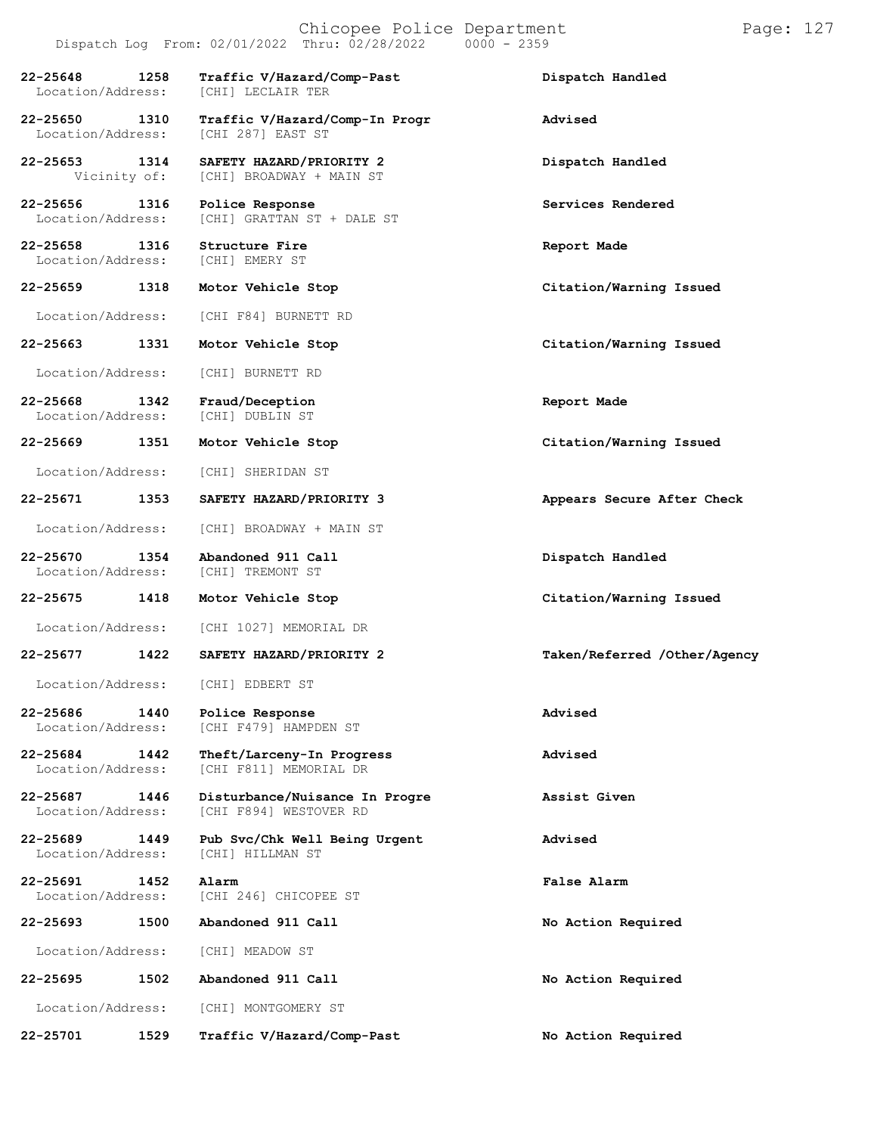|                                    |                      | Chicopee Police Department<br>Dispatch Log From: 02/01/2022 Thru: 02/28/2022<br>$0000 - 2359$ |                         |  |
|------------------------------------|----------------------|-----------------------------------------------------------------------------------------------|-------------------------|--|
| 22-25648 1258<br>Location/Address: |                      | Traffic V/Hazard/Comp-Past<br>[CHI] LECLAIR TER                                               | Dispatch Handled        |  |
| 22-25650<br>Location/Address:      | 1310                 | Traffic V/Hazard/Comp-In Progr<br>[CHI 287] EAST ST                                           | Advised                 |  |
| 22-25653                           | 1314<br>Vicinity of: | SAFETY HAZARD/PRIORITY 2<br>[CHI] BROADWAY + MAIN ST                                          | Dispatch Handled        |  |
| 22-25656<br>Location/Address:      | 1316                 | Police Response<br>[CHI] GRATTAN ST + DALE ST                                                 | Services Rendered       |  |
| 22-25658                           | 1316                 | Structure Fire<br>Location/Address: [CHI] EMERY ST                                            | Report Made             |  |
| 22-25659                           | 1318                 | Motor Vehicle Stop                                                                            | Citation/Warning Issued |  |
|                                    |                      | Location/Address: [CHI F84] BURNETT RD                                                        |                         |  |
| 22-25663                           | 1331                 | Motor Vehicle Stop                                                                            | Citation/Warning Issued |  |
| Location/Address:                  |                      | [CHI] BURNETT RD                                                                              |                         |  |
|                                    |                      |                                                                                               |                         |  |

**22-25668 1342 Fraud/Deception Report Made** Location/Address: [CHI] DUBLIN ST

**22-25669 1351 Motor Vehicle Stop Citation/Warning Issued**

Location/Address: [CHI] SHERIDAN ST

**22-25671 1353 SAFETY HAZARD/PRIORITY 3 Appears Secure After Check**

Location/Address: [CHI] BROADWAY + MAIN ST

**22-25670 1354 Abandoned 911 Call Dispatch Handled** Location/Address:

**22-25675 1418 Motor Vehicle Stop Citation/Warning Issued**

Location/Address: [CHI 1027] MEMORIAL DR

**22-25677 1422 SAFETY HAZARD/PRIORITY 2 Taken/Referred /Other/Agency**

Location/Address: [CHI] EDBERT ST

**22-25686 1440 Police Response Advised** [CHI F479] HAMPDEN ST

**22-25684 1442 Theft/Larceny-In Progress Advised** Location/Address: [CHI F811] MEMORIAL DR

**22-25687 1446 Disturbance/Nuisance In Progre Assist Given** [CHI F894] WESTOVER RD

**22-25689 1449 Pub Svc/Chk Well Being Urgent Advised** Location/Address:

**22-25691 1452 Alarm False Alarm** Location/Address: [CHI 246] CHICOPEE ST

**22-25693 1500 Abandoned 911 Call No Action Required**

Location/Address: [CHI] MEADOW ST

**22-25695 1502 Abandoned 911 Call No Action Required**

Location/Address: [CHI] MONTGOMERY ST

**22-25701 1529 Traffic V/Hazard/Comp-Past No Action Required**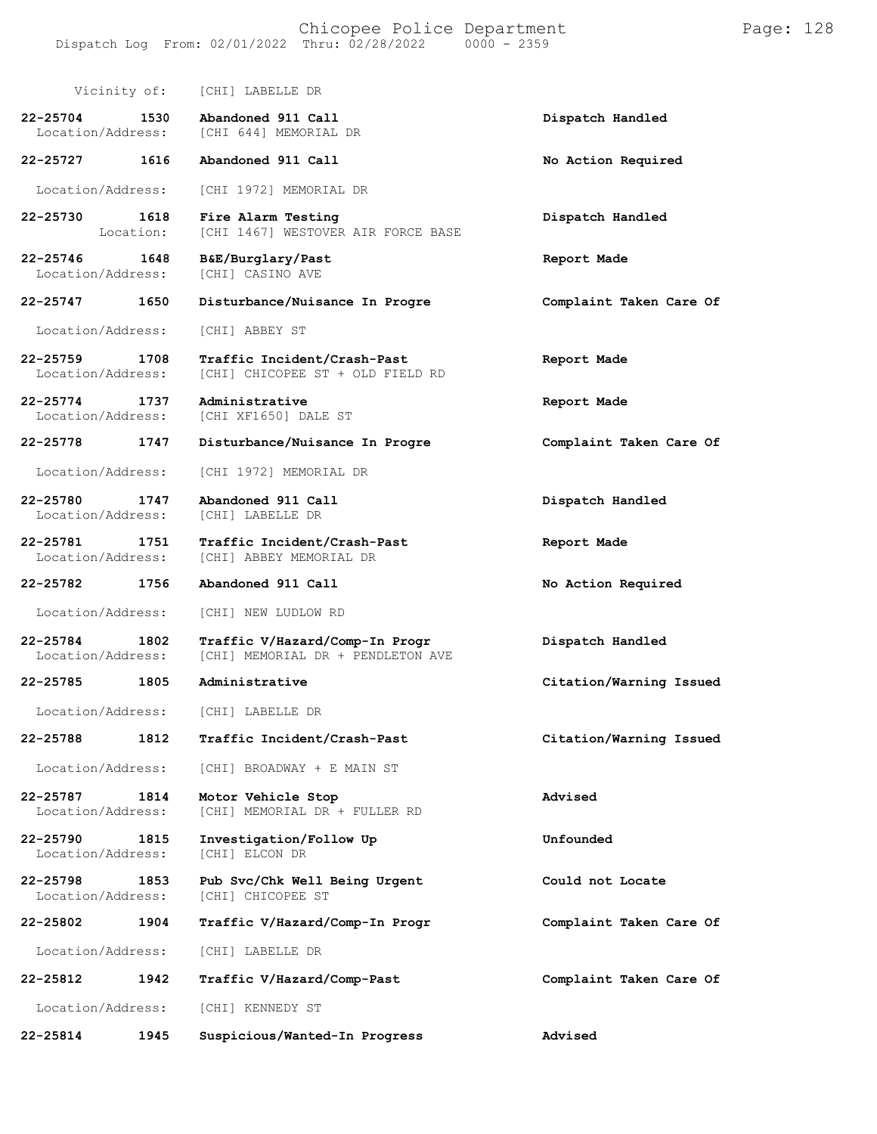| Vicinity of:                              | [CHI] LABELLE DR                                                    |                         |
|-------------------------------------------|---------------------------------------------------------------------|-------------------------|
| 22-25704<br>1530<br>Location/Address:     | Abandoned 911 Call<br>[CHI 644] MEMORIAL DR                         | Dispatch Handled        |
| 22-25727 1616                             | Abandoned 911 Call                                                  | No Action Required      |
| Location/Address:                         | [CHI 1972] MEMORIAL DR                                              |                         |
| 1618<br>22-25730<br>Location:             | Fire Alarm Testing<br>[CHI 1467] WESTOVER AIR FORCE BASE            | Dispatch Handled        |
| 22-25746<br>1648<br>Location/Address:     | B&E/Burglary/Past<br><b>[CHI] CASINO AVE</b>                        | Report Made             |
| 22-25747 1650                             | Disturbance/Nuisance In Progre                                      | Complaint Taken Care Of |
| Location/Address:                         | [CHI] ABBEY ST                                                      |                         |
| 22-25759 1708<br>Location/Address:        | Traffic Incident/Crash-Past<br>[CHI] CHICOPEE ST + OLD FIELD RD     | Report Made             |
| 22-25774<br>1737<br>Location/Address:     | Administrative<br>[CHI XF1650] DALE ST                              | Report Made             |
| 22-25778<br>1747                          | Disturbance/Nuisance In Progre                                      | Complaint Taken Care Of |
| Location/Address:                         | [CHI 1972] MEMORIAL DR                                              |                         |
| 22-25780<br>1747<br>Location/Address:     | Abandoned 911 Call<br>[CHI] LABELLE DR                              | Dispatch Handled        |
| 22-25781<br>1751<br>Location/Address:     | Traffic Incident/Crash-Past<br>[CHI] ABBEY MEMORIAL DR              | Report Made             |
| 22-25782<br>1756                          | Abandoned 911 Call                                                  | No Action Required      |
| Location/Address:                         | [CHI] NEW LUDLOW RD                                                 |                         |
| 22-25784<br>1802<br>Location/Address:     | Traffic V/Hazard/Comp-In Progr<br>[CHI] MEMORIAL DR + PENDLETON AVE | Dispatch Handled        |
| 22-25785<br>1805                          | Administrative                                                      | Citation/Warning Issued |
| Location/Address:                         | [CHI] LABELLE DR                                                    |                         |
| 1812<br>22-25788                          | Traffic Incident/Crash-Past                                         | Citation/Warning Issued |
| Location/Address:                         | [CHI] BROADWAY + E MAIN ST                                          |                         |
| 22-25787<br>1814<br>Location/Address:     | Motor Vehicle Stop<br>[CHI] MEMORIAL DR + FULLER RD                 | Advised                 |
| 22-25790<br>1815<br>Location/Address:     | Investigation/Follow Up<br>[CHI] ELCON DR                           | Unfounded               |
| $22 - 25798$<br>1853<br>Location/Address: | Pub Svc/Chk Well Being Urgent<br>[CHI] CHICOPEE ST                  | Could not Locate        |
| 22-25802<br>1904                          | Traffic V/Hazard/Comp-In Progr                                      | Complaint Taken Care Of |
| Location/Address:                         | [CHI] LABELLE DR                                                    |                         |
| 22-25812<br>1942                          | Traffic V/Hazard/Comp-Past                                          | Complaint Taken Care Of |
| Location/Address:                         | [CHI] KENNEDY ST                                                    |                         |
| 22-25814<br>1945                          | Suspicious/Wanted-In Progress                                       | Advised                 |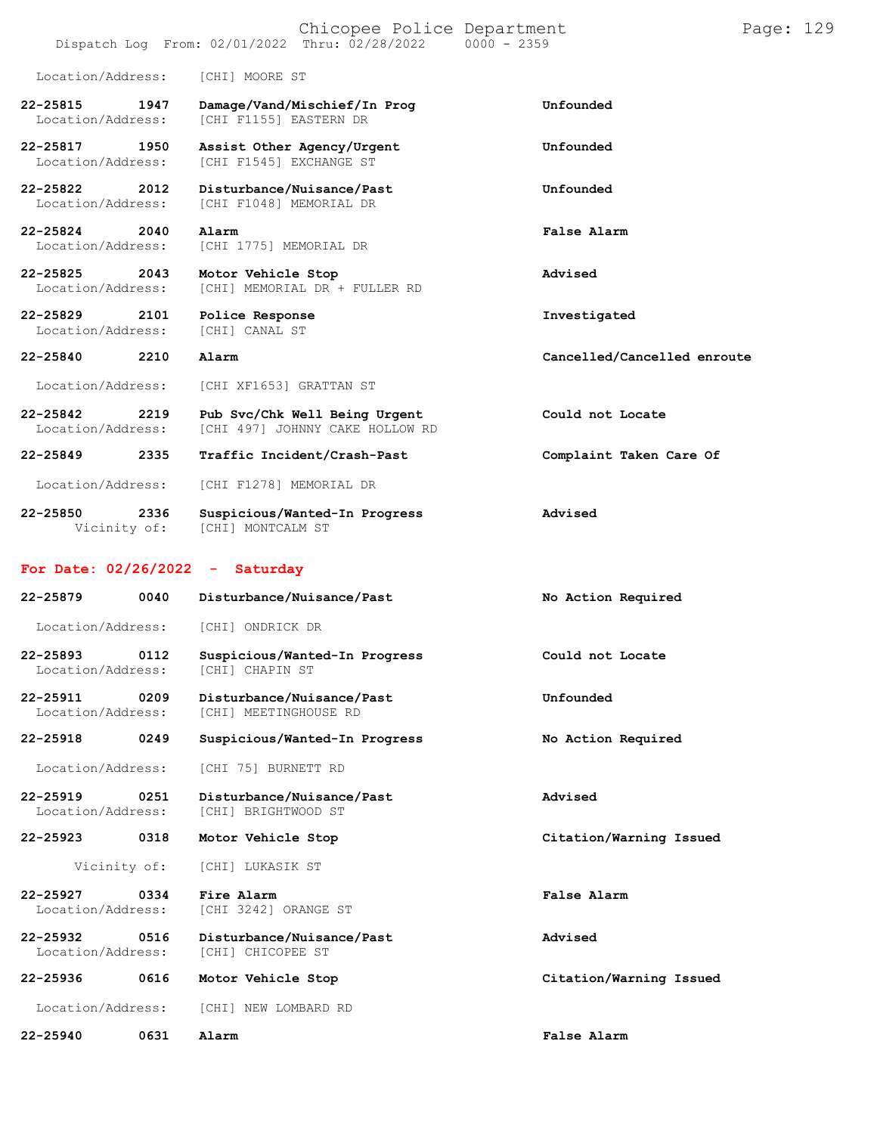|                                   |      | Chicopee Police Department<br>Dispatch Log From: 02/01/2022 Thru: 02/28/2022 | $0000 - 2359$               | Page: 129 |  |
|-----------------------------------|------|------------------------------------------------------------------------------|-----------------------------|-----------|--|
| Location/Address:                 |      | [CHI] MOORE ST                                                               |                             |           |  |
| 22-25815<br>Location/Address:     | 1947 | Damage/Vand/Mischief/In Prog<br>[CHI F1155] EASTERN DR                       | Unfounded                   |           |  |
| 22-25817<br>Location/Address:     | 1950 | Assist Other Agency/Urgent<br>[CHI F1545] EXCHANGE ST                        | Unfounded                   |           |  |
| $22 - 25822$<br>Location/Address: | 2012 | Disturbance/Nuisance/Past<br>[CHI F1048] MEMORIAL DR                         | Unfounded                   |           |  |
| 22-25824<br>Location/Address:     | 2040 | Alarm<br>[CHI 1775] MEMORIAL DR                                              | False Alarm                 |           |  |
| 22-25825<br>Location/Address:     | 2043 | Motor Vehicle Stop<br>[CHI] MEMORIAL DR + FULLER RD                          | Advised                     |           |  |
| $22 - 25829$<br>Location/Address: | 2101 | Police Response<br>[CHI] CANAL ST                                            | Investigated                |           |  |
| 22-25840                          | 2210 | Alarm                                                                        | Cancelled/Cancelled enroute |           |  |
| Location/Address:                 |      | [CHI XF1653] GRATTAN ST                                                      |                             |           |  |
| $22 - 25842$<br>Location/Address: | 2219 | Pub Svc/Chk Well Being Urgent<br>[CHI 497] JOHNNY CAKE HOLLOW RD             | Could not Locate            |           |  |
| $22 - 25849$                      | 2335 | Traffic Incident/Crash-Past                                                  | Complaint Taken Care Of     |           |  |
| Location/Address:                 |      | [CHI F1278] MEMORIAL DR                                                      |                             |           |  |

**22-25850 2336 Suspicious/Wanted-In Progress Advised** Vicinity of: [CHI] MONTCALM ST

### **For Date: 02/26/2022 - Saturday**

| $22 - 25879$<br>0040                      | Disturbance/Nuisance/Past                               | No Action Required      |
|-------------------------------------------|---------------------------------------------------------|-------------------------|
| Location/Address:                         | [CHI] ONDRICK DR                                        |                         |
| $22 - 25893$<br>0112<br>Location/Address: | Suspicious/Wanted-In Progress<br><b>[CHI] CHAPIN ST</b> | Could not Locate        |
| $22 - 25911$<br>0209<br>Location/Address: | Disturbance/Nuisance/Past<br>[CHI] MEETINGHOUSE RD      | Unfounded               |
| $22 - 25918$<br>0249                      | Suspicious/Wanted-In Progress                           | No Action Required      |
| Location/Address:                         | [CHI 75] BURNETT RD                                     |                         |
| $22 - 25919$<br>0251<br>Location/Address: | Disturbance/Nuisance/Past<br>[CHI] BRIGHTWOOD ST        | Advised                 |
| 22-25923<br>0318                          | Motor Vehicle Stop                                      | Citation/Warning Issued |
| Vicinity of:                              | [CHI] LUKASIK ST                                        |                         |
| 22-25927<br>0334<br>Location/Address:     | Fire Alarm<br>[CHI 3242] ORANGE ST                      | False Alarm             |
| $22 - 25932$<br>0516<br>Location/Address: | Disturbance/Nuisance/Past<br>[CHI] CHICOPEE ST          | Advised                 |
| $22 - 25936$<br>0616                      | Motor Vehicle Stop                                      | Citation/Warning Issued |
| Location/Address:                         | [CHI] NEW LOMBARD RD                                    |                         |
| $22 - 25940$<br>0631                      | Alarm                                                   | False Alarm             |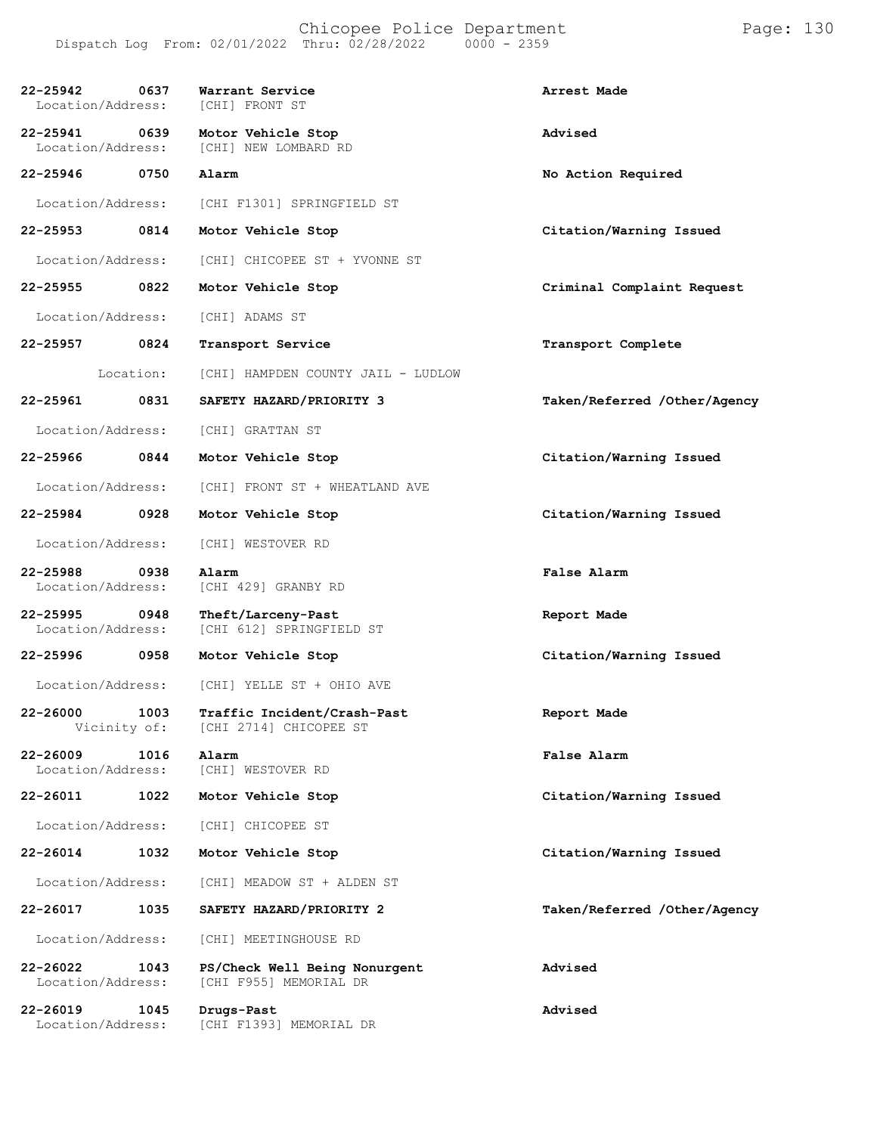| 22-25942<br>Location/Address: | 0637      | Warrant Service<br>[CHI] FRONT ST                                   | Arrest Made                  |
|-------------------------------|-----------|---------------------------------------------------------------------|------------------------------|
| 22-25941<br>Location/Address: | 0639      | Motor Vehicle Stop<br>[CHI] NEW LOMBARD RD                          | Advised                      |
| 22-25946                      | 0750      | Alarm                                                               | No Action Required           |
| Location/Address:             |           | [CHI F1301] SPRINGFIELD ST                                          |                              |
| 22-25953 0814                 |           | Motor Vehicle Stop                                                  | Citation/Warning Issued      |
| Location/Address:             |           | [CHI] CHICOPEE ST + YVONNE ST                                       |                              |
| 22-25955                      | 0822      | Motor Vehicle Stop                                                  | Criminal Complaint Request   |
| Location/Address:             |           | [CHI] ADAMS ST                                                      |                              |
| 22-25957                      | 0824      | Transport Service                                                   | Transport Complete           |
|                               | Location: | [CHI] HAMPDEN COUNTY JAIL - LUDLOW                                  |                              |
| 22-25961                      | 0831      | SAFETY HAZARD/PRIORITY 3                                            | Taken/Referred /Other/Agency |
| Location/Address:             |           | [CHI] GRATTAN ST                                                    |                              |
| 22-25966                      | 0844      | Motor Vehicle Stop                                                  | Citation/Warning Issued      |
| Location/Address:             |           | [CHI] FRONT ST + WHEATLAND AVE                                      |                              |
| 22-25984                      | 0928      | Motor Vehicle Stop                                                  | Citation/Warning Issued      |
| Location/Address:             |           | [CHI] WESTOVER RD                                                   |                              |
| 22-25988<br>Location/Address: | 0938      | Alarm<br>[CHI 429] GRANBY RD                                        | False Alarm                  |
| 22-25995<br>Location/Address: | 0948      | Theft/Larceny-Past<br>[CHI 612] SPRINGFIELD ST                      | Report Made                  |
| 22-25996                      | 0958      | Motor Vehicle Stop                                                  | Citation/Warning Issued      |
|                               |           | Location/Address: [CHI] YELLE ST + OHIO AVE                         |                              |
| Vicinity of:                  |           | 22-26000 1003 Traffic Incident/Crash-Past<br>[CHI 2714] CHICOPEE ST | Report Made                  |
| 22-26009<br>Location/Address: | 1016      | Alarm<br>[CHI] WESTOVER RD                                          | False Alarm                  |
| 22-26011                      | 1022      | Motor Vehicle Stop                                                  | Citation/Warning Issued      |
| Location/Address:             |           | [CHI] CHICOPEE ST                                                   |                              |
| 22-26014                      | 1032      | Motor Vehicle Stop                                                  | Citation/Warning Issued      |
| Location/Address:             |           | [CHI] MEADOW ST + ALDEN ST                                          |                              |
| 22-26017                      | 1035      | SAFETY HAZARD/PRIORITY 2                                            | Taken/Referred /Other/Agency |
| Location/Address:             |           | [CHI] MEETINGHOUSE RD                                               |                              |
| 22-26022<br>Location/Address: | 1043      | PS/Check Well Being Nonurgent<br>[CHI F955] MEMORIAL DR             | Advised                      |
| 22-26019<br>Location/Address: | 1045      | Drugs-Past<br>[CHI F1393] MEMORIAL DR                               | Advised                      |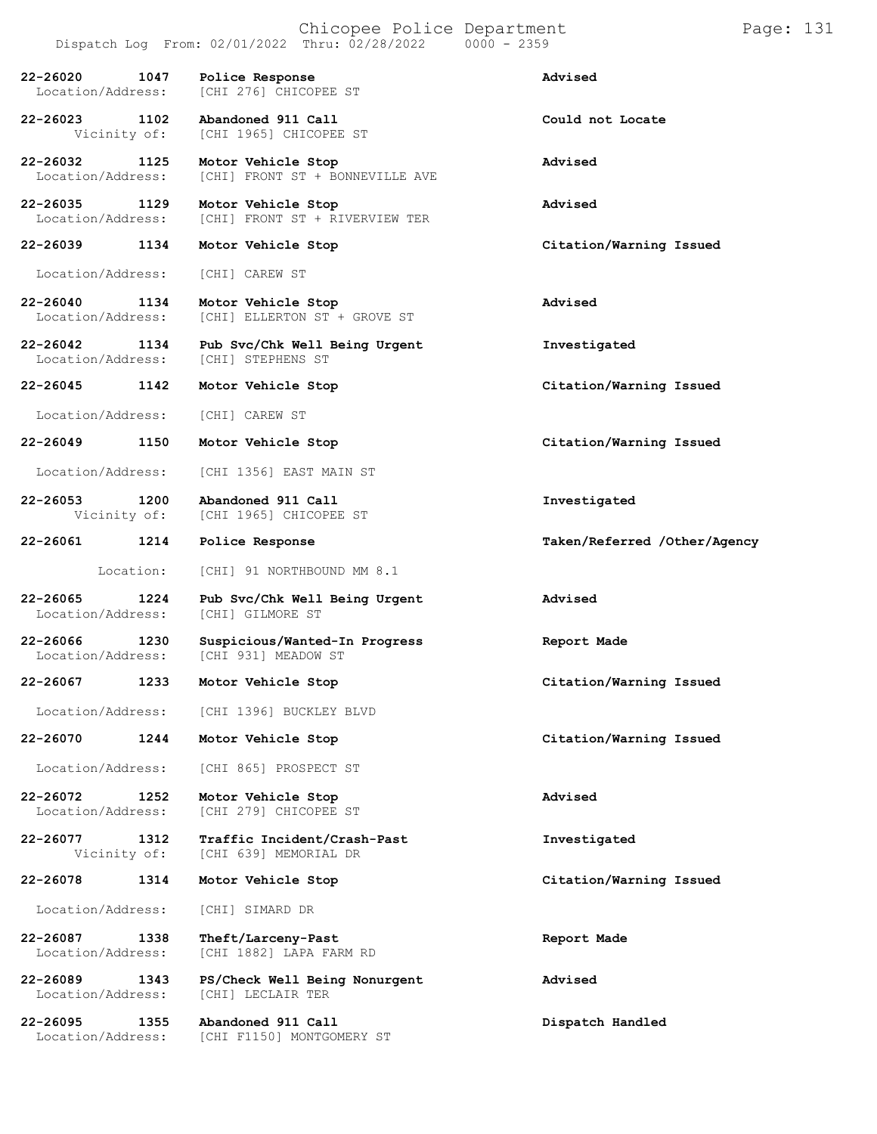|                                   |           | Chicopee Police Department<br>Dispatch Log From: 02/01/2022 Thru: 02/28/2022 | $0000 - 2359$                | Page: 131 |
|-----------------------------------|-----------|------------------------------------------------------------------------------|------------------------------|-----------|
| $22 - 26020$<br>Location/Address: | 1047      | Police Response<br>[CHI 276] CHICOPEE ST                                     | Advised                      |           |
| 22-26023<br>Vicinity of:          | 1102      | Abandoned 911 Call<br>[CHI 1965] CHICOPEE ST                                 | Could not Locate             |           |
| 22-26032<br>Location/Address:     | 1125      | Motor Vehicle Stop<br>[CHI] FRONT ST + BONNEVILLE AVE                        | Advised                      |           |
| 22-26035<br>Location/Address:     | 1129      | Motor Vehicle Stop<br>[CHI] FRONT ST + RIVERVIEW TER                         | Advised                      |           |
| 22-26039                          | 1134      | Motor Vehicle Stop                                                           | Citation/Warning Issued      |           |
| Location/Address:                 |           | [CHI] CAREW ST                                                               |                              |           |
| $22 - 26040$<br>Location/Address: | 1134      | Motor Vehicle Stop<br>[CHI] ELLERTON ST + GROVE ST                           | Advised                      |           |
| 22-26042<br>Location/Address:     | 1134      | Pub Svc/Chk Well Being Urgent<br>[CHI] STEPHENS ST                           | Investigated                 |           |
| 22-26045                          | 1142      | Motor Vehicle Stop                                                           | Citation/Warning Issued      |           |
| Location/Address:                 |           | [CHI] CAREW ST                                                               |                              |           |
| 22-26049                          | 1150      | Motor Vehicle Stop                                                           | Citation/Warning Issued      |           |
| Location/Address:                 |           | [CHI 1356] EAST MAIN ST                                                      |                              |           |
| $22 - 26053$<br>Vicinity of:      | 1200      | Abandoned 911 Call<br>[CHI 1965] CHICOPEE ST                                 | Investigated                 |           |
| 22-26061                          | 1214      | Police Response                                                              | Taken/Referred /Other/Agency |           |
|                                   | Location: | [CHI] 91 NORTHBOUND MM 8.1                                                   |                              |           |
| $22 - 26065$<br>Location/Address: | 1224      | Pub Svc/Chk Well Being Urgent<br>[CHI] GILMORE ST                            | Advised                      |           |
| $22 - 26066$<br>Location/Address: | 1230      | Suspicious/Wanted-In Progress<br>[CHI 931] MEADOW ST                         | Report Made                  |           |
| 22-26067                          | 1233      | Motor Vehicle Stop                                                           | Citation/Warning Issued      |           |
| Location/Address:                 |           | [CHI 1396] BUCKLEY BLVD                                                      |                              |           |
| 22-26070                          | 1244      | Motor Vehicle Stop                                                           | Citation/Warning Issued      |           |
| Location/Address:                 |           | [CHI 865] PROSPECT ST                                                        |                              |           |
| 22-26072<br>Location/Address:     | 1252      | Motor Vehicle Stop<br>[CHI 279] CHICOPEE ST                                  | Advised                      |           |
| 22-26077<br>Vicinity of:          | 1312      | Traffic Incident/Crash-Past<br>[CHI 639] MEMORIAL DR                         | Investigated                 |           |
| 22-26078                          | 1314      | Motor Vehicle Stop                                                           | Citation/Warning Issued      |           |
| Location/Address:                 |           | [CHI] SIMARD DR                                                              |                              |           |
| 22-26087<br>Location/Address:     | 1338      | Theft/Larceny-Past<br>[CHI 1882] LAPA FARM RD                                | Report Made                  |           |
| 22-26089                          | 1343      | PS/Check Well Being Nonurgent                                                | Advised                      |           |

Location/Address: [CHI] LECLAIR TER

**22-26095 1355 Abandoned 911 Call Dispatch Handled** Location/Address: [CHI F1150] MONTGOMERY ST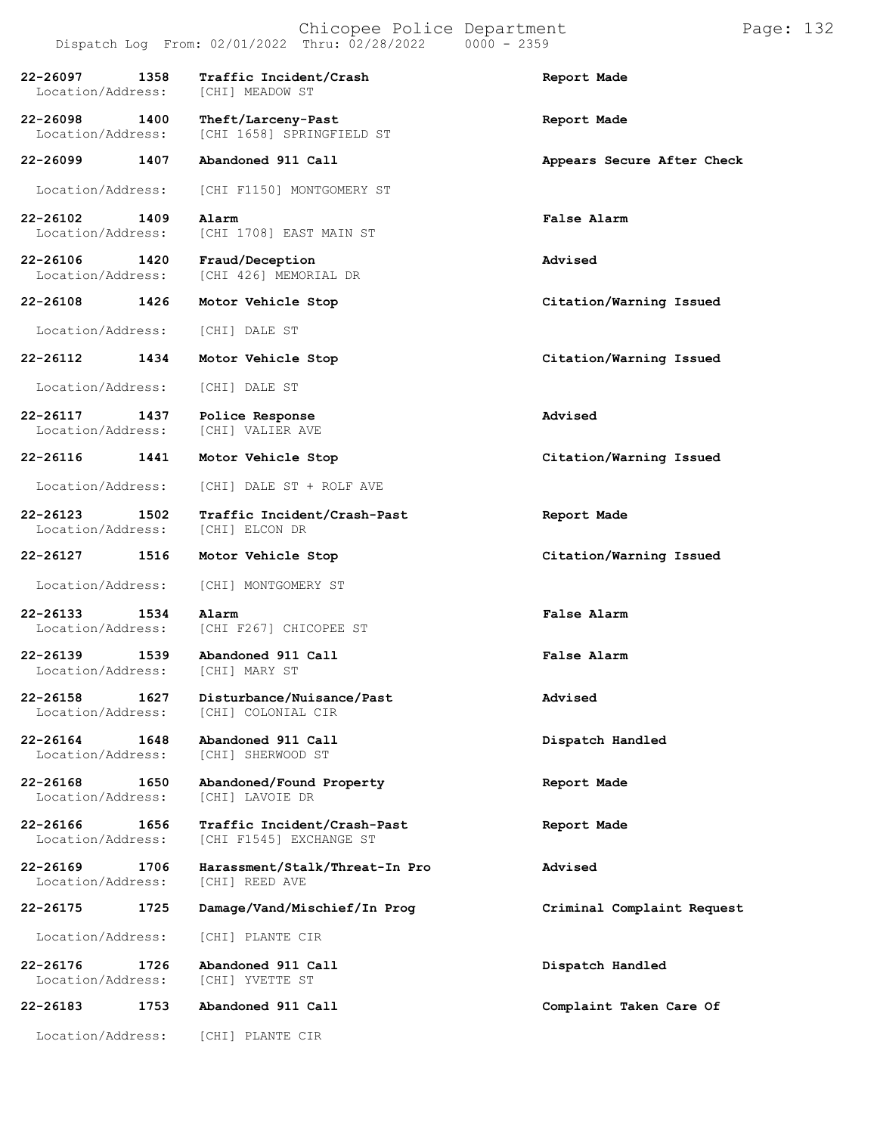#### Chicopee Police Department Page: 132 Dispatch Log From:  $02/01/2022$  Thru:  $02/28/2022$

**22-26097 1358 Traffic Incident/Crash Report Made** Location/Address: **22-26098 1400 Theft/Larceny-Past Report Made** [CHI 1658] SPRINGFIELD ST **22-26099 1407 Abandoned 911 Call Appears Secure After Check** Location/Address: [CHI F1150] MONTGOMERY ST **22-26102 1409 Alarm False Alarm** Location/Address: [CHI 1708] EAST MAIN ST **22-26106 1420 Fraud/Deception Advised** [CHI 426] MEMORIAL DR **22-26108 1426 Motor Vehicle Stop Citation/Warning Issued** Location/Address: [CHI] DALE ST **22-26112 1434 Motor Vehicle Stop Citation/Warning Issued** Location/Address: [CHI] DALE ST **22-26117 1437 Police Response Advised** Location/Address: **22-26116 1441 Motor Vehicle Stop Citation/Warning Issued** Location/Address: [CHI] DALE ST + ROLF AVE **22-26123 1502 Traffic Incident/Crash-Past Report Made** Location/Address: **22-26127 1516 Motor Vehicle Stop Citation/Warning Issued** Location/Address: [CHI] MONTGOMERY ST **22-26133 1534 Alarm False Alarm** Location/Address: [CHI F267] CHICOPEE ST **22-26139 1539 Abandoned 911 Call False Alarm** Location/Address: **22-26158 1627 Disturbance/Nuisance/Past Advised** [CHI] COLONIAL CIR **22-26164 1648 Abandoned 911 Call Dispatch Handled** Location/Address: **22-26168 1650 Abandoned/Found Property Report Made** Location/Address: **22-26166 1656 Traffic Incident/Crash-Past Report Made** [CHI F1545] EXCHANGE ST **22-26169 1706 Harassment/Stalk/Threat-In Pro Advised** Location/Address: **22-26175 1725 Damage/Vand/Mischief/In Prog Criminal Complaint Request** Location/Address: [CHI] PLANTE CIR **22-26176 1726 Abandoned 911 Call Dispatch Handled** Location/Address: **22-26183 1753 Abandoned 911 Call Complaint Taken Care Of** Location/Address: [CHI] PLANTE CIR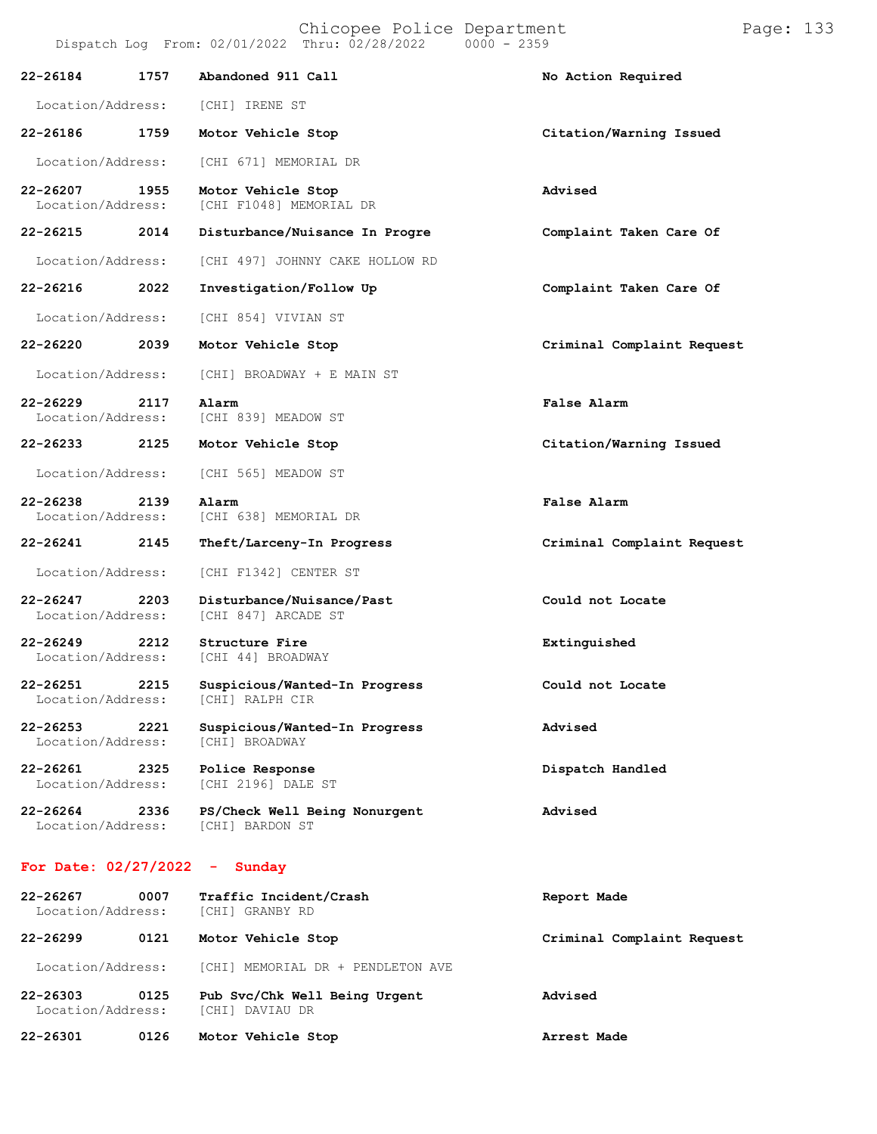Chicopee Police Department Page: 133 Dispatch Log From:  $02/01/2022$  Thru:  $02/28/2022$ **22-26184 1757 Abandoned 911 Call No Action Required** Location/Address: [CHI] IRENE ST **22-26186 1759 Motor Vehicle Stop Citation/Warning Issued** Location/Address: [CHI 671] MEMORIAL DR **22-26207 1955 Motor Vehicle Stop Advised** [CHI F1048] MEMORIAL DR **22-26215 2014 Disturbance/Nuisance In Progre Complaint Taken Care Of** Location/Address: [CHI 497] JOHNNY CAKE HOLLOW RD **22-26216 2022 Investigation/Follow Up Complaint Taken Care Of** Location/Address: [CHI 854] VIVIAN ST **22-26220 2039 Motor Vehicle Stop Criminal Complaint Request** Location/Address: [CHI] BROADWAY + E MAIN ST **22-26229 2117 Alarm False Alarm**

**22-26249 2212 Structure Fire Extinguished**

Location/Address:

**22-26253 2221 Suspicious/Wanted-In Progress Advised**

**22-26261 2325 Police Response Dispatch Handled** [CHI 2196] DALE ST

**22-26264 2336 PS/Check Well Being Nonurgent Advised** Location/Address:

### **For Date: 02/27/2022 - Sunday**

| $22 - 26267$<br>Location/Address: | 0007 | Traffic Incident/Crash<br>[CHI] GRANBY RD        | Report Made                |
|-----------------------------------|------|--------------------------------------------------|----------------------------|
| $22 - 26299$                      | 0121 | Motor Vehicle Stop                               | Criminal Complaint Request |
| Location/Address:                 |      | [CHI] MEMORIAL DR + PENDLETON AVE                |                            |
| $22 - 26303$<br>Location/Address: | 0125 | Pub Svc/Chk Well Being Urgent<br>[CHI] DAVIAU DR | Advised                    |
| 22-26301                          | 0126 | Motor Vehicle Stop                               | Arrest Made                |

Location/Address: [CHI 839] MEADOW ST **22-26233 2125 Motor Vehicle Stop Citation/Warning Issued** Location/Address: [CHI 565] MEADOW ST **22-26238 2139 Alarm False Alarm** [CHI 638] MEMORIAL DR **22-26241 2145 Theft/Larceny-In Progress Criminal Complaint Request** Location/Address: [CHI F1342] CENTER ST **22-26247 2203 Disturbance/Nuisance/Past Could not Locate** [CHI 847] ARCADE ST

**22-26251 2215 Suspicious/Wanted-In Progress Could not Locate**

[CHI] BROADWAY

[CHI 44] BROADWAY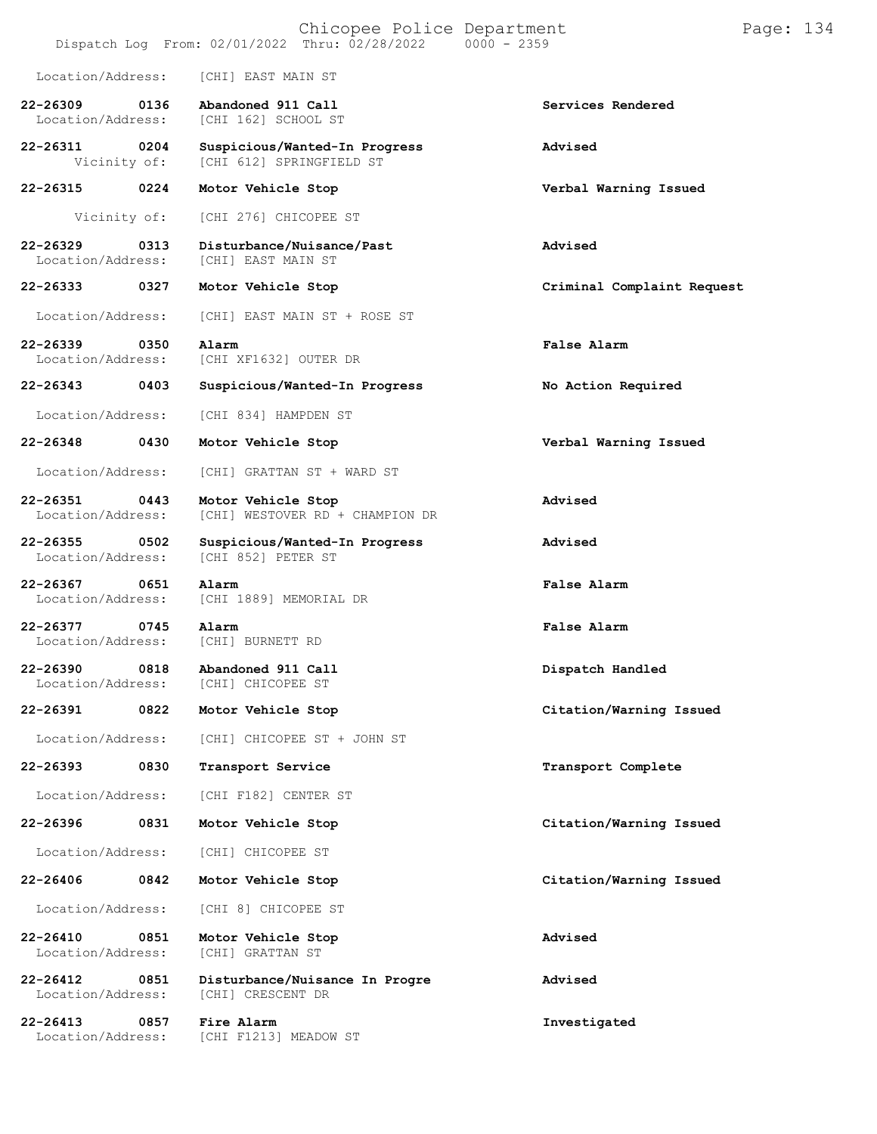|                                   |      | Dispatch Log From: 02/01/2022 Thru: 02/28/2022            | Chicopee Police Department | $0000 - 2359$ |                            | Page: 134 |  |
|-----------------------------------|------|-----------------------------------------------------------|----------------------------|---------------|----------------------------|-----------|--|
| Location/Address:                 |      | [CHI] EAST MAIN ST                                        |                            |               |                            |           |  |
| $22 - 26309$<br>Location/Address: | 0136 | Abandoned 911 Call<br>[CHI 162] SCHOOL ST                 |                            |               | Services Rendered          |           |  |
| 22-26311<br>Vicinity of:          | 0204 | Suspicious/Wanted-In Progress<br>[CHI 612] SPRINGFIELD ST |                            |               | Advised                    |           |  |
| 22-26315                          | 0224 | Motor Vehicle Stop                                        |                            |               | Verbal Warning Issued      |           |  |
| Vicinity of:                      |      | [CHI 276] CHICOPEE ST                                     |                            |               |                            |           |  |
| $22 - 26329$<br>Location/Address: | 0313 | Disturbance/Nuisance/Past<br>[CHI] EAST MAIN ST           |                            |               | Advised                    |           |  |
| 22-26333                          | 0327 | Motor Vehicle Stop                                        |                            |               | Criminal Complaint Request |           |  |
| Location/Address:                 |      | [CHI] EAST MAIN ST + ROSE ST                              |                            |               |                            |           |  |
| 22-26339<br>Location/Address:     | 0350 | Alarm<br>[CHI XF1632] OUTER DR                            |                            |               | <b>False Alarm</b>         |           |  |
| 22-26343                          | 0403 | Suspicious/Wanted-In Progress                             |                            |               | No Action Required         |           |  |
| Location/Address:                 |      | [CHI 834] HAMPDEN ST                                      |                            |               |                            |           |  |
| 22-26348                          | 0430 | Motor Vehicle Stop                                        |                            |               | Verbal Warning Issued      |           |  |
| Location/Address:                 |      | [CHI] GRATTAN ST + WARD ST                                |                            |               |                            |           |  |
| 22-26351<br>Location/Address:     | 0443 | Motor Vehicle Stop<br>[CHI] WESTOVER RD + CHAMPION DR     |                            |               | Advised                    |           |  |
| 22-26355<br>Location/Address:     | 0502 | Suspicious/Wanted-In Progress<br>[CHI 852] PETER ST       |                            |               | Advised                    |           |  |
| $22 - 26367$<br>Location/Address: | 0651 | Alarm<br>[CHI 1889] MEMORIAL DR                           |                            |               | False Alarm                |           |  |
| 22-26377<br>Location/Address:     | 0745 | Alarm<br>[CHI] BURNETT RD                                 |                            |               | False Alarm                |           |  |
| 22-26390<br>Location/Address:     | 0818 | Abandoned 911 Call<br>[CHI] CHICOPEE ST                   |                            |               | Dispatch Handled           |           |  |
| 22-26391                          | 0822 | Motor Vehicle Stop                                        |                            |               | Citation/Warning Issued    |           |  |
| Location/Address:                 |      | [CHI] CHICOPEE ST + JOHN ST                               |                            |               |                            |           |  |
| 22-26393                          | 0830 | Transport Service                                         |                            |               | Transport Complete         |           |  |
| Location/Address:                 |      | [CHI F182] CENTER ST                                      |                            |               |                            |           |  |
| 22-26396                          | 0831 | Motor Vehicle Stop                                        |                            |               | Citation/Warning Issued    |           |  |
| Location/Address:                 |      | [CHI] CHICOPEE ST                                         |                            |               |                            |           |  |
| 22-26406                          | 0842 | Motor Vehicle Stop                                        |                            |               | Citation/Warning Issued    |           |  |
| Location/Address:                 |      | [CHI 8] CHICOPEE ST                                       |                            |               |                            |           |  |
| $22 - 26410$<br>Location/Address: | 0851 | Motor Vehicle Stop<br>[CHI] GRATTAN ST                    |                            |               | Advised                    |           |  |
| $22 - 26412$<br>Location/Address: | 0851 | Disturbance/Nuisance In Progre<br>[CHI] CRESCENT DR       |                            |               | Advised                    |           |  |
| 22-26413<br>Location/Address:     | 0857 | Fire Alarm<br>[CHI F1213] MEADOW ST                       |                            |               | Investigated               |           |  |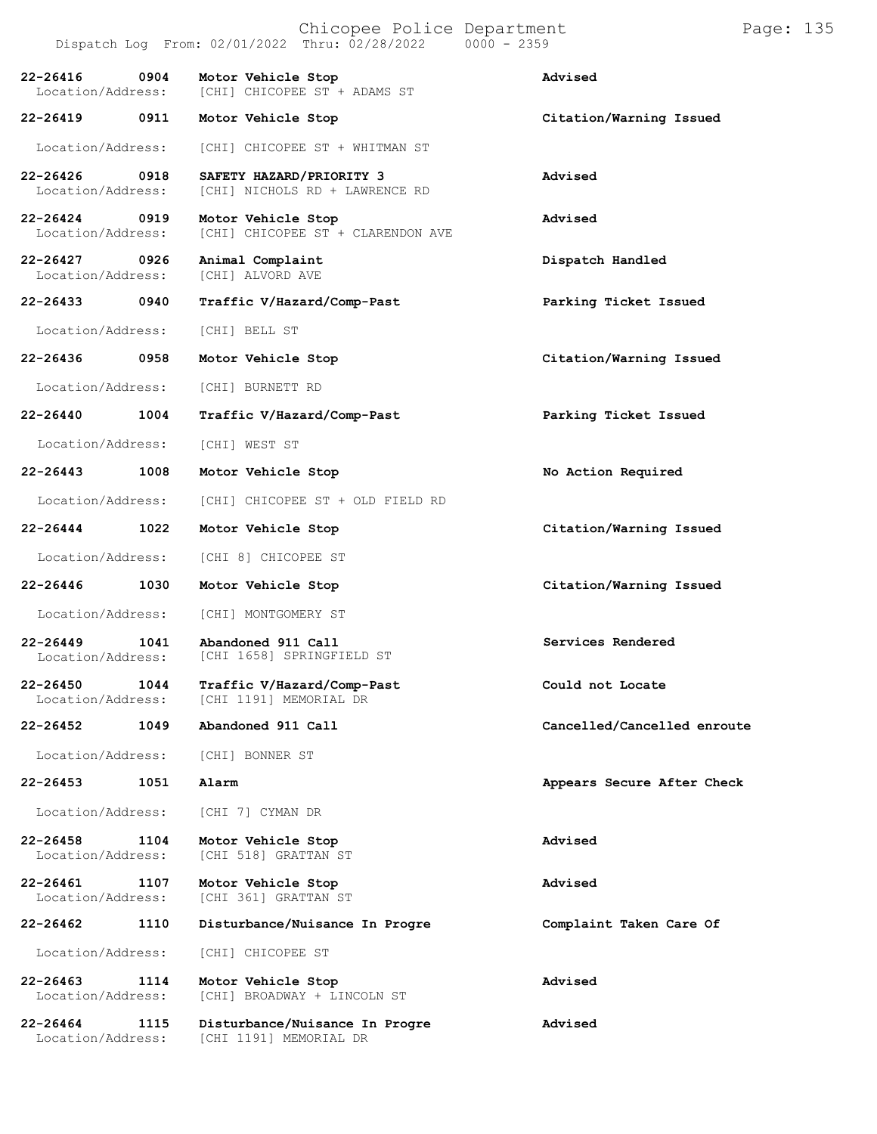|                                           |                                                 | Chicopee Police Department<br>Dispatch Log From: 02/01/2022 Thru: 02/28/2022 | $0000 - 2359$               | Page: 135 |  |
|-------------------------------------------|-------------------------------------------------|------------------------------------------------------------------------------|-----------------------------|-----------|--|
| $22 - 26416$<br>0904<br>Location/Address: | Motor Vehicle Stop                              | [CHI] CHICOPEE ST + ADAMS ST                                                 | Advised                     |           |  |
| 22-26419<br>0911                          | Motor Vehicle Stop                              |                                                                              | Citation/Warning Issued     |           |  |
| Location/Address:                         |                                                 | [CHI] CHICOPEE ST + WHITMAN ST                                               |                             |           |  |
| 22-26426<br>0918<br>Location/Address:     | SAFETY HAZARD/PRIORITY 3                        | [CHI] NICHOLS RD + LAWRENCE RD                                               | Advised                     |           |  |
| 22-26424<br>0919<br>Location/Address:     | Motor Vehicle Stop                              | [CHI] CHICOPEE ST + CLARENDON AVE                                            | Advised                     |           |  |
| 22-26427<br>0926<br>Location/Address:     | Animal Complaint<br>[CHI] ALVORD AVE            |                                                                              | Dispatch Handled            |           |  |
| 22-26433<br>0940                          |                                                 | Traffic V/Hazard/Comp-Past                                                   | Parking Ticket Issued       |           |  |
| Location/Address:                         | [CHI] BELL ST                                   |                                                                              |                             |           |  |
| 22-26436<br>0958                          | Motor Vehicle Stop                              |                                                                              | Citation/Warning Issued     |           |  |
| Location/Address:                         | [CHI] BURNETT RD                                |                                                                              |                             |           |  |
| $22 - 26440$<br>1004                      |                                                 | Traffic V/Hazard/Comp-Past                                                   | Parking Ticket Issued       |           |  |
| Location/Address:                         | [CHI] WEST ST                                   |                                                                              |                             |           |  |
| 22-26443<br>1008                          | Motor Vehicle Stop                              |                                                                              | No Action Required          |           |  |
| Location/Address:                         |                                                 | [CHI] CHICOPEE ST + OLD FIELD RD                                             |                             |           |  |
| 22-26444<br>1022                          | Motor Vehicle Stop                              |                                                                              | Citation/Warning Issued     |           |  |
| Location/Address:                         | [CHI 8] CHICOPEE ST                             |                                                                              |                             |           |  |
| 22-26446<br>1030                          | Motor Vehicle Stop                              |                                                                              | Citation/Warning Issued     |           |  |
| Location/Address:                         | [CHI] MONTGOMERY ST                             |                                                                              |                             |           |  |
| $22 - 26449$<br>1041<br>Location/Address: | Abandoned 911 Call<br>[CHI 1658] SPRINGFIELD ST |                                                                              | Services Rendered           |           |  |
| $22 - 26450$<br>1044<br>Location/Address: | [CHI 1191] MEMORIAL DR                          | Traffic V/Hazard/Comp-Past                                                   | Could not Locate            |           |  |
| 1049<br>22-26452                          | Abandoned 911 Call                              |                                                                              | Cancelled/Cancelled enroute |           |  |
| Location/Address:                         | [CHI] BONNER ST                                 |                                                                              |                             |           |  |
| 1051<br>$22 - 26453$                      | Alarm                                           |                                                                              | Appears Secure After Check  |           |  |
| Location/Address:                         | [CHI 7] CYMAN DR                                |                                                                              |                             |           |  |
| $22 - 26458$<br>1104<br>Location/Address: | Motor Vehicle Stop<br>[CHI 518] GRATTAN ST      |                                                                              | Advised                     |           |  |
| 22-26461<br>1107<br>Location/Address:     | Motor Vehicle Stop<br>[CHI 361] GRATTAN ST      |                                                                              | Advised                     |           |  |
| $22 - 26462$<br>1110                      |                                                 | Disturbance/Nuisance In Progre                                               | Complaint Taken Care Of     |           |  |
| Location/Address:                         | [CHI] CHICOPEE ST                               |                                                                              |                             |           |  |
| 22-26463<br>1114<br>Location/Address:     | Motor Vehicle Stop                              | [CHI] BROADWAY + LINCOLN ST                                                  | Advised                     |           |  |
| $22 - 26464$<br>1115<br>Location/Address: | [CHI 1191] MEMORIAL DR                          | Disturbance/Nuisance In Progre                                               | Advised                     |           |  |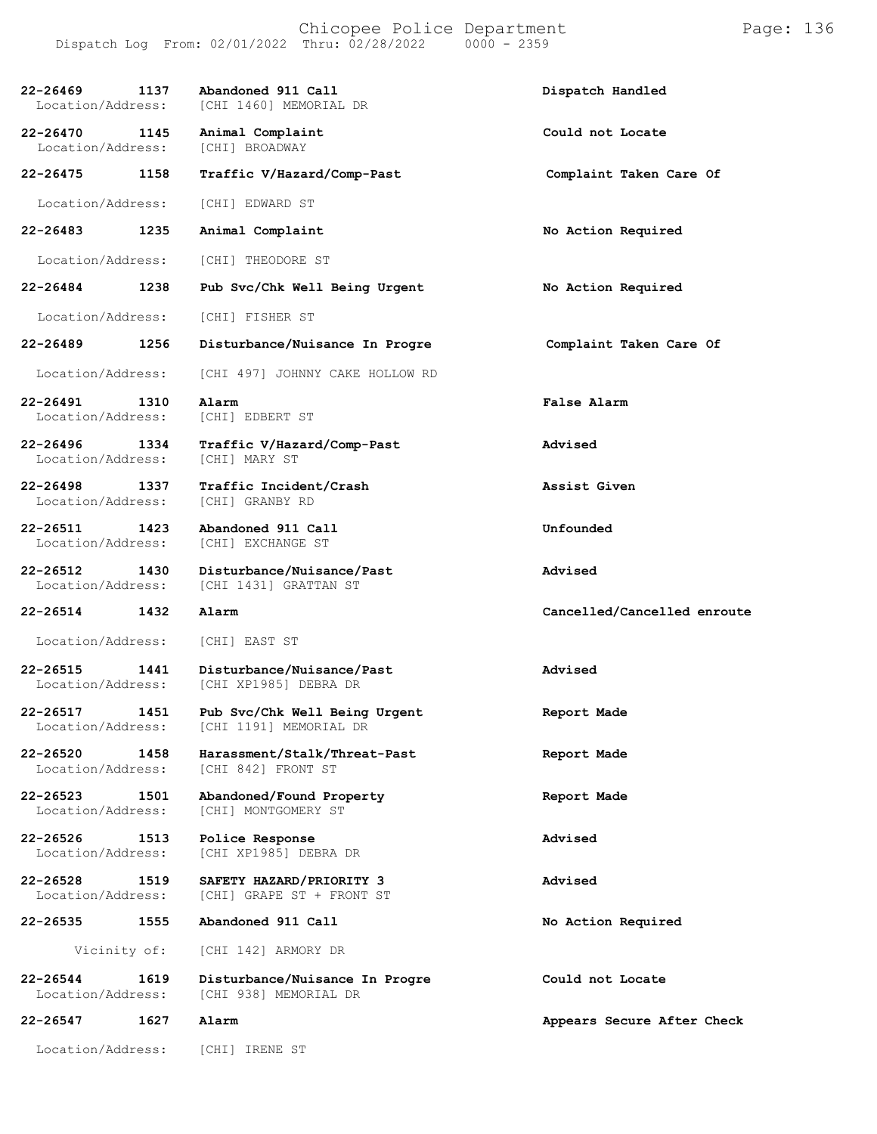| 22-26469<br>Location/Address:         | 1137 | Abandoned 911 Call<br>[CHI 1460] MEMORIAL DR            | Dispatch Handled            |
|---------------------------------------|------|---------------------------------------------------------|-----------------------------|
| $22 - 26470$<br>Location/Address:     | 1145 | Animal Complaint<br>[CHI] BROADWAY                      | Could not Locate            |
| 22-26475                              | 1158 | Traffic V/Hazard/Comp-Past                              | Complaint Taken Care Of     |
| Location/Address:                     |      | [CHI] EDWARD ST                                         |                             |
| 22-26483                              | 1235 | Animal Complaint                                        | No Action Required          |
| Location/Address:                     |      | [CHI] THEODORE ST                                       |                             |
| 22-26484                              | 1238 | Pub Svc/Chk Well Being Urgent                           | No Action Required          |
| Location/Address:                     |      | [CHI] FISHER ST                                         |                             |
| 22-26489                              | 1256 | Disturbance/Nuisance In Progre                          | Complaint Taken Care Of     |
| Location/Address:                     |      | [CHI 497] JOHNNY CAKE HOLLOW RD                         |                             |
| 22-26491<br>Location/Address:         | 1310 | Alarm<br>[CHI] EDBERT ST                                | False Alarm                 |
| 22-26496<br>1334<br>Location/Address: |      | Traffic V/Hazard/Comp-Past<br>[CHI] MARY ST             | Advised                     |
| 22-26498<br>Location/Address:         | 1337 | Traffic Incident/Crash<br>[CHI] GRANBY RD               | Assist Given                |
| 22-26511<br>Location/Address:         | 1423 | Abandoned 911 Call<br>[CHI] EXCHANGE ST                 | Unfounded                   |
|                                       |      |                                                         |                             |
| 22-26512<br>Location/Address:         | 1430 | Disturbance/Nuisance/Past<br>[CHI 1431] GRATTAN ST      | Advised                     |
| 22-26514                              | 1432 | Alarm                                                   | Cancelled/Cancelled enroute |
| Location/Address:                     |      | [CHI] EAST ST                                           |                             |
| 22-26515<br>Location/Address:         | 1441 | Disturbance/Nuisance/Past<br>[CHI XP1985] DEBRA DR      | Advised                     |
| 22-26517<br>Location/Address:         | 1451 | Pub Svc/Chk Well Being Urgent<br>[CHI 1191] MEMORIAL DR | Report Made                 |
| 22-26520<br>Location/Address:         | 1458 | Harassment/Stalk/Threat-Past<br>[CHI 842] FRONT ST      | Report Made                 |
| $22 - 26523$<br>Location/Address:     | 1501 | Abandoned/Found Property<br>[CHI] MONTGOMERY ST         | Report Made                 |
| $22 - 26526$<br>Location/Address:     | 1513 | Police Response<br>[CHI XP1985] DEBRA DR                | Advised                     |
| $22 - 26528$<br>Location/Address:     | 1519 | SAFETY HAZARD/PRIORITY 3<br>[CHI] GRAPE ST + FRONT ST   | Advised                     |
| 22-26535                              | 1555 | Abandoned 911 Call                                      | No Action Required          |
| Vicinity of:                          |      | [CHI 142] ARMORY DR                                     |                             |
| 22-26544<br>Location/Address:         | 1619 | Disturbance/Nuisance In Progre<br>[CHI 938] MEMORIAL DR | Could not Locate            |
| 22-26547                              | 1627 | Alarm                                                   | Appears Secure After Check  |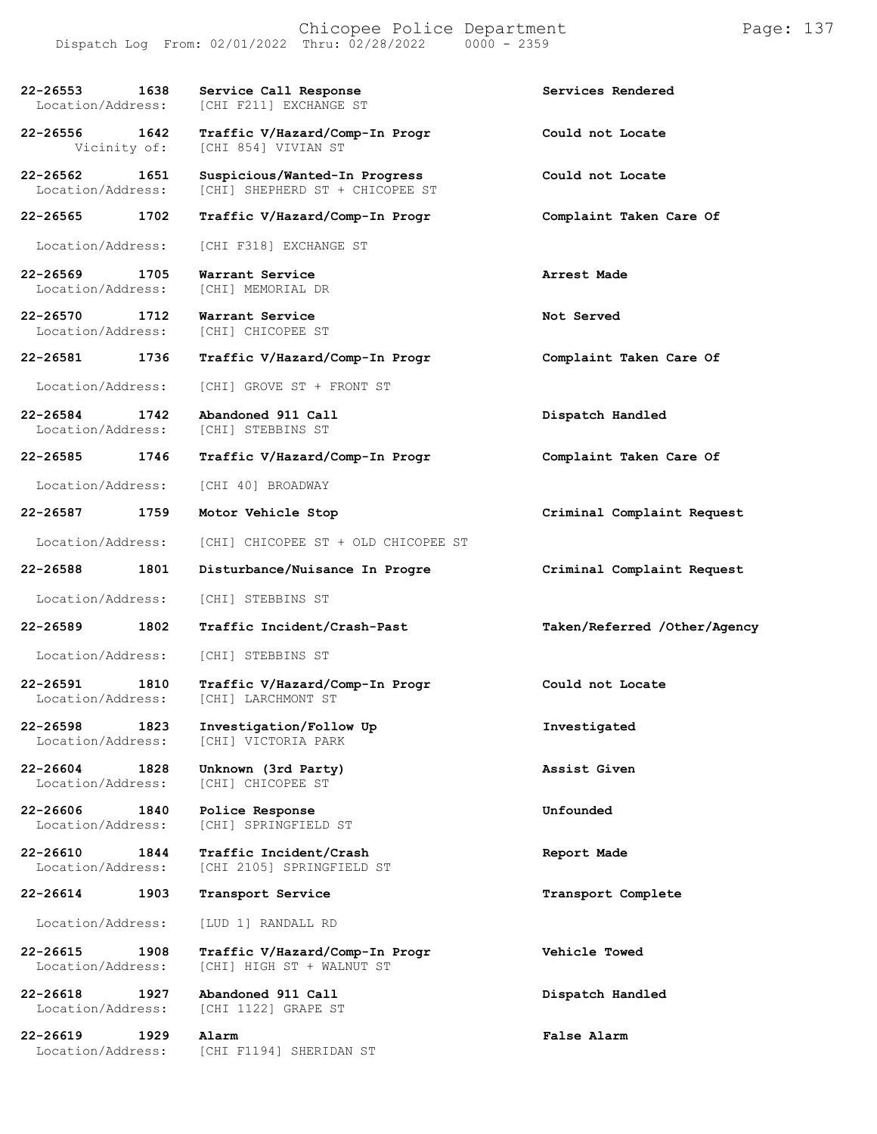| 22-26553<br>1638<br>Location/Address:     | Service Call Response<br>[CHI F211] EXCHANGE ST                  | Services Rendered            |
|-------------------------------------------|------------------------------------------------------------------|------------------------------|
| 22-26556<br>1642<br>Vicinity of:          | Traffic V/Hazard/Comp-In Progr<br>[CHI 854] VIVIAN ST            | Could not Locate             |
| 22-26562<br>1651<br>Location/Address:     | Suspicious/Wanted-In Progress<br>[CHI] SHEPHERD ST + CHICOPEE ST | Could not Locate             |
| 22-26565<br>1702                          | Traffic V/Hazard/Comp-In Progr                                   | Complaint Taken Care Of      |
| Location/Address:                         | [CHI F318] EXCHANGE ST                                           |                              |
| 22-26569<br>1705<br>Location/Address:     | Warrant Service<br>[CHI] MEMORIAL DR                             | Arrest Made                  |
| $22 - 26570$<br>1712<br>Location/Address: | Warrant Service<br>[CHI] CHICOPEE ST                             | Not Served                   |
| 22-26581<br>1736                          | Traffic V/Hazard/Comp-In Progr                                   | Complaint Taken Care Of      |
| Location/Address:                         | [CHI] GROVE ST + FRONT ST                                        |                              |
| 22-26584<br>1742<br>Location/Address:     | Abandoned 911 Call<br>[CHI] STEBBINS ST                          | Dispatch Handled             |
| 22-26585<br>1746                          | Traffic V/Hazard/Comp-In Progr                                   | Complaint Taken Care Of      |
| Location/Address:                         | [CHI 40] BROADWAY                                                |                              |
| 22-26587<br>1759                          | Motor Vehicle Stop                                               | Criminal Complaint Request   |
| Location/Address:                         | [CHI] CHICOPEE ST + OLD CHICOPEE ST                              |                              |
|                                           |                                                                  |                              |
| 22-26588<br>1801                          | Disturbance/Nuisance In Progre                                   | Criminal Complaint Request   |
| Location/Address:                         | [CHI] STEBBINS ST                                                |                              |
| 22-26589<br>1802                          | Traffic Incident/Crash-Past                                      | Taken/Referred /Other/Agency |
| Location/Address:                         | [CHI] STEBBINS ST                                                |                              |
| 22-26591<br>1810<br>Location/Address:     | Traffic V/Hazard/Comp-In Progr<br>[CHI] LARCHMONT ST             | Could not Locate             |
| $22 - 26598$<br>1823<br>Location/Address: | Investigation/Follow Up<br>[CHI] VICTORIA PARK                   | Investigated                 |
| 22-26604<br>1828<br>Location/Address:     | Unknown (3rd Party)<br>[CHI] CHICOPEE ST                         | Assist Given                 |
| $22 - 26606$<br>1840<br>Location/Address: | Police Response<br>[CHI] SPRINGFIELD ST                          | Unfounded                    |
| $22 - 26610$<br>1844<br>Location/Address: | Traffic Incident/Crash<br>[CHI 2105] SPRINGFIELD ST              | Report Made                  |
| 22-26614<br>1903                          | Transport Service                                                | Transport Complete           |
| Location/Address:                         | [LUD 1] RANDALL RD                                               |                              |
| $22 - 26615$<br>1908<br>Location/Address: | Traffic V/Hazard/Comp-In Progr<br>[CHI] HIGH ST + WALNUT ST      | Vehicle Towed                |
| $22 - 26618$<br>1927<br>Location/Address: | Abandoned 911 Call<br>[CHI 1122] GRAPE ST                        | Dispatch Handled             |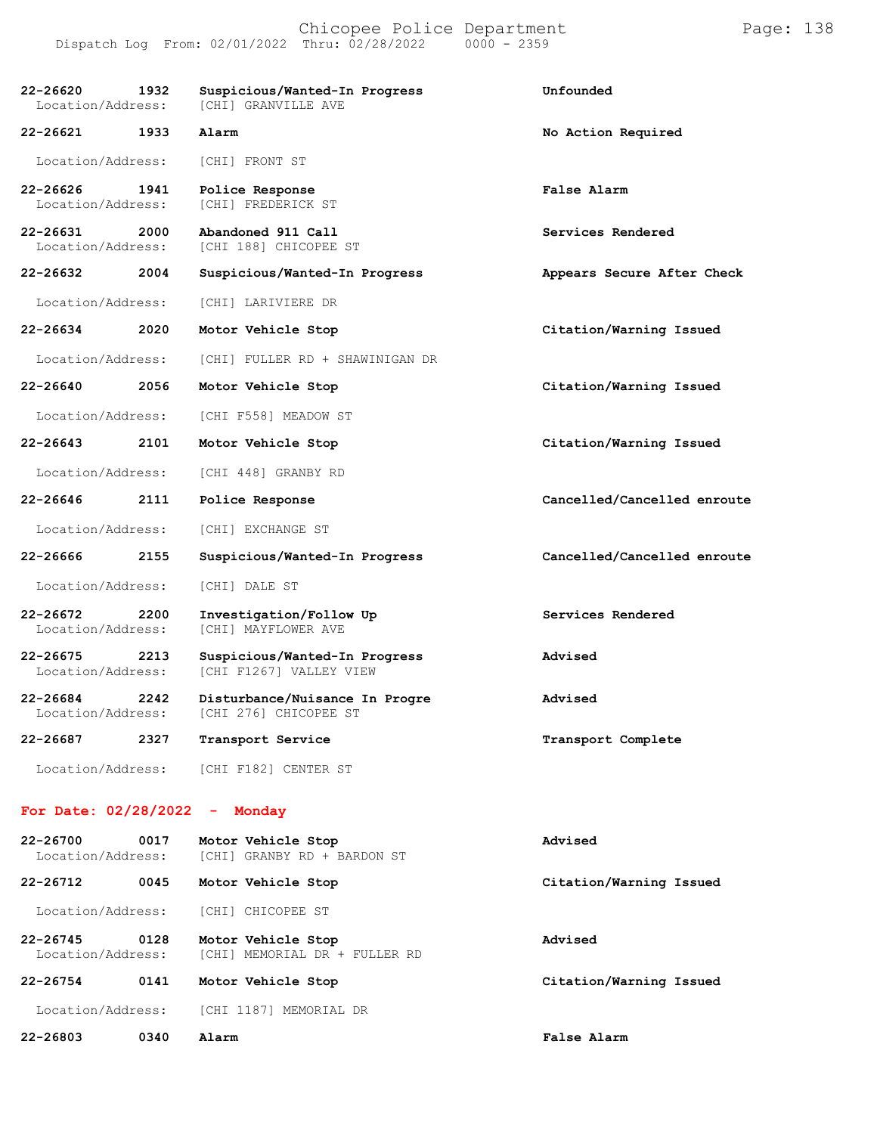#### Chicopee Police Department Form Page: 138 Dispatch Log From: 02/01/2022 Thru: 02/28/2022 0000 - 2359

| $22 - 26620$<br>Location/Address: | 1932 | Suspicious/Wanted-In Progress<br><b>[CHI] GRANVILLE AVE</b> | Unfounded                   |
|-----------------------------------|------|-------------------------------------------------------------|-----------------------------|
| 22-26621                          | 1933 | Alarm                                                       | No Action Required          |
| Location/Address:                 |      | [CHI] FRONT ST                                              |                             |
| 22-26626<br>Location/Address:     | 1941 | Police Response<br>[CHI] FREDERICK ST                       | False Alarm                 |
| $22 - 26631$<br>Location/Address: | 2000 | Abandoned 911 Call<br>[CHI 188] CHICOPEE ST                 | Services Rendered           |
| 22-26632                          | 2004 | Suspicious/Wanted-In Progress                               | Appears Secure After Check  |
| Location/Address:                 |      | [CHI] LARIVIERE DR                                          |                             |
| 22-26634                          | 2020 | Motor Vehicle Stop                                          | Citation/Warning Issued     |
| Location/Address:                 |      | [CHI] FULLER RD + SHAWINIGAN DR                             |                             |
| 22-26640                          | 2056 | Motor Vehicle Stop                                          | Citation/Warning Issued     |
| Location/Address:                 |      | [CHI F558] MEADOW ST                                        |                             |
| $22 - 26643$                      | 2101 | Motor Vehicle Stop                                          | Citation/Warning Issued     |
| Location/Address:                 |      | [CHI 448] GRANBY RD                                         |                             |
| 22-26646                          | 2111 | Police Response                                             | Cancelled/Cancelled enroute |
| Location/Address:                 |      | [CHI] EXCHANGE ST                                           |                             |
| 22-26666                          | 2155 | Suspicious/Wanted-In Progress                               | Cancelled/Cancelled enroute |
| Location/Address:                 |      | [CHI] DALE ST                                               |                             |
| $22 - 26672$<br>Location/Address: | 2200 | Investigation/Follow Up<br>[CHI] MAYFLOWER AVE              | Services Rendered           |
| $22 - 26675$<br>Location/Address: | 2213 | Suspicious/Wanted-In Progress<br>[CHI F1267] VALLEY VIEW    | Advised                     |
| $22 - 26684$<br>Location/Address: | 2242 | Disturbance/Nuisance In Progre<br>[CHI 276] CHICOPEE ST     | Advised                     |
| 22-26687                          | 2327 | Transport Service                                           | Transport Complete          |
| Location/Address:                 |      | [CHI F182] CENTER ST                                        |                             |

#### **For Date: 02/28/2022 - Monday**

| 22-26700<br>Location/Address:     | 0017 | Motor Vehicle Stop<br>[CHI] GRANBY RD + BARDON ST      | Advised                 |
|-----------------------------------|------|--------------------------------------------------------|-------------------------|
| $22 - 26712$                      | 0045 | Motor Vehicle Stop                                     | Citation/Warning Issued |
| Location/Address:                 |      | [CHI] CHICOPEE ST                                      |                         |
| $22 - 26745$<br>Location/Address: | 0128 | Motor Vehicle Stop<br>MEMORIAL DR + FULLER RD<br>[CHI] | Advised                 |
| $22 - 26754$                      | 0141 | Motor Vehicle Stop                                     | Citation/Warning Issued |
| Location/Address:                 |      | <b>[CHI 1187]</b><br>MEMORIAL DR                       |                         |
| 22-26803                          | 0340 | Alarm                                                  | False Alarm             |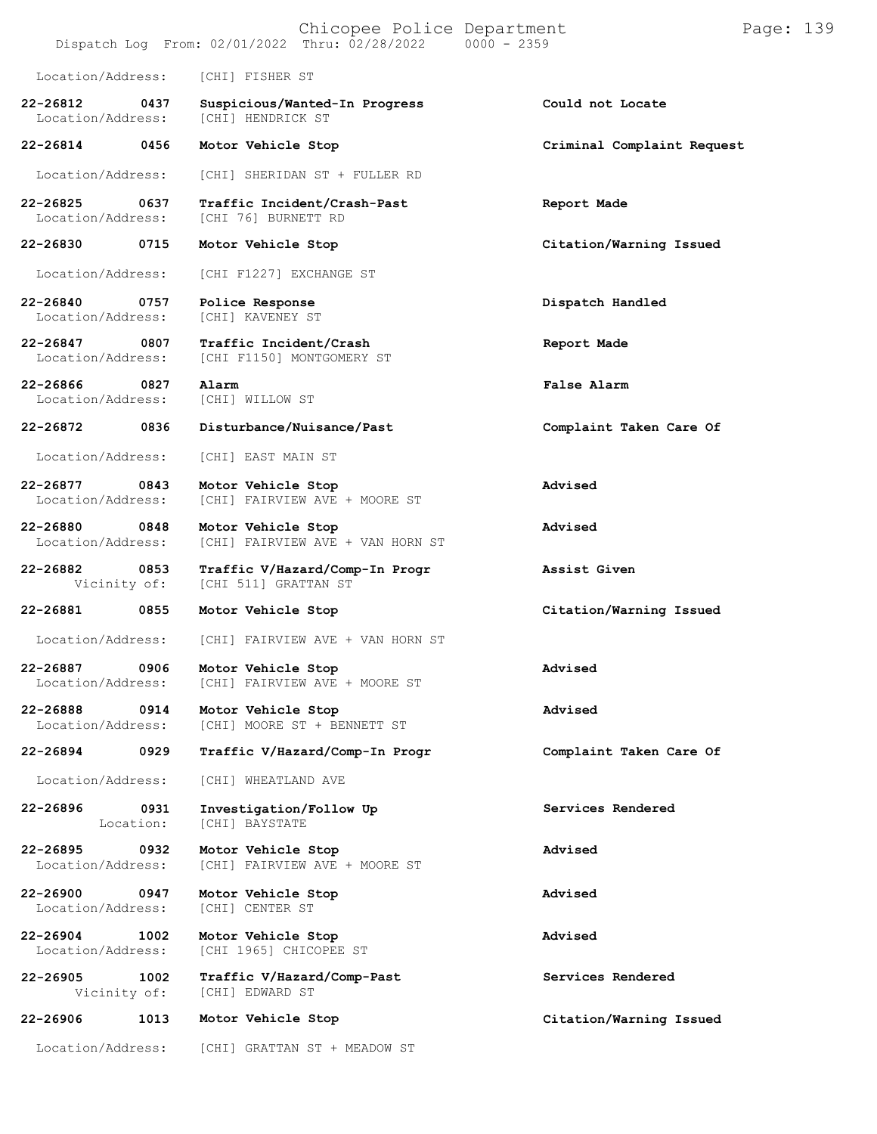|                               |                   | Chicopee Police Department<br>Dispatch Log From: 02/01/2022 Thru: 02/28/2022 | $0000 - 2359$              | Page: 139 |  |
|-------------------------------|-------------------|------------------------------------------------------------------------------|----------------------------|-----------|--|
| Location/Address:             |                   | [CHI] FISHER ST                                                              |                            |           |  |
| 22-26812<br>Location/Address: | 0437              | Suspicious/Wanted-In Progress<br>[CHI] HENDRICK ST                           | Could not Locate           |           |  |
| 22-26814                      | 0456              | Motor Vehicle Stop                                                           | Criminal Complaint Request |           |  |
| Location/Address:             |                   | [CHI] SHERIDAN ST + FULLER RD                                                |                            |           |  |
| 22-26825<br>Location/Address: | 0637              | Traffic Incident/Crash-Past<br>[CHI 76] BURNETT RD                           | Report Made                |           |  |
| 22-26830                      | 0715              | Motor Vehicle Stop                                                           | Citation/Warning Issued    |           |  |
| Location/Address:             |                   | [CHI F1227] EXCHANGE ST                                                      |                            |           |  |
| 22-26840<br>Location/Address: | 0757              | Police Response<br><b>[CHI] KAVENEY ST</b>                                   | Dispatch Handled           |           |  |
| 22-26847<br>Location/Address: | 0807              | Traffic Incident/Crash<br>[CHI F1150] MONTGOMERY ST                          | Report Made                |           |  |
| 22-26866<br>Location/Address: | 0827              | Alarm<br>[CHI] WILLOW ST                                                     | False Alarm                |           |  |
| 22-26872                      | 0836              | Disturbance/Nuisance/Past                                                    | Complaint Taken Care Of    |           |  |
| Location/Address:             |                   | [CHI] EAST MAIN ST                                                           |                            |           |  |
| 22-26877<br>Location/Address: | 0843              | Motor Vehicle Stop<br>[CHI] FAIRVIEW AVE + MOORE ST                          | Advised                    |           |  |
| 22-26880<br>Location/Address: | 0848              | Motor Vehicle Stop<br>[CHI] FAIRVIEW AVE + VAN HORN ST                       | Advised                    |           |  |
| 22-26882<br>Vicinity of:      | 0853              | Traffic V/Hazard/Comp-In Progr<br>[CHI 511] GRATTAN ST                       | Assist Given               |           |  |
| 22-26881                      | 0855              | Motor Vehicle Stop                                                           | Citation/Warning Issued    |           |  |
| Location/Address:             |                   | [CHI] FAIRVIEW AVE + VAN HORN ST                                             |                            |           |  |
| 22-26887<br>Location/Address: | 0906              | Motor Vehicle Stop<br>[CHI] FAIRVIEW AVE + MOORE ST                          | Advised                    |           |  |
| 22-26888<br>Location/Address: | 0914              | Motor Vehicle Stop<br>[CHI] MOORE ST + BENNETT ST                            | Advised                    |           |  |
| 22-26894                      | 0929              | Traffic V/Hazard/Comp-In Progr                                               | Complaint Taken Care Of    |           |  |
| Location/Address:             |                   | [CHI] WHEATLAND AVE                                                          |                            |           |  |
| 22-26896                      | 0931<br>Location: | Investigation/Follow Up<br>[CHI] BAYSTATE                                    | Services Rendered          |           |  |
| 22-26895<br>Location/Address: | 0932              | Motor Vehicle Stop<br>[CHI] FAIRVIEW AVE + MOORE ST                          | Advised                    |           |  |
| 22-26900<br>Location/Address: | 0947              | Motor Vehicle Stop<br>[CHI] CENTER ST                                        | Advised                    |           |  |
| 22-26904<br>Location/Address: | 1002              | Motor Vehicle Stop<br>[CHI 1965] CHICOPEE ST                                 | Advised                    |           |  |
| $22 - 26905$<br>Vicinity of:  | 1002              | Traffic V/Hazard/Comp-Past<br>[CHI] EDWARD ST                                | Services Rendered          |           |  |
| 22-26906                      | 1013              | Motor Vehicle Stop                                                           | Citation/Warning Issued    |           |  |
| Location/Address:             |                   | [CHI] GRATTAN ST + MEADOW ST                                                 |                            |           |  |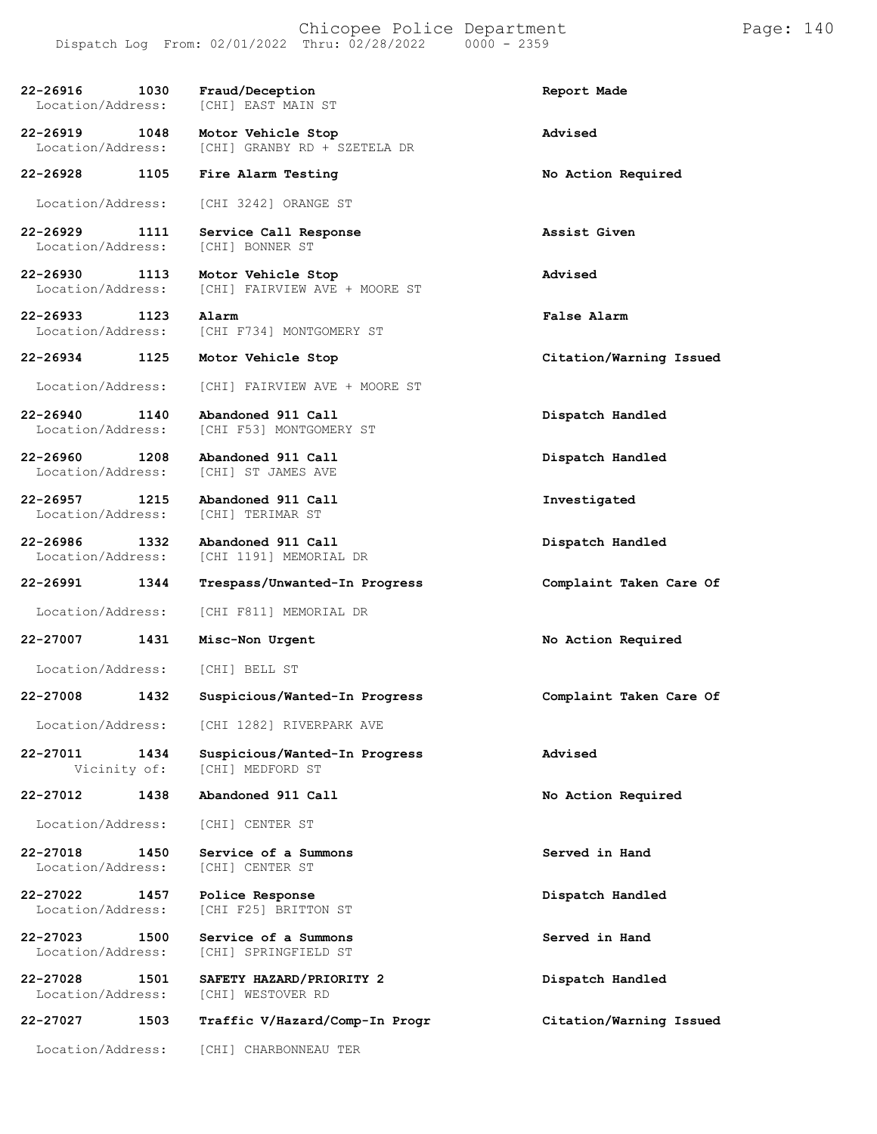**22-26916 1030 Fraud/Deception Report Made** Location/Address: **22-26919 1048 Motor Vehicle Stop Advised** [CHI] GRANBY RD + SZETELA DR **22-26928 1105 Fire Alarm Testing No Action Required** Location/Address: [CHI 3242] ORANGE ST **22-26929 1111 Service Call Response Assist Given** Location/Address: **22-26930 1113 Motor Vehicle Stop Advised** [CHI] FAIRVIEW AVE + MOORE ST **22-26933 1123 Alarm False Alarm** Location/Address: [CHI F734] MONTGOMERY ST **22-26934 1125 Motor Vehicle Stop Citation/Warning Issued** Location/Address: [CHI] FAIRVIEW AVE + MOORE ST **22-26940 1140 Abandoned 911 Call Dispatch Handled** [CHI F53] MONTGOMERY ST **22-26960 1208 Abandoned 911 Call Dispatch Handled** [CHI] ST JAMES AVE **22-26957 1215 Abandoned 911 Call Investigated** Location/Address: **22-26986 1332 Abandoned 911 Call Dispatch Handled** [CHI 1191] MEMORIAL DR **22-26991 1344 Trespass/Unwanted-In Progress Complaint Taken Care Of** Location/Address: [CHI F811] MEMORIAL DR **22-27007 1431 Misc-Non Urgent No Action Required** Location/Address: [CHI] BELL ST **22-27008 1432 Suspicious/Wanted-In Progress Complaint Taken Care Of** Location/Address: [CHI 1282] RIVERPARK AVE **22-27011 1434 Suspicious/Wanted-In Progress Advised** [CHI] MEDFORD ST **22-27012 1438 Abandoned 911 Call No Action Required** Location/Address: [CHI] CENTER ST **22-27018 1450 Service of a Summons Served in Hand** Location/Address: **22-27022 1457 Police Response Dispatch Handled** Location/Address: [CHI F25] BRITTON ST **22-27023 1500 Service of a Summons Served in Hand** [CHI] SPRINGFIELD ST **22-27028 1501 SAFETY HAZARD/PRIORITY 2 Dispatch Handled** [CHI] WESTOVER RD **22-27027 1503 Traffic V/Hazard/Comp-In Progr Citation/Warning Issued**

Location/Address: [CHI] CHARBONNEAU TER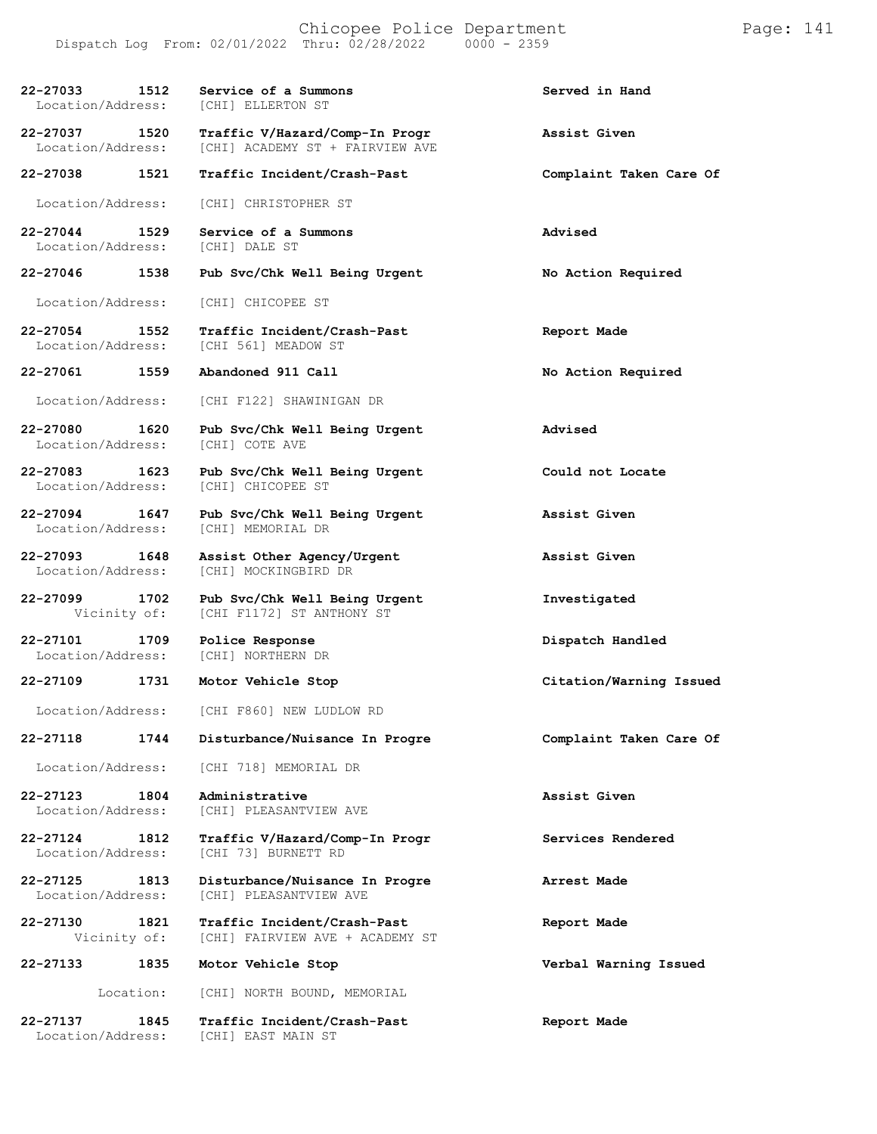| 22-27033<br>1512<br>Location/Address: | Service of a Summons<br>[CHI] ELLERTON ST                         | Served in Hand          |
|---------------------------------------|-------------------------------------------------------------------|-------------------------|
| 22-27037 1520<br>Location/Address:    | Traffic V/Hazard/Comp-In Progr<br>[CHI] ACADEMY ST + FAIRVIEW AVE | Assist Given            |
| 22-27038 1521                         | Traffic Incident/Crash-Past                                       | Complaint Taken Care Of |
| Location/Address:                     | [CHI] CHRISTOPHER ST                                              |                         |
| 22-27044 1529<br>Location/Address:    | Service of a Summons<br>[CHI] DALE ST                             | Advised                 |
| $22 - 27046$<br>1538                  | Pub Svc/Chk Well Being Urgent                                     | No Action Required      |
| Location/Address:                     | [CHI] CHICOPEE ST                                                 |                         |
| 22-27054 1552<br>Location/Address:    | Traffic Incident/Crash-Past<br>[CHI 561] MEADOW ST                | Report Made             |
| 22-27061 1559                         | Abandoned 911 Call                                                | No Action Required      |
| Location/Address:                     | [CHI F122] SHAWINIGAN DR                                          |                         |
| 22-27080 1620<br>Location/Address:    | Pub Svc/Chk Well Being Urgent<br>[CHI] COTE AVE                   | Advised                 |
| 22-27083 1623<br>Location/Address:    | Pub Svc/Chk Well Being Urgent<br>[CHI] CHICOPEE ST                | Could not Locate        |
| 22-27094 1647<br>Location/Address:    | Pub Svc/Chk Well Being Urgent<br>[CHI] MEMORIAL DR                | Assist Given            |
| 22-27093 1648<br>Location/Address:    | Assist Other Agency/Urgent<br>[CHI] MOCKINGBIRD DR                | Assist Given            |
| 22-27099 1702<br>Vicinity of:         | Pub Svc/Chk Well Being Urgent<br>[CHI F1172] ST ANTHONY ST        | Investigated            |
| 22-27101 1709<br>Location/Address:    | Police Response<br>[CHI] NORTHERN DR                              | Dispatch Handled        |
| 22-27109 1731                         | Motor Vehicle Stop                                                | Citation/Warning Issued |
| Location/Address:                     | [CHI F860] NEW LUDLOW RD                                          |                         |
| 22-27118<br>1744                      | Disturbance/Nuisance In Progre                                    | Complaint Taken Care Of |
| Location/Address:                     | [CHI 718] MEMORIAL DR                                             |                         |
| 22-27123<br>1804<br>Location/Address: | Administrative<br>[CHI] PLEASANTVIEW AVE                          | Assist Given            |
| 22-27124<br>1812<br>Location/Address: | Traffic V/Hazard/Comp-In Progr<br>[CHI 73] BURNETT RD             | Services Rendered       |
| 22-27125<br>1813<br>Location/Address: | Disturbance/Nuisance In Progre<br>[CHI] PLEASANTVIEW AVE          | Arrest Made             |
| 22-27130<br>1821<br>Vicinity of:      | Traffic Incident/Crash-Past<br>[CHI] FAIRVIEW AVE + ACADEMY ST    | Report Made             |
| 22-27133<br>1835                      | Motor Vehicle Stop                                                | Verbal Warning Issued   |
| Location:                             | [CHI] NORTH BOUND, MEMORIAL                                       |                         |
| 22-27137<br>1845                      | Traffic Incident/Crash-Past                                       | Report Made             |

Location/Address: [CHI] EAST MAIN ST